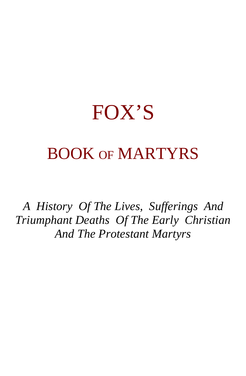# FOX'S

## BOOK OF MARTYRS

*A History Of The Lives, Sufferings And Triumphant Deaths Of The Early Christian And The Protestant Martyrs*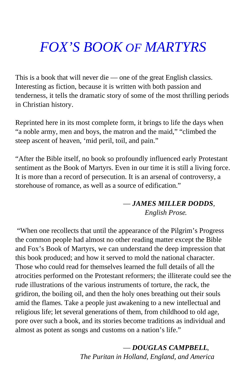## *FOX'S BOOK OF MARTYRS*

This is a book that will never die — one of the great English classics. Interesting as fiction, because it is written with both passion and tenderness, it tells the dramatic story of some of the most thrilling periods in Christian history.

Reprinted here in its most complete form, it brings to life the days when "a noble army, men and boys, the matron and the maid," "climbed the steep ascent of heaven, 'mid peril, toil, and pain."

"After the Bible itself, no book so profoundly influenced early Protestant sentiment as the Book of Martyrs. Even in our time it is still a living force. It is more than a record of persecution. It is an arsenal of controversy, a storehouse of romance, as well as a source of edification."

> — *JAMES MILLER DODDS*, *English Prose*.

 "When one recollects that until the appearance of the Pilgrim's Progress the common people had almost no other reading matter except the Bible and Fox's Book of Martyrs, we can understand the deep impression that this book produced; and how it served to mold the national character. Those who could read for themselves learned the full details of all the atrocities performed on the Protestant reformers; the illiterate could see the rude illustrations of the various instruments of torture, the rack, the gridiron, the boiling oil, and then the holy ones breathing out their souls amid the flames. Take a people just awakening to a new intellectual and religious life; let several generations of them, from childhood to old age, pore over such a book, and its stories become traditions as individual and almost as potent as songs and customs on a nation's life."

> — *DOUGLAS CAMPBELL*, *The Puritan in Holland, England, and America*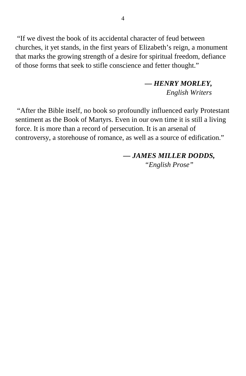"If we divest the book of its accidental character of feud between churches, it yet stands, in the first years of Elizabeth's reign, a monument that marks the growing strength of a desire for spiritual freedom, defiance of those forms that seek to stifle conscience and fetter thought."

> *— HENRY MORLEY, English Writers*

 "After the Bible itself, no book so profoundly influenced early Protestant sentiment as the Book of Martyrs. Even in our own time it is still a living force. It is more than a record of persecution. It is an arsenal of controversy, a storehouse of romance, as well as a source of edification."

> *— JAMES MILLER DODDS, "English Prose"*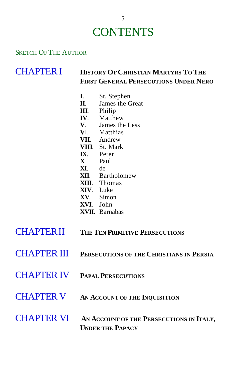## **CONTENTS**

#### SKETCH OF THE AUTHOR

### CHAPTERI **HISTORY OF CHRISTIAN MARTYRS TO THE FIRST GENERAL PERSECUTIONS UNDER NERO**

- **I**. St. Stephen
- **II**. James the Great
- **III**. Philip
- **IV**. Matthew
- **V**. James the Less
- **V**I. Matthias
- **VII**. Andrew
- **VIII**. St. Mark
- **IX**. Peter
- **X**. Paul
- **XI**. de
- **XII**. Bartholomew
- **XIII**. Thomas
- **XIV**. Luke
- **XV**. Simon
- **XVI**. John
- **XVII**. Barnabas
- CHAPTERII **THE TEN PRIMITIVE PERSECUTIONS**
- CHAPTER III **PERSECUTIONS OF THE CHRISTIANS IN PERSIA**
- CHAPTER IV **PAPAL PERSECUTIONS**
- CHAPTER V **AN ACCOUNT OF THE INQUISITION**
- CHAPTER VI **AN ACCOUNT OF THE PERSECUTIONS IN ITALY, UNDER THE PAPACY**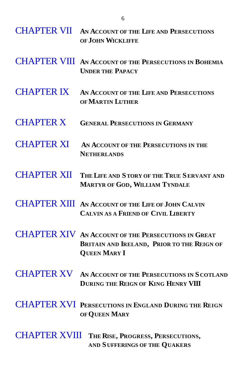|                      | <b>CHAPTER VII AN ACCOUNT OF THE LIFE AND PERSECUTIONS</b><br>OF JOHN WICKLIFFE                                                 |
|----------------------|---------------------------------------------------------------------------------------------------------------------------------|
|                      | <b>CHAPTER VIII AN ACCOUNT OF THE PERSECUTIONS IN BOHEMIA</b><br><b>UNDER THE PAPACY</b>                                        |
| <b>CHAPTER IX</b>    | AN ACCOUNT OF THE LIFE AND PERSECUTIONS<br>OF MARTIN LUTHER                                                                     |
| <b>CHAPTER X</b>     | <b>GENERAL PERSECUTIONS IN GERMANY</b>                                                                                          |
| <b>CHAPTER XI</b>    | AN ACCOUNT OF THE PERSECUTIONS IN THE<br><b>NETHERLANDS</b>                                                                     |
| <b>CHAPTER XII</b>   | THE LIFE AND STORY OF THE TRUE SERVANT AND<br><b>MARTYR OF GOD, WILLIAM TYNDALE</b>                                             |
|                      | <b>CHAPTER XIII AN ACCOUNT OF THE LIFE OF JOHN CALVIN</b><br><b>CALVIN AS A FRIEND OF CIVIL LIBERTY</b>                         |
|                      | <b>CHAPTER XIV AN ACCOUNT OF THE PERSECUTIONS IN GREAT</b><br>BRITAIN AND IRELAND, PRIOR TO THE REIGN OF<br><b>QUEEN MARY I</b> |
| <b>CHAPTER XV</b>    | AN ACCOUNT OF THE PERSECUTIONS IN SCOTLAND<br><b>DURING THE REIGN OF KING HENRY VIII</b>                                        |
|                      | <b>CHAPTER XVI PERSECUTIONS IN ENGLAND DURING THE REIGN</b><br>OF QUEEN MARY                                                    |
| <b>CHAPTER XVIII</b> | THE RISE, PROGRESS, PERSECUTIONS,<br>AND SUFFERINGS OF THE QUAKERS                                                              |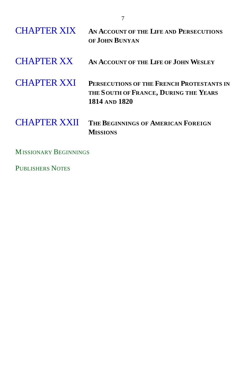| <b>CHAPTER XIX</b>  | AN ACCOUNT OF THE LIFE AND PERSECUTIONS<br>OF JOHN BUNYAN                                           |
|---------------------|-----------------------------------------------------------------------------------------------------|
| <b>CHAPTER XX</b>   | AN ACCOUNT OF THE LIFE OF JOHN WESLEY                                                               |
| <b>CHAPTER XXI</b>  | PERSECUTIONS OF THE FRENCH PROTESTANTS IN<br>THE SOUTH OF FRANCE, DURING THE YEARS<br>1814 AND 1820 |
| <b>CHAPTER XXII</b> | THE BEGINNINGS OF AMERICAN FOREIGN<br><b>MISSIONS</b>                                               |

MISSIONARY BEGINNINGS

PUBLISHERS NOTES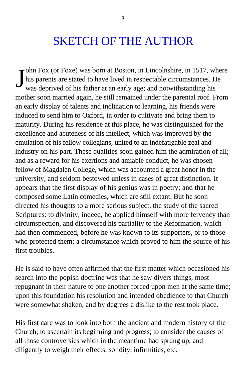## SKETCH OF THE AUTHOR

ohn Fox (or Foxe) was born at Boston, in Lincolnshire, in 1517, where his parents are stated to have lived in respectable circumstances. He was deprived of his father at an early age; and notwithstanding his mother soon married again, he still remained under the parental roof. From an early display of talents and inclination to learning, his friends were induced to send him to Oxford, in order to cultivate and bring them to maturity. During his residence at this place, he was distinguished for the excellence and acuteness of his intellect, which was improved by the emulation of his fellow collegians, united to an indefatigable zeal and industry on his part. These qualities soon gained him the admiration of all; and as a reward for his exertions and amiable conduct, he was chosen fellow of Magdalen College, which was accounted a great honor in the university, and seldom bestowed unless in cases of great distinction. It appears that the first display of his genius was in poetry; and that he composed some Latin comedies, which are still extant. But he soon directed his thoughts to a more serious subject, the study of the sacred Scriptures: to divinity, indeed, he applied himself with more fervency than circumspection, and discovered his partiality to the Reformation, which had then commenced, before he was known to its supporters, or to those who protected them; a circumstance which proved to him the source of his first troubles. J

He is said to have often affirmed that the first matter which occasioned his search into the popish doctrine was that he saw divers things, most repugnant in their nature to one another forced upon men at the same time; upon this foundation his resolution and intended obedience to that Church were somewhat shaken, and by degrees a dislike to the rest took place.

His first care was to look into both the ancient and modern history of the Church; to ascertain its beginning and progress; to consider the causes of all those controversies which in the meantime had sprung up, and diligently to weigh their effects, solidity, infirmities, etc.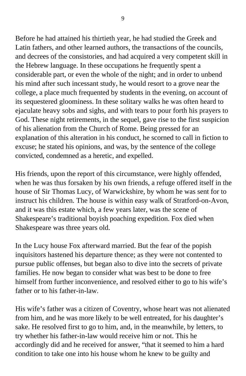Before he had attained his thirtieth year, he had studied the Greek and Latin fathers, and other learned authors, the transactions of the councils, and decrees of the consistories, and had acquired a very competent skill in the Hebrew language. In these occupations he frequently spent a considerable part, or even the whole of the night; and in order to unbend his mind after such incessant study, he would resort to a grove near the college, a place much frequented by students in the evening, on account of its sequestered gloominess. In these solitary walks he was often heard to ejaculate heavy sobs and sighs, and with tears to pour forth his prayers to God. These night retirements, in the sequel, gave rise to the first suspicion of his alienation from the Church of Rome. Being pressed for an explanation of this alteration in his conduct, he scorned to call in fiction to excuse; he stated his opinions, and was, by the sentence of the college convicted, condemned as a heretic, and expelled.

His friends, upon the report of this circumstance, were highly offended, when he was thus forsaken by his own friends, a refuge offered itself in the house of Sir Thomas Lucy, of Warwickshire, by whom he was sent for to instruct his children. The house is within easy walk of Stratford-on-Avon, and it was this estate which, a few years later, was the scene of Shakespeare's traditional boyish poaching expedition. Fox died when Shakespeare was three years old.

In the Lucy house Fox afterward married. But the fear of the popish inquisitors hastened his departure thence; as they were not contented to pursue public offenses, but began also to dive into the secrets of private families. He now began to consider what was best to be done to free himself from further inconvenience, and resolved either to go to his wife's father or to his father-in-law.

His wife's father was a citizen of Coventry, whose heart was not alienated from him, and he was more likely to be well entreated, for his daughter's sake. He resolved first to go to him, and, in the meanwhile, by letters, to try whether his father-in-law would receive him or not. This he accordingly did and he received for answer, "that it seemed to him a hard condition to take one into his house whom he knew to be guilty and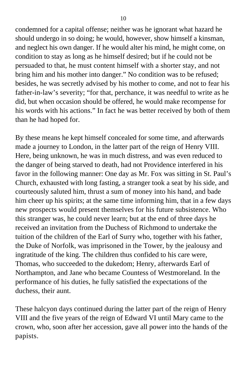condemned for a capital offense; neither was he ignorant what hazard he should undergo in so doing; he would, however, show himself a kinsman, and neglect his own danger. If he would alter his mind, he might come, on condition to stay as long as he himself desired; but if he could not be persuaded to that, he must content himself with a shorter stay, and not bring him and his mother into danger." No condition was to be refused; besides, he was secretly advised by his mother to come, and not to fear his father-in-law's severity; "for that, perchance, it was needful to write as he did, but when occasion should be offered, he would make recompense for his words with his actions." In fact he was better received by both of them than he had hoped for.

By these means he kept himself concealed for some time, and afterwards made a journey to London, in the latter part of the reign of Henry VIII. Here, being unknown, he was in much distress, and was even reduced to the danger of being starved to death, had not Providence interfered in his favor in the following manner: One day as Mr. Fox was sitting in St. Paul's Church, exhausted with long fasting, a stranger took a seat by his side, and courteously saluted him, thrust a sum of money into his hand, and bade him cheer up his spirits; at the same time informing him, that in a few days new prospects would present themselves for his future subsistence. Who this stranger was, he could never learn; but at the end of three days he received an invitation from the Duchess of Richmond to undertake the tuition of the children of the Earl of Surry who, together with his father, the Duke of Norfolk, was imprisoned in the Tower, by the jealousy and ingratitude of the king. The children thus confided to his care were, Thomas, who succeeded to the dukedom; Henry, afterwards Earl of Northampton, and Jane who became Countess of Westmoreland. In the performance of his duties, he fully satisfied the expectations of the duchess, their aunt.

These halcyon days continued during the latter part of the reign of Henry VIII and the five years of the reign of Edward VI until Mary came to the crown, who, soon after her accession, gave all power into the hands of the papists.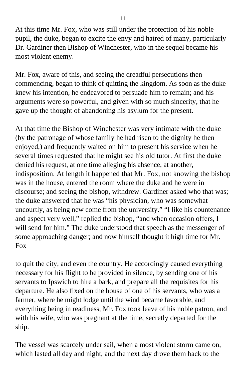At this time Mr. Fox, who was still under the protection of his noble pupil, the duke, began to excite the envy and hatred of many, particularly Dr. Gardiner then Bishop of Winchester, who in the sequel became his most violent enemy.

Mr. Fox, aware of this, and seeing the dreadful persecutions then commencing, began to think of quitting the kingdom. As soon as the duke knew his intention, he endeavored to persuade him to remain; and his arguments were so powerful, and given with so much sincerity, that he gave up the thought of abandoning his asylum for the present.

At that time the Bishop of Winchester was very intimate with the duke (by the patronage of whose family he had risen to the dignity he then enjoyed,) and frequently waited on him to present his service when he several times requested that he might see his old tutor. At first the duke denied his request, at one time alleging his absence, at another, indisposition. At length it happened that Mr. Fox, not knowing the bishop was in the house, entered the room where the duke and he were in discourse; and seeing the bishop, withdrew. Gardiner asked who that was; the duke answered that he was "his physician, who was somewhat uncourtly, as being new come from the university." "I like his countenance and aspect very well," replied the bishop, "and when occasion offers, I will send for him." The duke understood that speech as the messenger of some approaching danger; and now himself thought it high time for Mr. Fox

to quit the city, and even the country. He accordingly caused everything necessary for his flight to be provided in silence, by sending one of his servants to Ipswich to hire a bark, and prepare all the requisites for his departure. He also fixed on the house of one of his servants, who was a farmer, where he might lodge until the wind became favorable, and everything being in readiness, Mr. Fox took leave of his noble patron, and with his wife, who was pregnant at the time, secretly departed for the ship.

The vessel was scarcely under sail, when a most violent storm came on, which lasted all day and night, and the next day drove them back to the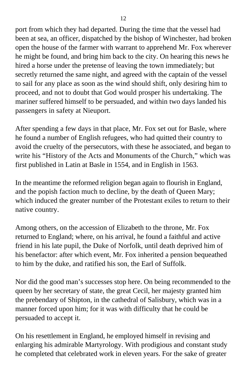port from which they had departed. During the time that the vessel had been at sea, an officer, dispatched by the bishop of Winchester, had broken open the house of the farmer with warrant to apprehend Mr. Fox wherever he might be found, and bring him back to the city. On hearing this news he hired a horse under the pretense of leaving the town immediately; but secretly returned the same night, and agreed with the captain of the vessel to sail for any place as soon as the wind should shift, only desiring him to proceed, and not to doubt that God would prosper his undertaking. The mariner suffered himself to be persuaded, and within two days landed his passengers in safety at Nieuport.

After spending a few days in that place, Mr. Fox set out for Basle, where he found a number of English refugees, who had quitted their country to avoid the cruelty of the persecutors, with these he associated, and began to write his "History of the Acts and Monuments of the Church," which was first published in Latin at Basle in 1554, and in English in 1563.

In the meantime the reformed religion began again to flourish in England, and the popish faction much to decline, by the death of Queen Mary; which induced the greater number of the Protestant exiles to return to their native country.

Among others, on the accession of Elizabeth to the throne, Mr. Fox returned to England; where, on his arrival, he found a faithful and active friend in his late pupil, the Duke of Norfolk, until death deprived him of his benefactor: after which event, Mr. Fox inherited a pension bequeathed to him by the duke, and ratified his son, the Earl of Suffolk.

Nor did the good man's successes stop here. On being recommended to the queen by her secretary of state, the great Cecil, her majesty granted him the prebendary of Shipton, in the cathedral of Salisbury, which was in a manner forced upon him; for it was with difficulty that he could be persuaded to accept it.

On his resettlement in England, he employed himself in revising and enlarging his admirable Martyrology. With prodigious and constant study he completed that celebrated work in eleven years. For the sake of greater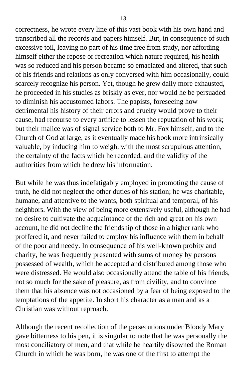correctness, he wrote every line of this vast book with his own hand and transcribed all the records and papers himself. But, in consequence of such excessive toil, leaving no part of his time free from study, nor affording himself either the repose or recreation which nature required, his health was so reduced and his person became so emaciated and altered, that such of his friends and relations as only conversed with him occasionally, could scarcely recognize his person. Yet, though he grew daily more exhausted, he proceeded in his studies as briskly as ever, nor would he be persuaded to diminish his accustomed labors. The papists, foreseeing how detrimental his history of their errors and cruelty would prove to their cause, had recourse to every artifice to lessen the reputation of his work; but their malice was of signal service both to Mr. Fox himself, and to the Church of God at large, as it eventually made his book more intrinsically valuable, by inducing him to weigh, with the most scrupulous attention, the certainty of the facts which he recorded, and the validity of the authorities from which he drew his information.

But while he was thus indefatigably employed in promoting the cause of truth, he did not neglect the other duties of his station; he was charitable, humane, and attentive to the wants, both spiritual and temporal, of his neighbors. With the view of being more extensively useful, although he had no desire to cultivate the acquaintance of the rich and great on his own account, he did not decline the friendship of those in a higher rank who proffered it, and never failed to employ his influence with them in behalf of the poor and needy. In consequence of his well-known probity and charity, he was frequently presented with sums of money by persons possessed of wealth, which he accepted and distributed among those who were distressed. He would also occasionally attend the table of his friends, not so much for the sake of pleasure, as from civility, and to convince them that his absence was not occasioned by a fear of being exposed to the temptations of the appetite. In short his character as a man and as a Christian was without reproach.

Although the recent recollection of the persecutions under Bloody Mary gave bitterness to his pen, it is singular to note that he was personally the most conciliatory of men, and that while he heartily disowned the Roman Church in which he was born, he was one of the first to attempt the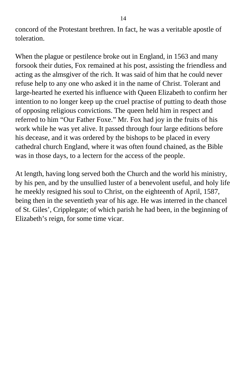concord of the Protestant brethren. In fact, he was a veritable apostle of toleration.

When the plague or pestilence broke out in England, in 1563 and many forsook their duties, Fox remained at his post, assisting the friendless and acting as the almsgiver of the rich. It was said of him that he could never refuse help to any one who asked it in the name of Christ. Tolerant and large-hearted he exerted his influence with Queen Elizabeth to confirm her intention to no longer keep up the cruel practise of putting to death those of opposing religious convictions. The queen held him in respect and referred to him "Our Father Foxe." Mr. Fox had joy in the fruits of his work while he was yet alive. It passed through four large editions before his decease, and it was ordered by the bishops to be placed in every cathedral church England, where it was often found chained, as the Bible was in those days, to a lectern for the access of the people.

At length, having long served both the Church and the world his ministry, by his pen, and by the unsullied luster of a benevolent useful, and holy life he meekly resigned his soul to Christ, on the eighteenth of April, 1587, being then in the seventieth year of his age. He was interred in the chancel of St. Giles', Cripplegate; of which parish he had been, in the beginning of Elizabeth's reign, for some time vicar.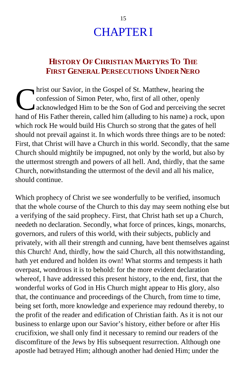## CHAPTERI

### **HISTORY OF CHRISTIAN MARTYRS TO THE FIRST GENERAL PERSECUTIONS UNDER NERO**

hrist our Savior, in the Gospel of St. Matthew, hearing the confession of Simon Peter, who, first of all other, openly acknowledged Him to be the Son of God and perceiving the secret hand of His Father therein, called him (alluding to his name) a rock, upon thand of His Father therein, called him (alluding to his name) a rock, upon which rock He would build His Church so strong that the gates of hell should not prevail against it. In which words three things are to be noted: First, that Christ will have a Church in this world. Secondly, that the same Church should mightily be impugned, not only by the world, but also by the uttermost strength and powers of all hell. And, thirdly, that the same Church, notwithstanding the uttermost of the devil and all his malice, should continue.

Which prophecy of Christ we see wonderfully to be verified, insomuch that the whole course of the Church to this day may seem nothing else but a verifying of the said prophecy. First, that Christ hath set up a Church, needeth no declaration. Secondly, what force of princes, kings, monarchs, governors, and rulers of this world, with their subjects, publicly and privately, with all their strength and cunning, have bent themselves against this Church! And, thirdly, how the said Church, all this notwithstanding, hath yet endured and holden its own! What storms and tempests it hath overpast, wondrous it is to behold: for the more evident declaration whereof, I have addressed this present history, to the end, first, that the wonderful works of God in His Church might appear to His glory, also that, the continuance and proceedings of the Church, from time to time, being set forth, more knowledge and experience may redound thereby, to the profit of the reader and edification of Christian faith. As it is not our business to enlarge upon our Savior's history, either before or after His crucifixion, we shall only find it necessary to remind our readers of the discomfiture of the Jews by His subsequent resurrection. Although one apostle had betrayed Him; although another had denied Him; under the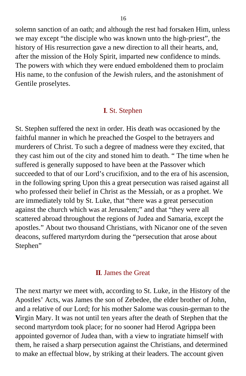solemn sanction of an oath; and although the rest had forsaken Him, unless we may except "the disciple who was known unto the high-priest", the history of His resurrection gave a new direction to all their hearts, and, after the mission of the Holy Spirit, imparted new confidence to minds. The powers with which they were endued emboldened them to proclaim His name, to the confusion of the Jewish rulers, and the astonishment of Gentile proselytes.

#### **I**. St. Stephen

St. Stephen suffered the next in order. His death was occasioned by the faithful manner in which he preached the Gospel to the betrayers and murderers of Christ. To such a degree of madness were they excited, that they cast him out of the city and stoned him to death. " The time when he suffered is generally supposed to have been at the Passover which succeeded to that of our Lord's crucifixion, and to the era of his ascension, in the following spring Upon this a great persecution was raised against all who professed their belief in Christ as the Messiah, or as a prophet. We are immediately told by St. Luke, that "there was a great persecution against the church which was at Jerusalem;" and that "they were all scattered abroad throughout the regions of Judea and Samaria, except the apostles." About two thousand Christians, with Nicanor one of the seven deacons, suffered martyrdom during the "persecution that arose about Stephen"

#### **II**. James the Great

The next martyr we meet with, according to St. Luke, in the History of the Apostles' Acts, was James the son of Zebedee, the elder brother of John, and a relative of our Lord; for his mother Salome was cousin-german to the **V**irgin Mary. It was not until ten years after the death of Stephen that the second martyrdom took place; for no sooner had Herod Agrippa been appointed governor of Judea than, with a view to ingratiate himself with them, he raised a sharp persecution against the Christians, and determined to make an effectual blow, by striking at their leaders. The account given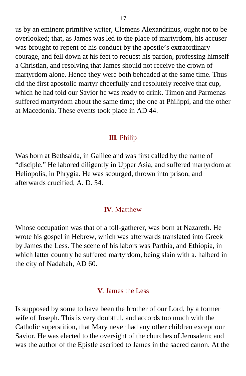us by an eminent primitive writer, Clemens Alexandrinus, ought not to be overlooked; that, as James was led to the place of martyrdom, his accuser was brought to repent of his conduct by the apostle's extraordinary courage, and fell down at his feet to request his pardon, professing himself a Christian, and resolving that James should not receive the crown of martyrdom alone. Hence they were both beheaded at the same time. Thus did the first apostolic martyr cheerfully and resolutely receive that cup, which he had told our Savior he was ready to drink. Timon and Parmenas suffered martyrdom about the same time; the one at Philippi, and the other at Macedonia. These events took place in AD 44.

#### **III**. Philip

Was born at Bethsaida, in Galilee and was first called by the name of "disciple." He labored diligently in Upper Asia, and suffered martyrdom at Heliopolis, in Phrygia. He was scourged, thrown into prison, and afterwards crucified, A. D. 54.

#### **IV**. Matthew

Whose occupation was that of a toll-gatherer, was born at Nazareth. He wrote his gospel in Hebrew, which was afterwards translated into Greek by James the Less. The scene of his labors was Parthia, and Ethiopia, in which latter country he suffered martyrdom, being slain with a. halberd in the city of Nadabah, AD 60.

#### **V**. James the Less

Is supposed by some to have been the brother of our Lord, by a former wife of Joseph. This is very doubtful, and accords too much with the Catholic superstition, that Mary never had any other children except our Savior. He was elected to the oversight of the churches of Jerusalem; and was the author of the Epistle ascribed to James in the sacred canon. At the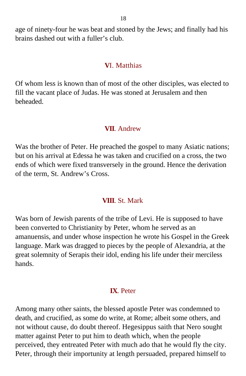age of ninety-four he was beat and stoned by the Jews; and finally had his brains dashed out with a fuller's club.

#### **V**I. Matthias

Of whom less is known than of most of the other disciples, was elected to fill the vacant place of Judas. He was stoned at Jerusalem and then beheaded.

#### **VII**. Andrew

Was the brother of Peter. He preached the gospel to many Asiatic nations; but on his arrival at Edessa he was taken and crucified on a cross, the two ends of which were fixed transversely in the ground. Hence the derivation of the term, St. Andrew's Cross.

#### **VIII**. St. Mark

Was born of Jewish parents of the tribe of Levi. He is supposed to have been converted to Christianity by Peter, whom he served as an amanuensis, and under whose inspection he wrote his Gospel in the Greek language. Mark was dragged to pieces by the people of Alexandria, at the great solemnity of Serapis their idol, ending his life under their merciless hands.

#### **IX**. Peter

Among many other saints, the blessed apostle Peter was condemned to death, and crucified, as some do write, at Rome; albeit some others, and not without cause, do doubt thereof. Hegesippus saith that Nero sought matter against Peter to put him to death which, when the people perceived, they entreated Peter with much ado that he would fly the city. Peter, through their importunity at length persuaded, prepared himself to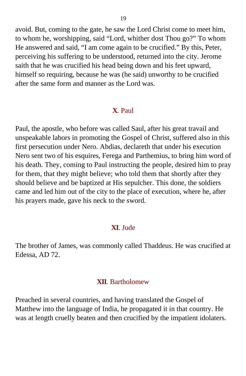avoid. But, coming to the gate, he saw the Lord Christ come to meet him, to whom he, worshipping, said "Lord, whither dost Thou go?" To whom He answered and said, "I am come again to be crucified." By this, Peter, perceiving his suffering to be understood, returned into the city. Jerome saith that he was crucified his head being down and his feet upward, himself so requiring, because he was (he said) unworthy to be crucified after the same form and manner as the Lord was.

#### **X**. Paul

Paul, the apostle, who before was called Saul, after his great travail and unspeakable labors in promoting the Gospel of Christ, suffered also in this first persecution under Nero. Abdias, declareth that under his execution Nero sent two of his esquires, Ferega and Parthemius, to bring him word of his death. They, coming to Paul instructing the people, desired him to pray for them, that they might believe; who told them that shortly after they should believe and be baptized at His sepulcher. This done, the soldiers came and led him out of the city to the place of execution, where he, after his prayers made, gave his neck to the sword.

#### **XI**. Jude

The brother of James, was commonly called Thaddeus. He was crucified at Edessa, AD 72.

#### **XII**. Bartholomew

Preached in several countries, and having translated the Gospel of Matthew into the language of India, he propagated it in that country. He was at length cruelly beaten and then crucified by the impatient idolaters.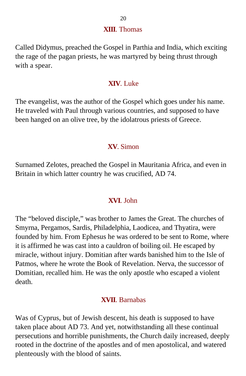#### **XIII**. Thomas

Called Didymus, preached the Gospel in Parthia and India, which exciting the rage of the pagan priests, he was martyred by being thrust through with a spear.

#### **XIV**. Luke

The evangelist, was the author of the Gospel which goes under his name. He traveled with Paul through various countries, and supposed to have been hanged on an olive tree, by the idolatrous priests of Greece.

#### **XV**. Simon

Surnamed Zelotes, preached the Gospel in Mauritania Africa, and even in Britain in which latter country he was crucified, AD 74.

#### **XVI**. John

The "beloved disciple," was brother to James the Great. The churches of Smyrna, Pergamos, Sardis, Philadelphia, Laodicea, and Thyatira, were founded by him. From Ephesus he was ordered to be sent to Rome, where it is affirmed he was cast into a cauldron of boiling oil. He escaped by miracle, without injury. Domitian after wards banished him to the Isle of Patmos, where he wrote the Book of Revelation. Nerva, the successor of Domitian, recalled him. He was the only apostle who escaped a violent death.

#### **XVII**. Barnabas

Was of Cyprus, but of Jewish descent, his death is supposed to have taken place about AD 73. And yet, notwithstanding all these continual persecutions and horrible punishments, the Church daily increased, deeply rooted in the doctrine of the apostles and of men apostolical, and watered plenteously with the blood of saints.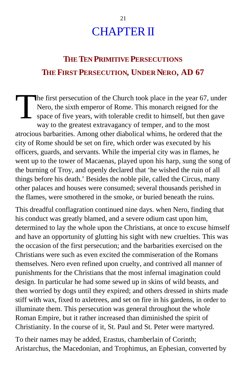## **CHAPTER II**

## **THE TEN PRIMITIVE PERSECUTIONS THE FIRST PERSECUTION, UNDER NERO, AD 67**

he first persecution of the Church took place in the year 67, under Nero, the sixth emperor of Rome. This monarch reigned for the space of five years, with tolerable credit to himself, but then gave way to the greatest extravagancy of temper, and to the most atrocious barbarities. Among other diabolical whims, he ordered that the city of Rome should be set on fire, which order was executed by his officers, guards, and servants. While the imperial city was in flames, he went up to the tower of Macaenas, played upon his harp, sung the song of the burning of Troy, and openly declared that 'he wished the ruin of all things before his death.' Besides the noble pile, called the Circus, many other palaces and houses were consumed; several thousands perished in the flames, were smothered in the smoke, or buried beneath the ruins. T

This dreadful conflagration continued nine days. when Nero, finding that his conduct was greatly blamed, and a severe odium cast upon him, determined to lay the whole upon the Christians, at once to excuse himself and have an opportunity of glutting his sight with new cruelties. This was the occasion of the first persecution; and the barbarities exercised on the Christians were such as even excited the commiseration of the Romans themselves. Nero even refined upon cruelty, and contrived all manner of punishments for the Christians that the most infernal imagination could design. In particular he had some sewed up in skins of wild beasts, and then worried by dogs until they expired; and others dressed in shirts made stiff with wax, fixed to axletrees, and set on fire in his gardens, in order to illuminate them. This persecution was general throughout the whole Roman Empire, but it rather increased than diminished the spirit of Christianity. In the course of it, St. Paul and St. Peter were martyred.

To their names may be added, Erastus, chamberlain of Corinth; Aristarchus, the Macedonian, and Trophimus, an Ephesian, converted by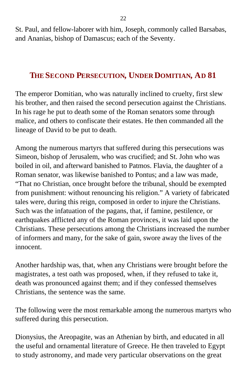St. Paul, and fellow-laborer with him, Joseph, commonly called Barsabas, and Ananias, bishop of Damascus; each of the Seventy.

### **THE SECOND PERSECUTION, UNDER DOMITIAN, AD 81**

The emperor Domitian, who was naturally inclined to cruelty, first slew his brother, and then raised the second persecution against the Christians. In his rage he put to death some of the Roman senators some through malice, and others to confiscate their estates. He then commanded all the lineage of David to be put to death.

Among the numerous martyrs that suffered during this persecutions was Simeon, bishop of Jerusalem, who was crucified; and St. John who was boiled in oil, and afterward banished to Patmos. Flavia, the daughter of a Roman senator, was likewise banished to Pontus; and a law was made, "That no Christian, once brought before the tribunal, should be exempted from punishment: without renouncing his religion." A variety of fabricated tales were, during this reign, composed in order to injure the Christians. Such was the infatuation of the pagans, that, if famine, pestilence, or earthquakes afflicted any of the Roman provinces, it was laid upon the Christians. These persecutions among the Christians increased the number of informers and many, for the sake of gain, swore away the lives of the innocent.

Another hardship was, that, when any Christians were brought before the magistrates, a test oath was proposed, when, if they refused to take it, death was pronounced against them; and if they confessed themselves Christians, the sentence was the same.

The following were the most remarkable among the numerous martyrs who suffered during this persecution.

Dionysius, the Areopagite, was an Athenian by birth, and educated in all the useful and ornamental literature of Greece. He then traveled to Egypt to study astronomy, and made very particular observations on the great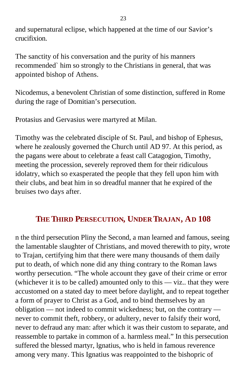and supernatural eclipse, which happened at the time of our Savior's crucifixion.

The sanctity of his conversation and the purity of his manners recommended` him so strongly to the Christians in general, that was appointed bishop of Athens.

Nicodemus, a benevolent Christian of some distinction, suffered in Rome during the rage of Domitian's persecution.

Protasius and Gervasius were martyred at Milan.

Timothy was the celebrated disciple of St. Paul, and bishop of Ephesus, where he zealously governed the Church until AD 97. At this period, as the pagans were about to celebrate a feast call Catagogion, Timothy, meeting the procession, severely reproved them for their ridiculous idolatry, which so exasperated the people that they fell upon him with their clubs, and beat him in so dreadful manner that he expired of the bruises two days after.

### **THE THIRD PERSECUTION, UNDER TRAJAN, AD 108**

n the third persecution Pliny the Second, a man learned and famous, seeing the lamentable slaughter of Christians, and moved therewith to pity, wrote to Trajan, certifying him that there were many thousands of them daily put to death, of which none did any thing contrary to the Roman laws worthy persecution. "The whole account they gave of their crime or error (whichever it is to be called) amounted only to this — viz.. that they were accustomed on a stated day to meet before daylight, and to repeat together a form of prayer to Christ as a God, and to bind themselves by an obligation — not indeed to commit wickedness; but, on the contrary never to commit theft, robbery, or adultery, never to falsify their word, never to defraud any man: after which it was their custom to separate, and reassemble to partake in common of a. harmless meal." In this persecution suffered the blessed martyr, lgnatius, who is held in famous reverence among very many. This Ignatius was reappointed to the bishopric of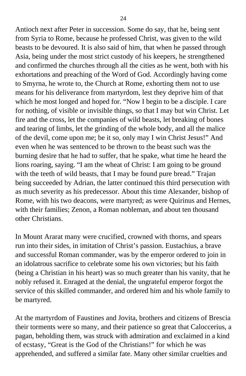Antioch next after Peter in succession. Some do say, that he, being sent from Syria to Rome, because he professed Christ, was given to the wild beasts to be devoured. It is also said of him, that when he passed through Asia, being under the most strict custody of his keepers, he strengthened and confirmed the churches through all the cities as he went, both with his exhortations and preaching of the Word of God. Accordingly having come to Smyrna, he wrote to, the Church at Rome, exhorting them not to use means for his deliverance from martyrdom, lest they deprive him of that which he most longed and hoped for. "Now I begin to be a disciple. I care for nothing, of visible or invisible things, so that I may but win Christ. Let fire and the cross, let the companies of wild beasts, let breaking of bones and tearing of limbs, let the grinding of the whole body, and all the malice of the devil, come upon me; be it so, only may I win Christ Jesus!" And even when he was sentenced to be thrown to the beast such was the burning desire that he had to suffer, that he spake, what time he heard the lions roaring, saying. "I am the wheat of Christ: I am going to be ground with the teeth of wild beasts, that I may be found pure bread." Trajan being succeeded by Adrian, the latter continued this third persecution with as much severity as his predecessor. About this time Alexander, bishop of Rome, with his two deacons, were martyred; as were Quirinus and Hernes, with their families; Zenon, a Roman nobleman, and about ten thousand other Christians.

In Mount Ararat many were crucified, crowned with thorns, and spears run into their sides, in imitation of Christ's passion. Eustachius, a brave and successful Roman commander, was by the emperor ordered to join in an idolatrous sacrifice to celebrate some his own victories; but his faith (being a Christian in his heart) was so much greater than his vanity, that he nobly refused it. Enraged at the denial, the ungrateful emperor forgot the service of this skilled commander, and ordered him and his whole family to be martyred.

At the martyrdom of Faustines and Jovita, brothers and citizens of Brescia their torments were so many, and their patience so great that Caloccerius, a pagan, beholding them, was struck with admiration and exclaimed in a kind of ecstasy, "Great is the God of the Christians!" for which he was apprehended, and suffered a similar fate. Many other similar cruelties and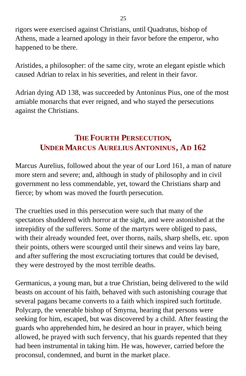rigors were exercised against Christians, until Quadratus, bishop of Athens, made a learned apology in their favor before the emperor, who happened to be there.

Aristides, a philosopher: of the same city, wrote an elegant epistle which caused Adrian to relax in his severities, and relent in their favor.

Adrian dying AD 138, was succeeded by Antoninus Pius, one of the most amiable monarchs that ever reigned, and who stayed the persecutions against the Christians.

## **THE FOURTH PERSECUTION, UNDER MARCUS AURELIUS ANTONINUS, AD 162**

Marcus Aurelius, followed about the year of our Lord 161, a man of nature more stern and severe; and, although in study of philosophy and in civil government no less commendable, yet, toward the Christians sharp and fierce; by whom was moved the fourth persecution.

The cruelties used in this persecution were such that many of the spectators shuddered with horror at the sight, and were astonished at the intrepidity of the sufferers. Some of the martyrs were obliged to pass, with their already wounded feet, over thorns, nails, sharp shells, etc. upon their points, others were scourged until their sinews and veins lay bare, and after suffering the most excruciating tortures that could be devised, they were destroyed by the most terrible deaths.

Germanicus, a young man, but a true Christian, being delivered to the wild beasts on account of his faith, behaved with such astonishing courage that several pagans became converts to a faith which inspired such fortitude. Polycarp, the venerable bishop of Smyrna, hearing that persons were seeking for him, escaped, but was discovered by a child. After feasting the guards who apprehended him, he desired an hour in prayer, which being allowed, he prayed with such fervency, that his guards repented that they had been instrumental in taking him. He was, however, carried before the proconsul, condemned, and burnt in the market place.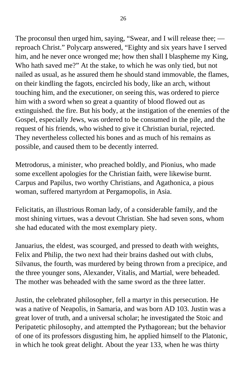The proconsul then urged him, saying, "Swear, and I will release thee; reproach Christ." Polycarp answered, "Eighty and six years have I served him, and he never once wronged me; how then shall I blaspheme my King, Who hath saved me?" At the stake, to which he was only tied, but not nailed as usual, as he assured them he should stand immovable, the flames, on their kindling the fagots, encircled his body, like an arch, without touching him, and the executioner, on seeing this, was ordered to pierce him with a sword when so great a quantity of blood flowed out as extinguished. the fire. But his body, at the instigation of the enemies of the Gospel, especially Jews, was ordered to be consumed in the pile, and the request of his friends, who wished to give it Christian burial, rejected. They nevertheless collected his bones and as much of his remains as possible, and caused them to be decently interred.

Metrodorus, a minister, who preached boldly, and Pionius, who made some excellent apologies for the Christian faith, were likewise burnt. Carpus and Papilus, two worthy Christians, and Agathonica, a pious woman, suffered martyrdom at Pergamopolis, in Asia.

Felicitatis, an illustrious Roman lady, of a considerable family, and the most shining virtues, was a devout Christian. She had seven sons, whom she had educated with the most exemplary piety.

Januarius, the eldest, was scourged, and pressed to death with weights, Felix and Philip, the two next had their brains dashed out with clubs, Silvanus, the fourth, was murdered by being thrown from a precipice, and the three younger sons, Alexander, Vitalis, and Martial, were beheaded. The mother was beheaded with the same sword as the three latter.

Justin, the celebrated philosopher, fell a martyr in this persecution. He was a native of Neapolis, in Samaria, and was born AD 103. Justin was a great lover of truth, and a universal scholar; he investigated the Stoic and Peripatetic philosophy, and attempted the Pythagorean; but the behavior of one of its professors disgusting him, he applied himself to the Platonic, in which he took great delight. About the year 133, when he was thirty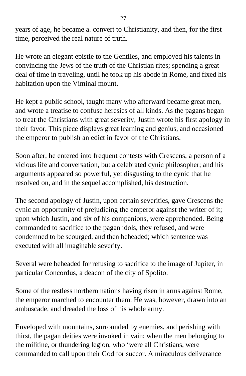years of age, he became a. convert to Christianity, and then, for the first time, perceived the real nature of truth.

He wrote an elegant epistle to the Gentiles, and employed his talents in convincing the Jews of the truth of the Christian rites; spending a great deal of time in traveling, until he took up his abode in Rome, and fixed his habitation upon the Viminal mount.

He kept a public school, taught many who afterward became great men, and wrote a treatise to confuse heresies of all kinds. As the pagans began to treat the Christians with great severity, Justin wrote his first apology in their favor. This piece displays great learning and genius, and occasioned the emperor to publish an edict in favor of the Christians.

Soon after, he entered into frequent contests with Crescens, a person of a vicious life and conversation, but a celebrated cynic philosopher; and his arguments appeared so powerful, yet disgusting to the cynic that he resolved on, and in the sequel accomplished, his destruction.

The second apology of Justin, upon certain severities, gave Crescens the cynic an opportunity of prejudicing the emperor against the writer of it; upon which Justin, and six of his companions, were apprehended. Being commanded to sacrifice to the pagan idols, they refused, and were condemned to be scourged, and then beheaded; which sentence was executed with all imaginable severity.

Several were beheaded for refusing to sacrifice to the image of Jupiter, in particular Concordus, a deacon of the city of Spolito.

Some of the restless northern nations having risen in arms against Rome, the emperor marched to encounter them. He was, however, drawn into an ambuscade, and dreaded the loss of his whole army.

Enveloped with mountains, surrounded by enemies, and perishing with thirst, the pagan deities were invoked in vain; when the men belonging to the militine, or thundering legion, who 'were all Christians, were commanded to call upon their God for succor. A miraculous deliverance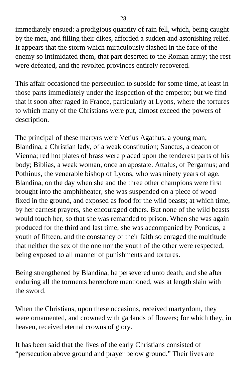immediately ensued: a prodigious quantity of rain fell, which, being caught by the men, and filling their dikes, afforded a sudden and astonishing relief. It appears that the storm which miraculously flashed in the face of the enemy so intimidated them, that part deserted to the Roman army; the rest were defeated, and the revolted provinces entirely recovered.

This affair occasioned the persecution to subside for some time, at least in those parts immediately under the inspection of the emperor; but we find that it soon after raged in France, particularly at Lyons, where the tortures to which many of the Christians were put, almost exceed the powers of description.

The principal of these martyrs were Vetius Agathus, a young man; Blandina, a Christian lady, of a weak constitution; Sanctus, a deacon of Vienna; red hot plates of brass were placed upon the tenderest parts of his body; Biblias, a weak woman, once an apostate. Attalus, of Pergamus; and Pothinus, the venerable bishop of Lyons, who was ninety years of age. Blandina, on the day when she and the three other champions were first brought into the amphitheater, she was suspended on a piece of wood fixed in the ground, and exposed as food for the wild beasts; at which time, by her earnest prayers, she encouraged others. But none of the wild beasts would touch her, so that she was remanded to prison. When she was again produced for the third and last time, she was accompanied by Ponticus, a youth of fifteen, and the constancy of their faith so enraged the multitude that neither the sex of the one nor the youth of the other were respected, being exposed to all manner of punishments and tortures.

Being strengthened by Blandina, he persevered unto death; and she after enduring all the torments heretofore mentioned, was at length slain with the sword.

When the Christians, upon these occasions, received martyrdom, they were ornamented, and crowned with garlands of flowers; for which they, in heaven, received eternal crowns of glory.

It has been said that the lives of the early Christians consisted of "persecution above ground and prayer below ground." Their lives are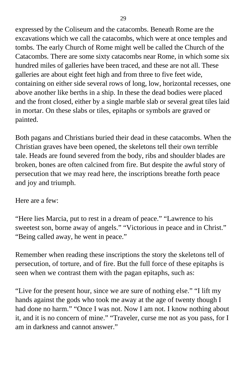expressed by the Coliseum and the catacombs. Beneath Rome are the excavations which we call the catacombs, which were at once temples and tombs. The early Church of Rome might well be called the Church of the Catacombs. There are some sixty catacombs near Rome, in which some six hundred miles of galleries have been traced, and these are not all. These galleries are about eight feet high and from three to five feet wide, containing on either side several rows of long, low, horizontal recesses, one above another like berths in a ship. In these the dead bodies were placed and the front closed, either by a single marble slab or several great tiles laid in mortar. On these slabs or tiles, epitaphs or symbols are graved or painted.

Both pagans and Christians buried their dead in these catacombs. When the Christian graves have been opened, the skeletons tell their own terrible tale. Heads are found severed from the body, ribs and shoulder blades are broken, bones are often calcined from fire. But despite the awful story of persecution that we may read here, the inscriptions breathe forth peace and joy and triumph.

#### Here are a few:

"Here lies Marcia, put to rest in a dream of peace." "Lawrence to his sweetest son, borne away of angels." "Victorious in peace and in Christ." "Being called away, he went in peace."

Remember when reading these inscriptions the story the skeletons tell of persecution, of torture, and of fire. But the full force of these epitaphs is seen when we contrast them with the pagan epitaphs, such as:

"Live for the present hour, since we are sure of nothing else." "I lift my hands against the gods who took me away at the age of twenty though I had done no harm." "Once I was not. Now I am not. I know nothing about it, and it is no concern of mine." "Traveler, curse me not as you pass, for I am in darkness and cannot answer."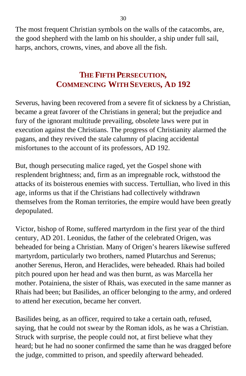The most frequent Christian symbols on the walls of the catacombs, are, the good shepherd with the lamb on his shoulder, a ship under full sail, harps, anchors, crowns, vines, and above all the fish.

### **THE FIFTH PERSECUTION, COMMENCING WITH SEVERUS, AD 192**

Severus, having been recovered from a severe fit of sickness by a Christian, became a great favorer of the Christians in general; but the prejudice and fury of the ignorant multitude prevailing, obsolete laws were put in execution against the Christians. The progress of Christianity alarmed the pagans, and they revived the stale calumny of placing accidental misfortunes to the account of its professors, AD 192.

But, though persecuting malice raged, yet the Gospel shone with resplendent brightness; and, firm as an impregnable rock, withstood the attacks of its boisterous enemies with success. Tertullian, who lived in this age, informs us that if the Christians had collectively withdrawn themselves from the Roman territories, the empire would have been greatly depopulated.

Victor, bishop of Rome, suffered martyrdom in the first year of the third century, AD 201. Leonidus, the father of the celebrated Origen, was beheaded for being a Christian. Many of Origen's hearers likewise suffered martyrdom, particularly two brothers, named Plutarchus and Serenus; another Serenus, Heron, and Heraclides, were beheaded. Rhais had boiled pitch poured upon her head and was then burnt, as was Marcella her mother. Potainiena, the sister of Rhais, was executed in the same manner as Rhais had been; but Basilides, an officer belonging to the army, and ordered to attend her execution, became her convert.

Basilides being, as an officer, required to take a certain oath, refused, saying, that he could not swear by the Roman idols, as he was a Christian. Struck with surprise, the people could not, at first believe what they heard; but he had no sooner confirmed the same than he was dragged before the judge, committed to prison, and speedily afterward beheaded.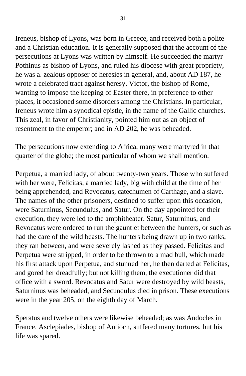Ireneus, bishop of Lyons, was born in Greece, and received both a polite and a Christian education. It is generally supposed that the account of the persecutions at Lyons was written by himself. He succeeded the martyr Pothinus as bishop of Lyons, and ruled his diocese with great propriety, he was a. zealous opposer of heresies in general, and, about AD 187, he wrote a celebrated tract against heresy. Victor, the bishop of Rome, wanting to impose the keeping of Easter there, in preference to other places, it occasioned some disorders among the Christians. In particular, Ireneus wrote him a synodical epistle, in the name of the Gallic churches. This zeal, in favor of Christianity, pointed him out as an object of resentment to the emperor; and in AD 202, he was beheaded.

The persecutions now extending to Africa, many were martyred in that quarter of the globe; the most particular of whom we shall mention.

Perpetua, a married lady, of about twenty-two years. Those who suffered with her were, Felicitas, a married lady, big with child at the time of her being apprehended, and Revocatus, catechumen of Carthage, and a slave. The names of the other prisoners, destined to suffer upon this occasion, were Saturninus, Secundulus, and Satur. On the day appointed for their execution, they were led to the amphitheater. Satur, Saturninus, and Revocatus were ordered to run the gauntlet between the hunters, or such as had the care of the wild beasts. The hunters being drawn up in two ranks, they ran between, and were severely lashed as they passed. Felicitas and Perpetua were stripped, in order to be thrown to a mad bull, which made his first attack upon Perpetua, and stunned her, he then darted at Felicitas, and gored her dreadfully; but not killing them, the executioner did that office with a sword. Revocatus and Satur were destroyed by wild beasts, Saturninus was beheaded, and Secundulus died in prison. These executions were in the year 205, on the eighth day of March.

Speratus and twelve others were likewise beheaded; as was Andocles in France. Asclepiades, bishop of Antioch, suffered many tortures, but his life was spared.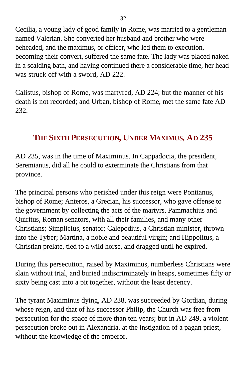Cecilia, a young lady of good family in Rome, was married to a gentleman named Valerian. She converted her husband and brother who were beheaded, and the maximus, or officer, who led them to execution, becoming their convert, suffered the same fate. The lady was placed naked in a scalding bath, and having continued there a considerable time, her head was struck off with a sword, AD 222.

Calistus, bishop of Rome, was martyred, AD 224; but the manner of his death is not recorded; and Urban, bishop of Rome, met the same fate AD 232.

## **THE SIXTH PERSECUTION, UNDER MAXIMUS, AD 235**

AD 235, was in the time of Maximinus. In Cappadocia, the president, Seremianus, did all he could to exterminate the Christians from that province.

The principal persons who perished under this reign were Pontianus, bishop of Rome; Anteros, a Grecian, his successor, who gave offense to the government by collecting the acts of the martyrs, Pammachius and Quiritus, Roman senators, with all their families, and many other Christians; Simplicius, senator; Calepodius, a Christian minister, thrown into the Tyber; Martina, a noble and beautiful virgin; and Hippolitus, a Christian prelate, tied to a wild horse, and dragged until he expired.

During this persecution, raised by Maximinus, numberless Christians were slain without trial, and buried indiscriminately in heaps, sometimes fifty or sixty being cast into a pit together, without the least decency.

The tyrant Maximinus dying, AD 238, was succeeded by Gordian, during whose reign, and that of his successor Philip, the Church was free from persecution for the space of more than ten years; but in AD 249, a violent persecution broke out in Alexandria, at the instigation of a pagan priest, without the knowledge of the emperor.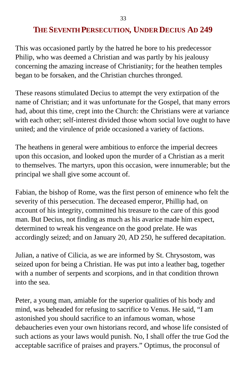## **THE SEVENTH PERSECUTION, UNDER DECIUS AD 249**

This was occasioned partly by the hatred he bore to his predecessor Philip, who was deemed a Christian and was partly by his jealousy concerning the amazing increase of Christianity; for the heathen temples began to be forsaken, and the Christian churches thronged.

These reasons stimulated Decius to attempt the very extirpation of the name of Christian; and it was unfortunate for the Gospel, that many errors had, about this time, crept into the Church: the Christians were at variance with each other; self-interest divided those whom social love ought to have united; and the virulence of pride occasioned a variety of factions.

The heathens in general were ambitious to enforce the imperial decrees upon this occasion, and looked upon the murder of a Christian as a merit to themselves. The martyrs, upon this occasion, were innumerable; but the principal we shall give some account of.

Fabian, the bishop of Rome, was the first person of eminence who felt the severity of this persecution. The deceased emperor, Phillip had, on account of his integrity, committed his treasure to the care of this good man. But Decius, not finding as much as his avarice made him expect, determined to wreak his vengeance on the good prelate. He was accordingly seized; and on January 20, AD 250, he suffered decapitation.

Julian, a native of Cilicia, as we are informed by St. Chrysostom, was seized upon for being a Christian. He was put into a leather bag, together with a number of serpents and scorpions, and in that condition thrown into the sea.

Peter, a young man, amiable for the superior qualities of his body and mind, was beheaded for refusing to sacrifice to Venus. He said, "I am astonished you should sacrifice to an infamous woman, whose debaucheries even your own historians record, and whose life consisted of such actions as your laws would punish. No, I shall offer the true God the acceptable sacrifice of praises and prayers." Optimus, the proconsul of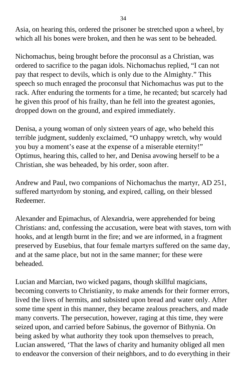Asia, on hearing this, ordered the prisoner be stretched upon a wheel, by which all his bones were broken, and then he was sent to be beheaded.

Nichomachus, being brought before the proconsul as a Christian, was ordered to sacrifice to the pagan idols. Nichomachus replied, "I can not pay that respect to devils, which is only due to the Almighty." This speech so much enraged the proconsul that Nichomachus was put to the rack. After enduring the torments for a time, he recanted; but scarcely had he given this proof of his frailty, than he fell into the greatest agonies, dropped down on the ground, and expired immediately.

Denisa, a young woman of only sixteen years of age, who beheld this terrible judgment, suddenly exclaimed, "O unhappy wretch, why would you buy a moment's ease at the expense of a miserable eternity!" Optimus, hearing this, called to her, and Denisa avowing herself to be a Christian, she was beheaded, by his order, soon after.

Andrew and Paul, two companions of Nichomachus the martyr, AD 251, suffered martyrdom by stoning, and expired, calling, on their blessed Redeemer.

Alexander and Epimachus, of Alexandria, were apprehended for being Christians: and, confessing the accusation, were beat with staves, torn with hooks, and at length burnt in the fire; and we are informed, in a fragment preserved by Eusebius, that four female martyrs suffered on the same day, and at the same place, but not in the same manner; for these were beheaded.

Lucian and Marcian, two wicked pagans, though skillful magicians, becoming converts to Christianity, to make amends for their former errors, lived the lives of hermits, and subsisted upon bread and water only. After some time spent in this manner, they became zealous preachers, and made many converts. The persecution, however, raging at this time, they were seized upon, and carried before Sabinus, the governor of Bithynia. On being asked by what authority they took upon themselves to preach, Lucian answered, 'That the laws of charity and humanity obliged all men to endeavor the conversion of their neighbors, and to do everything in their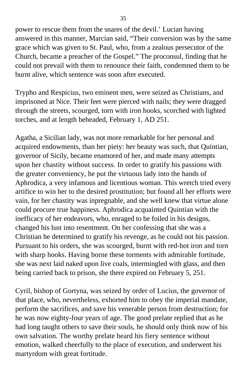power to rescue them from the snares of the devil.' Lucian having answered in this manner, Marcian said, "Their conversion was by the same grace which was given to St. Paul, who, from a zealous persecutor of the Church, became a preacher of the Gospel." The proconsul, finding that he could not prevail with them to renounce their faith, condemned them to be burnt alive, which sentence was soon after executed.

Trypho and Respicius, two eminent men, were seized as Christians, and imprisoned at Nice. Their feet were pierced with nails; they were dragged through the streets, scourged, torn with iron hooks, scorched with lighted torches, and at length beheaded, February 1, AD 251.

Agatha, a Sicilian lady, was not more remarkable for her personal and acquired endowments, than her piety: her beauty was such, that Quintian, governor of Sicily, became enamored of her, and made many attempts upon her chastity without success. In order to gratify his passions with the greater conveniency, he put the virtuous lady into the hands of Aphrodica, a very infamous and licentious woman. This wretch tried every artifice to win her to the desired prostitution; but found all her efforts were vain, for her chastity was inpregnable, and she well knew that virtue alone could procure true happiness. Aphrodica acquainted Quintian with the inefficacy of her endeavors, who, enraged to be foiled in his designs, changed his lust into resentment. On her confessing that she was a Christian he determined to gratify his revenge, as he could not his passion. Pursuant to his orders, she was scourged, burnt with red-hot iron and torn with sharp hooks. Having borne these torments with admirable fortitude, she was next laid naked upon live coals, intermingled with glass, and then being carried back to prison, she there expired on February 5, 251.

Cyril, bishop of Gortyna, was seized by order of Lucius, the governor of that place, who, nevertheless, exhorted him to obey the imperial mandate, perform the sacrifices, and save his venerable person from destruction; for he was now eighty-four years of age. The good prelate replied that as he had long taught others to save their souls, he should only think now of his own salvation. The worthy prelate heard his fiery sentence without emotion, walked cheerfully to the place of execution, and underwent his martyrdom with great fortitude.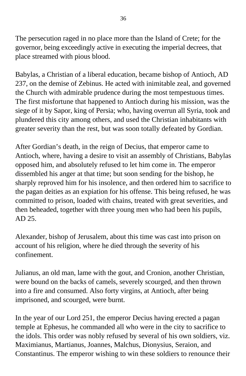The persecution raged in no place more than the Island of Crete; for the governor, being exceedingly active in executing the imperial decrees, that place streamed with pious blood.

Babylas, a Christian of a liberal education, became bishop of Antioch, AD 237, on the demise of Zebinus. He acted with inimitable zeal, and governed the Church with admirable prudence during the most tempestuous times. The first misfortune that happened to Antioch during his mission, was the siege of it by Sapor, king of Persia; who, having overrun all Syria, took and plundered this city among others, and used the Christian inhabitants with greater severity than the rest, but was soon totally defeated by Gordian.

After Gordian's death, in the reign of Decius, that emperor came to Antioch, where, having a desire to visit an assembly of Christians, Babylas opposed him, and absolutely refused to let him come in. The emperor dissembled his anger at that time; but soon sending for the bishop, he sharply reproved him for his insolence, and then ordered him to sacrifice to the pagan deities as an expiation for his offense. This being refused, he was committed to prison, loaded with chains, treated with great severities, and then beheaded, together with three young men who had been his pupils, AD 25.

Alexander, bishop of Jerusalem, about this time was cast into prison on account of his religion, where he died through the severity of his confinement.

Julianus, an old man, lame with the gout, and Cronion, another Christian, were bound on the backs of camels, severely scourged, and then thrown into a fire and consumed. Also forty virgins, at Antioch, after being imprisoned, and scourged, were burnt.

In the year of our Lord 251, the emperor Decius having erected a pagan temple at Ephesus, he commanded all who were in the city to sacrifice to the idols. This order was nobly refused by several of his own soldiers, viz. Maximianus, Martianus, Joannes, Malchus, Dionysius, Seraion, and Constantinus. The emperor wishing to win these soldiers to renounce their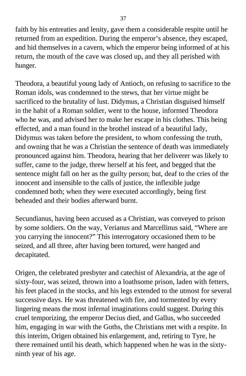faith by his entreaties and lenity, gave them a considerable respite until he returned from an expedition. During the emperor's absence, they escaped, and hid themselves in a cavern, which the emperor being informed of at his return, the mouth of the cave was closed up, and they all perished with hunger.

Theodora, a beautiful young lady of Antioch, on refusing to sacrifice to the Roman idols, was condemned to the stews, that her virtue might be sacrificed to the brutality of lust. Didymus, a Christian disguised himself in the habit of a Roman soldier, went to the house, informed Theodora who he was, and advised her to make her escape in his clothes. This being effected, and a man found in the brothel instead of a beautiful lady, Didymus was taken before the president, to whom confessing the truth, and owning that he was a Christian the sentence of death was immediately pronounced against him. Theodora, hearing that her deliverer was likely to suffer, came to the judge, threw herself at his feet, and begged that the sentence might fall on her as the guilty person; but, deaf to the cries of the innocent and insensible to the calls of justice, the inflexible judge condemned both; when they were executed accordingly, being first beheaded and their bodies afterward burnt.

Secundianus, having been accused as a Christian, was conveyed to prison by some soldiers. On the way, Verianus and Marcellinus said, "Where are you carrying the innocent?" This interrogatory occasioned them to be seized, and all three, after having been tortured, were hanged and decapitated.

Origen, the celebrated presbyter and catechist of Alexandria, at the age of sixty-four, was seized, thrown into a loathsome prison, laden with fetters, his feet placed in the stocks, and his legs extended to the utmost for several successive days. He was threatened with fire, and tormented by every lingering means the most infernal imaginations could suggest. During this cruel temporizing, the emperor Decius died, and Gallus, who succeeded him, engaging in war with the Goths, the Christians met with a respite. In this interim, Origen obtained his enlargement, and, retiring to Tyre, he there remained until his death, which happened when he was in the sixtyninth year of his age.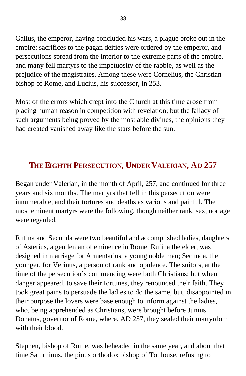Gallus, the emperor, having concluded his wars, a plague broke out in the empire: sacrifices to the pagan deities were ordered by the emperor, and persecutions spread from the interior to the extreme parts of the empire, and many fell martyrs to the impetuosity of the rabble, as well as the prejudice of the magistrates. Among these were Cornelius, the Christian bishop of Rome, and Lucius, his successor, in 253.

Most of the errors which crept into the Church at this time arose from placing human reason in competition with revelation; but the fallacy of such arguments being proved by the most able divines, the opinions they had created vanished away like the stars before the sun.

## **THE EIGHTH PERSECUTION, UNDER VALERIAN, AD 257**

Began under Valerian, in the month of April, 257, and continued for three years and six months. The martyrs that fell in this persecution were innumerable, and their tortures and deaths as various and painful. The most eminent martyrs were the following, though neither rank, sex, nor age were regarded.

Rufina and Secunda were two beautiful and accomplished ladies, daughters of Asterius, a gentleman of eminence in Rome. Rufina the elder, was designed in marriage for Armentarius, a young noble man; Secunda, the younger, for Verinus, a person of rank and opulence. The suitors, at the time of the persecution's commencing were both Christians; but when danger appeared, to save their fortunes, they renounced their faith. They took great pains to persuade the ladies to do the same, but, disappointed in their purpose the lovers were base enough to inform against the ladies, who, being apprehended as Christians, were brought before Junius Donatus, governor of Rome, where, AD 257, they sealed their martyrdom with their blood.

Stephen, bishop of Rome, was beheaded in the same year, and about that time Saturninus, the pious orthodox bishop of Toulouse, refusing to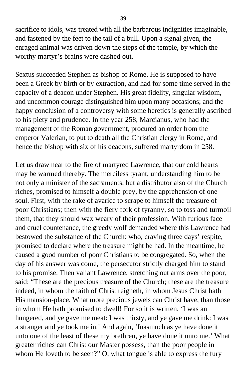sacrifice to idols, was treated with all the barbarous indignities imaginable, and fastened by the feet to the tail of a bull. Upon a signal given, the enraged animal was driven down the steps of the temple, by which the worthy martyr's brains were dashed out.

Sextus succeeded Stephen as bishop of Rome. He is supposed to have been a Greek by birth or by extraction, and had for some time served in the capacity of a deacon under Stephen. His great fidelity, singular wisdom, and uncommon courage distinguished him upon many occasions; and the happy conclusion of a controversy with some heretics is generally ascribed to his piety and prudence. In the year 258, Marcianus, who had the management of the Roman government, procured an order from the emperor Valerian, to put to death all the Christian clergy in Rome, and hence the bishop with six of his deacons, suffered martyrdom in 258.

Let us draw near to the fire of martyred Lawrence, that our cold hearts may be warmed thereby. The merciless tyrant, understanding him to be not only a minister of the sacraments, but a distributor also of the Church riches, promised to himself a double prey, by the apprehension of one soul. First, with the rake of avarice to scrape to himself the treasure of poor Christians; then with the fiery fork of tyranny, so to toss and turmoil them, that they should wax weary of their profession. With furious face and cruel countenance, the greedy wolf demanded where this Lawrence had bestowed the substance of the Church: who, craving three days' respite, promised to declare where the treasure might be had. In the meantime, he caused a good number of poor Christians to be congregated. So, when the day of his answer was come, the persecutor strictly charged him to stand to his promise. Then valiant Lawrence, stretching out arms over the poor, said: "These are the precious treasure of the Church; these are the treasure indeed, in whom the faith of Christ reigneth, in whom Jesus Christ hath His mansion-place. What more precious jewels can Christ have, than those in whom He hath promised to dwell! For so it is written, 'I was an hungered, and ye gave me meat: I was thirsty, and ye gave me drink: I was a stranger and ye took me in.' And again, 'Inasmuch as ye have done it unto one of the least of these my brethren, ye have done it unto me.' What greater riches can Christ our Master possess, than the poor people in whom He loveth to be seen?" O, what tongue is able to express the fury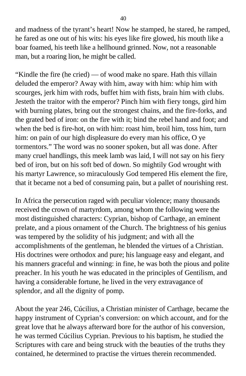and madness of the tyrant's heart! Now he stamped, he stared, he ramped, he fared as one out of his wits: his eyes like fire glowed, his mouth like a boar foamed, his teeth like a hellhound grinned. Now, not a reasonable man, but a roaring lion, he might be called.

"Kindle the fire (he cried) — of wood make no spare. Hath this villain deluded the emperor? Away with him, away with him: whip him with scourges, jerk him with rods, buffet him with fists, brain him with clubs. Jesteth the traitor with the emperor? Pinch him with fiery tongs, gird him with burning plates, bring out the strongest chains, and the fire-forks, and the grated bed of iron: on the fire with it; bind the rebel hand and foot; and when the bed is fire-hot, on with him: roast him, broil him, toss him, turn him: on pain of our high displeasure do every man his office, O ye tormentors." The word was no sooner spoken, but all was done. After many cruel handlings, this meek lamb was laid, I will not say on his fiery bed of iron, but on his soft bed of down. So mightily God wrought with his martyr Lawrence, so miraculously God tempered His element the fire, that it became not a bed of consuming pain, but a pallet of nourishing rest.

In Africa the persecution raged with peculiar violence; many thousands received the crown of martyrdom, among whom the following were the most distinguished characters: Cyprian, bishop of Carthage, an eminent prelate, and a pious ornament of the Church. The brightness of his genius was tempered by the solidity of his judgment; and with all the accomplishments of the gentleman, he blended the virtues of a Christian. His doctrines were orthodox and pure; his language easy and elegant, and his manners graceful and winning: in fine, he was both the pious and polite preacher. In his youth he was educated in the principles of Gentilism, and having a considerable fortune, he lived in the very extravagance of splendor, and all the dignity of pomp.

About the year 246, Cúcilius, a Christian minister of Carthage, became the happy instrument of Cyprian's conversion: on which account, and for the great love that he always afterward bore for the author of his conversion, he was termed Cúcilius Cyprian. Previous to his baptism, he studied the Scriptures with care and being struck with the beauties of the truths they contained, he determined to practise the virtues therein recommended.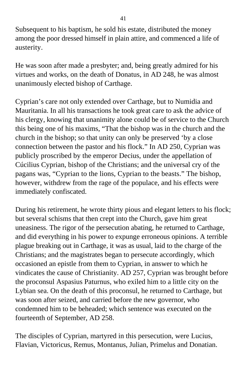Subsequent to his baptism, he sold his estate, distributed the money among the poor dressed himself in plain attire, and commenced a life of austerity.

He was soon after made a presbyter; and, being greatly admired for his virtues and works, on the death of Donatus, in AD 248, he was almost unanimously elected bishop of Carthage.

Cyprian's care not only extended over Carthage, but to Numidia and Mauritania. In all his transactions he took great care to ask the advice of his clergy, knowing that unanimity alone could be of service to the Church this being one of his maxims, "That the bishop was in the church and the church in the bishop; so that unity can only be preserved 'by a close connection between the pastor and his flock." In AD 250, Cyprian was publicly proscribed by the emperor Decius, under the appellation of Cúcilius Cyprian, bishop of the Christians; and the universal cry of the pagans was, "Cyprian to the lions, Cyprian to the beasts." The bishop, however, withdrew from the rage of the populace, and his effects were immediately confiscated.

During his retirement, he wrote thirty pious and elegant letters to his flock; but several schisms that then crept into the Church, gave him great uneasiness. The rigor of the persecution abating, he returned to Carthage, and did everything in his power to expunge erroneous opinions. A terrible plague breaking out in Carthage, it was as usual, laid to the charge of the Christians; and the magistrates began to persecute accordingly, which occasioned an epistle from them to Cyprian, in answer to which he vindicates the cause of Christianity. AD 257, Cyprian was brought before the proconsul Aspasius Paturnus, who exiled him to a little city on the Lybian sea. On the death of this proconsul, he returned to Carthage, but was soon after seized, and carried before the new governor, who condemned him to be beheaded; which sentence was executed on the fourteenth of September, AD 258.

The disciples of Cyprian, martyred in this persecution, were Lucius, Flavian, Victoricus, Remus, Montanus, Julian, Primelus and Donatian.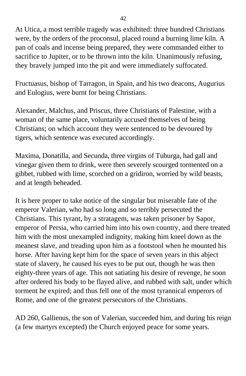At Utica, a most terrible tragedy was exhibited: three hundred Christians were, by the orders of the proconsul, placed round a burning lime kiln. A pan of coals and incense being prepared, they were commanded either to sacrifice to Jupiter, or to be thrown into the kiln. Unanimously refusing, they bravely jumped into the pit and were immediately suffocated.

Fructuasus, bishop of Tarragon, in Spain, and his two deacons, Augurius and Eulogius, were burnt for being Christians.

Alexander, Malchus, and Priscus, three Christians of Palestine, with a woman of the same place, voluntarily accused themselves of being Christians; on which account they were sentenced to be devoured by tigers, which sentence was executed accordingly.

Maxima, Donatilla, and Secunda, three virgins of Tuburga, had gall and vinegar given them to drink, were then severely scourged tormented on a gibbet, rubbed with lime, scorched on a gridiron, worried by wild beasts, and at length beheaded.

It is here proper to take notice of the singular but miserable fate of the emperor Valerian, who had so long and so terribly persecuted the Christians. This tyrant, by a stratagem, was taken prisoner by Sapor, emperor of Persia, who carried him into his own country, and there treated him with the most unexampled indignity, making him kneel down as the meanest slave, and treading upon him as a footstool when he mounted his horse. After having kept him for the space of seven years in this abject state of slavery, he caused his eyes to be put out, though he was then eighty-three years of age. This not satiating his desire of revenge, he soon after ordered his body to be flayed alive, and rubbed with salt, under which torment he expired; and thus fell one of the most tyrannical emperors of Rome, and one of the greatest persecutors of the Christians.

AD 260, Gallienus, the son of Valerian, succeeded him, and during his reign (a few martyrs excepted) the Church enjoyed peace for some years.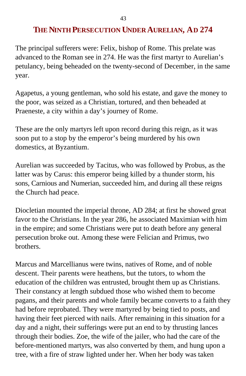## **THE NINTH PERSECUTION UNDER AURELIAN, AD 274**

The principal sufferers were: Felix, bishop of Rome. This prelate was advanced to the Roman see in 274. He was the first martyr to Aurelian's petulancy, being beheaded on the twenty-second of December, in the same year.

Agapetus, a young gentleman, who sold his estate, and gave the money to the poor, was seized as a Christian, tortured, and then beheaded at Praeneste, a city within a day's journey of Rome.

These are the only martyrs left upon record during this reign, as it was soon put to a stop by the emperor's being murdered by his own domestics, at Byzantium.

Aurelian was succeeded by Tacitus, who was followed by Probus, as the latter was by Carus: this emperor being killed by a thunder storm, his sons, Carnious and Numerian, succeeded him, and during all these reigns the Church had peace.

Diocletian mounted the imperial throne, AD 284; at first he showed great favor to the Christians. In the year 286, he associated Maximian with him in the empire; and some Christians were put to death before any general persecution broke out. Among these were Felician and Primus, two brothers.

Marcus and Marcellianus were twins, natives of Rome, and of noble descent. Their parents were heathens, but the tutors, to whom the education of the children was entrusted, brought them up as Christians. Their constancy at length subdued those who wished them to become pagans, and their parents and whole family became converts to a faith they had before reprobated. They were martyred by being tied to posts, and having their feet pierced with nails. After remaining in this situation for a day and a night, their sufferings were put an end to by thrusting lances through their bodies. Zoe, the wife of the jailer, who had the care of the before-mentioned martyrs, was also converted by them, and hung upon a tree, with a fire of straw lighted under her. When her body was taken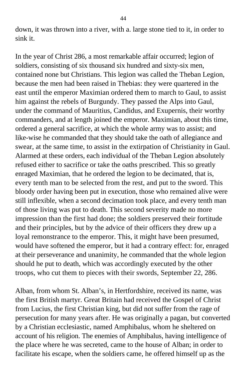down, it was thrown into a river, with a. large stone tied to it, in order to sink it.

In the year of Christ 286, a most remarkable affair occurred; legion of soldiers, consisting of six thousand six hundred and sixty-six men, contained none but Christians. This legion was called the Theban Legion, because the men had been raised in Thebias: they were quartered in the east until the emperor Maximian ordered them to march to Gaul, to assist him against the rebels of Burgundy. They passed the Alps into Gaul, under the command of Mauritius, Candidus, and Exupernis, their worthy commanders, and at length joined the emperor. Maximian, about this time, ordered a general sacrifice, at which the whole army was to assist; and like-wise he commanded that they should take the oath of allegiance and swear, at the same time, to assist in the extirpation of Christianity in Gaul. Alarmed at these orders, each individual of the Theban Legion absolutely refused either to sacrifice or take the oaths prescribed. This so greatly enraged Maximian, that he ordered the legion to be decimated, that is, every tenth man to be selected from the rest, and put to the sword. This bloody order having been put in execution, those who remained alive were still inflexible, when a second decimation took place, and every tenth man of those living was put to death. This second severity made no more impression than the first had done; the soldiers preserved their fortitude and their principles, but by the advice of their officers they drew up a loyal remonstrance to the emperor. This, it might have been presumed, would have softened the emperor, but it had a contrary effect: for, enraged at their perseverance and unanimity, he commanded that the whole legion should he put to death, which was accordingly executed by the other troops, who cut them to pieces with their swords, September 22, 286.

Alban, from whom St. Alban's, in Hertfordshire, received its name, was the first British martyr. Great Britain had received the Gospel of Christ from Lucius, the first Christian king, but did not suffer from the rage of persecution for many years after. He was originally a pagan, but converted by a Christian ecclesiastic, named Amphibalus, whom he sheltered on account of his religion. The enemies of Amphibalus, having intelligence of the place where he was secreted, came to the house of Alban; in order to facilitate his escape, when the soldiers came, he offered himself up as the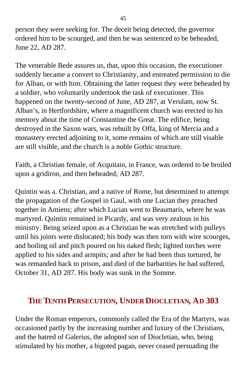person they were seeking for. The deceit being detected, the governor ordered him to be scourged, and then he was sentenced to be beheaded, June 22, AD 287.

The venerable Bede assures us, that, upon this occasion, the executioner suddenly became a convert to Christianity, and entreated permission to die for Alban, or with him. Obtaining the latter request they were beheaded by a soldier, who voluntarily undertook the task of executioner. This happened on the twenty-second of June, AD 287, at Verulam, now St. Alban's, in Hertfordshire, where a magnificent church was erected to his memory about the time of Constantine the Great. The edifice, being destroyed in the Saxon wars, was rebuilt by Offa, king of Mercia and a monastery erected adjoining to it, some remains of which are still visable are still visible, and the church is a noble Gothic structure.

Faith, a Christian female, of Acquitain, in France, was ordered to be broiled upon a gridiron, and then beheaded; AD 287.

Quintin was a. Christian, and a native of Rome, but determined to attempt the propagation of the Gospel in Gaul, with one Lucian they preached together in Amiens; after which Lucian went to Beaumaris, where he was martyred. Quintin remained in Picardy, and was very zealous in his ministry. Being seized upon as a Christian he was stretched with pulleys until his joints were dislocated; his body was then torn with wire scourges, and boiling oil and pitch poured on his naked flesh; lighted torches were applied to his sides and armpits; and after he had been thus tortured, he was remanded back to prison, and died of the barbarities he had suffered, October 31, AD 287. His body was sunk in the Somme.

#### **THE TENTH PERSECUTION, UNDER DIOCLETIAN, AD 303**

Under the Roman emperors, commonly called the Era of the Martyrs, was occasioned partly by the increasing number and luxury of the Christians, and the hatred of Galerius, the adopted son of Diocletian, who, being stimulated by his mother, a bigoted pagan, never ceased persuading the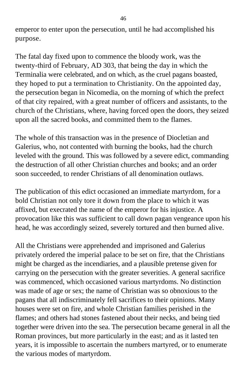emperor to enter upon the persecution, until he had accomplished his purpose.

The fatal day fixed upon to commence the bloody work, was the twenty-third of February, AD 303, that being the day in which the Terminalia were celebrated, and on which, as the cruel pagans boasted, they hoped to put a termination to Christianity. On the appointed day, the persecution began in Nicomedia, on the morning of which the prefect of that city repaired, with a great number of officers and assistants, to the church of the Christians, where, having forced open the doors, they seized upon all the sacred books, and committed them to the flames.

The whole of this transaction was in the presence of Diocletian and Galerius, who, not contented with burning the books, had the church leveled with the ground. This was followed by a severe edict, commanding the destruction of all other Christian churches and books; and an order soon succeeded, to render Christians of all denomination outlaws.

The publication of this edict occasioned an immediate martyrdom, for a bold Christian not only tore it down from the place to which it was affixed, but execrated the name of the emperor for his injustice. A provocation like this was sufficient to call down pagan vengeance upon his head, he was accordingly seized, severely tortured and then burned alive.

All the Christians were apprehended and imprisoned and Galerius privately ordered the imperial palace to be set on fire, that the Christians might be charged as the incendiaries, and a plausible pretense given for carrying on the persecution with the greater severities. A general sacrifice was commenced, which occasioned various martyrdoms. No distinction was made of age or sex; the name of Christian was so obnoxious to the pagans that all indiscriminately fell sacrifices to their opinions. Many houses were set on fire, and whole Christian families perished in the flames; and others had stones fastened about their necks, and being tied together were driven into the sea. The persecution became general in all the Roman provinces, but more particularly in the east; and as it lasted ten years, it is impossible to ascertain the numbers martyred, or to enumerate the various modes of martyrdom.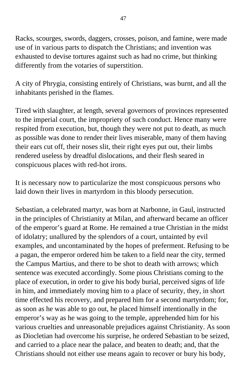Racks, scourges, swords, daggers, crosses, poison, and famine, were made use of in various parts to dispatch the Christians; and invention was exhausted to devise tortures against such as had no crime, but thinking differently from the votaries of superstition.

A city of Phrygia, consisting entirely of Christians, was burnt, and all the inhabitants perished in the flames.

Tired with slaughter, at length, several governors of provinces represented to the imperial court, the impropriety of such conduct. Hence many were respited from execution, but, though they were not put to death, as much as possible was done to render their lives miserable, many of them having their ears cut off, their noses slit, their right eyes put out, their limbs rendered useless by dreadful dislocations, and their flesh seared in conspicuous places with red-hot irons.

It is necessary now to particularize the most conspicuous persons who laid down their lives in martyrdom in this bloody persecution.

Sebastian, a celebrated martyr, was born at Narbonne, in Gaul, instructed in the principles of Christianity at Milan, and afterward became an officer of the emperor's guard at Rome. He remained a true Christian in the midst of idolatry; unallured by the splendors of a court, untainted by evil examples, and uncontaminated by the hopes of preferment. Refusing to be a pagan, the emperor ordered him be taken to a field near the city, termed the Campus Martius, and there to be shot to death with arrows; which sentence was executed accordingly. Some pious Christians coming to the place of execution, in order to give his body burial, perceived signs of life in him, and immediately moving him to a place of security, they, in short time effected his recovery, and prepared him for a second martyrdom; for, as soon as he was able to go out, he placed himself intentionally in the emperor's way as he was going to the temple, apprehended him for his various cruelties and unreasonable prejudices against Christianity. As soon as Diocletian had overcome his surprise, he ordered Sebastian to be seized, and carried to a place near the palace, and beaten to death; and, that the Christians should not either use means again to recover or bury his body,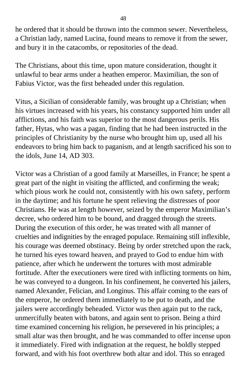he ordered that it should be thrown into the common sewer. Nevertheless, a Christian lady, named Lucina, found means to remove it from the sewer, and bury it in the catacombs, or repositories of the dead.

The Christians, about this time, upon mature consideration, thought it unlawful to bear arms under a heathen emperor. Maximilian, the son of Fabius Victor, was the first beheaded under this regulation.

Vitus, a Sicilian of considerable family, was brought up a Christian; when his virtues increased with his years, his constancy supported him under all afflictions, and his faith was superior to the most dangerous perils. His father, Hytas, who was a pagan, finding that he had been instructed in the principles of Christianity by the nurse who brought him up, used all his endeavors to bring him back to paganism, and at length sacrificed his son to the idols, June 14, AD 303.

Victor was a Christian of a good family at Marseilles, in France; he spent a great part of the night in visiting the afflicted, and confirming the weak; which pious work he could not, consistently with his own safety, perform in the daytime; and his fortune he spent relieving the distresses of poor Christians. He was at length however, seized by the emperor Maximilian's decree, who ordered him to be bound, and dragged through the streets. During the execution of this order, he was treated with all manner of cruelties and indignities by the enraged populace. Remaining still inflexible, his courage was deemed obstinacy. Being by order stretched upon the rack, he turned his eyes toward heaven, and prayed to God to endue him with patience, after which he underwent the tortures with most admirable fortitude. After the executioners were tired with inflicting torments on him, he was conveyed to a dungeon. In his confinement, he converted his jailers, named Alexander, Felician, and Longinus. This affair coming to the ears of the emperor, he ordered them immediately to be put to death, and the jailers were accordingly beheaded. Victor was then again put to the rack, unmercifully beaten with batons, and again sent to prison. Being a third time examined concerning his religion, he persevered in his principles; a small altar was then brought, and he was commanded to offer incense upon it immediately. Fired with indignation at the request, he boldly stepped forward, and with his foot overthrew both altar and idol. This so enraged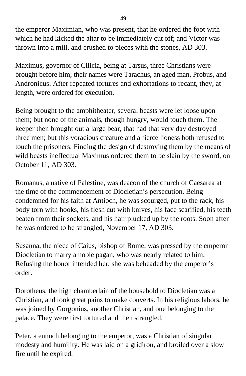the emperor Maximian, who was present, that he ordered the foot with which he had kicked the altar to be immediately cut off; and Victor was thrown into a mill, and crushed to pieces with the stones, AD 303.

Maximus, governor of Cilicia, being at Tarsus, three Christians were brought before him; their names were Tarachus, an aged man, Probus, and Andronicus. After repeated tortures and exhortations to recant, they, at length, were ordered for execution.

Being brought to the amphitheater, several beasts were let loose upon them; but none of the animals, though hungry, would touch them. The keeper then brought out a large bear, that had that very day destroyed three men; but this voracious creature and a fierce lioness both refused to touch the prisoners. Finding the design of destroying them by the means of wild beasts ineffectual Maximus ordered them to be slain by the sword, on October 11, AD 303.

Romanus, a native of Palestine, was deacon of the church of Caesarea at the time of the commencement of Diocletian's persecution. Being condemned for his faith at Antioch, he was scourged, put to the rack, his body torn with hooks, his flesh cut with knives, his face scarified, his teeth beaten from their sockets, and his hair plucked up by the roots. Soon after he was ordered to be strangled, November 17, AD 303.

Susanna, the niece of Caius, bishop of Rome, was pressed by the emperor Diocletian to marry a noble pagan, who was nearly related to him. Refusing the honor intended her, she was beheaded by the emperor's order.

Dorotheus, the high chamberlain of the household to Diocletian was a Christian, and took great pains to make converts. In his religious labors, he was joined by Gorgonius, another Christian, and one belonging to the palace. They were first tortured and then strangled.

Peter, a eunuch belonging to the emperor, was a Christian of singular modesty and humility. He was laid on a gridiron, and broiled over a slow fire until he expired.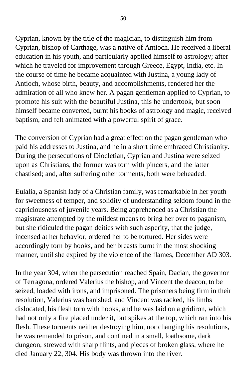Cyprian, known by the title of the magician, to distinguish him from Cyprian, bishop of Carthage, was a native of Antioch. He received a liberal education in his youth, and particularly applied himself to astrology; after which he traveled for improvement through Greece, Egypt, India, etc. In the course of time he became acquainted with Justina, a young lady of Antioch, whose birth, beauty, and accomplishments, rendered her the admiration of all who knew her. A pagan gentleman applied to Cyprian, to promote his suit with the beautiful Justina, this he undertook, but soon himself became converted, burnt his books of astrology and magic, received baptism, and felt animated with a powerful spirit of grace.

The conversion of Cyprian had a great effect on the pagan gentleman who paid his addresses to Justina, and he in a short time embraced Christianity. During the persecutions of Diocletian, Cyprian and Justina were seized upon as Christians, the former was torn with pincers, and the latter chastised; and, after suffering other torments, both were beheaded.

Eulalia, a Spanish lady of a Christian family, was remarkable in her youth for sweetness of temper, and solidity of understanding seldom found in the capriciousness of juvenile years. Being apprehended as a Christian the magistrate attempted by the mildest means to bring her over to paganism, but she ridiculed the pagan deities with such asperity, that the judge, incensed at her behavior, ordered her to be tortured. Her sides were accordingly torn by hooks, and her breasts burnt in the most shocking manner, until she expired by the violence of the flames, December AD 303.

In the year 304, when the persecution reached Spain, Dacian, the governor of Terragona, ordered Valerius the bishop, and Vincent the deacon, to be seized, loaded with irons, and imprisoned. The prisoners being firm in their resolution, Valerius was banished, and Vincent was racked, his limbs dislocated, his flesh torn with hooks, and he was laid on a gridiron, which had not only a fire placed under it, but spikes at the top, which ran into his flesh. These torments neither destroying him, nor changing his resolutions, he was remanded to prison, and confined in a small, loathsome, dark dungeon, strewed with sharp flints, and pieces of broken glass, where he died January 22, 304. His body was thrown into the river.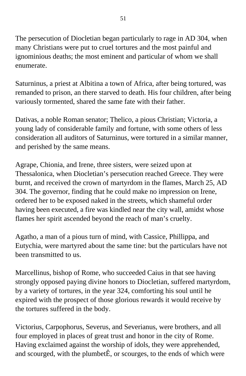The persecution of Diocletian began particularly to rage in AD 304, when many Christians were put to cruel tortures and the most painful and ignominious deaths; the most eminent and particular of whom we shall enumerate.

Saturninus, a priest at Albitina a town of Africa, after being tortured, was remanded to prison, an there starved to death. His four children, after being variously tormented, shared the same fate with their father.

Dativas, a noble Roman senator; Thelico, a pious Christian; Victoria, a young lady of considerable family and fortune, with some others of less consideration all auditors of Saturninus, were tortured in a similar manner, and perished by the same means.

Agrape, Chionia, and Irene, three sisters, were seized upon at Thessalonica, when Diocletian's persecution reached Greece. They were burnt, and received the crown of martyrdom in the flames, March 25, AD 304. The governor, finding that he could make no impression on Irene, ordered her to be exposed naked in the streets, which shameful order having been executed, a fire was kindled near the city wall, amidst whose flames her spirit ascended beyond the reach of man's cruelty.

Agatho, a man of a pious turn of mind, with Cassice, Phillippa, and Eutychia, were martyred about the same tine: but the particulars have not been transmitted to us.

Marcellinus, bishop of Rome, who succeeded Caius in that see having strongly opposed paying divine honors to Diocletian, suffered martyrdom, by a variety of tortures, in the year 324, comforting his soul until he expired with the prospect of those glorious rewards it would receive by the tortures suffered in the body.

Victorius, Carpophorus, Severus, and Severianus, were brothers, and all four employed in places of great trust and honor in the city of Rome. Having exclaimed against the worship of idols, they were apprehended, and scourged, with the plumbet $\hat{E}$ , or scourges, to the ends of which were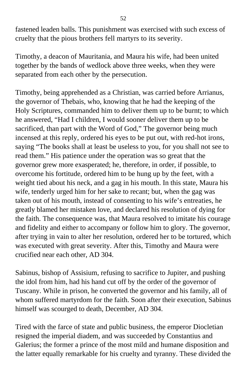fastened leaden balls. This punishment was exercised with such excess of cruelty that the pious brothers fell martyrs to its severity.

Timothy, a deacon of Mauritania, and Maura his wife, had been united together by the bands of wedlock above three weeks, when they were separated from each other by the persecution.

Timothy, being apprehended as a Christian, was carried before Arrianus, the governor of Thebais, who, knowing that he had the keeping of the Holy Scriptures, commanded him to deliver them up to be burnt; to which he answered, "Had I children, I would sooner deliver them up to be sacrificed, than part with the Word of God," The governor being much incensed at this reply, ordered his eyes to be put out, with red-hot irons, saying "The books shall at least be useless to you, for you shall not see to read them." His patience under the operation was so great that the governor grew more exasperated; he, therefore, in order, if possible, to overcome his fortitude, ordered him to be hung up by the feet, with a weight tied about his neck, and a gag in his mouth. In this state, Maura his wife, tenderly urged him for her sake to recant; but, when the gag was taken out of his mouth, instead of consenting to his wife's entreaties, he greatly blamed her mistaken love, and declared his resolution of dying for the faith. The consequence was, that Maura resolved to imitate his courage and fidelity and either to accompany or follow him to glory. The governor, after trying in vain to alter her resolution, ordered her to be tortured, which was executed with great severity. After this, Timothy and Maura were crucified near each other, AD 304.

Sabinus, bishop of Assisium, refusing to sacrifice to Jupiter, and pushing the idol from him, had his hand cut off by the order of the governor of Tuscany. While in prison, he converted the governor and his family, all of whom suffered martyrdom for the faith. Soon after their execution, Sabinus himself was scourged to death, December, AD 304.

Tired with the farce of state and public business, the emperor Diocletian resigned the imperial diadem, and was succeeded by Constantius and Galerius; the former a prince of the most mild and humane disposition and the latter equally remarkable for his cruelty and tyranny. These divided the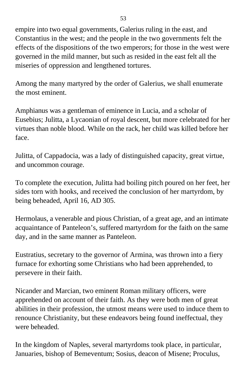empire into two equal governments, Galerius ruling in the east, and Constantius in the west; and the people in the two governments felt the effects of the dispositions of the two emperors; for those in the west were governed in the mild manner, but such as resided in the east felt all the miseries of oppression and lengthened tortures.

Among the many martyred by the order of Galerius, we shall enumerate the most eminent.

Amphianus was a gentleman of eminence in Lucia, and a scholar of Eusebius; Julitta, a Lycaonian of royal descent, but more celebrated for her virtues than noble blood. While on the rack, her child was killed before her face.

Julitta, of Cappadocia, was a lady of distinguished capacity, great virtue, and uncommon courage.

To complete the execution, Julitta had boiling pitch poured on her feet, her sides torn with hooks, and received the conclusion of her martyrdom, by being beheaded, April 16, AD 305.

Hermolaus, a venerable and pious Christian, of a great age, and an intimate acquaintance of Panteleon's, suffered martyrdom for the faith on the same day, and in the same manner as Panteleon.

Eustratius, secretary to the governor of Armina, was thrown into a fiery furnace for exhorting some Christians who had been apprehended, to persevere in their faith.

Nicander and Marcian, two eminent Roman military officers, were apprehended on account of their faith. As they were both men of great abilities in their profession, the utmost means were used to induce them to renounce Christianity, but these endeavors being found ineffectual, they were beheaded.

In the kingdom of Naples, several martyrdoms took place, in particular, Januaries, bishop of Bemeventum; Sosius, deacon of Misene; Proculus,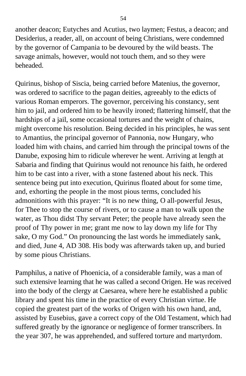another deacon; Eutyches and Acutius, two laymen; Festus, a deacon; and Desiderius, a reader, all, on account of being Christians, were condemned by the governor of Campania to be devoured by the wild beasts. The savage animals, however, would not touch them, and so they were beheaded.

Quirinus, bishop of Siscia, being carried before Matenius, the governor, was ordered to sacrifice to the pagan deities, agreeably to the edicts of various Roman emperors. The governor, perceiving his constancy, sent him to jail, and ordered him to be heavily ironed; flattering himself, that the hardships of a jail, some occasional tortures and the weight of chains, might overcome his resolution. Being decided in his principles, he was sent to Amantius, the principal governor of Pannonia, now Hungary, who loaded him with chains, and carried him through the principal towns of the Danube, exposing him to ridicule wherever he went. Arriving at length at Sabaria and finding that Quirinus would not renounce his faith, he ordered him to be cast into a river, with a stone fastened about his neck. This sentence being put into execution, Quirinus floated about for some time, and, exhorting the people in the most pious terms, concluded his admonitions with this prayer: "It is no new thing, O all-powerful Jesus, for Thee to stop the course of rivers, or to cause a man to walk upon the water, as Thou didst Thy servant Peter; the people have already seen the proof of Thy power in me; grant me now to lay down my life for Thy sake, O my God." On pronouncing the last words he immediately sank, and died, June 4, AD 308. His body was afterwards taken up, and buried by some pious Christians.

Pamphilus, a native of Phoenicia, of a considerable family, was a man of such extensive learning that he was called a second Origen. He was received into the body of the clergy at Caesarea, where here he established a public library and spent his time in the practice of every Christian virtue. He copied the greatest part of the works of Origen with his own hand, and, assisted by Eusebius, gave a correct copy of the Old Testament, which had suffered greatly by the ignorance or negligence of former transcribers. In the year 307, he was apprehended, and suffered torture and martyrdom.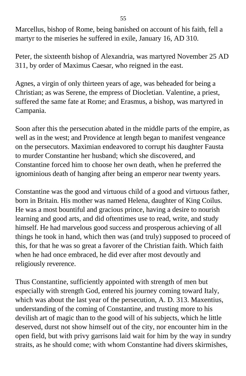Marcellus, bishop of Rome, being banished on account of his faith, fell a martyr to the miseries he suffered in exile, January 16, AD 310.

Peter, the sixteenth bishop of Alexandria, was martyred November 25 AD 311, by order of Maximus Caesar, who reigned in the east.

Agnes, a virgin of only thirteen years of age, was beheaded for being a Christian; as was Serene, the empress of Diocletian. Valentine, a priest, suffered the same fate at Rome; and Erasmus, a bishop, was martyred in Campania.

Soon after this the persecution abated in the middle parts of the empire, as well as in the west; and Providence at length began to manifest vengeance on the persecutors. Maximian endeavored to corrupt his daughter Fausta to murder Constantine her husband; which she discovered, and Constantine forced him to choose her own death, when he preferred the ignominious death of hanging after being an emperor near twenty years.

Constantine was the good and virtuous child of a good and virtuous father, born in Britain. His mother was named Helena, daughter of King Coilus. He was a most bountiful and gracious prince, having a desire to nourish learning and good arts, and did oftentimes use to read, write, and study himself. He had marvelous good success and prosperous achieving of all things he took in hand, which then was (and truly) supposed to proceed of this, for that he was so great a favorer of the Christian faith. Which faith when he had once embraced, he did ever after most devoutly and religiously reverence.

Thus Constantine, sufficiently appointed with strength of men but especially with strength God, entered his journey coming toward Italy, which was about the last year of the persecution, A. D. 313. Maxentius, understanding of the coming of Constantine, and trusting more to his devilish art of magic than to the good will of his subjects, which he little deserved, durst not show himself out of the city, nor encounter him in the open field, but with privy garrisons laid wait for him by the way in sundry straits, as he should come; with whom Constantine had divers skirmishes,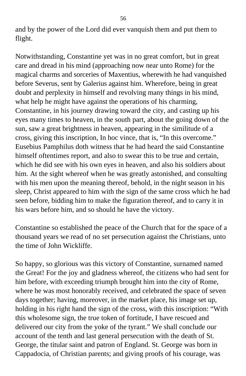and by the power of the Lord did ever vanquish them and put them to flight.

Notwithstanding, Constantine yet was in no great comfort, but in great care and dread in his mind (approaching now near unto Rome) for the magical charms and sorceries of Maxentius, wherewith he had vanquished before Severus, sent by Galerius against him. Wherefore, being in great doubt and perplexity in himself and revolving many things in his mind, what help he might have against the operations of his charming, Constantine, in his journey drawing toward the city, and casting up his eyes many times to heaven, in the south part, about the going down of the sun, saw a great brightness in heaven, appearing in the similitude of a cross, giving this inscription, In hoc vince, that is, "In this overcome." Eusebius Pamphilus doth witness that he had heard the said Constantine himself oftentimes report, and also to swear this to be true and certain, which he did see with his own eyes in heaven, and also his soldiers about him. At the sight whereof when he was greatly astonished, and consulting with his men upon the meaning thereof, behold, in the night season in his sleep, Christ appeared to him with the sign of the same cross which he had seen before, bidding him to make the figuration thereof, and to carry it in his wars before him, and so should he have the victory.

Constantine so established the peace of the Church that for the space of a thousand years we read of no set persecution against the Christians, unto the time of John Wickliffe.

So happy, so glorious was this victory of Constantine, surnamed named the Great! For the joy and gladness whereof, the citizens who had sent for him before, with exceeding triumph brought him into the city of Rome, where he was most honorably received, and celebrated the space of seven days together; having, moreover, in the market place, his image set up, holding in his right hand the sign of the cross, with this inscription: "With this wholesome sign, the true token of fortitude, I have rescued and delivered our city from the yoke of the tyrant." We shall conclude our account of the tenth and last general persecution with the death of St. George, the titular saint and patron of England. St. George was born in Cappadocia, of Christian parents; and giving proofs of his courage, was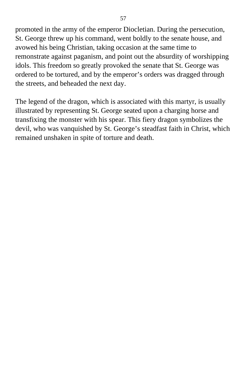promoted in the army of the emperor Diocletian. During the persecution, St. George threw up his command, went boldly to the senate house, and avowed his being Christian, taking occasion at the same time to remonstrate against paganism, and point out the absurdity of worshipping idols. This freedom so greatly provoked the senate that St. George was ordered to be tortured, and by the emperor's orders was dragged through the streets, and beheaded the next day.

The legend of the dragon, which is associated with this martyr, is usually illustrated by representing St. George seated upon a charging horse and transfixing the monster with his spear. This fiery dragon symbolizes the devil, who was vanquished by St. George's steadfast faith in Christ, which remained unshaken in spite of torture and death.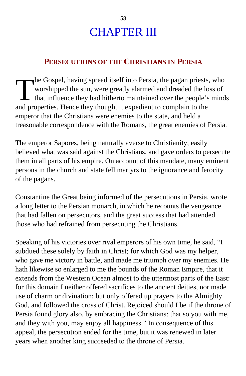# CHAPTER III

#### **PERSECUTIONS OF THE CHRISTIANS IN PERSIA**

he Gospel, having spread itself into Persia, the pagan priests, who worshipped the sun, were greatly alarmed and dreaded the loss of that influence they had hitherto maintained over the people's minds and properties. Hence they thought it expedient to complain to the emperor that the Christians were enemies to the state, and held a treasonable correspondence with the Romans, the great enemies of Persia. T

The emperor Sapores, being naturally averse to Christianity, easily believed what was said against the Christians, and gave orders to persecute them in all parts of his empire. On account of this mandate, many eminent persons in the church and state fell martyrs to the ignorance and ferocity of the pagans.

Constantine the Great being informed of the persecutions in Persia, wrote a long letter to the Persian monarch, in which he recounts the vengeance that had fallen on persecutors, and the great success that had attended those who had refrained from persecuting the Christians.

Speaking of his victories over rival emperors of his own time, he said, "I subdued these solely by faith in Christ; for which God was my helper, who gave me victory in battle, and made me triumph over my enemies. He hath likewise so enlarged to me the bounds of the Roman Empire, that it extends from the Western Ocean almost to the uttermost parts of the East: for this domain I neither offered sacrifices to the ancient deities, nor made use of charm or divination; but only offered up prayers to the Almighty God, and followed the cross of Christ. Rejoiced should I be if the throne of Persia found glory also, by embracing the Christians: that so you with me, and they with you, may enjoy all happiness." In consequence of this appeal, the persecution ended for the time, but it was renewed in later years when another king succeeded to the throne of Persia.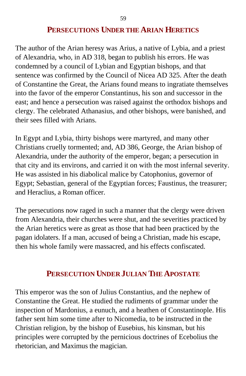#### **PERSECUTIONS UNDER THE ARIAN HERETICS**

The author of the Arian heresy was Arius, a native of Lybia, and a priest of Alexandria, who, in AD 318, began to publish his errors. He was condemned by a council of Lybian and Egyptian bishops, and that sentence was confirmed by the Council of Nicea AD 325. After the death of Constantine the Great, the Arians found means to ingratiate themselves into the favor of the emperor Constantinus, his son and successor in the east; and hence a persecution was raised against the orthodox bishops and clergy. The celebrated Athanasius, and other bishops, were banished, and their sees filled with Arians.

In Egypt and Lybia, thirty bishops were martyred, and many other Christians cruelly tormented; and, AD 386, George, the Arian bishop of Alexandria, under the authority of the emperor, began; a persecution in that city and its environs, and carried it on with the most infernal severity. He was assisted in his diabolical malice by Catophonius, governor of Egypt; Sebastian, general of the Egyptian forces; Faustinus, the treasurer; and Heraclius, a Roman officer.

The persecutions now raged in such a manner that the clergy were driven from Alexandria, their churches were shut, and the severities practiced by the Arian heretics were as great as those that had been practiced by the pagan idolaters. If a man, accused of being a Christian, made his escape, then his whole family were massacred, and his effects confiscated.

#### **PERSECUTION UNDER JULIAN THE APOSTATE**

This emperor was the son of Julius Constantius, and the nephew of Constantine the Great. He studied the rudiments of grammar under the inspection of Mardonius, a eunuch, and a heathen of Constantinople. His father sent him some time after to Nicomedia, to be instructed in the Christian religion, by the bishop of Eusebius, his kinsman, but his principles were corrupted by the pernicious doctrines of Ecebolius the rhetorician, and Maximus the magician.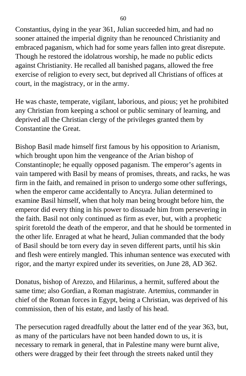Constantius, dying in the year 361, Julian succeeded him, and had no sooner attained the imperial dignity than he renounced Christianity and embraced paganism, which had for some years fallen into great disrepute. Though he restored the idolatrous worship, he made no public edicts against Christianity. He recalled all banished pagans, allowed the free exercise of religion to every sect, but deprived all Christians of offices at court, in the magistracy, or in the army.

He was chaste, temperate, vigilant, laborious, and pious; yet he prohibited any Christian from keeping a school or public seminary of learning, and deprived all the Christian clergy of the privileges granted them by Constantine the Great.

Bishop Basil made himself first famous by his opposition to Arianism, which brought upon him the vengeance of the Arian bishop of Constantinople; he equally opposed paganism. The emperor's agents in vain tampered with Basil by means of promises, threats, and racks, he was firm in the faith, and remained in prison to undergo some other sufferings, when the emperor came accidentally to Ancyra. Julian determined to examine Basil himself, when that holy man being brought before him, the emperor did every thing in his power to dissuade him from persevering in the faith. Basil not only continued as firm as ever, but, with a prophetic spirit foretold the death of the emperor, and that he should be tormented in the other life. Enraged at what he heard, Julian commanded that the body of Basil should be torn every day in seven different parts, until his skin and flesh were entirely mangled. This inhuman sentence was executed with rigor, and the martyr expired under its severities, on June 28, AD 362.

Donatus, bishop of Arezzo, and Hilarinus, a hermit, suffered about the same time; also Gordian, a Roman magistrate. Artemius, commander in chief of the Roman forces in Egypt, being a Christian, was deprived of his commission, then of his estate, and lastly of his head.

The persecution raged dreadfully about the latter end of the year 363, but, as many of the particulars have not been handed down to us, it is necessary to remark in general, that in Palestine many were burnt alive, others were dragged by their feet through the streets naked until they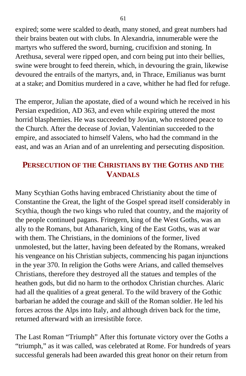expired; some were scalded to death, many stoned, and great numbers had their brains beaten out with clubs. In Alexandria, innumerable were the martyrs who suffered the sword, burning, crucifixion and stoning. In Arethusa, several were ripped open, and corn being put into their bellies, swine were brought to feed therein, which, in devouring the grain, likewise devoured the entrails of the martyrs, and, in Thrace, Emilianus was burnt at a stake; and Domitius murdered in a cave, whither he had fled for refuge.

The emperor, Julian the apostate, died of a wound which he received in his Persian expedition, AD 363, and even while expiring uttered the most horrid blasphemies. He was succeeded by Jovian, who restored peace to the Church. After the decease of Jovian, Valentinian succeeded to the empire, and associated to himself Valens, who had the command in the east, and was an Arian and of an unrelenting and persecuting disposition.

#### **PERSECUTION OF THE CHRISTIANS BY THE GOTHS AND THE VANDALS**

Many Scythian Goths having embraced Christianity about the time of Constantine the Great, the light of the Gospel spread itself considerably in Scythia, though the two kings who ruled that country, and the majority of the people continued pagans. Fritegern, king of the West Goths, was an ally to the Romans, but Athanarich, king of the East Goths, was at war with them. The Christians, in the dominions of the former, lived unmolested, but the latter, having been defeated by the Romans, wreaked his vengeance on his Christian subjects, commencing his pagan injunctions in the year 370. In religion the Goths were Arians, and called themselves Christians, therefore they destroyed all the statues and temples of the heathen gods, but did no harm to the orthodox Christian churches. Alaric had all the qualities of a great general. To the wild bravery of the Gothic barbarian he added the courage and skill of the Roman soldier. He led his forces across the Alps into Italy, and although driven back for the time, returned afterward with an irresistible force.

The Last Roman "Triumph" After this fortunate victory over the Goths a "triumph," as it was called, was celebrated at Rome. For hundreds of years successful generals had been awarded this great honor on their return from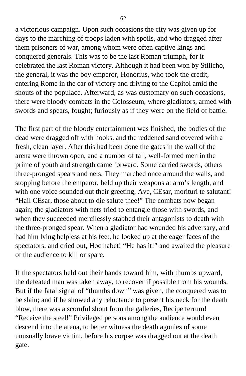a victorious campaign. Upon such occasions the city was given up for days to the marching of troops laden with spoils, and who dragged after them prisoners of war, among whom were often captive kings and conquered generals. This was to be the last Roman triumph, for it celebrated the last Roman victory. Although it had been won by Stilicho, the general, it was the boy emperor, Honorius, who took the credit, entering Rome in the car of victory and driving to the Capitol amid the shouts of the populace. Afterward, as was customary on such occasions, there were bloody combats in the Colosseum, where gladiators, armed with swords and spears, fought; furiously as if they were on the field of battle.

The first part of the bloody entertainment was finished, the bodies of the dead were dragged off with hooks, and the reddened sand covered with a fresh, clean layer. After this had been done the gates in the wall of the arena were thrown open, and a number of tall, well-formed men in the prime of youth and strength came forward. Some carried swords, others three-pronged spears and nets. They marched once around the walls, and stopping before the emperor, held up their weapons at arm's length, and with one voice sounded out their greeting, Ave, CEsar, morituri te salutant! "Hail CEsar, those about to die salute thee!" The combats now began again; the gladiators with nets tried to entangle those with swords, and when they succeeded mercilessly stabbed their antagonists to death with the three-pronged spear. When a gladiator had wounded his adversary, and had him lying helpless at his feet, he looked up at the eager faces of the spectators, and cried out, Hoc habet! "He has it!" and awaited the pleasure of the audience to kill or spare.

If the spectators held out their hands toward him, with thumbs upward, the defeated man was taken away, to recover if possible from his wounds. But if the fatal signal of "thumbs down" was given, the conquered was to be slain; and if he showed any reluctance to present his neck for the death blow, there was a scornful shout from the galleries, Recipe ferrum! "Receive the steel!" Privileged persons among the audience would even descend into the arena, to better witness the death agonies of some unusually brave victim, before his corpse was dragged out at the death gate.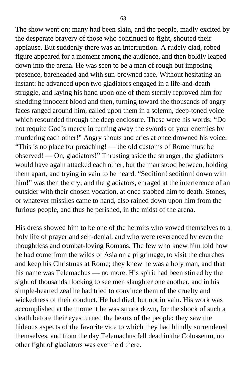The show went on; many had been slain, and the people, madly excited by the desperate bravery of those who continued to fight, shouted their applause. But suddenly there was an interruption. A rudely clad, robed figure appeared for a moment among the audience, and then boldly leaped down into the arena. He was seen to be a man of rough but imposing presence, bareheaded and with sun-browned face. Without hesitating an instant: he advanced upon two gladiators engaged in a life-and-death struggle, and laying his hand upon one of them sternly reproved him for shedding innocent blood and then, turning toward the thousands of angry faces ranged around him, called upon them in a solemn, deep-toned voice which resounded through the deep enclosure. These were his words: "Do not requite God's mercy in turning away the swords of your enemies by murdering each other!" Angry shouts and cries at once drowned his voice: "This is no place for preaching! — the old customs of Rome must be observed! — On, gladiators!" Thrusting aside the stranger, the gladiators would have again attacked each other, but the man stood between, holding them apart, and trying in vain to be heard. "Sedition! sedition! down with him!" was then the cry; and the gladiators, enraged at the interference of an outsider with their chosen vocation, at once stabbed him to death. Stones, or whatever missiles came to hand, also rained down upon him from the furious people, and thus he perished, in the midst of the arena.

His dress showed him to be one of the hermits who vowed themselves to a holy life of prayer and self-denial, and who were reverenced by even the thoughtless and combat-loving Romans. The few who knew him told how he had come from the wilds of Asia on a pilgrimage, to visit the churches and keep his Christmas at Rome; they knew he was a holy man, and that his name was Telemachus — no more. His spirit had been stirred by the sight of thousands flocking to see men slaughter one another, and in his simple-hearted zeal he had tried to convince them of the cruelty and wickedness of their conduct. He had died, but not in vain. His work was accomplished at the moment he was struck down, for the shock of such a death before their eyes turned the hearts of the people: they saw the hideous aspects of the favorite vice to which they had blindly surrendered themselves, and from the day Telemachus fell dead in the Colosseum, no other fight of gladiators was ever held there.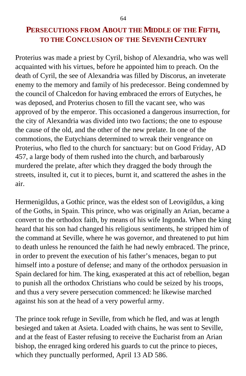#### **PERSECUTIONS FROM ABOUT THE MIDDLE OF THE FIFTH, TO THE CONCLUSION OF THE SEVENTH CENTURY**

Proterius was made a priest by Cyril, bishop of Alexandria, who was well acquainted with his virtues, before he appointed him to preach. On the death of Cyril, the see of Alexandria was filled by Discorus, an inveterate enemy to the memory and family of his predecessor. Being condemned by the council of Chalcedon for having embraced the errors of Eutyches, he was deposed, and Proterius chosen to fill the vacant see, who was approved of by the emperor. This occasioned a dangerous insurrection, for the city of Alexandria was divided into two factions; the one to espouse the cause of the old, and the other of the new prelate. In one of the commotions, the Eutychians determined to wreak their vengeance on Proterius, who fled to the church for sanctuary: but on Good Friday, AD 457, a large body of them rushed into the church, and barbarously murdered the prelate, after which they dragged the body through the streets, insulted it, cut it to pieces, burnt it, and scattered the ashes in the air.

Hermenigildus, a Gothic prince, was the eldest son of Leovigildus, a king of the Goths, in Spain. This prince, who was originally an Arian, became a convert to the orthodox faith, by means of his wife Ingonda. When the king heard that his son had changed his religious sentiments, he stripped him of the command at Seville, where he was governor, and threatened to put him to death unless he renounced the faith he had newly embraced. The prince, in order to prevent the execution of his father's menaces, began to put himself into a posture of defense; and many of the orthodox persuasion in Spain declared for him. The king, exasperated at this act of rebellion, began to punish all the orthodox Christians who could be seized by his troops, and thus a very severe persecution commenced: he likewise marched against his son at the head of a very powerful army.

The prince took refuge in Seville, from which he fled, and was at length besieged and taken at Asieta. Loaded with chains, he was sent to Seville, and at the feast of Easter refusing to receive the Eucharist from an Arian bishop, the enraged king ordered his guards to cut the prince to pieces, which they punctually performed, April 13 AD 586.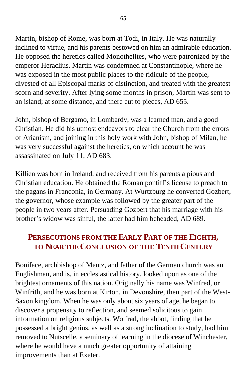Martin, bishop of Rome, was born at Todi, in Italy. He was naturally inclined to virtue, and his parents bestowed on him an admirable education. He opposed the heretics called Monothelites, who were patronized by the emperor Heraclius. Martin was condemned at Constantinople, where he was exposed in the most public places to the ridicule of the people, divested of all Episcopal marks of distinction, and treated with the greatest scorn and severity. After lying some months in prison, Martin was sent to an island; at some distance, and there cut to pieces, AD 655.

John, bishop of Bergamo, in Lombardy, was a learned man, and a good Christian. He did his utmost endeavors to clear the Church from the errors of Arianism, and joining in this holy work with John, bishop of Milan, he was very successful against the heretics, on which account he was assassinated on July 11, AD 683.

Killien was born in Ireland, and received from his parents a pious and Christian education. He obtained the Roman pontiff's license to preach to the pagans in Franconia, in Germany. At Wurtzburg he converted Gozbert, the governor, whose example was followed by the greater part of the people in two years after. Persuading Gozbert that his marriage with his brother's widow was sinful, the latter had him beheaded, AD 689.

## **PERSECUTIONS FROM THE EARLY PART OF THE EIGHTH, TO NEAR THE CONCLUSION OF THE TENTH CENTURY**

Boniface, archbishop of Mentz, and father of the German church was an Englishman, and is, in ecclesiastical history, looked upon as one of the brightest ornaments of this nation. Originally his name was Winfred, or Winfrith, and he was born at Kirton, in Devonshire, then part of the West-Saxon kingdom. When he was only about six years of age, he began to discover a propensity to reflection, and seemed solicitous to gain information on religious subjects. Wolfrad, the abbot, finding that he possessed a bright genius, as well as a strong inclination to study, had him removed to Nutscelle, a seminary of learning in the diocese of Winchester, where he would have a much greater opportunity of attaining improvements than at Exeter.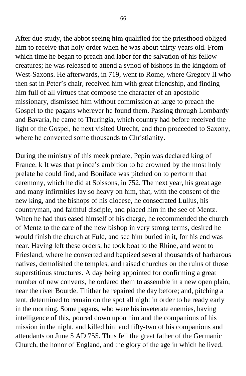After due study, the abbot seeing him qualified for the priesthood obliged him to receive that holy order when he was about thirty years old. From which time he began to preach and labor for the salvation of his fellow creatures; he was released to attend a synod of bishops in the kingdom of West-Saxons. He afterwards, in 719, went to Rome, where Gregory II who then sat in Peter's chair, received him with great friendship, and finding him full of all virtues that compose the character of an apostolic missionary, dismissed him without commission at large to preach the Gospel to the pagans wherever he found them. Passing through Lombardy and Bavaria, he came to Thuringia, which country had before received the light of the Gospel, he next visited Utrecht, and then proceeded to Saxony, where he converted some thousands to Christianity.

During the ministry of this meek prelate, Pepin was declared king of France. k It was that prince's ambition to be crowned by the most holy prelate he could find, and Boniface was pitched on to perform that ceremony, which he did at Soissons, in 752. The next year, his great age and many infirmities lay so heavy on him, that, with the consent of the new king, and the bishops of his diocese, he consecrated Lullus, his countryman, and faithful disciple, and placed him in the see of Mentz. When he had thus eased himself of his charge, he recommended the church of Mentz to the care of the new bishop in very strong terms, desired he would finish the church at Fuld, and see him buried in it, for his end was near. Having left these orders, he took boat to the Rhine, and went to Friesland, where he converted and baptized several thousands of barbarous natives, demolished the temples, and raised churches on the ruins of those superstitious structures. A day being appointed for confirming a great number of new converts, he ordered them to assemble in a new open plain, near the river Bourde. Thither he repaired the day before; and, pitching a tent, determined to remain on the spot all night in order to be ready early in the morning. Some pagans, who were his inveterate enemies, having intelligence of this, poured down upon him and the companions of his mission in the night, and killed him and fifty-two of his companions and attendants on June 5 AD 755. Thus fell the great father of the Germanic Church, the honor of England, and the glory of the age in which he lived.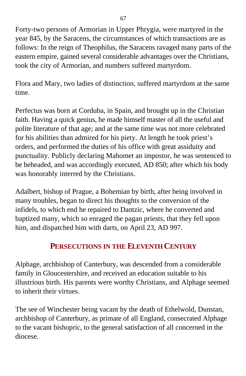Forty-two persons of Armorian in Upper Phrygia, were martyred in the year 845, by the Saracens, the circumstances of which transactions are as follows: In the reign of Theophilus, the Saracens ravaged many parts of the eastern empire, gained several considerable advantages over the Christians, took the city of Armorian, and numbers suffered martyrdom.

Flora and Mary, two ladies of distinction, suffered martyrdom at the same time.

Perfectus was born at Corduba, in Spain, and brought up in the Christian faith. Having a quick genius, he made himself master of all the useful and polite literature of that age; and at the same time was not more celebrated for his abilities than admired for his piety. At length he took priest's orders, and performed the duties of his office with great assiduity and punctuality. Publicly declaring Mahomet an impostor, he was sentenced to be beheaded, and was accordingly executed, AD 850; after which his body was honorably interred by the Christians.

Adalbert, bishop of Prague, a Bohemian by birth, after being involved in many troubles, began to direct his thoughts to the conversion of the infidels, to which end he repaired to Dantzic, where he converted and baptized many, which so enraged the pagan priests, that they fell upon him, and dispatched him with darts, on April 23, AD 997.

## **PERSECUTIONS IN THE ELEVENTH CENTURY**

Alphage, archbishop of Canterbury, was descended from a considerable family in Gloucestershire, and received an education suitable to his illustrious birth. His parents were worthy Christians, and Alphage seemed to inherit their virtues.

The see of Winchester being vacant by the death of Ethelwold, Dunstan, archbishop of Canterbury, as primate of all England, consecrated Alphage to the vacant bishopric, to the general satisfaction of all concerned in the diocese.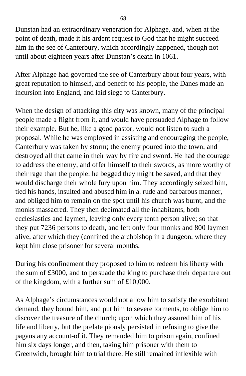Dunstan had an extraordinary veneration for Alphage, and, when at the point of death, made it his ardent request to God that he might succeed him in the see of Canterbury, which accordingly happened, though not until about eighteen years after Dunstan's death in 1061.

After Alphage had governed the see of Canterbury about four years, with great reputation to himself, and benefit to his people, the Danes made an incursion into England, and laid siege to Canterbury.

When the design of attacking this city was known, many of the principal people made a flight from it, and would have persuaded Alphage to follow their example. But he, like a good pastor, would not listen to such a proposal. While he was employed in assisting and encouraging the people, Canterbury was taken by storm; the enemy poured into the town, and destroyed all that came in their way by fire and sword. He had the courage to address the enemy, and offer himself to their swords, as more worthy of their rage than the people: he begged they might be saved, and that they would discharge their whole fury upon him. They accordingly seized him, tied his hands, insulted and abused him in a. rude and barbarous manner, and obliged him to remain on the spot until his church was burnt, and the monks massacred. They then decimated all the inhabitants, both ecclesiastics and laymen, leaving only every tenth person alive; so that they put 7236 persons to death, and left only four monks and 800 laymen alive, after which they (confined the archbishop in a dungeon, where they kept him close prisoner for several months.

During his confinement they proposed to him to redeem his liberty with the sum of £3000, and to persuade the king to purchase their departure out of the kingdom, with a further sum of £10,000.

As Alphage's circumstances would not allow him to satisfy the exorbitant demand, they bound him, and put him to severe torments, to oblige him to discover the treasure of the church; upon which they assured him of his life and liberty, but the prelate piously persisted in refusing to give the pagans any account-of it. They remanded him to prison again, confined him six days longer, and then, taking him prisoner with them to Greenwich, brought him to trial there. He still remained inflexible with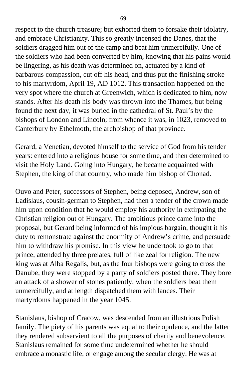respect to the church treasure; but exhorted them to forsake their idolatry, and embrace Christianity. This so greatly incensed the Danes, that the soldiers dragged him out of the camp and beat him unmercifully. One of the soldiers who had been converted by him, knowing that his pains would be lingering, as his death was determined on, actuated by a kind of barbarous compassion, cut off his head, and thus put the finishing stroke to his martyrdom, April 19, AD 1012. This transaction happened on the very spot where the church at Greenwich, which is dedicated to him, now stands. After his death his body was thrown into the Thames, but being found the next day, it was buried in the cathedral of St. Paul's by the bishops of London and Lincoln; from whence it was, in 1023, removed to Canterbury by Ethelmoth, the archbishop of that province.

Gerard, a Venetian, devoted himself to the service of God from his tender years: entered into a religious house for some time, and then determined to visit the Holy Land. Going into Hungary, he became acquainted with Stephen, the king of that country, who made him bishop of Chonad.

Ouvo and Peter, successors of Stephen, being deposed, Andrew, son of Ladislaus, cousin-german to Stephen, had then a tender of the crown made him upon condition that he would employ his authority in extirpating the Christian religion out of Hungary. The ambitious prince came into the proposal, but Gerard being informed of his impious bargain, thought it his duty to remonstrate against the enormity of Andrew's crime, and persuade him to withdraw his promise. In this view he undertook to go to that prince, attended by three prelates, full of like zeal for religion. The new king was at Alba Regalis, but, as the four bishops were going to cross the Danube, they were stopped by a party of soldiers posted there. They bore an attack of a shower of stones patiently, when the soldiers beat them unmercifully, and at length dispatched them with lances. Their martyrdoms happened in the year 1045.

Stanislaus, bishop of Cracow, was descended from an illustrious Polish family. The piety of his parents was equal to their opulence, and the latter they rendered subservient to all the purposes of charity and benevolence. Stanislaus remained for some time undetermined whether he should embrace a monastic life, or engage among the secular clergy. He was at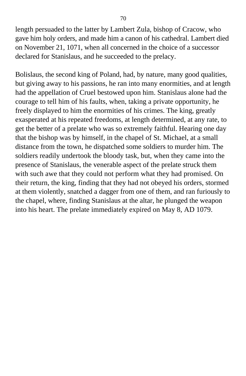length persuaded to the latter by Lambert Zula, bishop of Cracow, who gave him holy orders, and made him a canon of his cathedral. Lambert died on November 21, 1071, when all concerned in the choice of a successor declared for Stanislaus, and he succeeded to the prelacy.

Bolislaus, the second king of Poland, had, by nature, many good qualities, but giving away to his passions, he ran into many enormities, and at length had the appellation of Cruel bestowed upon him. Stanislaus alone had the courage to tell him of his faults, when, taking a private opportunity, he freely displayed to him the enormities of his crimes. The king, greatly exasperated at his repeated freedoms, at length determined, at any rate, to get the better of a prelate who was so extremely faithful. Hearing one day that the bishop was by himself, in the chapel of St. Michael, at a small distance from the town, he dispatched some soldiers to murder him. The soldiers readily undertook the bloody task, but, when they came into the presence of Stanislaus, the venerable aspect of the prelate struck them with such awe that they could not perform what they had promised. On their return, the king, finding that they had not obeyed his orders, stormed at them violently, snatched a dagger from one of them, and ran furiously to the chapel, where, finding Stanislaus at the altar, he plunged the weapon into his heart. The prelate immediately expired on May 8, AD 1079.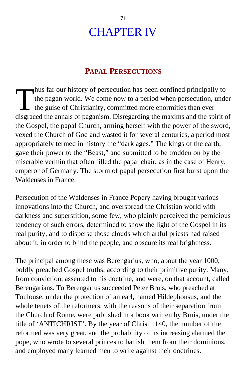## CHAPTER IV

#### **PAPAL PERSECUTIONS**

hus far our history of persecution has been confined principally to the pagan world. We come now to a period when persecution, under the guise of Christianity, committed more enormities than ever disgraced the annals of paganism. Disregarding the maxims and the spirit of the Gospel, the papal Church, arming herself with the power of the sword, vexed the Church of God and wasted it for several centuries, a period most appropriately termed in history the "dark ages." The kings of the earth, gave their power to the "Beast," and submitted to be trodden on by the miserable vermin that often filled the papal chair, as in the case of Henry, emperor of Germany. The storm of papal persecution first burst upon the Waldenses in France. T

Persecution of the Waldenses in France Popery having brought various innovations into the Church, and overspread the Christian world with darkness and superstition, some few, who plainly perceived the pernicious tendency of such errors, determined to show the light of the Gospel in its real purity, and to disperse those clouds which artful priests had raised about it, in order to blind the people, and obscure its real brightness.

The principal among these was Berengarius, who, about the year 1000, boldly preached Gospel truths, according to their primitive purity. Many, from conviction, assented to his doctrine, and were, on that account, called Berengarians. To Berengarius succeeded Peter Bruis, who preached at Toulouse, under the protection of an earl, named Hildephonsus, and the whole tenets of the reformers, with the reasons of their separation from the Church of Rome, were published in a book written by Bruis, under the title of 'ANTICHRIST'. By the year of Christ 1140, the number of the reformed was very great, and the probability of its increasing alarmed the pope, who wrote to several princes to banish them from their dominions, and employed many learned men to write against their doctrines.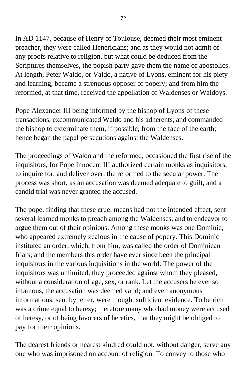In AD 1147, because of Henry of Toulouse, deemed their most eminent preacher, they were called Henericians; and as they would not admit of any proofs relative to religion, but what could be deduced from the Scriptures themselves, the popish party gave them the name of apostolics. At length, Peter Waldo, or Valdo, a native of Lyons, eminent for his piety and learning, became a strenuous opposer of popery; and from him the reformed, at that time, received the appellation of Waldenses or Waldoys.

Pope Alexander III being informed by the bishop of Lyons of these transactions, excommunicated Waldo and his adherents, and commanded the bishop to exterminate them, if possible, from the face of the earth; hence began the papal persecutions against the Waldenses.

The proceedings of Waldo and the reformed, occasioned the first rise of the inquisitors, for Pope Innocent III authorized certain monks as inquisitors, to inquire for, and deliver over, the reformed to the secular power. The process was short, as an accusation was deemed adequate to guilt, and a candid trial was never granted the accused.

The pope, finding that these cruel means had not the intended effect, sent several learned monks to preach among the Waldenses, and to endeavor to argue them out of their opinions. Among these monks was one Dominic, who appeared extremely zealous in the cause of popery. This Dominic instituted an order, which, from him, was called the order of Dominican friars; and the members this order have ever since been the principal inquisitors in the various inquisitions in the world. The power of the inquisitors was unlimited, they proceeded against whom they pleased, without a consideration of age, sex, or rank. Let the accusers be ever so infamous, the accusation was deemed valid; and even anonymous informations, sent by letter, were thought sufficient evidence. To be rich was a crime equal to heresy; therefore many who had money were accused of heresy, or of being favorers of heretics, that they might be obliged to pay for their opinions.

The dearest friends or nearest kindred could not, without danger, serve any one who was imprisoned on account of religion. To convey to those who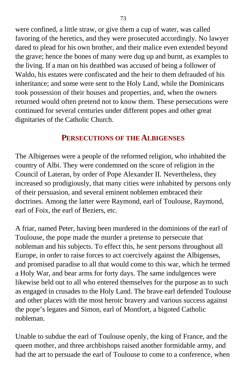were confined, a little straw, or give them a cup of water, was called favoring of the heretics, and they were prosecuted accordingly. No lawyer dared to plead for his own brother, and their malice even extended beyond the grave; hence the bones of many were dug up and burnt, as examples to the living. If a man on his deathbed was accused of being a follower of Waldo, his estates were confiscated and the heir to them defrauded of his inheritance; and some were sent to the Holy Land, while the Dominicans took possession of their houses and properties, and, when the owners returned would often pretend not to know them. These persecutions were continued for several centuries under different popes and other great dignitaries of the Catholic Church.

#### **PERSECUTIONS OF THE ALBIGENSES**

The Albigenses were a people of the reformed religion, who inhabited the country of Albi. They were condemned on the score of religion in the Council of Lateran, by order of Pope Alexander II. Nevertheless, they increased so prodigiously, that many cities were inhabited by persons only of their persuasion, and several eminent noblemen embraced their doctrines. Among the latter were Raymond, earl of Toulouse, Raymond, earl of Foix, the earl of Beziers, etc.

A friar, named Peter, having been murdered in the dominions of the earl of Toulouse, the pope made the murder a pretense to persecute that nobleman and his subjects. To effect this, he sent persons throughout all Europe, in order to raise forces to act coercively against the Albigenses, and promised paradise to all that would come to this war, which he termed a Holy War, and bear arms for forty days. The same indulgences were likewise held out to all who entered themselves for the purpose as to such as engaged in crusades to the Holy Land. The brave earl defended Toulouse and other places with the most heroic bravery and various success against the pope's legates and Simon, earl of Montfort, a bigoted Catholic nobleman.

Unable to subdue the earl of Toulouse openly, the king of France, and the queen mother, and three archbishops raised another formidable army, and had the art to persuade the earl of Toulouse to come to a conference, when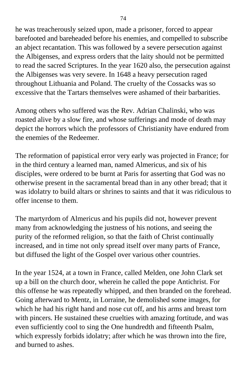he was treacherously seized upon, made a prisoner, forced to appear barefooted and bareheaded before his enemies, and compelled to subscribe an abject recantation. This was followed by a severe persecution against the Albigenses, and express orders that the laity should not be permitted to read the sacred Scriptures. In the year 1620 also, the persecution against the Albigenses was very severe. In 1648 a heavy persecution raged throughout Lithuania and Poland. The cruelty of the Cossacks was so excessive that the Tartars themselves were ashamed of their barbarities.

Among others who suffered was the Rev. Adrian Chalinski, who was roasted alive by a slow fire, and whose sufferings and mode of death may depict the horrors which the professors of Christianity have endured from the enemies of the Redeemer.

The reformation of papistical error very early was projected in France; for in the third century a learned man, named Almericus, and six of his disciples, were ordered to be burnt at Paris for asserting that God was no otherwise present in the sacramental bread than in any other bread; that it was idolatry to build altars or shrines to saints and that it was ridiculous to offer incense to them.

The martyrdom of Almericus and his pupils did not, however prevent many from acknowledging the justness of his notions, and seeing the purity of the reformed religion, so that the faith of Christ continually increased, and in time not only spread itself over many parts of France, but diffused the light of the Gospel over various other countries.

In the year 1524, at a town in France, called Melden, one John Clark set up a bill on the church door, wherein he called the pope Antichrist. For this offense he was repeatedly whipped, and then branded on the forehead. Going afterward to Mentz, in Lorraine, he demolished some images, for which he had his right hand and nose cut off, and his arms and breast torn with pincers. He sustained these cruelties with amazing fortitude, and was even sufficiently cool to sing the One hundredth and fifteenth Psalm, which expressly forbids idolatry; after which he was thrown into the fire, and burned to ashes.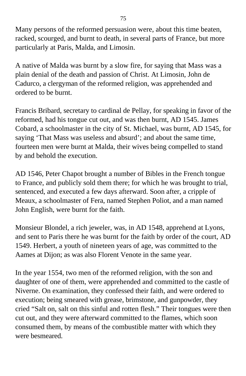Many persons of the reformed persuasion were, about this time beaten, racked, scourged, and burnt to death, in several parts of France, but more particularly at Paris, Malda, and Limosin.

A native of Malda was burnt by a slow fire, for saying that Mass was a plain denial of the death and passion of Christ. At Limosin, John de Cadurco, a clergyman of the reformed religion, was apprehended and ordered to be burnt.

Francis Bribard, secretary to cardinal de Pellay, for speaking in favor of the reformed, had his tongue cut out, and was then burnt, AD 1545. James Cobard, a schoolmaster in the city of St. Michael, was burnt, AD 1545, for saying 'That Mass was useless and absurd'; and about the same time, fourteen men were burnt at Malda, their wives being compelled to stand by and behold the execution.

AD 1546, Peter Chapot brought a number of Bibles in the French tongue to France, and publicly sold them there; for which he was brought to trial, sentenced, and executed a few days afterward. Soon after, a cripple of Meaux, a schoolmaster of Fera, named Stephen Poliot, and a man named John English, were burnt for the faith.

Monsieur Blondel, a rich jeweler, was, in AD 1548, apprehend at Lyons, and sent to Paris there he was burnt for the faith by order of the court, AD 1549. Herbert, a youth of nineteen years of age, was committed to the Aames at Dijon; as was also Florent Venote in the same year.

In the year 1554, two men of the reformed religion, with the son and daughter of one of them, were apprehended and committed to the castle of Niverne. On examination, they confessed their faith, and were ordered to execution; being smeared with grease, brimstone, and gunpowder, they cried "Salt on, salt on this sinful and rotten flesh." Their tongues were then cut out, and they were afterward committed to the flames, which soon consumed them, by means of the combustible matter with which they were besmeared.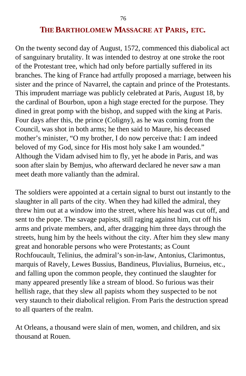#### **THE BARTHOLOMEW MASSACRE AT PARIS, ETC.**

On the twenty second day of August, 1572, commenced this diabolical act of sanguinary brutality. It was intended to destroy at one stroke the root of the Protestant tree, which had only before partially suffered in its branches. The king of France had artfully proposed a marriage, between his sister and the prince of Navarrel, the captain and prince of the Protestants. This imprudent marriage was publicly celebrated at Paris, August 18, by the cardinal of Bourbon, upon a high stage erected for the purpose. They dined in great pomp with the bishop, and supped with the king at Paris. Four days after this, the prince (Coligny), as he was coming from the Council, was shot in both arms; he then said to Maure, his deceased mother's minister, "O my brother, I do now perceive that: I am indeed beloved of my God, since for His most holy sake I am wounded." Although the Vidam advised him to fly, yet he abode in Paris, and was soon after slain by Bemjus, who afterward declared he never saw a man meet death more valiantly than the admiral.

The soldiers were appointed at a certain signal to burst out instantly to the slaughter in all parts of the city. When they had killed the admiral, they threw him out at a window into the street, where his head was cut off, and sent to the pope. The savage papists, still raging against him, cut off his arms and private members, and, after dragging him three days through the streets, hung him by the heels without the city. After him they slew many great and honorable persons who were Protestants; as Count Rochfoucault, Telinius, the admiral's son-in-law, Antonius, Clarimontus, marquis of Ravely, Lewes Bussius, Bandineus, Pluvialius, Burneius, etc., and falling upon the common people, they continued the slaughter for many appeared presently like a stream of blood. So furious was their hellish rage, that they slew all papists whom they suspected to be not very staunch to their diabolical religion. From Paris the destruction spread to all quarters of the realm.

At Orleans, a thousand were slain of men, women, and children, and six thousand at Rouen.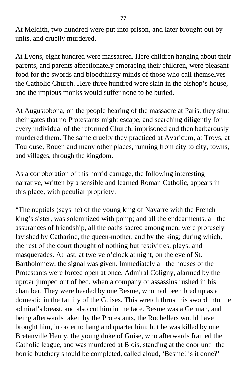At Meldith, two hundred were put into prison, and later brought out by units, and cruelly murdered.

At Lyons, eight hundred were massacred. Here children hanging about their parents, and parents affectionately embracing their children, were pleasant food for the swords and bloodthirsty minds of those who call themselves the Catholic Church. Here three hundred were slain in the bishop's house, and the impious monks would suffer none to be buried.

At Augustobona, on the people hearing of the massacre at Paris, they shut their gates that no Protestants might escape, and searching diligently for every individual of the reformed Church, imprisoned and then barbarously murdered them. The same cruelty they practiced at Avaricum, at Troys, at Toulouse, Rouen and many other places, running from city to city, towns, and villages, through the kingdom.

As a corroboration of this horrid carnage, the following interesting narrative, written by a sensible and learned Roman Catholic, appears in this place, with peculiar propriety.

"The nuptials (says he) of the young king of Navarre with the French king's sister, was solemnized with pomp; and all the endearments, all the assurances of friendship, all the oaths sacred among men, were profusely lavished by Catharine, the queen-mother, and by the king; during which, the rest of the court thought of nothing but festivities, plays, and masquerades. At last, at twelve o'clock at night, on the eve of St. Bartholomew, the signal was given. Immediately all the houses of the Protestants were forced open at once. Admiral Coligny, alarmed by the uproar jumped out of bed, when a company of assassins rushed in his chamber. They were headed by one Besme, who had been bred up as a domestic in the family of the Guises. This wretch thrust his sword into the admiral's breast, and also cut him in the face. Besme was a German, and being afterwards taken by the Protestants, the Rochellers would have brought him, in order to hang and quarter him; but he was killed by one Bretanville Henry, the young duke of Guise, who afterwards framed the Catholic league, and was murdered at Blois, standing at the door until the horrid butchery should be completed, called aloud, 'Besme! is it done?'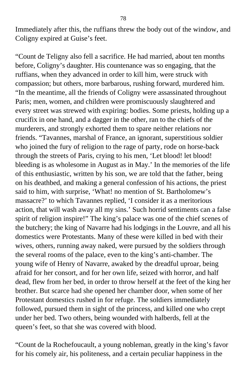Immediately after this, the ruffians threw the body out of the window, and Coligny expired at Guise's feet.

"Count de Teligny also fell a sacrifice. He had married, about ten months before, Coligny's daughter. His countenance was so engaging, that the ruffians, when they advanced in order to kill him, were struck with compassion; but others, more barbarous, rushing forward, murdered him. "In the meantime, all the friends of Coligny were assassinated throughout Paris; men, women, and children were promiscuously slaughtered and every street was strewed with expiring: bodies. Some priests, holding up a crucifix in one hand, and a dagger in the other, ran to the chiefs of the murderers, and strongly exhorted them to spare neither relations nor friends. "Tavannes, marshal of France, an ignorant, superstitious soldier who joined the fury of religion to the rage of party, rode on horse-back through the streets of Paris, crying to his men, 'Let blood! let blood! bleeding is as wholesome in August as in May.' In the memories of the life of this enthusiastic, written by his son, we are told that the father, being on his deathbed, and making a general confession of his actions, the priest said to him, with surprise, 'What! no mention of St. Bartholomew's massacre?' to which Tavannes replied, 'I consider it as a meritorious action, that will wash away all my sins.' Such horrid sentiments can a false spirit of religion inspire!" The king's palace was one of the chief scenes of the butchery; the king of Navarre had his lodgings in the Louvre, and all his domestics were Protestants. Many of these were killed in bed with their wives, others, running away naked, were pursued by the soldiers through the several rooms of the palace, even to the king's anti-chamber. The young wife of Henry of Navarre, awaked by the dreadful uproar, being afraid for her consort, and for her own life, seized with horror, and half dead, flew from her bed, in order to throw herself at the feet of the king her brother. But scarce had she opened her chamber door, when some of her Protestant domestics rushed in for refuge. The soldiers immediately followed, pursued them in sight of the princess, and killed one who crept under her bed. Two others, being wounded with halberds, fell at the queen's feet, so that she was covered with blood.

"Count de la Rochefoucault, a young nobleman, greatly in the king's favor for his comely air, his politeness, and a certain peculiar happiness in the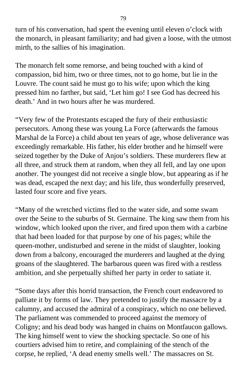turn of his conversation, had spent the evening until eleven o'clock with the monarch, in pleasant familiarity; and had given a loose, with the utmost mirth, to the sallies of his imagination.

The monarch felt some remorse, and being touched with a kind of compassion, bid him, two or three times, not to go home, but lie in the Louvre. The count said he must go to his wife; upon which the king pressed him no farther, but said, 'Let him go! I see God has decreed his death.' And in two hours after he was murdered.

"Very few of the Protestants escaped the fury of their enthusiastic persecutors. Among these was young La Force (afterwards the famous Marshal de la Force) a child about ten years of age, whose deliverance was exceedingly remarkable. His father, his elder brother and he himself were seized together by the Duke of Anjou's soldiers. These murderers flew at all three, and struck them at random, when they all fell, and lay one upon another. The youngest did not receive a single blow, but appearing as if he was dead, escaped the next day; and his life, thus wonderfully preserved, lasted four score and five years.

"Many of the wretched victims fled to the water side, and some swam over the Seine to the suburbs of St. Germaine. The king saw them from his window, which looked upon the river, and fired upon them with a carbine that had been loaded for that purpose by one of his pages; while the queen-mother, undisturbed and serene in the midst of slaughter, looking down from a balcony, encouraged the murderers and laughed at the dying groans of the slaughtered. The barbarous queen was fired with a restless ambition, and she perpetually shifted her party in order to satiate it.

"Some days after this horrid transaction, the French court endeavored to palliate it by forms of law. They pretended to justify the massacre by a calumny, and accused the admiral of a conspiracy, which no one believed. The parliament was commended to proceed against the memory of Coligny; and his dead body was hanged in chains on Montfaucon gallows. The king himself went to view the shocking spectacle. So one of his courtiers advised him to retire, and complaining of the stench of the corpse, he replied, 'A dead enemy smells well.' The massacres on St.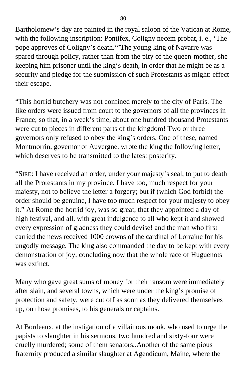Bartholomew's day are painted in the royal saloon of the Vatican at Rome, with the following inscription: Pontifex, Coligny necem probat, i. e., 'The pope approves of Coligny's death.'"The young king of Navarre was spared through policy, rather than from the pity of the queen-mother, she keeping him prisoner until the king's death, in order that he might be as a security and pledge for the submission of such Protestants as might: effect their escape.

"This horrid butchery was not confined merely to the city of Paris. The like orders were issued from court to the governors of all the provinces in France; so that, in a week's time, about one hundred thousand Protestants were cut to pieces in different parts of the kingdom! Two or three governors only refused to obey the king's orders. One of these, named Montmorrin, governor of Auvergne, wrote the king the following letter, which deserves to be transmitted to the latest posterity.

"SIRE: I have received an order, under your majesty's seal, to put to death all the Protestants in my province. I have too, much respect for your majesty, not to believe the letter a forgery; but if (which God forbid) the order should be genuine, I have too much respect for your majesty to obey it." At Rome the horrid joy, was so great, that they appointed a day of high festival, and all, with great indulgence to all who kept it and showed every expression of gladness they could devise! and the man who first carried the news received 1000 crowns of the cardinal of Lorraine for his ungodly message. The king also commanded the day to be kept with every demonstration of joy, concluding now that the whole race of Huguenots was extinct.

Many who gave great sums of money for their ransom were immediately after slain, and several towns, which were under the king's promise of protection and safety, were cut off as soon as they delivered themselves up, on those promises, to his generals or captains.

At Bordeaux, at the instigation of a villainous monk, who used to urge the papists to slaughter in his sermons, two hundred and sixty-four were cruelly murdered; some of them senators..Another of the same pious fraternity produced a similar slaughter at Agendicum, Maine, where the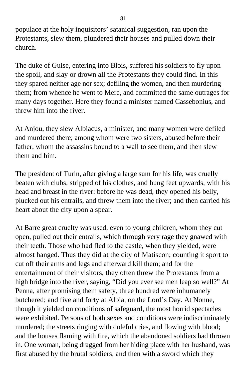populace at the holy inquisitors' satanical suggestion, ran upon the Protestants, slew them, plundered their houses and pulled down their church.

The duke of Guise, entering into Blois, suffered his soldiers to fly upon the spoil, and slay or drown all the Protestants they could find. In this they spared neither age nor sex; defiling the women, and then murdering them; from whence he went to Mere, and committed the same outrages for many days together. Here they found a minister named Cassebonius, and threw him into the river.

At Anjou, they slew Albiacus, a minister, and many women were defiled and murdered there; among whom were two sisters, abused before their father, whom the assassins bound to a wall to see them, and then slew them and him.

The president of Turin, after giving a large sum for his life, was cruelly beaten with clubs, stripped of his clothes, and hung feet upwards, with his head and breast in the river: before he was dead, they opened his belly, plucked out his entrails, and threw them into the river; and then carried his heart about the city upon a spear.

At Barre great cruelty was used, even to young children, whom they cut open, pulled out their entrails, which through very rage they gnawed with their teeth. Those who had fled to the castle, when they yielded, were almost hanged. Thus they did at the city of Matiscon; counting it sport to cut off their arms and legs and afterward kill them; and for the entertainment of their visitors, they often threw the Protestants from a high bridge into the river, saying, "Did you ever see men leap so well?" At Penna, after promising them safety, three hundred were inhumanely butchered; and five and forty at Albia, on the Lord's Day. At Nonne, though it yielded on conditions of safeguard, the most horrid spectacles were exhibited. Persons of both sexes and conditions were indiscriminately murdered; the streets ringing with doleful cries, and flowing with blood; and the houses flaming with fire, which the abandoned soldiers had thrown in. One woman, being dragged from her hiding place with her husband, was first abused by the brutal soldiers, and then with a sword which they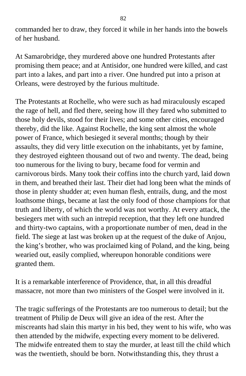commanded her to draw, they forced it while in her hands into the bowels of her husband.

At Samarobridge, they murdered above one hundred Protestants after promising them peace; and at Antisidor, one hundred were killed, and cast part into a lakes, and part into a river. One hundred put into a prison at Orleans, were destroyed by the furious multitude.

The Protestants at Rochelle, who were such as had miraculously escaped the rage of hell, and fled there, seeing how ill they fared who submitted to those holy devils, stood for their lives; and some other cities, encouraged thereby, did the like. Against Rochelle, the king sent almost the whole power of France, which besieged it several months; though by their assaults, they did very little execution on the inhabitants, yet by famine, they destroyed eighteen thousand out of two and twenty. The dead, being too numerous for the living to bury, became food for vermin and carnivorous birds. Many took their coffins into the church yard, laid down in them, and breathed their last. Their diet had long been what the minds of those in plenty shudder at; even human flesh, entrails, dung, and the most loathsome things, became at last the only food of those champions for that truth and liberty, of which the world was not worthy. At every attack, the besiegers met with such an intrepid reception, that they left one hundred and thirty-two captains, with a proportionate number of men, dead in the field. The siege at last was broken up at the request of the duke of Anjou, the king's brother, who was proclaimed king of Poland, and the king, being wearied out, easily complied, whereupon honorable conditions were granted them.

It is a remarkable interference of Providence, that, in all this dreadful massacre, not more than two ministers of the Gospel were involved in it.

The tragic sufferings of the Protestants are too numerous to detail; but the treatment of Philip de Deux will give an idea of the rest. After the miscreants had slain this martyr in his bed, they went to his wife, who was then attended by the midwife, expecting every moment to be delivered. The midwife entreated them to stay the murder, at least till the child which was the twentieth, should be born. Notwithstanding this, they thrust a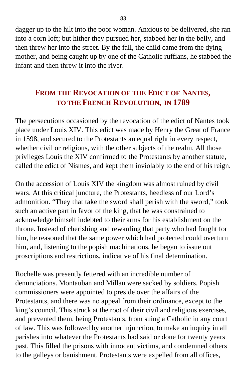dagger up to the hilt into the poor woman. Anxious to be delivered, she ran into a corn loft; but hither they pursued her, stabbed her in the belly, and then threw her into the street. By the fall, the child came from the dying mother, and being caught up by one of the Catholic ruffians, he stabbed the infant and then threw it into the river.

#### **FROM THE REVOCATION OF THE EDICT OF NANTES, TO THE FRENCH REVOLUTION, IN 1789**

The persecutions occasioned by the revocation of the edict of Nantes took place under Louis XIV. This edict was made by Henry the Great of France in 1598, and secured to the Protestants an equal right in every respect, whether civil or religious, with the other subjects of the realm. All those privileges Louis the XIV confirmed to the Protestants by another statute, called the edict of Nismes, and kept them inviolably to the end of his reign.

On the accession of Louis XIV the kingdom was almost ruined by civil wars. At this critical juncture, the Protestants, heedless of our Lord's admonition. "They that take the sword shall perish with the sword," took such an active part in favor of the king, that he was constrained to acknowledge himself indebted to their arms for his establishment on the throne. Instead of cherishing and rewarding that party who had fought for him, he reasoned that the same power which had protected could overturn him, and, listening to the popish machinations, he began to issue out proscriptions and restrictions, indicative of his final determination.

Rochelle was presently fettered with an incredible number of denunciations. Montauban and Millau were sacked by soldiers. Popish commissioners were appointed to preside over the affairs of the Protestants, and there was no appeal from their ordinance, except to the king's council. This struck at the root of their civil and religious exercises, and prevented them, being Protestants, from suing a Catholic in any court of law. This was followed by another injunction, to make an inquiry in all parishes into whatever the Protestants had said or done for twenty years past. This filled the prisons with innocent victims, and condemned others to the galleys or banishment. Protestants were expelled from all offices,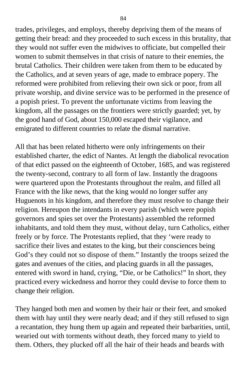trades, privileges, and employs, thereby depriving them of the means of getting their bread: and they proceeded to such excess in this brutality, that they would not suffer even the midwives to officiate, but compelled their women to submit themselves in that crisis of nature to their enemies, the brutal Catholics. Their children were taken from them to be educated by the Catholics, and at seven years of age, made to embrace popery. The reformed were prohibited from relieving their own sick or poor, from all private worship, and divine service was to be performed in the presence of a popish priest. To prevent the unfortunate victims from leaving the kingdom, all the passages on the frontiers were strictly guarded; yet, by the good hand of God, about 150,000 escaped their vigilance, and emigrated to different countries to relate the dismal narrative.

All that has been related hitherto were only infringements on their established charter, the edict of Nantes. At length the diabolical revocation of that edict passed on the eighteenth of October, 1685, and was registered the twenty-second, contrary to all form of law. Instantly the dragoons were quartered upon the Protestants throughout the realm, and filled all France with the like news, that the king would no longer suffer any Huguenots in his kingdom, and therefore they must resolve to change their religion. Hereupon the intendants in every parish (which were popish governors and spies set over the Protestants) assembled the reformed inhabitants, and told them they must, without delay, turn Catholics, either freely or by force. The Protestants replied, that they 'were ready to sacrifice their lives and estates to the king, but their consciences being God's they could not so dispose of them." Instantly the troops seized the gates and avenues of the cities, and placing guards in all the passages, entered with sword in hand, crying, "Die, or be Catholics!" In short, they practiced every wickedness and horror they could devise to force them to change their religion.

They hanged both men and women by their hair or their feet, and smoked them with hay until they were nearly dead; and if they still refused to sign a recantation, they hung them up again and repeated their barbarities, until, wearied out with torments without death, they forced many to yield to them. Others, they plucked off all the hair of their heads and beards with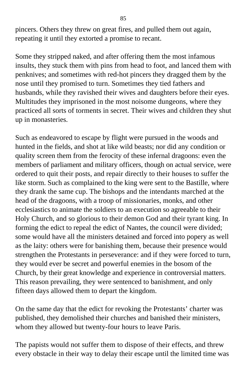pincers. Others they threw on great fires, and pulled them out again, repeating it until they extorted a promise to recant.

Some they stripped naked, and after offering them the most infamous insults, they stuck them with pins from head to foot, and lanced them with penknives; and sometimes with red-hot pincers they dragged them by the nose until they promised to turn. Sometimes they tied fathers and husbands, while they ravished their wives and daughters before their eyes. Multitudes they imprisoned in the most noisome dungeons, where they practiced all sorts of torments in secret. Their wives and children they shut up in monasteries.

Such as endeavored to escape by flight were pursued in the woods and hunted in the fields, and shot at like wild beasts; nor did any condition or quality screen them from the ferocity of these infernal dragoons: even the members of parliament and military officers, though on actual service, were ordered to quit their posts, and repair directly to their houses to suffer the like storm. Such as complained to the king were sent to the Bastille, where they drank the same cup. The bishops and the intendants marched at the head of the dragoons, with a troop of missionaries, monks, and other ecclesiastics to animate the soldiers to an execution so agreeable to their Holy Church, and so glorious to their demon God and their tyrant king. In forming the edict to repeal the edict of Nantes, the council were divided; some would have all the ministers detained and forced into popery as well as the laity: others were for banishing them, because their presence would strengthen the Protestants in perseverance: and if they were forced to turn, they would ever be secret and powerful enemies in the bosom of the Church, by their great knowledge and experience in controversial matters. This reason prevailing, they were sentenced to banishment, and only fifteen days allowed them to depart the kingdom.

On the same day that the edict for revoking the Protestants' charter was published, they demolished their churches and banished their ministers, whom they allowed but twenty-four hours to leave Paris.

The papists would not suffer them to dispose of their effects, and threw every obstacle in their way to delay their escape until the limited time was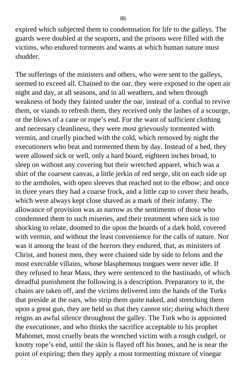expired which subjected them to condemnation for life to the galleys. The guards were doubled at the seaports, and the prisons were filled with the victims, who endured torments and wants at which human nature must shudder.

The sufferings of the ministers and others, who were sent to the galleys, seemed to exceed all. Chained to the oar, they were exposed to the open air night and day, at all seasons, and in all weathers, and when through weakness of body they fainted under the oar, instead of a. cordial to revive them, or viands to refresh them, they received only the lashes of a scourge, or the blows of a cane or rope's end. For the want of sufficient clothing and necessary cleanliness, they were most grievously tormented with vermin, and cruelly pinched with the cold, which removed by night the executioners who beat and tormented them by day. Instead of a bed, they were allowed sick or well, only a hard board, eighteen inches broad, to sleep on without any covering but their wretched apparel, which was a shirt of the coarsest canvas, a little jerkin of red serge, slit on each side up to the armholes, with open sleeves that reached not to the elbow; and once in three years they had a coarse frock, and a little cap to cover their heads, which were always kept close shaved as a mark of their infamy. The allowance of provision was as narrow as the sentiments of those who condemned them to such miseries, and their treatment when sick is too shocking to relate, doomed to die upon the boards of a dark hold, covered with vermin, and without the least convenience for the calls of nature. Nor was it among the least of the horrors they endured, that, as ministers of Christ, and honest men, they were chained side by side to felons and the most execrable villains, whose blasphemous tongues were never idle. If they refused to hear Mass, they were sentenced to the bastinado, of which dreadful punishment the following is a description. Preparatory to it, the chains are taken off, and the victims delivered into the hands of the Turks that preside at the oars, who strip them quite naked, and stretching them upon a great gun, they are held so that they cannot stir; during which there reigns an awful silence throughout the galley. The Turk who is appointed the executioner, and who thinks the sacrifice acceptable to his prophet Mahomet, most cruelly beats the wretched victim with a rough cudgel, or knotty rope's end, until the skin is flayed off his bones, and he is near the point of expiring; then they apply a most tormenting mixture of vinegar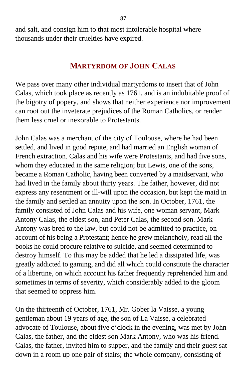and salt, and consign him to that most intolerable hospital where thousands under their cruelties have expired.

#### **MARTYRDOM OF JOHN CALAS**

We pass over many other individual martyrdoms to insert that of John Calas, which took place as recently as 1761, and is an indubitable proof of the bigotry of popery, and shows that neither experience nor improvement can root out the inveterate prejudices of the Roman Catholics, or render them less cruel or inexorable to Protestants.

John Calas was a merchant of the city of Toulouse, where he had been settled, and lived in good repute, and had married an English woman of French extraction. Calas and his wife were Protestants, and had five sons, whom they educated in the same religion; but Lewis, one of the sons, became a Roman Catholic, having been converted by a maidservant, who had lived in the family about thirty years. The father, however, did not express any resentment or ill-will upon the occasion, but kept the maid in the family and settled an annuity upon the son. In October, 1761, the family consisted of John Calas and his wife, one woman servant, Mark Antony Calas, the eldest son, and Peter Calas, the second son. Mark Antony was bred to the law, but could not be admitted to practice, on account of his being a Protestant; hence he grew melancholy, read all the books he could procure relative to suicide, and seemed determined to destroy himself. To this may be added that he led a dissipated life, was greatly addicted to gaming, and did all which could constitute the character of a libertine, on which account his father frequently reprehended him and sometimes in terms of severity, which considerably added to the gloom that seemed to oppress him.

On the thirteenth of October, 1761, Mr. Gober la Vaisse, a young gentleman about 19 years of age, the son of La Vaisse, a celebrated advocate of Toulouse, about five o'clock in the evening, was met by John Calas, the father, and the eldest son Mark Antony, who was his friend. Calas, the father, invited him to supper, and the family and their guest sat down in a room up one pair of stairs; the whole company, consisting of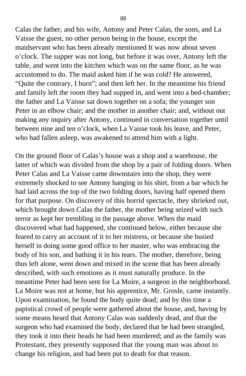Calas the father, and his wife, Antony and Peter Calas, the sons, and La Vaisse the guest, no other person being in the house, except the maidservant who has been already mentioned It was now about seven o'clock. The supper was not long, but before it was over, Antony left the table, and went into the kitchen which was on the same floor, as he was accustomed to do. The maid asked him if he was cold? He answered, "Quite the contrary, I burn"; and then left her. In the meantime his friend and family left the room they had supped in, and went into a bed-chamber; the father and La Vaisse sat down together on a sofa; the younger son Peter in an elbow chair; and the mother in another chair; and, without out making any inquiry after Antony, continued in conversation together until between nine and ten o'clock, when La Vaisse took his leave, and Peter, who had fallen asleep, was awakened to attend him with a light.

On the ground floor of Calas's house was a shop and a warehouse, the latter of which was divided from the shop by a pair of folding doors. When Peter Calas and La Vaisse came downstairs into the shop, they were extremely shocked to see Antony hanging in his shirt, from a bar which he had laid across the top of the two folding doors, having half opened them for that purpose. On discovery of this horrid spectacle, they shrieked out, which brought down Calas the father, the mother being seized with such terror as kept her trembling in the passage above. When the maid discovered what had happened, she continued below, either because she feared to carry an account of it to her mistress, or because she busied herself in doing some good office to her master, who was embracing the body of his son, and bathing it in his tears. The mother, therefore, being thus left alone, went down and mixed in the scene that has been already described, with such emotions as it must naturally produce. In the meantime Peter had been sent for La Moire, a surgeon in the neighborhood. La Moire was not at home, but his apprentice, Mr. Grosle, came instantly. Upon examination, he found the body quite dead; and by this time a papistical crowd of people were gathered about the house, and, having by some means heard that Antony Calas was suddenly dead, and that the surgeon who had examined the body, declared that he had been strangled, they took it into their heads he had been murdered; and as the family was Protestant, they presently supposed that the young man was about to change his religion, and had been put to death for that reason.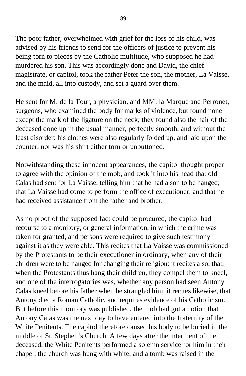The poor father, overwhelmed with grief for the loss of his child, was advised by his friends to send for the officers of justice to prevent his being torn to pieces by the Catholic multitude, who supposed he had murdered his son. This was accordingly done and David, the chief magistrate, or capitol, took the father Peter the son, the mother, La Vaisse, and the maid, all into custody, and set a guard over them.

He sent for M. de la Tour, a physician, and MM. la Marque and Perronet, surgeons, who examined the body for marks of violence, but found none except the mark of the ligature on the neck; they found also the hair of the deceased done up in the usual manner, perfectly smooth, and without the least disorder: his clothes were also regularly folded up, and laid upon the counter, nor was his shirt either torn or unbuttoned.

Notwithstanding these innocent appearances, the capitol thought proper to agree with the opinion of the mob, and took it into his head that old Calas had sent for La Vaisse, telling him that he had a son to be hanged; that La Vaisse had come to perform the office of executioner: and that he had received assistance from the father and brother.

As no proof of the supposed fact could be procured, the capitol had recourse to a monitory, or general information, in which the crime was taken for granted, and persons were required to give such testimony against it as they were able. This recites that La Vaisse was commissioned by the Protestants to be their executioner in ordinary, when any of their children were to be hanged for changing their religion: it recites also, that, when the Protestants thus hang their children, they compel them to kneel, and one of the interrogatories was, whether any person had seen Antony Calas kneel before his father when he strangled him: it recites likewise, that Antony died a Roman Catholic, and requires evidence of his Catholicism. But before this monitory was published, the mob had got a notion that Antony Calas was the next day to have entered into the fraternity of the White Penitents. The capitol therefore caused his body to be buried in the middle of St. Stephen's Church. A few days after the interment of the deceased, the White Penitents performed a solemn service for him in their chapel; the church was hung with white, and a tomb was raised in the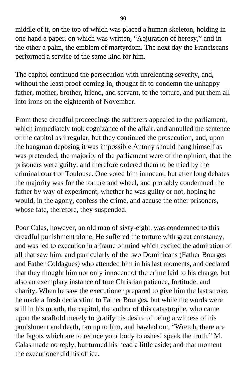middle of it, on the top of which was placed a human skeleton, holding in one hand a paper, on which was written, "Abjuration of heresy," and in the other a palm, the emblem of martyrdom. The next day the Franciscans performed a service of the same kind for him.

The capitol continued the persecution with unrelenting severity, and, without the least proof coming in, thought fit to condemn the unhappy father, mother, brother, friend, and servant, to the torture, and put them all into irons on the eighteenth of November.

From these dreadful proceedings the sufferers appealed to the parliament, which immediately took cognizance of the affair, and annulled the sentence of the capitol as irregular, but they continued the prosecution, and, upon the hangman deposing it was impossible Antony should hang himself as was pretended, the majority of the parliament were of the opinion, that the prisoners were guilty, and therefore ordered them to be tried by the criminal court of Toulouse. One voted him innocent, but after long debates the majority was for the torture and wheel, and probably condemned the father by way of experiment, whether he was guilty or not, hoping he would, in the agony, confess the crime, and accuse the other prisoners, whose fate, therefore, they suspended.

Poor Calas, however, an old man of sixty-eight, was condemned to this dreadful punishment alone. He suffered the torture with great constancy, and was led to execution in a frame of mind which excited the admiration of all that saw him, and particularly of the two Dominicans (Father Bourges and Father Coldagues) who attended him in his last moments, and declared that they thought him not only innocent of the crime laid to his charge, but also an exemplary instance of true Christian patience, fortitude. and charity. When he saw the executioner prepared to give him the last stroke, he made a fresh declaration to Father Bourges, but while the words were still in his mouth, the capitol, the author of this catastrophe, who came upon the scaffold merely to gratify his desire of being a witness of his punishment and death, ran up to him, and bawled out, "Wretch, there are the fagots which are to reduce your body to ashes! speak the truth." M. Calas made no reply, but turned his head a little aside; and that moment the executioner did his office.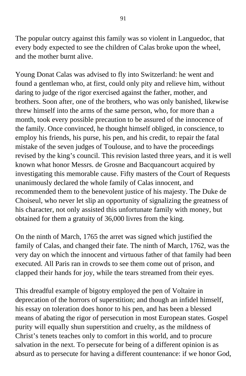The popular outcry against this family was so violent in Languedoc, that every body expected to see the children of Calas broke upon the wheel, and the mother burnt alive.

Young Donat Calas was advised to fly into Switzerland: he went and found a gentleman who, at first, could only pity and relieve him, without daring to judge of the rigor exercised against the father, mother, and brothers. Soon after, one of the brothers, who was only banished, likewise threw himself into the arms of the same person, who, for more than a month, took every possible precaution to be assured of the innocence of the family. Once convinced, he thought himself obliged, in conscience, to employ his friends, his purse, his pen, and his credit, to repair the fatal mistake of the seven judges of Toulouse, and to have the proceedings revised by the king's council. This revision lasted three years, and it is well known what honor Messrs. de Grosne and Bacquancourt acquired by investigating this memorable cause. Fifty masters of the Court of Requests unanimously declared the whole family of Calas innocent, and recommended them to the benevolent justice of his majesty. The Duke de Choiseul, who never let slip an opportunity of signalizing the greatness of his character, not only assisted this unfortunate family with money, but obtained for them a gratuity of 36,000 livres from the king.

On the ninth of March, 1765 the arret was signed which justified the family of Calas, and changed their fate. The ninth of March, 1762, was the very day on which the innocent and virtuous father of that family had been executed. All Paris ran in crowds to see them come out of prison, and clapped their hands for joy, while the tears streamed from their eyes.

This dreadful example of bigotry employed the pen of Voltaire in deprecation of the horrors of superstition; and though an infidel himself, his essay on toleration does honor to his pen, and has been a blessed means of abating the rigor of persecution in most European states. Gospel purity will equally shun superstition and cruelty, as the mildness of Christ's tenets teaches only to comfort in this world, and to procure salvation in the next. To persecute for being of a different opinion is as absurd as to persecute for having a different countenance: if we honor God,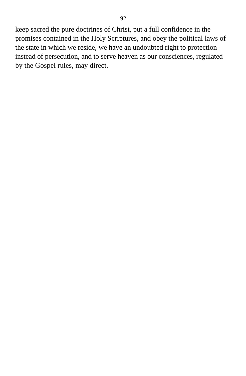keep sacred the pure doctrines of Christ, put a full confidence in the promises contained in the Holy Scriptures, and obey the political laws of the state in which we reside, we have an undoubted right to protection instead of persecution, and to serve heaven as our consciences, regulated by the Gospel rules, may direct.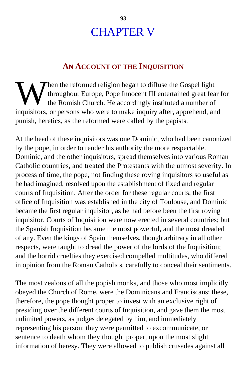# CHAPTER V

#### **AN ACCOUNT OF THE INQUISITION**

Then the reformed religion began to diffuse the Gospel light throughout Europe, Pope Innocent III entertained great fear for the Romish Church. He accordingly instituted a number of **ince The South American** Europe, Pope Innocent III entertained great fear the Romish Church. He accordingly instituted a number of inquisitors, or persons who were to make inquiry after, apprehend, and punish, heretics, as the reformed were called by the papists.

At the head of these inquisitors was one Dominic, who had been canonized by the pope, in order to render his authority the more respectable. Dominic, and the other inquisitors, spread themselves into various Roman Catholic countries, and treated the Protestants with the utmost severity. In process of time, the pope, not finding these roving inquisitors so useful as he had imagined, resolved upon the establishment of fixed and regular courts of Inquisition. After the order for these regular courts, the first office of Inquisition was established in the city of Toulouse, and Dominic became the first regular inquisitor, as he had before been the first roving inquisitor. Courts of Inquisition were now erected in several countries; but the Spanish Inquisition became the most powerful, and the most dreaded of any. Even the kings of Spain themselves, though arbitrary in all other respects, were taught to dread the power of the lords of the Inquisition; and the horrid cruelties they exercised compelled multitudes, who differed in opinion from the Roman Catholics, carefully to conceal their sentiments.

The most zealous of all the popish monks, and those who most implicitly obeyed the Church of Rome, were the Dominicans and Franciscans: these, therefore, the pope thought proper to invest with an exclusive right of presiding over the different courts of Inquisition, and gave them the most unlimited powers, as judges delegated by him, and immediately representing his person: they were permitted to excommunicate, or sentence to death whom they thought proper, upon the most slight information of heresy. They were allowed to publish crusades against all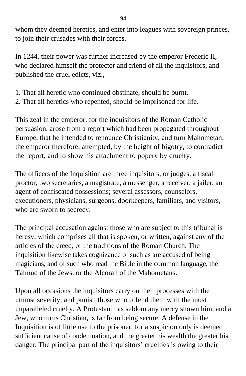whom they deemed heretics, and enter into leagues with sovereign princes, to join their crusades with their forces.

In 1244, their power was further increased by the emperor Frederic II, who declared himself the protector and friend of all the inquisitors, and published the cruel edicts, viz.,

- 1. That all heretic who continued obstinate, should be burnt.
- 2. That all heretics who repented, should be imprisoned for life.

This zeal in the emperor, for the inquisitors of the Roman Catholic persuasion, arose from a report which had been propagated throughout Europe, that he intended to renounce Christianity, and turn Mahometan; the emperor therefore, attempted, by the height of bigotry, to contradict the report, and to show his attachment to popery by cruelty.

The officers of the Inquisition are three inquisitors, or judges, a fiscal proctor, two secretaries, a magistrate, a messenger, a receiver, a jailer, an agent of confiscated possessions; several assessors, counselors, executioners, physicians, surgeons, doorkeepers, familiars, and visitors, who are sworn to secrecy.

The principal accusation against those who are subject to this tribunal is heresy, which comprises all that is spoken, or written, against any of the articles of the creed, or the traditions of the Roman Church. The inquisition likewise takes cognizance of such as are accused of being magicians, and of such who read the Bible in the common language, the Talmud of the Jews, or the Alcoran of the Mahometans.

Upon all occasions the inquisitors carry on their processes with the utmost severity, and punish those who offend them with the most unparalleled cruelty. A Protestant has seldom any mercy shown him, and a Jew, who turns Christian, is far from being secure. A defense in the Inquisition is of little use to the prisoner, for a suspicion only is deemed sufficient cause of condemnation, and the greater his wealth the greater his danger. The principal part of the inquisitors' cruelties is owing to their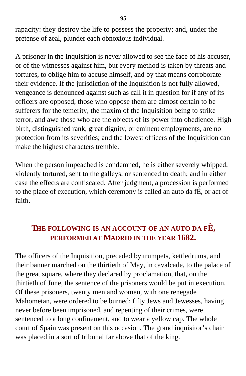rapacity: they destroy the life to possess the property; and, under the pretense of zeal, plunder each obnoxious individual.

A prisoner in the Inquisition is never allowed to see the face of his accuser, or of the witnesses against him, but every method is taken by threats and tortures, to oblige him to accuse himself, and by that means corroborate their evidence. If the jurisdiction of the Inquisition is not fully allowed, vengeance is denounced against such as call it in question for if any of its officers are opposed, those who oppose them are almost certain to be sufferers for the temerity, the maxim of the Inquisition being to strike terror, and awe those who are the objects of its power into obedience. High birth, distinguished rank, great dignity, or eminent employments, are no protection from its severities; and the lowest officers of the Inquisition can make the highest characters tremble.

When the person impeached is condemned, he is either severely whipped, violently tortured, sent to the galleys, or sentenced to death; and in either case the effects are confiscated. After judgment, a procession is performed to the place of execution, which ceremony is called an auto da fÈ, or act of faith.

# **THE FOLLOWING IS AN ACCOUNT OF AN AUTO DA FÈ, PERFORMED AT MADRID IN THE YEAR 1682.**

The officers of the Inquisition, preceded by trumpets, kettledrums, and their banner marched on the thirtieth of May, in cavalcade, to the palace of the great square, where they declared by proclamation, that, on the thirtieth of June, the sentence of the prisoners would be put in execution. Of these prisoners, twenty men and women, with one renegade Mahometan, were ordered to be burned; fifty Jews and Jewesses, having never before been imprisoned, and repenting of their crimes, were sentenced to a long confinement, and to wear a yellow cap. The whole court of Spain was present on this occasion. The grand inquisitor's chair was placed in a sort of tribunal far above that of the king.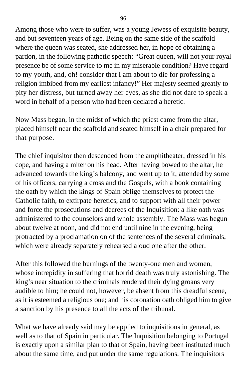Among those who were to suffer, was a young Jewess of exquisite beauty, and but seventeen years of age. Being on the same side of the scaffold where the queen was seated, she addressed her, in hope of obtaining a pardon, in the following pathetic speech: "Great queen, will not your royal presence be of some service to me in my miserable condition? Have regard to my youth, and, oh! consider that I am about to die for professing a religion imbibed from my earliest infancy!" Her majesty seemed greatly to pity her distress, but turned away her eyes, as she did not dare to speak a word in behalf of a person who had been declared a heretic.

Now Mass began, in the midst of which the priest came from the altar, placed himself near the scaffold and seated himself in a chair prepared for that purpose.

The chief inquisitor then descended from the amphitheater, dressed in his cope, and having a miter on his head. After having bowed to the altar, he advanced towards the king's balcony, and went up to it, attended by some of his officers, carrying a cross and the Gospels, with a book containing the oath by which the kings of Spain oblige themselves to protect the Catholic faith, to extirpate heretics, and to support with all their power and force the prosecutions and decrees of the Inquisition: a like oath was administered to the counselors and whole assembly. The Mass was begun about twelve at noon, and did not end until nine in the evening, being protracted by a proclamation on of the sentences of the several criminals, which were already separately rehearsed aloud one after the other.

After this followed the burnings of the twenty-one men and women, whose intrepidity in suffering that horrid death was truly astonishing. The king's near situation to the criminals rendered their dying groans very audible to him; he could not, however, be absent from this dreadful scene, as it is esteemed a religious one; and his coronation oath obliged him to give a sanction by his presence to all the acts of the tribunal.

What we have already said may be applied to inquisitions in general, as well as to that of Spain in particular. The Inquisition belonging to Portugal is exactly upon a similar plan to that of Spain, having been instituted much about the same time, and put under the same regulations. The inquisitors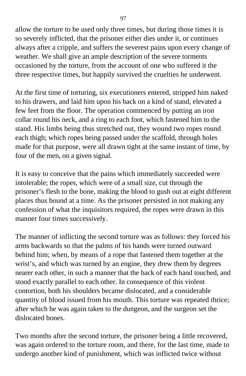allow the torture to be used only three times, but during those times it is so severely inflicted, that the prisoner either dies under it, or continues always after a cripple, and suffers the severest pains upon every change of weather. We shall give an ample description of the severe torments occasioned by the torture, from the account of one who suffered it the three respective times, but happily survived the cruelties he underwent.

At the first time of torturing, six executioners entered, stripped him naked to his drawers, and laid him upon his back on a kind of stand, elevated a few feet from the floor. The operation commenced by putting an iron collar round his neck, and a ring to each foot, which fastened him to the stand. His limbs being thus stretched out, they wound two ropes round each thigh; which ropes being passed under the scaffold, through holes made for that purpose, were all drawn tight at the same instant of time, by four of the men, on a given signal.

It is easy to conceive that the pains which immediately succeeded were intolerable; the ropes, which were of a small size, cut through the prisoner's flesh to the bone, making the blood to gush out at eight different places thus bound at a time. As the prisoner persisted in not making any confession of what the inquisitors required, the ropes were drawn in this manner four times successively.

The manner of inflicting the second torture was as follows: they forced his arms backwards so that the palms of his hands were turned outward behind him; when, by means of a rope that fastened them together at the wrist's, and which was turned by an engine, they drew them by degrees nearer each other, in such a manner that the back of each hand touched, and stood exactly parallel to each other. In consequence of this violent contortion, both his shoulders became dislocated, and a considerable quantity of blood issued from his mouth. This torture was repeated thrice; after which he was again taken to the dungeon, and the surgeon set the dislocated bones.

Two months after the second torture, the prisoner being a little recovered, was again ordered to the torture room, and there, for the last time, made to undergo another kind of punishment, which was inflicted twice without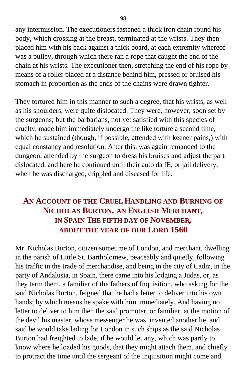any intermission. The executioners fastened a thick iron chain round his body, which crossing at the breast, terminated at the wrists. They then placed him with his back against a thick board, at each extremity whereof was a pulley, through which there ran a rope that caught the end of the chain at his wrists. The executioner then, stretching the end of his rope by means of a roller placed at a distance behind him, pressed or bruised his stomach in proportion as the ends of the chains were drawn tighter.

They tortured him in this manner to such a degree, that his wrists, as well as his shoulders, were quite dislocated. They were, however, soon set by the surgeons; but the barbarians, not yet satisfied with this species of cruelty, made him immediately undergo the like torture a second time, which he sustained (though, if possible, attended with keener pains,) with equal constancy and resolution. After this, was again remanded to the dungeon, attended by the surgeon to dress his bruises and adjust the part dislocated, and here he continued until their auto da fÈ, or jail delivery, when he was discharged, crippled and diseased for life.

## **AN ACCOUNT OF THE CRUEL HANDLING AND BURNING OF NICHOLAS BURTON, AN ENGLISH MERCHANT, IN SPAIN THE FIFTH DAY OF NOVEMBER, ABOUT THE YEAR OF OUR LORD 1560**

Mr. Nicholas Burton, citizen sometime of London, and merchant, dwelling in the parish of Little St. Bartholomew, peaceably and quietly, following his traffic in the trade of merchandise, and being in the city of Cadiz, in the party of Andalusia, in Spain, there came into his lodging a Judas, or, as they term them, a familiar of the fathers of Inquisition, who asking for the said Nicholas Burton, feigned that he had a letter to deliver into his own hands; by which means he spake with him immediately. And having no letter to deliver to him then the said promoter, or familiar, at the motion of the devil his master, whose messenger he was, invented another lie, and said he would take lading for London in such ships as the said Nicholas Burton had freighted to lade, if he would let any, which was partly to know where he loaded his goods, that they might attach them, and chiefly to protract the time until the sergeant of the Inquisition might come and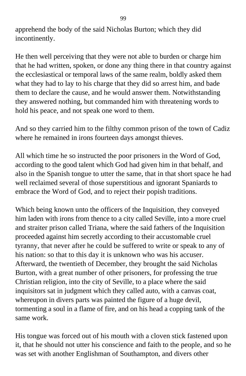apprehend the body of the said Nicholas Burton; which they did incontinently.

He then well perceiving that they were not able to burden or charge him that he had written, spoken, or done any thing there in that country against the ecclesiastical or temporal laws of the same realm, boldly asked them what they had to lay to his charge that they did so arrest him, and bade them to declare the cause, and he would answer them. Notwithstanding they answered nothing, but commanded him with threatening words to hold his peace, and not speak one word to them.

And so they carried him to the filthy common prison of the town of Cadiz where he remained in irons fourteen days amongst thieves.

All which time he so instructed the poor prisoners in the Word of God, according to the good talent which God had given him in that behalf, and also in the Spanish tongue to utter the same, that in that short space he had well reclaimed several of those superstitious and ignorant Spaniards to embrace the Word of God, and to reject their popish traditions.

Which being known unto the officers of the Inquisition, they conveyed him laden with irons from thence to a city called Seville, into a more cruel and straiter prison called Triana, where the said fathers of the Inquisition proceeded against him secretly according to their accustomable cruel tyranny, that never after he could be suffered to write or speak to any of his nation: so that to this day it is unknown who was his accuser. Afterward, the twentieth of December, they brought the said Nicholas Burton, with a great number of other prisoners, for professing the true Christian religion, into the city of Seville, to a place where the said inquisitors sat in judgment which they called auto, with a canvas coat, whereupon in divers parts was painted the figure of a huge devil, tormenting a soul in a flame of fire, and on his head a copping tank of the same work.

His tongue was forced out of his mouth with a cloven stick fastened upon it, that he should not utter his conscience and faith to the people, and so he was set with another Englishman of Southampton, and divers other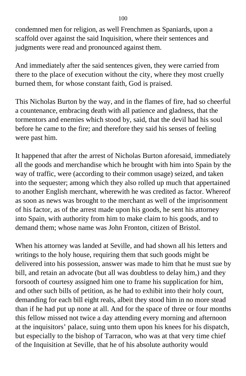condemned men for religion, as well Frenchmen as Spaniards, upon a scaffold over against the said Inquisition, where their sentences and judgments were read and pronounced against them.

And immediately after the said sentences given, they were carried from there to the place of execution without the city, where they most cruelly burned them, for whose constant faith, God is praised.

This Nicholas Burton by the way, and in the flames of fire, had so cheerful a countenance, embracing death with all patience and gladness, that the tormentors and enemies which stood by, said, that the devil had his soul before he came to the fire; and therefore they said his senses of feeling were past him.

It happened that after the arrest of Nicholas Burton aforesaid, immediately all the goods and merchandise which he brought with him into Spain by the way of traffic, were (according to their common usage) seized, and taken into the sequester; among which they also rolled up much that appertained to another English merchant, wherewith he was credited as factor. Whereof as soon as news was brought to the merchant as well of the imprisonment of his factor, as of the arrest made upon his goods, he sent his attorney into Spain, with authority from him to make claim to his goods, and to demand them; whose name was John Fronton, citizen of Bristol.

When his attorney was landed at Seville, and had shown all his letters and writings to the holy house, requiring them that such goods might be delivered into his possession, answer was made to him that he must sue by bill, and retain an advocate (but all was doubtless to delay him,) and they forsooth of courtesy assigned him one to frame his supplication for him, and other such bills of petition, as he had to exhibit into their holy court, demanding for each bill eight reals, albeit they stood him in no more stead than if he had put up none at all. And for the space of three or four months this fellow missed not twice a day attending every morning and afternoon at the inquisitors' palace, suing unto them upon his knees for his dispatch, but especially to the bishop of Tarracon, who was at that very time chief of the Inquisition at Seville, that he of his absolute authority would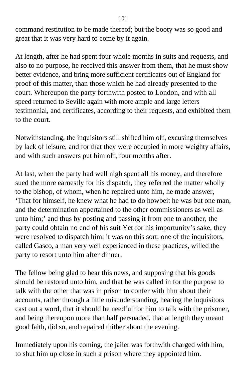command restitution to be made thereof; but the booty was so good and great that it was very hard to come by it again.

At length, after he had spent four whole months in suits and requests, and also to no purpose, he received this answer from them, that he must show better evidence, and bring more sufficient certificates out of England for proof of this matter, than those which he had already presented to the court. Whereupon the party forthwith posted to London, and with all speed returned to Seville again with more ample and large letters testimonial, and certificates, according to their requests, and exhibited them to the court.

Notwithstanding, the inquisitors still shifted him off, excusing themselves by lack of leisure, and for that they were occupied in more weighty affairs, and with such answers put him off, four months after.

At last, when the party had well nigh spent all his money, and therefore sued the more earnestly for his dispatch, they referred the matter wholly to the bishop, of whom, when he repaired unto him, he made answer, 'That for himself, he knew what he had to do howbeit he was but one man, and the determination appertained to the other commissioners as well as unto him;' and thus by posting and passing it from one to another, the party could obtain no end of his suit Yet for his importunity's sake, they were resolved to dispatch him: it was on this sort: one of the inquisitors, called Gasco, a man very well experienced in these practices, willed the party to resort unto him after dinner.

The fellow being glad to hear this news, and supposing that his goods should be restored unto him, and that he was called in for the purpose to talk with the other that was in prison to confer with him about their accounts, rather through a little misunderstanding, hearing the inquisitors cast out a word, that it should be needful for him to talk with the prisoner, and being thereupon more than half persuaded, that at length they meant good faith, did so, and repaired thither about the evening.

Immediately upon his coming, the jailer was forthwith charged with him, to shut him up close in such a prison where they appointed him.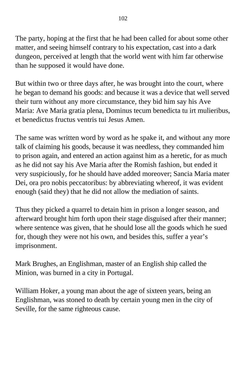The party, hoping at the first that he had been called for about some other matter, and seeing himself contrary to his expectation, cast into a dark dungeon, perceived at length that the world went with him far otherwise than he supposed it would have done.

But within two or three days after, he was brought into the court, where he began to demand his goods: and because it was a device that well served their turn without any more circumstance, they bid him say his Ave Maria: Ave Maria gratia plena, Dominus tecum benedicta tu irt mulieribus, et benedictus fructus ventris tui Jesus Amen.

The same was written word by word as he spake it, and without any more talk of claiming his goods, because it was needless, they commanded him to prison again, and entered an action against him as a heretic, for as much as he did not say his Ave Maria after the Romish fashion, but ended it very suspiciously, for he should have added moreover; Sancia Maria mater Dei, ora pro nobis peccatoribus: by abbreviating whereof, it was evident enough (said they) that he did not allow the mediation of saints.

Thus they picked a quarrel to detain him in prison a longer season, and afterward brought him forth upon their stage disguised after their manner; where sentence was given, that he should lose all the goods which he sued for, though they were not his own, and besides this, suffer a year's imprisonment.

Mark Brughes, an Englishman, master of an English ship called the Minion, was burned in a city in Portugal.

William Hoker, a young man about the age of sixteen years, being an Englishman, was stoned to death by certain young men in the city of Seville, for the same righteous cause.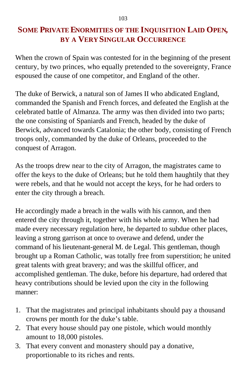## **SOME PRIVATE ENORMITIES OF THE INQUISITION LAID OPEN, BY A VERY SINGULAR OCCURRENCE**

When the crown of Spain was contested for in the beginning of the present century, by two princes, who equally pretended to the sovereignty, France espoused the cause of one competitor, and England of the other.

The duke of Berwick, a natural son of James II who abdicated England, commanded the Spanish and French forces, and defeated the English at the celebrated battle of Almanza. The army was then divided into two parts; the one consisting of Spaniards and French, headed by the duke of Berwick, advanced towards Catalonia; the other body, consisting of French troops only, commanded by the duke of Orleans, proceeded to the conquest of Arragon.

As the troops drew near to the city of Arragon, the magistrates came to offer the keys to the duke of Orleans; but he told them haughtily that they were rebels, and that he would not accept the keys, for he had orders to enter the city through a breach.

He accordingly made a breach in the walls with his cannon, and then entered the city through it, together with his whole army. When he had made every necessary regulation here, he departed to subdue other places, leaving a strong garrison at once to overawe and defend, under the command of his lieutenant-general M. de Legal. This gentleman, though brought up a Roman Catholic, was totally free from superstition; he united great talents with great bravery; and was the skillful officer, and accomplished gentleman. The duke, before his departure, had ordered that heavy contributions should be levied upon the city in the following manner:

- 1. That the magistrates and principal inhabitants should pay a thousand crowns per month for the duke's table.
- 2. That every house should pay one pistole, which would monthly amount to 18,000 pistoles.
- 3. That every convent and monastery should pay a donative, proportionable to its riches and rents.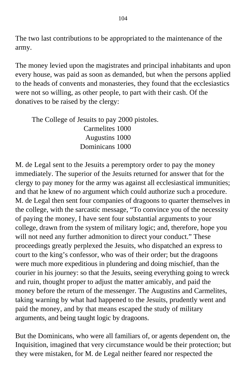The two last contributions to be appropriated to the maintenance of the army.

The money levied upon the magistrates and principal inhabitants and upon every house, was paid as soon as demanded, but when the persons applied to the heads of convents and monasteries, they found that the ecclesiastics were not so willing, as other people, to part with their cash. Of the donatives to be raised by the clergy:

 The College of Jesuits to pay 2000 pistoles. Carmelites 1000 Augustins 1000 Dominicans 1000

M. de Legal sent to the Jesuits a peremptory order to pay the money immediately. The superior of the Jesuits returned for answer that for the clergy to pay money for the army was against all ecclesiastical immunities; and that he knew of no argument which could authorize such a procedure. M. de Legal then sent four companies of dragoons to quarter themselves in the college, with the sarcastic message, "To convince you of the necessity of paying the money, I have sent four substantial arguments to your college, drawn from the system of military logic; and, therefore, hope you will not need any further admonition to direct your conduct." These proceedings greatly perplexed the Jesuits, who dispatched an express to court to the king's confessor, who was of their order; but the dragoons were much more expeditious in plundering and doing mischief, than the courier in his journey: so that the Jesuits, seeing everything going to wreck and ruin, thought proper to adjust the matter amicably, and paid the money before the return of the messenger. The Augustins and Carmelites, taking warning by what had happened to the Jesuits, prudently went and paid the money, and by that means escaped the study of military arguments, and being taught logic by dragoons.

But the Dominicans, who were all familiars of, or agents dependent on, the Inquisition, imagined that very circumstance would be their protection; but they were mistaken, for M. de Legal neither feared nor respected the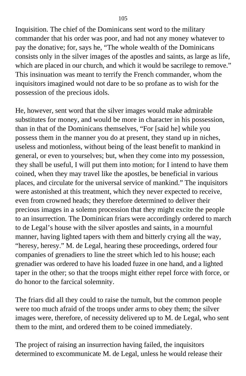Inquisition. The chief of the Dominicans sent word to the military commander that his order was poor, and had not any money whatever to pay the donative; for, says he, "The whole wealth of the Dominicans consists only in the silver images of the apostles and saints, as large as life, which are placed in our church, and which it would be sacrilege to remove." This insinuation was meant to terrify the French commander, whom the inquisitors imagined would not dare to be so profane as to wish for the possession of the precious idols.

He, however, sent word that the silver images would make admirable substitutes for money, and would be more in character in his possession, than in that of the Dominicans themselves, "For [said he] while you possess them in the manner you do at present, they stand up in niches, useless and motionless, without being of the least benefit to mankind in general, or even to yourselves; but, when they come into my possession, they shall be useful, I will put them into motion; for I intend to have them coined, when they may travel like the apostles, be beneficial in various places, and circulate for the universal service of mankind." The inquisitors were astonished at this treatment, which they never expected to receive, even from crowned heads; they therefore determined to deliver their precious images in a solemn procession that they might excite the people to an insurrection. The Dominican friars were accordingly ordered to march to de Legal's house with the silver apostles and saints, in a mournful manner, having lighted tapers with them and bitterly crying all the way, "heresy, heresy." M. de Legal, hearing these proceedings, ordered four companies of grenadiers to line the street which led to his house; each grenadier was ordered to have his loaded fuzee in one hand, and a lighted taper in the other; so that the troops might either repel force with force, or do honor to the farcical solemnity.

The friars did all they could to raise the tumult, but the common people were too much afraid of the troops under arms to obey them; the silver images were, therefore, of necessity delivered up to M. de Legal, who sent them to the mint, and ordered them to be coined immediately.

The project of raising an insurrection having failed, the inquisitors determined to excommunicate M. de Legal, unless he would release their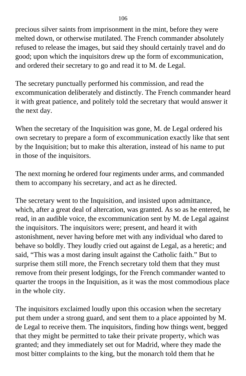precious silver saints from imprisonment in the mint, before they were melted down, or otherwise mutilated. The French commander absolutely refused to release the images, but said they should certainly travel and do good; upon which the inquisitors drew up the form of excommunication, and ordered their secretary to go and read it to M. de Legal.

The secretary punctually performed his commission, and read the excommunication deliberately and distinctly. The French commander heard it with great patience, and politely told the secretary that would answer it the next day.

When the secretary of the Inquisition was gone, M. de Legal ordered his own secretary to prepare a form of excommunication exactly like that sent by the Inquisition; but to make this alteration, instead of his name to put in those of the inquisitors.

The next morning he ordered four regiments under arms, and commanded them to accompany his secretary, and act as he directed.

The secretary went to the Inquisition, and insisted upon admittance, which, after a great deal of altercation, was granted. As so as he entered, he read, in an audible voice, the excommunication sent by M. de Legal against the inquisitors. The inquisitors were; present, and heard it with astonishment, never having before met with any individual who dared to behave so boldly. They loudly cried out against de Legal, as a heretic; and said, "This was a most daring insult against the Catholic faith." But to surprise them still more, the French secretary told them that they must remove from their present lodgings, for the French commander wanted to quarter the troops in the Inquisition, as it was the most commodious place in the whole city.

The inquisitors exclaimed loudly upon this occasion when the secretary put them under a strong guard, and sent them to a place appointed by M. de Legal to receive them. The inquisitors, finding how things went, begged that they might be permitted to take their private property, which was granted; and they immediately set out for Madrid, where they made the most bitter complaints to the king, but the monarch told them that he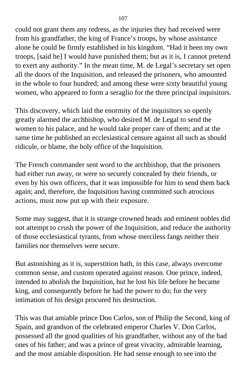could not grant them any redress, as the injuries they had received were from his grandfather, the king of France's troops, by whose assistance alone he could be firmly established in his kingdom. "Had it been my own troops, [said he] I would have punished them; but as it is, I cannot pretend to exert any authority." In the mean time, M. de Legal's secretary set open all the doors of the Inquisition, and released the prisoners, who amounted in the whole to four hundred; and among these were sixty beautiful young women, who appeared to form a seraglio for the three principal inquisitors.

This discovery, which laid the enormity of the inquisitors so openly greatly alarmed the archbishop, who desired M. de Legal to send the women to his palace, and he would take proper care of them; and at the same time he published an ecclesiastical censure against all such as should ridicule, or blame, the holy office of the Inquisition.

The French commander sent word to the archbishop, that the prisoners had either run away, or were so securely concealed by their friends, or even by his own officers, that it was impossible for him to send them back again; and, therefore, the Inquisition having committed such atrocious actions, must now put up with their exposure.

Some may suggest, that it is strange crowned heads and eminent nobles did not attempt to crush the power of the Inquisition, and reduce the authority of those ecclesiastical tyrants, from whose merciless fangs neither their families nor themselves were secure.

But astonishing as it is, superstition hath, in this case, always overcome common sense, and custom operated against reason. One prince, indeed, intended to abolish the Inquisition, but he lost his life before he became king, and consequently before he had the power to do; for the very intimation of his design procured his destruction.

This was that amiable prince Don Carlos, son of Philip the Second, king of Spain, and grandson of the celebrated emperor Charles V. Don Carlos, possessed all the good qualities of his grandfather, without any of the bad ones of his father; and was a prince of great vivacity, admirable learning, and the most amiable disposition. He had sense enough to see into the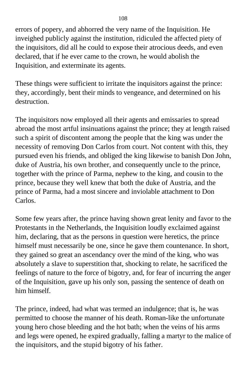errors of popery, and abhorred the very name of the Inquisition. He inveighed publicly against the institution, ridiculed the affected piety of the inquisitors, did all he could to expose their atrocious deeds, and even declared, that if he ever came to the crown, he would abolish the Inquisition, and exterminate its agents.

These things were sufficient to irritate the inquisitors against the prince: they, accordingly, bent their minds to vengeance, and determined on his destruction.

The inquisitors now employed all their agents and emissaries to spread abroad the most artful insinuations against the prince; they at length raised such a spirit of discontent among the people that the king was under the necessity of removing Don Carlos from court. Not content with this, they pursued even his friends, and obliged the king likewise to banish Don John, duke of Austria, his own brother, and consequently uncle to the prince, together with the prince of Parma, nephew to the king, and cousin to the prince, because they well knew that both the duke of Austria, and the prince of Parma, had a most sincere and inviolable attachment to Don Carlos.

Some few years after, the prince having shown great lenity and favor to the Protestants in the Netherlands, the Inquisition loudly exclaimed against him, declaring, that as the persons in question were heretics, the prince himself must necessarily be one, since he gave them countenance. In short, they gained so great an ascendancy over the mind of the king, who was absolutely a slave to superstition that, shocking to relate, he sacrificed the feelings of nature to the force of bigotry, and, for fear of incurring the anger of the Inquisition, gave up his only son, passing the sentence of death on him himself.

The prince, indeed, had what was termed an indulgence; that is, he was permitted to choose the manner of his death. Roman-like the unfortunate young hero chose bleeding and the hot bath; when the veins of his arms and legs were opened, he expired gradually, falling a martyr to the malice of the inquisitors, and the stupid bigotry of his father.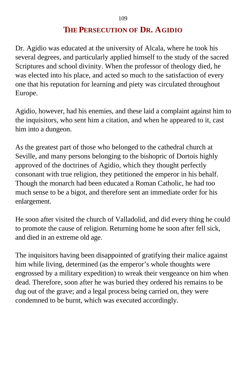## **THE PERSECUTION OF DR. AGIDIO**

Dr. Agidio was educated at the university of Alcala, where he took his several degrees, and particularly applied himself to the study of the sacred Scriptures and school divinity. When the professor of theology died, he was elected into his place, and acted so much to the satisfaction of every one that his reputation for learning and piety was circulated throughout Europe.

Agidio, however, had his enemies, and these laid a complaint against him to the inquisitors, who sent him a citation, and when he appeared to it, cast him into a dungeon.

As the greatest part of those who belonged to the cathedral church at Seville, and many persons belonging to the bishopric of Dortois highly approved of the doctrines of Agidio, which they thought perfectly consonant with true religion, they petitioned the emperor in his behalf. Though the monarch had been educated a Roman Catholic, he had too much sense to be a bigot, and therefore sent an immediate order for his enlargement.

He soon after visited the church of Valladolid, and did every thing he could to promote the cause of religion. Returning home he soon after fell sick, and died in an extreme old age.

The inquisitors having been disappointed of gratifying their malice against him while living, determined (as the emperor's whole thoughts were engrossed by a military expedition) to wreak their vengeance on him when dead. Therefore, soon after he was buried they ordered his remains to be dug out of the grave; and a legal process being carried on, they were condemned to be burnt, which was executed accordingly.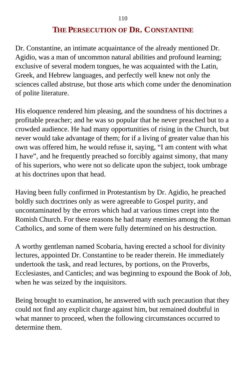## **THE PERSECUTION OF DR. CONSTANTINE**

Dr. Constantine, an intimate acquaintance of the already mentioned Dr. Agidio, was a man of uncommon natural abilities and profound learning; exclusive of several modern tongues, he was acquainted with the Latin, Greek, and Hebrew languages, and perfectly well knew not only the sciences called abstruse, but those arts which come under the denomination of polite literature.

His eloquence rendered him pleasing, and the soundness of his doctrines a profitable preacher; and he was so popular that he never preached but to a crowded audience. He had many opportunities of rising in the Church, but never would take advantage of them; for if a living of greater value than his own was offered him, he would refuse it, saying, "I am content with what I have", and he frequently preached so forcibly against simony, that many of his superiors, who were not so delicate upon the subject, took umbrage at his doctrines upon that head.

Having been fully confirmed in Protestantism by Dr. Agidio, he preached boldly such doctrines only as were agreeable to Gospel purity, and uncontaminated by the errors which had at various times crept into the Romish Church. For these reasons he had many enemies among the Roman Catholics, and some of them were fully determined on his destruction.

A worthy gentleman named Scobaria, having erected a school for divinity lectures, appointed Dr. Constantine to be reader therein. He immediately undertook the task, and read lectures, by portions, on the Proverbs, Ecclesiastes, and Canticles; and was beginning to expound the Book of Job, when he was seized by the inquisitors.

Being brought to examination, he answered with such precaution that they could not find any explicit charge against him, but remained doubtful in what manner to proceed, when the following circumstances occurred to determine them.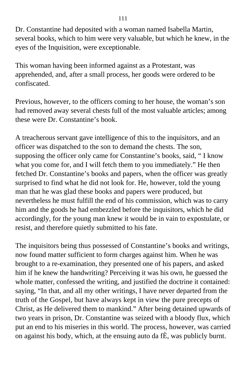Dr. Constantine had deposited with a woman named Isabella Martin, several books, which to him were very valuable, but which he knew, in the eyes of the Inquisition, were exceptionable.

This woman having been informed against as a Protestant, was apprehended, and, after a small process, her goods were ordered to be confiscated.

Previous, however, to the officers coming to her house, the woman's son had removed away several chests full of the most valuable articles; among these were Dr. Constantine's book.

A treacherous servant gave intelligence of this to the inquisitors, and an officer was dispatched to the son to demand the chests. The son, supposing the officer only came for Constantine's books, said, " I know what you come for, and I will fetch them to you immediately." He then fetched Dr. Constantine's books and papers, when the officer was greatly surprised to find what he did not look for. He, however, told the young man that he was glad these books and papers were produced, but nevertheless he must fulfill the end of his commission, which was to carry him and the goods he had embezzled before the inquisitors, which he did accordingly, for the young man knew it would be in vain to expostulate, or resist, and therefore quietly submitted to his fate.

The inquisitors being thus possessed of Constantine's books and writings, now found matter sufficient to form charges against him. When he was brought to a re-examination, they presented one of his papers, and asked him if he knew the handwriting? Perceiving it was his own, he guessed the whole matter, confessed the writing, and justified the doctrine it contained: saying, "In that, and all my other writings, I have never departed from the truth of the Gospel, but have always kept in view the pure precepts of Christ, as He delivered them to mankind." After being detained upwards of two years in prison, Dr. Constantine was seized with a bloody flux, which put an end to his miseries in this world. The process, however, was carried on against his body, which, at the ensuing auto da fÈ, was publicly burnt.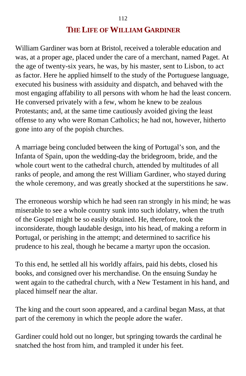# **THE LIFE OF WILLIAM GARDINER**

William Gardiner was born at Bristol, received a tolerable education and was, at a proper age, placed under the care of a merchant, named Paget. At the age of twenty-six years, he was, by his master, sent to Lisbon, to act as factor. Here he applied himself to the study of the Portuguese language, executed his business with assiduity and dispatch, and behaved with the most engaging affability to all persons with whom he had the least concern. He conversed privately with a few, whom he knew to be zealous Protestants; and, at the same time cautiously avoided giving the least offense to any who were Roman Catholics; he had not, however, hitherto gone into any of the popish churches.

A marriage being concluded between the king of Portugal's son, and the Infanta of Spain, upon the wedding-day the bridegroom, bride, and the whole court went to the cathedral church, attended by multitudes of all ranks of people, and among the rest William Gardiner, who stayed during the whole ceremony, and was greatly shocked at the superstitions he saw.

The erroneous worship which he had seen ran strongly in his mind; he was miserable to see a whole country sunk into such idolatry, when the truth of the Gospel might be so easily obtained. He, therefore, took the inconsiderate, though laudable design, into his head, of making a reform in Portugal, or perishing in the attempt; and determined to sacrifice his prudence to his zeal, though he became a martyr upon the occasion.

To this end, he settled all his worldly affairs, paid his debts, closed his books, and consigned over his merchandise. On the ensuing Sunday he went again to the cathedral church, with a New Testament in his hand, and placed himself near the altar.

The king and the court soon appeared, and a cardinal began Mass, at that part of the ceremony in which the people adore the wafer.

Gardiner could hold out no longer, but springing towards the cardinal he snatched the host from him, and trampled it under his feet.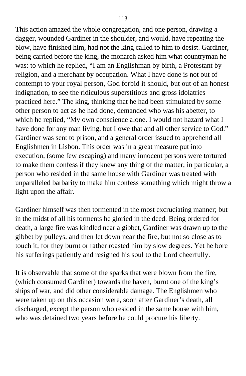This action amazed the whole congregation, and one person, drawing a dagger, wounded Gardiner in the shoulder, and would, have repeating the blow, have finished him, had not the king called to him to desist. Gardiner, being carried before the king, the monarch asked him what countryman he was: to which he replied, "I am an Englishman by birth, a Protestant by religion, and a merchant by occupation. What I have done is not out of contempt to your royal person, God forbid it should, but out of an honest indignation, to see the ridiculous superstitious and gross idolatries practiced here." The king, thinking that he had been stimulated by some other person to act as he had done, demanded who was his abetter, to which he replied, "My own conscience alone. I would not hazard what I have done for any man living, but I owe that and all other service to God." Gardiner was sent to prison, and a general order issued to apprehend all Englishmen in Lisbon. This order was in a great measure put into execution, (some few escaping) and many innocent persons were tortured to make them confess if they knew any thing of the matter; in particular, a person who resided in the same house with Gardiner was treated with unparalleled barbarity to make him confess something which might throw a light upon the affair.

Gardiner himself was then tormented in the most excruciating manner; but in the midst of all his torments he gloried in the deed. Being ordered for death, a large fire was kindled near a gibbet, Gardiner was drawn up to the gibbet by pulleys, and then let down near the fire, but not so close as to touch it; for they burnt or rather roasted him by slow degrees. Yet he bore his sufferings patiently and resigned his soul to the Lord cheerfully.

It is observable that some of the sparks that were blown from the fire, (which consumed Gardiner) towards the haven, burnt one of the king's ships of war, and did other considerable damage. The Englishmen who were taken up on this occasion were, soon after Gardiner's death, all discharged, except the person who resided in the same house with him, who was detained two years before he could procure his liberty.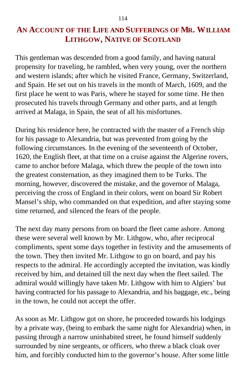### **AN ACCOUNT OF THE LIFE AND SUFFERINGS OF MR. WILLIAM LITHGOW, NATIVE OF SCOTLAND**

This gentleman was descended from a good family, and having natural propensity for traveling, he rambled, when very young, over the northern and western islands; after which he visited France, Germany, Switzerland, and Spain. He set out on his travels in the month of March, 1609, and the first place he went to was Paris, where he stayed for some time. He then prosecuted his travels through Germany and other parts, and at length arrived at Malaga, in Spain, the seat of all his misfortunes.

During his residence here, he contracted with the master of a French ship for his passage to Alexandria, but was prevented from going by the following circumstances. In the evening of the seventeenth of October, 1620, the English fleet, at that time on a cruise against the Algerine rovers, came to anchor before Malaga, which threw the people of the town into the greatest consternation, as they imagined them to be Turks. The morning, however, discovered the mistake, and the governor of Malaga, perceiving the cross of England in their colors, went on board Sir Robert Mansel's ship, who commanded on that expedition, and after staying some time returned, and silenced the fears of the people.

The next day many persons from on board the fleet came ashore. Among these were several well known by Mr. Lithgow, who, after reciprocal compliments, spent some days together in festivity and the amusements of the town. They then invited Mr. Lithgow to go on board, and pay his respects to the admiral. He accordingly accepted the invitation, was kindly received by him, and detained till the next day when the fleet sailed. The admiral would willingly have taken Mr. Lithgow with him to Algiers' but having contracted for his passage to Alexandria, and his baggage, etc., being in the town, he could not accept the offer.

As soon as Mr. Lithgow got on shore, he proceeded towards his lodgings by a private way, (being to embark the same night for Alexandria) when, in passing through a narrow uninhabited street, he found himself suddenly surrounded by nine sergeants, or officers, who threw a black cloak over him, and forcibly conducted him to the governor's house. After some little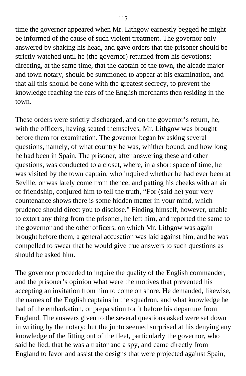time the governor appeared when Mr. Lithgow earnestly begged he might be informed of the cause of such violent treatment. The governor only answered by shaking his head, and gave orders that the prisoner should be strictly watched until he (the governor) returned from his devotions; directing, at the same time, that the captain of the town, the alcade major and town notary, should be summoned to appear at his examination, and that all this should be done with the greatest secrecy, to prevent the knowledge reaching the ears of the English merchants then residing in the town.

These orders were strictly discharged, and on the governor's return, he, with the officers, having seated themselves, Mr. Lithgow was brought before them for examination. The governor began by asking several questions, namely, of what country he was, whither bound, and how long he had been in Spain. The prisoner, after answering these and other questions, was conducted to a closet, where, in a short space of time, he was visited by the town captain, who inquired whether he had ever been at Seville, or was lately come from thence; and patting his cheeks with an air of friendship, conjured him to tell the truth, "For (said he) your very countenance shows there is some hidden matter in your mind, which prudence should direct you to disclose." Finding himself, however, unable to extort any thing from the prisoner, he left him, and reported the same to the governor and the other officers; on which Mr. Lithgow was again brought before them, a general accusation was laid against him, and he was compelled to swear that he would give true answers to such questions as should be asked him.

The governor proceeded to inquire the quality of the English commander, and the prisoner's opinion what were the motives that prevented his accepting an invitation from him to come on shore. He demanded, likewise, the names of the English captains in the squadron, and what knowledge he had of the embarkation, or preparation for it before his departure from England. The answers given to the several questions asked were set down in writing by the notary; but the junto seemed surprised at his denying any knowledge of the fitting out of the fleet, particularly the governor, who said he lied; that he was a traitor and a spy, and came directly from England to favor and assist the designs that were projected against Spain,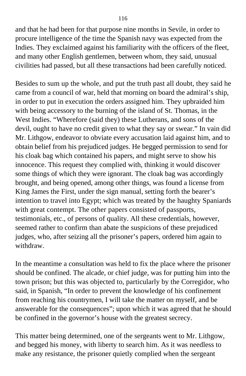and that he had been for that purpose nine months in Sevile, in order to procure intelligence of the time the Spanish navy was expected from the Indies. They exclaimed against his familiarity with the officers of the fleet, and many other English gentlemen, between whom, they said, unusual civilities had passed, but all these transactions had been carefully noticed.

Besides to sum up the whole, and put the truth past all doubt, they said he came from a council of war, held that morning on board the admiral's ship, in order to put in execution the orders assigned him. They upbraided him with being accessory to the burning of the island of St. Thomas, in the West Indies. "Wherefore (said they) these Lutherans, and sons of the devil, ought to have no credit given to what they say or swear." In vain did Mr. Lithgow, endeavor to obviate every accusation laid against him, and to obtain belief from his prejudiced judges. He begged permission to send for his cloak bag which contained his papers, and might serve to show his innocence. This request they complied with, thinking it would discover some things of which they were ignorant. The cloak bag was accordingly brought, and being opened, among other things, was found a license from King James the First, under the sign manual, setting forth the bearer's intention to travel into Egypt; which was treated by the haughty Spaniards with great contempt. The other papers consisted of passports, testimonials, etc., of persons of quality. All these credentials, however, seemed rather to confirm than abate the suspicions of these prejudiced judges, who, after seizing all the prisoner's papers, ordered him again to withdraw.

In the meantime a consultation was held to fix the place where the prisoner should be confined. The alcade, or chief judge, was for putting him into the town prison; but this was objected to, particularly by the Corregidor, who said, in Spanish, "In order to prevent the knowledge of his confinement from reaching his countrymen, I will take the matter on myself, and be answerable for the consequences"; upon which it was agreed that he should be confined in the governor's house with the greatest secrecy.

This matter being determined, one of the sergeants went to Mr. Lithgow, and begged his money, with liberty to search him. As it was needless to make any resistance, the prisoner quietly complied when the sergeant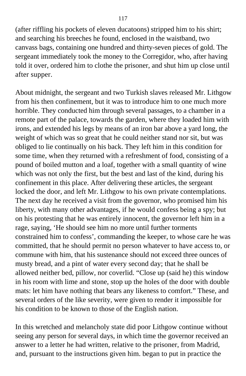(after riffling his pockets of eleven ducatoons) stripped him to his shirt; and searching his breeches he found, enclosed in the waistband, two canvass bags, containing one hundred and thirty-seven pieces of gold. The sergeant immediately took the money to the Corregidor, who, after having told it over, ordered him to clothe the prisoner, and shut him up close until after supper.

About midnight, the sergeant and two Turkish slaves released Mr. Lithgow from his then confinement, but it was to introduce him to one much more horrible. They conducted him through several passages, to a chamber in a remote part of the palace, towards the garden, where they loaded him with irons, and extended his legs by means of an iron bar above a yard long, the weight of which was so great that he could neither stand nor sit, but was obliged to lie continually on his back. They left him in this condition for some time, when they returned with a refreshment of food, consisting of a pound of boiled mutton and a loaf, together with a small quantity of wine which was not only the first, but the best and last of the kind, during his confinement in this place. After delivering these articles, the sergeant locked the door, and left Mr. Lithgow to his own private contemplations. The next day he received a visit from the governor, who promised him his liberty, with many other advantages, if he would confess being a spy; but on his protesting that he was entirely innocent, the governor left him in a rage, saying, 'He should see him no more until further torments constrained him to confess', commanding the keeper, to whose care he was committed, that he should permit no person whatever to have access to, or commune with him, that his sustenance should not exceed three ounces of musty bread, and a pint of water every second day; that he shall be allowed neither bed, pillow, nor coverlid. "Close up (said he) this window in his room with lime and stone, stop up the holes of the door with double mats: let him have nothing that bears any likeness to comfort." These, and several orders of the like severity, were given to render it impossible for his condition to be known to those of the English nation.

In this wretched and melancholy state did poor Lithgow continue without seeing any person for several days, in which time the governor received an answer to a letter he had written, relative to the prisoner, from Madrid, and, pursuant to the instructions given him. began to put in practice the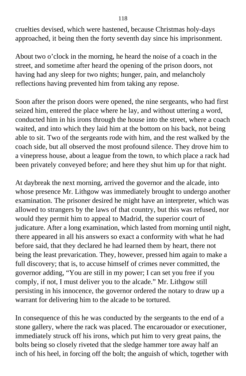cruelties devised, which were hastened, because Christmas holy-days approached, it being then the forty seventh day since his imprisonment.

About two o'clock in the morning, he heard the noise of a coach in the street, and sometime after heard the opening of the prison doors, not having had any sleep for two nights; hunger, pain, and melancholy reflections having prevented him from taking any repose.

Soon after the prison doors were opened, the nine sergeants, who had first seized him, entered the place where he lay, and without uttering a word, conducted him in his irons through the house into the street, where a coach waited, and into which they laid him at the bottom on his back, not being able to sit. Two of the sergeants rode with him, and the rest walked by the coach side, but all observed the most profound silence. They drove him to a vinepress house, about a league from the town, to which place a rack had been privately conveyed before; and here they shut him up for that night.

At daybreak the next morning, arrived the governor and the alcade, into whose presence Mr. Lithgow was immediately brought to undergo another examination. The prisoner desired he might have an interpreter, which was allowed to strangers by the laws of that country, but this was refused, nor would they permit him to appeal to Madrid, the superior court of judicature. After a long examination, which lasted from morning until night, there appeared in all his answers so exact a conformity with what he had before said, that they declared he had learned them by heart, there not being the least prevarication. They, however, pressed him again to make a full discovery; that is, to accuse himself of crimes never committed, the governor adding, "You are still in my power; I can set you free if you comply, if not, I must deliver you to the alcade." Mr. Lithgow still persisting in his innocence, the governor ordered the notary to draw up a warrant for delivering him to the alcade to be tortured.

In consequence of this he was conducted by the sergeants to the end of a stone gallery, where the rack was placed. The encarouador or executioner, immediately struck off his irons, which put him to very great pains, the bolts being so closely riveted that the sledge hammer tore away half an inch of his heel, in forcing off the bolt; the anguish of which, together with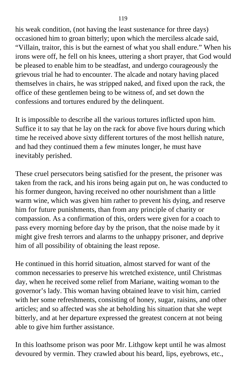his weak condition, (not having the least sustenance for three days) occasioned him to groan bitterly; upon which the merciless alcade said, "Villain, traitor, this is but the earnest of what you shall endure." When his irons were off, he fell on his knees, uttering a short prayer, that God would be pleased to enable him to be steadfast, and undergo courageously the grievous trial he had to encounter. The alcade and notary having placed themselves in chairs, he was stripped naked, and fixed upon the rack, the office of these gentlemen being to be witness of, and set down the confessions and tortures endured by the delinquent.

It is impossible to describe all the various tortures inflicted upon him. Suffice it to say that he lay on the rack for above five hours during which time he received above sixty different tortures of the most hellish nature, and had they continued them a few minutes longer, he must have inevitably perished.

These cruel persecutors being satisfied for the present, the prisoner was taken from the rack, and his irons being again put on, he was conducted to his former dungeon, having received no other nourishment than a little warm wine, which was given him rather to prevent his dying, and reserve him for future punishments, than from any principle of charity or compassion. As a confirmation of this, orders were given for a coach to pass every morning before day by the prison, that the noise made by it might give fresh terrors and alarms to the unhappy prisoner, and deprive him of all possibility of obtaining the least repose.

He continued in this horrid situation, almost starved for want of the common necessaries to preserve his wretched existence, until Christmas day, when he received some relief from Mariane, waiting woman to the governor's lady. This woman having obtained leave to visit him, carried with her some refreshments, consisting of honey, sugar, raisins, and other articles; and so affected was she at beholding his situation that she wept bitterly, and at her departure expressed the greatest concern at not being able to give him further assistance.

In this loathsome prison was poor Mr. Lithgow kept until he was almost devoured by vermin. They crawled about his beard, lips, eyebrows, etc.,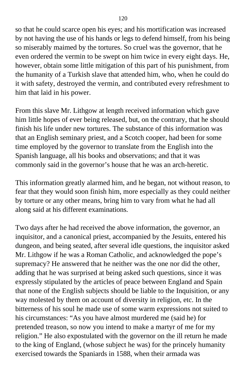so that he could scarce open his eyes; and his mortification was increased by not having the use of his hands or legs to defend himself, from his being so miserably maimed by the tortures. So cruel was the governor, that he even ordered the vermin to be swept on him twice in every eight days. He, however, obtain some little mitigation of this part of his punishment, from the humanity of a Turkish slave that attended him, who, when he could do it with safety, destroyed the vermin, and contributed every refreshment to him that laid in his power.

From this slave Mr. Lithgow at length received information which gave him little hopes of ever being released, but, on the contrary, that he should finish his life under new tortures. The substance of this information was that an English seminary priest, and a Scotch cooper, had been for some time employed by the governor to translate from the English into the Spanish language, all his books and observations; and that it was commonly said in the governor's house that he was an arch-heretic.

This information greatly alarmed him, and he began, not without reason, to fear that they would soon finish him, more especially as they could neither by torture or any other means, bring him to vary from what he had all along said at his different examinations.

Two days after he had received the above information, the governor, an inquisitor, and a canonical priest, accompanied by the Jesuits, entered his dungeon, and being seated, after several idle questions, the inquisitor asked Mr. Lithgow if he was a Roman Catholic, and acknowledged the pope's supremacy? He answered that he neither was the one nor did the other, adding that he was surprised at being asked such questions, since it was expressly stipulated by the articles of peace between England and Spain that none of the English subjects should be liable to the Inquisition, or any way molested by them on account of diversity in religion, etc. In the bitterness of his soul he made use of some warm expressions not suited to his circumstances: "As you have almost murdered me (said he) for pretended treason, so now you intend to make a martyr of me for my religion." He also expostulated with the governor on the ill return he made to the king of England, (whose subject he was) for the princely humanity exercised towards the Spaniards in 1588, when their armada was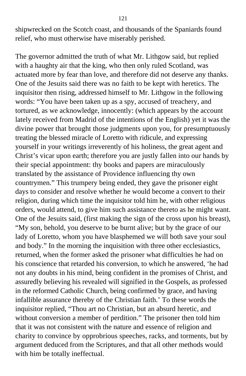shipwrecked on the Scotch coast, and thousands of the Spaniards found relief, who must otherwise have miserably perished.

The governor admitted the truth of what Mr. Lithgow said, but replied with a haughty air that the king, who then only ruled Scotland, was actuated more by fear than love, and therefore did not deserve any thanks. One of the Jesuits said there was no faith to be kept with heretics. The inquisitor then rising, addressed himself to Mr. Lithgow in the following words: "You have been taken up as a spy, accused of treachery, and tortured, as we acknowledge, innocently: (which appears by the account lately received from Madrid of the intentions of the English) yet it was the divine power that brought those judgments upon you, for presumptuously treating the blessed miracle of Loretto with ridicule, and expressing yourself in your writings irreverently of his holiness, the great agent and Christ's vicar upon earth; therefore you are justly fallen into our hands by their special appointment: thy books and papers are miraculously translated by the assistance of Providence influencing thy own countrymen." This trumpery being ended, they gave the prisoner eight days to consider and resolve whether he would become a convert to their religion, during which time the inquisitor told him he, with other religious orders, would attend, to give him such assistance thereto as he might want. One of the Jesuits said, (first making the sign of the cross upon his breast), "My son, behold, you deserve to be burnt alive; but by the grace of our lady of Loretto, whom you have blasphemed we will both save your soul and body." In the morning the inquisition with three other ecclesiastics, returned, when the former asked the prisoner what difficulties he had on his conscience that retarded his conversion, to which he answered, 'he had not any doubts in his mind, being confident in the promises of Christ, and assuredly believing his revealed will signified in the Gospels, as professed in the reformed Catholic Church, being confirmed by grace, and having infallible assurance thereby of the Christian faith.' To these words the inquisitor replied, "Thou art no Christian, but an absurd heretic, and without conversion a member of perdition." The prisoner then told him that it was not consistent with the nature and essence of religion and charity to convince by opprobrious speeches, racks, and torments, but by argument deduced from the Scriptures, and that all other methods would with him be totally ineffectual.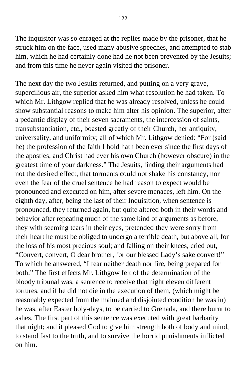The inquisitor was so enraged at the replies made by the prisoner, that he struck him on the face, used many abusive speeches, and attempted to stab him, which he had certainly done had he not been prevented by the Jesuits; and from this time he never again visited the prisoner.

The next day the two Jesuits returned, and putting on a very grave, supercilious air, the superior asked him what resolution he had taken. To which Mr. Lithgow replied that he was already resolved, unless he could show substantial reasons to make him alter his opinion. The superior, after a pedantic display of their seven sacraments, the intercession of saints, transubstantiation, etc., boasted greatly of their Church, her antiquity, universality, and uniformity; all of which Mr. Lithgow denied: "For (said he) the profession of the faith I hold hath been ever since the first days of the apostles, and Christ had ever his own Church (however obscure) in the greatest time of your darkness." The Jesuits, finding their arguments had not the desired effect, that torments could not shake his constancy, nor even the fear of the cruel sentence he had reason to expect would be pronounced and executed on him, after severe menaces, left him. On the eighth day, after, being the last of their Inquisition, when sentence is pronounced, they returned again, but quite altered both in their words and behavior after repeating much of the same kind of arguments as before, they with seeming tears in their eyes, pretended they were sorry from their heart he must be obliged to undergo a terrible death, but above all, for the loss of his most precious soul; and falling on their knees, cried out, "Convert, convert, O dear brother, for our blessed Lady's sake convert!" To which he answered, "I fear neither death nor fire, being prepared for both." The first effects Mr. Lithgow felt of the determination of the bloody tribunal was, a sentence to receive that night eleven different tortures, and if he did not die in the execution of them, (which might be reasonably expected from the maimed and disjointed condition he was in) he was, after Easter holy-days, to be carried to Grenada, and there burnt to ashes. The first part of this sentence was executed with great barbarity that night; and it pleased God to give him strength both of body and mind, to stand fast to the truth, and to survive the horrid punishments inflicted on him.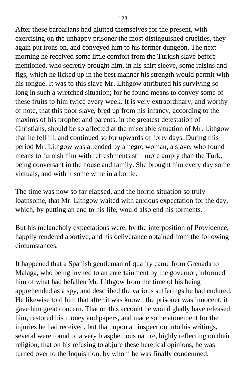After these barbarians had glutted themselves for the present, with exercising on the unhappy prisoner the most distinguished cruelties, they again put irons on, and conveyed him to his former dungeon. The next morning he received some little comfort from the Turkish slave before mentioned, who secretly brought him, in his shirt sleeve, some raisins and figs, which he licked up in the best manner his strength would permit with his tongue. It was to this slave Mr. Lithgow attributed his surviving so long in such a wretched situation; for he found means to convey some of these fruits to him twice every week. It is very extraordinary, and worthy of note, that this poor slave, bred up from his infancy, according to the maxims of his prophet and parents, in the greatest detestation of Christians, should be so affected at the miserable situation of Mr. Lithgow that he fell ill, and continued so for upwards of forty days. During this period Mr. Lithgow was attended by a negro woman, a slave, who found means to furnish him with refreshments still more amply than the Turk, being conversant in the house and family. She brought him every day some victuals, and with it some wine in a bottle.

The time was now so far elapsed, and the horrid situation so truly loathsome, that Mr. Lithgow waited with anxious expectation for the day, which, by putting an end to his life, would also end his torments.

But his melancholy expectations were, by the interposition of Providence, happily rendered abortive, and his deliverance obtained from the following circumstances.

It happened that a Spanish gentleman of quality came from Grenada to Malaga, who being invited to an entertainment by the governor, informed him of what had befallen Mr. Lithgow from the time of his being apprehended as a spy, and described the various sufferings he had endured. He likewise told him that after it was known the prisoner was innocent, it gave him great concern. That on this account he would gladly have released him, restored his money and papers, and made some atonement for the injuries he had received, but that, upon an inspection into his writings, several were found of a very blasphemous nature, highly reflecting on their religion, that on his refusing to abjure these heretical opinions, he was turned over to the Inquisition, by whom he was finally condemned.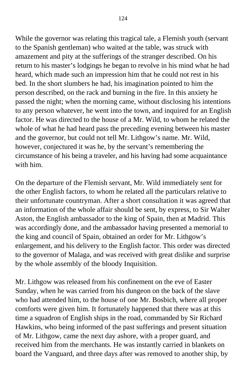While the governor was relating this tragical tale, a Flemish youth (servant to the Spanish gentleman) who waited at the table, was struck with amazement and pity at the sufferings of the stranger described. On his return to his master's lodgings he began to revolve in his mind what he had heard, which made such an impression him that he could not rest in his bed. In the short slumbers he had, his imagination pointed to him the person described, on the rack and burning in the fire. In this anxiety he passed the night; when the morning came, without disclosing his intentions to any person whatever, he went into the town, and inquired for an English factor. He was directed to the house of a Mr. Wild, to whom he related the whole of what he had heard pass the preceding evening between his master and the governor, but could not tell Mr. Lithgow's name. Mr. Wild, however, conjectured it was he, by the servant's remembering the circumstance of his being a traveler, and his having had some acquaintance with him.

On the departure of the Flemish servant, Mr. Wild immediately sent for the other English factors, to whom he related all the particulars relative to their unfortunate countryman. After a short consultation it was agreed that an information of the whole affair should be sent, by express, to Sir Walter Aston, the English ambassador to the king of Spain, then at Madrid. This was accordingly done, and the ambassador having presented a memorial to the king and council of Spain, obtained an order for Mr. Lithgow's enlargement, and his delivery to the English factor. This order was directed to the governor of Malaga, and was received with great dislike and surprise by the whole assembly of the bloody Inquisition.

Mr. Lithgow was released from his confinement on the eve of Easter Sunday, when he was carried from his dungeon on the back of the slave who had attended him, to the house of one Mr. Bosbich, where all proper comforts were given him. It fortunately happened that there was at this time a squadron of English ships in the road, commanded by Sir Richard Hawkins, who being informed of the past sufferings and present situation of Mr. Lithgow, came the next day ashore, with a proper guard, and received him from the merchants. He was instantly carried in blankets on board the Vanguard, and three days after was removed to another ship, by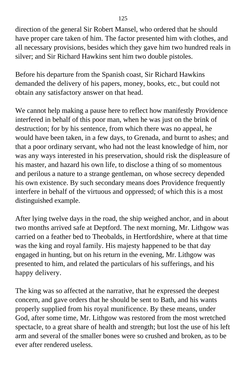direction of the general Sir Robert Mansel, who ordered that he should have proper care taken of him. The factor presented him with clothes, and all necessary provisions, besides which they gave him two hundred reals in silver; and Sir Richard Hawkins sent him two double pistoles.

Before his departure from the Spanish coast, Sir Richard Hawkins demanded the delivery of his papers, money, books, etc., but could not obtain any satisfactory answer on that head.

We cannot help making a pause here to reflect how manifestly Providence interfered in behalf of this poor man, when he was just on the brink of destruction; for by his sentence, from which there was no appeal, he would have been taken, in a few days, to Grenada, and burnt to ashes; and that a poor ordinary servant, who had not the least knowledge of him, nor was any ways interested in his preservation, should risk the displeasure of his master, and hazard his own life, to disclose a thing of so momentous and perilous a nature to a strange gentleman, on whose secrecy depended his own existence. By such secondary means does Providence frequently interfere in behalf of the virtuous and oppressed; of which this is a most distinguished example.

After lying twelve days in the road, the ship weighed anchor, and in about two months arrived safe at Deptford. The next morning, Mr. Lithgow was carried on a feather bed to Theobalds, in Hertfordshire, where at that time was the king and royal family. His majesty happened to be that day engaged in hunting, but on his return in the evening, Mr. Lithgow was presented to him, and related the particulars of his sufferings, and his happy delivery.

The king was so affected at the narrative, that he expressed the deepest concern, and gave orders that he should be sent to Bath, and his wants properly supplied from his royal munificence. By these means, under God, after some time, Mr. Lithgow was restored from the most wretched spectacle, to a great share of health and strength; but lost the use of his left arm and several of the smaller bones were so crushed and broken, as to be ever after rendered useless.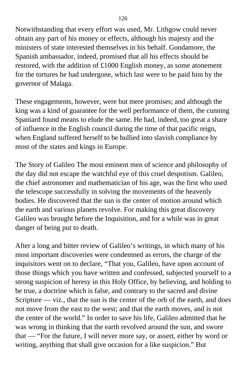Notwithstanding that every effort was used, Mr. Lithgow could never obtain any part of his money or effects, although his majesty and the ministers of state interested themselves in his behalf. Gondamore, the Spanish ambassador, indeed, promised that all his effects should be restored, with the addition of £1000 English money, as some atonement for the tortures he had undergone, which last were to be paid him by the governor of Malaga.

These engagements, however, were but mere promises; and although the king was a kind of guarantee for the well performance of them, the cunning Spaniard found means to elude the same. He had, indeed, too great a share of influence in the English council during the time of that pacific reign, when England suffered herself to be bullied into slavish compliance by most of the states and kings in Europe.

The Story of Galileo The most eminent men of science and philosophy of the day did not escape the watchful eye of this cruel despotism. Galileo, the chief astronomer and mathematician of his age, was the first who used the telescope successfully in solving the movements of the heavenly bodies. He discovered that the sun is the center of motion around which the earth and various planets revolve. For making this great discovery Galileo was brought before the Inquisition, and for a while was in great danger of being put to death.

After a long and bitter review of Galileo's writings, in which many of his most important discoveries were condemned as errors, the charge of the inquisitors went on to declare, "That you, Galileo, have upon account of those things which you have written and confessed, subjected yourself to a strong suspicion of heresy in this Holy Office, by believing, and holding to be true, a doctrine which is false, and contrary to the sacred and divine Scripture — viz., that the sun is the center of the orb of the earth, and does not move from the east to the west; and that the earth moves, and is not the center of the world." In order to save his life, Galileo admitted that he was wrong in thinking that the earth revolved around the sun, and swore that — "For the future, I will never more say, or assert, either by word or writing, anything that shall give occasion for a like suspicion." But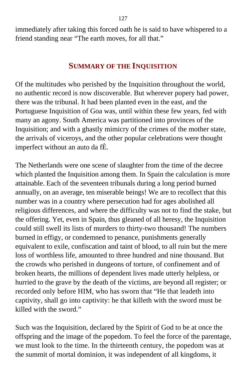immediately after taking this forced oath he is said to have whispered to a friend standing near "The earth moves, for all that."

### **SUMMARY OF THE INQUISITION**

Of the multitudes who perished by the Inquisition throughout the world, no authentic record is now discoverable. But wherever popery had power, there was the tribunal. It had been planted even in the east, and the Portuguese Inquisition of Goa was, until within these few years, fed with many an agony. South America was partitioned into provinces of the Inquisition; and with a ghastly mimicry of the crimes of the mother state, the arrivals of viceroys, and the other popular celebrations were thought imperfect without an auto da fÈ.

The Netherlands were one scene of slaughter from the time of the decree which planted the Inquisition among them. In Spain the calculation is more attainable. Each of the seventeen tribunals during a long period burned annually, on an average, ten miserable beings! We are to recollect that this number was in a country where persecution had for ages abolished all religious differences, and where the difficulty was not to find the stake, but the offering. Yet, even in Spain, thus gleaned of all heresy, the Inquisition could still swell its lists of murders to thirty-two thousand! The numbers burned in effigy, or condemned to penance, punishments generally equivalent to exile, confiscation and taint of blood, to all ruin but the mere loss of worthless life, amounted to three hundred and nine thousand. But the crowds who perished in dungeons of torture, of confinement and of broken hearts, the millions of dependent lives made utterly helpless, or hurried to the grave by the death of the victims, are beyond all register; or recorded only before HIM, who has sworn that "He that leadeth into captivity, shall go into captivity: he that killeth with the sword must be killed with the sword."

Such was the Inquisition, declared by the Spirit of God to be at once the offspring and the image of the popedom. To feel the force of the parentage, we must look to the time. In the thirteenth century, the popedom was at the summit of mortal dominion, it was independent of all kingdoms, it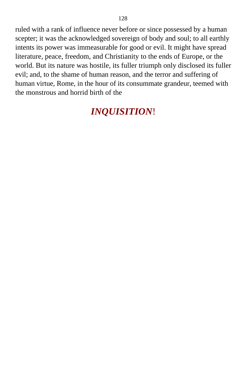ruled with a rank of influence never before or since possessed by a human scepter; it was the acknowledged sovereign of body and soul; to all earthly intents its power was immeasurable for good or evil. It might have spread literature, peace, freedom, and Christianity to the ends of Europe, or the world. But its nature was hostile, its fuller triumph only disclosed its fuller evil; and, to the shame of human reason, and the terror and suffering of human virtue, Rome, in the hour of its consummate grandeur, teemed with the monstrous and horrid birth of the

# *INQUISITION*!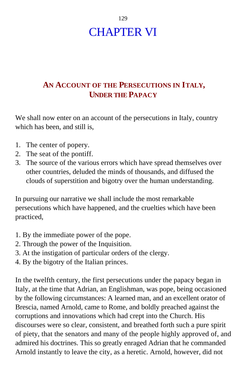# CHAPTER VI

## **AN ACCOUNT OF THE PERSECUTIONS IN ITALY, UNDER THE PAPACY**

We shall now enter on an account of the persecutions in Italy, country which has been, and still is,

- 1. The center of popery.
- 2. The seat of the pontiff.
- 3. The source of the various errors which have spread themselves over other countries, deluded the minds of thousands, and diffused the clouds of superstition and bigotry over the human understanding.

In pursuing our narrative we shall include the most remarkable persecutions which have happened, and the cruelties which have been practiced,

- 1. By the immediate power of the pope.
- 2. Through the power of the Inquisition.
- 3. At the instigation of particular orders of the clergy.
- 4. By the bigotry of the Italian princes.

In the twelfth century, the first persecutions under the papacy began in Italy, at the time that Adrian, an Englishman, was pope, being occasioned by the following circumstances: A learned man, and an excellent orator of Brescia, named Arnold, came to Rome, and boldly preached against the corruptions and innovations which had crept into the Church. His discourses were so clear, consistent, and breathed forth such a pure spirit of piety, that the senators and many of the people highly approved of, and admired his doctrines. This so greatly enraged Adrian that he commanded Arnold instantly to leave the city, as a heretic. Arnold, however, did not

129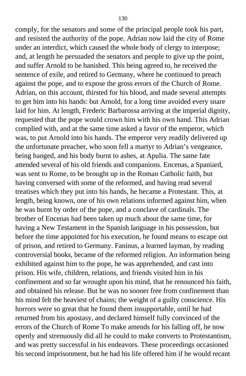comply, for the senators and some of the principal people took his part, and resisted the authority of the pope. Adrian now laid the city of Rome under an interdict, which caused the whole body of clergy to interpose; and, at length he persuaded the senators and people to give up the point, and suffer Arnold to be banished. This being agreed to, he received the sentence of exile, and retired to Germany, where he continued to preach against the pope, and to expose the gross errors of the Church of Rome. Adrian, on this account, thirsted for his blood, and made several attempts to get him into his hands: but Arnold, for a long time avoided every snare laid for him. At length, Frederic Barbarossa arriving at the imperial dignity, requested that the pope would crown him with his own hand. This Adrian complied with, and at the same time asked a favor of the emperor, which was, to put Arnold into his hands. The emperor very readily delivered up the unfortunate preacher, who soon fell a martyr to Adrian's vengeance, being hanged, and his body burnt to ashes, at Apulia. The same fate attended several of his old friends and companions. Encenas, a Spaniard, was sent to Rome, to be brought up in the Roman Catholic faith, but having conversed with some of the reformed, and having read several treatises which they put into his hands, he became a Protestant. This, at length, being known, one of his own relations informed against him, when he was burnt by order of the pope, and a conclave of cardinals. The brother of Encenas had been taken up much about the same time, for having a New Testament in the Spanish language in his possession, but before the time appointed for his execution, he found means to escape out of prison, and retired to Germany. Faninus, a learned layman, by reading controversial books, became of the reformed religion. An information being exhibited against him to the pope, he was apprehended, and cast into prison. His wife, children, relations, and friends visited him in his confinement and so far wrought upon his mind, that he renounced his faith, and obtained his release. But he was no sooner free from confinement than his mind felt the heaviest of chains; the weight of a guilty conscience. His horrors were so great that he found them insupportable, until he had returned from his apostasy, and declared himself fully convinced of the errors of the Church of Rome To make amends for his falling off, he now openly and strenuously did all he could to make converts to Protestantism, and was pretty successful in his endeavors. These proceedings occasioned his second imprisonment, but he had his life offered him if he would recant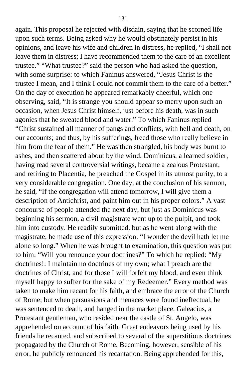again. This proposal he rejected with disdain, saying that he scorned life upon such terms. Being asked why he would obstinately persist in his opinions, and leave his wife and children in distress, he replied, "I shall not leave them in distress; I have recommended them to the care of an excellent trustee." "What trustee?" said the person who had asked the question, with some surprise: to which Faninus answered, "Jesus Christ is the trustee I mean, and I think I could not commit them to the care of a better." On the day of execution he appeared remarkably cheerful, which one observing, said, "It is strange you should appear so merry upon such an occasion, when Jesus Christ himself, just before his death, was in such agonies that he sweated blood and water." To which Faninus replied "Christ sustained all manner of pangs and conflicts, with hell and death, on our accounts; and thus, by his sufferings, freed those who really believe in him from the fear of them." He was then strangled, his body was burnt to ashes, and then scattered about by the wind. Dominicus, a learned soldier, having read several controversial writings, became a zealous Protestant, and retiring to Placentia, he preached the Gospel in its utmost purity, to a very considerable congregation. One day, at the conclusion of his sermon, he said, "If the congregation will attend tomorrow, I will give them a description of Antichrist, and paint him out in his proper colors." A vast concourse of people attended the next day, but just as Dominicus was beginning his sermon, a civil magistrate went up to the pulpit, and took him into custody. He readily submitted, but as he went along with the magistrate, he made use of this expression: "I wonder the devil hath let me alone so long." When he was brought to examination, this question was put to him: "Will you renounce your doctrines?" To which he replied: "My doctrines!: I maintain no doctrines of my own; what I preach are the doctrines of Christ, and for those I will forfeit my blood, and even think myself happy to suffer for the sake of my Redeemer." Every method was taken to make him recant for his faith, and embrace the error of the Church of Rome; but when persuasions and menaces were found ineffectual, he was sentenced to death, and hanged in the market place. Galeacius, a Protestant gentleman, who resided near the castle of St. Angelo, was apprehended on account of his faith. Great endeavors being used by his friends he recanted, and subscribed to several of the superstitious doctrines propagated by the Church of Rome. Becoming, however, sensible of his error, he publicly renounced his recantation. Being apprehended for this,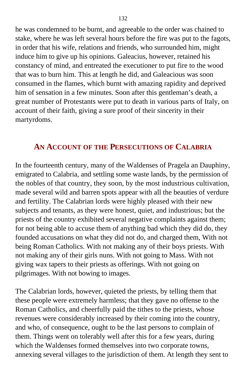he was condemned to be burnt, and agreeable to the order was chained to stake, where he was left several hours before the fire was put to the fagots, in order that his wife, relations and friends, who surrounded him, might induce him to give up his opinions. Galeacius, however, retained his constancy of mind, and entreated the executioner to put fire to the wood that was to burn him. This at length he did, and Galeacious was soon consumed in the flames, which burnt with amazing rapidity and deprived him of sensation in a few minutes. Soon after this gentleman's death, a great number of Protestants were put to death in various parts of Italy, on account of their faith, giving a sure proof of their sincerity in their martyrdoms.

### **AN ACCOUNT OF THE PERSECUTIONS OF CALABRIA**

In the fourteenth century, many of the Waldenses of Pragela an Dauphiny, emigrated to Calabria, and settling some waste lands, by the permission of the nobles of that country, they soon, by the most industrious cultivation, made several wild and barren spots appear with all the beauties of verdure and fertility. The Calabrian lords were highly pleased with their new subjects and tenants, as they were honest, quiet, and industrious; but the priests of the country exhibited several negative complaints against them; for not being able to accuse them of anything bad which they did do, they founded accusations on what they did not do, and charged them, With not being Roman Catholics. With not making any of their boys priests. With not making any of their girls nuns. With not going to Mass. With not giving wax tapers to their priests as offerings. With not going on pilgrimages. With not bowing to images.

The Calabrian lords, however, quieted the priests, by telling them that these people were extremely harmless; that they gave no offense to the Roman Catholics, and cheerfully paid the tithes to the priests, whose revenues were considerably increased by their coming into the country, and who, of consequence, ought to be the last persons to complain of them. Things went on tolerably well after this for a few years, during which the Waldenses formed themselves into two corporate towns, annexing several villages to the jurisdiction of them. At length they sent to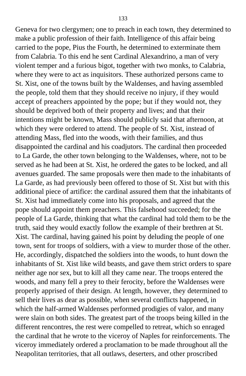Geneva for two clergymen; one to preach in each town, they determined to make a public profession of their faith. Intelligence of this affair being carried to the pope, Pius the Fourth, he determined to exterminate them from Calabria. To this end he sent Cardinal Alexandrino, a man of very violent temper and a furious bigot, together with two monks, to Calabria, where they were to act as inquisitors. These authorized persons came to St. Xist, one of the towns built by the Waldenses, and having assembled the people, told them that they should receive no injury, if they would accept of preachers appointed by the pope; but if they would not, they should be deprived both of their property and lives; and that their intentions might be known, Mass should publicly said that afternoon, at which they were ordered to attend. The people of St. Xist, instead of attending Mass, fled into the woods, with their families, and thus disappointed the cardinal and his coadjutors. The cardinal then proceeded to La Garde, the other town belonging to the Waldenses, where, not to be served as he had been at St. Xist, he ordered the gates to be locked, and all avenues guarded. The same proposals were then made to the inhabitants of La Garde, as had previously been offered to those of St. Xist but with this additional piece of artifice: the cardinal assured them that the inhabitants of St. Xist had immediately come into his proposals, and agreed that the pope should appoint them preachers. This falsehood succeeded; for the people of La Garde, thinking that what the cardinal had told them to be the truth, said they would exactly follow the example of their brethren at St. Xist. The cardinal, having gained his point by deluding the people of one town, sent for troops of soldiers, with a view to murder those of the other. He, accordingly, dispatched the soldiers into the woods, to hunt down the inhabitants of St. Xist like wild beasts, and gave them strict orders to spare neither age nor sex, but to kill all they came near. The troops entered the woods, and many fell a prey to their ferocity, before the Waldenses were properly apprised of their design. At length, however, they determined to sell their lives as dear as possible, when several conflicts happened, in which the half-armed Waldenses performed prodigies of valor, and many were slain on both sides. The greatest part of the troops being killed in the different rencontres, the rest were compelled to retreat, which so enraged the cardinal that he wrote to the viceroy of Naples for reinforcements. The viceroy immediately ordered a proclamation to be made throughout all the Neapolitan territories, that all outlaws, deserters, and other proscribed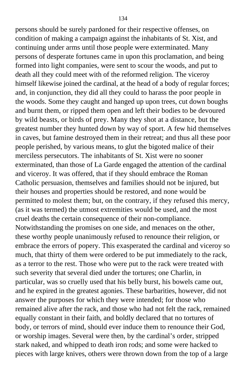persons should be surely pardoned for their respective offenses, on condition of making a campaign against the inhabitants of St. Xist, and continuing under arms until those people were exterminated. Many persons of desperate fortunes came in upon this proclamation, and being formed into light companies, were sent to scour the woods, and put to death all they could meet with of the reformed religion. The viceroy himself likewise joined the cardinal, at the head of a body of regular forces; and, in conjunction, they did all they could to harass the poor people in the woods. Some they caught and hanged up upon trees, cut down boughs and burnt them, or ripped them open and left their bodies to be devoured by wild beasts, or birds of prey. Many they shot at a distance, but the greatest number they hunted down by way of sport. A few hid themselves in caves, but famine destroyed them in their retreat; and thus all these poor people perished, by various means, to glut the bigoted malice of their merciless persecutors. The inhabitants of St. Xist were no sooner exterminated, than those of La Garde engaged the attention of the cardinal and viceroy. It was offered, that if they should embrace the Roman Catholic persuasion, themselves and families should not be injured, but their houses and properties should be restored, and none would be permitted to molest them; but, on the contrary, if they refused this mercy, (as it was termed) the utmost extremities would be used, and the most cruel deaths the certain consequence of their non-compliance. Notwithstanding the promises on one side, and menaces on the other, these worthy people unanimously refused to renounce their religion, or embrace the errors of popery. This exasperated the cardinal and viceroy so much, that thirty of them were ordered to be put immediately to the rack, as a terror to the rest. Those who were put to the rack were treated with such severity that several died under the tortures; one Charlin, in particular, was so cruelly used that his belly burst, his bowels came out, and he expired in the greatest agonies. These barbarities, however, did not answer the purposes for which they were intended; for those who remained alive after the rack, and those who had not felt the rack, remained equally constant in their faith, and boldly declared that no tortures of body, or terrors of mind, should ever induce them to renounce their God, or worship images. Several were then, by the cardinal's order, stripped stark naked, and whipped to death iron rods; and some were hacked to pieces with large knives, others were thrown down from the top of a large

134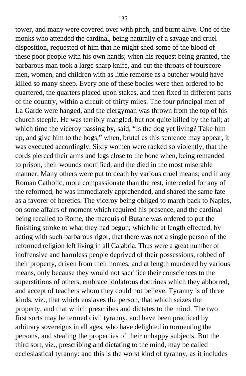tower, and many were covered over with pitch, and burnt alive. One of the monks who attended the cardinal, being naturally of a savage and cruel disposition, requested of him that he might shed some of the blood of these poor people with his own hands; when his request being granted, the barbarous man took a large sharp knife, and cut the throats of fourscore men, women, and children with as little remorse as a butcher would have killed so many sheep. Every one of these bodies were then ordered to be quartered, the quarters placed upon stakes, and then fixed in different parts of the country, within a circuit of thirty miles. The four principal men of La Garde were hanged, and the clergyman was thrown from the top of his church steeple. He was terribly mangled, but not quite killed by the fall; at which time the viceroy passing by, said, "Is the dog yet living? Take him up, and give him to the hogs," when, brutal as this sentence may appear, it was executed accordingly. Sixty women were racked so violently, that the cords pierced their arms and legs close to the bone when, being remanded to prison, their wounds mortified, and the died in the most miserable manner. Many others were put to death by various cruel means; and if any Roman Catholic, more compassionate than the rest, interceded for any of the reformed, he was immediately apprehended, and shared the same fate as a favorer of heretics. The viceroy being obliged to march back to Naples, on some affairs of moment which required his presence, and the cardinal being recalled to Rome, the marquis of Butane was ordered to put the finishing stroke to what they had begun; which he at length effected, by acting with such barbarous rigor, that there was not a single person of the reformed religion left living in all Calabria. Thus were a great number of inoffensive and harmless people deprived of their possessions, robbed of their property, driven from their homes, and at length murdered by various means, only because they would not sacrifice their consciences to the superstitions of others, embrace idolatrous doctrines which they abhorred, and accept of teachers whom they could not believe. Tyranny is of three kinds, viz., that which enslaves the person, that which seizes the property, and that which prescribes and dictates to the mind. The two first sorts may be termed civil tyranny, and have been practiced by arbitrary sovereigns in all ages, who have delighted in tormenting the persons, and stealing the properties of their unhappy subjects. But the third sort, viz., prescribing and dictating to the mind, may be called ecclesiastical tyranny: and this is the worst kind of tyranny, as it includes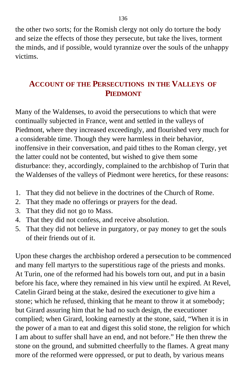the other two sorts; for the Romish clergy not only do torture the body and seize the effects of those they persecute, but take the lives, torment the minds, and if possible, would tyrannize over the souls of the unhappy victims.

### **ACCOUNT OF THE PERSECUTIONS IN THE VALLEYS OF PIEDMONT**

Many of the Waldenses, to avoid the persecutions to which that were continually subjected in France, went and settled in the valleys of Piedmont, where they increased exceedingly, and flourished very much for a considerable time. Though they were harmless in their behavior, inoffensive in their conversation, and paid tithes to the Roman clergy, yet the latter could not be contented, but wished to give them some disturbance: they, accordingly, complained to the archbishop of Turin that the Waldenses of the valleys of Piedmont were heretics, for these reasons:

- 1. That they did not believe in the doctrines of the Church of Rome.
- 2. That they made no offerings or prayers for the dead.
- 3. That they did not go to Mass.
- 4. That they did not confess, and receive absolution.
- 5. That they did not believe in purgatory, or pay money to get the souls of their friends out of it.

Upon these charges the archbishop ordered a persecution to be commenced and many fell martyrs to the superstitious rage of the priests and monks. At Turin, one of the reformed had his bowels torn out, and put in a basin before his face, where they remained in his view until he expired. At Revel, Catelin Girard being at the stake, desired the executioner to give him a stone; which he refused, thinking that he meant to throw it at somebody; but Girard assuring him that he had no such design, the executioner complied; when Girard, looking earnestly at the stone, said, "When it is in the power of a man to eat and digest this solid stone, the religion for which I am about to suffer shall have an end, and not before." He then threw the stone on the ground, and submitted cheerfully to the flames. A great many more of the reformed were oppressed, or put to death, by various means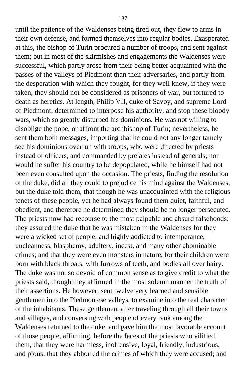until the patience of the Waldenses being tired out, they flew to arms in their own defense, and formed themselves into regular bodies. Exasperated at this, the bishop of Turin procured a number of troops, and sent against them; but in most of the skirmishes and engagements the Waldenses were successful, which partly arose from their being better acquainted with the passes of the valleys of Piedmont than their adversaries, and partly from the desperation with which they fought, for they well knew, if they were taken, they should not be considered as prisoners of war, but tortured to death as heretics. At length, Philip VII, duke of Savoy, and supreme Lord of Piedmont, determined to interpose his authority, and stop these bloody wars, which so greatly disturbed his dominions. He was not willing to disoblige the pope, or affront the archbishop of Turin; nevertheless, he sent them both messages, importing that he could not any longer tamely see his dominions overrun with troops, who were directed by priests instead of officers, and commanded by prelates instead of generals; nor would he suffer his country to be depopulated, while he himself had not been even consulted upon the occasion. The priests, finding the resolution of the duke, did all they could to prejudice his mind against the Waldenses, but the duke told them, that though he was unacquainted with the religious tenets of these people, yet he had always found them quiet, faithful, and obedient, and therefore he determined they should be no longer persecuted. The priests now had recourse to the most palpable and absurd falsehoods: they assured the duke that he was mistaken in the Waldenses for they were a wicked set of people, and highly addicted to intemperance, uncleanness, blasphemy, adultery, incest, and many other abominable crimes; and that they were even monsters in nature, for their children were born with black throats, with furrows of teeth, and bodies all over hairy. The duke was not so devoid of common sense as to give credit to what the priests said, though they affirmed in the most solemn manner the truth of their assertions. He however, sent twelve very learned and sensible gentlemen into the Piedmontese valleys, to examine into the real character of the inhabitants. These gentlemen, after traveling through all their towns and villages, and conversing with people of every rank among the Waldenses returned to the duke, and gave him the most favorable account of those people, affirming, before the faces of the priests who vilified them, that they were harmless, inoffensive, loyal, friendly, industrious, and pious: that they abhorred the crimes of which they were accused; and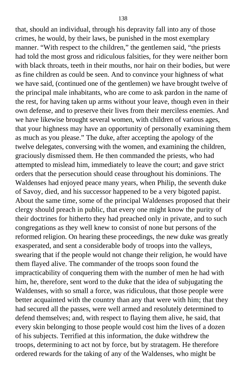that, should an individual, through his depravity fall into any of those crimes, he would, by their laws, be punished in the most exemplary manner. "With respect to the children," the gentlemen said, "the priests had told the most gross and ridiculous falsities, for they were neither born with black throats, teeth in their mouths, nor hair on their bodies, but were as fine children as could be seen. And to convince your highness of what we have said, (continued one of the gentlemen) we have brought twelve of the principal male inhabitants, who are come to ask pardon in the name of the rest, for having taken up arms without your leave, though even in their own defense, and to preserve their lives from their merciless enemies. And we have likewise brought several women, with children of various ages, that your highness may have an opportunity of personally examining them as much as you please." The duke, after accepting the apology of the twelve delegates, conversing with the women, and examining the children, graciously dismissed them. He then commanded the priests, who had attempted to mislead him, immediately to leave the court; and gave strict orders that the persecution should cease throughout his dominions. The Waldenses had enjoyed peace many years, when Philip, the seventh duke of Savoy, died, and his successor happened to be a very bigoted papist. About the same time, some of the principal Waldenses proposed that their clergy should preach in public, that every one might know the purity of their doctrines for hitherto they had preached only in private, and to such congregations as they well knew to consist of none but persons of the reformed religion. On hearing these proceedings, the new duke was greatly exasperated, and sent a considerable body of troops into the valleys, swearing that if the people would not change their religion, he would have them flayed alive. The commander of the troops soon found the impracticability of conquering them with the number of men he had with him, he, therefore, sent word to the duke that the idea of subjugating the Waldenses, with so small a force, was ridiculous, that those people were better acquainted with the country than any that were with him; that they had secured all the passes, were well armed and resolutely determined to defend themselves; and, with respect to flaying them alive, he said, that every skin belonging to those people would cost him the lives of a dozen of his subjects. Terrified at this information, the duke withdrew the troops, determining to act not by force, but by stratagem. He therefore ordered rewards for the taking of any of the Waldenses, who might be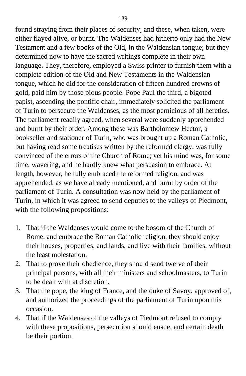found straying from their places of security; and these, when taken, were either flayed alive, or burnt. The Waldenses had hitherto only had the New Testament and a few books of the Old, in the Waldensian tongue; but they determined now to have the sacred writings complete in their own language. They, therefore, employed a Swiss printer to furnish them with a complete edition of the Old and New Testaments in the Waldensian tongue, which he did for the consideration of fifteen hundred crowns of gold, paid him by those pious people. Pope Paul the third, a bigoted papist, ascending the pontific chair, immediately solicited the parliament of Turin to persecute the Waldenses, as the most pernicious of all heretics. The parliament readily agreed, when several were suddenly apprehended and burnt by their order. Among these was Bartholomew Hector, a bookseller and stationer of Turin, who was brought up a Roman Catholic, but having read some treatises written by the reformed clergy, was fully convinced of the errors of the Church of Rome; yet his mind was, for some time, wavering, and he hardly knew what persuasion to embrace. At length, however, he fully embraced the reformed religion, and was apprehended, as we have already mentioned, and burnt by order of the parliament of Turin. A consultation was now held by the parliament of Turin, in which it was agreed to send deputies to the valleys of Piedmont, with the following propositions:

- 1. That if the Waldenses would come to the bosom of the Church of Rome, and embrace the Roman Catholic religion, they should enjoy their houses, properties, and lands, and live with their families, without the least molestation.
- 2. That to prove their obedience, they should send twelve of their principal persons, with all their ministers and schoolmasters, to Turin to be dealt with at discretion.
- 3. That the pope, the king of France, and the duke of Savoy, approved of, and authorized the proceedings of the parliament of Turin upon this occasion.
- 4. That if the Waldenses of the valleys of Piedmont refused to comply with these propositions, persecution should ensue, and certain death be their portion.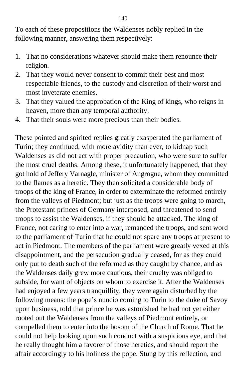To each of these propositions the Waldenses nobly replied in the following manner, answering them respectively:

- 1. That no considerations whatever should make them renounce their religion.
- 2. That they would never consent to commit their best and most respectable friends, to the custody and discretion of their worst and most inveterate enemies.
- 3. That they valued the approbation of the King of kings, who reigns in heaven, more than any temporal authority.
- 4. That their souls were more precious than their bodies.

These pointed and spirited replies greatly exasperated the parliament of Turin; they continued, with more avidity than ever, to kidnap such Waldenses as did not act with proper precaution, who were sure to suffer the most cruel deaths. Among these, it unfortunately happened, that they got hold of Jeffery Varnagle, minister of Angrogne, whom they committed to the flames as a heretic. They then solicited a considerable body of troops of the king of France, in order to exterminate the reformed entirely from the valleys of Piedmont; but just as the troops were going to march, the Protestant princes of Germany interposed, and threatened to send troops to assist the Waldenses, if they should be attacked. The king of France, not caring to enter into a war, remanded the troops, and sent word to the parliament of Turin that he could not spare any troops at present to act in Piedmont. The members of the parliament were greatly vexed at this disappointment, and the persecution gradually ceased, for as they could only put to death such of the reformed as they caught by chance, and as the Waldenses daily grew more cautious, their cruelty was obliged to subside, for want of objects on whom to exercise it. After the Waldenses had enjoyed a few years tranquillity, they were again disturbed by the following means: the pope's nuncio coming to Turin to the duke of Savoy upon business, told that prince he was astonished he had not yet either rooted out the Waldenses from the valleys of Piedmont entirely, or compelled them to enter into the bosom of the Church of Rome. That he could not help looking upon such conduct with a suspicious eye, and that he really thought him a favorer of those heretics, and should report the affair accordingly to his holiness the pope. Stung by this reflection, and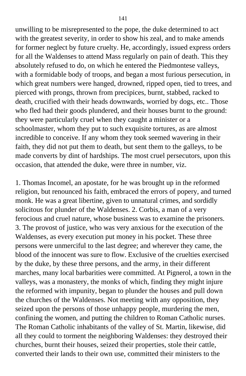unwilling to be misrepresented to the pope, the duke determined to act with the greatest severity, in order to show his zeal, and to make amends for former neglect by future cruelty. He, accordingly, issued express orders for all the Waldenses to attend Mass regularly on pain of death. This they absolutely refused to do, on which he entered the Piedmontese valleys, with a formidable body of troops, and began a most furious persecution, in which great numbers were hanged, drowned, ripped open, tied to trees, and pierced with prongs, thrown from precipices, burnt, stabbed, racked to death, crucified with their heads downwards, worried by dogs, etc.. Those who fled had their goods plundered, and their houses burnt to the ground: they were particularly cruel when they caught a minister or a schoolmaster, whom they put to such exquisite tortures, as are almost incredible to conceive. If any whom they took seemed wavering in their faith, they did not put them to death, but sent them to the galleys, to be made converts by dint of hardships. The most cruel persecutors, upon this occasion, that attended the duke, were three in number, viz.

1. Thomas Incomel, an apostate, for he was brought up in the reformed religion, but renounced his faith, embraced the errors of popery, and turned monk. He was a great libertine, given to unnatural crimes, and sordidly solicitous for plunder of the Waldenses. 2. Corbis, a man of a very ferocious and cruel nature, whose business was to examine the prisoners. 3. The provost of justice, who was very anxious for the execution of the Waldenses, as every execution put money in his pocket. These three persons were unmerciful to the last degree; and wherever they came, the blood of the innocent was sure to flow. Exclusive of the cruelties exercised by the duke, by these three persons, and the army, in their different marches, many local barbarities were committed. At Pignerol, a town in the valleys, was a monastery, the monks of which, finding they might injure the reformed with impunity, began to plunder the houses and pull down the churches of the Waldenses. Not meeting with any opposition, they seized upon the persons of those unhappy people, murdering the men, confining the women, and putting the children to Roman Catholic nurses. The Roman Catholic inhabitants of the valley of St. Martin, likewise, did all they could to torment the neighboring Waldenses: they destroyed their churches, burnt their houses, seized their properties, stole their cattle, converted their lands to their own use, committed their ministers to the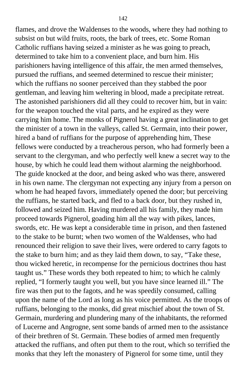flames, and drove the Waldenses to the woods, where they had nothing to subsist on but wild fruits, roots, the bark of trees, etc. Some Roman Catholic ruffians having seized a minister as he was going to preach, determined to take him to a convenient place, and burn him. His parishioners having intelligence of this affair, the men armed themselves, pursued the ruffians, and seemed determined to rescue their minister; which the ruffians no sooner perceived than they stabbed the poor gentleman, and leaving him weltering in blood, made a precipitate retreat. The astonished parishioners did all they could to recover him, but in vain: for the weapon touched the vital parts, and he expired as they were carrying him home. The monks of Pignerol having a great inclination to get the minister of a town in the valleys, called St. Germain, into their power, hired a band of ruffians for the purpose of apprehending him, These fellows were conducted by a treacherous person, who had formerly been a servant to the clergyman, and who perfectly well knew a secret way to the house, by which he could lead them without alarming the neighborhood. The guide knocked at the door, and being asked who was there, answered in his own name. The clergyman not expecting any injury from a person on whom he had heaped favors, immediately opened the door; but perceiving the ruffians, he started back, and fled to a back door, but they rushed in, followed and seized him. Having murdered all his family, they made him proceed towards Pignerol, goading him all the way with pikes, lances, swords, etc. He was kept a considerable time in prison, and then fastened to the stake to be burnt; when two women of the Waldenses, who had renounced their religion to save their lives, were ordered to carry fagots to the stake to burn him; and as they laid them down, to say, "Take these, thou wicked heretic, in recompense for the pernicious doctrines thou hast taught us." These words they both repeated to him; to which he calmly replied, "I formerly taught you well, but you have since learned ill." The fire was then put to the fagots, and he was speedily consumed, calling upon the name of the Lord as long as his voice permitted. As the troops of ruffians, belonging to the monks, did great mischief about the town of St. Germain, murdering and plundering many of the inhabitants, the reformed of Lucerne and Angrogne, sent some bands of armed men to the assistance of their brethren of St. Germain. These bodies of armed men frequently attacked the ruffians, and often put them to the rout, which so terrified the monks that they left the monastery of Pignerol for some time, until they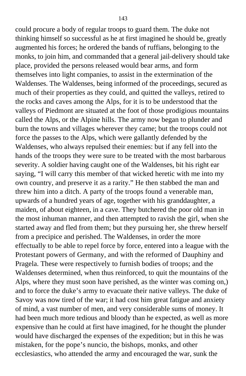could procure a body of regular troops to guard them. The duke not thinking himself so successful as he at first imagined he should be, greatly augmented his forces; he ordered the bands of ruffians, belonging to the monks, to join him, and commanded that a general jail-delivery should take place, provided the persons released would bear arms, and form themselves into light companies, to assist in the extermination of the Waldenses. The Waldenses, being informed of the proceedings, secured as much of their properties as they could, and quitted the valleys, retired to the rocks and caves among the Alps, for it is to be understood that the valleys of Piedmont are situated at the foot of those prodigious mountains called the Alps, or the Alpine hills. The army now began to plunder and burn the towns and villages wherever they came; but the troops could not force the passes to the Alps, which were gallantly defended by the Waldenses, who always repulsed their enemies: but if any fell into the hands of the troops they were sure to be treated with the most barbarous severity. A soldier having caught one of the Waldenses, bit his right ear saying, "I will carry this member of that wicked heretic with me into my own country, and preserve it as a rarity." He then stabbed the man and threw him into a ditch. A party of the troops found a venerable man, upwards of a hundred years of age, together with his granddaughter, a maiden, of about eighteen, in a cave. They butchered the poor old man in the most inhuman manner, and then attempted to ravish the girl, when she started away and fled from them; but they pursuing her, she threw herself from a precipice and perished. The Waldenses, in order the more effectually to be able to repel force by force, entered into a league with the Protestant powers of Germany, and with the reformed of Dauphiny and Pragela. These were respectively to furnish bodies of troops; and the Waldenses determined, when thus reinforced, to quit the mountains of the Alps, where they must soon have perished, as the winter was coming on,) and to force the duke's army to evacuate their native valleys. The duke of Savoy was now tired of the war; it had cost him great fatigue and anxiety of mind, a vast number of men, and very considerable sums of money. It had been much more tedious and bloody than he expected, as well as more expensive than he could at first have imagined, for he thought the plunder would have discharged the expenses of the expedition; but in this he was mistaken, for the pope's nuncio, the bishops, monks, and other ecclesiastics, who attended the army and encouraged the war, sunk the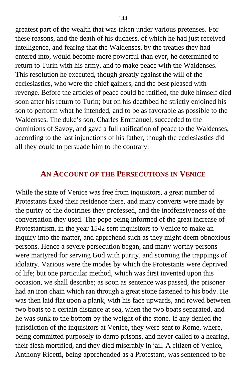greatest part of the wealth that was taken under various pretenses. For these reasons, and the death of his duchess, of which he had just received intelligence, and fearing that the Waldenses, by the treaties they had entered into, would become more powerful than ever, he determined to return to Turin with his army, and to make peace with the Waldenses. This resolution he executed, though greatly against the will of the ecclesiastics, who were the chief gainers, and the best pleased with revenge. Before the articles of peace could be ratified, the duke himself died soon after his return to Turin; but on his deathbed he strictly enjoined his son to perform what he intended, and to be as favorable as possible to the Waldenses. The duke's son, Charles Emmanuel, succeeded to the dominions of Savoy, and gave a full ratification of peace to the Waldenses, according to the last injunctions of his father, though the ecclesiastics did all they could to persuade him to the contrary.

#### **AN ACCOUNT OF THE PERSECUTIONS IN VENICE**

While the state of Venice was free from inquisitors, a great number of Protestants fixed their residence there, and many converts were made by the purity of the doctrines they professed, and the inoffensiveness of the conversation they used. The pope being informed of the great increase of Protestantism, in the year 1542 sent inquisitors to Venice to make an inquiry into the matter, and apprehend such as they might deem obnoxious persons. Hence a severe persecution began, and many worthy persons were martyred for serving God with purity, and scorning the trappings of idolatry. Various were the modes by which the Protestants were deprived of life; but one particular method, which was first invented upon this occasion, we shall describe; as soon as sentence was passed, the prisoner had an iron chain which ran through a great stone fastened to his body. He was then laid flat upon a plank, with his face upwards, and rowed between two boats to a certain distance at sea, when the two boats separated, and he was sunk to the bottom by the weight of the stone. If any denied the jurisdiction of the inquisitors at Venice, they were sent to Rome, where, being committed purposely to damp prisons, and never called to a hearing, their flesh mortified, and they died miserably in jail. A citizen of Venice, Anthony Ricetti, being apprehended as a Protestant, was sentenced to be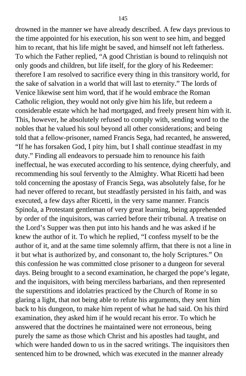drowned in the manner we have already described. A few days previous to the time appointed for his execution, his son went to see him, and begged him to recant, that his life might be saved, and himself not left fatherless. To which the Father replied, "A good Christian is bound to relinquish not only goods and children, but life itself, for the glory of his Redeemer: therefore I am resolved to sacrifice every thing in this transitory world, for the sake of salvation in a world that will last to eternity." The lords of Venice likewise sent him word, that if he would embrace the Roman Catholic religion, they would not only give him his life, but redeem a considerable estate which he had mortgaged, and freely present him with it. This, however, he absolutely refused to comply with, sending word to the nobles that he valued his soul beyond all other considerations; and being told that a fellow-prisoner, named Francis Sega, had recanted, he answered, "If he has forsaken God, I pity him, but I shall continue steadfast in my duty." Finding all endeavors to persuade him to renounce his faith ineffectual, he was executed according to his sentence, dying cheerfuly, and recommending his soul fervently to the Almighty. What Ricetti had been told concerning the apostasy of Francis Sega, was absolutely false, for he had never offered to recant, but steadfastly persisted in his faith, and was executed, a few days after Ricetti, in the very same manner. Francis Spinola, a Protestant gentleman of very great learning, being apprehended by order of the inquisitors, was carried before their tribunal. A treatise on the Lord's Supper was then put into his hands and he was asked if he knew the author of it. To which he replied, "I confess myself to be the author of it, and at the same time solemnly affirm, that there is not a line in it but what is authorized by, and consonant to, the holy Scriptures." On this confession he was committed close prisoner to a dungeon for several days. Being brought to a second examination, he charged the pope's legate, and the inquisitors, with being merciless barbarians, and then represented the superstitions and idolatries practiced by the Church of Rome in so glaring a light, that not being able to refute his arguments, they sent him back to his dungeon, to make him repent of what he had said. On his third examination, they asked him if he would recant his error. To which he answered that the doctrines he maintained were not erroneous, being purely the same as those which Christ and his apostles had taught, and which were handed down to us in the sacred writings. The inquisitors then sentenced him to be drowned, which was executed in the manner already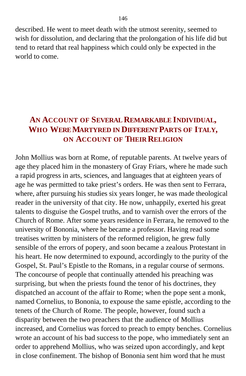described. He went to meet death with the utmost serenity, seemed to wish for dissolution, and declaring that the prolongation of his life did but tend to retard that real happiness which could only be expected in the world to come.

# **AN ACCOUNT OF SEVERAL REMARKABLE INDIVIDUAL, WHO WERE MARTYRED IN DIFFERENT PARTS OF ITALY, ON ACCOUNT OF THEIR RELIGION**

John Mollius was born at Rome, of reputable parents. At twelve years of age they placed him in the monastery of Gray Friars, where he made such a rapid progress in arts, sciences, and languages that at eighteen years of age he was permitted to take priest's orders. He was then sent to Ferrara, where, after pursuing his studies six years longer, he was made theological reader in the university of that city. He now, unhappily, exerted his great talents to disguise the Gospel truths, and to varnish over the errors of the Church of Rome. After some years residence in Ferrara, he removed to the university of Bononia, where he became a professor. Having read some treatises written by ministers of the reformed religion, he grew fully sensible of the errors of popery, and soon became a zealous Protestant in his heart. He now determined to expound, accordingly to the purity of the Gospel, St. Paul's Epistle to the Romans, in a regular course of sermons. The concourse of people that continually attended his preaching was surprising, but when the priests found the tenor of his doctrines, they dispatched an account of the affair to Rome; when the pope sent a monk, named Cornelius, to Bononia, to expouse the same epistle, according to the tenets of the Church of Rome. The people, however, found such a disparity between the two preachers that the audience of Mollius increased, and Cornelius was forced to preach to empty benches. Cornelius wrote an account of his bad success to the pope, who immediately sent an order to apprehend Mollius, who was seized upon accordingly, and kept in close confinement. The bishop of Bononia sent him word that he must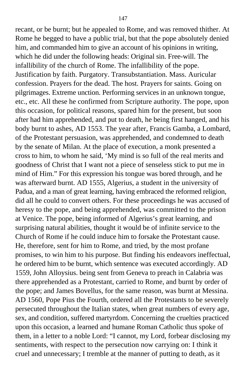recant, or be burnt; but he appealed to Rome, and was removed thither. At Rome he begged to have a public trial, but that the pope absolutely denied him, and commanded him to give an account of his opinions in writing, which he did under the following heads: Original sin. Free-will. The infallibility of the church of Rome. The infallibility of the pope. Justification by faith. Purgatory. Transubstantiation. Mass. Auricular confession. Prayers for the dead. The host. Prayers for saints. Going on pilgrimages. Extreme unction. Performing services in an unknown tongue, etc., etc. All these he confirmed from Scripture authority. The pope, upon this occasion, for political reasons, spared him for the present, but soon after had him apprehended, and put to death, he being first hanged, and his body burnt to ashes, AD 1553. The year after, Francis Gamba, a Lombard, of the Protestant persuasion, was apprehended, and condemned to death by the senate of Milan. At the place of execution, a monk presented a cross to him, to whom he said, 'My mind is so full of the real merits and goodness of Christ that I want not a piece of senseless stick to put me in mind of Him." For this expression his tongue was bored through, and he was afterward burnt. AD 1555, Algerius, a student in the university of Padua, and a man of great learning, having embraced the reformed religion, did all he could to convert others. For these proceedings he was accused of heresy to the pope, and being apprehended, was committed to the prison at Venice. The pope, being informed of Algerius's great learning, and surprising natural abilities, thought it would be of infinite service to the Church of Rome if he could induce him to forsake the Protestant cause. He, therefore, sent for him to Rome, and tried, by the most profane promises, to win him to his purpose. But finding his endeavors ineffectual, he ordered him to be burnt, which sentence was executed accordingly. AD 1559, John Alloysius. being sent from Geneva to preach in Calabria was there apprehended as a Protestant, carried to Rome, and burnt by order of the pope; and James Bovellus, for the same reason, was burnt at Messina. AD 1560, Pope Pius the Fourth, ordered all the Protestants to be severely persecuted throughout the Italian states, when great numbers of every age, sex, and condition, suffered martyrdom. Concerning the cruelties practiced upon this occasion, a learned and humane Roman Catholic thus spoke of them, in a letter to a noble Lord: "I cannot, my Lord, forbear disclosing my sentiments, with respect to the persecution now carrying on: I think it cruel and unnecessary; I tremble at the manner of putting to death, as it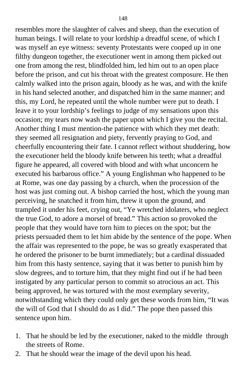resembles more the slaughter of calves and sheep, than the execution of human beings. I will relate to your lordship a dreadful scene, of which I was myself an eye witness: seventy Protestants were cooped up in one filthy dungeon together, the executioner went in among them picked out one from among the rest, blindfolded him, led him out to an open place before the prison, and cut his throat with the greatest composure. He then calmly walked into the prison again, bloody as he was, and with the knife in his hand selected another, and dispatched him in the same manner; and this, my Lord, he repeated until the whole number were put to death. I leave it to your lordship's feelings to judge of my sensations upon this occasion; my tears now wash the paper upon which I give you the recital. Another thing I must mention-the patience with which they met death: they seemed all resignation and piety, fervently praying to God, and cheerfully encountering their fate. I cannot reflect without shuddering, how the executioner held the bloody knife between his teeth; what a dreadful figure he appeared, all covered with blood and with what unconcern he executed his barbarous office." A young Englishman who happened to be at Rome, was one day passing by a church, when the procession of the host was just coming out. A bishop carried the host, which the young man perceiving, he snatched it from him, threw it upon the ground, and trampled it under his feet, crying out, "Ye wretched idolaters, who neglect the true God, to adore a morsel of bread." This action so provoked the people that they would have torn him to pieces on the spot; but the priests persuaded them to let him abide by the sentence of the pope. When the affair was represented to the pope, he was so greatly exasperated that he ordered the prisoner to be burnt immediately; but a cardinal dissuaded him from this hasty sentence, saying that it was better to punish him by slow degrees, and to torture him, that they might find out if he had been instigated by any particular person to commit so atrocious an act. This being approved, he was tortured with the most exemplary severity, notwithstanding which they could only get these words from him, "It was the will of God that I should do as I did." The pope then passed this sentence upon him.

- 1. That he should be led by the executioner, naked to the middle through the streets of Rome.
- 2. That he should wear the image of the devil upon his head.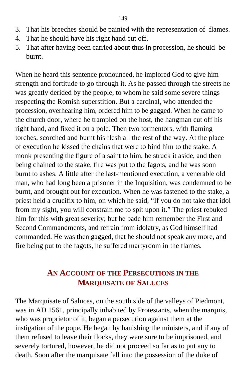- 4. That he should have his right hand cut off.
- 5. That after having been carried about thus in procession, he should be burnt.

When he heard this sentence pronounced, he implored God to give him strength and fortitude to go through it. As he passed through the streets he was greatly derided by the people, to whom he said some severe things respecting the Romish superstition. But a cardinal, who attended the procession, overhearing him, ordered him to be gagged. When he came to the church door, where he trampled on the host, the hangman cut off his right hand, and fixed it on a pole. Then two tormentors, with flaming torches, scorched and burnt his flesh all the rest of the way. At the place of execution he kissed the chains that were to bind him to the stake. A monk presenting the figure of a saint to him, he struck it aside, and then being chained to the stake, fire was put to the fagots, and he was soon burnt to ashes. A little after the last-mentioned execution, a venerable old man, who had long been a prisoner in the Inquisition, was condemned to be burnt, and brought out for execution. When he was fastened to the stake, a priest held a crucifix to him, on which he said, "If you do not take that idol from my sight, you will constrain me to spit upon it." The priest rebuked him for this with great severity; but he bade him remember the First and Second Commandments, and refrain from idolatry, as God himself had commanded. He was then gagged, that he should not speak any more, and fire being put to the fagots, he suffered martyrdom in the flames.

### **AN ACCOUNT OF THE PERSECUTIONS IN THE MARQUISATE OF SALUCES**

The Marquisate of Saluces, on the south side of the valleys of Piedmont, was in AD 1561, principally inhabited by Protestants, when the marquis, who was proprietor of it, began a persecution against them at the instigation of the pope. He began by banishing the ministers, and if any of them refused to leave their flocks, they were sure to be imprisoned, and severely tortured, however, he did not proceed so far as to put any to death. Soon after the marquisate fell into the possession of the duke of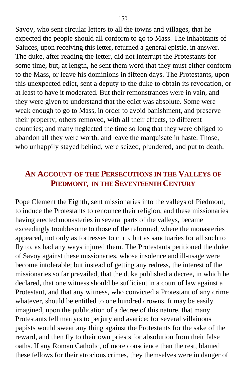Savoy, who sent circular letters to all the towns and villages, that he expected the people should all conform to go to Mass. The inhabitants of Saluces, upon receiving this letter, returned a general epistle, in answer. The duke, after reading the letter, did not interrupt the Protestants for some time, but, at length, he sent them word that they must either conform to the Mass, or leave his dominions in fifteen days. The Protestants, upon this unexpected edict, sent a deputy to the duke to obtain its revocation, or at least to have it moderated. But their remonstrances were in vain, and they were given to understand that the edict was absolute. Some were weak enough to go to Mass, in order to avoid banishment, and preserve their property; others removed, with all their effects, to different countries; and many neglected the time so long that they were obliged to abandon all they were worth, and leave the marquisate in haste. Those, who unhappily stayed behind, were seized, plundered, and put to death.

## **AN ACCOUNT OF THE PERSECUTIONS IN THE VALLEYS OF PIEDMONT, IN THE SEVENTEENTH CENTURY**

Pope Clement the Eighth, sent missionaries into the valleys of Piedmont, to induce the Protestants to renounce their religion, and these missionaries having erected monasteries in several parts of the valleys, became exceedingly troublesome to those of the reformed, where the monasteries appeared, not only as fortresses to curb, but as sanctuaries for all such to fly to, as had any ways injured them. The Protestants petitioned the duke of Savoy against these missionaries, whose insolence and ill-usage were become intolerable; but instead of getting any redress, the interest of the missionaries so far prevailed, that the duke published a decree, in which he declared, that one witness should be sufficient in a court of law against a Protestant, and that any witness, who convicted a Protestant of any crime whatever, should be entitled to one hundred crowns. It may be easily imagined, upon the publication of a decree of this nature, that many Protestants fell martyrs to perjury and avarice; for several villainous papists would swear any thing against the Protestants for the sake of the reward, and then fly to their own priests for absolution from their false oaths. If any Roman Catholic, of more conscience than the rest, blamed these fellows for their atrocious crimes, they themselves were in danger of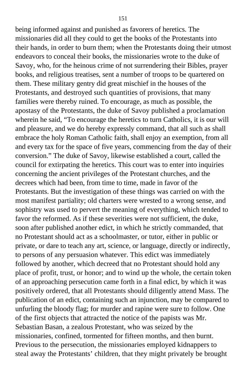being informed against and punished as favorers of heretics. The missionaries did all they could to get the books of the Protestants into their hands, in order to burn them; when the Protestants doing their utmost endeavors to conceal their books, the missionaries wrote to the duke of Savoy, who, for the heinous crime of not surrendering their Bibles, prayer books, and religious treatises, sent a number of troops to be quartered on them. These military gentry did great mischief in the houses of the Protestants, and destroyed such quantities of provisions, that many families were thereby ruined. To encourage, as much as possible, the apostasy of the Protestants, the duke of Savoy published a proclamation wherein he said, "To encourage the heretics to turn Catholics, it is our will and pleasure, and we do hereby expressly command, that all such as shall embrace the holy Roman Catholic faith, shall enjoy an exemption, from all and every tax for the space of five years, commencing from the day of their conversion." The duke of Savoy, likewise established a court, called the council for extirpating the heretics. This court was to enter into inquiries concerning the ancient privileges of the Protestant churches, and the decrees which had been, from time to time, made in favor of the Protestants. But the investigation of these things was carried on with the most manifest partiality; old charters were wrested to a wrong sense, and sophistry was used to pervert the meaning of everything, which tended to favor the reformed. As if these severities were not sufficient, the duke, soon after published another edict, in which he strictly commanded, that no Protestant should act as a schoolmaster, or tutor, either in public or private, or dare to teach any art, science, or language, directly or indirectly, to persons of any persuasion whatever. This edict was immediately followed by another, which decreed that no Protestant should hold any place of profit, trust, or honor; and to wind up the whole, the certain token of an approaching persecution came forth in a final edict, by which it was positively ordered, that all Protestants should diligently attend Mass. The publication of an edict, containing such an injunction, may be compared to unfurling the bloody flag; for murder and rapine were sure to follow. One of the first objects that attracted the notice of the papists was Mr. Sebastian Basan, a zealous Protestant, who was seized by the missionaries, confined, tormented for fifteen months, and then burnt. Previous to the persecution, the missionaries employed kidnappers to steal away the Protestants' children, that they might privately be brought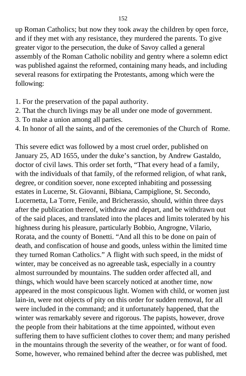up Roman Catholics; but now they took away the children by open force, and if they met with any resistance, they murdered the parents. To give greater vigor to the persecution, the duke of Savoy called a general assembly of the Roman Catholic nobility and gentry where a solemn edict was published against the reformed, containing many heads, and including several reasons for extirpating the Protestants, among which were the following:

- 1. For the preservation of the papal authority.
- 2. That the church livings may be all under one mode of government.
- 3. To make a union among all parties.
- 4. In honor of all the saints, and of the ceremonies of the Church of Rome.

This severe edict was followed by a most cruel order, published on January 25, AD 1655, under the duke's sanction, by Andrew Gastaldo, doctor of civil laws. This order set forth, "That every head of a family, with the individuals of that family, of the reformed religion, of what rank, degree, or condition soever, none excepted inhabiting and possessing estates in Lucerne, St. Giovanni, Bibiana, Campiglione, St. Secondo, Lucernetta, La Torre, Fenile, and Bricherassio, should, within three days after the publication thereof, withdraw and depart, and be withdrawn out of the said places, and translated into the places and limits tolerated by his highness during his pleasure, particularly Bobbio, Angrogne, Vilario, Rorata, and the county of Bonetti. "And all this to be done on pain of death, and confiscation of house and goods, unless within the limited time they turned Roman Catholics." A flight with such speed, in the midst of winter, may be conceived as no agreeable task, especially in a country almost surrounded by mountains. The sudden order affected all, and things, which would have been scarcely noticed at another time, now appeared in the most conspicuous light. Women with child, or women just lain-in, were not objects of pity on this order for sudden removal, for all were included in the command; and it unfortunately happened, that the winter was remarkably severe and rigorous. The papists, however, drove the people from their habitations at the time appointed, without even suffering them to have sufficient clothes to cover them; and many perished in the mountains through the severity of the weather, or for want of food. Some, however, who remained behind after the decree was published, met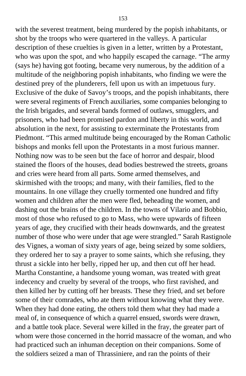with the severest treatment, being murdered by the popish inhabitants, or shot by the troops who were quartered in the valleys. A particular description of these cruelties is given in a letter, written by a Protestant, who was upon the spot, and who happily escaped the carnage. "The army (says he) having got footing, became very numerous, by the addition of a multitude of the neighboring popish inhabitants, who finding we were the destined prey of the plunderers, fell upon us with an impetuous fury. Exclusive of the duke of Savoy's troops, and the popish inhabitants, there were several regiments of French auxiliaries, some companies belonging to the Irish brigades, and several bands formed of outlaws, smugglers, and prisoners, who had been promised pardon and liberty in this world, and absolution in the next, for assisting to exterminate the Protestants from Piedmont. "This armed multitude being encouraged by the Roman Catholic bishops and monks fell upon the Protestants in a most furious manner. Nothing now was to be seen but the face of horror and despair, blood stained the floors of the houses, dead bodies bestrewed the streets, groans and cries were heard from all parts. Some armed themselves, and skirmished with the troops; and many, with their families, fled to the mountains. In one village they cruelly tormented one hundred and fifty women and children after the men were fled, beheading the women, and dashing out the brains of the children. In the towns of Vilario and Bobbio, most of those who refused to go to Mass, who were upwards of fifteen years of age, they crucified with their heads downwards, and the greatest number of those who were under that age were strangled." Sarah Rastignole des Vignes, a woman of sixty years of age, being seized by some soldiers, they ordered her to say a prayer to some saints, which she refusing, they thrust a sickle into her belly, ripped her up, and then cut off her head. Martha Constantine, a handsome young woman, was treated with great indecency and cruelty by several of the troops, who first ravished, and then killed her by cutting off her breasts. These they fried, and set before some of their comrades, who ate them without knowing what they were. When they had done eating, the others told them what they had made a meal of, in consequence of which a quarrel ensued, swords were drawn, and a battle took place. Several were killed in the fray, the greater part of whom were those concerned in the horrid massacre of the woman, and who had practiced such an inhuman deception on their companions. Some of the soldiers seized a man of Thrassiniere, and ran the points of their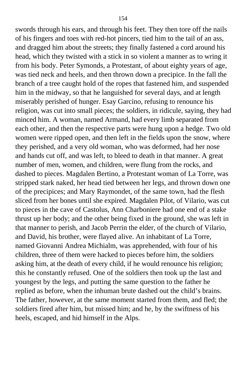swords through his ears, and through his feet. They then tore off the nails of his fingers and toes with red-hot pincers, tied him to the tail of an ass, and dragged him about the streets; they finally fastened a cord around his head, which they twisted with a stick in so violent a manner as to wring it from his body. Peter Symonds, a Protestant, of about eighty years of age, was tied neck and heels, and then thrown down a precipice. In the fall the branch of a tree caught hold of the ropes that fastened him, and suspended him in the midway, so that he languished for several days, and at length miserably perished of hunger. Esay Garcino, refusing to renounce his religion, was cut into small pieces; the soldiers, in ridicule, saying, they had minced him. A woman, named Armand, had every limb separated from each other, and then the respective parts were hung upon a hedge. Two old women were ripped open, and then left in the fields upon the snow, where they perished, and a very old woman, who was deformed, had her nose and hands cut off, and was left, to bleed to death in that manner. A great number of men, women, and children, were flung from the rocks, and dashed to pieces. Magdalen Bertino, a Protestant woman of La Torre, was stripped stark naked, her head tied between her legs, and thrown down one of the precipices; and Mary Raymondet, of the same town, had the flesh sliced from her bones until she expired. Magdalen Pilot, of Vilario, was cut to pieces in the cave of Castolus, Ann Charboniere had one end of a stake thrust up her body; and the other being fixed in the ground, she was left in that manner to perish, and Jacob Perrin the elder, of the church of Vilario, and David, his brother, were flayed alive. An inhabitant of La Torre, named Giovanni Andrea Michialm, was apprehended, with four of his children, three of them were hacked to pieces before him, the soldiers asking him, at the death of every child, if he would renounce his religion; this he constantly refused. One of the soldiers then took up the last and youngest by the legs, and putting the same question to the father he replied as before, when the inhuman brute dashed out the child's brains. The father, however, at the same moment started from them, and fled; the soldiers fired after him, but missed him; and he, by the swiftness of his heels, escaped, and hid himself in the Alps.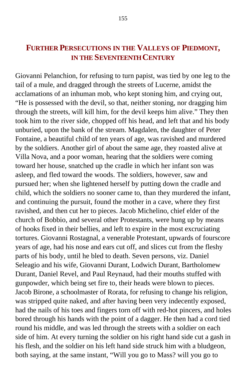### **FURTHER PERSECUTIONS IN THE VALLEYS OF PIEDMONT, IN THE SEVENTEENTH CENTURY**

Giovanni Pelanchion, for refusing to turn papist, was tied by one leg to the tail of a mule, and dragged through the streets of Lucerne, amidst the acclamations of an inhuman mob, who kept stoning him, and crying out, "He is possessed with the devil, so that, neither stoning, nor dragging him through the streets, will kill him, for the devil keeps him alive." They then took him to the river side, chopped off his head, and left that and his body unburied, upon the bank of the stream. Magdalen, the daughter of Peter Fontaine, a beautiful child of ten years of age, was ravished and murdered by the soldiers. Another girl of about the same age, they roasted alive at Villa Nova, and a poor woman, hearing that the soldiers were coming toward her house, snatched up the cradle in which her infant son was asleep, and fled toward the woods. The soldiers, however, saw and pursued her; when she lightened herself by putting down the cradle and child, which the soldiers no sooner came to, than they murdered the infant, and continuing the pursuit, found the mother in a cave, where they first ravished, and then cut her to pieces. Jacob Michelino, chief elder of the church of Bobbio, and several other Protestants, were hung up by means of hooks fixed in their bellies, and left to expire in the most excruciating tortures. Giovanni Rostagnal, a venerable Protestant, upwards of fourscore years of age, had his nose and ears cut off, and slices cut from the fleshy parts of his body, until he bled to death. Seven persons, viz. Daniel Seleagio and his wife, Giovanni Durant, Lodwich Durant, Bartholomew Durant, Daniel Revel, and Paul Reynaud, had their mouths stuffed with gunpowder, which being set fire to, their heads were blown to pieces. Jacob Birone, a schoolmaster of Rorata, for refusing to change his religion, was stripped quite naked, and after having been very indecently exposed, had the nails of his toes and fingers torn off with red-hot pincers, and holes bored through his hands with the point of a dagger. He then had a cord tied round his middle, and was led through the streets with a soldier on each side of him. At every turning the soldier on his right hand side cut a gash in his flesh, and the soldier on his left hand side struck him with a bludgeon, both saying, at the same instant, "Will you go to Mass? will you go to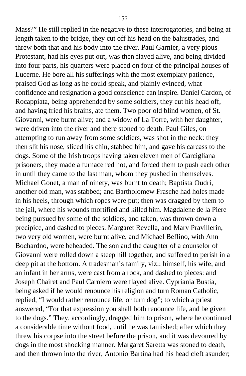Mass?" He still replied in the negative to these interrogatories, and being at length taken to the bridge, they cut off his head on the balustrades, and threw both that and his body into the river. Paul Garnier, a very pious Protestant, had his eyes put out, was then flayed alive, and being divided into four parts, his quarters were placed on four of the principal houses of Lucerne. He bore all his sufferings with the most exemplary patience, praised God as long as he could speak, and plainly evinced, what confidence and resignation a good conscience can inspire. Daniel Cardon, of Rocappiata, being apprehended by some soldiers, they cut his head off, and having fried his brains, ate them. Two poor old blind women, of St. Giovanni, were burnt alive; and a widow of La Torre, with her daughter, were driven into the river and there stoned to death. Paul Giles, on attempting to run away from some soldiers, was shot in the neck: they then slit his nose, sliced his chin, stabbed him, and gave his carcass to the dogs. Some of the Irish troops having taken eleven men of Garcigliana prisoners, they made a furnace red hot, and forced them to push each other in until they came to the last man, whom they pushed in themselves. Michael Gonet, a man of ninety, was burnt to death; Baptista Oudri, another old man, was stabbed; and Bartholomew Frasche had holes made in his heels, through which ropes were put; then was dragged by them to the jail, where his wounds mortified and killed him. Magdalene de la Piere being pursued by some of the soldiers, and taken, was thrown down a precipice, and dashed to pieces. Margaret Revella, and Mary Pravillerin, two very old women, were burnt alive, and Michael Beflino, with Ann Bochardno, were beheaded. The son and the daughter of a counselor of Giovanni were rolled down a steep hill together, and suffered to perish in a deep pit at the bottom. A tradesman's family, viz.: himself, his wife, and an infant in her arms, were cast from a rock, and dashed to pieces: and Joseph Chairet and Paul Carniero were flayed alive. Cypriania Bustia, being asked if he would renounce his religion and turn Roman Catholic, replied, "I would rather renounce life, or turn dog"; to which a priest answered, "For that expression you shall both renounce life, and be given to the dogs." They, accordingly, dragged him to prison, where he continued a considerable time without food, until he was famished; after which they threw his corpse into the street before the prison, and it was devoured by dogs in the most shocking manner. Margaret Saretta was stoned to death, and then thrown into the river, Antonio Bartina had his head cleft asunder;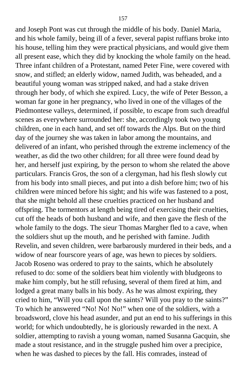and Joseph Pont was cut through the middle of his body. Daniel Maria, and his whole family, being ill of a fever, several papist ruffians broke into his house, telling him they were practical physicians, and would give them all present ease, which they did by knocking the whole family on the head. Three infant children of a Protestant, named Peter Fine, were covered with snow, and stifled; an elderly widow, named Judith, was beheaded, and a beautiful young woman was stripped naked, and had a stake driven through her body, of which she expired. Lucy, the wife of Peter Besson, a woman far gone in her pregnancy, who lived in one of the villages of the Piedmontese valleys, determined, if possible, to escape from such dreadful scenes as everywhere surrounded her: she, accordingly took two young children, one in each hand, and set off towards the Alps. But on the third day of the journey she was taken in labor among the mountains, and delivered of an infant, who perished through the extreme inclemency of the weather, as did the two other children; for all three were found dead by her, and herself just expiring, by the person to whom she related the above particulars. Francis Gros, the son of a clergyman, had his flesh slowly cut from his body into small pieces, and put into a dish before him; two of his children were minced before his sight; and his wife was fastened to a post, that she might behold all these cruelties practiced on her husband and offspring. The tormentors at length being tired of exercising their cruelties, cut off the heads of both husband and wife, and then gave the flesh of the whole family to the dogs. The sieur Thomas Margher fled to a cave, when the soldiers shut up the mouth, and he perished with famine. Judith Revelin, and seven children, were barbarously murdered in their beds, and a widow of near fourscore years of age, was hewn to pieces by soldiers. Jacob Roseno was ordered to pray to the saints, which he absolutely refused to do: some of the soldiers beat him violently with bludgeons to make him comply, but he still refusing, several of them fired at him, and lodged a great many balls in his body. As he was almost expiring, they cried to him, "Will you call upon the saints? Will you pray to the saints?" To which he answered "No! No! No!" when one of the soldiers, with a broadsword, clove his head asunder, and put an end to his sufferings in this world; for which undoubtedly, he is gloriously rewarded in the next. A soldier, attempting to ravish a young woman, named Susanna Gacquin, she made a stout resistance, and in the struggle pushed him over a precipice, when he was dashed to pieces by the fall. His comrades, instead of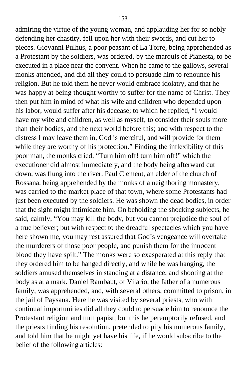admiring the virtue of the young woman, and applauding her for so nobly defending her chastity, fell upon her with their swords, and cut her to pieces. Giovanni Pulhus, a poor peasant of La Torre, being apprehended as a Protestant by the soldiers, was ordered, by the marquis of Pianesta, to be executed in a place near the convent. When he came to the gallows, several monks attended, and did all they could to persuade him to renounce his religion. But he told them he never would embrace idolatry, and that he was happy at being thought worthy to suffer for the name of Christ. They then put him in mind of what his wife and children who depended upon his labor, would suffer after his decease; to which he replied, "I would have my wife and children, as well as myself, to consider their souls more than their bodies, and the next world before this; and with respect to the distress I may leave them in, God is merciful, and will provide for them while they are worthy of his protection." Finding the inflexibility of this poor man, the monks cried, "Turn him off! turn him off!" which the executioner did almost immediately, and the body being afterward cut down, was flung into the river. Paul Clement, an elder of the church of Rossana, being apprehended by the monks of a neighboring monastery, was carried to the market place of that town, where some Protestants had just been executed by the soldiers. He was shown the dead bodies, in order that the sight might intimidate him. On beholding the shocking subjects, he said, calmly, "You may kill the body, but you cannot prejudice the soul of a true believer; but with respect to the dreadful spectacles which you have here shown me, you may rest assured that God's vengeance will overtake the murderers of those poor people, and punish them for the innocent blood they have spilt." The monks were so exasperated at this reply that they ordered him to be hanged directly, and while he was hanging, the soldiers amused themselves in standing at a distance, and shooting at the body as at a mark. Daniel Rambaut, of Vilario, the father of a numerous family, was apprehended, and, with several others, committed to prison, in the jail of Paysana. Here he was visited by several priests, who with continual importunities did all they could to persuade him to renounce the Protestant religion and turn papist; but this he peremptorily refused, and the priests finding his resolution, pretended to pity his numerous family, and told him that he might yet have his life, if he would subscribe to the belief of the following articles: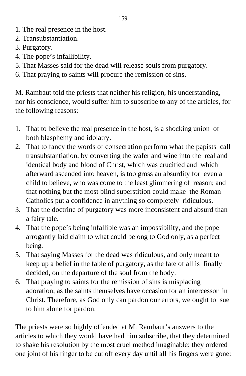- 2. Transubstantiation.
- 3. Purgatory.
- 4. The pope's infallibility.
- 5. That Masses said for the dead will release souls from purgatory.
- 6. That praying to saints will procure the remission of sins.

M. Rambaut told the priests that neither his religion, his understanding, nor his conscience, would suffer him to subscribe to any of the articles, for the following reasons:

- 1. That to believe the real presence in the host, is a shocking union of both blasphemy and idolatry.
- 2. That to fancy the words of consecration perform what the papists call transubstantiation, by converting the wafer and wine into the real and identical body and blood of Christ, which was crucified and which afterward ascended into heaven, is too gross an absurdity for even a child to believe, who was come to the least glimmering of reason; and that nothing but the most blind superstition could make the Roman Catholics put a confidence in anything so completely ridiculous.
- 3. That the doctrine of purgatory was more inconsistent and absurd than a fairy tale.
- 4. That the pope's being infallible was an impossibility, and the pope arrogantly laid claim to what could belong to God only, as a perfect being.
- 5. That saying Masses for the dead was ridiculous, and only meant to keep up a belief in the fable of purgatory, as the fate of all is finally decided, on the departure of the soul from the body.
- 6. That praying to saints for the remission of sins is misplacing adoration; as the saints themselves have occasion for an intercessor in Christ. Therefore, as God only can pardon our errors, we ought to sue to him alone for pardon.

The priests were so highly offended at M. Rambaut's answers to the articles to which they would have had him subscribe, that they determined to shake his resolution by the most cruel method imaginable: they ordered one joint of his finger to be cut off every day until all his fingers were gone: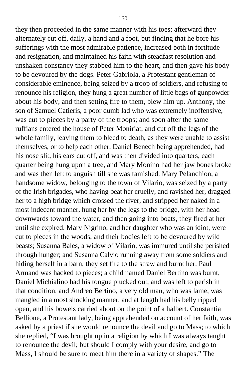they then proceeded in the same manner with his toes; afterward they alternately cut off, daily, a hand and a foot, but finding that he bore his sufferings with the most admirable patience, increased both in fortitude and resignation, and maintained his faith with steadfast resolution and unshaken constancy they stabbed him to the heart, and then gave his body to be devoured by the dogs. Peter Gabriola, a Protestant gentleman of considerable eminence, being seized by a troop of soldiers, and refusing to renounce his religion, they hung a great number of little bags of gunpowder about his body, and then setting fire to them, blew him up. Anthony, the son of Samuel Catieris, a poor dumb lad who was extremely inoffensive, was cut to pieces by a party of the troops; and soon after the same ruffians entered the house of Peter Moniriat, and cut off the legs of the whole family, leaving them to bleed to death, as they were unable to assist themselves, or to help each other. Daniel Benech being apprehended, had his nose slit, his ears cut off, and was then divided into quarters, each quarter being hung upon a tree, and Mary Monino had her jaw bones broke and was then left to anguish till she was famished. Mary Pelanchion, a handsome widow, belonging to the town of Vilario, was seized by a party of the Irish brigades, who having beat her cruelly, and ravished her, dragged her to a high bridge which crossed the river, and stripped her naked in a most indecent manner, hung her by the legs to the bridge, with her head downwards toward the water, and then going into boats, they fired at her until she expired. Mary Nigrino, and her daughter who was an idiot, were cut to pieces in the woods, and their bodies left to be devoured by wild beasts; Susanna Bales, a widow of Vilario, was immured until she perished through hunger; and Susanna Calvio running away from some soldiers and hiding herself in a barn, they set fire to the straw and burnt her. Paul Armand was hacked to pieces; a child named Daniel Bertino was burnt, Daniel Michialino had his tongue plucked out, and was left to perish in that condition, and Andreo Bertino, a very old man, who was lame, was mangled in a most shocking manner, and at length had his belly ripped open, and his bowels carried about on the point of a halbert. Constantia Bellione, a Protestant lady, being apprehended on account of her faith, was asked by a priest if she would renounce the devil and go to Mass; to which she replied, "I was brought up in a religion by which I was always taught to renounce the devil; but should I comply with your desire, and go to Mass, I should be sure to meet him there in a variety of shapes." The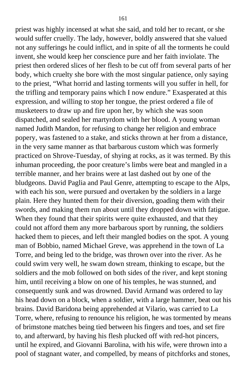priest was highly incensed at what she said, and told her to recant, or she would suffer cruelly. The lady, however, boldly answered that she valued not any sufferings he could inflict, and in spite of all the torments he could invent, she would keep her conscience pure and her faith inviolate. The priest then ordered slices of her flesh to be cut off from several parts of her body, which cruelty she bore with the most singular patience, only saying to the priest, "What horrid and lasting torments will you suffer in hell, for the trifling and temporary pains which I now endure." Exasperated at this expression, and willing to stop her tongue, the priest ordered a file of musketeers to draw up and fire upon her, by which she was soon dispatched, and sealed her martyrdom with her blood. A young woman named Judith Mandon, for refusing to change her religion and embrace popery, was fastened to a stake, and sticks thrown at her from a distance, in the very same manner as that barbarous custom which was formerly practiced on Shrove-Tuesday, of shying at rocks, as it was termed. By this inhuman proceeding, the poor creature's limbs were beat and mangled in a terrible manner, and her brains were at last dashed out by one of the bludgeons. David Paglia and Paul Genre, attempting to escape to the Alps, with each his son, were pursued and overtaken by the soldiers in a large plain. Here they hunted them for their diversion, goading them with their swords, and making them run about until they dropped down with fatigue. When they found that their spirits were quite exhausted, and that they could not afford them any more barbarous sport by running, the soldiers hacked them to pieces, and left their mangled bodies on the spot. A young man of Bobbio, named Michael Greve, was apprehend in the town of La Torre, and being led to the bridge, was thrown over into the river. As he could swim very well, he swam down stream, thinking to escape, but the soldiers and the mob followed on both sides of the river, and kept stoning him, until receiving a blow on one of his temples, he was stunned, and consequently sunk and was drowned. David Armand was ordered to lay his head down on a block, when a soldier, with a large hammer, beat out his brains. David Baridona being apprehended at Vilario, was carried to La Torre, where, refusing to renounce his religion, he was tormented by means of brimstone matches being tied between his fingers and toes, and set fire to, and afterward, by having his flesh plucked off with red-hot pincers, until he expired, and Giovanni Barolina, with his wife, were thrown into a pool of stagnant water, and compelled, by means of pitchforks and stones,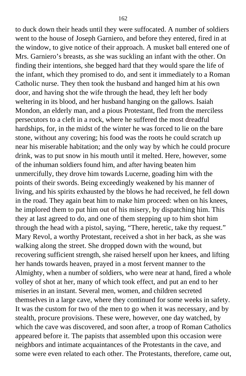to duck down their heads until they were suffocated. A number of soldiers went to the house of Joseph Garniero, and before they entered, fired in at the window, to give notice of their approach. A musket ball entered one of Mrs. Garniero's breasts, as she was suckling an infant with the other. On finding their intentions, she begged hard that they would spare the life of the infant, which they promised to do, and sent it immediately to a Roman Catholic nurse. They then took the husband and hanged him at his own door, and having shot the wife through the head, they left her body weltering in its blood, and her husband hanging on the gallows. Isaiah Mondon, an elderly man, and a pious Protestant, fled from the merciless persecutors to a cleft in a rock, where he suffered the most dreadful hardships, for, in the midst of the winter he was forced to lie on the bare stone, without any covering; his food was the roots he could scratch up near his miserable habitation; and the only way by which he could procure drink, was to put snow in his mouth until it melted. Here, however, some of the inhuman soldiers found him, and after having beaten him unmercifully, they drove him towards Lucerne, goading him with the points of their swords. Being exceedingly weakened by his manner of living, and his spirits exhausted by the blows he had received, he fell down in the road. They again beat him to make him proceed: when on his knees, he implored them to put him out of his misery, by dispatching him. This they at last agreed to do, and one of them stepping up to him shot him through the head with a pistol, saying, "There, heretic, take thy request." Mary Revol, a worthy Protestant, received a shot in her back, as she was walking along the street. She dropped down with the wound, but recovering sufficient strength, she raised herself upon her knees, and lifting her hands towards heaven, prayed in a most fervent manner to the Almighty, when a number of soldiers, who were near at hand, fired a whole volley of shot at her, many of which took effect, and put an end to her miseries in an instant. Several men, women, and children secreted themselves in a large cave, where they continued for some weeks in safety. It was the custom for two of the men to go when it was necessary, and by stealth, procure provisions. These were, however, one day watched, by which the cave was discovered, and soon after, a troop of Roman Catholics appeared before it. The papists that assembled upon this occasion were neighbors and intimate acquaintances of the Protestants in the cave, and some were even related to each other. The Protestants, therefore, came out,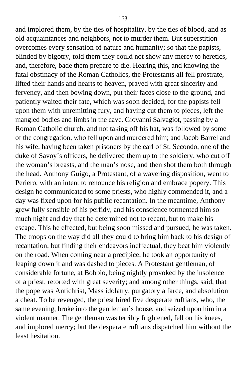and implored them, by the ties of hospitality, by the ties of blood, and as old acquaintances and neighbors, not to murder them. But superstition overcomes every sensation of nature and humanity; so that the papists, blinded by bigotry, told them they could not show any mercy to heretics, and, therefore, bade them prepare to die. Hearing this, and knowing the fatal obstinacy of the Roman Catholics, the Protestants all fell prostrate, lifted their hands and hearts to heaven, prayed with great sincerity and fervency, and then bowing down, put their faces close to the ground, and patiently waited their fate, which was soon decided, for the papists fell upon them with unremitting fury, and having cut them to pieces, left the mangled bodies and limbs in the cave. Giovanni Salvagiot, passing by a Roman Catholic church, and not taking off his hat, was followed by some of the congregation, who fell upon and murdered him; and Jacob Barrel and his wife, having been taken prisoners by the earl of St. Secondo, one of the duke of Savoy's officers, he delivered them up to the soldiery. who cut off the woman's breasts, and the man's nose, and then shot them both through the head. Anthony Guigo, a Protestant, of a wavering disposition, went to Periero, with an intent to renounce his religion and embrace popery. This design he communicated to some priests, who highly commended it, and a day was fixed upon for his public recantation. In the meantime, Anthony grew fully sensible of his perfidy, and his conscience tormented him so much night and day that he determined not to recant, but to make his escape. This he effected, but being soon missed and pursued, he was taken. The troops on the way did all they could to bring him back to his design of recantation; but finding their endeavors ineffectual, they beat him violently on the road. When coming near a precipice, he took an opportunity of leaping down it and was dashed to pieces. A Protestant gentleman, of considerable fortune, at Bobbio, being nightly provoked by the insolence of a priest, retorted with great severity; and among other things, said, that the pope was Antichrist, Mass idolatry, purgatory a farce, and absolution a cheat. To be revenged, the priest hired five desperate ruffians, who, the same evening, broke into the gentleman's house, and seized upon him in a violent manner. The gentleman was terribly frightened, fell on his knees, and implored mercy; but the desperate ruffians dispatched him without the least hesitation.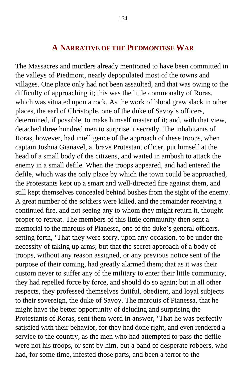#### **A NARRATIVE OF THE PIEDMONTESE WAR**

The Massacres and murders already mentioned to have been committed in the valleys of Piedmont, nearly depopulated most of the towns and villages. One place only had not been assaulted, and that was owing to the difficulty of approaching it; this was the little commonalty of Roras, which was situated upon a rock. As the work of blood grew slack in other places, the earl of Christople, one of the duke of Savoy's officers, determined, if possible, to make himself master of it; and, with that view, detached three hundred men to surprise it secretly. The inhabitants of Roras, however, had intelligence of the approach of these troops, when captain Joshua Gianavel, a. brave Protestant officer, put himself at the head of a small body of the citizens, and waited in ambush to attack the enemy in a small defile. When the troops appeared, and had entered the defile, which was the only place by which the town could be approached, the Protestants kept up a smart and well-directed fire against them, and still kept themselves concealed behind bushes from the sight of the enemy. A great number of the soldiers were killed, and the remainder receiving a continued fire, and not seeing any to whom they might return it, thought proper to retreat. The members of this little community then sent a memorial to the marquis of Pianessa, one of the duke's general officers, setting forth, 'That they were sorry, upon any occasion, to be under the necessity of taking up arms; but that the secret approach of a body of troops, without any reason assigned, or any previous notice sent of the purpose of their coming, had greatly alarmed them; that as it was their custom never to suffer any of the military to enter their little community, they had repelled force by force, and should do so again; but in all other respects, they professed themselves dutiful, obedient, and loyal subjects to their sovereign, the duke of Savoy. The marquis of Pianessa, that he might have the better opportunity of deluding and surprising the Protestants of Roras, sent them word in answer, 'That he was perfectly satisfied with their behavior, for they had done right, and even rendered a service to the country, as the men who had attempted to pass the defile were not his troops, or sent by him, but a band of desperate robbers, who had, for some time, infested those parts, and been a terror to the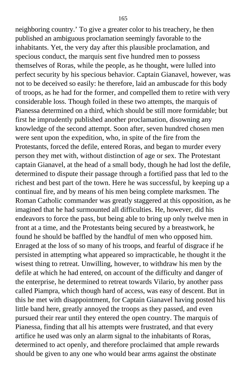neighboring country.' To give a greater color to his treachery, he then published an ambiguous proclamation seemingly favorable to the inhabitants. Yet, the very day after this plausible proclamation, and specious conduct, the marquis sent five hundred men to possess themselves of Roras, while the people, as he thought, were lulled into perfect security by his specious behavior. Captain Gianavel, however, was not to be deceived so easily: he therefore, laid an ambuscade for this body of troops, as he had for the former, and compelled them to retire with very considerable loss. Though foiled in these two attempts, the marquis of Pianessa determined on a third, which should be still more formidable; but first he imprudently published another proclamation, disowning any knowledge of the second attempt. Soon after, seven hundred chosen men were sent upon the expedition, who, in spite of the fire from the Protestants, forced the defile, entered Roras, and began to murder every person they met with, without distinction of age or sex. The Protestant captain Gianavel, at the head of a small body, though he had lost the defile, determined to dispute their passage through a fortified pass that led to the richest and best part of the town. Here he was successful, by keeping up a continual fire, and by means of his men being complete marksmen. The Roman Catholic commander was greatly staggered at this opposition, as he imagined that he had surmounted all difficulties. He, however, did his endeavors to force the pass, but being able to bring up only twelve men in front at a time, and the Protestants being secured by a breastwork, he found he should be baffled by the handful of men who opposed him. Enraged at the loss of so many of his troops, and fearful of disgrace if he persisted in attempting what appeared so impracticable, he thought it the wisest thing to retreat. Unwilling, however, to withdraw his men by the defile at which he had entered, on account of the difficulty and danger of the enterprise, he determined to retreat towards Vilario, by another pass called Piampra, which though hard of access, was easy of descent. But in this he met with disappointment, for Captain Gianavel having posted his little band here, greatly annoyed the troops as they passed, and even pursued their rear until they entered the open country. The marquis of Pianessa, finding that all his attempts were frustrated, and that every artifice he used was only an alarm signal to the inhabitants of Roras, determined to act openly, and therefore proclaimed that ample rewards should be given to any one who would bear arms against the obstinate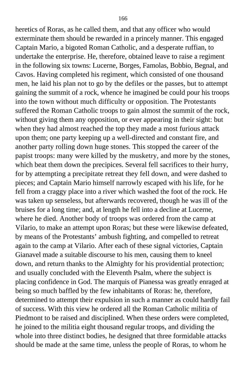heretics of Roras, as he called them, and that any officer who would exterminate them should be rewarded in a princely manner. This engaged Captain Mario, a bigoted Roman Catholic, and a desperate ruffian, to undertake the enterprise. He, therefore, obtained leave to raise a regiment in the following six towns: Lucerne, Borges, Famolas, Bobbio, Begnal, and Cavos. Having completed his regiment, which consisted of one thousand men, he laid his plan not to go by the defiles or the passes, but to attempt gaining the summit of a rock, whence he imagined be could pour his troops into the town without much difficulty or opposition. The Protestants suffered the Roman Catholic troops to gain almost the summit of the rock, without giving them any opposition, or ever appearing in their sight: but when they had almost reached the top they made a most furious attack upon them; one party keeping up a well-directed and constant fire, and another party rolling down huge stones. This stopped the career of the papist troops: many were killed by the musketry, and more by the stones, which beat them down the precipices. Several fell sacrifices to their hurry, for by attempting a precipitate retreat they fell down, and were dashed to pieces; and Captain Mario himself narrowly escaped with his life, for he fell from a craggy place into a river which washed the foot of the rock. He was taken up senseless, but afterwards recovered, though he was ill of the bruises for a long time; and, at length he fell into a decline at Lucerne, where he died. Another body of troops was ordered from the camp at Vilario, to make an attempt upon Roras; but these were likewise defeated, by means of the Protestants' ambush fighting, and compelled to retreat again to the camp at Vilario. After each of these signal victories, Captain Gianavel made a suitable discourse to his men, causing them to kneel down, and return thanks to the Almighty for his providential protection; and usually concluded with the Eleventh Psalm, where the subject is placing confidence in God. The marquis of Pianessa was greatly enraged at being so much baffled by the few inhabitants of Roras: he, therefore, determined to attempt their expulsion in such a manner as could hardly fail of success. With this view he ordered all the Roman Catholic militia of Piedmont to be raised and disciplined. When these orders were completed, he joined to the militia eight thousand regular troops, and dividing the whole into three distinct bodies, he designed that three formidable attacks should be made at the same time, unless the people of Roras, to whom he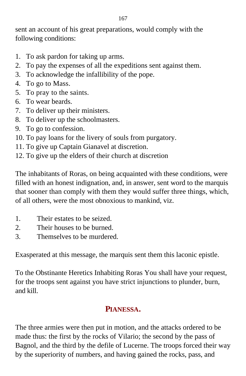sent an account of his great preparations, would comply with the following conditions:

- 1. To ask pardon for taking up arms.
- 2. To pay the expenses of all the expeditions sent against them.
- 3. To acknowledge the infallibility of the pope.
- 4. To go to Mass.
- 5. To pray to the saints.
- 6. To wear beards.
- 7. To deliver up their ministers.
- 8. To deliver up the schoolmasters.
- 9. To go to confession.
- 10. To pay loans for the livery of souls from purgatory.
- 11. To give up Captain Gianavel at discretion.
- 12. To give up the elders of their church at discretion

The inhabitants of Roras, on being acquainted with these conditions, were filled with an honest indignation, and, in answer, sent word to the marquis that sooner than comply with them they would suffer three things, which, of all others, were the most obnoxious to mankind, viz.

- 1. Their estates to be seized.
- 2. Their houses to be burned.
- 3. Themselves to be murdered.

Exasperated at this message, the marquis sent them this laconic epistle.

To the Obstinante Heretics Inhabiting Roras You shall have your request, for the troops sent against you have strict injunctions to plunder, burn, and kill.

## **PIANESSA.**

The three armies were then put in motion, and the attacks ordered to be made thus: the first by the rocks of Vilario; the second by the pass of Bagnol, and the third by the defile of Lucerne. The troops forced their way by the superiority of numbers, and having gained the rocks, pass, and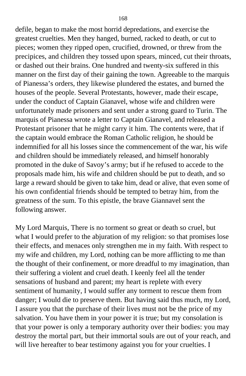defile, began to make the most horrid depredations, and exercise the greatest cruelties. Men they hanged, burned, racked to death, or cut to pieces; women they ripped open, crucified, drowned, or threw from the precipices, and children they tossed upon spears, minced, cut their throats, or dashed out their brains. One hundred and twenty-six suffered in this manner on the first day of their gaining the town. Agreeable to the marquis of Pianessa's orders, they likewise plundered the estates, and burned the houses of the people. Several Protestants, however, made their escape, under the conduct of Captain Gianavel, whose wife and children were unfortunately made prisoners and sent under a strong guard to Turin. The marquis of Pianessa wrote a letter to Captain Gianavel, and released a Protestant prisoner that he might carry it him. The contents were, that if the captain would embrace the Roman Catholic religion, he should be indemnified for all his losses since the commencement of the war, his wife and children should be immediately released, and himself honorably promoted in the duke of Savoy's army; but if he refused to accede to the proposals made him, his wife and children should be put to death, and so large a reward should be given to take him, dead or alive, that even some of his own confidential friends should be tempted to betray him, from the greatness of the sum. To this epistle, the brave Giannavel sent the following answer.

My Lord Marquis, There is no torment so great or death so cruel, but what I would prefer to the abjuration of my religion: so that promises lose their effects, and menaces only strengthen me in my faith. With respect to my wife and children, my Lord, nothing can be more afflicting to me than the thought of their confinement, or more dreadful to my imagination, than their suffering a violent and cruel death. I keenly feel all the tender sensations of husband and parent; my heart is replete with every sentiment of humanity, I would suffer any torment to rescue them from danger; I would die to preserve them. But having said thus much, my Lord, I assure you that the purchase of their lives must not be the price of my salvation. You have them in your power it is true; but my consolation is that your power is only a temporary authority over their bodies: you may destroy the mortal part, but their immortal souls are out of your reach, and will live hereafter to bear testimony against you for your cruelties. I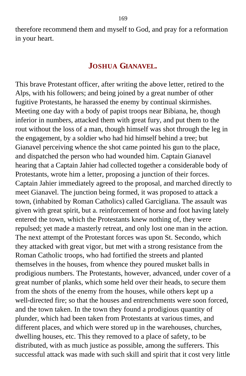therefore recommend them and myself to God, and pray for a reformation in your heart.

### **JOSHUA GIANAVEL.**

This brave Protestant officer, after writing the above letter, retired to the Alps, with his followers; and being joined by a great number of other fugitive Protestants, he harassed the enemy by continual skirmishes. Meeting one day with a body of papist troops near Bibiana, he, though inferior in numbers, attacked them with great fury, and put them to the rout without the loss of a man, though himself was shot through the leg in the engagement, by a soldier who had hid himself behind a tree; but Gianavel perceiving whence the shot came pointed his gun to the place, and dispatched the person who had wounded him. Captain Gianavel hearing that a Captain Jahier had collected together a considerable body of Protestants, wrote him a letter, proposing a junction of their forces. Captain Jahier immediately agreed to the proposal, and marched directly to meet Gianavel. The junction being formed, it was proposed to attack a town, (inhabited by Roman Catholics) called Garcigliana. The assault was given with great spirit, but a. reinforcement of horse and foot having lately entered the town, which the Protestants knew nothing of, they were repulsed; yet made a masterly retreat, and only lost one man in the action. The next attempt of the Protestant forces was upon St. Secondo, which they attacked with great vigor, but met with a strong resistance from the Roman Catholic troops, who had fortified the streets and planted themselves in the houses, from whence they poured musket balls in prodigious numbers. The Protestants, however, advanced, under cover of a great number of planks, which some held over their heads, to secure them from the shots of the enemy from the houses, while others kept up a well-directed fire; so that the houses and entrenchments were soon forced, and the town taken. In the town they found a prodigious quantity of plunder, which had been taken from Protestants at various times, and different places, and which were stored up in the warehouses, churches, dwelling houses, etc. This they removed to a place of safety, to be distributed, with as much justice as possible, among the sufferers. This successful attack was made with such skill and spirit that it cost very little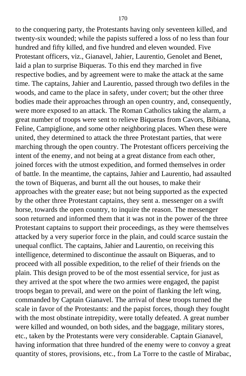to the conquering party, the Protestants having only seventeen killed, and twenty-six wounded; while the papists suffered a loss of no less than four hundred and fifty killed, and five hundred and eleven wounded. Five Protestant officers, viz., Gianavel, Jahier, Laurentio, Genolet and Benet, laid a plan to surprise Biqueras. To this end they marched in five respective bodies, and by agreement were to make the attack at the same time. The captains, Jahier and Laurentio, passed through two defiles in the woods, and came to the place in safety, under covert; but the other three bodies made their approaches through an open country, and, consequently, were more exposed to an attack. The Roman Catholics taking the alarm, a great number of troops were sent to relieve Biqueras from Cavors, Bibiana, Feline, Campiglione, and some other neighboring places. When these were united, they determined to attack the three Protestant parties, that were marching through the open country. The Protestant officers perceiving the intent of the enemy, and not being at a great distance from each other, joined forces with the utmost expedition, and formed themselves in order of battle. In the meantime, the captains, Jahier and Laurentio, had assaulted the town of Biqueras, and burnt all the out houses, to make their approaches with the greater ease; but not being supported as the expected by the other three Protestant captains, they sent a. messenger on a swift horse, towards the open country, to inquire the reason. The messenger soon returned and informed them that it was not in the power of the three Protestant captains to support their proceedings, as they were themselves attacked by a very superior force in the plain, and could scarce sustain the unequal conflict. The captains, Jahier and Laurentio, on receiving this intelligence, determined to discontinue the assault on Biqueras, and to proceed with all possible expedition, to the relief of their friends on the plain. This design proved to be of the most essential service, for just as they arrived at the spot where the two armies were engaged, the papist troops began to prevail, and were on the point of flanking the left wing, commanded by Captain Gianavel. The arrival of these troops turned the scale in favor of the Protestants: and the papist forces, though they fought with the most obstinate intrepidity, were totally defeated. A great number were killed and wounded, on both sides, and the baggage, military stores, etc., taken by the Protestants were very considerable. Captain Gianavel, having information that three hundred of the enemy were to convoy a great quantity of stores, provisions, etc., from La Torre to the castle of Mirabac,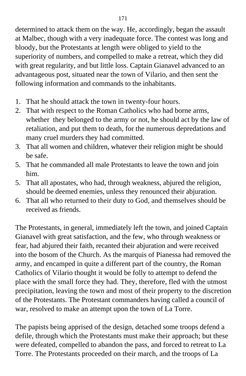determined to attack them on the way. He, accordingly, began the assault at Malbec, though with a very inadequate force. The contest was long and bloody, but the Protestants at length were obliged to yield to the superiority of numbers, and compelled to make a retreat, which they did with great regularity, and but little loss. Captain Gianavel advanced to an advantageous post, situated near the town of Vilario, and then sent the following information and commands to the inhabitants.

- 1. That he should attack the town in twenty-four hours.
- 2. That with respect to the Roman Catholics who had borne arms, whether they belonged to the army or not, he should act by the law of retaliation, and put them to death, for the numerous depredations and many cruel murders they had committed.
- 3. That all women and children, whatever their religion might be should be safe.
- 5. That he commanded all male Protestants to leave the town and join him.
- 5. That all apostates, who had, through weakness, abjured the religion, should be deemed enemies, unless they renounced their abjuration.
- 6. That all who returned to their duty to God, and themselves should be received as friends.

The Protestants, in general, immediately left the town, and joined Captain Gianavel with great satisfaction, and the few, who through weakness or fear, had abjured their faith, recanted their abjuration and were received into the bosom of the Church. As the marquis of Pianessa had removed the army, and encamped in quite a different part of the country, the Roman Catholics of Vilario thought it would be folly to attempt to defend the place with the small force they had. They, therefore, fled with the utmost precipitation, leaving the town and most of their property to the discretion of the Protestants. The Protestant commanders having called a council of war, resolved to make an attempt upon the town of La Torre.

The papists being apprised of the design, detached some troops defend a defile, through which the Protestants must make their approach; but these were defeated, compelled to abandon the pass, and forced to retreat to La Torre. The Protestants proceeded on their march, and the troops of La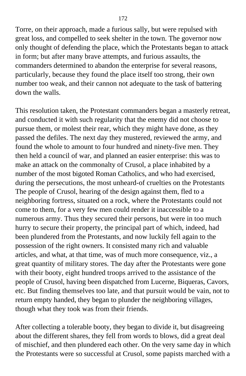Torre, on their approach, made a furious sally, but were repulsed with great loss, and compelled to seek shelter in the town. The governor now only thought of defending the place, which the Protestants began to attack in form; but after many brave attempts, and furious assaults, the commanders determined to abandon the enterprise for several reasons, particularly, because they found the place itself too strong, their own number too weak, and their cannon not adequate to the task of battering down the walls.

This resolution taken, the Protestant commanders began a masterly retreat, and conducted it with such regularity that the enemy did not choose to pursue them, or molest their rear, which they might have done, as they passed the defiles. The next day they mustered, reviewed the army, and found the whole to amount to four hundred and ninety-five men. They then held a council of war, and planned an easier enterprise: this was to make an attack on the commonalty of Crusol, a place inhabited by a number of the most bigoted Roman Catholics, and who had exercised, during the persecutions, the most unheard-of cruelties on the Protestants The people of Crusol, hearing of the design against them, fled to a neighboring fortress, situated on a rock, where the Protestants could not come to them, for a very few men could render it inaccessible to a numerous army. Thus they secured their persons, but were in too much hurry to secure their property, the principal part of which, indeed, had been plundered from the Protestants, and now luckily fell again to the possession of the right owners. It consisted many rich and valuable articles, and what, at that time, was of much more consequence, viz., a great quantity of military stores. The day after the Protestants were gone with their booty, eight hundred troops arrived to the assistance of the people of Crusol, having been dispatched from Lucerne, Biqueras, Cavors, etc. But finding themselves too late, and that pursuit would be vain, not to return empty handed, they began to plunder the neighboring villages, though what they took was from their friends.

After collecting a tolerable booty, they began to divide it, but disagreeing about the different shares, they fell from words to blows, did a great deal of mischief, and then plundered each other. On the very same day in which the Protestants were so successful at Crusol, some papists marched with a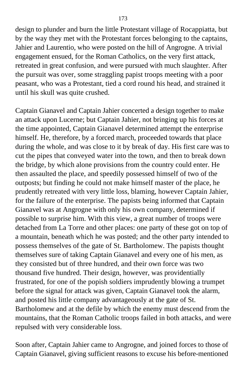design to plunder and burn the little Protestant village of Rocappiatta, but by the way they met with the Protestant forces belonging to the captains, Jahier and Laurentio, who were posted on the hill of Angrogne. A trivial engagement ensued, for the Roman Catholics, on the very first attack, retreated in great confusion, and were pursued with much slaughter. After the pursuit was over, some straggling papist troops meeting with a poor peasant, who was a Protestant, tied a cord round his head, and strained it until his skull was quite crushed.

Captain Gianavel and Captain Jahier concerted a design together to make an attack upon Lucerne; but Captain Jahier, not bringing up his forces at the time appointed, Captain Gianavel determined attempt the enterprise himself. He, therefore, by a forced march, proceeded towards that place during the whole, and was close to it by break of day. His first care was to cut the pipes that conveyed water into the town, and then to break down the bridge, by which alone provisions from the country could enter. He then assaulted the place, and speedily possessed himself of two of the outposts; but finding he could not make himself master of the place, he prudently retreated with very little loss, blaming, however Captain Jahier, for the failure of the enterprise. The papists being informed that Captain Gianavel was at Angrogne with only his own company, determined if possible to surprise him. With this view, a great number of troops were detached from La Torre and other places: one party of these got on top of a mountain, beneath which he was posted; and the other party intended to possess themselves of the gate of St. Bartholomew. The papists thought themselves sure of taking Captain Gianavel and every one of his men, as they consisted but of three hundred, and their own force was two thousand five hundred. Their design, however, was providentially frustrated, for one of the popish soldiers imprudently blowing a trumpet before the signal for attack was given, Captain Gianavel took the alarm, and posted his little company advantageously at the gate of St. Bartholomew and at the defile by which the enemy must descend from the mountains, that the Roman Catholic troops failed in both attacks, and were repulsed with very considerable loss.

Soon after, Captain Jahier came to Angrogne, and joined forces to those of Captain Gianavel, giving sufficient reasons to excuse his before-mentioned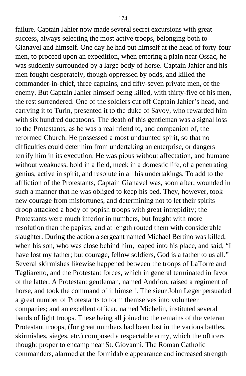failure. Captain Jahier now made several secret excursions with great success, always selecting the most active troops, belonging both to Gianavel and himself. One day he had put himself at the head of forty-four men, to proceed upon an expedition, when entering a plain near Ossac, he was suddenly surrounded by a large body of horse. Captain Jahier and his men fought desperately, though oppressed by odds, and killed the commander-in-chief, three captains, and fifty-seven private men, of the enemy. But Captain Jahier himself being killed, with thirty-five of his men, the rest surrendered. One of the soldiers cut off Captain Jahier's head, and carrying it to Turin, presented it to the duke of Savoy, who rewarded him with six hundred ducatoons. The death of this gentleman was a signal loss to the Protestants, as he was a real friend to, and companion of, the reformed Church. He possessed a most undaunted spirit, so that no difficulties could deter him from undertaking an enterprise, or dangers terrify him in its execution. He was pious without affectation, and humane without weakness; bold in a field, meek in a domestic life, of a penetrating genius, active in spirit, and resolute in all his undertakings. To add to the affliction of the Protestants, Captain Gianavel was, soon after, wounded in such a manner that he was obliged to keep his bed. They, however, took new courage from misfortunes, and determining not to let their spirits droop attacked a body of popish troops with great intrepidity; the Protestants were much inferior in numbers, but fought with more resolution than the papists, and at length routed them with considerable slaughter. During the action a sergeant named Michael Bertino was killed, when his son, who was close behind him, leaped into his place, and said, "I have lost my father; but courage, fellow soldiers, God is a father to us all." Several skirmishes likewise happened between the troops of LaTorre and Tagliaretto, and the Protestant forces, which in general terminated in favor of the latter. A Protestant gentleman, named Andrion, raised a regiment of horse, and took the command of it himself. The sieur John Leger persuaded a great number of Protestants to form themselves into volunteer companies; and an excellent officer, named Michelin, instituted several bands of light troops. These being all joined to the remains of the veteran Protestant troops, (for great numbers had been lost in the various battles, skirmishes, sieges, etc.) composed a respectable army, which the officers thought proper to encamp near St. Giovanni. The Roman Catholic commanders, alarmed at the formidable appearance and increased strength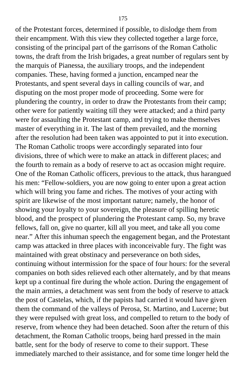of the Protestant forces, determined if possible, to dislodge them from their encampment. With this view they collected together a large force, consisting of the principal part of the garrisons of the Roman Catholic towns, the draft from the Irish brigades, a great number of regulars sent by the marquis of Pianessa, the auxiliary troops, and the independent companies. These, having formed a junction, encamped near the Protestants, and spent several days in calling councils of war, and disputing on the most proper mode of proceeding. Some were for plundering the country, in order to draw the Protestants from their camp; other were for patiently waiting till they were attacked; and a third party were for assaulting the Protestant camp, and trying to make themselves master of everything in it. The last of them prevailed, and the morning after the resolution had been taken was appointed to put it into execution. The Roman Catholic troops were accordingly separated into four divisions, three of which were to make an attack in different places; and the fourth to remain as a body of reserve to act as occasion might require. One of the Roman Catholic officers, previous to the attack, thus harangued his men: "Fellow-soldiers, you are now going to enter upon a great action which will bring you fame and riches. The motives of your acting with spirit are likewise of the most important nature; namely, the honor of showing your loyalty to your sovereign, the pleasure of spilling heretic blood, and the prospect of plundering the Protestant camp. So, my brave fellows, fall on, give no quarter, kill all you meet, and take all you come near." After this inhuman speech the engagement began, and the Protestant camp was attacked in three places with inconceivable fury. The fight was maintained with great obstinacy and perseverance on both sides, continuing without intermission for the space of four hours: for the several companies on both sides relieved each other alternately, and by that means kept up a continual fire during the whole action. During the engagement of the main armies, a detachment was sent from the body of reserve to attack the post of Castelas, which, if the papists had carried it would have given them the command of the valleys of Perosa, St. Martino, and Lucerne; but they were repulsed with great loss, and compelled to return to the body of reserve, from whence they had been detached. Soon after the return of this detachment, the Roman Catholic troops, being hard pressed in the main battle, sent for the body of reserve to come to their support. These immediately marched to their assistance, and for some time longer held the

175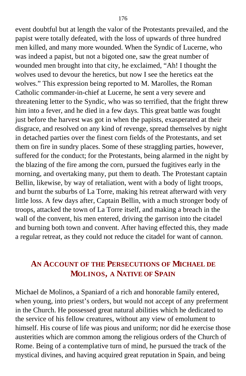event doubtful but at length the valor of the Protestants prevailed, and the papist were totally defeated, with the loss of upwards of three hundred men killed, and many more wounded. When the Syndic of Lucerne, who was indeed a papist, but not a bigoted one, saw the great number of wounded men brought into that city, he exclaimed, "Ah! I thought the wolves used to devour the heretics, but now I see the heretics eat the wolves." This expression being reported to M. Marolles, the Roman Catholic commander-in-chief at Lucerne, he sent a very severe and threatening letter to the Syndic, who was so terrified, that the fright threw him into a fever, and he died in a few days. This great battle was fought just before the harvest was got in when the papists, exasperated at their disgrace, and resolved on any kind of revenge, spread themselves by night in detached parties over the finest corn fields of the Protestants, and set them on fire in sundry places. Some of these straggling parties, however, suffered for the conduct; for the Protestants, being alarmed in the night by the blazing of the fire among the corn, pursued the fugitives early in the morning, and overtaking many, put them to death. The Protestant captain Bellin, likewise, by way of retaliation, went with a body of light troops, and burnt the suburbs of La Torre, making his retreat afterward with very little loss. A few days after, Captain Bellin, with a much stronger body of troops, attacked the town of La Torre itself, and making a breach in the wall of the convent, his men entered, driving the garrison into the citadel and burning both town and convent. After having effected this, they made a regular retreat, as they could not reduce the citadel for want of cannon.

### **AN ACCOUNT OF THE PERSECUTIONS OF MICHAEL DE MOLINOS, A NATIVE OF SPAIN**

Michael de Molinos, a Spaniard of a rich and honorable family entered, when young, into priest's orders, but would not accept of any preferment in the Church. He possessed great natural abilities which he dedicated to the service of his fellow creatures, without any view of emolument to himself. His course of life was pious and uniform; nor did he exercise those austerities which are common among the religious orders of the Church of Rome. Being of a contemplative turn of mind, he pursued the track of the mystical divines, and having acquired great reputation in Spain, and being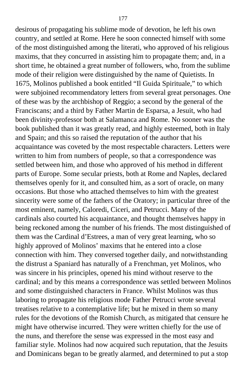desirous of propagating his sublime mode of devotion, he left his own country, and settled at Rome. Here he soon connected himself with some of the most distinguished among the literati, who approved of his religious maxims, that they concurred in assisting him to propagate them; and, in a short time, he obtained a great number of followers, who, from the sublime mode of their religion were distinguished by the name of Quietists. In 1675, Molinos published a book entitled "Il Guida Spirituale," to which were subjoined recommendatory letters from several great personages. One of these was by the archbishop of Reggio; a second by the general of the Franciscans; and a third by Father Martin de Esparsa, a Jesuit, who had been divinity-professor both at Salamanca and Rome. No sooner was the book published than it was greatly read, and highly esteemed, both in Italy and Spain; and this so raised the reputation of the author that his acquaintance was coveted by the most respectable characters. Letters were written to him from numbers of people, so that a correspondence was settled between him, and those who approved of his method in different parts of Europe. Some secular priests, both at Rome and Naples, declared themselves openly for it, and consulted him, as a sort of oracle, on many occasions. But those who attached themselves to him with the greatest sincerity were some of the fathers of the Oratory; in particular three of the most eminent, namely, Caloredi, Ciceri, and Petrucci. Many of the cardinals also courted his acquaintance, and thought themselves happy in being reckoned among the number of his friends. The most distinguished of them was the Cardinal d'Estrees, a man of very great learning, who so highly approved of Molinos' maxims that he entered into a close connection with him. They conversed together daily, and notwithstanding the distrust a Spaniard has naturally of a Frenchman, yet Molinos, who was sincere in his principles, opened his mind without reserve to the cardinal; and by this means a correspondence was settled between Molinos and some distinguished characters in France. Whilst Molinos was thus laboring to propagate his religious mode Father Petrucci wrote several treatises relative to a contemplative life; but he mixed in them so many rules for the devotions of the Romish Church, as mitigated that censure he might have otherwise incurred. They were written chiefly for the use of the nuns, and therefore the sense was expressed in the most easy and familiar style. Molinos had now acquired such reputation, that the Jesuits and Dominicans began to be greatly alarmed, and determined to put a stop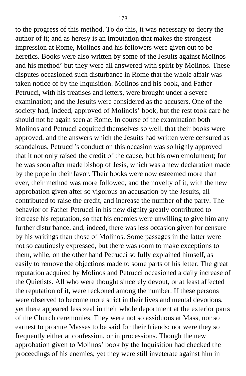to the progress of this method. To do this, it was necessary to decry the author of it; and as heresy is an imputation that makes the strongest impression at Rome, Molinos and his followers were given out to be heretics. Books were also written by some of the Jesuits against Molinos and his method' but they were all answered with spirit by Molinos. These disputes occasioned such disturbance in Rome that the whole affair was taken notice of by the Inquisition. Molinos and his book, and Father Petrucci, with his treatises and letters, were brought under a severe examination; and the Jesuits were considered as the accusers. One of the society had, indeed, approved of Molinols' book, but the rest took care he should not be again seen at Rome. In course of the examination both Molinos and Petrucci acquitted themselves so well, that their books were approved, and the answers which the Jesuits had written were censured as scandalous. Petrucci's conduct on this occasion was so highly approved that it not only raised the credit of the cause, but his own emolument; for he was soon after made bishop of Jesis, which was a new declaration made by the pope in their favor. Their books were now esteemed more than ever, their method was more followed, and the novelty of it, with the new approbation given after so vigorous an accusation by the Jesuits, all contributed to raise the credit, and increase the number of the party. The behavior of Father Petrucci in his new dignity greatly contributed to increase his reputation, so that his enemies were unwilling to give him any further disturbance, and, indeed, there was less occasion given for censure by his writings than those of Molinos. Some passages in the latter were not so cautiously expressed, but there was room to make exceptions to them, while, on the other hand Petrucci so fully explained himself, as easily to remove the objections made to some parts of his letter. The great reputation acquired by Molinos and Petrucci occasioned a daily increase of the Quietists. All who were thought sincerely devout, or at least affected the reputation of it, were reckoned among the number. If these persons were observed to become more strict in their lives and mental devotions, yet there appeared less zeal in their whole deportment at the exterior parts of the Church ceremonies. They were not so assiduous at Mass, nor so earnest to procure Masses to be said for their friends: nor were they so frequently either at confession, or in processions. Though the new approbation given to Molinos' book by the Inquisition had checked the proceedings of his enemies; yet they were still inveterate against him in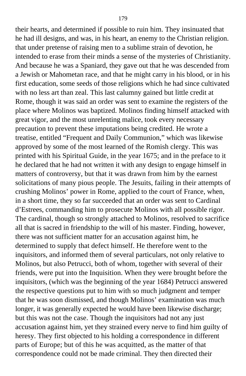their hearts, and determined if possible to ruin him. They insinuated that he had ill designs, and was, in his heart, an enemy to the Christian religion. that under pretense of raising men to a sublime strain of devotion, he intended to erase from their minds a sense of the mysteries of Christianity. And because he was a Spaniard, they gave out that he was descended from a Jewish or Mahometan race, and that he might carry in his blood, or in his first education, some seeds of those religions which he had since cultivated with no less art than zeal. This last calumny gained but little credit at Rome, though it was said an order was sent to examine the registers of the place where Molinos was baptized. Molinos finding himself attacked with great vigor, and the most unrelenting malice, took every necessary precaution to prevent these imputations being credited. He wrote a treatise, entitled "Frequent and Daily Communion," which was likewise approved by some of the most learned of the Romish clergy. This was printed with his Spiritual Guide, in the year 1675; and in the preface to it he declared that he had not written it with any design to engage himself in matters of controversy, but that it was drawn from him by the earnest solicitations of many pious people. The Jesuits, failing in their attempts of crushing Molinos' power in Rome, applied to the court of France, when, in a short time, they so far succeeded that an order was sent to Cardinal d'Estrees, commanding him to prosecute Molinos with all possible rigor. The cardinal, though so strongly attached to Molinos, resolved to sacrifice all that is sacred in friendship to the will of his master. Finding, however, there was not sufficient matter for an accusation against him, he determined to supply that defect himself. He therefore went to the inquisitors, and informed them of several particulars, not only relative to Molinos, but also Petrucci, both of whom, together with several of their friends, were put into the Inquisition. When they were brought before the inquisitors, (which was the beginning of the year 1684) Petrucci answered the respective questions put to him with so much judgment and temper that he was soon dismissed, and though Molinos' examination was much longer, it was generally expected he would have been likewise discharge; but this was not the case. Though the inquisitors had not any just accusation against him, yet they strained every nerve to find him guilty of heresy. They first objected to his holding a correspondence in different parts of Europe; but of this he was acquitted, as the matter of that correspondence could not be made criminal. They then directed their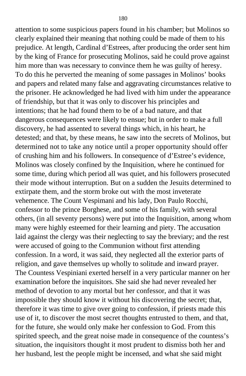attention to some suspicious papers found in his chamber; but Molinos so clearly explained their meaning that nothing could be made of them to his prejudice. At length, Cardinal d'Estrees, after producing the order sent him by the king of France for prosecuting Molinos, said he could prove against him more than was necessary to convince them he was guilty of heresy. To do this he perverted the meaning of some passages in Molinos' books and papers and related many false and aggravating circumstances relative to the prisoner. He acknowledged he had lived with him under the appearance of friendship, but that it was only to discover his principles and intentions; that he had found them to be of a bad nature, and that dangerous consequences were likely to ensue; but in order to make a full discovery, he had assented to several things which, in his heart, he detested; and that, by these means, he saw into the secrets of Molinos, but determined not to take any notice until a proper opportunity should offer of crushing him and his followers. In consequence of d'Estree's evidence, Molinos was closely confined by the Inquisition, where he continued for some time, during which period all was quiet, and his followers prosecuted their mode without interruption. But on a sudden the Jesuits determined to extirpate them, and the storm broke out with the most inveterate vehemence. The Count Vespimani and his lady, Don Paulo Rocchi, confessor to the prince Borghese, and some of his family, with several others, (in all seventy persons) were put into the Inquisition, among whom many were highly esteemed for their learning and piety. The accusation laid against the clergy was their neglecting to say the breviary; and the rest were accused of going to the Communion without first attending confession. In a word, it was said, they neglected all the exterior parts of religion, and gave themselves up wholly to solitude and inward prayer. The Countess Vespiniani exerted herself in a very particular manner on her examination before the inquisitors. She said she had never revealed her method of devotion to any mortal but her confessor, and that it was impossible they should know it without his discovering the secret; that, therefore it was time to give over going to confession, if priests made this use of it, to discover the most secret thoughts entrusted to them, and that, for the future, she would only make her confession to God. From this spirited speech, and the great noise made in consequence of the countess's situation, the inquisitors thought it most prudent to dismiss both her and her husband, lest the people might be incensed, and what she said might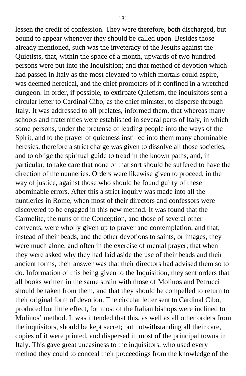lessen the credit of confession. They were therefore, both discharged, but bound to appear whenever they should be called upon. Besides those already mentioned, such was the inveteracy of the Jesuits against the Quietists, that, within the space of a month, upwards of two hundred persons were put into the Inquisition; and that method of devotion which had passed in Italy as the most elevated to which mortals could aspire, was deemed heretical, and the chief promoters of it confined in a wretched dungeon. In order, if possible, to extirpate Quietism, the inquisitors sent a circular letter to Cardinal Cibo, as the chief minister, to disperse through Italy. It was addressed to all prelates, informed them, that whereas many schools and fraternities were established in several parts of Italy, in which some persons, under the pretense of leading people into the ways of the Spirit, and to the prayer of quietness instilled into them many abominable heresies, therefore a strict charge was given to dissolve all those societies, and to oblige the spiritual guide to tread in the known paths, and, in particular, to take care that none of that sort should be suffered to have the direction of the nunneries. Orders were likewise given to proceed, in the way of justice, against those who should be found guilty of these abominable errors. After this a strict inquiry was made into all the nuntleries in Rome, when most of their directors and confessors were discovered to be engaged in this new method. It was found that the Carmelite, the nuns of the Conception, and those of several other convents, were wholly given up to prayer and contemplation, and that, instead of their beads, and the other devotions to saints, or images, they were much alone, and often in the exercise of mental prayer; that when they were asked why they had laid aside the use of their beads and their ancient forms, their answer was that their directors had advised them so to do. Information of this being given to the Inquisition, they sent orders that all books written in the same strain with those of Molinos and Petrucci should be taken from them, and that they should be compelled to return to their original form of devotion. The circular letter sent to Cardinal Cibo, produced but little effect, for most of the Italian bishops were inclined to Molinos' method. It was intended that this, as well as all other orders from the inquisitors, should be kept secret; but notwithstanding all their care, copies of it were printed, and dispersed in most of the principal towns in Italy. This gave great uneasiness to the inquisitors, who used every method they could to conceal their proceedings from the knowledge of the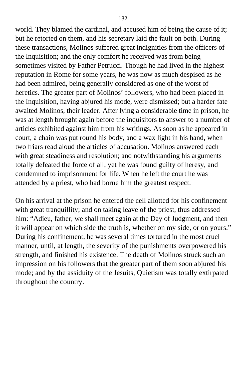world. They blamed the cardinal, and accused him of being the cause of it; but he retorted on them, and his secretary laid the fault on both. During these transactions, Molinos suffered great indignities from the officers of the Inquisition; and the only comfort he received was from being sometimes visited by Father Petrucci. Though he had lived in the highest reputation in Rome for some years, he was now as much despised as he had been admired, being generally considered as one of the worst of heretics. The greater part of Molinos' followers, who had been placed in the Inquisition, having abjured his mode, were dismissed; but a harder fate awaited Molinos, their leader. After lying a considerable time in prison, he was at length brought again before the inquisitors to answer to a number of articles exhibited against him from his writings. As soon as he appeared in court, a chain was put round his body, and a wax light in his hand, when two friars read aloud the articles of accusation. Molinos answered each with great steadiness and resolution; and notwithstanding his arguments totally defeated the force of all, yet he was found guilty of heresy, and condemned to imprisonment for life. When he left the court he was attended by a priest, who had borne him the greatest respect.

On his arrival at the prison he entered the cell allotted for his confinement with great tranquillity; and on taking leave of the priest, thus addressed him: "Adieu, father, we shall meet again at the Day of Judgment, and then it will appear on which side the truth is, whether on my side, or on yours." During his confinement, he was several times tortured in the most cruel manner, until, at length, the severity of the punishments overpowered his strength, and finished his existence. The death of Molinos struck such an impression on his followers that the greater part of them soon abjured his mode; and by the assiduity of the Jesuits, Quietism was totally extirpated throughout the country.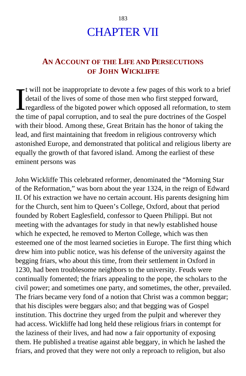# CHAPTER VII

### **AN ACCOUNT OF THE LIFE AND PERSECUTIONS OF JOHN WICKLIFFE**

t will not be inappropriate to devote a few pages of this work to a brief detail of the lives of some of those men who first stepped forward, It will not be inappropriate to devote a few pages of this work to a brief<br>detail of the lives of some of those men who first stepped forward,<br>regardless of the bigoted power which opposed all reformation, to stem the time of papal corruption, and to seal the pure doctrines of the Gospel with their blood. Among these, Great Britain has the honor of taking the lead, and first maintaining that freedom in religious controversy which astonished Europe, and demonstrated that political and religious liberty are equally the growth of that favored island. Among the earliest of these eminent persons was

John Wickliffe This celebrated reformer, denominated the "Morning Star of the Reformation," was born about the year 1324, in the reign of Edward II. Of his extraction we have no certain account. His parents designing him for the Church, sent him to Queen's College, Oxford, about that period founded by Robert Eaglesfield, confessor to Queen Philippi. But not meeting with the advantages for study in that newly established house which he expected, he removed to Merton College, which was then esteemed one of the most learned societies in Europe. The first thing which drew him into public notice, was his defense of the university against the begging friars, who about this time, from their settlement in Oxford in 1230, had been troublesome neighbors to the university. Feuds were continually fomented; the friars appealing to the pope, the scholars to the civil power; and sometimes one party, and sometimes, the other, prevailed. The friars became very fond of a notion that Christ was a common beggar; that his disciples were beggars also; and that begging was of Gospel institution. This doctrine they urged from the pulpit and wherever they had access. Wickliffe had long held these religious friars in contempt for the laziness of their lives, and had now a fair opportunity of exposing them. He published a treatise against able beggary, in which he lashed the friars, and proved that they were not only a reproach to religion, but also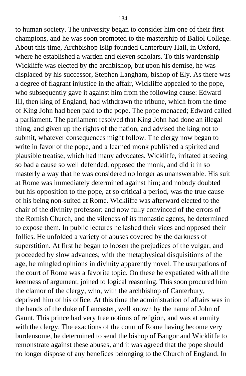to human society. The university began to consider him one of their first champions, and he was soon promoted to the mastership of Baliol College. About this time, Archbishop Islip founded Canterbury Hall, in Oxford, where he established a warden and eleven scholars. To this wardenship Wickliffe was elected by the archbishop, but upon his demise, he was displaced by his successor, Stephen Langham, bishop of Ely. As there was a degree of flagrant injustice in the affair, Wickliffe appealed to the pope, who subsequently gave it against him from the following cause: Edward III, then king of England, had withdrawn the tribune, which from the time of King John had been paid to the pope. The pope menaced; Edward called a parliament. The parliament resolved that King John had done an illegal thing, and given up the rights of the nation, and advised the king not to submit, whatever consequences might follow. The clergy now began to write in favor of the pope, and a learned monk published a spirited and plausible treatise, which had many advocates. Wickliffe, irritated at seeing so bad a cause so well defended, opposed the monk, and did it in so masterly a way that he was considered no longer as unanswerable. His suit at Rome was immediately determined against him; and nobody doubted but his opposition to the pope, at so critical a period, was the true cause of his being non-suited at Rome. Wickliffe was afterward elected to the chair of the divinity professor: and now fully convinced of the errors of the Romish Church, and the vileness of its monastic agents, he determined to expose them. In public lectures he lashed their vices and opposed their follies. He unfolded a variety of abuses covered by the darkness of superstition. At first he began to loosen the prejudices of the vulgar, and proceeded by slow advances; with the metaphysical disquisitions of the age, he mingled opinions in divinity apparently novel. The usurpations of the court of Rome was a favorite topic. On these he expatiated with all the keenness of argument, joined to logical reasoning. This soon procured him the clamor of the clergy, who, with the archbishop of Canterbury, deprived him of his office. At this time the administration of affairs was in the hands of the duke of Lancaster, well known by the name of John of Gaunt. This prince had very free notions of religion, and was at enmity with the clergy. The exactions of the court of Rome having become very burdensome, he determined to send the bishop of Bangor and Wickliffe to remonstrate against these abuses, and it was agreed that the pope should no longer dispose of any benefices belonging to the Church of England. In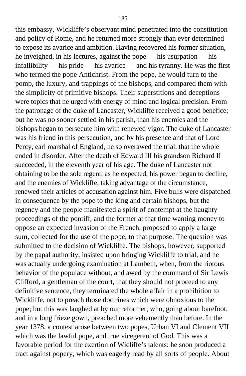this embassy, Wickliffe's observant mind penetrated into the constitution and policy of Rome, and he returned more strongly than ever determined to expose its avarice and ambition. Having recovered his former situation, he inveighed, in his lectures, against the pope — his usurpation — his infallibility — his pride — his avarice — and his tyranny. He was the first who termed the pope Antichrist. From the pope, he would turn to the pomp, the luxury, and trappings of the bishops, and compared them with the simplicity of primitive bishops. Their superstitions and deceptions were topics that he urged with energy of mind and logical precision. From the patronage of the duke of Lancaster, Wickliffe received a good benefice; but he was no sooner settled in his parish, than his enemies and the bishops began to persecute him with renewed vigor. The duke of Lancaster was his friend in this persecution, and by his presence and that of Lord Percy, earl marshal of England, he so overawed the trial, that the whole ended in disorder. After the death of Edward III his grandson Richard II succeeded, in the eleventh year of his age. The duke of Lancaster not obtaining to be the sole regent, as he expected, his power began to decline, and the enemies of Wickliffe, taking advantage of the circumstance, renewed their articles of accusation against him. Five bulls were dispatched in consequence by the pope to the king and certain bishops, but the regency and the people manifested a spirit of contempt at the haughty proceedings of the pontiff, and the former at that time wanting money to oppose an expected invasion of the French, proposed to apply a large sum, collected for the use of the pope, to that purpose. The question was submitted to the decision of Wickliffe. The bishops, however, supported by the papal authority, insisted upon bringing Wickliffe to trial, and he was actually undergoing examination at Lambeth, when, from the riotous behavior of the populace without, and awed by the command of Sir Lewis Clifford, a gentleman of the court, that they should not proceed to any definitive sentence, they terminated the whole affair in a prohibition to Wickliffe, not to preach those doctrines which were obnoxious to the pope; but this was laughed at by our reformer, who, going about barefoot, and in a long frieze gown, preached more vehemently than before. In the year 1378, a contest arose between two popes, Urban VI and Clement VII which was the lawful pope, and true vicegerent of God. This was a favorable period for the exertion of Wicliffe's talents: he soon produced a tract against popery, which was eagerly read by all sorts of people. About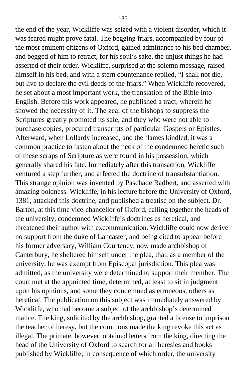the end of the year, Wickliffe was seized with a violent disorder, which it was feared might prove fatal. The begging friars, accompanied by four of the most eminent citizens of Oxford, gained admittance to his bed chamber, and begged of him to retract, for his soul's sake, the unjust things he had asserted of their order. Wickliffe, surprised at the solemn message, raised himself in his bed, and with a stern countenance replied, "I shall not die, but live to declare the evil deeds of the friars." When Wickliffe recovered, he set about a most important work, the translation of the Bible into English. Before this work appeared, he published a tract, wherein he showed the necessity of it. The zeal of the bishops to suppress the Scriptures greatly promoted its sale, and they who were not able to purchase copies, procured transcripts of particular Gospels or Epistles. Afterward, when Lollardy increased, and the flames kindled, it was a common practice to fasten about the neck of the condemned heretic such of these scraps of Scripture as were found in his possession, which generally shared his fate. Immediately after this transaction, Wickliffe ventured a step further, and affected the doctrine of transubstantiation. This strange opinion was invented by Paschade Radbert, and asserted with amazing boldness. Wickliffe, in his lecture before the University of Oxford, 1381, attacked this doctrine, and published a treatise on the subject. Dr. Barton, at this time vice-chancellor of Oxford, calling together the heads of the university, condemned Wickliffe's doctrines as heretical, and threatened their author with excommunication. Wickliffe could now derive no support from the duke of Lancaster, and being cited to appear before his former adversary, William Courteney, now made archbishop of Canterbury, he sheltered himself under the plea, that, as a member of the university, he was exempt from Episcopal jurisdiction. This plea was admitted, as the university were determined to support their member. The court met at the appointed time, determined, at least to sit in judgment upon his opinions, and some they condemned as erroneous, others as heretical. The publication on this subject was immediately answered by Wickliffe, who had become a subject of the archbishop's determined malice. The king, solicited by the archbishop, granted a license to imprison the teacher of heresy, but the commons made the king revoke this act as illegal. The primate, however, obtained letters from the king, directing the head of the University of Oxford to search for all heresies and books published by Wickliffe; in consequence of which order, the university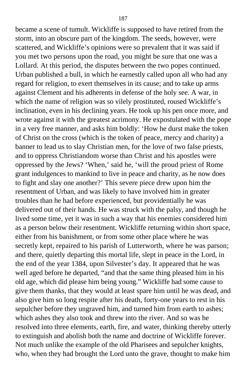became a scene of tumult. Wickliffe is supposed to have retired from the storm, into an obscure part of the kingdom. The seeds, however, were scattered, and Wickliffe's opinions were so prevalent that it was said if you met two persons upon the road, you might be sure that one was a Lollard. At this period, the disputes between the two popes continued. Urban published a bull, in which he earnestly called upon all who had any regard for religion, to exert themselves in its cause; and to take up arms against Clement and his adherents in defense of the holy see. A war, in which the name of religion was so vilely prostituted, roused Wickliffe's inclination, even in his declining years. He took up his pen once more, and wrote against it with the greatest acrimony. He expostulated with the pope in a very free manner, and asks him boldly: 'How he durst make the token of Christ on the cross (which is the token of peace, mercy and charity) a banner to lead us to slay Christian men, for the love of two false priests, and to oppress Christiandom worse than Christ and his apostles were oppressed by the Jews? 'When,' said he, 'will the proud priest of Rome grant indulgences to mankind to live in peace and charity, as he now does to fight and slay one another?' This severe piece drew upon him the resentment of Urban, and was likely to have involved him in greater troubles than he had before experienced, but providentially he was delivered out of their hands. He was struck with the palsy, and though he lived some time, yet it was in such a way that his enemies considered him as a person below their resentment. Wickliffe returning within short space, either from his banishment, or from some other place where he was secretly kept, repaired to his parish of Lutterworth, where he was parson; and there, quietly departing this mortal life, slept in peace in the Lord, in the end of the year 1384, upon Silvester's day. It appeared that he was well aged before he departed, "and that the same thing pleased him in his old age, which did please him being young." Wickliffe had some cause to give them thanks, that they would at least spare him until he was dead, and also give him so long respite after his death, forty-one years to rest in his sepulcher before they ungraved him, and turned him from earth to ashes; which ashes they also took and threw into the river. And so was he resolved into three elements, earth, fire, and water, thinking thereby utterly to extinguish and abolish both the name and doctrine of Wickliffe forever. Not much unlike the example of the old Pharisees and sepulcher knights, who, when they had brought the Lord unto the grave, thought to make him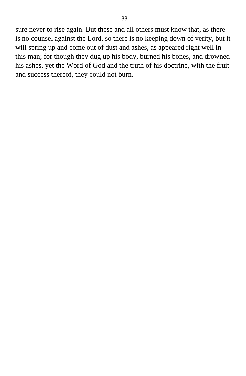sure never to rise again. But these and all others must know that, as there is no counsel against the Lord, so there is no keeping down of verity, but it will spring up and come out of dust and ashes, as appeared right well in this man; for though they dug up his body, burned his bones, and drowned his ashes, yet the Word of God and the truth of his doctrine, with the fruit and success thereof, they could not burn.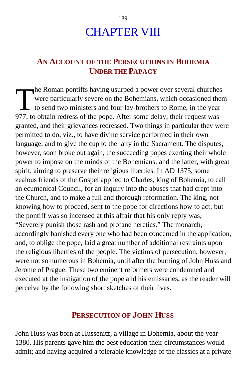# CHAPTER VIII

#### **AN ACCOUNT OF THE PERSECUTIONS IN BOHEMIA UNDER THE PAPACY**

he Roman pontiffs having usurped a power over several churches were particularly severe on the Bohemians, which occasioned them to send two ministers and four lay-brothers to Rome, in the year 977, to obtain redress of the pope. After some delay, their request was granted, and their grievances redressed. Two things in particular they were permitted to do, viz., to have divine service performed in their own language, and to give the cup to the laity in the Sacrament. The disputes, however, soon broke out again, the succeeding popes exerting their whole power to impose on the minds of the Bohemians; and the latter, with great spirit, aiming to preserve their religious liberties. In AD 1375, some zealous friends of the Gospel applied to Charles, king of Bohemia, to call an ecumenical Council, for an inquiry into the abuses that had crept into the Church, and to make a full and thorough reformation. The king, not knowing how to proceed, sent to the pope for directions how to act; but the pontiff was so incensed at this affair that his only reply was, "Severely punish those rash and profane heretics." The monarch, accordingly banished every one who had been concerned in the application, and, to oblige the pope, laid a great number of additional restraints upon the religious liberties of the people. The victims of persecution, however, were not so numerous in Bohemia, until after the burning of John Huss and Jerome of Prague. These two eminent reformers were condemned and executed at the instigation of the pope and his emissaries, as the reader will perceive by the following short sketches of their lives.  $\prod_{\alpha\in\mathcal{I}}$ 

## **PERSECUTION OF JOHN HUSS**

John Huss was born at Hussenitz, a village in Bohemia, about the year 1380. His parents gave him the best education their circumstances would admit; and having acquired a tolerable knowledge of the classics at a private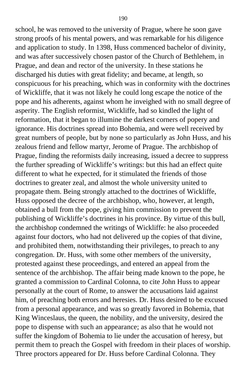school, he was removed to the university of Prague, where he soon gave strong proofs of his mental powers, and was remarkable for his diligence and application to study. In 1398, Huss commenced bachelor of divinity, and was after successively chosen pastor of the Church of Bethlehem, in Prague, and dean and rector of the university. In these stations he discharged his duties with great fidelity; and became, at length, so conspicuous for his preaching, which was in conformity with the doctrines of Wickliffe, that it was not likely he could long escape the notice of the pope and his adherents, against whom he inveighed with no small degree of asperity. The English reformist, Wickliffe, had so kindled the light of reformation, that it began to illumine the darkest corners of popery and ignorance. His doctrines spread into Bohemia, and were well received by great numbers of people, but by none so particularly as John Huss, and his zealous friend and fellow martyr, Jerome of Prague. The archbishop of Prague, finding the reformists daily increasing, issued a decree to suppress the further spreading of Wickliffe's writings: but this had an effect quite different to what he expected, for it stimulated the friends of those doctrines to greater zeal, and almost the whole university united to propagate them. Being strongly attached to the doctrines of Wickliffe, Huss opposed the decree of the archbishop, who, however, at length, obtained a bull from the pope, giving him commission to prevent the publishing of Wickliffe's doctrines in his province. By virtue of this bull, the archbishop condemned the writings of Wickliffe: he also proceeded against four doctors, who had not delivered up the copies of that divine, and prohibited them, notwithstanding their privileges, to preach to any congregation. Dr. Huss, with some other members of the university, protested against these proceedings, and entered an appeal from the sentence of the archbishop. The affair being made known to the pope, he granted a commission to Cardinal Colonna, to cite John Huss to appear personally at the court of Rome, to answer the accusations laid against him, of preaching both errors and heresies. Dr. Huss desired to be excused from a personal appearance, and was so greatly favored in Bohemia, that King Winceslaus, the queen, the nobility, and the university, desired the pope to dispense with such an appearance; as also that he would not suffer the kingdom of Bohemia to lie under the accusation of heresy, but permit them to preach the Gospel with freedom in their places of worship. Three proctors appeared for Dr. Huss before Cardinal Colonna. They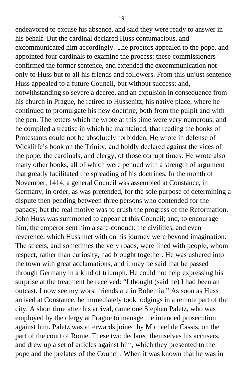endeavored to excuse his absence, and said they were ready to answer in his behalf. But the cardinal declared Huss contumacious, and excommunicated him accordingly. The proctors appealed to the pope, and appointed four cardinals to examine the process: these commissioners confirmed the former sentence, and extended the excommunication not only to Huss but to all his friends and followers. From this unjust sentence Huss appealed to a future Council, but without success; and, notwithstanding so severe a decree, and an expulsion in consequence from his church in Prague, he retired to Hussenitz, his native place, where he continued to promulgate his new doctrine, both from the pulpit and with the pen. The letters which he wrote at this time were very numerous; and he compiled a treatise in which he maintained, that reading the books of Protestants could not be absolutely forbidden. He wrote in defense of Wickliffe's book on the Trinity; and boldly declared against the vices of the pope, the cardinals, and clergy, of those corrupt times. He wrote also many other books, all of which were penned with a strength of argument that greatly facilitated the spreading of his doctrines. In the month of November, 1414, a general Council was assembled at Constance, in Germany, in order, as was pretended, for the sole purpose of determining a dispute then pending between three persons who contended for the papacy; but the real motive was to crush the progress of the Reformation. John Huss was summoned to appear at this Council; and, to encourage him, the emperor sent him a safe-conduct: the civilities, and even reverence, which Huss met with on his journey were beyond imagination. The streets, and sometimes the very roads, were lined with people, whom respect, rather than curiosity, had brought together. He was ushered into the town with great acclamations, and it may be said that he passed through Germany in a kind of triumph. He could not help expressing his surprise at the treatment he received: "I thought (said he) I had been an outcast. I now see my worst friends are in Bohemia." As soon as Huss arrived at Constance, he immediately took lodgings in a remote part of the city. A short time after his arrival, came one Stephen Paletz, who was employed by the clergy at Prague to manage the intended prosecution against him. Paletz was afterwards joined by Michael de Cassis, on the part of the court of Rome. These two declared themselves his accusers, and drew up a set of articles against him, which they presented to the pope and the prelates of the Council. When it was known that he was in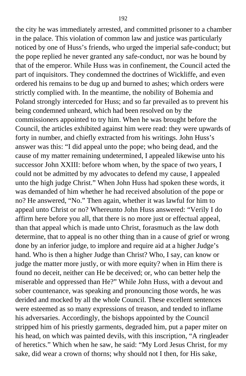the city he was immediately arrested, and committed prisoner to a chamber in the palace. This violation of common law and justice was particularly noticed by one of Huss's friends, who urged the imperial safe-conduct; but the pope replied he never granted any safe-conduct, nor was he bound by that of the emperor. While Huss was in confinement, the Council acted the part of inquisitors. They condemned the doctrines of Wickliffe, and even ordered his remains to be dug up and burned to ashes; which orders were strictly complied with. In the meantime, the nobility of Bohemia and Poland strongly interceded for Huss; and so far prevailed as to prevent his being condemned unheard, which had been resolved on by the commissioners appointed to try him. When he was brought before the Council, the articles exhibited against him were read: they were upwards of forty in number, and chiefly extracted from his writings. John Huss's answer was this: "I did appeal unto the pope; who being dead, and the cause of my matter remaining undetermined, I appealed likewise unto his successor John XXIII: before whom when, by the space of two years, I could not be admitted by my advocates to defend my cause, I appealed unto the high judge Christ." When John Huss had spoken these words, it was demanded of him whether he had received absolution of the pope or no? He answered, "No." Then again, whether it was lawful for him to appeal unto Christ or no? Whereunto John Huss answered: "Verily I do affirm here before you all, that there is no more just or effectual appeal, than that appeal which is made unto Christ, forasmuch as the law doth determine, that to appeal is no other thing than in a cause of grief or wrong done by an inferior judge, to implore and require aid at a higher Judge's hand. Who is then a higher Judge than Christ? Who, I say, can know or judge the matter more justly, or with more equity? when in Him there is found no deceit, neither can He be deceived; or, who can better help the miserable and oppressed than He?" While John Huss, with a devout and sober countenance, was speaking and pronouncing those words, he was derided and mocked by all the whole Council. These excellent sentences were esteemed as so many expressions of treason, and tended to inflame his adversaries. Accordingly, the bishops appointed by the Council stripped him of his priestly garments, degraded him, put a paper miter on his head, on which was painted devils, with this inscription, "A ringleader of heretics." Which when he saw, he said: "My Lord Jesus Christ, for my sake, did wear a crown of thorns; why should not I then, for His sake,

192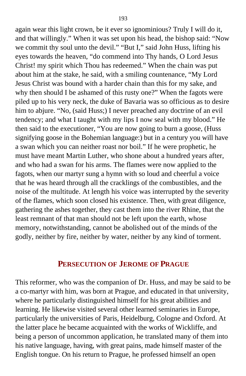again wear this light crown, be it ever so ignominious? Truly I will do it, and that willingly." When it was set upon his head, the bishop said: "Now we commit thy soul unto the devil." "But I," said John Huss, lifting his eyes towards the heaven, "do commend into Thy hands, O Lord Jesus Christ! my spirit which Thou has redeemed." When the chain was put about him at the stake, he said, with a smiling countenance, "My Lord Jesus Christ was bound with a harder chain than this for my sake, and why then should I be ashamed of this rusty one?" When the fagots were piled up to his very neck, the duke of Bavaria was so officious as to desire him to abjure. "No, (said Huss;) I never preached any doctrine of an evil tendency; and what I taught with my lips I now seal with my blood." He then said to the executioner, "You are now going to burn a goose, (Huss signifying goose in the Bohemian language:) but in a century you will have a swan which you can neither roast nor boil." If he were prophetic, he must have meant Martin Luther, who shone about a hundred years after, and who had a swan for his arms. The flames were now applied to the fagots, when our martyr sung a hymn with so loud and cheerful a voice that he was heard through all the cracklings of the combustibles, and the noise of the multitude. At length his voice was interrupted by the severity of the flames, which soon closed his existence. Then, with great diligence, gathering the ashes together, they cast them into the river Rhine, that the least remnant of that man should not be left upon the earth, whose memory, notwithstanding, cannot be abolished out of the minds of the godly, neither by fire, neither by water, neither by any kind of torment.

#### **PERSECUTION OF JEROME OF PRAGUE**

This reformer, who was the companion of Dr. Huss, and may be said to be a co-martyr with him, was born at Prague, and educated in that university, where he particularly distinguished himself for his great abilities and learning. He likewise visited several other learned seminaries in Europe, particularly the universities of Paris, Heidelburg, Cologne and Oxford. At the latter place he became acquainted with the works of Wickliffe, and being a person of uncommon application, he translated many of them into his native language, having, with great pains, made himself master of the English tongue. On his return to Prague, he professed himself an open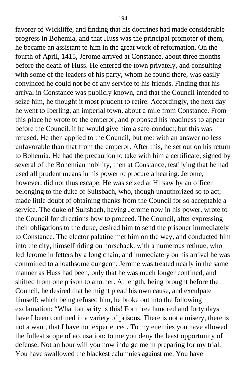favorer of Wickliffe, and finding that his doctrines had made considerable progress in Bohemia, and that Huss was the principal promoter of them, he became an assistant to him in the great work of reformation. On the fourth of April, 1415, Jerome arrived at Constance, about three months before the death of Huss. He entered the town privately, and consulting with some of the leaders of his party, whom he found there, was easily convinced he could not be of any service to his friends. Finding that his arrival in Constance was publicly known, and that the Council intended to seize him, he thought it most prudent to retire. Accordingly, the next day he went to Iberling, an imperial town, about a mile from Constance. From this place he wrote to the emperor, and proposed his readiness to appear before the Council, if he would give him a safe-conduct; but this was refused. He then applied to the Council, but met with an answer no less unfavorable than that from the emperor. After this, he set out on his return to Bohemia. He had the precaution to take with him a certificate, signed by several of the Bohemian nobility, then at Constance, testifying that he had used all prudent means in his power to procure a hearing. Jerome, however, did not thus escape. He was seized at Hirsaw by an officer belonging to the duke of Sultsbach, who, though unauthorized so to act, made little doubt of obtaining thanks from the Council for so acceptable a service. The duke of Sultsbach, having Jerome now in his power, wrote to the Council for directions how to proceed. The Council, after expressing their obligations to the duke, desired him to send the prisoner immediately to Constance. The elector palatine met him on the way, and conducted him into the city, himself riding on horseback, with a numerous retinue, who led Jerome in fetters by a long chain; and immediately on his arrival he was committed to a loathsome dungeon. Jerome was treated nearly in the same manner as Huss had been, only that he was much longer confined, and shifted from one prison to another. At length, being brought before the Council, he desired that he might plead his own cause, and exculpate himself: which being refused him, he broke out into the following exclamation: "What barbarity is this! For three hundred and forty days have I been confined in a variety of prisons. There is not a misery, there is not a want, that I have not experienced. To my enemies you have allowed the fullest scope of accusation: to me you deny the least opportunity of defense. Not an hour will you now indulge me in preparing for my trial. You have swallowed the blackest calumnies against me. You have

194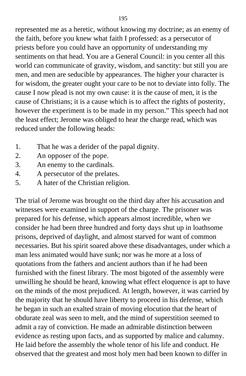represented me as a heretic, without knowing my doctrine; as an enemy of the faith, before you knew what faith I professed: as a persecutor of priests before you could have an opportunity of understanding my sentiments on that head. You are a General Council: in you center all this world can communicate of gravity, wisdom, and sanctity: but still you are men, and men are seducible by appearances. The higher your character is for wisdom, the greater ought your care to be not to deviate into folly. The cause I now plead is not my own cause: it is the cause of men, it is the cause of Christians; it is a cause which is to affect the rights of posterity, however the experiment is to be made in my person." This speech had not the least effect; Jerome was obliged to hear the charge read, which was reduced under the following heads:

- 1. That he was a derider of the papal dignity.
- 2. An opposer of the pope.
- 3. An enemy to the cardinals.
- 4. A persecutor of the prelates.
- 5. A hater of the Christian religion.

The trial of Jerome was brought on the third day after his accusation and witnesses were examined in support of the charge. The prisoner was prepared for his defense, which appears almost incredible, when we consider he had been three hundred and forty days shut up in loathsome prisons, deprived of daylight, and almost starved for want of common necessaries. But his spirit soared above these disadvantages, under which a man less animated would have sunk; nor was he more at a loss of quotations from the fathers and ancient authors than if he had been furnished with the finest library. The most bigoted of the assembly were unwilling he should be heard, knowing what effect eloquence is apt to have on the minds of the most prejudiced. At length, however, it was carried by the majority that he should have liberty to proceed in his defense, which he began in such an exalted strain of moving elocution that the heart of obdurate zeal was seen to melt, and the mind of superstition seemed to admit a ray of conviction. He made an admirable distinction between evidence as resting upon facts, and as supported by malice and calumny. He laid before the assembly the whole tenor of his life and conduct. He observed that the greatest and most holy men had been known to differ in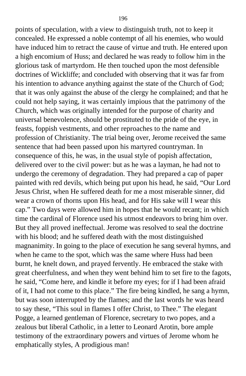points of speculation, with a view to distinguish truth, not to keep it concealed. He expressed a noble contempt of all his enemies, who would have induced him to retract the cause of virtue and truth. He entered upon a high encomium of Huss; and declared he was ready to follow him in the glorious task of martyrdom. He then touched upon the most defensible doctrines of Wickliffe; and concluded with observing that it was far from his intention to advance anything against the state of the Church of God; that it was only against the abuse of the clergy he complained; and that he could not help saying, it was certainly impious that the patrimony of the Church, which was originally intended for the purpose of charity and universal benevolence, should be prostituted to the pride of the eye, in feasts, foppish vestments, and other reproaches to the name and profession of Christianity. The trial being over, Jerome received the same sentence that had been passed upon his martyred countryman. In consequence of this, he was, in the usual style of popish affectation, delivered over to the civil power: but as he was a layman, he had not to undergo the ceremony of degradation. They had prepared a cap of paper painted with red devils, which being put upon his head, he said, "Our Lord Jesus Christ, when He suffered death for me a most miserable sinner, did wear a crown of thorns upon His head, and for His sake will I wear this cap." Two days were allowed him in hopes that he would recant; in which time the cardinal of Florence used his utmost endeavors to bring him over. But they all proved ineffectual. Jerome was resolved to seal the doctrine with his blood; and he suffered death with the most distinguished magnanimity. In going to the place of execution he sang several hymns, and when he came to the spot, which was the same where Huss had been burnt, he knelt down, and prayed fervently. He embraced the stake with great cheerfulness, and when they went behind him to set fire to the fagots, he said, "Come here, and kindle it before my eyes; for if I had been afraid of it, I had not come to this place." The fire being kindled, he sang a hymn, but was soon interrupted by the flames; and the last words he was heard to say these, "This soul in flames I offer Christ, to Thee." The elegant Pogge, a learned gentleman of Florence, secretary to two popes, and a zealous but liberal Catholic, in a letter to Leonard Arotin, bore ample testimony of the extraordinary powers and virtues of Jerome whom he emphatically styles, A prodigious man!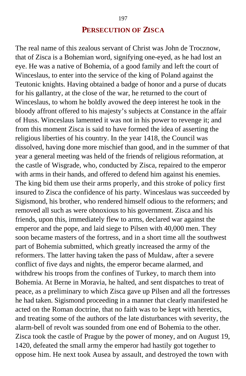#### **PERSECUTION OF ZISCA**

The real name of this zealous servant of Christ was John de Trocznow, that of Zisca is a Bohemian word, signifying one-eyed, as he had lost an eye. He was a native of Bohemia, of a good family and left the court of Winceslaus, to enter into the service of the king of Poland against the Teutonic knights. Having obtained a badge of honor and a purse of ducats for his gallantry, at the close of the war, he returned to the court of Winceslaus, to whom he boldly avowed the deep interest he took in the bloody affront offered to his majesty's subjects at Constance in the affair of Huss. Winceslaus lamented it was not in his power to revenge it; and from this moment Zisca is said to have formed the idea of asserting the religious liberties of his country. In the year 1418, the Council was dissolved, having done more mischief than good, and in the summer of that year a general meeting was held of the friends of religious reformation, at the castle of Wisgrade, who, conducted by Zisca, repaired to the emperor with arms in their hands, and offered to defend him against his enemies. The king bid them use their arms properly, and this stroke of policy first insured to Zisca the confidence of his party. Winceslaus was succeeded by Sigismond, his brother, who rendered himself odious to the reformers; and removed all such as were obnoxious to his government. Zisca and his friends, upon this, immediately flew to arms, declared war against the emperor and the pope, and laid siege to Pilsen with 40,000 men. They soon became masters of the fortress, and in a short time all the southwest part of Bohemia submitted, which greatly increased the army of the reformers. The latter having taken the pass of Muldaw, after a severe conflict of five days and nights, the emperor became alarmed, and withdrew his troops from the confines of Turkey, to march them into Bohemia. At Berne in Moravia, he halted, and sent dispatches to treat of peace, as a preliminary to which Zisca gave up Pilsen and all the fortresses he had taken. Sigismond proceeding in a manner that clearly manifested he acted on the Roman doctrine, that no faith was to be kept with heretics, and treating some of the authors of the late disturbances with severity, the alarm-bell of revolt was sounded from one end of Bohemia to the other. Zisca took the castle of Prague by the power of money, and on August 19, 1420, defeated the small army the emperor had hastily got together to oppose him. He next took Ausea by assault, and destroyed the town with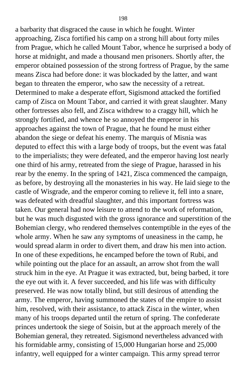a barbarity that disgraced the cause in which he fought. Winter approaching, Zisca fortified his camp on a strong hill about forty miles from Prague, which he called Mount Tabor, whence he surprised a body of horse at midnight, and made a thousand men prisoners. Shortly after, the emperor obtained possession of the strong fortress of Prague, by the same means Zisca had before done: it was blockaded by the latter, and want began to threaten the emperor, who saw the necessity of a retreat. Determined to make a desperate effort, Sigismond attacked the fortified camp of Zisca on Mount Tabor, and carried it with great slaughter. Many other fortresses also fell, and Zisca withdrew to a craggy hill, which he strongly fortified, and whence he so annoyed the emperor in his approaches against the town of Prague, that he found he must either abandon the siege or defeat his enemy. The marquis of Misnia was deputed to effect this with a large body of troops, but the event was fatal to the imperialists; they were defeated, and the emperor having lost nearly one third of his army, retreated from the siege of Prague, harassed in his rear by the enemy. In the spring of 1421, Zisca commenced the campaign, as before, by destroying all the monasteries in his way. He laid siege to the castle of Wisgrade, and the emperor coming to relieve it, fell into a snare, was defeated with dreadful slaughter, and this important fortress was taken. Our general had now leisure to attend to the work of reformation, but he was much disgusted with the gross ignorance and superstition of the Bohemian clergy, who rendered themselves contemptible in the eyes of the whole army. When he saw any symptoms of uneasiness in the camp, he would spread alarm in order to divert them, and draw his men into action. In one of these expeditions, he encamped before the town of Rubi, and while pointing out the place for an assault, an arrow shot from the wall struck him in the eye. At Prague it was extracted, but, being barbed, it tore the eye out with it. A fever succeeded, and his life was with difficulty preserved. He was now totally blind, but still desirous of attending the army. The emperor, having summoned the states of the empire to assist him, resolved, with their assistance, to attack Zisca in the winter, when many of his troops departed until the return of spring. The confederate princes undertook the siege of Soisin, but at the approach merely of the Bohemian general, they retreated. Sigismond nevertheless advanced with his formidable army, consisting of 15,000 Hungarian horse and 25,000 infantry, well equipped for a winter campaign. This army spread terror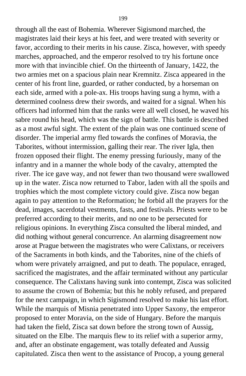through all the east of Bohemia. Wherever Sigismond marched, the magistrates laid their keys at his feet, and were treated with severity or favor, according to their merits in his cause. Zisca, however, with speedy marches, approached, and the emperor resolved to try his fortune once more with that invincible chief. On the thirteenth of January, 1422, the two armies met on a spacious plain near Kremnitz. Zisca appeared in the center of his front line, guarded, or rather conducted, by a horseman on each side, armed with a pole-ax. His troops having sung a hymn, with a determined coolness drew their swords, and waited for a signal. When his officers had informed him that the ranks were all well closed, he waved his sabre round his head, which was the sign of battle. This battle is described as a most awful sight. The extent of the plain was one continued scene of disorder. The imperial army fled towards the confines of Moravia, the Taborites, without intermission, galling their rear. The river Igla, then frozen opposed their flight. The enemy pressing furiously, many of the infantry and in a manner the whole body of the cavalry, attempted the river. The ice gave way, and not fewer than two thousand were swallowed up in the water. Zisca now returned to Tabor, laden with all the spoils and trophies which the most complete victory could give. Zisca now began again to pay attention to the Reformation; he forbid all the prayers for the dead, images, sacerdotal vestments, fasts, and festivals. Priests were to be preferred according to their merits, and no one to be persecuted for religious opinions. In everything Zisca consulted the liberal minded, and did nothing without general concurrence. An alarming disagreement now arose at Prague between the magistrates who were Calixtans, or receivers of the Sacraments in both kinds, and the Taborites, nine of the chiefs of whom were privately arraigned, and put to death. The populace, enraged, sacrificed the magistrates, and the affair terminated without any particular consequence. The Calixtans having sunk into contempt, Zisca was solicited to assume the crown of Bohemia; but this he nobly refused, and prepared for the next campaign, in which Sigismond resolved to make his last effort. While the marquis of Misnia penetrated into Upper Saxony, the emperor proposed to enter Moravia, on the side of Hungary. Before the marquis had taken the field, Zisca sat down before the strong town of Aussig, situated on the Elbe. The marquis flew to its relief with a superior army, and, after an obstinate engagement, was totally defeated and Aussig capitulated. Zisca then went to the assistance of Procop, a young general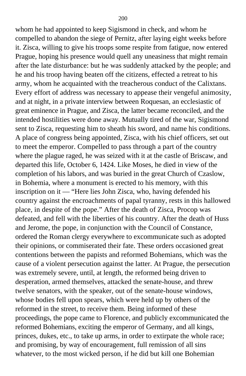whom he had appointed to keep Sigismond in check, and whom he compelled to abandon the siege of Pernitz, after laying eight weeks before it. Zisca, willing to give his troops some respite from fatigue, now entered Prague, hoping his presence would quell any uneasiness that might remain after the late disturbance: but he was suddenly attacked by the people; and he and his troop having beaten off the citizens, effected a retreat to his army, whom he acquainted with the treacherous conduct of the Calixtans. Every effort of address was necessary to appease their vengeful animosity, and at night, in a private interview between Roquesan, an ecclesiastic of great eminence in Prague, and Zisca, the latter became reconciled, and the intended hostilities were done away. Mutually tired of the war, Sigismond sent to Zisca, requesting him to sheath his sword, and name his conditions. A place of congress being appointed, Zisca, with his chief officers, set out to meet the emperor. Compelled to pass through a part of the country where the plague raged, he was seized with it at the castle of Briscaw, and departed this life, October 6, 1424. Like Moses, he died in view of the completion of his labors, and was buried in the great Church of Czaslow, in Bohemia, where a monument is erected to his memory, with this inscription on it — "Here lies John Zisca, who, having defended his country against the encroachments of papal tyranny, rests in this hallowed place, in despite of the pope." After the death of Zisca, Procop was defeated, and fell with the liberties of his country. After the death of Huss and Jerome, the pope, in conjunction with the Council of Constance, ordered the Roman clergy everywhere to excommunicate such as adopted their opinions, or commiserated their fate. These orders occasioned great contentions between the papists and reformed Bohemians, which was the cause of a violent persecution against the latter. At Prague, the persecution was extremely severe, until, at length, the reformed being driven to desperation, armed themselves, attacked the senate-house, and threw twelve senators, with the speaker, out of the senate-house windows, whose bodies fell upon spears, which were held up by others of the reformed in the street, to receive them. Being informed of these proceedings, the pope came to Florence, and publicly excommunicated the reformed Bohemians, exciting the emperor of Germany, and all kings, princes, dukes, etc., to take up arms, in order to extirpate the whole race; and promising, by way of encouragement, full remission of all sins whatever, to the most wicked person, if he did but kill one Bohemian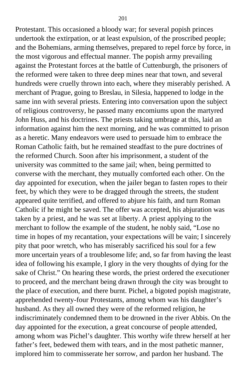Protestant. This occasioned a bloody war; for several popish princes undertook the extirpation, or at least expulsion, of the proscribed people; and the Bohemians, arming themselves, prepared to repel force by force, in the most vigorous and effectual manner. The popish army prevailing against the Protestant forces at the battle of Cuttenburgh, the prisoners of the reformed were taken to three deep mines near that town, and several hundreds were cruelly thrown into each, where they miserably perished. A merchant of Prague, going to Breslau, in Silesia, happened to lodge in the same inn with several priests. Entering into conversation upon the subject of religious controversy, he passed many encomiums upon the martyred John Huss, and his doctrines. The priests taking umbrage at this, laid an information against him the next morning, and he was committed to prison as a heretic. Many endeavors were used to persuade him to embrace the Roman Catholic faith, but he remained steadfast to the pure doctrines of the reformed Church. Soon after his imprisonment, a student of the university was committed to the same jail; when, being permitted to converse with the merchant, they mutually comforted each other. On the day appointed for execution, when the jailer began to fasten ropes to their feet, by which they were to be dragged through the streets, the student appeared quite terrified, and offered to abjure his faith, and turn Roman Catholic if he might be saved. The offer was accepted, his abjuration was taken by a priest, and he was set at liberty. A priest applying to the merchant to follow the example of the student, he nobly said, "Lose no time in hopes of my recantation, your expectations will be vain; I sincerely pity that poor wretch, who has miserably sacrificed his soul for a few more uncertain years of a troublesome life; and, so far from having the least idea of following his example, I glory in the very thoughts of dying for the sake of Christ." On hearing these words, the priest ordered the executioner to proceed, and the merchant being drawn through the city was brought to the place of execution, and there burnt. Pichel, a bigoted popish magistrate, apprehended twenty-four Protestants, among whom was his daughter's husband. As they all owned they were of the reformed religion, he indiscriminately condemned them to be drowned in the river Abbis. On the day appointed for the execution, a great concourse of people attended, among whom was Pichel's daughter. This worthy wife threw herself at her father's feet, bedewed them with tears, and in the most pathetic manner, implored him to commisserate her sorrow, and pardon her husband. The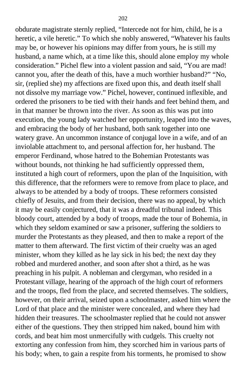obdurate magistrate sternly replied, "Intercede not for him, child, he is a heretic, a vile heretic." To which she nobly answered, "Whatever his faults may be, or however his opinions may differ from yours, he is still my husband, a name which, at a time like this, should alone employ my whole consideration." Pichel flew into a violent passion and said, "You are mad! cannot you, after the death of this, have a much worthier husband?" "No, sir, (replied she) my affections are fixed upon this, and death itself shall not dissolve my marriage vow." Pichel, however, continued inflexible, and ordered the prisoners to be tied with their hands and feet behind them, and in that manner be thrown into the river. As soon as this was put into execution, the young lady watched her opportunity, leaped into the waves, and embracing the body of her husband, both sank together into one watery grave. An uncommon instance of conjugal love in a wife, and of an inviolable attachment to, and personal affection for, her husband. The emperor Ferdinand, whose hatred to the Bohemian Protestants was without bounds, not thinking he had sufficiently oppressed them, instituted a high court of reformers, upon the plan of the Inquisition, with this difference, that the reformers were to remove from place to place, and always to be attended by a body of troops. These reformers consisted chiefly of Jesuits, and from their decision, there was no appeal, by which it may be easily conjectured, that it was a dreadful tribunal indeed. This bloody court, attended by a body of troops, made the tour of Bohemia, in which they seldom examined or saw a prisoner, suffering the soldiers to murder the Protestants as they pleased, and then to make a report of the matter to them afterward. The first victim of their cruelty was an aged minister, whom they killed as he lay sick in his bed; the next day they robbed and murdered another, and soon after shot a third, as he was preaching in his pulpit. A nobleman and clergyman, who resided in a Protestant village, hearing of the approach of the high court of reformers and the troops, fled from the place, and secreted themselves. The soldiers, however, on their arrival, seized upon a schoolmaster, asked him where the Lord of that place and the minister were concealed, and where they had hidden their treasures. The schoolmaster replied that he could not answer either of the questions. They then stripped him naked, bound him with cords, and beat him most unmercifully with cudgels. This cruelty not extorting any confession from him, they scorched him in various parts of his body; when, to gain a respite from his torments, he promised to show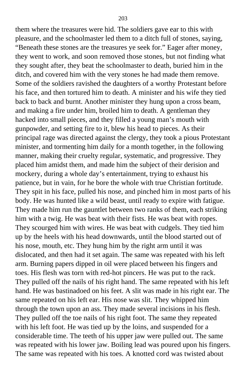them where the treasures were hid. The soldiers gave ear to this with pleasure, and the schoolmaster led them to a ditch full of stones, saying, "Beneath these stones are the treasures ye seek for." Eager after money, they went to work, and soon removed those stones, but not finding what they sought after, they beat the schoolmaster to death, buried him in the ditch, and covered him with the very stones he had made them remove. Some of the soldiers ravished the daughters of a worthy Protestant before his face, and then tortured him to death. A minister and his wife they tied back to back and burnt. Another minister they hung upon a cross beam, and making a fire under him, broiled him to death. A gentleman they hacked into small pieces, and they filled a young man's mouth with gunpowder, and setting fire to it, blew his head to pieces. As their principal rage was directed against the clergy, they took a pious Protestant minister, and tormenting him daily for a month together, in the following manner, making their cruelty regular, systematic, and progressive. They placed him amidst them, and made him the subject of their derision and mockery, during a whole day's entertainment, trying to exhaust his patience, but in vain, for he bore the whole with true Christian fortitude. They spit in his face, pulled his nose, and pinched him in most parts of his body. He was hunted like a wild beast, until ready to expire with fatigue. They made him run the gauntlet between two ranks of them, each striking him with a twig. He was beat with their fists. He was beat with ropes. They scourged him with wires. He was beat with cudgels. They tied him up by the heels with his head downwards, until the blood started out of his nose, mouth, etc. They hung him by the right arm until it was dislocated, and then had it set again. The same was repeated with his left arm. Burning papers dipped in oil were placed between his fingers and toes. His flesh was torn with red-hot pincers. He was put to the rack. They pulled off the nails of his right hand. The same repeated with his left hand. He was bastinadoed on his feet. A slit was made in his right ear. The same repeated on his left ear. His nose was slit. They whipped him through the town upon an ass. They made several incisions in his flesh. They pulled off the toe nails of his right foot. The same they repeated with his left foot. He was tied up by the loins, and suspended for a considerable time. The teeth of his upper jaw were pulled out. The same was repeated with his lower jaw. Boiling lead was poured upon his fingers. The same was repeated with his toes. A knotted cord was twisted about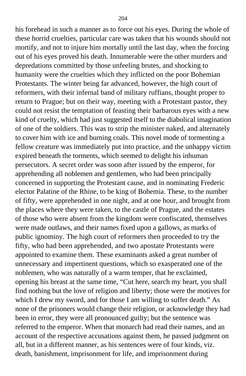his forehead in such a manner as to force out his eyes. During the whole of these horrid cruelties, particular care was taken that his wounds should not mortify, and not to injure him mortally until the last day, when the forcing out of his eyes proved his death. Innumerable were the other murders and depredations committed by those unfeeling brutes, and shocking to humanity were the cruelties which they inflicted on the poor Bohemian Protestants. The winter being far advanced, however, the high court of reformers, with their infernal band of military ruffians, thought proper to return to Prague; but on their way, meeting with a Protestant pastor, they could not resist the temptation of feasting their barbarous eyes with a new kind of cruelty, which had just suggested itself to the diabolical imagination of one of the soldiers. This was to strip the minister naked, and alternately to cover him with ice and burning coals. This novel mode of tormenting a fellow creature was immediately put into practice, and the unhappy victim expired beneath the torments, which seemed to delight his inhuman persecutors. A secret order was soon after issued by the emperor, for apprehending all noblemen and gentlemen, who had been principally concerned in supporting the Protestant cause, and in nominating Frederic elector Palatine of the Rhine, to be king of Bohemia. These, to the number of fifty, were apprehended in one night, and at one hour, and brought from the places where they were taken, to the castle of Prague, and the estates of those who were absent from the kingdom were confiscated, themselves were made outlaws, and their names fixed upon a gallows, as marks of public ignominy. The high court of reformers then proceeded to try the fifty, who had been apprehended, and two apostate Protestants were appointed to examine them. These examinants asked a great number of unnecessary and impertinent questions, which so exasperated one of the noblemen, who was naturally of a warm temper, that he exclaimed, opening his breast at the same time, "Cut here, search my heart, you shall find nothing but the love of religion and liberty; those were the motives for which I drew my sword, and for those I am willing to suffer death." As none of the prisoners would change their religion, or acknowledge they had been in error, they were all pronounced guilty; but the sentence was referred to the emperor. When that monarch had read their names, and an account of the respective accusations against them, he passed judgment on all, but in a different manner, as his sentences were of four kinds, viz. death, banishment, imprisonment for life, and imprisonment during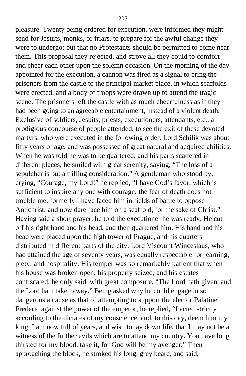pleasure. Twenty being ordered for execution, were informed they might send for Jesuits, monks, or friars, to prepare for the awful change they were to undergo; but that no Protestants should be permitted to come near them. This proposal they rejected, and strove all they could to comfort and cheer each other upon the solemn occasion. On the morning of the day appointed for the execution, a cannon was fired as a signal to bring the prisoners from the castle to the principal market place, in which scaffolds were erected, and a body of troops were drawn up to attend the tragic scene. The prisoners left the castle with as much cheerfulness as if they had been going to an agreeable entertainment, instead of a violent death. Exclusive of soldiers, Jesuits, priests, executioners, attendants, etc., a prodigious concourse of people attended, to see the exit of these devoted martyrs, who were executed in the following order. Lord Schilik was about fifty years of age, and was possessed of great natural and acquired abilities. When he was told he was to be quartered, and his parts scattered in different places, he smiled with great serenity, saying, "The loss of a sepulcher is but a trifling consideration." A gentleman who stood by, crying, "Courage, my Lord!" he replied, "I have God's favor, which is sufficient to inspire any one with courage: the fear of death does not trouble me; formerly I have faced him in fields of battle to oppose Antichrist; and now dare face him on a scaffold, for the sake of Christ." Having said a short prayer, he told the executioner he was ready. He cut off his right hand and his head, and then quartered him. His hand and his head were placed upon the high tower of Prague, and his quarters distributed in different parts of the city. Lord Viscount Winceslaus, who had attained the age of seventy years, was equally respectable for learning, piety, and hospitality. His temper was so remarkably patient that when his house was broken open, his property seized, and his estates confiscated, he only said, with great composure, "The Lord hath given, and the Lord hath taken away." Being asked why he could engage in so dangerous a cause as that of attempting to support the elector Palatine Frederic against the power of the emperor, he replied, "I acted strictly according to the dictates of my conscience, and, to this day, deem him my king. I am now full of years, and wish to lay down life, that I may not be a witness of the further evils which are to attend my country. You have long thirsted for my blood, take it, for God will be my avenger." Then approaching the block, he stroked his long, grey beard, and said,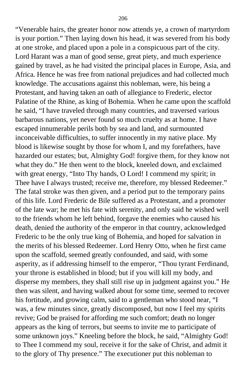"Venerable hairs, the greater honor now attends ye, a crown of martyrdom is your portion." Then laying down his head, it was severed from his body at one stroke, and placed upon a pole in a conspicuous part of the city. Lord Harant was a man of good sense, great piety, and much experience gained by travel, as he had visited the principal places in Europe, Asia, and Africa. Hence he was free from national prejudices and had collected much knowledge. The accusations against this nobleman, were, his being a Protestant, and having taken an oath of allegiance to Frederic, elector Palatine of the Rhine, as king of Bohemia. When he came upon the scaffold he said, "I have traveled through many countries, and traversed various barbarous nations, yet never found so much cruelty as at home. I have escaped innumerable perils both by sea and land, and surmounted inconceivable difficulties, to suffer innocently in my native place. My blood is likewise sought by those for whom I, and my forefathers, have hazarded our estates; but, Almighty God! forgive them, for they know not what they do." He then went to the block, kneeled down, and exclaimed with great energy, "Into Thy hands, O Lord! I commend my spirit; in Thee have I always trusted; receive me, therefore, my blessed Redeemer." The fatal stroke was then given, and a period put to the temporary pains of this life. Lord Frederic de Bile suffered as a Protestant, and a promoter of the late war; he met his fate with serenity, and only said he wished well to the friends whom he left behind, forgave the enemies who caused his death, denied the authority of the emperor in that country, acknowledged Frederic to be the only true king of Bohemia, and hoped for salvation in the merits of his blessed Redeemer. Lord Henry Otto, when he first came upon the scaffold, seemed greatly confounded, and said, with some asperity, as if addressing himself to the emperor, "Thou tyrant Ferdinand, your throne is established in blood; but if you will kill my body, and disperse my members, they shall still rise up in judgment against you." He then was silent, and having walked about for some time, seemed to recover his fortitude, and growing calm, said to a gentleman who stood near, "I was, a few minutes since, greatly discomposed, but now I feel my spirits revive; God be praised for affording me such comfort; death no longer appears as the king of terrors, but seems to invite me to participate of some unknown joys." Kneeling before the block, he said, "Almighty God! to Thee I commend my soul, receive it for the sake of Christ, and admit it to the glory of Thy presence." The executioner put this nobleman to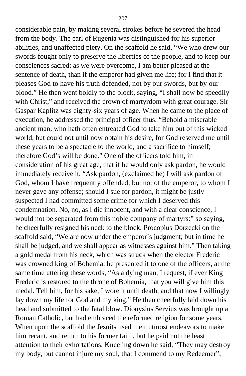considerable pain, by making several strokes before he severed the head from the body. The earl of Rugenia was distinguished for his superior abilities, and unaffected piety. On the scaffold he said, "We who drew our swords fought only to preserve the liberties of the people, and to keep our consciences sacred: as we were overcome, I am better pleased at the sentence of death, than if the emperor had given me life; for I find that it pleases God to have his truth defended, not by our swords, but by our blood." He then went boldly to the block, saying, "I shall now be speedily with Christ," and received the crown of martyrdom with great courage. Sir Gaspar Kaplitz was eighty-six years of age. When he came to the place of execution, he addressed the principal officer thus: "Behold a miserable ancient man, who hath often entreated God to take him out of this wicked world, but could not until now obtain his desire, for God reserved me until these years to be a spectacle to the world, and a sacrifice to himself; therefore God's will be done." One of the officers told him, in consideration of his great age, that if he would only ask pardon, he would immediately receive it. "Ask pardon, (exclaimed he) I will ask pardon of God, whom I have frequently offended; but not of the emperor, to whom I never gave any offense; should I sue for pardon, it might be justly suspected I had committed some crime for which I deserved this condemnation. No, no, as I die innocent, and with a clear conscience, I would not be separated from this noble company of martyrs:" so saying, he cheerfully resigned his neck to the block. Procopius Dorzecki on the scaffold said, "We are now under the emperor's judgment; but in time he shall be judged, and we shall appear as witnesses against him." Then taking a gold medal from his neck, which was struck when the elector Frederic was crowned king of Bohemia, he presented it to one of the officers, at the same time uttering these words, "As a dying man, I request, if ever King Frederic is restored to the throne of Bohemia, that you will give him this medal. Tell him, for his sake, I wore it until death, and that now I willingly lay down my life for God and my king." He then cheerfully laid down his head and submitted to the fatal blow. Dionysius Servius was brought up a Roman Catholic, but had embraced the reformed religion for some years. When upon the scaffold the Jesuits used their utmost endeavors to make him recant, and return to his former faith, but he paid not the least attention to their exhortations. Kneeling down he said, "They may destroy my body, but cannot injure my soul, that I commend to my Redeemer";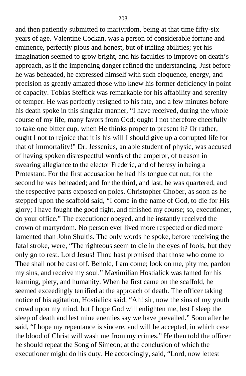and then patiently submitted to martyrdom, being at that time fifty-six years of age. Valentine Cockan, was a person of considerable fortune and eminence, perfectly pious and honest, but of trifling abilities; yet his imagination seemed to grow bright, and his faculties to improve on death's approach, as if the impending danger refined the understanding. Just before he was beheaded, he expressed himself with such eloquence, energy, and precision as greatly amazed those who knew his former deficiency in point of capacity. Tobias Steffick was remarkable for his affability and serenity of temper. He was perfectly resigned to his fate, and a few minutes before his death spoke in this singular manner, "I have received, during the whole course of my life, many favors from God; ought I not therefore cheerfully to take one bitter cup, when He thinks proper to present it? Or rather, ought I not to rejoice that it is his will I should give up a corrupted life for that of immortality!" Dr. Jessenius, an able student of physic, was accused of having spoken disrespectful words of the emperor, of treason in swearing allegiance to the elector Frederic, and of heresy in being a Protestant. For the first accusation he had his tongue cut out; for the second he was beheaded; and for the third, and last, he was quartered, and the respective parts exposed on poles. Christopher Chober, as soon as he stepped upon the scaffold said, "I come in the name of God, to die for His glory; I have fought the good fight, and finished my course; so, executioner, do your office." The executioner obeyed, and he instantly received the crown of martyrdom. No person ever lived more respected or died more lamented than John Shultis. The only words he spoke, before receiving the fatal stroke, were, "The righteous seem to die in the eyes of fools, but they only go to rest. Lord Jesus! Thou hast promised that those who come to Thee shall not be cast off. Behold, I am come; look on me, pity me, pardon my sins, and receive my soul." Maximilian Hostialick was famed for his learning, piety, and humanity. When he first came on the scaffold, he seemed exceedingly terrified at the approach of death. The officer taking notice of his agitation, Hostialick said, "Ah! sir, now the sins of my youth crowd upon my mind, but I hope God will enlighten me, lest I sleep the sleep of death and lest mine enemies say we have prevailed." Soon after he said, "I hope my repentance is sincere, and will be accepted, in which case the blood of Christ will wash me from my crimes." He then told the officer he should repeat the Song of Simeon; at the conclusion of which the executioner might do his duty. He accordingly, said, "Lord, now lettest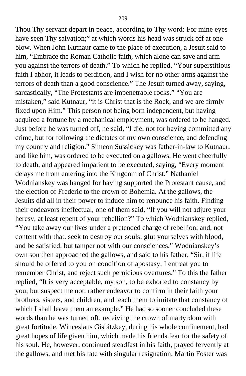Thou Thy servant depart in peace, according to Thy word: For mine eyes have seen Thy salvation;" at which words his head was struck off at one blow. When John Kutnaur came to the place of execution, a Jesuit said to him, "Embrace the Roman Catholic faith, which alone can save and arm you against the terrors of death." To which he replied, "Your superstitious faith I abhor, it leads to perdition, and I wish for no other arms against the terrors of death than a good conscience." The Jesuit turned away, saying, sarcastically, "The Protestants are impenetrable rocks." "You are mistaken," said Kutnaur, "it is Christ that is the Rock, and we are firmly fixed upon Him." This person not being born independent, but having acquired a fortune by a mechanical employment, was ordered to be hanged. Just before he was turned off, he said, "I die, not for having committed any crime, but for following the dictates of my own conscience, and defending my country and religion." Simeon Sussickey was father-in-law to Kutnaur, and like him, was ordered to be executed on a gallows. He went cheerfully to death, and appeared impatient to be executed, saying, "Every moment delays me from entering into the Kingdom of Christ." Nathaniel Wodnianskey was hanged for having supported the Protestant cause, and the election of Frederic to the crown of Bohemia. At the gallows, the Jesuits did all in their power to induce him to renounce his faith. Finding their endeavors ineffectual, one of them said, "If you will not adjure your heresy, at least repent of your rebellion?" To which Wodnianskey replied,

"You take away our lives under a pretended charge of rebellion; and, not content with that, seek to destroy our souls; glut yourselves with blood, and be satisfied; but tamper not with our consciences." Wodnianskey's own son then approached the gallows, and said to his father, "Sir, if life should be offered to you on condition of apostasy, I entreat you to remember Christ, and reject such pernicious overtures." To this the father replied, "It is very acceptable, my son, to be exhorted to constancy by you; but suspect me not; rather endeavor to confirm in their faith your brothers, sisters, and children, and teach them to imitate that constancy of which I shall leave them an example." He had so sooner concluded these words than he was turned off, receiving the crown of martyrdom with great fortitude. Winceslaus Gisbitzkey, during his whole confinement, had great hopes of life given him, which made his friends fear for the safety of his soul. He, however, continued steadfast in his faith, prayed fervently at the gallows, and met his fate with singular resignation. Martin Foster was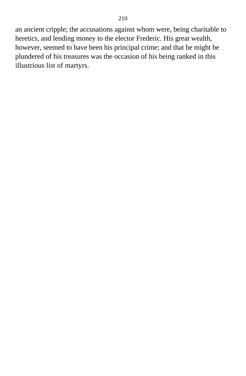an ancient cripple; the accusations against whom were, being charitable to

heretics, and lending money to the elector Frederic. His great wealth, however, seemed to have been his principal crime; and that he might be plundered of his treasures was the occasion of his being ranked in this illustrious list of martyrs.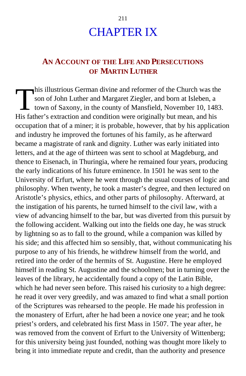# CHAPTER IX

211

### **AN ACCOUNT OF THE LIFE AND PERSECUTIONS OF MARTIN LUTHER**

his illustrious German divine and reformer of the Church was the son of John Luther and Margaret Ziegler, and born at Isleben, a town of Saxony, in the county of Mansfield, November 10, 1483. His father's extraction and condition were originally but mean, and his occupation that of a miner; it is probable, however, that by his application and industry he improved the fortunes of his family, as he afterward became a magistrate of rank and dignity. Luther was early initiated into letters, and at the age of thirteen was sent to school at Magdeburg, and thence to Eisenach, in Thuringia, where he remained four years, producing the early indications of his future eminence. In 1501 he was sent to the University of Erfurt, where he went through the usual courses of logic and philosophy. When twenty, he took a master's degree, and then lectured on Aristotle's physics, ethics, and other parts of philosophy. Afterward, at the instigation of his parents, he turned himself to the civil law, with a view of advancing himself to the bar, but was diverted from this pursuit by the following accident. Walking out into the fields one day, he was struck by lightning so as to fall to the ground, while a companion was killed by his side; and this affected him so sensibly, that, without communicating his purpose to any of his friends, he withdrew himself from the world, and retired into the order of the hermits of St. Augustine. Here he employed himself in reading St. Augustine and the schoolmen; but in turning over the leaves of the library, he accidentally found a copy of the Latin Bible, which he had never seen before. This raised his curiosity to a high degree: he read it over very greedily, and was amazed to find what a small portion of the Scriptures was rehearsed to the people. He made his profession in the monastery of Erfurt, after he had been a novice one year; and he took priest's orders, and celebrated his first Mass in 1507. The year after, he was removed from the convent of Erfurt to the University of Wittenberg; for this university being just founded, nothing was thought more likely to bring it into immediate repute and credit, than the authority and presence T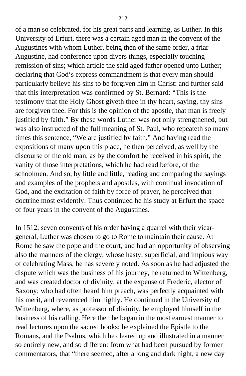of a man so celebrated, for his great parts and learning, as Luther. In this University of Erfurt, there was a certain aged man in the convent of the Augustines with whom Luther, being then of the same order, a friar Augustine, had conference upon divers things, especially touching remission of sins; which article the said aged father opened unto Luther; declaring that God's express commandment is that every man should particularly believe his sins to be forgiven him in Christ: and further said that this interpretation was confirmed by St. Bernard: "This is the testimony that the Holy Ghost giveth thee in thy heart, saying, thy sins are forgiven thee. For this is the opinion of the apostle, that man is freely justified by faith." By these words Luther was not only strengthened, but was also instructed of the full meaning of St. Paul, who repeateth so many times this sentence, "We are justified by faith." And having read the expositions of many upon this place, he then perceived, as well by the discourse of the old man, as by the comfort he received in his spirit, the vanity of those interpretations, which he had read before, of the schoolmen. And so, by little and little, reading and comparing the sayings and examples of the prophets and apostles, with continual invocation of God, and the excitation of faith by force of prayer, he perceived that doctrine most evidently. Thus continued he his study at Erfurt the space of four years in the convent of the Augustines.

In 1512, seven convents of his order having a quarrel with their vicargeneral, Luther was chosen to go to Rome to maintain their cause. At Rome he saw the pope and the court, and had an opportunity of observing also the manners of the clergy, whose hasty, superficial, and impious way of celebrating Mass, he has severely noted. As soon as he had adjusted the dispute which was the business of his journey, he returned to Wittenberg, and was created doctor of divinity, at the expense of Frederic, elector of Saxony; who had often heard him preach, was perfectly acquainted with his merit, and reverenced him highly. He continued in the University of Wittenberg, where, as professor of divinity, he employed himself in the business of his calling. Here then he began in the most earnest manner to read lectures upon the sacred books: he explained the Epistle to the Romans, and the Psalms, which he cleared up and illustrated in a manner so entirely new, and so different from what had been pursued by former commentators, that "there seemed, after a long and dark night, a new day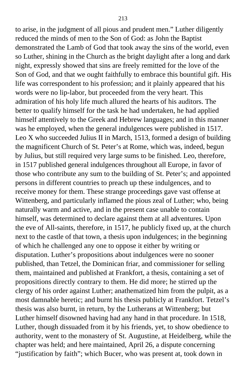to arise, in the judgment of all pious and prudent men." Luther diligently reduced the minds of men to the Son of God: as John the Baptist demonstrated the Lamb of God that took away the sins of the world, even so Luther, shining in the Church as the bright daylight after a long and dark night, expressly showed that sins are freely remitted for the love of the Son of God, and that we ought faithfully to embrace this bountiful gift. His life was correspondent to his profession; and it plainly appeared that his words were no lip-labor, but proceeded from the very heart. This admiration of his holy life much allured the hearts of his auditors. The better to qualify himself for the task he had undertaken, he had applied himself attentively to the Greek and Hebrew languages; and in this manner was he employed, when the general indulgences were published in 1517. Leo X who succeeded Julius II in March, 1513, formed a design of building the magnificent Church of St. Peter's at Rome, which was, indeed, begun by Julius, but still required very large sums to be finished. Leo, therefore, in 1517 published general indulgences throughout all Europe, in favor of those who contribute any sum to the building of St. Peter's; and appointed persons in different countries to preach up these indulgences, and to receive money for them. These strange proceedings gave vast offense at Wittenberg, and particularly inflamed the pious zeal of Luther; who, being naturally warm and active, and in the present case unable to contain himself, was determined to declare against them at all adventures. Upon the eve of All-saints, therefore, in 1517, he publicly fixed up, at the church next to the castle of that town, a thesis upon indulgences; in the beginning of which he challenged any one to oppose it either by writing or disputation. Luther's propositions about indulgences were no sooner published, than Tetzel, the Dominican friar, and commissioner for selling them, maintained and published at Frankfort, a thesis, containing a set of propositions directly contrary to them. He did more; he stirred up the clergy of his order against Luther; anathematized him from the pulpit, as a most damnable heretic; and burnt his thesis publicly at Frankfort. Tetzel's thesis was also burnt, in return, by the Lutherans at Wittenberg; but Luther himself disowned having had any hand in that procedure. In 1518, Luther, though dissuaded from it by his friends, yet, to show obedience to authority, went to the monastery of St. Augustine, at Heidelberg, while the chapter was held; and here maintained, April 26, a dispute concerning "justification by faith"; which Bucer, who was present at, took down in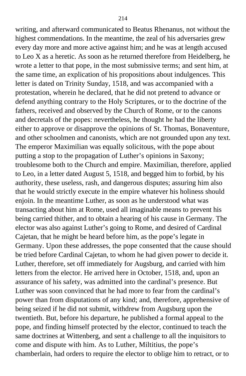writing, and afterward communicated to Beatus Rhenanus, not without the highest commendations. In the meantime, the zeal of his adversaries grew every day more and more active against him; and he was at length accused to Leo X as a heretic. As soon as he returned therefore from Heidelberg, he wrote a letter to that pope, in the most submissive terms; and sent him, at the same time, an explication of his propositions about indulgences. This letter is dated on Trinity Sunday, 1518, and was accompanied with a protestation, wherein he declared, that he did not pretend to advance or defend anything contrary to the Holy Scriptures, or to the doctrine of the fathers, received and observed by the Church of Rome, or to the canons and decretals of the popes: nevertheless, he thought he had the liberty either to approve or disapprove the opinions of St. Thomas, Bonaventure, and other schoolmen and canonists, which are not grounded upon any text. The emperor Maximilian was equally solicitous, with the pope about putting a stop to the propagation of Luther's opinions in Saxony; troublesome both to the Church and empire. Maximilian, therefore, applied to Leo, in a letter dated August 5, 1518, and begged him to forbid, by his authority, these useless, rash, and dangerous disputes; assuring him also that he would strictly execute in the empire whatever his holiness should enjoin. In the meantime Luther, as soon as he understood what was transacting about him at Rome, used all imaginable means to prevent his being carried thither, and to obtain a hearing of his cause in Germany. The elector was also against Luther's going to Rome, and desired of Cardinal Cajetan, that he might be heard before him, as the pope's legate in Germany. Upon these addresses, the pope consented that the cause should be tried before Cardinal Cajetan, to whom he had given power to decide it. Luther, therefore, set off immediately for Augsburg, and carried with him letters from the elector. He arrived here in October, 1518, and, upon an assurance of his safety, was admitted into the cardinal's presence. But Luther was soon convinced that he had more to fear from the cardinal's power than from disputations of any kind; and, therefore, apprehensive of being seized if he did not submit, withdrew from Augsburg upon the twentieth. But, before his departure, he published a formal appeal to the pope, and finding himself protected by the elector, continued to teach the same doctrines at Wittenberg, and sent a challenge to all the inquisitors to come and dispute with him. As to Luther, Miltitius, the pope's chamberlain, had orders to require the elector to oblige him to retract, or to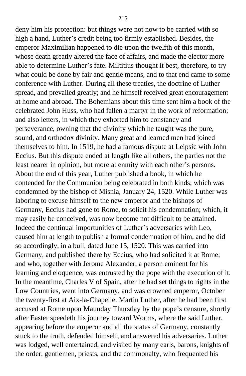deny him his protection: but things were not now to be carried with so high a hand, Luther's credit being too firmly established. Besides, the emperor Maximilian happened to die upon the twelfth of this month, whose death greatly altered the face of affairs, and made the elector more able to determine Luther's fate. Miltitius thought it best, therefore, to try what could be done by fair and gentle means, and to that end came to some conference with Luther. During all these treaties, the doctrine of Luther spread, and prevailed greatly; and he himself received great encouragement at home and abroad. The Bohemians about this time sent him a book of the celebrated John Huss, who had fallen a martyr in the work of reformation; and also letters, in which they exhorted him to constancy and perseverance, owning that the divinity which he taught was the pure, sound, and orthodox divinity. Many great and learned men had joined themselves to him. In 1519, he had a famous dispute at Leipsic with John Eccius. But this dispute ended at length like all others, the parties not the least nearer in opinion, but more at enmity with each other's persons. About the end of this year, Luther published a book, in which he contended for the Communion being celebrated in both kinds; which was condemned by the bishop of Misnia, January 24, 1520. While Luther was laboring to excuse himself to the new emperor and the bishops of Germany, Eccius had gone to Rome, to solicit his condemnation; which, it may easily be conceived, was now become not difficult to be attained. Indeed the continual importunities of Luther's adversaries with Leo, caused him at length to publish a formal condemnation of him, and he did so accordingly, in a bull, dated June 15, 1520. This was carried into Germany, and published there by Eccius, who had solicited it at Rome; and who, together with Jerome Alexander, a person eminent for his learning and eloquence, was entrusted by the pope with the execution of it. In the meantime, Charles V of Spain, after he had set things to rights in the Low Countries, went into Germany, and was crowned emperor, October the twenty-first at Aix-la-Chapelle. Martin Luther, after he had been first accused at Rome upon Maunday Thursday by the pope's censure, shortly after Easter speedeth his journey toward Worms, where the said Luther, appearing before the emperor and all the states of Germany, constantly stuck to the truth, defended himself, and answered his adversaries. Luther was lodged, well entertained, and visited by many earls, barons, knights of the order, gentlemen, priests, and the commonalty, who frequented his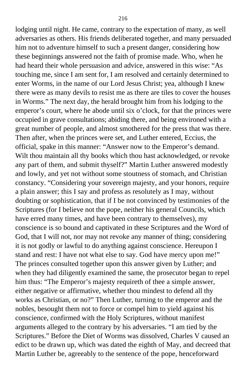lodging until night. He came, contrary to the expectation of many, as well adversaries as others. His friends deliberated together, and many persuaded him not to adventure himself to such a present danger, considering how these beginnings answered not the faith of promise made. Who, when he had heard their whole persuasion and advice, answered in this wise: "As touching me, since I am sent for, I am resolved and certainly determined to enter Worms, in the name of our Lord Jesus Christ; yea, although I knew there were as many devils to resist me as there are tiles to cover the houses in Worms." The next day, the herald brought him from his lodging to the emperor's court, where he abode until six o'clock, for that the princes were occupied in grave consultations; abiding there, and being environed with a great number of people, and almost smothered for the press that was there. Then after, when the princes were set, and Luther entered, Eccius, the official, spake in this manner: "Answer now to the Emperor's demand. Wilt thou maintain all thy books which thou hast acknowledged, or revoke any part of them, and submit thyself?" Martin Luther answered modestly and lowly, and yet not without some stoutness of stomach, and Christian constancy. "Considering your sovereign majesty, and your honors, require a plain answer; this I say and profess as resolutely as I may, without doubting or sophistication, that if I be not convinced by testimonies of the Scriptures (for I believe not the pope, neither his general Councils, which have erred many times, and have been contrary to themselves), my conscience is so bound and captivated in these Scriptures and the Word of God, that I will not, nor may not revoke any manner of thing; considering it is not godly or lawful to do anything against conscience. Hereupon I stand and rest: I have not what else to say. God have mercy upon me!" The princes consulted together upon this answer given by Luther; and when they had diligently examined the same, the prosecutor began to repel him thus: "The Emperor's majesty requireth of thee a simple answer, either negative or affirmative, whether thou mindest to defend all thy works as Christian, or no?" Then Luther, turning to the emperor and the nobles, besought them not to force or compel him to yield against his conscience, confirmed with the Holy Scriptures, without manifest arguments alleged to the contrary by his adversaries. "I am tied by the Scriptures." Before the Diet of Worms was dissolved, Charles V caused an edict to be drawn up, which was dated the eighth of May, and decreed that Martin Luther be, agreeably to the sentence of the pope, henceforward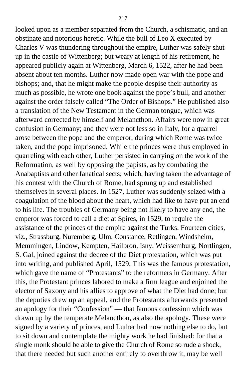looked upon as a member separated from the Church, a schismatic, and an obstinate and notorious heretic. While the bull of Leo X executed by Charles V was thundering throughout the empire, Luther was safely shut up in the castle of Wittenberg; but weary at length of his retirement, he appeared publicly again at Wittenberg, March 6, 1522, after he had been absent about ten months. Luther now made open war with the pope and bishops; and, that he might make the people despise their authority as much as possible, he wrote one book against the pope's bull, and another against the order falsely called "The Order of Bishops." He published also a translation of the New Testament in the German tongue, which was afterward corrected by himself and Melancthon. Affairs were now in great confusion in Germany; and they were not less so in Italy, for a quarrel arose between the pope and the emperor, during which Rome was twice taken, and the pope imprisoned. While the princes were thus employed in quarreling with each other, Luther persisted in carrying on the work of the Reformation, as well by opposing the papists, as by combating the Anabaptists and other fanatical sects; which, having taken the advantage of his contest with the Church of Rome, had sprung up and established themselves in several places. In 1527, Luther was suddenly seized with a coagulation of the blood about the heart, which had like to have put an end to his life. The troubles of Germany being not likely to have any end, the emperor was forced to call a diet at Spires, in 1529, to require the assistance of the princes of the empire against the Turks. Fourteen cities, viz., Strassburg, Nuremberg, Ulm, Constance, Retlingen, Windsheim, Memmingen, Lindow, Kempten, Hailbron, Isny, Weissemburg, Nortlingen, S. Gal, joined against the decree of the Diet protestation, which was put into writing, and published April, 1529. This was the famous protestation, which gave the name of "Protestants" to the reformers in Germany. After this, the Protestant princes labored to make a firm league and enjoined the elector of Saxony and his allies to approve of what the Diet had done; but the deputies drew up an appeal, and the Protestants afterwards presented an apology for their "Confession" — that famous confession which was drawn up by the temperate Melancthon, as also the apology. These were signed by a variety of princes, and Luther had now nothing else to do, but to sit down and contemplate the mighty work he had finished: for that a single monk should be able to give the Church of Rome so rude a shock, that there needed but such another entirely to overthrow it, may be well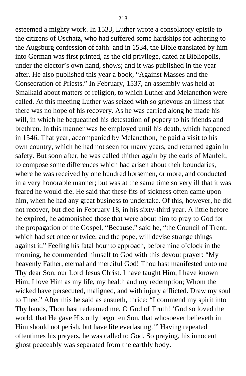esteemed a mighty work. In 1533, Luther wrote a consolatory epistle to the citizens of Oschatz, who had suffered some hardships for adhering to the Augsburg confession of faith: and in 1534, the Bible translated by him into German was first printed, as the old privilege, dated at Bibliopolis, under the elector's own hand, shows; and it was published in the year after. He also published this year a book, "Against Masses and the Consecration of Priests." In February, 1537, an assembly was held at Smalkald about matters of religion, to which Luther and Melancthon were called. At this meeting Luther was seized with so grievous an illness that there was no hope of his recovery. As he was carried along he made his will, in which he bequeathed his detestation of popery to his friends and brethren. In this manner was he employed until his death, which happened in 1546. That year, accompanied by Melancthon, he paid a visit to his own country, which he had not seen for many years, and returned again in safety. But soon after, he was called thither again by the earls of Manfelt, to compose some differences which had arisen about their boundaries, where he was received by one hundred horsemen, or more, and conducted in a very honorable manner; but was at the same time so very ill that it was feared he would die. He said that these fits of sickness often came upon him, when he had any great business to undertake. Of this, however, he did not recover, but died in February 18, in his sixty-third year. A little before he expired, he admonished those that were about him to pray to God for the propagation of the Gospel, "Because," said he, "the Council of Trent, which had set once or twice, and the pope, will devise strange things against it." Feeling his fatal hour to approach, before nine o'clock in the morning, he commended himself to God with this devout prayer: "My heavenly Father, eternal and merciful God! Thou hast manifested unto me Thy dear Son, our Lord Jesus Christ. I have taught Him, I have known Him; I love Him as my life, my health and my redemption; Whom the wicked have persecuted, maligned, and with injury afflicted. Draw my soul to Thee." After this he said as ensueth, thrice: "I commend my spirit into Thy hands, Thou hast redeemed me, O God of Truth! 'God so loved the world, that He gave His only begotten Son, that whosoever believeth in Him should not perish, but have life everlasting.'" Having repeated oftentimes his prayers, he was called to God. So praying, his innocent ghost peaceably was separated from the earthly body.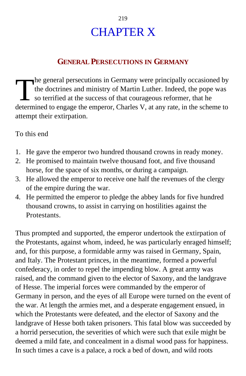## CHAPTER X

### **GENERAL PERSECUTIONS IN GERMANY**

he general persecutions in Germany were principally occasioned by the doctrines and ministry of Martin Luther. Indeed, the pope was so terrified at the success of that courageous reformer, that he determined to engage the emperor, Charles V, at any rate, in the scheme to attempt their extirpation. T

#### To this end

- 1. He gave the emperor two hundred thousand crowns in ready money.
- 2. He promised to maintain twelve thousand foot, and five thousand horse, for the space of six months, or during a campaign.
- 3. He allowed the emperor to receive one half the revenues of the clergy of the empire during the war.
- 4. He permitted the emperor to pledge the abbey lands for five hundred thousand crowns, to assist in carrying on hostilities against the Protestants.

Thus prompted and supported, the emperor undertook the extirpation of the Protestants, against whom, indeed, he was particularly enraged himself; and, for this purpose, a formidable army was raised in Germany, Spain, and Italy. The Protestant princes, in the meantime, formed a powerful confederacy, in order to repel the impending blow. A great army was raised, and the command given to the elector of Saxony, and the landgrave of Hesse. The imperial forces were commanded by the emperor of Germany in person, and the eyes of all Europe were turned on the event of the war. At length the armies met, and a desperate engagement ensued, in which the Protestants were defeated, and the elector of Saxony and the landgrave of Hesse both taken prisoners. This fatal blow was succeeded by a horrid persecution, the severities of which were such that exile might be deemed a mild fate, and concealment in a dismal wood pass for happiness. In such times a cave is a palace, a rock a bed of down, and wild roots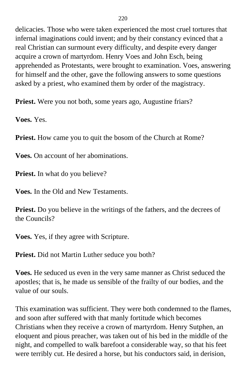delicacies. Those who were taken experienced the most cruel tortures that infernal imaginations could invent; and by their constancy evinced that a real Christian can surmount every difficulty, and despite every danger acquire a crown of martyrdom. Henry Voes and John Esch, being apprehended as Protestants, were brought to examination. Voes, answering for himself and the other, gave the following answers to some questions asked by a priest, who examined them by order of the magistracy.

**Priest.** Were you not both, some years ago, Augustine friars?

**Voes.** Yes.

**Priest.** How came you to quit the bosom of the Church at Rome?

**Voes.** On account of her abominations.

**Priest.** In what do you believe?

**Voes.** In the Old and New Testaments.

**Priest.** Do you believe in the writings of the fathers, and the decrees of the Councils?

**Voes.** Yes, if they agree with Scripture.

**Priest.** Did not Martin Luther seduce you both?

**Voes.** He seduced us even in the very same manner as Christ seduced the apostles; that is, he made us sensible of the frailty of our bodies, and the value of our souls.

This examination was sufficient. They were both condemned to the flames, and soon after suffered with that manly fortitude which becomes Christians when they receive a crown of martyrdom. Henry Sutphen, an eloquent and pious preacher, was taken out of his bed in the middle of the night, and compelled to walk barefoot a considerable way, so that his feet were terribly cut. He desired a horse, but his conductors said, in derision,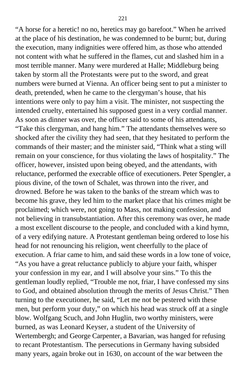"A horse for a heretic! no no, heretics may go barefoot." When he arrived at the place of his destination, he was condemned to be burnt; but, during the execution, many indignities were offered him, as those who attended not content with what he suffered in the flames, cut and slashed him in a most terrible manner. Many were murdered at Halle; Middleburg being taken by storm all the Protestants were put to the sword, and great numbers were burned at Vienna. An officer being sent to put a minister to death, pretended, when he came to the clergyman's house, that his intentions were only to pay him a visit. The minister, not suspecting the intended cruelty, entertained his supposed guest in a very cordial manner. As soon as dinner was over, the officer said to some of his attendants, "Take this clergyman, and hang him." The attendants themselves were so shocked after the civility they had seen, that they hesitated to perform the commands of their master; and the minister said, "Think what a sting will remain on your conscience, for thus violating the laws of hospitality." The officer, however, insisted upon being obeyed, and the attendants, with reluctance, performed the execrable office of executioners. Peter Spengler, a pious divine, of the town of Schalet, was thrown into the river, and drowned. Before he was taken to the banks of the stream which was to become his grave, they led him to the market place that his crimes might be proclaimed; which were, not going to Mass, not making confession, and not believing in transubstantiation. After this ceremony was over, he made a most excellent discourse to the people, and concluded with a kind hymn, of a very edifying nature. A Protestant gentleman being ordered to lose his head for not renouncing his religion, went cheerfully to the place of execution. A friar came to him, and said these words in a low tone of voice, "As you have a great reluctance publicly to abjure your faith, whisper your confession in my ear, and I will absolve your sins." To this the gentleman loudly replied, "Trouble me not, friar, I have confessed my sins to God, and obtained absolution through the merits of Jesus Christ." Then turning to the executioner, he said, "Let me not be pestered with these men, but perform your duty," on which his head was struck off at a single blow. Wolfgang Scuch, and John Huglin, two worthy ministers, were burned, as was Leonard Keyser, a student of the University of Wertembergh; and George Carpenter, a Bavarian, was hanged for refusing to recant Protestantism. The persecutions in Germany having subsided many years, again broke out in 1630, on account of the war between the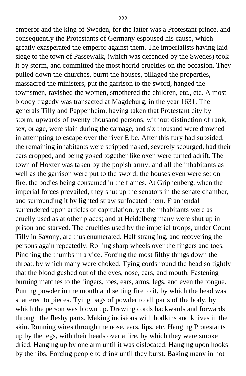emperor and the king of Sweden, for the latter was a Protestant prince, and consequently the Protestants of Germany espoused his cause, which greatly exasperated the emperor against them. The imperialists having laid siege to the town of Passewalk, (which was defended by the Swedes) took it by storm, and committed the most horrid cruelties on the occasion. They pulled down the churches, burnt the houses, pillaged the properties, massacred the ministers, put the garrison to the sword, hanged the townsmen, ravished the women, smothered the children, etc., etc. A most bloody tragedy was transacted at Magdeburg, in the year 1631. The generals Tilly and Pappenheim, having taken that Protestant city by storm, upwards of twenty thousand persons, without distinction of rank, sex, or age, were slain during the carnage, and six thousand were drowned in attempting to escape over the river Elbe. After this fury had subsided, the remaining inhabitants were stripped naked, severely scourged, had their ears cropped, and being yoked together like oxen were turned adrift. The town of Hoxter was taken by the popish army, and all the inhabitants as well as the garrison were put to the sword; the houses even were set on fire, the bodies being consumed in the flames. At Griphenberg, when the imperial forces prevailed, they shut up the senators in the senate chamber, and surrounding it by lighted straw suffocated them. Franhendal surrendered upon articles of capitulation, yet the inhabitants were as cruelly used as at other places; and at Heidelberg many were shut up in prison and starved. The cruelties used by the imperial troops, under Count Tilly in Saxony, are thus enumerated. Half strangling, and recovering the persons again repeatedly. Rolling sharp wheels over the fingers and toes. Pinching the thumbs in a vice. Forcing the most filthy things down the throat, by which many were choked. Tying cords round the head so tightly that the blood gushed out of the eyes, nose, ears, and mouth. Fastening burning matches to the fingers, toes, ears, arms, legs, and even the tongue. Putting powder in the mouth and setting fire to it, by which the head was shattered to pieces. Tying bags of powder to all parts of the body, by which the person was blown up. Drawing cords backwards and forwards through the fleshy parts. Making incisions with bodkins and knives in the skin. Running wires through the nose, ears, lips, etc. Hanging Protestants up by the legs, with their heads over a fire, by which they were smoke dried. Hanging up by one arm until it was dislocated. Hanging upon hooks by the ribs. Forcing people to drink until they burst. Baking many in hot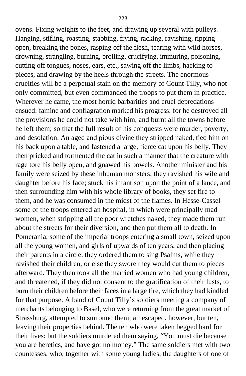ovens. Fixing weights to the feet, and drawing up several with pulleys. Hanging, stifling, roasting, stabbing, frying, racking, ravishing, ripping open, breaking the bones, rasping off the flesh, tearing with wild horses, drowning, strangling, burning, broiling, crucifying, immuring, poisoning, cutting off tongues, noses, ears, etc., sawing off the limbs, hacking to pieces, and drawing by the heels through the streets. The enormous cruelties will be a perpetual stain on the memory of Count Tilly, who not only committed, but even commanded the troops to put them in practice. Wherever he came, the most horrid barbarities and cruel depredations ensued: famine and conflagration marked his progress: for he destroyed all the provisions he could not take with him, and burnt all the towns before he left them; so that the full result of his conquests were murder, poverty, and desolation. An aged and pious divine they stripped naked, tied him on his back upon a table, and fastened a large, fierce cat upon his belly. They then pricked and tormented the cat in such a manner that the creature with rage tore his belly open, and gnawed his bowels. Another minister and his family were seized by these inhuman monsters; they ravished his wife and daughter before his face; stuck his infant son upon the point of a lance, and then surrounding him with his whole library of books, they set fire to them, and he was consumed in the midst of the flames. In Hesse-Cassel some of the troops entered an hospital, in which were principally mad women, when stripping all the poor wretches naked, they made them run about the streets for their diversion, and then put them all to death. In Pomerania, some of the imperial troops entering a small town, seized upon all the young women, and girls of upwards of ten years, and then placing their parents in a circle, they ordered them to sing Psalms, while they ravished their children, or else they swore they would cut them to pieces afterward. They then took all the married women who had young children, and threatened, if they did not consent to the gratification of their lusts, to burn their children before their faces in a large fire, which they had kindled for that purpose. A band of Count Tilly's soldiers meeting a company of merchants belonging to Basel, who were returning from the great market of Strassburg, attempted to surround them; all escaped, however, but ten, leaving their properties behind. The ten who were taken begged hard for their lives: but the soldiers murdered them saying, "You must die because you are heretics, and have got no money." The same soldiers met with two countesses, who, together with some young ladies, the daughters of one of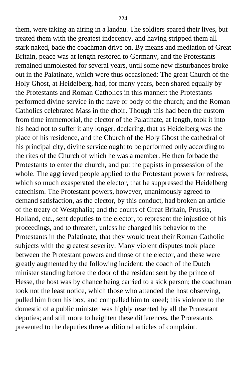them, were taking an airing in a landau. The soldiers spared their lives, but treated them with the greatest indecency, and having stripped them all stark naked, bade the coachman drive on. By means and mediation of Great Britain, peace was at length restored to Germany, and the Protestants remained unmolested for several years, until some new disturbances broke out in the Palatinate, which were thus occasioned: The great Church of the Holy Ghost, at Heidelberg, had, for many years, been shared equally by the Protestants and Roman Catholics in this manner: the Protestants performed divine service in the nave or body of the church; and the Roman Catholics celebrated Mass in the choir. Though this had been the custom from time immemorial, the elector of the Palatinate, at length, took it into his head not to suffer it any longer, declaring, that as Heidelberg was the place of his residence, and the Church of the Holy Ghost the cathedral of his principal city, divine service ought to be performed only according to the rites of the Church of which he was a member. He then forbade the Protestants to enter the church, and put the papists in possession of the whole. The aggrieved people applied to the Protestant powers for redress, which so much exasperated the elector, that he suppressed the Heidelberg catechism. The Protestant powers, however, unanimously agreed to demand satisfaction, as the elector, by this conduct, had broken an article of the treaty of Westphalia; and the courts of Great Britain, Prussia, Holland, etc., sent deputies to the elector, to represent the injustice of his proceedings, and to threaten, unless he changed his behavior to the Protestants in the Palatinate, that they would treat their Roman Catholic subjects with the greatest severity. Many violent disputes took place between the Protestant powers and those of the elector, and these were greatly augmented by the following incident: the coach of the Dutch minister standing before the door of the resident sent by the prince of Hesse, the host was by chance being carried to a sick person; the coachman took not the least notice, which those who attended the host observing, pulled him from his box, and compelled him to kneel; this violence to the domestic of a public minister was highly resented by all the Protestant deputies; and still more to heighten these differences, the Protestants presented to the deputies three additional articles of complaint.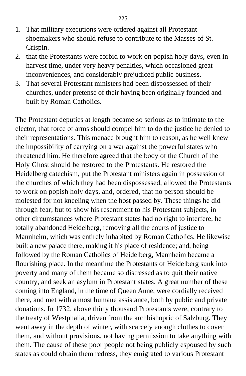- 1. That military executions were ordered against all Protestant shoemakers who should refuse to contribute to the Masses of St. Crispin.
- 2. that the Protestants were forbid to work on popish holy days, even in harvest time, under very heavy penalties, which occasioned great inconveniences, and considerably prejudiced public business.
- 3. That several Protestant ministers had been dispossessed of their churches, under pretense of their having been originally founded and built by Roman Catholics.

The Protestant deputies at length became so serious as to intimate to the elector, that force of arms should compel him to do the justice he denied to their representations. This menace brought him to reason, as he well knew the impossibility of carrying on a war against the powerful states who threatened him. He therefore agreed that the body of the Church of the Holy Ghost should be restored to the Protestants. He restored the Heidelberg catechism, put the Protestant ministers again in possession of the churches of which they had been dispossessed, allowed the Protestants to work on popish holy days, and, ordered, that no person should be molested for not kneeling when the host passed by. These things he did through fear; but to show his resentment to his Protestant subjects, in other circumstances where Protestant states had no right to interfere, he totally abandoned Heidelberg, removing all the courts of justice to Mannheim, which was entirely inhabited by Roman Catholics. He likewise built a new palace there, making it his place of residence; and, being followed by the Roman Catholics of Heidelberg, Mannheim became a flourishing place. In the meantime the Protestants of Heidelberg sunk into poverty and many of them became so distressed as to quit their native country, and seek an asylum in Protestant states. A great number of these coming into England, in the time of Queen Anne, were cordially received there, and met with a most humane assistance, both by public and private donations. In 1732, above thirty thousand Protestants were, contrary to the treaty of Westphalia, driven from the archbishopric of Salzburg. They went away in the depth of winter, with scarcely enough clothes to cover them, and without provisions, not having permission to take anything with them. The cause of these poor people not being publicly espoused by such states as could obtain them redress, they emigrated to various Protestant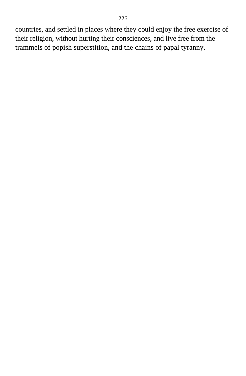countries, and settled in places where they could enjoy the free exercise of their religion, without hurting their consciences, and live free from the trammels of popish superstition, and the chains of papal tyranny.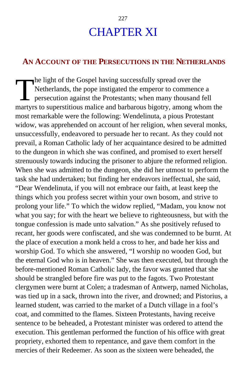# CHAPTER XI

227

#### **AN ACCOUNT OF THE PERSECUTIONS IN THE NETHERLANDS**

he light of the Gospel having successfully spread over the Netherlands, the pope instigated the emperor to commence a **L** persecution against the Protestants; when many thousand fell martyrs to superstitious malice and barbarous bigotry, among whom the most remarkable were the following: Wendelinuta, a pious Protestant widow, was apprehended on account of her religion, when several monks, unsuccessfully, endeavored to persuade her to recant. As they could not prevail, a Roman Catholic lady of her acquaintance desired to be admitted to the dungeon in which she was confined, and promised to exert herself strenuously towards inducing the prisoner to abjure the reformed religion. When she was admitted to the dungeon, she did her utmost to perform the task she had undertaken; but finding her endeavors ineffectual, she said, "Dear Wendelinuta, if you will not embrace our faith, at least keep the things which you profess secret within your own bosom, and strive to prolong your life." To which the widow replied, "Madam, you know not what you say; for with the heart we believe to righteousness, but with the tongue confession is made unto salvation." As she positively refused to recant, her goods were confiscated, and she was condemned to be burnt. At the place of execution a monk held a cross to her, and bade her kiss and worship God. To which she answered, "I worship no wooden God, but the eternal God who is in heaven." She was then executed, but through the before-mentioned Roman Catholic lady, the favor was granted that she should be strangled before fire was put to the fagots. Two Protestant clergymen were burnt at Colen; a tradesman of Antwerp, named Nicholas, was tied up in a sack, thrown into the river, and drowned; and Pistorius, a learned student, was carried to the market of a Dutch village in a fool's coat, and committed to the flames. Sixteen Protestants, having receive sentence to be beheaded, a Protestant minister was ordered to attend the execution. This gentleman performed the function of his office with great propriety, exhorted them to repentance, and gave them comfort in the mercies of their Redeemer. As soon as the sixteen were beheaded, the T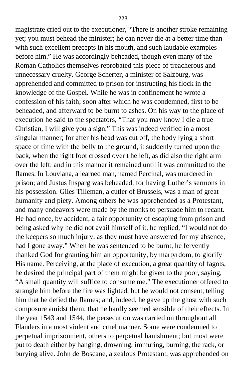magistrate cried out to the executioner, "There is another stroke remaining yet; you must behead the minister; he can never die at a better time than with such excellent precepts in his mouth, and such laudable examples before him." He was accordingly beheaded, though even many of the Roman Catholics themselves reprobated this piece of treacherous and unnecessary cruelty. George Scherter, a minister of Salzburg, was apprehended and committed to prison for instructing his flock in the knowledge of the Gospel. While he was in confinement he wrote a confession of his faith; soon after which he was condemned, first to be beheaded, and afterward to be burnt to ashes. On his way to the place of execution he said to the spectators, "That you may know I die a true Christian, I will give you a sign." This was indeed verified in a most singular manner; for after his head was cut off, the body lying a short space of time with the belly to the ground, it suddenly turned upon the back, when the right foot crossed over t he left, as did also the right arm over the left: and in this manner it remained until it was committed to the flames. In Louviana, a learned man, named Percinal, was murdered in prison; and Justus Insparg was beheaded, for having Luther's sermons in his possession. Giles Tilleman, a cutler of Brussels, was a man of great humanity and piety. Among others he was apprehended as a Protestant, and many endeavors were made by the monks to persuade him to recant. He had once, by accident, a fair opportunity of escaping from prison and being asked why he did not avail himself of it, he replied, "I would not do the keepers so much injury, as they must have answered for my absence, had I gone away." When he was sentenced to be burnt, he fervently thanked God for granting him an opportunity, by martyrdom, to glorify His name. Perceiving, at the place of execution, a great quantity of fagots, he desired the principal part of them might be given to the poor, saying, "A small quantity will suffice to consume me." The executioner offered to strangle him before the fire was lighted, but he would not consent, telling him that he defied the flames; and, indeed, he gave up the ghost with such composure amidst them, that he hardly seemed sensible of their effects. In the year 1543 and 1544, the persecution was carried on throughout all Flanders in a most violent and cruel manner. Some were condemned to perpetual imprisonment, others to perpetual banishment; but most were put to death either by hanging, drowning, immuring, burning, the rack, or burying alive. John de Boscane, a zealous Protestant, was apprehended on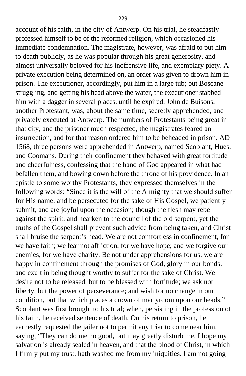account of his faith, in the city of Antwerp. On his trial, he steadfastly professed himself to be of the reformed religion, which occasioned his immediate condemnation. The magistrate, however, was afraid to put him to death publicly, as he was popular through his great generosity, and almost universally beloved for his inoffensive life, and exemplary piety. A private execution being determined on, an order was given to drown him in prison. The executioner, accordingly, put him in a large tub; but Boscane struggling, and getting his head above the water, the executioner stabbed him with a dagger in several places, until he expired. John de Buisons, another Protestant, was, about the same time, secretly apprehended, and privately executed at Antwerp. The numbers of Protestants being great in that city, and the prisoner much respected, the magistrates feared an insurrection, and for that reason ordered him to be beheaded in prison. AD 1568, three persons were apprehended in Antwerp, named Scoblant, Hues, and Coomans. During their confinement they behaved with great fortitude and cheerfulness, confessing that the hand of God appeared in what had befallen them, and bowing down before the throne of his providence. In an epistle to some worthy Protestants, they expressed themselves in the following words: "Since it is the will of the Almighty that we should suffer for His name, and be persecuted for the sake of His Gospel, we patiently submit, and are joyful upon the occasion; though the flesh may rebel against the spirit, and hearken to the council of the old serpent, yet the truths of the Gospel shall prevent such advice from being taken, and Christ shall bruise the serpent's head. We are not comfortless in confinement, for we have faith; we fear not affliction, for we have hope; and we forgive our enemies, for we have charity. Be not under apprehensions for us, we are happy in confinement through the promises of God, glory in our bonds, and exult in being thought worthy to suffer for the sake of Christ. We desire not to be released, but to be blessed with fortitude; we ask not liberty, but the power of perseverance; and wish for no change in our condition, but that which places a crown of martyrdom upon our heads." Scoblant was first brought to his trial; when, persisting in the profession of his faith, he received sentence of death. On his return to prison, he earnestly requested the jailer not to permit any friar to come near him; saying, "They can do me no good, but may greatly disturb me. I hope my salvation is already sealed in heaven, and that the blood of Christ, in which I firmly put my trust, hath washed me from my iniquities. I am not going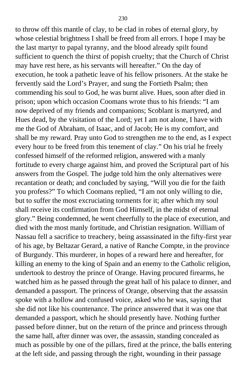to throw off this mantle of clay, to be clad in robes of eternal glory, by whose celestial brightness I shall be freed from all errors. I hope I may be the last martyr to papal tyranny, and the blood already spilt found sufficient to quench the thirst of popish cruelty; that the Church of Christ may have rest here, as his servants will hereafter." On the day of execution, he took a pathetic leave of his fellow prisoners. At the stake he fervently said the Lord's Prayer, and sung the Fortieth Psalm; then commending his soul to God, he was burnt alive. Hues, soon after died in prison; upon which occasion Coomans wrote thus to his friends: "I am now deprived of my friends and companions; Scoblant is martyred, and Hues dead, by the visitation of the Lord; yet I am not alone, I have with me the God of Abraham, of Isaac, and of Jacob; He is my comfort, and shall be my reward. Pray unto God to strengthen me to the end, as I expect every hour to be freed from this tenement of clay." On his trial he freely confessed himself of the reformed religion, answered with a manly fortitude to every charge against him, and proved the Scriptural part of his answers from the Gospel. The judge told him the only alternatives were recantation or death; and concluded by saying, "Will you die for the faith you profess?" To which Coomans replied, "I am not only willing to die, but to suffer the most excruciating torments for it; after which my soul shall receive its confirmation from God Himself, in the midst of eternal glory." Being condemned, he went cheerfully to the place of execution, and died with the most manly fortitude, and Christian resignation. William of Nassau fell a sacrifice to treachery, being assassinated in the fifty-first year of his age, by Beltazar Gerard, a native of Ranche Compte, in the province of Burgundy. This murderer, in hopes of a reward here and hereafter, for killing an enemy to the king of Spain and an enemy to the Catholic religion, undertook to destroy the prince of Orange. Having procured firearms, he watched him as he passed through the great hall of his palace to dinner, and demanded a passport. The princess of Orange, observing that the assassin spoke with a hollow and confused voice, asked who he was, saying that she did not like his countenance. The prince answered that it was one that demanded a passport, which he should presently have. Nothing further passed before dinner, but on the return of the prince and princess through the same hall, after dinner was over, the assassin, standing concealed as much as possible by one of the pillars, fired at the prince, the balls entering at the left side, and passing through the right, wounding in their passage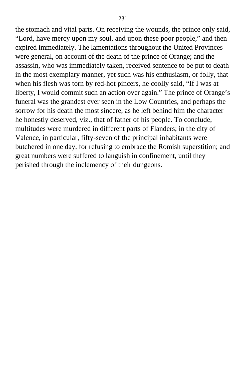the stomach and vital parts. On receiving the wounds, the prince only said, "Lord, have mercy upon my soul, and upon these poor people," and then expired immediately. The lamentations throughout the United Provinces were general, on account of the death of the prince of Orange; and the assassin, who was immediately taken, received sentence to be put to death in the most exemplary manner, yet such was his enthusiasm, or folly, that when his flesh was torn by red-hot pincers, he coolly said, "If I was at liberty, I would commit such an action over again." The prince of Orange's funeral was the grandest ever seen in the Low Countries, and perhaps the sorrow for his death the most sincere, as he left behind him the character he honestly deserved, viz., that of father of his people. To conclude, multitudes were murdered in different parts of Flanders; in the city of Valence, in particular, fifty-seven of the principal inhabitants were butchered in one day, for refusing to embrace the Romish superstition; and great numbers were suffered to languish in confinement, until they perished through the inclemency of their dungeons.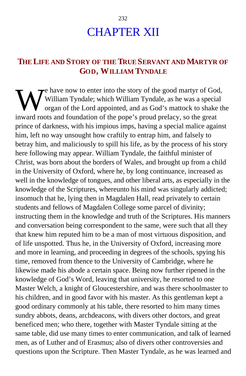### CHAPTER XII

232

#### **THE LIFE AND STORY OF THE TRUE SERVANT AND MARTYR OF GOD, WILLIAM TYNDALE**

 $\tau$ e have now to enter into the story of the good martyr of God, William Tyndale; which William Tyndale, as he was a special organ of the Lord appointed, and as God's mattock to shake the William Tyndale; which William Tyndale, as he was a special origan of the Lord appointed, and as God's mattock to shake inward roots and foundation of the pope's proud prelacy, so the great prince of darkness, with his impious imps, having a special malice against him, left no way unsought how craftily to entrap him, and falsely to betray him, and maliciously to spill his life, as by the process of his story here following may appear. William Tyndale, the faithful minister of Christ, was born about the borders of Wales, and brought up from a child in the University of Oxford, where he, by long continuance, increased as well in the knowledge of tongues, and other liberal arts, as especially in the knowledge of the Scriptures, whereunto his mind was singularly addicted; insomuch that he, lying then in Magdalen Hall, read privately to certain students and fellows of Magdalen College some parcel of divinity; instructing them in the knowledge and truth of the Scriptures. His manners and conversation being correspondent to the same, were such that all they that knew him reputed him to be a man of most virtuous disposition, and of life unspotted. Thus he, in the University of Oxford, increasing more and more in learning, and proceeding in degrees of the schools, spying his time, removed from thence to the University of Cambridge, where he likewise made his abode a certain space. Being now further ripened in the knowledge of God's Word, leaving that university, he resorted to one Master Welch, a knight of Gloucestershire, and was there schoolmaster to his children, and in good favor with his master. As this gentleman kept a good ordinary commonly at his table, there resorted to him many times sundry abbots, deans, archdeacons, with divers other doctors, and great beneficed men; who there, together with Master Tyndale sitting at the same table, did use many times to enter communication, and talk of learned men, as of Luther and of Erasmus; also of divers other controversies and questions upon the Scripture. Then Master Tyndale, as he was learned and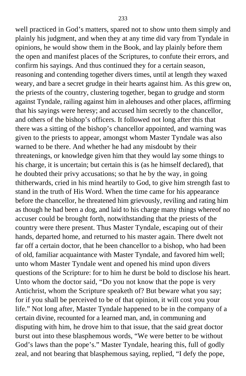well practiced in God's matters, spared not to show unto them simply and plainly his judgment, and when they at any time did vary from Tyndale in opinions, he would show them in the Book, and lay plainly before them the open and manifest places of the Scriptures, to confute their errors, and confirm his sayings. And thus continued they for a certain season, reasoning and contending together divers times, until at length they waxed weary, and bare a secret grudge in their hearts against him. As this grew on, the priests of the country, clustering together, began to grudge and storm against Tyndale, railing against him in alehouses and other places, affirming that his sayings were heresy; and accused him secretly to the chancellor, and others of the bishop's officers. It followed not long after this that there was a sitting of the bishop's chancellor appointed, and warning was given to the priests to appear, amongst whom Master Tyndale was also warned to be there. And whether he had any misdoubt by their threatenings, or knowledge given him that they would lay some things to his charge, it is uncertain; but certain this is (as he himself declared), that he doubted their privy accusations; so that he by the way, in going thitherwards, cried in his mind heartily to God, to give him strength fast to stand in the truth of His Word. When the time came for his appearance before the chancellor, he threatened him grievously, reviling and rating him as though he had been a dog, and laid to his charge many things whereof no accuser could be brought forth, notwithstanding that the priests of the country were there present. Thus Master Tyndale, escaping out of their hands, departed home, and returned to his master again. There dwelt not far off a certain doctor, that he been chancellor to a bishop, who had been of old, familiar acquaintance with Master Tyndale, and favored him well; unto whom Master Tyndale went and opened his mind upon divers questions of the Scripture: for to him he durst be bold to disclose his heart. Unto whom the doctor said, "Do you not know that the pope is very Antichrist, whom the Scripture speaketh of? But beware what you say; for if you shall be perceived to be of that opinion, it will cost you your life." Not long after, Master Tyndale happened to be in the company of a certain divine, recounted for a learned man, and, in communing and disputing with him, he drove him to that issue, that the said great doctor burst out into these blasphemous words, "We were better to be without God's laws than the pope's." Master Tyndale, hearing this, full of godly zeal, and not bearing that blasphemous saying, replied, "I defy the pope,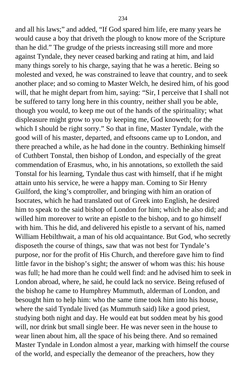and all his laws;" and added, "If God spared him life, ere many years he would cause a boy that driveth the plough to know more of the Scripture than he did." The grudge of the priests increasing still more and more against Tyndale, they never ceased barking and rating at him, and laid many things sorely to his charge, saying that he was a heretic. Being so molested and vexed, he was constrained to leave that country, and to seek another place; and so coming to Master Welch, he desired him, of his good will, that he might depart from him, saying: "Sir, I perceive that I shall not be suffered to tarry long here in this country, neither shall you be able, though you would, to keep me out of the hands of the spirituality; what displeasure might grow to you by keeping me, God knoweth; for the which I should be right sorry." So that in fine, Master Tyndale, with the good will of his master, departed, and eftsoons came up to London, and there preached a while, as he had done in the country. Bethinking himself of Cuthbert Tonstal, then bishop of London, and especially of the great commendation of Erasmus, who, in his annotations, so extolleth the said Tonstal for his learning, Tyndale thus cast with himself, that if he might attain unto his service, he were a happy man. Coming to Sir Henry Guilford, the king's comptroller, and bringing with him an oration of Isocrates, which he had translated out of Greek into English, he desired him to speak to the said bishop of London for him; which he also did; and willed him moreover to write an epistle to the bishop, and to go himself with him. This he did, and delivered his epistle to a servant of his, named William Hebilthwait, a man of his old acquaintance. But God, who secretly disposeth the course of things, saw that was not best for Tyndale's purpose, nor for the profit of His Church, and therefore gave him to find little favor in the bishop's sight; the answer of whom was this: his house was full; he had more than he could well find: and he advised him to seek in London abroad, where, he said, he could lack no service. Being refused of the bishop he came to Humphrey Mummuth, alderman of London, and besought him to help him: who the same time took him into his house, where the said Tyndale lived (as Mummuth said) like a good priest, studying both night and day. He would eat but sodden meat by his good will, nor drink but small single beer. He was never seen in the house to wear linen about him, all the space of his being there. And so remained Master Tyndale in London almost a year, marking with himself the course of the world, and especially the demeanor of the preachers, how they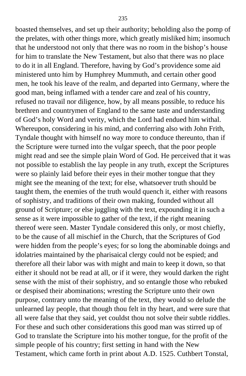boasted themselves, and set up their authority; beholding also the pomp of the prelates, with other things more, which greatly misliked him; insomuch that he understood not only that there was no room in the bishop's house for him to translate the New Testament, but also that there was no place to do it in all England. Therefore, having by God's providence some aid ministered unto him by Humphrey Mummuth, and certain other good men, he took his leave of the realm, and departed into Germany, where the good man, being inflamed with a tender care and zeal of his country, refused no travail nor diligence, how, by all means possible, to reduce his brethren and countrymen of England to the same taste and understanding of God's holy Word and verity, which the Lord had endued him withal. Whereupon, considering in his mind, and conferring also with John Frith, Tyndale thought with himself no way more to conduce thereunto, than if the Scripture were turned into the vulgar speech, that the poor people might read and see the simple plain Word of God. He perceived that it was not possible to establish the lay people in any truth, except the Scriptures were so plainly laid before their eyes in their mother tongue that they might see the meaning of the text; for else, whatsoever truth should be taught them, the enemies of the truth would quench it, either with reasons of sophistry, and traditions of their own making, founded without all ground of Scripture; or else juggling with the text, expounding it in such a sense as it were impossible to gather of the text, if the right meaning thereof were seen. Master Tyndale considered this only, or most chiefly, to be the cause of all mischief in the Church, that the Scriptures of God were hidden from the people's eyes; for so long the abominable doings and idolatries maintained by the pharisaical clergy could not be espied; and therefore all their labor was with might and main to keep it down, so that either it should not be read at all, or if it were, they would darken the right sense with the mist of their sophistry, and so entangle those who rebuked or despised their abominations; wresting the Scripture unto their own purpose, contrary unto the meaning of the text, they would so delude the unlearned lay people, that though thou felt in thy heart, and were sure that all were false that they said, yet couldst thou not solve their subtle riddles. For these and such other considerations this good man was stirred up of God to translate the Scripture into his mother tongue, for the profit of the simple people of his country; first setting in hand with the New Testament, which came forth in print about A.D. 1525. Cuthbert Tonstal,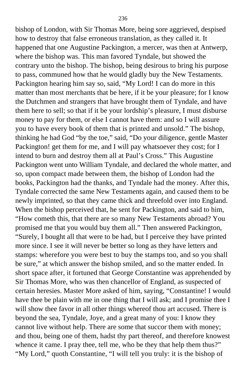bishop of London, with Sir Thomas More, being sore aggrieved, despised how to destroy that false erroneous translation, as they called it. It happened that one Augustine Packington, a mercer, was then at Antwerp, where the bishop was. This man favored Tyndale, but showed the contrary unto the bishop. The bishop, being desirous to bring his purpose to pass, communed how that he would gladly buy the New Testaments. Packington hearing him say so, said, "My Lord! I can do more in this matter than most merchants that be here, if it be your pleasure; for I know the Dutchmen and strangers that have brought them of Tyndale, and have them here to sell; so that if it be your lordship's pleasure, I must disburse money to pay for them, or else I cannot have them: and so I will assure you to have every book of them that is printed and unsold." The bishop, thinking he had God "by the toe," said, "Do your diligence, gentle Master Packington! get them for me, and I will pay whatsoever they cost; for I intend to burn and destroy them all at Paul's Cross." This Augustine Packington went unto William Tyndale, and declared the whole matter, and so, upon compact made between them, the bishop of London had the books, Packington had the thanks, and Tyndale had the money. After this, Tyndale corrected the same New Testaments again, and caused them to be newly imprinted, so that they came thick and threefold over into England. When the bishop perceived that, he sent for Packington, and said to him, "How cometh this, that there are so many New Testaments abroad? You promised me that you would buy them all." Then answered Packington, "Surely, I bought all that were to be had, but I perceive they have printed more since. I see it will never be better so long as they have letters and stamps: wherefore you were best to buy the stamps too, and so you shall be sure," at which answer the bishop smiled, and so the matter ended. In short space after, it fortuned that George Constantine was apprehended by Sir Thomas More, who was then chancellor of England, as suspected of certain heresies. Master More asked of him, saying, "Constantine! I would have thee be plain with me in one thing that I will ask; and I promise thee I will show thee favor in all other things whereof thou art accused. There is beyond the sea, Tyndale, Joye, and a great many of you: I know they cannot live without help. There are some that succor them with money; and thou, being one of them, hadst thy part thereof, and therefore knowest whence it came. I pray thee, tell me, who be they that help them thus?" "My Lord," quoth Constantine, "I will tell you truly: it is the bishop of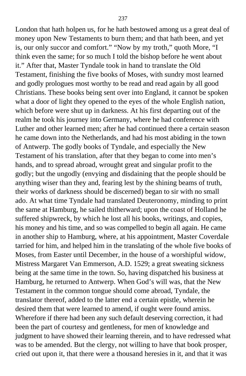London that hath holpen us, for he hath bestowed among us a great deal of money upon New Testaments to burn them; and that hath been, and yet is, our only succor and comfort." "Now by my troth," quoth More, "I think even the same; for so much I told the bishop before he went about it." After that, Master Tyndale took in hand to translate the Old Testament, finishing the five books of Moses, with sundry most learned and godly prologues most worthy to be read and read again by all good Christians. These books being sent over into England, it cannot be spoken what a door of light they opened to the eyes of the whole English nation, which before were shut up in darkness. At his first departing out of the realm he took his journey into Germany, where he had conference with Luther and other learned men; after he had continued there a certain season he came down into the Netherlands, and had his most abiding in the town of Antwerp. The godly books of Tyndale, and especially the New Testament of his translation, after that they began to come into men's hands, and to spread abroad, wrought great and singular profit to the godly; but the ungodly (envying and disdaining that the people should be anything wiser than they and, fearing lest by the shining beams of truth, their works of darkness should be discerned) began to sir with no small ado. At what time Tyndale had translated Deuteronomy, minding to print the same at Hamburg, he sailed thitherward; upon the coast of Holland he suffered shipwreck, by which he lost all his books, writings, and copies, his money and his time, and so was compelled to begin all again. He came in another ship to Hamburg, where, at his appointment, Master Coverdale tarried for him, and helped him in the translating of the whole five books of Moses, from Easter until December, in the house of a worshipful widow, Mistress Margaret Van Emmerson, A.D. 1529; a great sweating sickness being at the same time in the town. So, having dispatched his business at Hamburg, he returned to Antwerp. When God's will was, that the New Testament in the common tongue should come abroad, Tyndale, the translator thereof, added to the latter end a certain epistle, wherein he desired them that were learned to amend, if ought were found amiss. Wherefore if there had been any such default deserving correction, it had been the part of courtesy and gentleness, for men of knowledge and judgment to have showed their learning therein, and to have redressed what was to be amended. But the clergy, not willing to have that book prosper, cried out upon it, that there were a thousand heresies in it, and that it was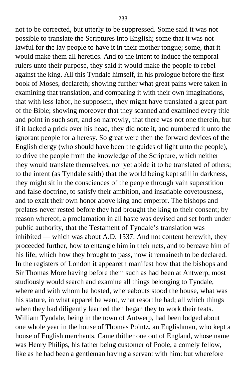not to be corrected, but utterly to be suppressed. Some said it was not possible to translate the Scriptures into English; some that it was not lawful for the lay people to have it in their mother tongue; some, that it would make them all heretics. And to the intent to induce the temporal rulers unto their purpose, they said it would make the people to rebel against the king. All this Tyndale himself, in his prologue before the first book of Moses, declareth; showing further what great pains were taken in examining that translation, and comparing it with their own imaginations, that with less labor, he supposeth, they might have translated a great part of the Bible; showing moreover that they scanned and examined every title and point in such sort, and so narrowly, that there was not one therein, but if it lacked a prick over his head, they did note it, and numbered it unto the ignorant people for a heresy. So great were then the forward devices of the English clergy (who should have been the guides of light unto the people), to drive the people from the knowledge of the Scripture, which neither they would translate themselves, nor yet abide it to be translated of others; to the intent (as Tyndale saith) that the world being kept still in darkness, they might sit in the consciences of the people through vain superstition and false doctrine, to satisfy their ambition, and insatiable covetousness, and to exalt their own honor above king and emperor. The bishops and prelates never rested before they had brought the king to their consent; by reason whereof, a proclamation in all haste was devised and set forth under public authority, that the Testament of Tyndale's translation was inhibited — which was about A.D. 1537. And not content herewith, they proceeded further, how to entangle him in their nets, and to bereave him of his life; which how they brought to pass, now it remaineth to be declared. In the registers of London it appeareth manifest how that the bishops and Sir Thomas More having before them such as had been at Antwerp, most studiously would search and examine all things belonging to Tyndale, where and with whom he hosted, whereabouts stood the house, what was his stature, in what apparel he went, what resort he had; all which things when they had diligently learned then began they to work their feats. William Tyndale, being in the town of Antwerp, had been lodged about one whole year in the house of Thomas Pointz, an Englishman, who kept a house of English merchants. Came thither one out of England, whose name was Henry Philips, his father being customer of Poole, a comely fellow, like as he had been a gentleman having a servant with him: but wherefore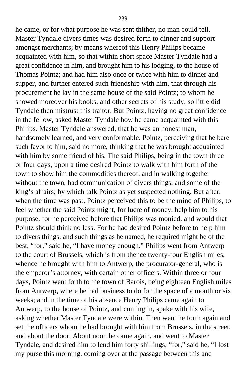he came, or for what purpose he was sent thither, no man could tell. Master Tyndale divers times was desired forth to dinner and support amongst merchants; by means whereof this Henry Philips became acquainted with him, so that within short space Master Tyndale had a great confidence in him, and brought him to his lodging, to the house of Thomas Pointz; and had him also once or twice with him to dinner and supper, and further entered such friendship with him, that through his procurement he lay in the same house of the said Pointz; to whom he showed moreover his books, and other secrets of his study, so little did Tyndale then mistrust this traitor. But Pointz, having no great confidence in the fellow, asked Master Tyndale how he came acquainted with this Philips. Master Tyndale answered, that he was an honest man, handsomely learned, and very conformable. Pointz, perceiving that he bare such favor to him, said no more, thinking that he was brought acquainted with him by some friend of his. The said Philips, being in the town three or four days, upon a time desired Pointz to walk with him forth of the town to show him the commodities thereof, and in walking together without the town, had communication of divers things, and some of the king's affairs; by which talk Pointz as yet suspected nothing. But after, when the time was past, Pointz perceived this to be the mind of Philips, to feel whether the said Pointz might, for lucre of money, help him to his purpose, for he perceived before that Philips was monied, and would that Pointz should think no less. For he had desired Pointz before to help him to divers things; and such things as he named, he required might be of the best, "for," said he, "I have money enough." Philips went from Antwerp to the court of Brussels, which is from thence twenty-four English miles, whence he brought with him to Antwerp, the procurator-general, who is the emperor's attorney, with certain other officers. Within three or four days, Pointz went forth to the town of Barois, being eighteen English miles from Antwerp, where he had business to do for the space of a month or six weeks; and in the time of his absence Henry Philips came again to Antwerp, to the house of Pointz, and coming in, spake with his wife, asking whether Master Tyndale were within. Then went he forth again and set the officers whom he had brought with him from Brussels, in the street, and about the door. About noon he came again, and went to Master Tyndale, and desired him to lend him forty shillings; "for," said he, "I lost my purse this morning, coming over at the passage between this and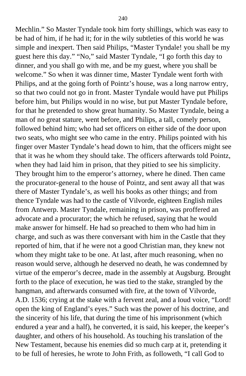Mechlin." So Master Tyndale took him forty shillings, which was easy to be had of him, if he had it; for in the wily subtleties of this world he was simple and inexpert. Then said Philips, "Master Tyndale! you shall be my guest here this day." "No," said Master Tyndale, "I go forth this day to dinner, and you shall go with me, and be my guest, where you shall be welcome." So when it was dinner time, Master Tyndale went forth with Philips, and at the going forth of Pointz's house, was a long narrow entry, so that two could not go in front. Master Tyndale would have put Philips before him, but Philips would in no wise, but put Master Tyndale before, for that he pretended to show great humanity. So Master Tyndale, being a man of no great stature, went before, and Philips, a tall, comely person, followed behind him; who had set officers on either side of the door upon two seats, who might see who came in the entry. Philips pointed with his finger over Master Tyndale's head down to him, that the officers might see that it was he whom they should take. The officers afterwards told Pointz, when they had laid him in prison, that they pitied to see his simplicity. They brought him to the emperor's attorney, where he dined. Then came the procurator-general to the house of Pointz, and sent away all that was there of Master Tyndale's, as well his books as other things; and from thence Tyndale was had to the castle of Vilvorde, eighteen English miles from Antwerp. Master Tyndale, remaining in prison, was proffered an advocate and a procurator; the which he refused, saying that he would make answer for himself. He had so preached to them who had him in charge, and such as was there conversant with him in the Castle that they reported of him, that if he were not a good Christian man, they knew not whom they might take to be one. At last, after much reasoning, when no reason would serve, although he deserved no death, he was condemned by virtue of the emperor's decree, made in the assembly at Augsburg. Brought forth to the place of execution, he was tied to the stake, strangled by the hangman, and afterwards consumed with fire, at the town of Vilvorde, A.D. 1536; crying at the stake with a fervent zeal, and a loud voice, "Lord! open the king of England's eyes." Such was the power of his doctrine, and the sincerity of his life, that during the time of his imprisonment (which endured a year and a half), he converted, it is said, his keeper, the keeper's daughter, and others of his household. As touching his translation of the New Testament, because his enemies did so much carp at it, pretending it to be full of heresies, he wrote to John Frith, as followeth, "I call God to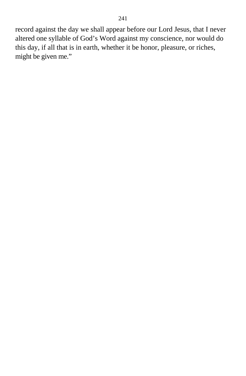record against the day we shall appear before our Lord Jesus, that I never altered one syllable of God's Word against my conscience, nor would do this day, if all that is in earth, whether it be honor, pleasure, or riches, might be given me."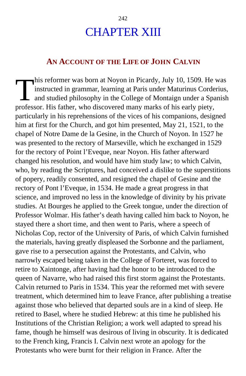## CHAPTER XIII

#### **AN ACCOUNT OF THE LIFE OF JOHN CALVIN**

his reformer was born at Noyon in Picardy, July 10, 1509. He was instructed in grammar, learning at Paris under Maturinus Corderius, and studied philosophy in the College of Montaign under a Spanish professor. His father, who discovered many marks of his early piety, particularly in his reprehensions of the vices of his companions, designed him at first for the Church, and got him presented, May 21, 1521, to the chapel of Notre Dame de la Gesine, in the Church of Noyon. In 1527 he was presented to the rectory of Marseville, which he exchanged in 1529 for the rectory of Point l'Eveque, near Noyon. His father afterward changed his resolution, and would have him study law; to which Calvin, who, by reading the Scriptures, had conceived a dislike to the superstitions of popery, readily consented, and resigned the chapel of Gesine and the rectory of Pont l'Eveque, in 1534. He made a great progress in that science, and improved no less in the knowledge of divinity by his private studies. At Bourges he applied to the Greek tongue, under the direction of Professor Wolmar. His father's death having called him back to Noyon, he stayed there a short time, and then went to Paris, where a speech of Nicholas Cop, rector of the University of Paris, of which Calvin furnished the materials, having greatly displeased the Sorbonne and the parliament, gave rise to a persecution against the Protestants, and Calvin, who narrowly escaped being taken in the College of Forteret, was forced to retire to Xaintonge, after having had the honor to be introduced to the queen of Navarre, who had raised this first storm against the Protestants. Calvin returned to Paris in 1534. This year the reformed met with severe treatment, which determined him to leave France, after publishing a treatise against those who believed that departed souls are in a kind of sleep. He retired to Basel, where he studied Hebrew: at this time he published his Institutions of the Christian Religion; a work well adapted to spread his fame, though he himself was desirous of living in obscurity. It is dedicated to the French king, Francis I. Calvin next wrote an apology for the Protestants who were burnt for their religion in France. After the T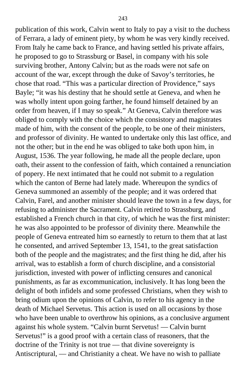publication of this work, Calvin went to Italy to pay a visit to the duchess of Ferrara, a lady of eminent piety, by whom he was very kindly received. From Italy he came back to France, and having settled his private affairs, he proposed to go to Strassburg or Basel, in company with his sole surviving brother, Antony Calvin; but as the roads were not safe on account of the war, except through the duke of Savoy's territories, he chose that road. "This was a particular direction of Providence," says Bayle; "it was his destiny that he should settle at Geneva, and when he was wholly intent upon going farther, he found himself detained by an order from heaven, if I may so speak." At Geneva, Calvin therefore was obliged to comply with the choice which the consistory and magistrates made of him, with the consent of the people, to be one of their ministers, and professor of divinity. He wanted to undertake only this last office, and not the other; but in the end he was obliged to take both upon him, in August, 1536. The year following, he made all the people declare, upon oath, their assent to the confession of faith, which contained a renunciation of popery. He next intimated that he could not submit to a regulation which the canton of Berne had lately made. Whereupon the syndics of Geneva summoned an assembly of the people; and it was ordered that Calvin, Farel, and another minister should leave the town in a few days, for refusing to administer the Sacrament. Calvin retired to Strassburg, and established a French church in that city, of which he was the first minister: he was also appointed to be professor of divinity there. Meanwhile the people of Geneva entreated him so earnestly to return to them that at last he consented, and arrived September 13, 1541, to the great satisfaction both of the people and the magistrates; and the first thing he did, after his arrival, was to establish a form of church discipline, and a consistorial jurisdiction, invested with power of inflicting censures and canonical punishments, as far as excommunication, inclusively. It has long been the delight of both infidels and some professed Christians, when they wish to bring odium upon the opinions of Calvin, to refer to his agency in the death of Michael Servetus. This action is used on all occasions by those who have been unable to overthrow his opinions, as a conclusive argument against his whole system. "Calvin burnt Servetus! — Calvin burnt Servetus!" is a good proof with a certain class of reasoners, that the doctrine of the Trinity is not true — that divine sovereignty is Antiscriptural, — and Christianity a cheat. We have no wish to palliate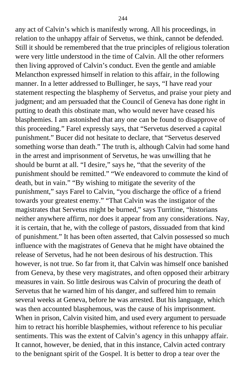any act of Calvin's which is manifestly wrong. All his proceedings, in relation to the unhappy affair of Servetus, we think, cannot be defended. Still it should be remembered that the true principles of religious toleration were very little understood in the time of Calvin. All the other reformers then living approved of Calvin's conduct. Even the gentle and amiable Melancthon expressed himself in relation to this affair, in the following manner. In a letter addressed to Bullinger, he says, "I have read your statement respecting the blasphemy of Servetus, and praise your piety and judgment; and am persuaded that the Council of Geneva has done right in putting to death this obstinate man, who would never have ceased his blasphemies. I am astonished that any one can be found to disapprove of this proceeding." Farel expressly says, that "Servetus deserved a capital punishment." Bucer did not hesitate to declare, that "Servetus deserved something worse than death." The truth is, although Calvin had some hand in the arrest and imprisonment of Servetus, he was unwilling that he should be burnt at all. "I desire," says he, "that the severity of the punishment should be remitted." "We endeavored to commute the kind of death, but in vain." "By wishing to mitigate the severity of the punishment," says Farel to Calvin, "you discharge the office of a friend towards your greatest enemy." "That Calvin was the instigator of the magistrates that Servetus might be burned," says Turritine, "historians neither anywhere affirm, nor does it appear from any considerations. Nay, it is certain, that he, with the college of pastors, dissuaded from that kind of punishment." It has been often asserted, that Calvin possessed so much influence with the magistrates of Geneva that he might have obtained the release of Servetus, had he not been desirous of his destruction. This however, is not true. So far from it, that Calvin was himself once banished from Geneva, by these very magistrates, and often opposed their arbitrary measures in vain. So little desirous was Calvin of procuring the death of Servetus that he warned him of his danger, and suffered him to remain several weeks at Geneva, before he was arrested. But his language, which was then accounted blasphemous, was the cause of his imprisonment. When in prison, Calvin visited him, and used every argument to persuade him to retract his horrible blasphemies, without reference to his peculiar sentiments. This was the extent of Calvin's agency in this unhappy affair. It cannot, however, be denied, that in this instance, Calvin acted contrary to the benignant spirit of the Gospel. It is better to drop a tear over the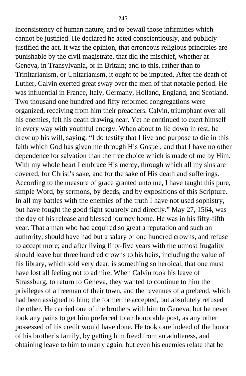inconsistency of human nature, and to bewail those infirmities which cannot be justified. He declared he acted conscientiously, and publicly justified the act. It was the opinion, that erroneous religious principles are punishable by the civil magistrate, that did the mischief, whether at Geneva, in Transylvania, or in Britain; and to this, rather than to Trinitarianism, or Unitarianism, it ought to be imputed. After the death of Luther, Calvin exerted great sway over the men of that notable period. He was influential in France, Italy, Germany, Holland, England, and Scotland. Two thousand one hundred and fifty reformed congregations were organized, receiving from him their preachers. Calvin, triumphant over all his enemies, felt his death drawing near. Yet he continued to exert himself in every way with youthful energy. When about to lie down in rest, he drew up his will, saying: "I do testify that I live and purpose to die in this faith which God has given me through His Gospel, and that I have no other dependence for salvation than the free choice which is made of me by Him. With my whole heart I embrace His mercy, through which all my sins are covered, for Christ's sake, and for the sake of His death and sufferings. According to the measure of grace granted unto me, I have taught this pure, simple Word, by sermons, by deeds, and by expositions of this Scripture. In all my battles with the enemies of the truth I have not used sophistry, but have fought the good fight squarely and directly." May 27, 1564, was the day of his release and blessed journey home. He was in his fifty-fifth year. That a man who had acquired so great a reputation and such an authority, should have had but a salary of one hundred crowns, and refuse to accept more; and after living fifty-five years with the utmost frugality should leave but three hundred crowns to his heirs, including the value of his library, which sold very dear, is something so heroical, that one must have lost all feeling not to admire. When Calvin took his leave of Strassburg, to return to Geneva, they wanted to continue to him the privileges of a freeman of their town, and the revenues of a prebend, which had been assigned to him; the former he accepted, but absolutely refused the other. He carried one of the brothers with him to Geneva, but he never took any pains to get him preferred to an honorable post, as any other possessed of his credit would have done. He took care indeed of the honor of his brother's family, by getting him freed from an adulteress, and obtaining leave to him to marry again; but even his enemies relate that he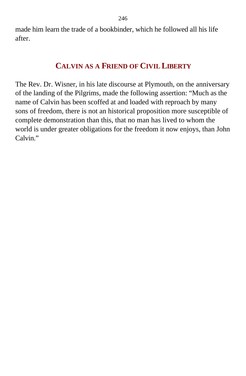made him learn the trade of a bookbinder, which he followed all his life after.

### **CALVIN AS A FRIEND OF CIVIL LIBERTY**

The Rev. Dr. Wisner, in his late discourse at Plymouth, on the anniversary of the landing of the Pilgrims, made the following assertion: "Much as the name of Calvin has been scoffed at and loaded with reproach by many sons of freedom, there is not an historical proposition more susceptible of complete demonstration than this, that no man has lived to whom the world is under greater obligations for the freedom it now enjoys, than John Calvin."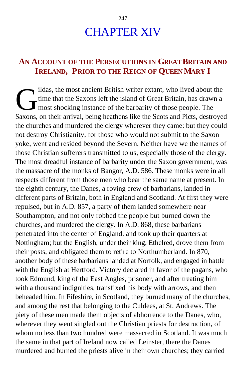## CHAPTER XIV

247

#### **AN ACCOUNT OF THE PERSECUTIONS IN GREAT BRITAIN AND IRELAND, PRIOR TO THE REIGN OF QUEEN MARY I**

ildas, the most ancient British writer extant, who lived about the time that the Saxons left the island of Great Britain, has drawn a most shocking instance of the barbarity of those people. The Saxons, on their arrival, being heathens like the Scots and Picts, destroyed the churches and murdered the clergy wherever they came: but they could not destroy Christianity, for those who would not submit to the Saxon yoke, went and resided beyond the Severn. Neither have we the names of those Christian sufferers transmitted to us, especially those of the clergy. The most dreadful instance of barbarity under the Saxon government, was the massacre of the monks of Bangor, A.D. 586. These monks were in all respects different from those men who bear the same name at present. In the eighth century, the Danes, a roving crew of barbarians, landed in different parts of Britain, both in England and Scotland. At first they were repulsed, but in A.D. 857, a party of them landed somewhere near Southampton, and not only robbed the people but burned down the churches, and murdered the clergy. In A.D. 868, these barbarians penetrated into the center of England, and took up their quarters at Nottingham; but the English, under their king, Ethelred, drove them from their posts, and obligated them to retire to Northumberland. In 870, another body of these barbarians landed at Norfolk, and engaged in battle with the English at Hertford. Victory declared in favor of the pagans, who took Edmund, king of the East Angles, prisoner, and after treating him with a thousand indignities, transfixed his body with arrows, and then beheaded him. In Fifeshire, in Scotland, they burned many of the churches, and among the rest that belonging to the Culdees, at St. Andrews. The piety of these men made them objects of abhorrence to the Danes, who, wherever they went singled out the Christian priests for destruction, of whom no less than two hundred were massacred in Scotland. It was much the same in that part of Ireland now called Leinster, there the Danes murdered and burned the priests alive in their own churches; they carried G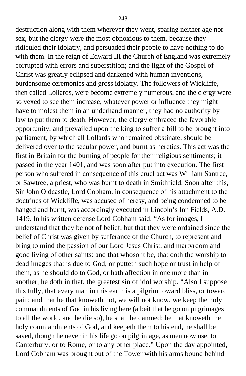destruction along with them wherever they went, sparing neither age nor sex, but the clergy were the most obnoxious to them, because they ridiculed their idolatry, and persuaded their people to have nothing to do with them. In the reign of Edward III the Church of England was extremely corrupted with errors and superstition; and the light of the Gospel of Christ was greatly eclipsed and darkened with human inventions, burdensome ceremonies and gross idolatry. The followers of Wickliffe, then called Lollards, were become extremely numerous, and the clergy were so vexed to see them increase; whatever power or influence they might have to molest them in an underhand manner, they had no authority by law to put them to death. However, the clergy embraced the favorable opportunity, and prevailed upon the king to suffer a bill to be brought into parliament, by which all Lollards who remained obstinate, should be delivered over to the secular power, and burnt as heretics. This act was the first in Britain for the burning of people for their religious sentiments; it passed in the year 1401, and was soon after put into execution. The first person who suffered in consequence of this cruel act was William Santree, or Sawtree, a priest, who was burnt to death in Smithfield. Soon after this, Sir John Oldcastle, Lord Cobham, in consequence of his attachment to the doctrines of Wickliffe, was accused of heresy, and being condemned to be hanged and burnt, was accordingly executed in Lincoln's Inn Fields, A.D. 1419. In his written defense Lord Cobham said: "As for images, I understand that they be not of belief, but that they were ordained since the belief of Christ was given by sufferance of the Church, to represent and bring to mind the passion of our Lord Jesus Christ, and martyrdom and good living of other saints: and that whoso it be, that doth the worship to dead images that is due to God, or putteth such hope or trust in help of them, as he should do to God, or hath affection in one more than in another, he doth in that, the greatest sin of idol worship. "Also I suppose this fully, that every man in this earth is a pilgrim toward bliss, or toward pain; and that he that knoweth not, we will not know, we keep the holy commandments of God in his living here (albeit that he go on pilgrimages to all the world, and he die so), he shall be damned: he that knoweth the holy commandments of God, and keepeth them to his end, he shall be saved, though he never in his life go on pilgrimage, as men now use, to Canterbury, or to Rome, or to any other place." Upon the day appointed, Lord Cobham was brought out of the Tower with his arms bound behind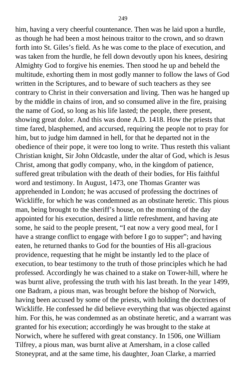him, having a very cheerful countenance. Then was he laid upon a hurdle, as though he had been a most heinous traitor to the crown, and so drawn forth into St. Giles's field. As he was come to the place of execution, and was taken from the hurdle, he fell down devoutly upon his knees, desiring Almighty God to forgive his enemies. Then stood he up and beheld the multitude, exhorting them in most godly manner to follow the laws of God written in the Scriptures, and to beware of such teachers as they see contrary to Christ in their conversation and living. Then was he hanged up by the middle in chains of iron, and so consumed alive in the fire, praising the name of God, so long as his life lasted; the people, there present, showing great dolor. And this was done A.D. 1418. How the priests that time fared, blasphemed, and accursed, requiring the people not to pray for him, but to judge him damned in hell, for that he departed not in the obedience of their pope, it were too long to write. Thus resteth this valiant Christian knight, Sir John Oldcastle, under the altar of God, which is Jesus Christ, among that godly company, who, in the kingdom of patience, suffered great tribulation with the death of their bodies, for His faithful word and testimony. In August, 1473, one Thomas Granter was apprehended in London; he was accused of professing the doctrines of Wickliffe, for which he was condemned as an obstinate heretic. This pious man, being brought to the sheriff's house, on the morning of the day appointed for his execution, desired a little refreshment, and having ate some, he said to the people present, "I eat now a very good meal, for I have a strange conflict to engage with before I go to supper"; and having eaten, he returned thanks to God for the bounties of His all-gracious providence, requesting that he might be instantly led to the place of execution, to bear testimony to the truth of those principles which he had professed. Accordingly he was chained to a stake on Tower-hill, where he was burnt alive, professing the truth with his last breath. In the year 1499, one Badram, a pious man, was brought before the bishop of Norwich, having been accused by some of the priests, with holding the doctrines of Wickliffe. He confessed he did believe everything that was objected against him. For this, he was condemned as an obstinate heretic, and a warrant was granted for his execution; accordingly he was brought to the stake at Norwich, where he suffered with great constancy. In 1506, one William Tilfrey, a pious man, was burnt alive at Amersham, in a close called Stoneyprat, and at the same time, his daughter, Joan Clarke, a married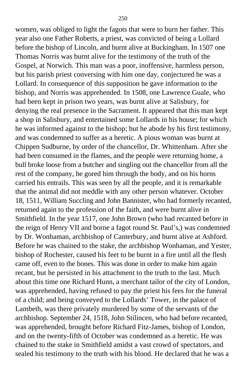women, was obliged to light the fagots that were to burn her father. This year also one Father Roberts, a priest, was convicted of being a Lollard before the bishop of Lincoln, and burnt alive at Buckingham. In 1507 one Thomas Norris was burnt alive for the testimony of the truth of the Gospel, at Norwich. This man was a poor, inoffensive, harmless person, but his parish priest conversing with him one day, conjectured he was a Lollard. In consequence of this supposition he gave information to the bishop, and Norris was apprehended. In 1508, one Lawrence Guale, who had been kept in prison two years, was burnt alive at Salisbury, for denying the real presence in the Sacrament. It appeared that this man kept a shop in Salisbury, and entertained some Lollards in his house; for which he was informed against to the bishop; but he abode by his first testimony, and was condemned to suffer as a heretic. A pious woman was burnt at Chippen Sudburne, by order of the chancellor, Dr. Whittenham. After she had been consumed in the flames, and the people were returning home, a bull broke loose from a butcher and singling out the chancellor from all the rest of the company, he gored him through the body, and on his horns carried his entrails. This was seen by all the people, and it is remarkable that the animal did not meddle with any other person whatever. October 18, 1511, William Succling and John Bannister, who had formerly recanted, returned again to the profession of the faith, and were burnt alive in Smithfield. In the year 1517, one John Brown (who had recanted before in the reign of Henry VII and borne a fagot round St. Paul's,) was condemned by Dr. Wonhaman, archbishop of Canterbury, and burnt alive at Ashford. Before he was chained to the stake, the archbishop Wonhaman, and Yester, bishop of Rochester, caused his feet to be burnt in a fire until all the flesh came off, even to the bones. This was done in order to make him again recant, but he persisted in his attachment to the truth to the last. Much about this time one Richard Hunn, a merchant tailor of the city of London, was apprehended, having refused to pay the priest his fees for the funeral of a child; and being conveyed to the Lollards' Tower, in the palace of Lambeth, was there privately murdered by some of the servants of the archbishop. September 24, 1518, John Stilincen, who had before recanted, was apprehended, brought before Richard Fitz-James, bishop of London, and on the twenty-fifth of October was condemned as a heretic. He was chained to the stake in Smithfield amidst a vast crowd of spectators, and sealed his testimony to the truth with his blood. He declared that he was a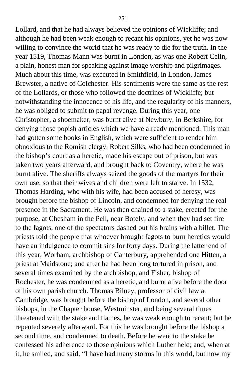Lollard, and that he had always believed the opinions of Wickliffe; and although he had been weak enough to recant his opinions, yet he was now willing to convince the world that he was ready to die for the truth. In the year 1519, Thomas Mann was burnt in London, as was one Robert Celin, a plain, honest man for speaking against image worship and pilgrimages. Much about this time, was executed in Smithfield, in London, James Brewster, a native of Colchester. His sentiments were the same as the rest of the Lollards, or those who followed the doctrines of Wickliffe; but notwithstanding the innocence of his life, and the regularity of his manners, he was obliged to submit to papal revenge. During this year, one Christopher, a shoemaker, was burnt alive at Newbury, in Berkshire, for denying those popish articles which we have already mentioned. This man had gotten some books in English, which were sufficient to render him obnoxious to the Romish clergy. Robert Silks, who had been condemned in the bishop's court as a heretic, made his escape out of prison, but was taken two years afterward, and brought back to Coventry, where he was burnt alive. The sheriffs always seized the goods of the martyrs for their own use, so that their wives and children were left to starve. In 1532, Thomas Harding, who with his wife, had been accused of heresy, was brought before the bishop of Lincoln, and condemned for denying the real presence in the Sacrament. He was then chained to a stake, erected for the purpose, at Chesham in the Pell, near Botely; and when they had set fire to the fagots, one of the spectators dashed out his brains with a billet. The priests told the people that whoever brought fagots to burn heretics would have an indulgence to commit sins for forty days. During the latter end of this year, Worham, archbishop of Canterbury, apprehended one Hitten, a priest at Maidstone; and after he had been long tortured in prison, and several times examined by the archbishop, and Fisher, bishop of Rochester, he was condemned as a heretic, and burnt alive before the door of his own parish church. Thomas Bilney, professor of civil law at Cambridge, was brought before the bishop of London, and several other bishops, in the Chapter house, Westminster, and being several times threatened with the stake and flames, he was weak enough to recant; but he repented severely afterward. For this he was brought before the bishop a second time, and condemned to death. Before he went to the stake he confessed his adherence to those opinions which Luther held; and, when at it, he smiled, and said, "I have had many storms in this world, but now my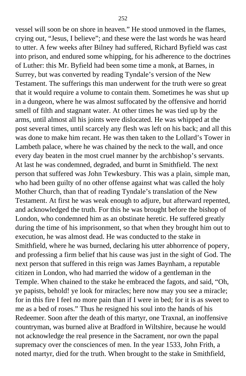vessel will soon be on shore in heaven." He stood unmoved in the flames, crying out, "Jesus, I believe"; and these were the last words he was heard to utter. A few weeks after Bilney had suffered, Richard Byfield was cast into prison, and endured some whipping, for his adherence to the doctrines of Luther: this Mr. Byfield had been some time a monk, at Barnes, in Surrey, but was converted by reading Tyndale's version of the New Testament. The sufferings this man underwent for the truth were so great that it would require a volume to contain them. Sometimes he was shut up in a dungeon, where he was almost suffocated by the offensive and horrid smell of filth and stagnant water. At other times he was tied up by the arms, until almost all his joints were dislocated. He was whipped at the post several times, until scarcely any flesh was left on his back; and all this was done to make him recant. He was then taken to the Lollard's Tower in Lambeth palace, where he was chained by the neck to the wall, and once every day beaten in the most cruel manner by the archbishop's servants. At last he was condemned, degraded, and burnt in Smithfield. The next person that suffered was John Tewkesbury. This was a plain, simple man, who had been guilty of no other offense against what was called the holy Mother Church, than that of reading Tyndale's translation of the New Testament. At first he was weak enough to adjure, but afterward repented, and acknowledged the truth. For this he was brought before the bishop of London, who condemned him as an obstinate heretic. He suffered greatly during the time of his imprisonment, so that when they brought him out to execution, he was almost dead. He was conducted to the stake in Smithfield, where he was burned, declaring his utter abhorrence of popery, and professing a firm belief that his cause was just in the sight of God. The next person that suffered in this reign was James Baynham, a reputable citizen in London, who had married the widow of a gentleman in the Temple. When chained to the stake he embraced the fagots, and said, "Oh, ye papists, behold! ye look for miracles; here now may you see a miracle; for in this fire I feel no more pain than if I were in bed; for it is as sweet to me as a bed of roses." Thus he resigned his soul into the hands of his Redeemer. Soon after the death of this martyr, one Traxnal, an inoffensive countryman, was burned alive at Bradford in Wiltshire, because he would not acknowledge the real presence in the Sacrament, nor own the papal supremacy over the consciences of men. In the year 1533, John Frith, a noted martyr, died for the truth. When brought to the stake in Smithfield,

252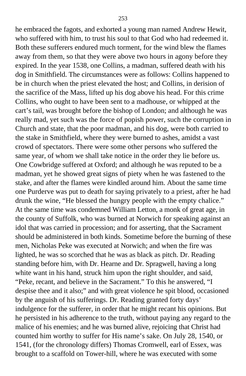he embraced the fagots, and exhorted a young man named Andrew Hewit, who suffered with him, to trust his soul to that God who had redeemed it. Both these sufferers endured much torment, for the wind blew the flames away from them, so that they were above two hours in agony before they expired. In the year 1538, one Collins, a madman, suffered death with his dog in Smithfield. The circumstances were as follows: Collins happened to be in church when the priest elevated the host; and Collins, in derision of the sacrifice of the Mass, lifted up his dog above his head. For this crime Collins, who ought to have been sent to a madhouse, or whipped at the cart's tail, was brought before the bishop of London; and although he was really mad, yet such was the force of popish power, such the corruption in Church and state, that the poor madman, and his dog, were both carried to the stake in Smithfield, where they were burned to ashes, amidst a vast crowd of spectators. There were some other persons who suffered the same year, of whom we shall take notice in the order they lie before us. One Cowbridge suffered at Oxford; and although he was reputed to be a madman, yet he showed great signs of piety when he was fastened to the stake, and after the flames were kindled around him. About the same time one Purderve was put to death for saying privately to a priest, after he had drunk the wine, "He blessed the hungry people with the empty chalice." At the same time was condemned William Letton, a monk of great age, in the county of Suffolk, who was burned at Norwich for speaking against an idol that was carried in procession; and for asserting, that the Sacrament should be administered in both kinds. Sometime before the burning of these men, Nicholas Peke was executed at Norwich; and when the fire was lighted, he was so scorched that he was as black as pitch. Dr. Reading standing before him, with Dr. Hearne and Dr. Spragwell, having a long white want in his hand, struck him upon the right shoulder, and said, "Peke, recant, and believe in the Sacrament." To this he answered, "I despise thee and it also;" and with great violence he spit blood, occasioned by the anguish of his sufferings. Dr. Reading granted forty days' indulgence for the sufferer, in order that he might recant his opinions. But he persisted in his adherence to the truth, without paying any regard to the malice of his enemies; and he was burned alive, rejoicing that Christ had counted him worthy to suffer for His name's sake. On July 28, 1540, or 1541, (for the chronology differs) Thomas Cromwell, earl of Essex, was brought to a scaffold on Tower-hill, where he was executed with some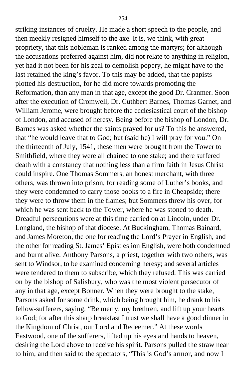striking instances of cruelty. He made a short speech to the people, and then meekly resigned himself to the axe. It is, we think, with great propriety, that this nobleman is ranked among the martyrs; for although the accusations preferred against him, did not relate to anything in religion, yet had it not been for his zeal to demolish popery, he might have to the last retained the king's favor. To this may be added, that the papists plotted his destruction, for he did more towards promoting the Reformation, than any man in that age, except the good Dr. Cranmer. Soon after the execution of Cromwell, Dr. Cuthbert Barnes, Thomas Garnet, and William Jerome, were brought before the ecclesiastical court of the bishop of London, and accused of heresy. Being before the bishop of London, Dr. Barnes was asked whether the saints prayed for us? To this he answered, that "he would leave that to God; but (said he) I will pray for you." On the thirteenth of July, 1541, these men were brought from the Tower to Smithfield, where they were all chained to one stake; and there suffered death with a constancy that nothing less than a firm faith in Jesus Christ could inspire. One Thomas Sommers, an honest merchant, with three others, was thrown into prison, for reading some of Luther's books, and they were condemned to carry those books to a fire in Cheapside; there they were to throw them in the flames; but Sommers threw his over, for which he was sent back to the Tower, where he was stoned to death. Dreadful persecutions were at this time carried on at Lincoln, under Dr. Longland, the bishop of that diocese. At Buckingham, Thomas Bainard, and James Moreton, the one for reading the Lord's Prayer in English, and the other for reading St. James' Epistles ion English, were both condemned and burnt alive. Anthony Parsons, a priest, together with two others, was sent to Windsor, to be examined concerning heresy; and several articles were tendered to them to subscribe, which they refused. This was carried on by the bishop of Salisbury, who was the most violent persecutor of any in that age, except Bonner. When they were brought to the stake, Parsons asked for some drink, which being brought him, he drank to his fellow-sufferers, saying, "Be merry, my brethren, and lift up your hearts to God; for after this sharp breakfast I trust we shall have a good dinner in the Kingdom of Christ, our Lord and Redeemer." At these words Eastwood, one of the sufferers, lifted up his eyes and hands to heaven, desiring the Lord above to receive his spirit. Parsons pulled the straw near to him, and then said to the spectators, "This is God's armor, and now I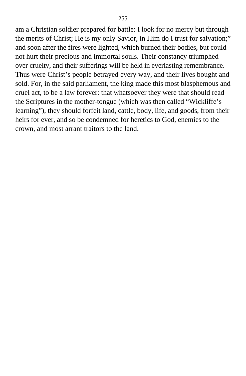am a Christian soldier prepared for battle: I look for no mercy but through the merits of Christ; He is my only Savior, in Him do I trust for salvation;" and soon after the fires were lighted, which burned their bodies, but could not hurt their precious and immortal souls. Their constancy triumphed over cruelty, and their sufferings will be held in everlasting remembrance. Thus were Christ's people betrayed every way, and their lives bought and sold. For, in the said parliament, the king made this most blasphemous and cruel act, to be a law forever: that whatsoever they were that should read the Scriptures in the mother-tongue (which was then called "Wickliffe's learning"), they should forfeit land, cattle, body, life, and goods, from their heirs for ever, and so be condemned for heretics to God, enemies to the crown, and most arrant traitors to the land.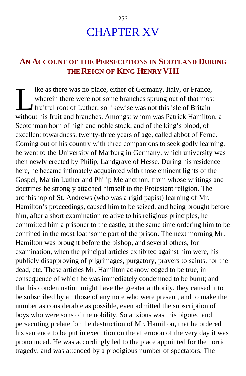# CHAPTER XV

256

# **AN ACCOUNT OF THE PERSECUTIONS IN SCOTLAND DURING THE REIGN OF KING HENRY VIII**

ike as there was no place, either of Germany, Italy, or France, wherein there were not some branches sprung out of that most fruitful root of Luther; so likewise was not this isle of Britain without his fruit and branches. Amongst whom was Patrick Hamilton, a Scotchman born of high and noble stock, and of the king's blood, of excellent towardness, twenty-three years of age, called abbot of Ferne. Coming out of his country with three companions to seek godly learning, he went to the University of Marburg in Germany, which university was then newly erected by Philip, Landgrave of Hesse. During his residence here, he became intimately acquainted with those eminent lights of the Gospel, Martin Luther and Philip Melancthon; from whose writings and doctrines he strongly attached himself to the Protestant religion. The archbishop of St. Andrews (who was a rigid papist) learning of Mr. Hamilton's proceedings, caused him to be seized, and being brought before him, after a short examination relative to his religious principles, he committed him a prisoner to the castle, at the same time ordering him to be confined in the most loathsome part of the prison. The next morning Mr. Hamilton was brought before the bishop, and several others, for examination, when the principal articles exhibited against him were, his publicly disapproving of pilgrimages, purgatory, prayers to saints, for the dead, etc. These articles Mr. Hamilton acknowledged to be true, in consequence of which he was immediately condemned to be burnt; and that his condemnation might have the greater authority, they caused it to be subscribed by all those of any note who were present, and to make the number as considerable as possible, even admitted the subscription of boys who were sons of the nobility. So anxious was this bigoted and persecuting prelate for the destruction of Mr. Hamilton, that he ordered his sentence to be put in execution on the afternoon of the very day it was pronounced. He was accordingly led to the place appointed for the horrid tragedy, and was attended by a prodigious number of spectators. The L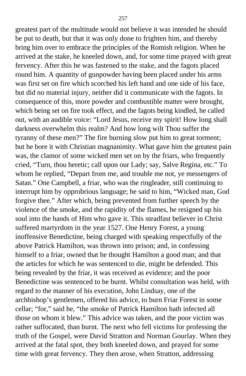greatest part of the multitude would not believe it was intended he should be put to death, but that it was only done to frighten him, and thereby bring him over to embrace the principles of the Romish religion. When he arrived at the stake, he kneeled down, and, for some time prayed with great fervency. After this he was fastened to the stake, and the fagots placed round him. A quantity of gunpowder having been placed under his arms was first set on fire which scorched his left hand and one side of his face, but did no material injury, neither did it communicate with the fagots. In consequence of this, more powder and combustible matter were brought, which being set on fire took effect, and the fagots being kindled, he called out, with an audible voice: "Lord Jesus, receive my spirit! How long shall darkness overwhelm this realm? And how long wilt Thou suffer the tyranny of these men?" The fire burning slow put him to great torment; but he bore it with Christian magnanimity. What gave him the greatest pain was, the clamor of some wicked men set on by the friars, who frequently cried, "Turn, thou heretic; call upon our Lady; say, Salve Regina, etc." To whom he replied, "Depart from me, and trouble me not, ye messengers of Satan." One Campbell, a friar, who was the ringleader, still continuing to interrupt him by opprobrious language; he said to him, "Wicked man, God forgive thee." After which, being prevented from further speech by the violence of the smoke, and the rapidity of the flames, he resigned up his soul into the hands of Him who gave it. This steadfast believer in Christ suffered martyrdom in the year 1527. One Henry Forest, a young inoffensive Benedictine, being charged with speaking respectfully of the above Patrick Hamilton, was thrown into prison; and, in confessing himself to a friar, owned that he thought Hamilton a good man; and that the articles for which he was sentenced to die, might be defended. This being revealed by the friar, it was received as evidence; and the poor Benedictine was sentenced to be burnt. Whilst consultation was held, with regard to the manner of his execution, John Lindsay, one of the archbishop's gentlemen, offered his advice, to burn Friar Forest in some cellar; "for," said he, "the smoke of Patrick Hamilton hath infected all those on whom it blew." This advice was taken, and the poor victim was rather suffocated, than burnt. The next who fell victims for professing the truth of the Gospel, were David Stratton and Norman Gourlay. When they arrived at the fatal spot, they both kneeled down, and prayed for some time with great fervency. They then arose, when Stratton, addressing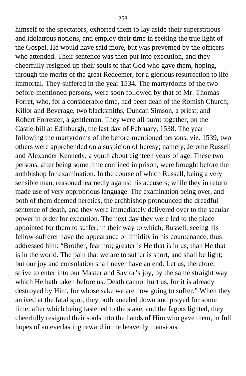himself to the spectators, exhorted them to lay aside their superstitious and idolatrous notions, and employ their time in seeking the true light of the Gospel. He would have said more, but was prevented by the officers who attended. Their sentence was then put into execution, and they cheerfully resigned up their souls to that God who gave them, hoping, through the merits of the great Redeemer, for a glorious resurrection to life immortal. They suffered in the year 1534. The martyrdoms of the two before-mentioned persons, were soon followed by that of Mr. Thomas Forret, who, for a considerable time, had been dean of the Romish Church; Killor and Beverage, two blacksmiths; Duncan Simson, a priest; and Robert Forrester, a gentleman. They were all burnt together, on the Castle-hill at Edinburgh, the last day of February, 1538. The year following the martyrdoms of the before-mentioned persons, viz. 1539, two others were apprehended on a suspicion of heresy; namely, Jerome Russell and Alexander Kennedy, a youth about eighteen years of age. These two persons, after being some time confined in prison, were brought before the archbishop for examination. In the course of which Russell, being a very sensible man, reasoned learnedly against his accusers; while they in return made use of very opprobrious language. The examination being over, and both of them deemed heretics, the archbishop pronounced the dreadful sentence of death, and they were immediately delivered over to the secular power in order for execution. The next day they were led to the place appointed for them to suffer; in their way to which, Russell, seeing his fellow-sufferer have the appearance of timidity in his countenance, thus addressed him: "Brother, fear not; greater is He that is in us, than He that is in the world. The pain that we are to suffer is short, and shall be light; but our joy and consolation shall never have an end. Let us, therefore, strive to enter into our Master and Savior's joy, by the same straight way which He hath taken before us. Death cannot hurt us, for it is already destroyed by Him, for whose sake we are now going to suffer." When they arrived at the fatal spot, they both kneeled down and prayed for some time; after which being fastened to the stake, and the fagots lighted, they cheerfully resigned their souls into the hands of Him who gave them, in full hopes of an everlasting reward in the heavenly mansions.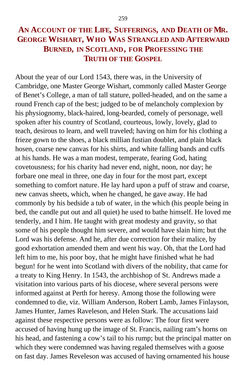# **AN ACCOUNT OF THE LIFE, SUFFERINGS, AND DEATH OF MR. GEORGE WISHART, WHO WAS STRANGLED AND AFTERWARD BURNED, IN SCOTLAND, FOR PROFESSING THE TRUTH OF THE GOSPEL**

About the year of our Lord 1543, there was, in the University of Cambridge, one Master George Wishart, commonly called Master George of Benet's College, a man of tall stature, polled-headed, and on the same a round French cap of the best; judged to be of melancholy complexion by his physiognomy, black-haired, long-bearded, comely of personage, well spoken after his country of Scotland, courteous, lowly, lovely, glad to teach, desirous to learn, and well traveled; having on him for his clothing a frieze gown to the shoes, a black millian fustian doublet, and plain black hosen, coarse new canvas for his shirts, and white falling bands and cuffs at his hands. He was a man modest, temperate, fearing God, hating covetousness; for his charity had never end, night, noon, nor day; he forbare one meal in three, one day in four for the most part, except something to comfort nature. He lay hard upon a puff of straw and coarse, new canvas sheets, which, when he changed, he gave away. He had commonly by his bedside a tub of water, in the which (his people being in bed, the candle put out and all quiet) he used to bathe himself. He loved me tenderly, and I him. He taught with great modesty and gravity, so that some of his people thought him severe, and would have slain him; but the Lord was his defense. And he, after due correction for their malice, by good exhortation amended them and went his way. Oh, that the Lord had left him to me, his poor boy, that he might have finished what he had begun! for he went into Scotland with divers of the nobility, that came for a treaty to King Henry. In 1543, the archbishop of St. Andrews made a visitation into various parts of his diocese, where several persons were informed against at Perth for heresy. Among those the following were condemned to die, viz. William Anderson, Robert Lamb, James Finlayson, James Hunter, James Raveleson, and Helen Stark. The accusations laid against these respective persons were as follow: The four first were accused of having hung up the image of St. Francis, nailing ram's horns on his head, and fastening a cow's tail to his rump; but the principal matter on which they were condemned was having regaled themselves with a goose on fast day. James Reveleson was accused of having ornamented his house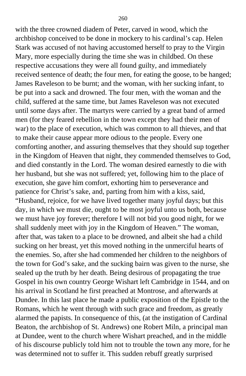with the three crowned diadem of Peter, carved in wood, which the archbishop conceived to be done in mockery to his cardinal's cap. Helen Stark was accused of not having accustomed herself to pray to the Virgin Mary, more especially during the time she was in childbed. On these respective accusations they were all found guilty, and immediately received sentence of death; the four men, for eating the goose, to be hanged; James Raveleson to be burnt; and the woman, with her sucking infant, to be put into a sack and drowned. The four men, with the woman and the child, suffered at the same time, but James Raveleson was not executed until some days after. The martyrs were carried by a great band of armed men (for they feared rebellion in the town except they had their men of war) to the place of execution, which was common to all thieves, and that to make their cause appear more odious to the people. Every one comforting another, and assuring themselves that they should sup together in the Kingdom of Heaven that night, they commended themselves to God, and died constantly in the Lord. The woman desired earnestly to die with her husband, but she was not suffered; yet, following him to the place of execution, she gave him comfort, exhorting him to perseverance and patience for Christ's sake, and, parting from him with a kiss, said, "Husband, rejoice, for we have lived together many joyful days; but this day, in which we must die, ought to be most joyful unto us both, because we must have joy forever; therefore I will not bid you good night, for we shall suddenly meet with joy in the Kingdom of Heaven." The woman, after that, was taken to a place to be drowned, and albeit she had a child sucking on her breast, yet this moved nothing in the unmerciful hearts of the enemies. So, after she had commended her children to the neighbors of the town for God's sake, and the sucking bairn was given to the nurse, she sealed up the truth by her death. Being desirous of propagating the true Gospel in his own country George Wishart left Cambridge in 1544, and on his arrival in Scotland he first preached at Montrose, and afterwards at Dundee. In this last place he made a public exposition of the Epistle to the Romans, which he went through with such grace and freedom, as greatly alarmed the papists. In consequence of this, (at the instigation of Cardinal Beaton, the archbishop of St. Andrews) one Robert Miln, a principal man at Dundee, went to the church where Wishart preached, and in the middle of his discourse publicly told him not to trouble the town any more, for he was determined not to suffer it. This sudden rebuff greatly surprised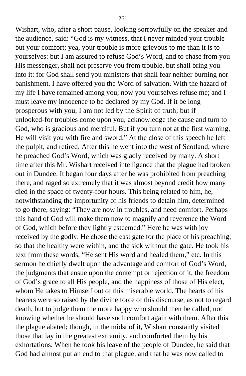Wishart, who, after a short pause, looking sorrowfully on the speaker and the audience, said: "God is my witness, that I never minded your trouble but your comfort; yea, your trouble is more grievous to me than it is to yourselves: but I am assured to refuse God's Word, and to chase from you His messenger, shall not preserve you from trouble, but shall bring you into it: for God shall send you ministers that shall fear neither burning nor banishment. I have offered you the Word of salvation. With the hazard of my life I have remained among you; now you yourselves refuse me; and I must leave my innocence to be declared by my God. If it be long prosperous with you, I am not led by the Spirit of truth; but if unlooked-for troubles come upon you, acknowledge the cause and turn to God, who is gracious and merciful. But if you turn not at the first warning, He will visit you with fire and sword." At the close of this speech he left the pulpit, and retired. After this he went into the west of Scotland, where he preached God's Word, which was gladly received by many. A short time after this Mr. Wishart received intelligence that the plague had broken out in Dundee. It began four days after he was prohibited from preaching there, and raged so extremely that it was almost beyond credit how many died in the space of twenty-four hours. This being related to him, he, notwithstanding the importunity of his friends to detain him, determined to go there, saying: "They are now in troubles, and need comfort. Perhaps this hand of God will make them now to magnify and reverence the Word of God, which before they lightly esteemed." Here he was with joy received by the godly. He chose the east gate for the place of his preaching; so that the healthy were within, and the sick without the gate. He took his text from these words, "He sent His word and healed them," etc. In this sermon he chiefly dwelt upon the advantage and comfort of God's Word, the judgments that ensue upon the contempt or rejection of it, the freedom of God's grace to all His people, and the happiness of those of His elect, whom He takes to Himself out of this miserable world. The hearts of his hearers were so raised by the divine force of this discourse, as not to regard death, but to judge them the more happy who should then be called, not knowing whether he should have such comfort again with them. After this the plague abated; though, in the midst of it, Wishart constantly visited those that lay in the greatest extremity, and comforted them by his exhortations. When he took his leave of the people of Dundee, he said that God had almost put an end to that plague, and that he was now called to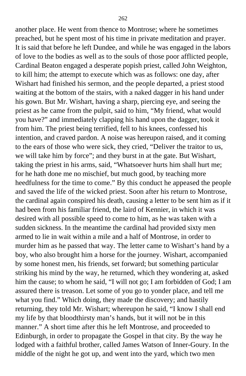another place. He went from thence to Montrose; where he sometimes preached, but he spent most of his time in private meditation and prayer. It is said that before he left Dundee, and while he was engaged in the labors of love to the bodies as well as to the souls of those poor afflicted people, Cardinal Beaton engaged a desperate popish priest, called John Weighton, to kill him; the attempt to execute which was as follows: one day, after Wishart had finished his sermon, and the people departed, a priest stood waiting at the bottom of the stairs, with a naked dagger in his hand under his gown. But Mr. Wishart, having a sharp, piercing eye, and seeing the priest as he came from the pulpit, said to him, "My friend, what would you have?" and immediately clapping his hand upon the dagger, took it from him. The priest being terrified, fell to his knees, confessed his intention, and craved pardon. A noise was hereupon raised, and it coming to the ears of those who were sick, they cried, "Deliver the traitor to us, we will take him by force"; and they burst in at the gate. But Wishart, taking the priest in his arms, said, "Whatsoever hurts him shall hurt me; for he hath done me no mischief, but much good, by teaching more heedfulness for the time to come." By this conduct he appeased the people and saved the life of the wicked priest. Soon after his return to Montrose, the cardinal again conspired his death, causing a letter to be sent him as if it had been from his familiar friend, the laird of Kennier, in which it was desired with all possible speed to come to him, as he was taken with a sudden sickness. In the meantime the cardinal had provided sixty men armed to lie in wait within a mile and a half of Montrose, in order to murder him as he passed that way. The letter came to Wishart's hand by a boy, who also brought him a horse for the journey. Wishart, accompanied by some honest men, his friends, set forward; but something particular striking his mind by the way, he returned, which they wondering at, asked him the cause; to whom he said, "I will not go; I am forbidden of God; I am assured there is treason. Let some of you go to yonder place, and tell me what you find." Which doing, they made the discovery; and hastily returning, they told Mr. Wishart; whereupon he said, "I know I shall end my life by that bloodthirsty man's hands, but it will not be in this manner." A short time after this he left Montrose, and proceeded to Edinburgh, in order to propagate the Gospel in that city. By the way he lodged with a faithful brother, called James Watson of Inner-Goury. In the middle of the night he got up, and went into the yard, which two men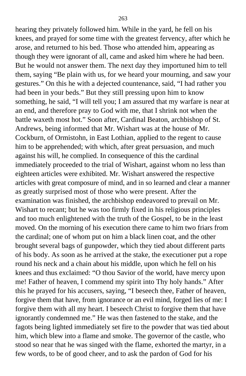hearing they privately followed him. While in the yard, he fell on his knees, and prayed for some time with the greatest fervency, after which he arose, and returned to his bed. Those who attended him, appearing as though they were ignorant of all, came and asked him where he had been. But he would not answer them. The next day they importuned him to tell them, saying "Be plain with us, for we heard your mourning, and saw your gestures." On this he with a dejected countenance, said, "I had rather you had been in your beds." But they still pressing upon him to know something, he said, "I will tell you; I am assured that my warfare is near at an end, and therefore pray to God with me, that I shrink not when the battle waxeth most hot." Soon after, Cardinal Beaton, archbishop of St. Andrews, being informed that Mr. Wishart was at the house of Mr. Cockburn, of Ormistohn, in East Lothian, applied to the regent to cause him to be apprehended; with which, after great persuasion, and much against his will, he complied. In consequence of this the cardinal immediately proceeded to the trial of Wishart, against whom no less than eighteen articles were exhibited. Mr. Wishart answered the respective articles with great composure of mind, and in so learned and clear a manner as greatly surprised most of those who were present. After the examination was finished, the archbishop endeavored to prevail on Mr. Wishart to recant; but he was too firmly fixed in his religious principles and too much enlightened with the truth of the Gospel, to be in the least moved. On the morning of his execution there came to him two friars from the cardinal; one of whom put on him a black linen coat, and the other brought several bags of gunpowder, which they tied about different parts of his body. As soon as he arrived at the stake, the executioner put a rope round his neck and a chain about his middle, upon which he fell on his knees and thus exclaimed: "O thou Savior of the world, have mercy upon me! Father of heaven, I commend my spirit into Thy holy hands." After this he prayed for his accusers, saying, "I beseech thee, Father of heaven, forgive them that have, from ignorance or an evil mind, forged lies of me: I forgive them with all my heart. I beseech Christ to forgive them that have ignorantly condemned me." He was then fastened to the stake, and the fagots being lighted immediately set fire to the powder that was tied about him, which blew into a flame and smoke. The governor of the castle, who stood so near that he was singed with the flame, exhorted the martyr, in a few words, to be of good cheer, and to ask the pardon of God for his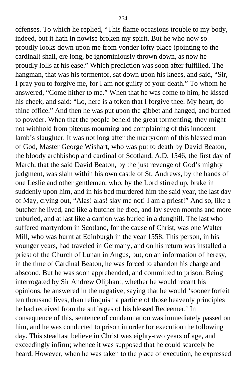offenses. To which he replied, "This flame occasions trouble to my body, indeed, but it hath in nowise broken my spirit. But he who now so proudly looks down upon me from yonder lofty place (pointing to the cardinal) shall, ere long, be ignominiously thrown down, as now he proudly lolls at his ease." Which prediction was soon after fulfilled. The hangman, that was his tormentor, sat down upon his knees, and said, "Sir, I pray you to forgive me, for I am not guilty of your death." To whom he answered, "Come hither to me." When that he was come to him, he kissed his cheek, and said: "Lo, here is a token that I forgive thee. My heart, do thine office." And then he was put upon the gibbet and hanged, and burned to powder. When that the people beheld the great tormenting, they might not withhold from piteous mourning and complaining of this innocent lamb's slaughter. It was not long after the martyrdom of this blessed man of God, Master George Wishart, who was put to death by David Beaton, the bloody archbishop and cardinal of Scotland, A.D. 1546, the first day of March, that the said David Beaton, by the just revenge of God's mighty judgment, was slain within his own castle of St. Andrews, by the hands of one Leslie and other gentlemen, who, by the Lord stirred up, brake in suddenly upon him, and in his bed murdered him the said year, the last day of May, crying out, "Alas! alas! slay me not! I am a priest!" And so, like a butcher he lived, and like a butcher he died, and lay seven months and more unburied, and at last like a carrion was buried in a dunghill. The last who suffered martyrdom in Scotland, for the cause of Christ, was one Walter Mill, who was burnt at Edinburgh in the year 1558. This person, in his younger years, had traveled in Germany, and on his return was installed a priest of the Church of Lunan in Angus, but, on an information of heresy, in the time of Cardinal Beaton, he was forced to abandon his charge and abscond. But he was soon apprehended, and committed to prison. Being interrogated by Sir Andrew Oliphant, whether he would recant his opinions, he answered in the negative, saying that he would 'sooner forfeit ten thousand lives, than relinquish a particle of those heavenly principles he had received from the suffrages of his blessed Redeemer.' In consequence of this, sentence of condemnation was immediately passed on him, and he was conducted to prison in order for execution the following day. This steadfast believe in Christ was eighty-two years of age, and exceedingly infirm; whence it was supposed that he could scarcely be heard. However, when he was taken to the place of execution, he expressed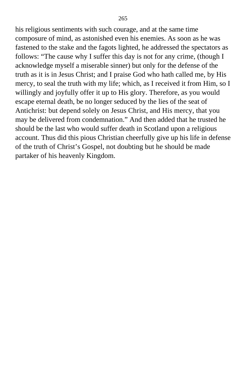his religious sentiments with such courage, and at the same time composure of mind, as astonished even his enemies. As soon as he was fastened to the stake and the fagots lighted, he addressed the spectators as follows: "The cause why I suffer this day is not for any crime, (though I acknowledge myself a miserable sinner) but only for the defense of the truth as it is in Jesus Christ; and I praise God who hath called me, by His mercy, to seal the truth with my life; which, as I received it from Him, so I willingly and joyfully offer it up to His glory. Therefore, as you would escape eternal death, be no longer seduced by the lies of the seat of Antichrist: but depend solely on Jesus Christ, and His mercy, that you may be delivered from condemnation." And then added that he trusted he should be the last who would suffer death in Scotland upon a religious account. Thus did this pious Christian cheerfully give up his life in defense of the truth of Christ's Gospel, not doubting but he should be made partaker of his heavenly Kingdom.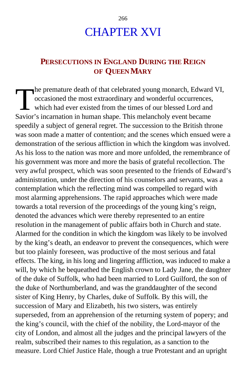# CHAPTER XVI

266

# **PERSECUTIONS IN ENGLAND DURING THE REIGN OF QUEEN MARY**

he premature death of that celebrated young monarch, Edward VI, occasioned the most extraordinary and wonderful occurrences, which had ever existed from the times of our blessed Lord and Savior's incarnation in human shape. This melancholy event became speedily a subject of general regret. The succession to the British throne was soon made a matter of contention; and the scenes which ensued were a demonstration of the serious affliction in which the kingdom was involved. As his loss to the nation was more and more unfolded, the remembrance of his government was more and more the basis of grateful recollection. The very awful prospect, which was soon presented to the friends of Edward's administration, under the direction of his counselors and servants, was a contemplation which the reflecting mind was compelled to regard with most alarming apprehensions. The rapid approaches which were made towards a total reversion of the proceedings of the young king's reign, denoted the advances which were thereby represented to an entire resolution in the management of public affairs both in Church and state. Alarmed for the condition in which the kingdom was likely to be involved by the king's death, an endeavor to prevent the consequences, which were but too plainly foreseen, was productive of the most serious and fatal effects. The king, in his long and lingering affliction, was induced to make a will, by which he bequeathed the English crown to Lady Jane, the daughter of the duke of Suffolk, who had been married to Lord Guilford, the son of the duke of Northumberland, and was the granddaughter of the second sister of King Henry, by Charles, duke of Suffolk. By this will, the succession of Mary and Elizabeth, his two sisters, was entirely superseded, from an apprehension of the returning system of popery; and the king's council, with the chief of the nobility, the Lord-mayor of the city of London, and almost all the judges and the principal lawyers of the realm, subscribed their names to this regulation, as a sanction to the measure. Lord Chief Justice Hale, though a true Protestant and an upright T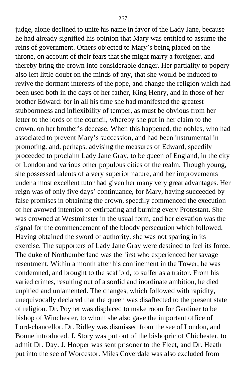judge, alone declined to unite his name in favor of the Lady Jane, because he had already signified his opinion that Mary was entitled to assume the reins of government. Others objected to Mary's being placed on the throne, on account of their fears that she might marry a foreigner, and thereby bring the crown into considerable danger. Her partiality to popery also left little doubt on the minds of any, that she would be induced to revive the dormant interests of the pope, and change the religion which had been used both in the days of her father, King Henry, and in those of her brother Edward: for in all his time she had manifested the greatest stubbornness and inflexibility of temper, as must be obvious from her letter to the lords of the council, whereby she put in her claim to the crown, on her brother's decease. When this happened, the nobles, who had associated to prevent Mary's succession, and had been instrumental in promoting, and, perhaps, advising the measures of Edward, speedily proceeded to proclaim Lady Jane Gray, to be queen of England, in the city of London and various other populous cities of the realm. Though young, she possessed talents of a very superior nature, and her improvements under a most excellent tutor had given her many very great advantages. Her reign was of only five days' continuance, for Mary, having succeeded by false promises in obtaining the crown, speedily commenced the execution of her avowed intention of extirpating and burning every Protestant. She was crowned at Westminster in the usual form, and her elevation was the signal for the commencement of the bloody persecution which followed. Having obtained the sword of authority, she was not sparing in its exercise. The supporters of Lady Jane Gray were destined to feel its force. The duke of Northumberland was the first who experienced her savage resentment. Within a month after his confinement in the Tower, he was condemned, and brought to the scaffold, to suffer as a traitor. From his varied crimes, resulting out of a sordid and inordinate ambition, he died unpitied and unlamented. The changes, which followed with rapidity, unequivocally declared that the queen was disaffected to the present state of religion. Dr. Poynet was displaced to make room for Gardiner to be bishop of Winchester, to whom she also gave the important office of Lord-chancellor. Dr. Ridley was dismissed from the see of London, and Bonne introduced. J. Story was put out of the bishopric of Chichester, to admit Dr. Day. J. Hooper was sent prisoner to the Fleet, and Dr. Heath put into the see of Worcestor. Miles Coverdale was also excluded from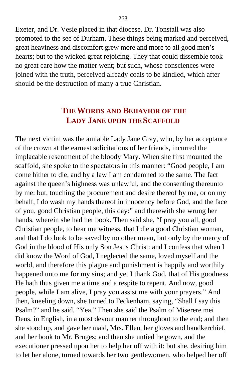Exeter, and Dr. Vesie placed in that diocese. Dr. Tonstall was also promoted to the see of Durham. These things being marked and perceived, great heaviness and discomfort grew more and more to all good men's hearts; but to the wicked great rejoicing. They that could dissemble took no great care how the matter went; but such, whose consciences were joined with the truth, perceived already coals to be kindled, which after should be the destruction of many a true Christian.

# **THE WORDS AND BEHAVIOR OF THE LADY JANE UPON THE SCAFFOLD**

The next victim was the amiable Lady Jane Gray, who, by her acceptance of the crown at the earnest solicitations of her friends, incurred the implacable resentment of the bloody Mary. When she first mounted the scaffold, she spoke to the spectators in this manner: "Good people, I am come hither to die, and by a law I am condemned to the same. The fact against the queen's highness was unlawful, and the consenting thereunto by me: but, touching the procurement and desire thereof by me, or on my behalf, I do wash my hands thereof in innocency before God, and the face of you, good Christian people, this day:" and therewith she wrung her hands, wherein she had her book. Then said she, "I pray you all, good Christian people, to bear me witness, that I die a good Christian woman, and that I do look to be saved by no other mean, but only by the mercy of God in the blood of His only Son Jesus Christ: and I confess that when I did know the Word of God, I neglected the same, loved myself and the world, and therefore this plague and punishment is happily and worthily happened unto me for my sins; and yet I thank God, that of His goodness He hath thus given me a time and a respite to repent. And now, good people, while I am alive, I pray you assist me with your prayers." And then, kneeling down, she turned to Feckenham, saying, "Shall I say this Psalm?" and he said, "Yea." Then she said the Psalm of Miserere mei Deus, in English, in a most devout manner throughout to the end; and then she stood up, and gave her maid, Mrs. Ellen, her gloves and handkerchief, and her book to Mr. Bruges; and then she untied he gown, and the executioner pressed upon her to help her off with it: but she, desiring him to let her alone, turned towards her two gentlewomen, who helped her off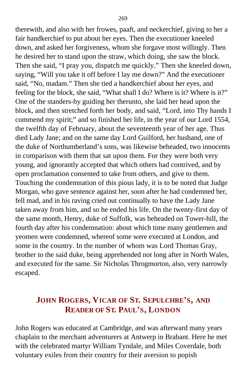therewith, and also with her frowes, paaft, and neckerchief, giving to her a fair handkerchief to put about her eyes. Then the executioner kneeled down, and asked her forgiveness, whom she forgave most willingly. Then he desired her to stand upon the straw, which doing, she saw the block. Then she said, "I pray you, dispatch me quickly." Then she kneeled down, saying, "Will you take it off before I lay me down?" And the executioner said, "No, madam." Then she tied a handkerchief about her eyes, and feeling for the block, she said, "What shall I do? Where is it? Where is it?" One of the standers-by guiding her therunto, she laid her head upon the block, and then stretched forth her body, and said, "Lord, into Thy hands I commend my spirit;" and so finished her life, in the year of our Lord 1554, the twelfth day of February, about the seventeenth year of her age. Thus died Lady Jane; and on the same day Lord Guilford, her husband, one of the duke of Northumberland's sons, was likewise beheaded, two innocents in comparison with them that sat upon them. For they were both very young, and ignorantly accepted that which others had contrived, and by open proclamation consented to take from others, and give to them. Touching the condemnation of this pious lady, it is to be noted that Judge Morgan, who gave sentence against her, soon after he had condemned her, fell mad, and in his raving cried out continually to have the Lady Jane taken away from him, and so he ended his life. On the twenty-first day of the same month, Henry, duke of Suffolk, was beheaded on Tower-hill, the fourth day after his condemnation: about which time many gentlemen and yeomen were condemned, whereof some were executed at London, and some in the country. In the number of whom was Lord Thomas Gray, brother to the said duke, being apprehended not long after in North Wales, and executed for the same. Sir Nicholas Throgmorton, also, very narrowly escaped.

# **JOHN ROGERS, VICAR OF ST. SEPULCHRE'S, AND READER OF ST. PAUL'S, LONDON**

John Rogers was educated at Cambridge, and was afterward many years chaplain to the merchant adventurers at Antwerp in Brabant. Here he met with the celebrated martyr William Tyndale, and Miles Coverdale, both voluntary exiles from their country for their aversion to popish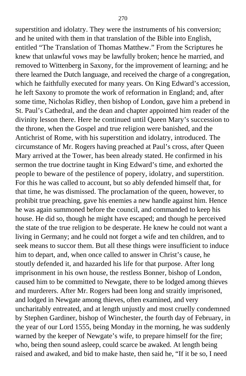superstition and idolatry. They were the instruments of his conversion; and he united with them in that translation of the Bible into English, entitled "The Translation of Thomas Matthew." From the Scriptures he knew that unlawful vows may be lawfully broken; hence he married, and removed to Wittenberg in Saxony, for the improvement of learning; and he there learned the Dutch language, and received the charge of a congregation, which he faithfully executed for many years. On King Edward's accession, he left Saxony to promote the work of reformation in England; and, after some time, Nicholas Ridley, then bishop of London, gave him a prebend in St. Paul's Cathedral, and the dean and chapter appointed him reader of the divinity lesson there. Here he continued until Queen Mary's succession to the throne, when the Gospel and true religion were banished, and the Antichrist of Rome, with his superstition and idolatry, introduced. The circumstance of Mr. Rogers having preached at Paul's cross, after Queen Mary arrived at the Tower, has been already stated. He confirmed in his sermon the true doctrine taught in King Edward's time, and exhorted the people to beware of the pestilence of popery, idolatry, and superstition. For this he was called to account, but so ably defended himself that, for that time, he was dismissed. The proclamation of the queen, however, to prohibit true preaching, gave his enemies a new handle against him. Hence he was again summoned before the council, and commanded to keep his house. He did so, though he might have escaped; and though he perceived the state of the true religion to be desperate. He knew he could not want a living in Germany; and he could not forget a wife and ten children, and to seek means to succor them. But all these things were insufficient to induce him to depart, and, when once called to answer in Christ's cause, he stoutly defended it, and hazarded his life for that purpose. After long imprisonment in his own house, the restless Bonner, bishop of London, caused him to be committed to Newgate, there to be lodged among thieves and murderers. After Mr. Rogers had been long and straitly imprisoned, and lodged in Newgate among thieves, often examined, and very uncharitably entreated, and at length unjustly and most cruelly condemned by Stephen Gardiner, bishop of Winchester, the fourth day of February, in the year of our Lord 1555, being Monday in the morning, he was suddenly warned by the keeper of Newgate's wife, to prepare himself for the fire; who, being then sound asleep, could scarce be awaked. At length being raised and awaked, and bid to make haste, then said he, "If it be so, I need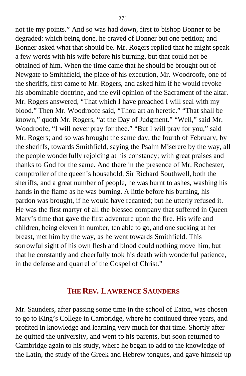not tie my points." And so was had down, first to bishop Bonner to be degraded: which being done, he craved of Bonner but one petition; and Bonner asked what that should be. Mr. Rogers replied that he might speak a few words with his wife before his burning, but that could not be obtained of him. When the time came that he should be brought out of Newgate to Smithfield, the place of his execution, Mr. Woodroofe, one of the sheriffs, first came to Mr. Rogers, and asked him if he would revoke his abominable doctrine, and the evil opinion of the Sacrament of the altar. Mr. Rogers answered, "That which I have preached I will seal with my blood." Then Mr. Woodroofe said, "Thou art an heretic." "That shall be known," quoth Mr. Rogers, "at the Day of Judgment." "Well," said Mr. Woodroofe, "I will never pray for thee." "But I will pray for you," said Mr. Rogers; and so was brought the same day, the fourth of February, by the sheriffs, towards Smithfield, saying the Psalm Miserere by the way, all the people wonderfully rejoicing at his constancy; with great praises and thanks to God for the same. And there in the presence of Mr. Rochester, comptroller of the queen's household, Sir Richard Southwell, both the sheriffs, and a great number of people, he was burnt to ashes, washing his hands in the flame as he was burning. A little before his burning, his pardon was brought, if he would have recanted; but he utterly refused it. He was the first martyr of all the blessed company that suffered in Queen Mary's time that gave the first adventure upon the fire. His wife and children, being eleven in number, ten able to go, and one sucking at her breast, met him by the way, as he went towards Smithfield. This sorrowful sight of his own flesh and blood could nothing move him, but that he constantly and cheerfully took his death with wonderful patience, in the defense and quarrel of the Gospel of Christ."

# **THE REV. LAWRENCE SAUNDERS**

Mr. Saunders, after passing some time in the school of Eaton, was chosen to go to King's College in Cambridge, where he continued three years, and profited in knowledge and learning very much for that time. Shortly after he quitted the university, and went to his parents, but soon returned to Cambridge again to his study, where he began to add to the knowledge of the Latin, the study of the Greek and Hebrew tongues, and gave himself up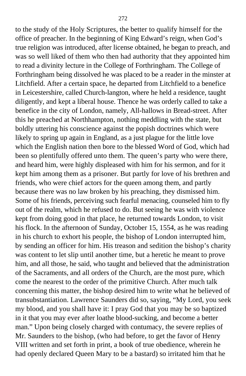to the study of the Holy Scriptures, the better to qualify himself for the office of preacher. In the beginning of King Edward's reign, when God's true religion was introduced, after license obtained, he began to preach, and was so well liked of them who then had authority that they appointed him to read a divinity lecture in the College of Forthringham. The College of Forthringham being dissolved he was placed to be a reader in the minster at Litchfield. After a certain space, he departed from Litchfield to a benefice in Leicestershire, called Church-langton, where he held a residence, taught diligently, and kept a liberal house. Thence he was orderly called to take a benefice in the city of London, namely, All-hallows in Bread-street. After this he preached at Northhampton, nothing meddling with the state, but boldly uttering his conscience against the popish doctrines which were likely to spring up again in England, as a just plague for the little love which the English nation then bore to the blessed Word of God, which had been so plentifully offered unto them. The queen's party who were there, and heard him, were highly displeased with him for his sermon, and for it kept him among them as a prisoner. But partly for love of his brethren and friends, who were chief actors for the queen among them, and partly because there was no law broken by his preaching, they dismissed him. Some of his friends, perceiving such fearful menacing, counseled him to fly out of the realm, which he refused to do. But seeing he was with violence kept from doing good in that place, he returned towards London, to visit his flock. In the afternoon of Sunday, October 15, 1554, as he was reading in his church to exhort his people, the bishop of London interrupted him, by sending an officer for him. His treason and sedition the bishop's charity was content to let slip until another time, but a heretic he meant to prove him, and all those, he said, who taught and believed that the administration of the Sacraments, and all orders of the Church, are the most pure, which come the nearest to the order of the primitive Church. After much talk concerning this matter, the bishop desired him to write what he believed of transubstantiation. Lawrence Saunders did so, saying, "My Lord, you seek my blood, and you shall have it: I pray God that you may be so baptized in it that you may ever after loathe blood-sucking, and become a better man." Upon being closely charged with contumacy, the severe replies of Mr. Saunders to the bishop, (who had before, to get the favor of Henry VIII written and set forth in print, a book of true obedience, wherein he had openly declared Queen Mary to be a bastard) so irritated him that he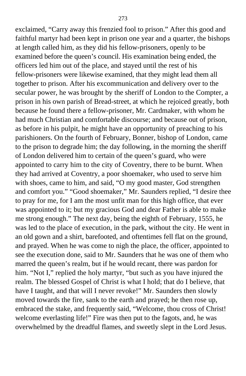exclaimed, "Carry away this frenzied fool to prison." After this good and faithful martyr had been kept in prison one year and a quarter, the bishops at length called him, as they did his fellow-prisoners, openly to be examined before the queen's council. His examination being ended, the officers led him out of the place, and stayed until the rest of his fellow-prisoners were likewise examined, that they might lead them all together to prison. After his excommunication and delivery over to the secular power, he was brought by the sheriff of London to the Compter, a prison in his own parish of Bread-street, at which he rejoiced greatly, both because he found there a fellow-prisoner, Mr. Cardmaker, with whom he had much Christian and comfortable discourse; and because out of prison, as before in his pulpit, he might have an opportunity of preaching to his parishioners. On the fourth of February, Bonner, bishop of London, came to the prison to degrade him; the day following, in the morning the sheriff of London delivered him to certain of the queen's guard, who were appointed to carry him to the city of Coventry, there to be burnt. When they had arrived at Coventry, a poor shoemaker, who used to serve him with shoes, came to him, and said, "O my good master, God strengthen and comfort you." "Good shoemaker," Mr. Saunders replied, "I desire thee to pray for me, for I am the most unfit man for this high office, that ever was appointed to it; but my gracious God and dear Father is able to make me strong enough." The next day, being the eighth of February, 1555, he was led to the place of execution, in the park, without the city. He went in an old gown and a shirt, barefooted, and oftentimes fell flat on the ground, and prayed. When he was come to nigh the place, the officer, appointed to see the execution done, said to Mr. Saunders that he was one of them who marred the queen's realm, but if he would recant, there was pardon for him. "Not I," replied the holy martyr, "but such as you have injured the realm. The blessed Gospel of Christ is what I hold; that do I believe, that have I taught, and that will I never revoke!" Mr. Saunders then slowly moved towards the fire, sank to the earth and prayed; he then rose up, embraced the stake, and frequently said, "Welcome, thou cross of Christ! welcome everlasting life!" Fire was then put to the fagots, and, he was overwhelmed by the dreadful flames, and sweetly slept in the Lord Jesus.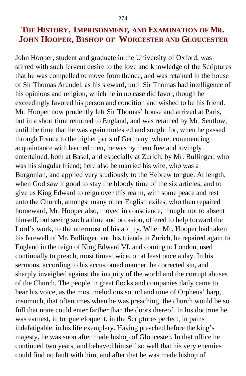# **THE HISTORY, IMPRISONMENT, AND EXAMINATION OF MR. JOHN HOOPER, BISHOP OF WORCESTER AND GLOUCESTER**

John Hooper, student and graduate in the University of Oxford, was stirred with such fervent desire to the love and knowledge of the Scriptures that he was compelled to move from thence, and was retained in the house of Sir Thomas Arundel, as his steward, until Sir Thomas had intelligence of his opinions and religion, which he in no case did favor, though he exceedingly favored his person and condition and wished to be his friend. Mr. Hooper now prudently left Sir Thomas' house and arrived at Paris, but in a short time returned to England, and was retained by Mr. Sentlow, until the time that he was again molested and sought for, when he passed through France to the higher parts of Germany; where, commencing acquaintance with learned men, he was by them free and lovingly entertained, both at Basel, and especially at Zurich, by Mr. Bullinger, who was his singular friend; here also he married his wife, who was a Burgonian, and applied very studiously to the Hebrew tongue. At length, when God saw it good to stay the bloody time of the six articles, and to give us King Edward to reign over this realm, with some peace and rest unto the Church, amongst many other English exiles, who then repaired homeward, Mr. Hooper also, moved in conscience, thought not to absent himself, but seeing such a time and occasion, offered to help forward the Lord's work, to the uttermost of his ability. When Mr. Hooper had taken his farewell of Mr. Bullinger, and his friends in Zurich, he repaired again to England in the reign of King Edward VI, and coming to London, used continually to preach, most times twice, or at least once a day. In his sermons, according to his accustomed manner, he corrected sin, and sharply inveighed against the iniquity of the world and the corrupt abuses of the Church. The people in great flocks and companies daily came to hear his voice, as the most melodious sound and tune of Orpheus' harp, insomuch, that oftentimes when he was preaching, the church would be so full that none could enter farther than the doors thereof. In his doctrine he was earnest, in tongue eloquent, in the Scriptures perfect, in pains indefatigable, in his life exemplary. Having preached before the king's majesty, he was soon after made bishop of Gloucester. In that office he continued two years, and behaved himself so well that his very enemies could find no fault with him, and after that he was made bishop of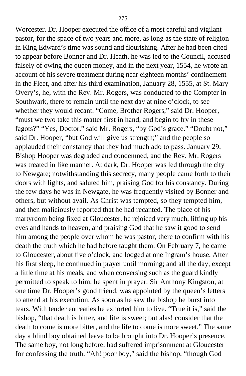Worcester. Dr. Hooper executed the office of a most careful and vigilant pastor, for the space of two years and more, as long as the state of religion in King Edward's time was sound and flourishing. After he had been cited to appear before Bonner and Dr. Heath, he was led to the Council, accused falsely of owing the queen money, and in the next year, 1554, he wrote an account of his severe treatment during near eighteen months' confinement in the Fleet, and after his third examination, January 28, 1555, at St. Mary Overy's, he, with the Rev. Mr. Rogers, was conducted to the Compter in Southwark, there to remain until the next day at nine o'clock, to see whether they would recant. "Come, Brother Rogers," said Dr. Hooper, "must we two take this matter first in hand, and begin to fry in these fagots?" "Yes, Doctor," said Mr. Rogers, "by God's grace." "Doubt not," said Dr. Hooper, "but God will give us strength;" and the people so applauded their constancy that they had much ado to pass. January 29, Bishop Hooper was degraded and condemned, and the Rev. Mr. Rogers was treated in like manner. At dark, Dr. Hooper was led through the city to Newgate; notwithstanding this secrecy, many people came forth to their doors with lights, and saluted him, praising God for his constancy. During the few days he was in Newgate, he was frequently visited by Bonner and others, but without avail. As Christ was tempted, so they tempted him, and then maliciously reported that he had recanted. The place of his martyrdom being fixed at Gloucester, he rejoiced very much, lifting up his eyes and hands to heaven, and praising God that he saw it good to send him among the people over whom he was pastor, there to confirm with his death the truth which he had before taught them. On February 7, he came to Gloucester, about five o'clock, and lodged at one Ingram's house. After his first sleep, he continued in prayer until morning; and all the day, except a little time at his meals, and when conversing such as the guard kindly permitted to speak to him, he spent in prayer. Sir Anthony Kingston, at one time Dr. Hooper's good friend, was appointed by the queen's letters to attend at his execution. As soon as he saw the bishop he burst into tears. With tender entreaties he exhorted him to live. "True it is," said the bishop, "that death is bitter, and life is sweet; but alas! consider that the death to come is more bitter, and the life to come is more sweet." The same day a blind boy obtained leave to be brought into Dr. Hooper's presence. The same boy, not long before, had suffered imprisonment at Gloucester for confessing the truth. "Ah! poor boy," said the bishop, "though God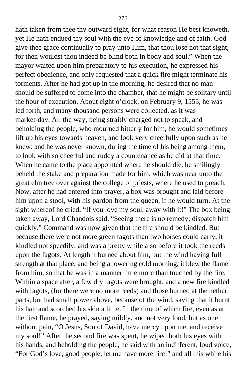hath taken from thee thy outward sight, for what reason He best knoweth, yet He hath endued thy soul with the eye of knowledge and of faith. God give thee grace continually to pray unto Him, that thou lose not that sight, for then wouldst thou indeed be blind both in body and soul." When the mayor waited upon him preparatory to his execution, he expressed his perfect obedience, and only requested that a quick fire might terminate his torments. After he had got up in the morning, he desired that no man should be suffered to come into the chamber, that he might be solitary until the hour of execution. About eight o'clock, on February 9, 1555, he was led forth, and many thousand persons were collected, as it was market-day. All the way, being straitly charged not to speak, and beholding the people, who mourned bitterly for him, he would sometimes lift up his eyes towards heaven, and look very cheerfully upon such as he knew: and he was never known, during the time of his being among them, to look with so cheerful and ruddy a countenance as he did at that time. When he came to the place appointed where he should die, he smilingly beheld the stake and preparation made for him, which was near unto the great elm tree over against the college of priests, where he used to preach. Now, after he had entered into prayer, a box was brought and laid before him upon a stool, with his pardon from the queen, if he would turn. At the sight whereof he cried, "If you love my soul, away with it!" The box being taken away, Lord Chandois said, "Seeing there is no remedy; dispatch him quickly." Command was now given that the fire should be kindled. But because there were not more green fagots than two horses could carry, it kindled not speedily, and was a pretty while also before it took the reeds upon the fagots. At length it burned about him, but the wind having full strength at that place, and being a lowering cold morning, it blew the flame from him, so that he was in a manner little more than touched by the fire. Within a space after, a few dry fagots were brought, and a new fire kindled with fagots, (for there were no more reeds) and those burned at the nether parts, but had small power above, because of the wind, saving that it burnt his hair and scorched his skin a little. In the time of which fire, even as at the first flame, he prayed, saying mildly, and not very loud, but as one without pain, "O Jesus, Son of David, have mercy upon me, and receive my soul!" After the second fire was spent, he wiped both his eyes with his hands, and beholding the people, he said with an indifferent, loud voice, "For God's love, good people, let me have more fire!" and all this while his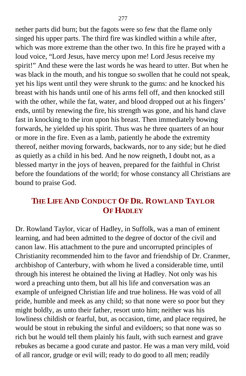nether parts did burn; but the fagots were so few that the flame only singed his upper parts. The third fire was kindled within a while after, which was more extreme than the other two. In this fire he prayed with a loud voice, "Lord Jesus, have mercy upon me! Lord Jesus receive my spirit!" And these were the last words he was heard to utter. But when he was black in the mouth, and his tongue so swollen that he could not speak, yet his lips went until they were shrunk to the gums: and he knocked his breast with his hands until one of his arms fell off, and then knocked still with the other, while the fat, water, and blood dropped out at his fingers' ends, until by renewing the fire, his strength was gone, and his hand clave fast in knocking to the iron upon his breast. Then immediately bowing forwards, he yielded up his spirit. Thus was he three quarters of an hour or more in the fire. Even as a lamb, patiently he abode the extremity thereof, neither moving forwards, backwards, nor to any side; but he died as quietly as a child in his bed. And he now reigneth, I doubt not, as a blessed martyr in the joys of heaven, prepared for the faithful in Christ before the foundations of the world; for whose constancy all Christians are bound to praise God.

# **THE LIFE AND CONDUCT OF DR. ROWLAND TAYLOR OF HADLEY**

Dr. Rowland Taylor, vicar of Hadley, in Suffolk, was a man of eminent learning, and had been admitted to the degree of doctor of the civil and canon law. His attachment to the pure and uncorrupted principles of Christianity recommended him to the favor and friendship of Dr. Cranmer, archbishop of Canterbury, with whom he lived a considerable time, until through his interest he obtained the living at Hadley. Not only was his word a preaching unto them, but all his life and conversation was an example of unfeigned Christian life and true holiness. He was void of all pride, humble and meek as any child; so that none were so poor but they might boldly, as unto their father, resort unto him; neither was his lowliness childish or fearful, but, as occasion, time, and place required, he would be stout in rebuking the sinful and evildoers; so that none was so rich but he would tell them plainly his fault, with such earnest and grave rebukes as became a good curate and pastor. He was a man very mild, void of all rancor, grudge or evil will; ready to do good to all men; readily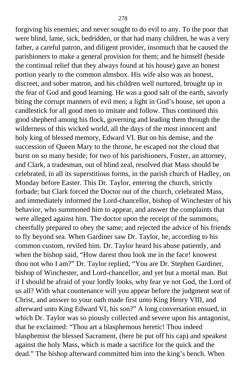forgiving his enemies; and never sought to do evil to any. To the poor that were blind, lame, sick, bedridden, or that had many children, he was a very father, a careful patron, and diligent provider, insomuch that he caused the parishioners to make a general provision for them; and he himself (beside the continual relief that they always found at his house) gave an honest portion yearly to the common almsbox. His wife also was an honest, discreet, and sober matron, and his children well nurtured, brought up in the fear of God and good learning. He was a good salt of the earth, savorly biting the corrupt manners of evil men; a light in God's house, set upon a candlestick for all good men to imitate and follow. Thus continued this good shepherd among his flock, governing and leading them through the wilderness of this wicked world, all the days of the most innocent and holy king of blessed memory, Edward VI. But on his demise, and the succession of Queen Mary to the throne, he escaped not the cloud that burst on so many beside; for two of his parishioners, Foster, an attorney, and Clark, a tradesman, out of blind zeal, resolved that Mass should be celebrated, in all its superstitious forms, in the parish church of Hadley, on Monday before Easter. This Dr. Taylor, entering the church, strictly forbade; but Clark forced the Doctor out of the church, celebrated Mass, and immediately informed the Lord-chancellor, bishop of Winchester of his behavior, who summoned him to appear, and answer the complaints that were alleged against him. The doctor upon the receipt of the summons, cheerfully prepared to obey the same; and rejected the advice of his friends to fly beyond sea. When Gardiner saw Dr. Taylor, he, according to his common custom, reviled him. Dr. Taylor heard his abuse patiently, and when the bishop said, "How darest thou look me in the face! knowest thou not who I am?" Dr. Taylor replied, "You are Dr. Stephen Gardiner, bishop of Winchester, and Lord-chancellor, and yet but a mortal man. But if I should be afraid of your lordly looks, why fear ye not God, the Lord of us all? With what countenance will you appear before the judgment seat of Christ, and answer to your oath made first unto King Henry VIII, and afterward unto King Edward VI, his son?" A long conversation ensued, in which Dr. Taylor was so piously collected and severe upon his antagonist, that he exclaimed: "Thou art a blasphemous heretic! Thou indeed blasphemist the blessed Sacrament, (here he put off his cap) and speakest against the holy Mass, which is made a sacrifice for the quick and the dead." The bishop afterward committed him into the king's bench. When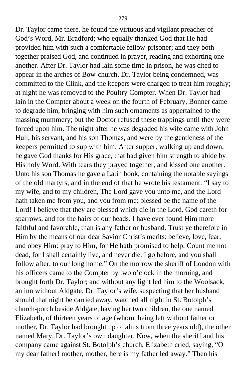Dr. Taylor came there, he found the virtuous and vigilant preacher of God's Word, Mr. Bradford; who equally thanked God that He had provided him with such a comfortable fellow-prisoner; and they both together praised God, and continued in prayer, reading and exhorting one another. After Dr. Taylor had lain some time in prison, he was cited to appear in the arches of Bow-church. Dr. Taylor being condemned, was committed to the Clink, and the keepers were charged to treat him roughly; at night he was removed to the Poultry Compter. When Dr. Taylor had lain in the Compter about a week on the fourth of February, Bonner came to degrade him, bringing with him such ornaments as appertained to the massing mummery; but the Doctor refused these trappings until they were forced upon him. The night after he was degraded his wife came with John Hull, his servant, and his son Thomas, and were by the gentleness of the keepers permitted to sup with him. After supper, walking up and down, he gave God thanks for His grace, that had given him strength to abide by His holy Word. With tears they prayed together, and kissed one another. Unto his son Thomas he gave a Latin book, containing the notable sayings of the old martyrs, and in the end of that he wrote his testament: "I say to my wife, and to my children, The Lord gave you unto me, and the Lord hath taken me from you, and you from me: blessed be the name of the Lord! I believe that they are blessed which die in the Lord. God careth for sparrows, and for the hairs of our heads. I have ever found Him more faithful and favorable, than is any father or husband. Trust ye therefore in Him by the means of our dear Savior Christ's merits: believe, love, fear, and obey Him: pray to Him, for He hath promised to help. Count me not dead, for I shall certainly live, and never die. I go before, and you shall follow after, to our long home." On the morrow the sheriff of London with his officers came to the Compter by two o'clock in the morning, and brought forth Dr. Taylor; and without any light led him to the Woolsack, an inn without Aldgate. Dr. Taylor's wife, suspecting that her husband should that night be carried away, watched all night in St. Botolph's church-porch beside Aldgate, having her two children, the one named Elizabeth, of thirteen years of age (whom, being left without father or mother, Dr. Taylor had brought up of alms from three years old), the other named Mary, Dr. Taylor's own daughter. Now, when the sheriff and his company came against St. Botolph's church, Elizabeth cried, saying, "O my dear father! mother, mother, here is my father led away." Then his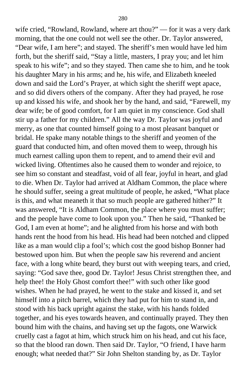wife cried, "Rowland, Rowland, where art thou?" — for it was a very dark morning, that the one could not well see the other. Dr. Taylor answered, "Dear wife, I am here"; and stayed. The sheriff's men would have led him forth, but the sheriff said, "Stay a little, masters, I pray you; and let him speak to his wife"; and so they stayed. Then came she to him, and he took his daughter Mary in his arms; and he, his wife, and Elizabeth kneeled down and said the Lord's Prayer, at which sight the sheriff wept apace, and so did divers others of the company. After they had prayed, he rose up and kissed his wife, and shook her by the hand, and said, "Farewell, my dear wife; be of good comfort, for I am quiet in my conscience. God shall stir up a father for my children." All the way Dr. Taylor was joyful and merry, as one that counted himself going to a most pleasant banquet or bridal. He spake many notable things to the sheriff and yeomen of the guard that conducted him, and often moved them to weep, through his much earnest calling upon them to repent, and to amend their evil and wicked living. Oftentimes also he caused them to wonder and rejoice, to see him so constant and steadfast, void of all fear, joyful in heart, and glad to die. When Dr. Taylor had arrived at Aldham Common, the place where he should suffer, seeing a great multitude of people, he asked, "What place is this, and what meaneth it that so much people are gathered hither?" It was answered, "It is Aldham Common, the place where you must suffer; and the people have come to look upon you." Then he said, "Thanked be God, I am even at home"; and he alighted from his horse and with both hands rent the hood from his head. His head had been notched and clipped like as a man would clip a fool's; which cost the good bishop Bonner had bestowed upon him. But when the people saw his reverend and ancient face, with a long white beard, they burst out with weeping tears, and cried, saying: "God save thee, good Dr. Taylor! Jesus Christ strengthen thee, and help thee! the Holy Ghost comfort thee!" with such other like good wishes. When he had prayed, he went to the stake and kissed it, and set himself into a pitch barrel, which they had put for him to stand in, and stood with his back upright against the stake, with his hands folded together, and his eyes towards heaven, and continually prayed. They then bound him with the chains, and having set up the fagots, one Warwick cruelly cast a fagot at him, which struck him on his head, and cut his face, so that the blood ran down. Then said Dr. Taylor, "O friend, I have harm enough; what needed that?" Sir John Shelton standing by, as Dr. Taylor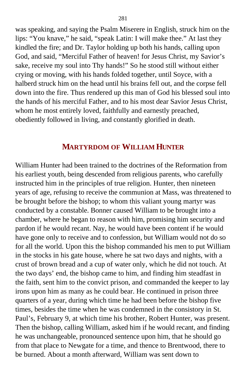was speaking, and saying the Psalm Miserere in English, struck him on the lips: "You knave," he said, "speak Latin: I will make thee." At last they kindled the fire; and Dr. Taylor holding up both his hands, calling upon God, and said, "Merciful Father of heaven! for Jesus Christ, my Savior's sake, receive my soul into Thy hands!" So he stood still without either crying or moving, with his hands folded together, until Soyce, with a halberd struck him on the head until his brains fell out, and the corpse fell down into the fire. Thus rendered up this man of God his blessed soul into the hands of his merciful Father, and to his most dear Savior Jesus Christ, whom he most entirely loved, faithfully and earnestly preached, obediently followed in living, and constantly glorified in death.

#### **MARTYRDOM OF WILLIAM HUNTER**

William Hunter had been trained to the doctrines of the Reformation from his earliest youth, being descended from religious parents, who carefully instructed him in the principles of true religion. Hunter, then nineteen years of age, refusing to receive the communion at Mass, was threatened to be brought before the bishop; to whom this valiant young martyr was conducted by a constable. Bonner caused William to be brought into a chamber, where he began to reason with him, promising him security and pardon if he would recant. Nay, he would have been content if he would have gone only to receive and to confession, but William would not do so for all the world. Upon this the bishop commanded his men to put William in the stocks in his gate house, where he sat two days and nights, with a crust of brown bread and a cup of water only, which he did not touch. At the two days' end, the bishop came to him, and finding him steadfast in the faith, sent him to the convict prison, and commanded the keeper to lay irons upon him as many as he could bear. He continued in prison three quarters of a year, during which time he had been before the bishop five times, besides the time when he was condemned in the consistory in St. Paul's, February 9, at which time his brother, Robert Hunter, was present. Then the bishop, calling William, asked him if he would recant, and finding he was unchangeable, pronounced sentence upon him, that he should go from that place to Newgate for a time, and thence to Brentwood, there to be burned. About a month afterward, William was sent down to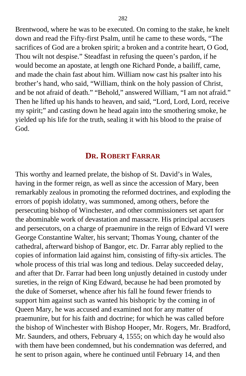Brentwood, where he was to be executed. On coming to the stake, he knelt down and read the Fifty-first Psalm, until he came to these words, "The sacrifices of God are a broken spirit; a broken and a contrite heart, O God, Thou wilt not despise." Steadfast in refusing the queen's pardon, if he would become an apostate, at length one Richard Ponde, a bailiff, came, and made the chain fast about him. William now cast his psalter into his brother's hand, who said, "William, think on the holy passion of Christ, and be not afraid of death." "Behold," answered William, "I am not afraid." Then he lifted up his hands to heaven, and said, "Lord, Lord, Lord, receive my spirit;" and casting down he head again into the smothering smoke, he yielded up his life for the truth, sealing it with his blood to the praise of God.

# **DR. ROBERT FARRAR**

This worthy and learned prelate, the bishop of St. David's in Wales, having in the former reign, as well as since the accession of Mary, been remarkably zealous in promoting the reformed doctrines, and exploding the errors of popish idolatry, was summoned, among others, before the persecuting bishop of Winchester, and other commissioners set apart for the abominable work of devastation and massacre. His principal accusers and persecutors, on a charge of praemunire in the reign of Edward VI were George Constantine Walter, his servant; Thomas Young, chanter of the cathedral, afterward bishop of Bangor, etc. Dr. Farrar ably replied to the copies of information laid against him, consisting of fifty-six articles. The whole process of this trial was long and tedious. Delay succeeded delay, and after that Dr. Farrar had been long unjustly detained in custody under sureties, in the reign of King Edward, because he had been promoted by the duke of Somerset, whence after his fall he found fewer friends to support him against such as wanted his bishopric by the coming in of Queen Mary, he was accused and examined not for any matter of praemunire, but for his faith and doctrine; for which he was called before the bishop of Winchester with Bishop Hooper, Mr. Rogers, Mr. Bradford, Mr. Saunders, and others, February 4, 1555; on which day he would also with them have been condemned, but his condemnation was deferred, and he sent to prison again, where he continued until February 14, and then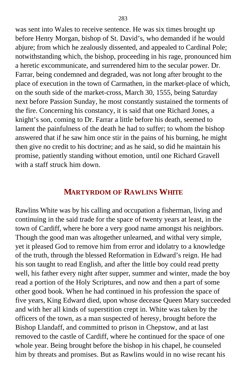was sent into Wales to receive sentence. He was six times brought up before Henry Morgan, bishop of St. David's, who demanded if he would abjure; from which he zealously dissented, and appealed to Cardinal Pole; notwithstanding which, the bishop, proceeding in his rage, pronounced him a heretic excommunicate, and surrendered him to the secular power. Dr. Farrar, being condemned and degraded, was not long after brought to the place of execution in the town of Carmathen, in the market-place of which, on the south side of the market-cross, March 30, 1555, being Saturday next before Passion Sunday, he most constantly sustained the torments of the fire. Concerning his constancy, it is said that one Richard Jones, a knight's son, coming to Dr. Farrar a little before his death, seemed to lament the painfulness of the death he had to suffer; to whom the bishop answered that if he saw him once stir in the pains of his burning, he might then give no credit to his doctrine; and as he said, so did he maintain his promise, patiently standing without emotion, until one Richard Gravell with a staff struck him down.

#### **MARTYRDOM OF RAWLINS WHITE**

Rawlins White was by his calling and occupation a fisherman, living and continuing in the said trade for the space of twenty years at least, in the town of Cardiff, where he bore a very good name amongst his neighbors. Though the good man was altogether unlearned, and withal very simple, yet it pleased God to remove him from error and idolatry to a knowledge of the truth, through the blessed Reformation in Edward's reign. He had his son taught to read English, and after the little boy could read pretty well, his father every night after supper, summer and winter, made the boy read a portion of the Holy Scriptures, and now and then a part of some other good book. When he had continued in his profession the space of five years, King Edward died, upon whose decease Queen Mary succeeded and with her all kinds of superstition crept in. White was taken by the officers of the town, as a man suspected of heresy, brought before the Bishop Llandaff, and committed to prison in Chepstow, and at last removed to the castle of Cardiff, where he continued for the space of one whole year. Being brought before the bishop in his chapel, he counseled him by threats and promises. But as Rawlins would in no wise recant his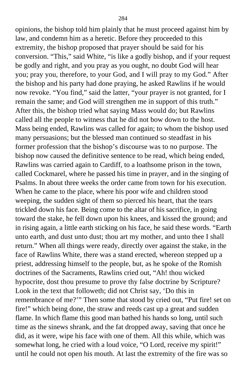opinions, the bishop told him plainly that he must proceed against him by law, and condemn him as a heretic. Before they proceeded to this extremity, the bishop proposed that prayer should be said for his conversion. "This," said White, "is like a godly bishop, and if your request be godly and right, and you pray as you ought, no doubt God will hear you; pray you, therefore, to your God, and I will pray to my God." After the bishop and his party had done praying, he asked Rawlins if he would now revoke. "You find," said the latter, "your prayer is not granted, for I remain the same; and God will strengthen me in support of this truth." After this, the bishop tried what saying Mass would do; but Rawlins called all the people to witness that he did not bow down to the host. Mass being ended, Rawlins was called for again; to whom the bishop used many persuasions; but the blessed man continued so steadfast in his former profession that the bishop's discourse was to no purpose. The bishop now caused the definitive sentence to be read, which being ended, Rawlins was carried again to Cardiff, to a loathsome prison in the town, called Cockmarel, where he passed his time in prayer, and in the singing of Psalms. In about three weeks the order came from town for his execution. When he came to the place, where his poor wife and children stood weeping, the sudden sight of them so pierced his heart, that the tears trickled down his face. Being come to the altar of his sacrifice, in going toward the stake, he fell down upon his knees, and kissed the ground; and in rising again, a little earth sticking on his face, he said these words. "Earth unto earth, and dust unto dust; thou art my mother, and unto thee I shall return." When all things were ready, directly over against the stake, in the face of Rawlins White, there was a stand erected, whereon stepped up a priest, addressing himself to the people, but, as he spoke of the Romish doctrines of the Sacraments, Rawlins cried out, "Ah! thou wicked hypocrite, dost thou presume to prove thy false doctrine by Scripture? Look in the text that followeth; did not Christ say, 'Do this in remembrance of me?'" Then some that stood by cried out, "Put fire! set on fire!" which being done, the straw and reeds cast up a great and sudden flame. In which flame this good man bathed his hands so long, until such time as the sinews shrank, and the fat dropped away, saving that once he did, as it were, wipe his face with one of them. All this while, which was somewhat long, he cried with a loud voice, "O Lord, receive my spirit!" until he could not open his mouth. At last the extremity of the fire was so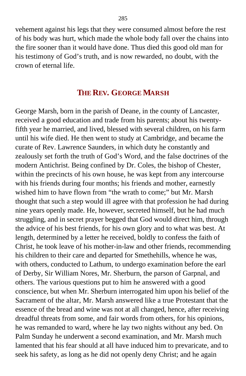vehement against his legs that they were consumed almost before the rest of his body was hurt, which made the whole body fall over the chains into the fire sooner than it would have done. Thus died this good old man for his testimony of God's truth, and is now rewarded, no doubt, with the crown of eternal life.

#### **THE REV. GEORGE MARSH**

George Marsh, born in the parish of Deane, in the county of Lancaster, received a good education and trade from his parents; about his twentyfifth year he married, and lived, blessed with several children, on his farm until his wife died. He then went to study at Cambridge, and became the curate of Rev. Lawrence Saunders, in which duty he constantly and zealously set forth the truth of God's Word, and the false doctrines of the modern Antichrist. Being confined by Dr. Coles, the bishop of Chester, within the precincts of his own house, he was kept from any intercourse with his friends during four months; his friends and mother, earnestly wished him to have flown from "the wrath to come;" but Mr. Marsh thought that such a step would ill agree with that profession he had during nine years openly made. He, however, secreted himself, but he had much struggling, and in secret prayer begged that God would direct him, through the advice of his best friends, for his own glory and to what was best. At length, determined by a letter he received, boldly to confess the faith of Christ, he took leave of his mother-in-law and other friends, recommending his children to their care and departed for Smethehills, whence he was, with others, conducted to Lathum, to undergo examination before the earl of Derby, Sir William Nores, Mr. Sherburn, the parson of Garpnal, and others. The various questions put to him he answered with a good conscience, but when Mr. Sherburn interrogated him upon his belief of the Sacrament of the altar, Mr. Marsh answered like a true Protestant that the essence of the bread and wine was not at all changed, hence, after receiving dreadful threats from some, and fair words from others, for his opinions, he was remanded to ward, where he lay two nights without any bed. On Palm Sunday he underwent a second examination, and Mr. Marsh much lamented that his fear should at all have induced him to prevaricate, and to seek his safety, as long as he did not openly deny Christ; and he again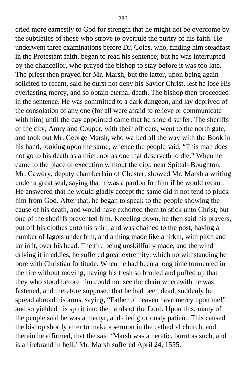cried more earnestly to God for strength that he might not be overcome by the subtleties of those who strove to overrule the purity of his faith. He underwent three examinations before Dr. Coles, who, finding him steadfast in the Protestant faith, began to read his sentence; but he was interrupted by the chancellor, who prayed the bishop to stay before it was too late. The priest then prayed for Mr. Marsh, but the latter, upon being again solicited to recant, said he durst not deny his Savior Christ, lest he lose His everlasting mercy, and so obtain eternal death. The bishop then proceeded in the sentence. He was committed to a dark dungeon, and lay deprived of the consolation of any one (for all were afraid to relieve or communicate with him) until the day appointed came that he should suffer. The sheriffs of the city, Amry and Couper, with their officers, went to the north gate, and took out Mr. George Marsh, who walked all the way with the Book in his hand, looking upon the same, whence the people said, "This man does not go to his death as a thief, nor as one that deserveth to die." When he came to the place of execution without the city, near Spittal=Boughton, Mr. Cawdry, deputy chamberlain of Chester, showed Mr. Marsh a writing under a great seal, saying that it was a pardon for him if he would recant. He answered that he would gladly accept the same did it not tend to pluck him from God. After that, he began to speak to the people showing the cause of his death, and would have exhorted them to stick unto Christ, but one of the sheriffs prevented him. Kneeling down, he then said his prayers, put off his clothes unto his shirt, and was chained to the post, having a number of fagots under him, and a thing made like a firkin, with pitch and tar in it, over his head. The fire being unskillfully made, and the wind driving it in eddies, he suffered great extremity, which notwithstanding he bore with Christian fortitude. When he had been a long time tormented in the fire without moving, having his flesh so broiled and puffed up that they who stood before him could not see the chain wherewith he was fastened, and therefore supposed that he had been dead, suddenly he spread abroad his arms, saying, "Father of heaven have mercy upon me!" and so yielded his spirit into the hands of the Lord. Upon this, many of the people said he was a martyr, and died gloriously patient. This caused the bishop shortly after to make a sermon in the cathedral church, and therein he affirmed, that the said 'Marsh was a heretic, burnt as such, and is a firebrand in hell.' Mr. Marsh suffered April 24, 1555.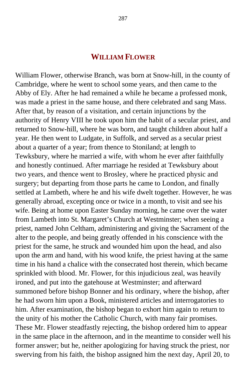# **WILLIAM FLOWER**

William Flower, otherwise Branch, was born at Snow-hill, in the county of Cambridge, where he went to school some years, and then came to the Abby of Ely. After he had remained a while he became a professed monk, was made a priest in the same house, and there celebrated and sang Mass. After that, by reason of a visitation, and certain injunctions by the authority of Henry VIII he took upon him the habit of a secular priest, and returned to Snow-hill, where he was born, and taught children about half a year. He then went to Ludgate, in Suffolk, and served as a secular priest about a quarter of a year; from thence to Stoniland; at length to Tewksbury, where he married a wife, with whom he ever after faithfully and honestly continued. After marriage he resided at Tewksbury about two years, and thence went to Brosley, where he practiced physic and surgery; but departing from those parts he came to London, and finally settled at Lambeth, where he and his wife dwelt together. However, he was generally abroad, excepting once or twice in a month, to visit and see his wife. Being at home upon Easter Sunday morning, he came over the water from Lambeth into St. Margaret's Church at Westminster; when seeing a priest, named John Celtham, administering and giving the Sacrament of the alter to the people, and being greatly offended in his conscience with the priest for the same, he struck and wounded him upon the head, and also upon the arm and hand, with his wood knife, the priest having at the same time in his hand a chalice with the consecrated host therein, which became sprinkled with blood. Mr. Flower, for this injudicious zeal, was heavily ironed, and put into the gatehouse at Westminster; and afterward summoned before bishop Bonner and his ordinary, where the bishop, after he had sworn him upon a Book, ministered articles and interrogatories to him. After examination, the bishop began to exhort him again to return to the unity of his mother the Catholic Church, with many fair promises. These Mr. Flower steadfastly rejecting, the bishop ordered him to appear in the same place in the afternoon, and in the meantime to consider well his former answer; but he, neither apologizing for having struck the priest, nor swerving from his faith, the bishop assigned him the next day, April 20, to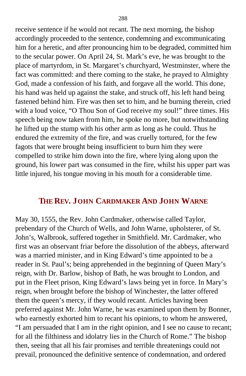receive sentence if he would not recant. The next morning, the bishop accordingly proceeded to the sentence, condemning and excommunicating him for a heretic, and after pronouncing him to be degraded, committed him to the secular power. On April 24, St. Mark's eve, he was brought to the place of martyrdom, in St. Margaret's churchyard, Westminster, where the fact was committed: and there coming to the stake, he prayed to Almighty God, made a confession of his faith, and forgave all the world. This done, his hand was held up against the stake, and struck off, his left hand being fastened behind him. Fire was then set to him, and he burning therein, cried with a loud voice, "O Thou Son of God receive my soul!" three times. His speech being now taken from him, he spoke no more, but notwithstanding he lifted up the stump with his other arm as long as he could. Thus he endured the extremity of the fire, and was cruelly tortured, for the few fagots that were brought being insufficient to burn him they were compelled to strike him down into the fire, where lying along upon the ground, his lower part was consumed in the fire, whilst his upper part was little injured, his tongue moving in his mouth for a considerable time.

## **THE REV. JOHN CARDMAKER AND JOHN WARNE**

May 30, 1555, the Rev. John Cardmaker, otherwise called Taylor, prebendary of the Church of Wells, and John Warne, upholsterer, of St. John's, Walbrook, suffered together in Smithfield. Mr. Cardmaker, who first was an observant friar before the dissolution of the abbeys, afterward was a married minister, and in King Edward's time appointed to be a reader in St. Paul's; being apprehended in the beginning of Queen Mary's reign, with Dr. Barlow, bishop of Bath, he was brought to London, and put in the Fleet prison, King Edward's laws being yet in force. In Mary's reign, when brought before the bishop of Winchester, the latter offered them the queen's mercy, if they would recant. Articles having been preferred against Mr. John Warne, he was examined upon them by Bonner, who earnestly exhorted him to recant his opinions, to whom he answered, "I am persuaded that I am in the right opinion, and I see no cause to recant; for all the filthiness and idolatry lies in the Church of Rome." The bishop then, seeing that all his fair promises and terrible threatenings could not prevail, pronounced the definitive sentence of condemnation, and ordered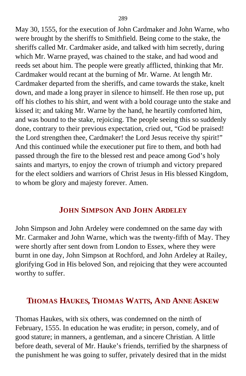May 30, 1555, for the execution of John Cardmaker and John Warne, who were brought by the sheriffs to Smithfield. Being come to the stake, the sheriffs called Mr. Cardmaker aside, and talked with him secretly, during which Mr. Warne prayed, was chained to the stake, and had wood and reeds set about him. The people were greatly afflicted, thinking that Mr. Cardmaker would recant at the burning of Mr. Warne. At length Mr. Cardmaker departed from the sheriffs, and came towards the stake, knelt down, and made a long prayer in silence to himself. He then rose up, put off his clothes to his shirt, and went with a bold courage unto the stake and kissed it; and taking Mr. Warne by the hand, he heartily comforted him, and was bound to the stake, rejoicing. The people seeing this so suddenly done, contrary to their previous expectation, cried out, "God be praised! the Lord strengthen thee, Cardmaker! the Lord Jesus receive thy spirit!" And this continued while the executioner put fire to them, and both had passed through the fire to the blessed rest and peace among God's holy saints and martyrs, to enjoy the crown of triumph and victory prepared for the elect soldiers and warriors of Christ Jesus in His blessed Kingdom, to whom be glory and majesty forever. Amen.

# **JOHN SIMPSON AND JOHN ARDELEY**

John Simpson and John Ardeley were condemned on the same day with Mr. Carmaker and John Warne, which was the twenty-fifth of May. They were shortly after sent down from London to Essex, where they were burnt in one day, John Simpson at Rochford, and John Ardeley at Railey, glorifying God in His beloved Son, and rejoicing that they were accounted worthy to suffer.

## **THOMAS HAUKES, THOMAS WATTS, AND ANNE ASKEW**

Thomas Haukes, with six others, was condemned on the ninth of February, 1555. In education he was erudite; in person, comely, and of good stature; in manners, a gentleman, and a sincere Christian. A little before death, several of Mr. Hauke's friends, terrified by the sharpness of the punishment he was going to suffer, privately desired that in the midst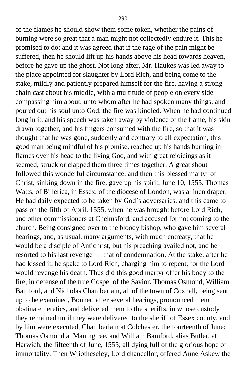of the flames he should show them some token, whether the pains of burning were so great that a man might not collectedly endure it. This he promised to do; and it was agreed that if the rage of the pain might be suffered, then he should lift up his hands above his head towards heaven, before he gave up the ghost. Not long after, Mr. Haukes was led away to the place appointed for slaughter by Lord Rich, and being come to the stake, mildly and patiently prepared himself for the fire, having a strong chain cast about his middle, with a multitude of people on every side compassing him about, unto whom after he had spoken many things, and poured out his soul unto God, the fire was kindled. When he had continued long in it, and his speech was taken away by violence of the flame, his skin drawn together, and his fingers consumed with the fire, so that it was thought that he was gone, suddenly and contrary to all expectation, this good man being mindful of his promise, reached up his hands burning in flames over his head to the living God, and with great rejoicings as it seemed, struck or clapped them three times together. A great shout followed this wonderful circumstance, and then this blessed martyr of Christ, sinking down in the fire, gave up his spirit, June 10, 1555. Thomas Watts, of Billerica, in Essex, of the diocese of London, was a linen draper. He had daily expected to be taken by God's adversaries, and this came to pass on the fifth of April, 1555, when he was brought before Lord Rich, and other commissioners at Chelmsford, and accused for not coming to the church. Being consigned over to the bloody bishop, who gave him several hearings, and, as usual, many arguments, with much entreaty, that he would be a disciple of Antichrist, but his preaching availed not, and he resorted to his last revenge — that of condemnation. At the stake, after he had kissed it, he spake to Lord Rich, charging him to repent, for the Lord would revenge his death. Thus did this good martyr offer his body to the fire, in defense of the true Gospel of the Savior. Thomas Osmond, William Bamford, and Nicholas Chamberlain, all of the town of Coxhall, being sent up to be examined, Bonner, after several hearings, pronounced them obstinate heretics, and delivered them to the sheriffs, in whose custody they remained until they were delivered to the sheriff of Essex county, and by him were executed, Chamberlain at Colchester, the fourteenth of June; Thomas Osmond at Maningtree, and William Bamford, alias Butler, at Harwich, the fifteenth of June, 1555; all dying full of the glorious hope of immortality. Then Wriotheseley, Lord chancellor, offered Anne Askew the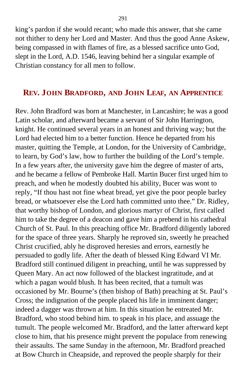king's pardon if she would recant; who made this answer, that she came not thither to deny her Lord and Master. And thus the good Anne Askew, being compassed in with flames of fire, as a blessed sacrifice unto God, slept in the Lord, A.D. 1546, leaving behind her a singular example of Christian constancy for all men to follow.

## **REV. JOHN BRADFORD, AND JOHN LEAF, AN APPRENTICE**

Rev. John Bradford was born at Manchester, in Lancashire; he was a good Latin scholar, and afterward became a servant of Sir John Harrington, knight. He continued several years in an honest and thriving way; but the Lord had elected him to a better function. Hence he departed from his master, quitting the Temple, at London, for the University of Cambridge, to learn, by God's law, how to further the building of the Lord's temple. In a few years after, the university gave him the degree of master of arts, and he became a fellow of Pembroke Hall. Martin Bucer first urged him to preach, and when he modestly doubted his ability, Bucer was wont to reply, "If thou hast not fine wheat bread, yet give the poor people barley bread, or whatsoever else the Lord hath committed unto thee." Dr. Ridley, that worthy bishop of London, and glorious martyr of Christ, first called him to take the degree of a deacon and gave him a prebend in his cathedral Church of St. Paul. In this preaching office Mr. Bradford diligently labored for the space of three years. Sharply he reproved sin, sweetly he preached Christ crucified, ably he disproved heresies and errors, earnestly he persuaded to godly life. After the death of blessed King Edward VI Mr. Bradford still continued diligent in preaching, until he was suppressed by Queen Mary. An act now followed of the blackest ingratitude, and at which a pagan would blush. It has been recited, that a tumult was occasioned by Mr. Bourne's (then bishop of Bath) preaching at St. Paul's Cross; the indignation of the people placed his life in imminent danger; indeed a dagger was thrown at him. In this situation he entreated Mr. Bradford, who stood behind him. to speak in his place, and assuage the tumult. The people welcomed Mr. Bradford, and the latter afterward kept close to him, that his presence might prevent the populace from renewing their assaults. The same Sunday in the afternoon, Mr. Bradford preached at Bow Church in Cheapside, and reproved the people sharply for their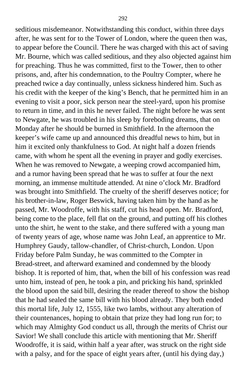seditious misdemeanor. Notwithstanding this conduct, within three days after, he was sent for to the Tower of London, where the queen then was, to appear before the Council. There he was charged with this act of saving Mr. Bourne, which was called seditious, and they also objected against him for preaching. Thus he was committed, first to the Tower, then to other prisons, and, after his condemnation, to the Poultry Compter, where he preached twice a day continually, unless sickness hindered him. Such as his credit with the keeper of the king's Bench, that he permitted him in an evening to visit a poor, sick person near the steel-yard, upon his promise to return in time, and in this he never failed. The night before he was sent to Newgate, he was troubled in his sleep by foreboding dreams, that on Monday after he should be burned in Smithfield. In the afternoon the keeper's wife came up and announced this dreadful news to him, but in him it excited only thankfulness to God. At night half a dozen friends came, with whom he spent all the evening in prayer and godly exercises. When he was removed to Newgate, a weeping crowd accompanied him, and a rumor having been spread that he was to suffer at four the next morning, an immense multitude attended. At nine o'clock Mr. Bradford was brought into Smithfield. The cruelty of the sheriff deserves notice; for his brother-in-law, Roger Beswick, having taken him by the hand as he passed, Mr. Woodroffe, with his staff, cut his head open. Mr. Bradford, being come to the place, fell flat on the ground, and putting off his clothes unto the shirt, he went to the stake, and there suffered with a young man of twenty years of age, whose name was John Leaf, an apprentice to Mr. Humphrey Gaudy, tallow-chandler, of Christ-church, London. Upon Friday before Palm Sunday, he was committed to the Compter in Bread-street, and afterward examined and condemned by the bloody bishop. It is reported of him, that, when the bill of his confession was read unto him, instead of pen, he took a pin, and pricking his hand, sprinkled the blood upon the said bill, desiring the reader thereof to show the bishop that he had sealed the same bill with his blood already. They both ended this mortal life, July 12, 1555, like two lambs, without any alteration of their countenances, hoping to obtain that prize they had long run for; to which may Almighty God conduct us all, through the merits of Christ our Savior! We shall conclude this article with mentioning that Mr. Sheriff Woodroffe, it is said, within half a year after, was struck on the right side with a palsy, and for the space of eight years after, (until his dying day,)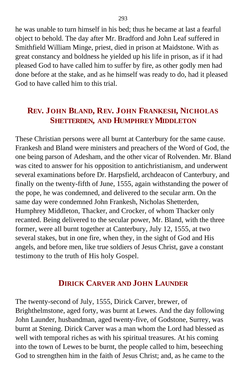he was unable to turn himself in his bed; thus he became at last a fearful object to behold. The day after Mr. Bradford and John Leaf suffered in Smithfield William Minge, priest, died in prison at Maidstone. With as great constancy and boldness he yielded up his life in prison, as if it had pleased God to have called him to suffer by fire, as other godly men had done before at the stake, and as he himself was ready to do, had it pleased God to have called him to this trial.

# **REV. JOHN BLAND, REV. JOHN FRANKESH, NICHOLAS SHETTERDEN, AND HUMPHREY MIDDLETON**

These Christian persons were all burnt at Canterbury for the same cause. Frankesh and Bland were ministers and preachers of the Word of God, the one being parson of Adesham, and the other vicar of Rolvenden. Mr. Bland was cited to answer for his opposition to antichristianism, and underwent several examinations before Dr. Harpsfield, archdeacon of Canterbury, and finally on the twenty-fifth of June, 1555, again withstanding the power of the pope, he was condemned, and delivered to the secular arm. On the same day were condemned John Frankesh, Nicholas Shetterden, Humphrey Middleton, Thacker, and Crocker, of whom Thacker only recanted. Being delivered to the secular power, Mr. Bland, with the three former, were all burnt together at Canterbury, July 12, 1555, at two several stakes, but in one fire, when they, in the sight of God and His angels, and before men, like true soldiers of Jesus Christ, gave a constant testimony to the truth of His holy Gospel.

# **DIRICK CARVER AND JOHN LAUNDER**

The twenty-second of July, 1555, Dirick Carver, brewer, of Brighthelmstone, aged forty, was burnt at Lewes. And the day following John Launder, husbandman, aged twenty-five, of Godstone, Surrey, was burnt at Stening. Dirick Carver was a man whom the Lord had blessed as well with temporal riches as with his spiritual treasures. At his coming into the town of Lewes to be burnt, the people called to him, beseeching God to strengthen him in the faith of Jesus Christ; and, as he came to the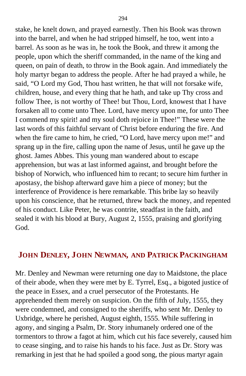stake, he knelt down, and prayed earnestly. Then his Book was thrown into the barrel, and when he had stripped himself, he too, went into a barrel. As soon as he was in, he took the Book, and threw it among the people, upon which the sheriff commanded, in the name of the king and queen, on pain of death, to throw in the Book again. And immediately the holy martyr began to address the people. After he had prayed a while, he said, "O Lord my God, Thou hast written, he that will not forsake wife, children, house, and every thing that he hath, and take up Thy cross and follow Thee, is not worthy of Thee! but Thou, Lord, knowest that I have forsaken all to come unto Thee. Lord, have mercy upon me, for unto Thee I commend my spirit! and my soul doth rejoice in Thee!" These were the last words of this faithful servant of Christ before enduring the fire. And when the fire came to him, he cried, "O Lord, have mercy upon me!" and sprang up in the fire, calling upon the name of Jesus, until he gave up the ghost. James Abbes. This young man wandered about to escape apprehension, but was at last informed against, and brought before the bishop of Norwich, who influenced him to recant; to secure him further in apostasy, the bishop afterward gave him a piece of money; but the interference of Providence is here remarkable. This bribe lay so heavily upon his conscience, that he returned, threw back the money, and repented of his conduct. Like Peter, he was contrite, steadfast in the faith, and sealed it with his blood at Bury, August 2, 1555, praising and glorifying God.

# **JOHN DENLEY, JOHN NEWMAN, AND PATRICK PACKINGHAM**

Mr. Denley and Newman were returning one day to Maidstone, the place of their abode, when they were met by E. Tyrrel, Esq., a bigoted justice of the peace in Essex, and a cruel persecutor of the Protestants. He apprehended them merely on suspicion. On the fifth of July, 1555, they were condemned, and consigned to the sheriffs, who sent Mr. Denley to Uxbridge, where he perished, August eighth, 1555. While suffering in agony, and singing a Psalm, Dr. Story inhumanely ordered one of the tormentors to throw a fagot at him, which cut his face severely, caused him to cease singing, and to raise his hands to his face. Just as Dr. Story was remarking in jest that he had spoiled a good song, the pious martyr again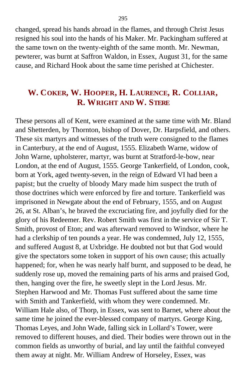changed, spread his hands abroad in the flames, and through Christ Jesus resigned his soul into the hands of his Maker. Mr. Packingham suffered at the same town on the twenty-eighth of the same month. Mr. Newman, pewterer, was burnt at Saffron Waldon, in Essex, August 31, for the same cause, and Richard Hook about the same time perished at Chichester.

## **W. COKER, W. HOOPER, H. LAURENCE, R. COLLIAR, R. WRIGHT AND W. STERE**

These persons all of Kent, were examined at the same time with Mr. Bland and Shetterden, by Thornton, bishop of Dover, Dr. Harpsfield, and others. These six martyrs and witnesses of the truth were consigned to the flames in Canterbury, at the end of August, 1555. Elizabeth Warne, widow of John Warne, upholsterer, martyr, was burnt at Stratford-le-bow, near London, at the end of August, 1555. George Tankerfield, of London, cook, born at York, aged twenty-seven, in the reign of Edward VI had been a papist; but the cruelty of bloody Mary made him suspect the truth of those doctrines which were enforced by fire and torture. Tankerfield was imprisoned in Newgate about the end of February, 1555, and on August 26, at St. Alban's, he braved the excruciating fire, and joyfully died for the glory of his Redeemer. Rev. Robert Smith was first in the service of Sir T. Smith, provost of Eton; and was afterward removed to Windsor, where he had a clerkship of ten pounds a year. He was condemned, July 12, 1555, and suffered August 8, at Uxbridge. He doubted not but that God would give the spectators some token in support of his own cause; this actually happened; for, when he was nearly half burnt, and supposed to be dead, he suddenly rose up, moved the remaining parts of his arms and praised God, then, hanging over the fire, he sweetly slept in the Lord Jesus. Mr. Stephen Harwood and Mr. Thomas Fust suffered about the same time with Smith and Tankerfield, with whom they were condemned. Mr. William Hale also, of Thorp, in Essex, was sent to Barnet, where about the same time he joined the ever-blessed company of martyrs. George King, Thomas Leyes, and John Wade, falling sick in Lollard's Tower, were removed to different houses, and died. Their bodies were thrown out in the common fields as unworthy of burial, and lay until the faithful conveyed them away at night. Mr. William Andrew of Horseley, Essex, was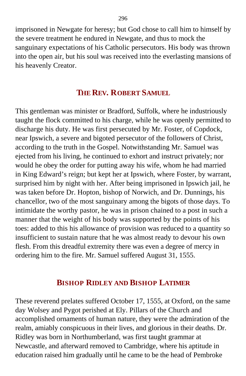imprisoned in Newgate for heresy; but God chose to call him to himself by the severe treatment he endured in Newgate, and thus to mock the sanguinary expectations of his Catholic persecutors. His body was thrown into the open air, but his soul was received into the everlasting mansions of his heavenly Creator.

#### **THE REV. ROBERT SAMUEL**

This gentleman was minister or Bradford, Suffolk, where he industriously taught the flock committed to his charge, while he was openly permitted to discharge his duty. He was first persecuted by Mr. Foster, of Copdock, near Ipswich, a severe and bigoted persecutor of the followers of Christ, according to the truth in the Gospel. Notwithstanding Mr. Samuel was ejected from his living, he continued to exhort and instruct privately; nor would he obey the order for putting away his wife, whom he had married in King Edward's reign; but kept her at Ipswich, where Foster, by warrant, surprised him by night with her. After being imprisoned in Ipswich jail, he was taken before Dr. Hopton, bishop of Norwich, and Dr. Dunnings, his chancellor, two of the most sanguinary among the bigots of those days. To intimidate the worthy pastor, he was in prison chained to a post in such a manner that the weight of his body was supported by the points of his toes: added to this his allowance of provision was reduced to a quantity so insufficient to sustain nature that he was almost ready to devour his own flesh. From this dreadful extremity there was even a degree of mercy in ordering him to the fire. Mr. Samuel suffered August 31, 1555.

#### **BISHOP RIDLEY AND BISHOP LATIMER**

These reverend prelates suffered October 17, 1555, at Oxford, on the same day Wolsey and Pygot perished at Ely. Pillars of the Church and accomplished ornaments of human nature, they were the admiration of the realm, amiably conspicuous in their lives, and glorious in their deaths. Dr. Ridley was born in Northumberland, was first taught grammar at Newcastle, and afterward removed to Cambridge, where his aptitude in education raised him gradually until he came to be the head of Pembroke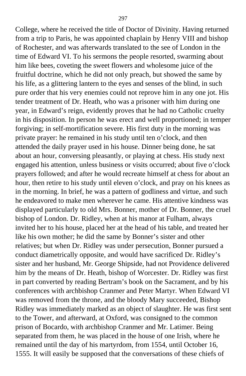College, where he received the title of Doctor of Divinity. Having returned from a trip to Paris, he was appointed chaplain by Henry VIII and bishop of Rochester, and was afterwards translated to the see of London in the time of Edward VI. To his sermons the people resorted, swarming about him like bees, coveting the sweet flowers and wholesome juice of the fruitful doctrine, which he did not only preach, but showed the same by his life, as a glittering lantern to the eyes and senses of the blind, in such pure order that his very enemies could not reprove him in any one jot. His tender treatment of Dr. Heath, who was a prisoner with him during one year, in Edward's reign, evidently proves that he had no Catholic cruelty in his disposition. In person he was erect and well proportioned; in temper forgiving; in self-mortification severe. His first duty in the morning was private prayer: he remained in his study until ten o'clock, and then attended the daily prayer used in his house. Dinner being done, he sat about an hour, conversing pleasantly, or playing at chess. His study next engaged his attention, unless business or visits occurred; about five o'clock prayers followed; and after he would recreate himself at chess for about an hour, then retire to his study until eleven o'clock, and pray on his knees as in the morning. In brief, he was a pattern of godliness and virtue, and such he endeavored to make men wherever he came. His attentive kindness was displayed particularly to old Mrs. Bonner, mother of Dr. Bonner, the cruel bishop of London. Dr. Ridley, when at his manor at Fulham, always invited her to his house, placed her at the head of his table, and treated her like his own mother; he did the same by Bonner's sister and other relatives; but when Dr. Ridley was under persecution, Bonner pursued a conduct diametrically opposite, and would have sacrificed Dr. Ridley's sister and her husband, Mr. George Shipside, had not Providence delivered him by the means of Dr. Heath, bishop of Worcester. Dr. Ridley was first in part converted by reading Bertram's book on the Sacrament, and by his conferences with archbishop Cranmer and Peter Martyr. When Edward VI was removed from the throne, and the bloody Mary succeeded, Bishop Ridley was immediately marked as an object of slaughter. He was first sent to the Tower, and afterward, at Oxford, was consigned to the common prison of Bocardo, with archbishop Cranmer and Mr. Latimer. Being separated from them, he was placed in the house of one Irish, where he remained until the day of his martyrdom, from 1554, until October 16, 1555. It will easily be supposed that the conversations of these chiefs of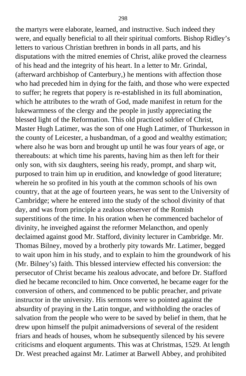the martyrs were elaborate, learned, and instructive. Such indeed they were, and equally beneficial to all their spiritual comforts. Bishop Ridley's letters to various Christian brethren in bonds in all parts, and his disputations with the mitred enemies of Christ, alike proved the clearness of his head and the integrity of his heart. In a letter to Mr. Grindal, (afterward archbishop of Canterbury,) he mentions with affection those who had preceded him in dying for the faith, and those who were expected to suffer; he regrets that popery is re-established in its full abomination, which he attributes to the wrath of God, made manifest in return for the lukewarmness of the clergy and the people in justly appreciating the blessed light of the Reformation. This old practiced soldier of Christ, Master Hugh Latimer, was the son of one Hugh Latimer, of Thurkesson in the county of Leicester, a husbandman, of a good and wealthy estimation; where also he was born and brought up until he was four years of age, or thereabouts: at which time his parents, having him as then left for their only son, with six daughters, seeing his ready, prompt, and sharp wit, purposed to train him up in erudition, and knowledge of good literature; wherein he so profited in his youth at the common schools of his own country, that at the age of fourteen years, he was sent to the University of Cambridge; where he entered into the study of the school divinity of that day, and was from principle a zealous observer of the Romish superstitions of the time. In his oration when he commenced bachelor of divinity, he inveighed against the reformer Melancthon, and openly declaimed against good Mr. Stafford, divinity lecturer in Cambridge. Mr. Thomas Bilney, moved by a brotherly pity towards Mr. Latimer, begged to wait upon him in his study, and to explain to him the groundwork of his (Mr. Bilney's) faith. This blessed interview effected his conversion: the persecutor of Christ became his zealous advocate, and before Dr. Stafford died he became reconciled to him. Once converted, he became eager for the conversion of others, and commenced to be public preacher, and private instructor in the university. His sermons were so pointed against the absurdity of praying in the Latin tongue, and withholding the oracles of salvation from the people who were to be saved by belief in them, that he drew upon himself the pulpit animadversions of several of the resident friars and heads of houses, whom he subsequently silenced by his severe criticisms and eloquent arguments. This was at Christmas, 1529. At length Dr. West preached against Mr. Latimer at Barwell Abbey, and prohibited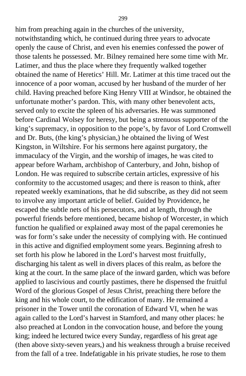him from preaching again in the churches of the university, notwithstanding which, he continued during three years to advocate openly the cause of Christ, and even his enemies confessed the power of those talents he possessed. Mr. Bilney remained here some time with Mr. Latimer, and thus the place where they frequently walked together obtained the name of Heretics' Hill. Mr. Latimer at this time traced out the innocence of a poor woman, accused by her husband of the murder of her child. Having preached before King Henry VIII at Windsor, he obtained the unfortunate mother's pardon. This, with many other benevolent acts, served only to excite the spleen of his adversaries. He was summoned before Cardinal Wolsey for heresy, but being a strenuous supporter of the king's supremacy, in opposition to the pope's, by favor of Lord Cromwell and Dr. Buts, (the king's physician,) he obtained the living of West Kingston, in Wiltshire. For his sermons here against purgatory, the immaculacy of the Virgin, and the worship of images, he was cited to appear before Warham, archbishop of Canterbury, and John, bishop of London. He was required to subscribe certain articles, expressive of his conformity to the accustomed usages; and there is reason to think, after repeated weekly examinations, that he did subscribe, as they did not seem to involve any important article of belief. Guided by Providence, he escaped the subtle nets of his persecutors, and at length, through the powerful friends before mentioned, became bishop of Worcester, in which function he qualified or explained away most of the papal ceremonies he was for form's sake under the necessity of complying with. He continued in this active and dignified employment some years. Beginning afresh to set forth his plow he labored in the Lord's harvest most fruitfully, discharging his talent as well in divers places of this realm, as before the king at the court. In the same place of the inward garden, which was before applied to lascivious and courtly pastimes, there he dispensed the fruitful Word of the glorious Gospel of Jesus Christ, preaching there before the king and his whole court, to the edification of many. He remained a prisoner in the Tower until the coronation of Edward VI, when he was again called to the Lord's harvest in Stamford, and many other places: he also preached at London in the convocation house, and before the young king; indeed he lectured twice every Sunday, regardless of his great age (then above sixty-seven years,) and his weakness through a bruise received from the fall of a tree. Indefatigable in his private studies, he rose to them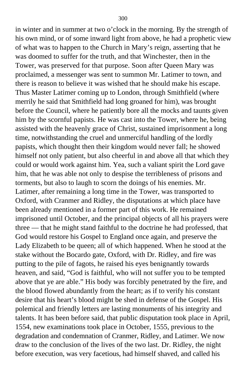in winter and in summer at two o'clock in the morning. By the strength of his own mind, or of some inward light from above, he had a prophetic view of what was to happen to the Church in Mary's reign, asserting that he was doomed to suffer for the truth, and that Winchester, then in the Tower, was preserved for that purpose. Soon after Queen Mary was proclaimed, a messenger was sent to summon Mr. Latimer to town, and there is reason to believe it was wished that he should make his escape. Thus Master Latimer coming up to London, through Smithfield (where merrily he said that Smithfield had long groaned for him), was brought before the Council, where he patiently bore all the mocks and taunts given him by the scornful papists. He was cast into the Tower, where he, being assisted with the heavenly grace of Christ, sustained imprisonment a long time, notwithstanding the cruel and unmerciful handling of the lordly papists, which thought then their kingdom would never fall; he showed himself not only patient, but also cheerful in and above all that which they could or would work against him. Yea, such a valiant spirit the Lord gave him, that he was able not only to despise the terribleness of prisons and torments, but also to laugh to scorn the doings of his enemies. Mr. Latimer, after remaining a long time in the Tower, was transported to Oxford, with Cranmer and Ridley, the disputations at which place have been already mentioned in a former part of this work. He remained imprisoned until October, and the principal objects of all his prayers were three — that he might stand faithful to the doctrine he had professed, that God would restore his Gospel to England once again, and preserve the Lady Elizabeth to be queen; all of which happened. When he stood at the stake without the Bocardo gate, Oxford, with Dr. Ridley, and fire was putting to the pile of fagots, he raised his eyes benignantly towards heaven, and said, "God is faithful, who will not suffer you to be tempted above that ye are able." His body was forcibly penetrated by the fire, and the blood flowed abundantly from the heart; as if to verify his constant desire that his heart's blood might be shed in defense of the Gospel. His polemical and friendly letters are lasting monuments of his integrity and talents. It has been before said, that public disputation took place in April, 1554, new examinations took place in October, 1555, previous to the degradation and condemnation of Cranmer, Ridley, and Latimer. We now draw to the conclusion of the lives of the two last. Dr. Ridley, the night before execution, was very facetious, had himself shaved, and called his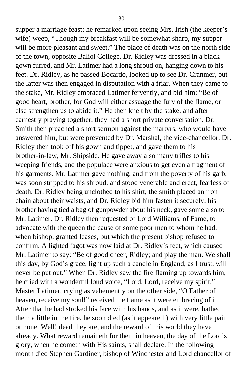supper a marriage feast; he remarked upon seeing Mrs. Irish (the keeper's wife) weep, "Though my breakfast will be somewhat sharp, my supper will be more pleasant and sweet." The place of death was on the north side of the town, opposite Baliol College. Dr. Ridley was dressed in a black gown furred, and Mr. Latimer had a long shroud on, hanging down to his feet. Dr. Ridley, as he passed Bocardo, looked up to see Dr. Cranmer, but the latter was then engaged in disputation with a friar. When they came to the stake, Mr. Ridley embraced Latimer fervently, and bid him: "Be of good heart, brother, for God will either assuage the fury of the flame, or else strengthen us to abide it." He then knelt by the stake, and after earnestly praying together, they had a short private conversation. Dr. Smith then preached a short sermon against the martyrs, who would have answered him, but were prevented by Dr. Marshal, the vice-chancellor. Dr. Ridley then took off his gown and tippet, and gave them to his brother-in-law, Mr. Shipside. He gave away also many trifles to his weeping friends, and the populace were anxious to get even a fragment of his garments. Mr. Latimer gave nothing, and from the poverty of his garb, was soon stripped to his shroud, and stood venerable and erect, fearless of death. Dr. Ridley being unclothed to his shirt, the smith placed an iron chain about their waists, and Dr. Ridley bid him fasten it securely; his brother having tied a bag of gunpowder about his neck, gave some also to Mr. Latimer. Dr. Ridley then requested of Lord Williams, of Fame, to advocate with the queen the cause of some poor men to whom he had, when bishop, granted leases, but which the present bishop refused to confirm. A lighted fagot was now laid at Dr. Ridley's feet, which caused Mr. Latimer to say: "Be of good cheer, Ridley; and play the man. We shall this day, by God's grace, light up such a candle in England, as I trust, will never be put out." When Dr. Ridley saw the fire flaming up towards him, he cried with a wonderful loud voice, "Lord, Lord, receive my spirit." Master Latimer, crying as vehemently on the other side, "O Father of heaven, receive my soul!" received the flame as it were embracing of it. After that he had stroked his face with his hands, and as it were, bathed them a little in the fire, he soon died (as it appeareth) with very little pain or none. Well! dead they are, and the reward of this world they have already. What reward remaineth for them in heaven, the day of the Lord's glory, when he cometh with His saints, shall declare. In the following month died Stephen Gardiner, bishop of Winchester and Lord chancellor of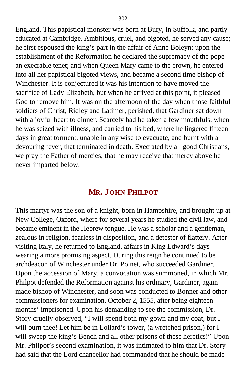England. This papistical monster was born at Bury, in Suffolk, and partly educated at Cambridge. Ambitious, cruel, and bigoted, he served any cause; he first espoused the king's part in the affair of Anne Boleyn: upon the establishment of the Reformation he declared the supremacy of the pope an execrable tenet; and when Queen Mary came to the crown, he entered into all her papistical bigoted views, and became a second time bishop of Winchester. It is conjectured it was his intention to have moved the sacrifice of Lady Elizabeth, but when he arrived at this point, it pleased God to remove him. It was on the afternoon of the day when those faithful soldiers of Christ, Ridley and Latimer, perished, that Gardiner sat down with a joyful heart to dinner. Scarcely had he taken a few mouthfuls, when he was seized with illness, and carried to his bed, where he lingered fifteen days in great torment, unable in any wise to evacuate, and burnt with a devouring fever, that terminated in death. Execrated by all good Christians, we pray the Father of mercies, that he may receive that mercy above he never imparted below.

## **MR. JOHN PHILPOT**

This martyr was the son of a knight, born in Hampshire, and brought up at New College, Oxford, where for several years he studied the civil law, and became eminent in the Hebrew tongue. He was a scholar and a gentleman, zealous in religion, fearless in disposition, and a detester of flattery. After visiting Italy, he returned to England, affairs in King Edward's days wearing a more promising aspect. During this reign he continued to be archdeacon of Winchester under Dr. Poinet, who succeeded Gardiner. Upon the accession of Mary, a convocation was summoned, in which Mr. Philpot defended the Reformation against his ordinary, Gardiner, again made bishop of Winchester, and soon was conducted to Bonner and other commissioners for examination, October 2, 1555, after being eighteen months' imprisoned. Upon his demanding to see the commission, Dr. Story cruelly observed, "I will spend both my gown and my coat, but I will burn thee! Let him be in Lollard's tower, (a wretched prison,) for I will sweep the king's Bench and all other prisons of these heretics!" Upon Mr. Philpot's second examination, it was intimated to him that Dr. Story had said that the Lord chancellor had commanded that he should be made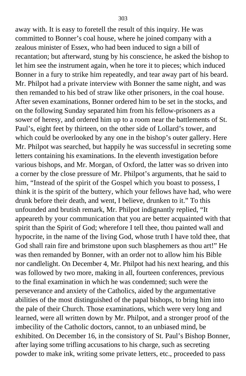away with. It is easy to foretell the result of this inquiry. He was committed to Bonner's coal house, where he joined company with a zealous minister of Essex, who had been induced to sign a bill of recantation; but afterward, stung by his conscience, he asked the bishop to let him see the instrument again, when he tore it to pieces; which induced Bonner in a fury to strike him repeatedly, and tear away part of his beard. Mr. Philpot had a private interview with Bonner the same night, and was then remanded to his bed of straw like other prisoners, in the coal house. After seven examinations, Bonner ordered him to be set in the stocks, and on the following Sunday separated him from his fellow-prisoners as a sower of heresy, and ordered him up to a room near the battlements of St. Paul's, eight feet by thirteen, on the other side of Lollard's tower, and which could be overlooked by any one in the bishop's outer gallery. Here Mr. Philpot was searched, but happily he was successful in secreting some letters containing his examinations. In the eleventh investigation before various bishops, and Mr. Morgan, of Oxford, the latter was so driven into a corner by the close pressure of Mr. Philpot's arguments, that he said to him, "Instead of the spirit of the Gospel which you boast to possess, I think it is the spirit of the buttery, which your fellows have had, who were drunk before their death, and went, I believe, drunken to it." To this unfounded and brutish remark, Mr. Philpot indignantly replied, "It appeareth by your communication that you are better acquainted with that spirit than the Spirit of God; wherefore I tell thee, thou painted wall and hypocrite, in the name of the living God, whose truth I have told thee, that God shall rain fire and brimstone upon such blasphemers as thou art!" He was then remanded by Bonner, with an order not to allow him his Bible nor candlelight. On December 4, Mr. Philpot had his next hearing, and this was followed by two more, making in all, fourteen conferences, previous to the final examination in which he was condemned; such were the perseverance and anxiety of the Catholics, aided by the argumentative abilities of the most distinguished of the papal bishops, to bring him into the pale of their Church. Those examinations, which were very long and learned, were all written down by Mr. Philpot, and a stronger proof of the imbecility of the Catholic doctors, cannot, to an unbiased mind, be exhibited. On December 16, in the consistory of St. Paul's Bishop Bonner, after laying some trifling accusations to his charge, such as secreting powder to make ink, writing some private letters, etc., proceeded to pass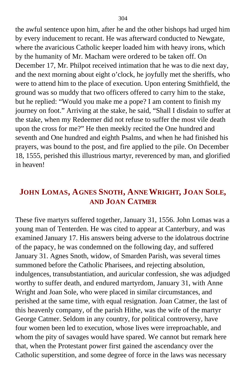the awful sentence upon him, after he and the other bishops had urged him by every inducement to recant. He was afterward conducted to Newgate, where the avaricious Catholic keeper loaded him with heavy irons, which by the humanity of Mr. Macham were ordered to be taken off. On December 17, Mr. Philpot received intimation that he was to die next day, and the next morning about eight o'clock, he joyfully met the sheriffs, who were to attend him to the place of execution. Upon entering Smithfield, the ground was so muddy that two officers offered to carry him to the stake, but he replied: "Would you make me a pope? I am content to finish my journey on foot." Arriving at the stake, he said, "Shall I disdain to suffer at the stake, when my Redeemer did not refuse to suffer the most vile death upon the cross for me?" He then meekly recited the One hundred and seventh and One hundred and eighth Psalms, and when he had finished his prayers, was bound to the post, and fire applied to the pile. On December 18, 1555, perished this illustrious martyr, reverenced by man, and glorified in heaven!

# **JOHN LOMAS, AGNES SNOTH, ANNE WRIGHT, JOAN SOLE, AND JOAN CATMER**

These five martyrs suffered together, January 31, 1556. John Lomas was a young man of Tenterden. He was cited to appear at Canterbury, and was examined January 17. His answers being adverse to the idolatrous doctrine of the papacy, he was condemned on the following day, and suffered January 31. Agnes Snoth, widow, of Smarden Parish, was several times summoned before the Catholic Pharisees, and rejecting absolution, indulgences, transubstantiation, and auricular confession, she was adjudged worthy to suffer death, and endured martyrdom, January 31, with Anne Wright and Joan Sole, who were placed in similar circumstances, and perished at the same time, with equal resignation. Joan Catmer, the last of this heavenly company, of the parish Hithe, was the wife of the martyr George Catmer. Seldom in any country, for political controversy, have four women been led to execution, whose lives were irreproachable, and whom the pity of savages would have spared. We cannot but remark here that, when the Protestant power first gained the ascendancy over the Catholic superstition, and some degree of force in the laws was necessary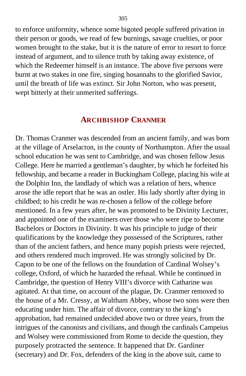to enforce uniformity, whence some bigoted people suffered privation in their person or goods, we read of few burnings, savage cruelties, or poor women brought to the stake, but it is the nature of error to resort to force instead of argument, and to silence truth by taking away existence, of which the Redeemer himself is an instance. The above five persons were burnt at two stakes in one fire, singing hosannahs to the glorified Savior, until the breath of life was extinct. Sir John Norton, who was present, wept bitterly at their unmerited sufferings.

#### **ARCHBISHOP CRANMER**

Dr. Thomas Cranmer was descended from an ancient family, and was born at the village of Arselacton, in the county of Northampton. After the usual school education he was sent to Cambridge, and was chosen fellow Jesus College. Here he married a gentleman's daughter, by which he forfeited his fellowship, and became a reader in Buckingham College, placing his wife at the Dolphin Inn, the landlady of which was a relation of hers, whence arose the idle report that he was an ostler. His lady shortly after dying in childbed; to his credit he was re-chosen a fellow of the college before mentioned. In a few years after, he was promoted to be Divinity Lecturer, and appointed one of the examiners over those who were ripe to become Bachelors or Doctors in Divinity. It was his principle to judge of their qualifications by the knowledge they possessed of the Scriptures, rather than of the ancient fathers, and hence many popish priests were rejected, and others rendered much improved. He was strongly solicited by Dr. Capon to be one of the fellows on the foundation of Cardinal Wolsey's college, Oxford, of which he hazarded the refusal. While he continued in Cambridge, the question of Henry VIII's divorce with Catharine was agitated. At that time, on account of the plague, Dr. Cranmer removed to the house of a Mr. Cressy, at Waltham Abbey, whose two sons were then educating under him. The affair of divorce, contrary to the king's approbation, had remained undecided above two or three years, from the intrigues of the canonists and civilians, and though the cardinals Campeius and Wolsey were commissioned from Rome to decide the question, they purposely protracted the sentence. It happened that Dr. Gardiner (secretary) and Dr. Fox, defenders of the king in the above suit, came to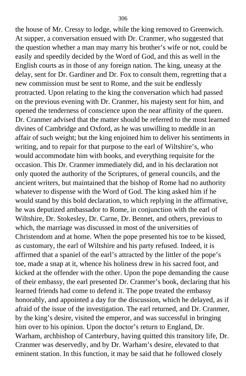the house of Mr. Cressy to lodge, while the king removed to Greenwich. At supper, a conversation ensued with Dr. Cranmer, who suggested that the question whether a man may marry his brother's wife or not, could be easily and speedily decided by the Word of God, and this as well in the English courts as in those of any foreign nation. The king, uneasy at the delay, sent for Dr. Gardiner and Dr. Fox to consult them, regretting that a new commission must be sent to Rome, and the suit be endlessly protracted. Upon relating to the king the conversation which had passed on the previous evening with Dr. Cranmer, his majesty sent for him, and opened the tenderness of conscience upon the near affinity of the queen. Dr. Cranmer advised that the matter should be referred to the most learned divines of Cambridge and Oxford, as he was unwilling to meddle in an affair of such weight; but the king enjoined him to deliver his sentiments in writing, and to repair for that purpose to the earl of Wiltshire's, who would accommodate him with books, and everything requisite for the occasion. This Dr. Cranmer immediately did, and in his declaration not only quoted the authority of the Scriptures, of general councils, and the ancient writers, but maintained that the bishop of Rome had no authority whatever to dispense with the Word of God. The king asked him if he would stand by this bold declaration, to which replying in the affirmative, he was deputized ambassador to Rome, in conjunction with the earl of Wiltshire, Dr. Stokesley, Dr. Carne, Dr. Bennet, and others, previous to which, the marriage was discussed in most of the universities of Christendom and at home. When the pope presented his toe to be kissed, as customary, the earl of Wiltshire and his party refused. Indeed, it is affirmed that a spaniel of the earl's attracted by the littler of the pope's toe, made a snap at it, whence his holiness drew in his sacred foot, and kicked at the offender with the other. Upon the pope demanding the cause of their embassy, the earl presented Dr. Cranmer's book, declaring that his learned friends had come to defend it. The pope treated the embassy honorably, and appointed a day for the discussion, which he delayed, as if afraid of the issue of the investigation. The earl returned, and Dr. Cranmer, by the king's desire, visited the emperor, and was successful in bringing him over to his opinion. Upon the doctor's return to England, Dr. Warham, archbishop of Canterbury, having quitted this transitory life, Dr. Cranmer was deservedly, and by Dr. Warham's desire, elevated to that eminent station. In this function, it may be said that he followed closely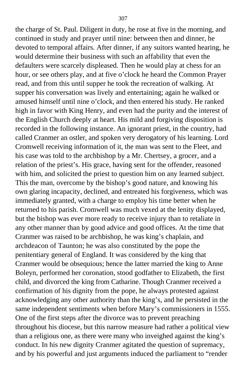the charge of St. Paul. Diligent in duty, he rose at five in the morning, and continued in study and prayer until nine: between then and dinner, he devoted to temporal affairs. After dinner, if any suitors wanted hearing, he would determine their business with such an affability that even the defaulters were scarcely displeased. Then he would play at chess for an hour, or see others play, and at five o'clock he heard the Common Prayer read, and from this until supper he took the recreation of walking. At supper his conversation was lively and entertaining; again he walked or amused himself until nine o'clock, and then entered his study. He ranked high in favor with King Henry, and even had the purity and the interest of the English Church deeply at heart. His mild and forgiving disposition is recorded in the following instance. An ignorant priest, in the country, had called Cranmer an ostler, and spoken very derogatory of his learning. Lord Cromwell receiving information of it, the man was sent to the Fleet, and his case was told to the archbishop by a Mr. Chertsey, a grocer, and a relation of the priest's. His grace, having sent for the offender, reasoned with him, and solicited the priest to question him on any learned subject. This the man, overcome by the bishop's good nature, and knowing his own glaring incapacity, declined, and entreated his forgiveness, which was immediately granted, with a charge to employ his time better when he returned to his parish. Cromwell was much vexed at the lenity displayed, but the bishop was ever more ready to receive injury than to retaliate in any other manner than by good advice and good offices. At the time that Cranmer was raised to be archbishop, he was king's chaplain, and archdeacon of Taunton; he was also constituted by the pope the penitentiary general of England. It was considered by the king that Cranmer would be obsequious; hence the latter married the king to Anne Boleyn, performed her coronation, stood godfather to Elizabeth, the first child, and divorced the king from Catharine. Though Cranmer received a confirmation of his dignity from the pope, he always protested against acknowledging any other authority than the king's, and he persisted in the same independent sentiments when before Mary's commissioners in 1555. One of the first steps after the divorce was to prevent preaching throughout his diocese, but this narrow measure had rather a political view than a religious one, as there were many who inveighed against the king's conduct. In his new dignity Cranmer agitated the question of supremacy, and by his powerful and just arguments induced the parliament to "render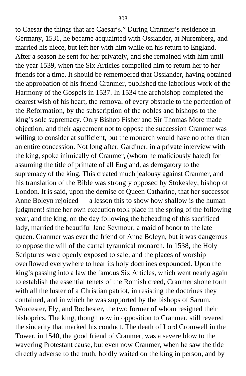to Caesar the things that are Caesar's." During Cranmer's residence in Germany, 1531, he became acquainted with Ossiander, at Nuremberg, and married his niece, but left her with him while on his return to England. After a season he sent for her privately, and she remained with him until the year 1539, when the Six Articles compelled him to return her to her friends for a time. It should be remembered that Ossiander, having obtained the approbation of his friend Cranmer, published the laborious work of the Harmony of the Gospels in 1537. In 1534 the archbishop completed the dearest wish of his heart, the removal of every obstacle to the perfection of the Reformation, by the subscription of the nobles and bishops to the king's sole supremacy. Only Bishop Fisher and Sir Thomas More made objection; and their agreement not to oppose the succession Cranmer was willing to consider at sufficient, but the monarch would have no other than an entire concession. Not long after, Gardiner, in a private interview with the king, spoke inimically of Cranmer, (whom he maliciously hated) for assuming the title of primate of all England, as derogatory to the supremacy of the king. This created much jealousy against Cranmer, and his translation of the Bible was strongly opposed by Stokesley, bishop of London. It is said, upon the demise of Queen Catharine, that her successor Anne Boleyn rejoiced — a lesson this to show how shallow is the human judgment! since her own execution took place in the spring of the following year, and the king, on the day following the beheading of this sacrificed lady, married the beautiful Jane Seymour, a maid of honor to the late queen. Cranmer was ever the friend of Anne Boleyn, but it was dangerous to oppose the will of the carnal tyrannical monarch. In 1538, the Holy Scriptures were openly exposed to sale; and the places of worship overflowed everywhere to hear its holy doctrines expounded. Upon the king's passing into a law the famous Six Articles, which went nearly again to establish the essential tenets of the Romish creed, Cranmer shone forth with all the luster of a Christian patriot, in resisting the doctrines they contained, and in which he was supported by the bishops of Sarum, Worcester, Ely, and Rochester, the two former of whom resigned their bishoprics. The king, though now in opposition to Cranmer, still revered the sincerity that marked his conduct. The death of Lord Cromwell in the Tower, in 1540, the good friend of Cranmer, was a severe blow to the wavering Protestant cause, but even now Cranmer, when he saw the tide directly adverse to the truth, boldly waited on the king in person, and by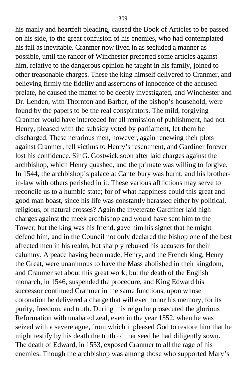his manly and heartfelt pleading, caused the Book of Articles to be passed on his side, to the great confusion of his enemies, who had contemplated his fall as inevitable. Cranmer now lived in as secluded a manner as possible, until the rancor of Winchester preferred some articles against him, relative to the dangerous opinion he taught in his family, joined to other treasonable charges. These the king himself delivered to Cranmer, and believing firmly the fidelity and assertions of innocence of the accused prelate, he caused the matter to be deeply investigated, and Winchester and Dr. Lenden, with Thornton and Barber, of the bishop's household, were found by the papers to be the real conspirators. The mild, forgiving Cranmer would have interceded for all remission of publishment, had not Henry, pleased with the subsidy voted by parliament, let them be discharged. These nefarious men, however, again renewing their plots against Cranmer, fell victims to Henry's resentment, and Gardiner forever lost his confidence. Sir G. Gostwick soon after laid charges against the archbishop, which Henry quashed, and the primate was willing to forgive. In 1544, the archbishop's palace at Canterbury was burnt, and his brotherin-law with others perished in it. These various afflictions may serve to reconcile us to a humble state; for of what happiness could this great and good man boast, since his life was constantly harassed either by political, religious, or natural crosses? Again the inveterate Gardfiner laid high charges against the meek archbishop and would have sent him to the Tower; but the king was his friend, gave him his signet that he might defend him, and in the Council not only declared the bishop one of the best affected men in his realm, but sharply rebuked his accusers for their calumny. A peace having been made, Henry, and the French king, Henry the Great, were unanimous to have the Mass abolished in their kingdom, and Cranmer set about this great work; but the death of the English monarch, in 1546, suspended the procedure, and King Edward his successor continued Cranmer in the same functions, upon whose coronation he delivered a charge that will ever honor his memory, for its purity, freedom, and truth. During this reign he prosecuted the glorious Reformation with unabated zeal, even in the year 1552, when he was seized with a severe ague, from which it pleased God to restore him that he might testify by his death the truth of that seed he had diligently sown. The death of Edward, in 1553, exposed Cranmer to all the rage of his enemies. Though the archbishop was among those who supported Mary's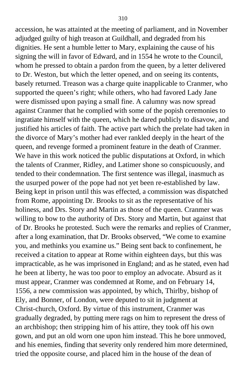accession, he was attainted at the meeting of parliament, and in November adjudged guilty of high treason at Guildhall, and degraded from his dignities. He sent a humble letter to Mary, explaining the cause of his signing the will in favor of Edward, and in 1554 he wrote to the Council, whom he pressed to obtain a pardon from the queen, by a letter delivered to Dr. Weston, but which the letter opened, and on seeing its contents, basely returned. Treason was a charge quite inapplicable to Cranmer, who supported the queen's right; while others, who had favored Lady Jane were dismissed upon paying a small fine. A calumny was now spread against Cranmer that he complied with some of the popish ceremonies to ingratiate himself with the queen, which he dared publicly to disavow, and justified his articles of faith. The active part which the prelate had taken in the divorce of Mary's mother had ever rankled deeply in the heart of the queen, and revenge formed a prominent feature in the death of Cranmer. We have in this work noticed the public disputations at Oxford, in which the talents of Cranmer, Ridley, and Latimer shone so conspicuously, and tended to their condemnation. The first sentence was illegal, inasmuch as the usurped power of the pope had not yet been re-established by law. Being kept in prison until this was effected, a commission was dispatched from Rome, appointing Dr. Brooks to sit as the representative of his holiness, and Drs. Story and Martin as those of the queen. Cranmer was willing to bow to the authority of Drs. Story and Martin, but against that of Dr. Brooks he protested. Such were the remarks and replies of Cranmer, after a long examination, that Dr. Brooks observed, "We come to examine you, and methinks you examine us." Being sent back to confinement, he received a citation to appear at Rome within eighteen days, but this was impracticable, as he was imprisoned in England; and as he stated, even had he been at liberty, he was too poor to employ an advocate. Absurd as it must appear, Cranmer was condemned at Rome, and on February 14, 1556, a new commission was appointed, by which, Thirlby, bishop of Ely, and Bonner, of London, were deputed to sit in judgment at Christ-church, Oxford. By virtue of this instrument, Cranmer was gradually degraded, by putting mere rags on him to represent the dress of an archbishop; then stripping him of his attire, they took off his own gown, and put an old worn one upon him instead. This he bore unmoved, and his enemies, finding that severity only rendered him more determined, tried the opposite course, and placed him in the house of the dean of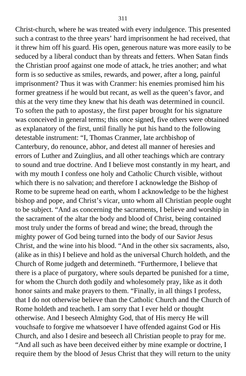Christ-church, where he was treated with every indulgence. This presented such a contrast to the three years' hard imprisonment he had received, that it threw him off his guard. His open, generous nature was more easily to be seduced by a liberal conduct than by threats and fetters. When Satan finds the Christian proof against one mode of attack, he tries another; and what form is so seductive as smiles, rewards, and power, after a long, painful imprisonment? Thus it was with Cranmer: his enemies promised him his former greatness if he would but recant, as well as the queen's favor, and this at the very time they knew that his death was determined in council. To soften the path to apostasy, the first paper brought for his signature was conceived in general terms; this once signed, five others were obtained as explanatory of the first, until finally he put his hand to the following detestable instrument: "I, Thomas Cranmer, late archbishop of Canterbury, do renounce, abhor, and detest all manner of heresies and errors of Luther and Zuinglius, and all other teachings which are contrary to sound and true doctrine. And I believe most constantly in my heart, and with my mouth I confess one holy and Catholic Church visible, without which there is no salvation; and therefore I acknowledge the Bishop of Rome to be supreme head on earth, whom I acknowledge to be the highest bishop and pope, and Christ's vicar, unto whom all Christian people ought to be subject. "And as concerning the sacraments, I believe and worship in the sacrament of the altar the body and blood of Christ, being contained most truly under the forms of bread and wine; the bread, through the mighty power of God being turned into the body of our Savior Jesus Christ, and the wine into his blood. "And in the other six sacraments, also, (alike as in this) I believe and hold as the universal Church holdeth, and the Church of Rome judgeth and determineth. "Furthermore, I believe that there is a place of purgatory, where souls departed be punished for a time, for whom the Church doth godily and wholesomely pray, like as it doth honor saints and make prayers to them. "Finally, in all things I profess, that I do not otherwise believe than the Catholic Church and the Church of Rome holdeth and teacheth. I am sorry that I ever held or thought otherwise. And I beseech Almighty God, that of His mercy He will vouchsafe to forgive me whatsoever I have offended against God or His Church, and also I desire and beseech all Christian people to pray for me. "And all such as have been deceived either by mine example or doctrine, I require them by the blood of Jesus Christ that they will return to the unity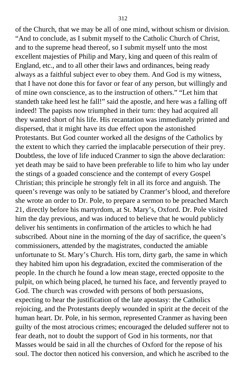of the Church, that we may be all of one mind, without schism or division. "And to conclude, as I submit myself to the Catholic Church of Christ, and to the supreme head thereof, so I submit myself unto the most excellent majesties of Philip and Mary, king and queen of this realm of England, etc., and to all other their laws and ordinances, being ready always as a faithful subject ever to obey them. And God is my witness, that I have not done this for favor or fear of any person, but willingly and of mine own conscience, as to the instruction of others." "Let him that standeth take heed lest he fall!" said the apostle, and here was a falling off indeed! The papists now triumphed in their turn: they had acquired all they wanted short of his life. His recantation was immediately printed and dispersed, that it might have its due effect upon the astonished Protestants. But God counter worked all the designs of the Catholics by the extent to which they carried the implacable persecution of their prey. Doubtless, the love of life induced Cranmer to sign the above declaration: yet death may be said to have been preferable to life to him who lay under the stings of a goaded conscience and the contempt of every Gospel Christian; this principle he strongly felt in all its force and anguish. The queen's revenge was only to be satiated by Cranmer's blood, and therefore she wrote an order to Dr. Pole, to prepare a sermon to be preached March 21, directly before his martyrdom, at St. Mary's, Oxford. Dr. Pole visited him the day previous, and was induced to believe that he would publicly deliver his sentiments in confirmation of the articles to which he had subscribed. About nine in the morning of the day of sacrifice, the queen's commissioners, attended by the magistrates, conducted the amiable unfortunate to St. Mary's Church. His torn, dirty garb, the same in which they habited him upon his degradation, excited the commiseration of the people. In the church he found a low mean stage, erected opposite to the pulpit, on which being placed, he turned his face, and fervently prayed to God. The church was crowded with persons of both persuasions, expecting to hear the justification of the late apostasy: the Catholics rejoicing, and the Protestants deeply wounded in spirit at the deceit of the human heart. Dr. Pole, in his sermon, represented Cranmer as having been guilty of the most atrocious crimes; encouraged the deluded sufferer not to fear death, not to doubt the support of God in his torments, nor that Masses would be said in all the churches of Oxford for the repose of his soul. The doctor then noticed his conversion, and which he ascribed to the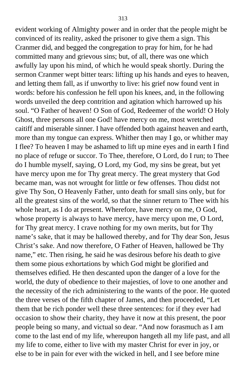evident working of Almighty power and in order that the people might be convinced of its reality, asked the prisoner to give them a sign. This Cranmer did, and begged the congregation to pray for him, for he had committed many and grievous sins; but, of all, there was one which awfully lay upon his mind, of which he would speak shortly. During the sermon Cranmer wept bitter tears: lifting up his hands and eyes to heaven, and letting them fall, as if unworthy to live: his grief now found vent in words: before his confession he fell upon his knees, and, in the following words unveiled the deep contrition and agitation which harrowed up his soul. "O Father of heaven! O Son of God, Redeemer of the world! O Holy Ghost, three persons all one God! have mercy on me, most wretched caitiff and miserable sinner. I have offended both against heaven and earth, more than my tongue can express. Whither then may I go, or whither may I flee? To heaven I may be ashamed to lift up mine eyes and in earth I find no place of refuge or succor. To Thee, therefore, O Lord, do I run; to Thee do I humble myself, saying, O Lord, my God, my sins be great, but yet have mercy upon me for Thy great mercy. The great mystery that God became man, was not wrought for little or few offenses. Thou didst not give Thy Son, O Heavenly Father, unto death for small sins only, but for all the greatest sins of the world, so that the sinner return to Thee with his whole heart, as I do at present. Wherefore, have mercy on me, O God, whose property is always to have mercy, have mercy upon me, O Lord, for Thy great mercy. I crave nothing for my own merits, but for Thy name's sake, that it may be hallowed thereby, and for Thy dear Son, Jesus Christ's sake. And now therefore, O Father of Heaven, hallowed be Thy name," etc. Then rising, he said he was desirous before his death to give them some pious exhortations by which God might be glorified and themselves edified. He then descanted upon the danger of a love for the world, the duty of obedience to their majesties, of love to one another and the necessity of the rich administering to the wants of the poor. He quoted the three verses of the fifth chapter of James, and then proceeded, "Let them that be rich ponder well these three sentences: for if they ever had occasion to show their charity, they have it now at this present, the poor people being so many, and victual so dear. "And now forasmuch as I am come to the last end of my life, whereupon hangeth all my life past, and all my life to come, either to live with my master Christ for ever in joy, or else to be in pain for ever with the wicked in hell, and I see before mine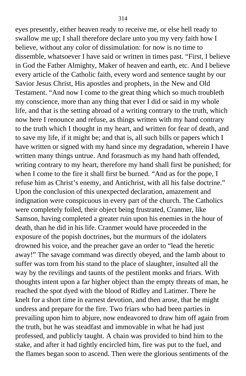eyes presently, either heaven ready to receive me, or else hell ready to swallow me up; I shall therefore declare unto you my very faith how I believe, without any color of dissimulation: for now is no time to dissemble, whatsoever I have said or written in times past. "First, I believe in God the Father Almighty, Maker of heaven and earth, etc. And I believe every article of the Catholic faith, every word and sentence taught by our Savior Jesus Christ, His apostles and prophets, in the New and Old Testament. "And now I come to the great thing which so much troubleth my conscience, more than any thing that ever I did or said in my whole life, and that is the setting abroad of a writing contrary to the truth, which now here I renounce and refuse, as things written with my hand contrary to the truth which I thought in my heart, and written for fear of death, and to save my life, if it might be; and that is, all such bills or papers which I have written or signed with my hand since my degradation, wherein I have written many things untrue. And forasmuch as my hand hath offended, writing contrary to my heart, therefore my hand shall first be punished; for when I come to the fire it shall first be burned. "And as for the pope, I refuse him as Christ's enemy, and Antichrist, with all his false doctrine." Upon the conclusion of this unexpected declaration, amazement and indignation were conspicuous in every part of the church. The Catholics were completely foiled, their object being frustrated, Cranmer, like Samson, having completed a greater ruin upon his enemies in the hour of death, than he did in his life. Cranmer would have proceeded in the exposure of the popish doctrines, but the murmurs of the idolaters drowned his voice, and the preacher gave an order to "lead the heretic away!" The savage command was directly obeyed, and the lamb about to suffer was torn from his stand to the place of slaughter, insulted all the way by the revilings and taunts of the pestilent monks and friars. With thoughts intent upon a far higher object than the empty threats of man, he reached the spot dyed with the blood of Ridley and Latimer. There he knelt for a short time in earnest devotion, and then arose, that he might undress and prepare for the fire. Two friars who had been parties in prevailing upon him to abjure, now endeavored to draw him off again from the truth, but he was steadfast and immovable in what he had just professed, and publicly taught. A chain was provided to bind him to the stake, and after it had tightly encircled him, fire was put to the fuel, and the flames began soon to ascend. Then were the glorious sentiments of the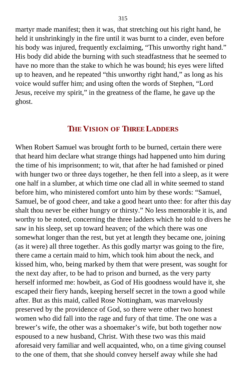martyr made manifest; then it was, that stretching out his right hand, he held it unshrinkingly in the fire until it was burnt to a cinder, even before his body was injured, frequently exclaiming, "This unworthy right hand." His body did abide the burning with such steadfastness that he seemed to have no more than the stake to which he was bound; his eyes were lifted up to heaven, and he repeated "this unworthy right hand," as long as his voice would suffer him; and using often the words of Stephen, "Lord Jesus, receive my spirit," in the greatness of the flame, he gave up the ghost.

## **THE VISION OF THREE LADDERS**

When Robert Samuel was brought forth to be burned, certain there were that heard him declare what strange things had happened unto him during the time of his imprisonment; to wit, that after he had famished or pined with hunger two or three days together, he then fell into a sleep, as it were one half in a slumber, at which time one clad all in white seemed to stand before him, who ministered comfort unto him by these words: "Samuel, Samuel, be of good cheer, and take a good heart unto thee: for after this day shalt thou never be either hungry or thirsty." No less memorable it is, and worthy to be noted, concerning the three ladders which he told to divers he saw in his sleep, set up toward heaven; of the which there was one somewhat longer than the rest, but yet at length they became one, joining (as it were) all three together. As this godly martyr was going to the fire, there came a certain maid to him, which took him about the neck, and kissed him, who, being marked by them that were present, was sought for the next day after, to be had to prison and burned, as the very party herself informed me: howbeit, as God of His goodness would have it, she escaped their fiery hands, keeping herself secret in the town a good while after. But as this maid, called Rose Nottingham, was marvelously preserved by the providence of God, so there were other two honest women who did fall into the rage and fury of that time. The one was a brewer's wife, the other was a shoemaker's wife, but both together now espoused to a new husband, Christ. With these two was this maid aforesaid very familiar and well acquainted, who, on a time giving counsel to the one of them, that she should convey herself away while she had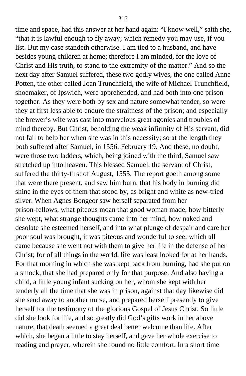time and space, had this answer at her hand again: "I know well," saith she, "that it is lawful enough to fly away; which remedy you may use, if you list. But my case standeth otherwise. I am tied to a husband, and have besides young children at home; therefore I am minded, for the love of Christ and His truth, to stand to the extremity of the matter." And so the next day after Samuel suffered, these two godly wives, the one called Anne Potten, the other called Joan Trunchfield, the wife of Michael Trunchfield, shoemaker, of Ipswich, were apprehended, and had both into one prison together. As they were both by sex and nature somewhat tender, so were they at first less able to endure the straitness of the prison; and especially the brewer's wife was cast into marvelous great agonies and troubles of mind thereby. But Christ, beholding the weak infirmity of His servant, did not fail to help her when she was in this necessity; so at the length they both suffered after Samuel, in 1556, February 19. And these, no doubt, were those two ladders, which, being joined with the third, Samuel saw stretched up into heaven. This blessed Samuel, the servant of Christ, suffered the thirty-first of August, 1555. The report goeth among some that were there present, and saw him burn, that his body in burning did shine in the eyes of them that stood by, as bright and white as new-tried silver. When Agnes Bongeor saw herself separated from her prison-fellows, what piteous moan that good woman made, how bitterly she wept, what strange thoughts came into her mind, how naked and desolate she esteemed herself, and into what plunge of despair and care her poor soul was brought, it was piteous and wonderful to see; which all came because she went not with them to give her life in the defense of her Christ; for of all things in the world, life was least looked for at her hands. For that morning in which she was kept back from burning, had she put on a smock, that she had prepared only for that purpose. And also having a child, a little young infant sucking on her, whom she kept with her tenderly all the time that she was in prison, against that day likewise did she send away to another nurse, and prepared herself presently to give herself for the testimony of the glorious Gospel of Jesus Christ. So little did she look for life, and so greatly did God's gifts work in her above nature, that death seemed a great deal better welcome than life. After which, she began a little to stay herself, and gave her whole exercise to reading and prayer, wherein she found no little comfort. In a short time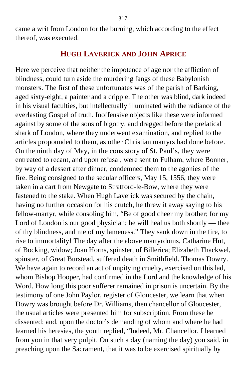came a writ from London for the burning, which according to the effect thereof, was executed.

#### **HUGH LAVERICK AND JOHN APRICE**

Here we perceive that neither the impotence of age nor the affliction of blindness, could turn aside the murdering fangs of these Babylonish monsters. The first of these unfortunates was of the parish of Barking, aged sixty-eight, a painter and a cripple. The other was blind, dark indeed in his visual faculties, but intellectually illuminated with the radiance of the everlasting Gospel of truth. Inoffensive objects like these were informed against by some of the sons of bigotry, and dragged before the prelatical shark of London, where they underwent examination, and replied to the articles propounded to them, as other Christian martyrs had done before. On the ninth day of May, in the consistory of St. Paul's, they were entreated to recant, and upon refusal, were sent to Fulham, where Bonner, by way of a dessert after dinner, condemned them to the agonies of the fire. Being consigned to the secular officers, May 15, 1556, they were taken in a cart from Newgate to Stratford-le-Bow, where they were fastened to the stake. When Hugh Laverick was secured by the chain, having no further occasion for his crutch, he threw it away saying to his fellow-martyr, while consoling him, "Be of good cheer my brother; for my Lord of London is our good physician; he will heal us both shortly — thee of thy blindness, and me of my lameness." They sank down in the fire, to rise to immortality! The day after the above martyrdoms, Catharine Hut, of Bocking, widow; Joan Horns, spinster, of Billerica; Elizabeth Thackwel, spinster, of Great Burstead, suffered death in Smithfield. Thomas Dowry. We have again to record an act of unpitying cruelty, exercised on this lad, whom Bishop Hooper, had confirmed in the Lord and the knowledge of his Word. How long this poor sufferer remained in prison is uncertain. By the testimony of one John Paylor, register of Gloucester, we learn that when Dowry was brought before Dr. Williams, then chancellor of Gloucester, the usual articles were presented him for subscription. From these he dissented; and, upon the doctor's demanding of whom and where he had learned his heresies, the youth replied, "Indeed, Mr. Chancellor, I learned from you in that very pulpit. On such a day (naming the day) you said, in preaching upon the Sacrament, that it was to be exercised spiritually by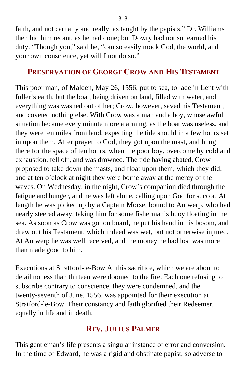faith, and not carnally and really, as taught by the papists." Dr. Williams then bid him recant, as he had done; but Dowry had not so learned his duty. "Though you," said he, "can so easily mock God, the world, and your own conscience, yet will I not do so."

# **PRESERVATION OF GEORGE CROW AND HIS TESTAMENT**

This poor man, of Malden, May 26, 1556, put to sea, to lade in Lent with fuller's earth, but the boat, being driven on land, filled with water, and everything was washed out of her; Crow, however, saved his Testament, and coveted nothing else. With Crow was a man and a boy, whose awful situation became every minute more alarming, as the boat was useless, and they were ten miles from land, expecting the tide should in a few hours set in upon them. After prayer to God, they got upon the mast, and hung there for the space of ten hours, when the poor boy, overcome by cold and exhaustion, fell off, and was drowned. The tide having abated, Crow proposed to take down the masts, and float upon them, which they did; and at ten o'clock at night they were borne away at the mercy of the waves. On Wednesday, in the night, Crow's companion died through the fatigue and hunger, and he was left alone, calling upon God for succor. At length he was picked up by a Captain Morse, bound to Antwerp, who had nearly steered away, taking him for some fisherman's buoy floating in the sea. As soon as Crow was got on board, he put his hand in his bosom, and drew out his Testament, which indeed was wet, but not otherwise injured. At Antwerp he was well received, and the money he had lost was more than made good to him.

Executions at Stratford-le-Bow At this sacrifice, which we are about to detail no less than thirteen were doomed to the fire. Each one refusing to subscribe contrary to conscience, they were condemned, and the twenty-seventh of June, 1556, was appointed for their execution at Stratford-le-Bow. Their constancy and faith glorified their Redeemer, equally in life and in death.

# **REV. JULIUS PALMER**

This gentleman's life presents a singular instance of error and conversion. In the time of Edward, he was a rigid and obstinate papist, so adverse to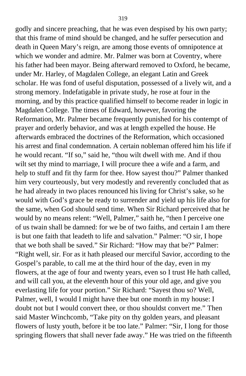godly and sincere preaching, that he was even despised by his own party; that this frame of mind should be changed, and he suffer persecution and death in Queen Mary's reign, are among those events of omnipotence at which we wonder and admire. Mr. Palmer was born at Coventry, where his father had been mayor. Being afterward removed to Oxford, he became, under Mr. Harley, of Magdalen College, an elegant Latin and Greek scholar. He was fond of useful disputation, possessed of a lively wit, and a strong memory. Indefatigable in private study, he rose at four in the morning, and by this practice qualified himself to become reader in logic in Magdalen College. The times of Edward, however, favoring the Reformation, Mr. Palmer became frequently punished for his contempt of prayer and orderly behavior, and was at length expelled the house. He afterwards embraced the doctrines of the Reformation, which occasioned his arrest and final condemnation. A certain nobleman offered him his life if he would recant. "If so," said he, "thou wilt dwell with me. And if thou wilt set thy mind to marriage, I will procure thee a wife and a farm, and help to stuff and fit thy farm for thee. How sayest thou?" Palmer thanked him very courteously, but very modestly and reverently concluded that as he had already in two places renounced his living for Christ's sake, so he would with God's grace be ready to surrender and yield up his life also for the same, when God should send time. When Sir Richard perceived that he would by no means relent: "Well, Palmer," saith he, "then I perceive one of us twain shall be damned: for we be of two faiths, and certain I am there is but one faith that leadeth to life and salvation." Palmer: "O sir, I hope that we both shall be saved." Sir Richard: "How may that be?" Palmer: "Right well, sir. For as it hath pleased our merciful Savior, according to the Gospel's parable, to call me at the third hour of the day, even in my flowers, at the age of four and twenty years, even so I trust He hath called, and will call you, at the eleventh hour of this your old age, and give you everlasting life for your portion." Sir Richard: "Sayest thou so? Well, Palmer, well, I would I might have thee but one month in my house: I doubt not but I would convert thee, or thou shouldst convert me." Then said Master Winchcomb, "Take pity on thy golden years, and pleasant flowers of lusty youth, before it be too late." Palmer: "Sir, I long for those springing flowers that shall never fade away." He was tried on the fifteenth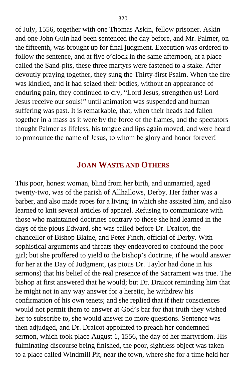of July, 1556, together with one Thomas Askin, fellow prisoner. Askin and one John Guin had been sentenced the day before, and Mr. Palmer, on the fifteenth, was brought up for final judgment. Execution was ordered to follow the sentence, and at five o'clock in the same afternoon, at a place called the Sand-pits, these three martyrs were fastened to a stake. After devoutly praying together, they sung the Thirty-first Psalm. When the fire was kindled, and it had seized their bodies, without an appearance of enduring pain, they continued to cry, "Lord Jesus, strengthen us! Lord Jesus receive our souls!" until animation was suspended and human suffering was past. It is remarkable, that, when their heads had fallen together in a mass as it were by the force of the flames, and the spectators thought Palmer as lifeless, his tongue and lips again moved, and were heard to pronounce the name of Jesus, to whom be glory and honor forever!

#### **JOAN WASTE AND OTHERS**

This poor, honest woman, blind from her birth, and unmarried, aged twenty-two, was of the parish of Allhallows, Derby. Her father was a barber, and also made ropes for a living: in which she assisted him, and also learned to knit several articles of apparel. Refusing to communicate with those who maintained doctrines contrary to those she had learned in the days of the pious Edward, she was called before Dr. Draicot, the chancellor of Bishop Blaine, and Peter Finch, official of Derby. With sophistical arguments and threats they endeavored to confound the poor girl; but she proffered to yield to the bishop's doctrine, if he would answer for her at the Day of Judgment, (as pious Dr. Taylor had done in his sermons) that his belief of the real presence of the Sacrament was true. The bishop at first answered that he would; but Dr. Draicot reminding him that he might not in any way answer for a heretic, he withdrew his confirmation of his own tenets; and she replied that if their consciences would not permit them to answer at God's bar for that truth they wished her to subscribe to, she would answer no more questions. Sentence was then adjudged, and Dr. Draicot appointed to preach her condemned sermon, which took place August 1, 1556, the day of her martyrdom. His fulminating discourse being finished, the poor, sightless object was taken to a place called Windmill Pit, near the town, where she for a time held her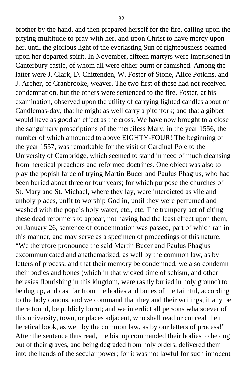brother by the hand, and then prepared herself for the fire, calling upon the pitying multitude to pray with her, and upon Christ to have mercy upon her, until the glorious light of the everlasting Sun of righteousness beamed upon her departed spirit. In November, fifteen martyrs were imprisoned in Canterbury castle, of whom all were either burnt or famished. Among the latter were J. Clark, D. Chittenden, W. Foster of Stone, Alice Potkins, and J. Archer, of Cranbrooke, weaver. The two first of these had not received condemnation, but the others were sentenced to the fire. Foster, at his examination, observed upon the utility of carrying lighted candles about on Candlemas-day, that he might as well carry a pitchfork; and that a gibbet would have as good an effect as the cross. We have now brought to a close the sanguinary proscriptions of the merciless Mary, in the year 1556, the number of which amounted to above EIGHTY-FOUR! The beginning of the year 1557, was remarkable for the visit of Cardinal Pole to the University of Cambridge, which seemed to stand in need of much cleansing from heretical preachers and reformed doctrines. One object was also to play the popish farce of trying Martin Bucer and Paulus Phagius, who had been buried about three or four years; for which purpose the churches of St. Mary and St. Michael, where they lay, were interdicted as vile and unholy places, unfit to worship God in, until they were perfumed and washed with the pope's holy water, etc., etc. The trumpery act of citing these dead reformers to appear, not having had the least effect upon them, on January 26, sentence of condemnation was passed, part of which ran in this manner, and may serve as a specimen of proceedings of this nature: "We therefore pronounce the said Martin Bucer and Paulus Phagius excommunicated and anathematized, as well by the common law, as by letters of process; and that their memory be condemned, we also condemn their bodies and bones (which in that wicked time of schism, and other heresies flourishing in this kingdom, were rashly buried in holy ground) to be dug up, and cast far from the bodies and bones of the faithful, according to the holy canons, and we command that they and their writings, if any be there found, be publicly burnt; and we interdict all persons whatsoever of this university, town, or places adjacent, who shall read or conceal their heretical book, as well by the common law, as by our letters of process!" After the sentence thus read, the bishop commanded their bodies to be dug out of their graves, and being degraded from holy orders, delivered them into the hands of the secular power; for it was not lawful for such innocent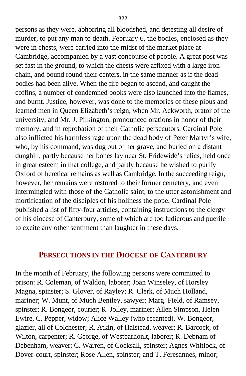persons as they were, abhorring all bloodshed, and detesting all desire of murder, to put any man to death. February 6, the bodies, enclosed as they were in chests, were carried into the midst of the market place at Cambridge, accompanied by a vast concourse of people. A great post was set fast in the ground, to which the chests were affixed with a large iron chain, and bound round their centers, in the same manner as if the dead bodies had been alive. When the fire began to ascend, and caught the coffins, a number of condemned books were also launched into the flames, and burnt. Justice, however, was done to the memories of these pious and learned men in Queen Elizabeth's reign, when Mr. Ackworth, orator of the university, and Mr. J. Pilkington, pronounced orations in honor of their memory, and in reprobation of their Catholic persecutors. Cardinal Pole also inflicted his harmless rage upon the dead body of Peter Martyr's wife, who, by his command, was dug out of her grave, and buried on a distant dunghill, partly because her bones lay near St. Fridewide's relics, held once in great esteem in that college, and partly because he wished to purify Oxford of heretical remains as well as Cambridge. In the succeeding reign, however, her remains were restored to their former cemetery, and even intermingled with those of the Catholic saint, to the utter astonishment and mortification of the disciples of his holiness the pope. Cardinal Pole published a list of fifty-four articles, containing instructions to the clergy of his diocese of Canterbury, some of which are too ludicrous and puerile to excite any other sentiment than laughter in these days.

## **PERSECUTIONS IN THE DIOCESE OF CANTERBURY**

In the month of February, the following persons were committed to prison: R. Coleman, of Waldon, laborer; Joan Winseley, of Horsley Magna, spinster; S. Glover, of Rayley; R. Clerk, of Much Holland, mariner; W. Munt, of Much Bentley, sawyer; Marg. Field, of Ramsey, spinster; R. Bongeor, courier; R. Jolley, mariner; Allen Simpson, Helen Ewire, C. Pepper, widow; Alice Walley (who recanted), W. Bongeor, glazier, all of Colchester; R. Atkin, of Halstead, weaver; R. Barcock, of Wilton, carpenter; R. George, of Westbarhonlt, laborer; R. Debnam of Debenham, weaver; C. Warren, of Cocksall, spinster; Agnes Whitlock, of Dover-court, spinster; Rose Allen, spinster; and T. Feresannes, minor;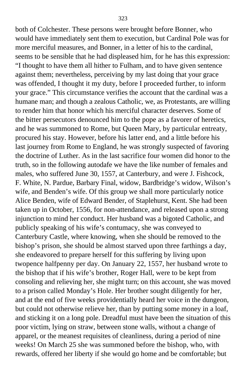both of Colchester. These persons were brought before Bonner, who would have immediately sent them to execution, but Cardinal Pole was for more merciful measures, and Bonner, in a letter of his to the cardinal, seems to be sensible that he had displeased him, for he has this expression: "I thought to have them all hither to Fulham, and to have given sentence against them; nevertheless, perceiving by my last doing that your grace was offended, I thought it my duty, before I proceeded further, to inform your grace." This circumstance verifies the account that the cardinal was a humane man; and though a zealous Catholic, we, as Protestants, are willing to render him that honor which his merciful character deserves. Some of the bitter persecutors denounced him to the pope as a favorer of heretics, and he was summoned to Rome, but Queen Mary, by particular entreaty, procured his stay. However, before his latter end, and a little before his last journey from Rome to England, he was strongly suspected of favoring the doctrine of Luther. As in the last sacrifice four women did honor to the truth, so in the following autodafe we have the like number of females and males, who suffered June 30, 1557, at Canterbury, and were J. Fishcock, F. White, N. Pardue, Barbary Final, widow, Bardbridge's widow, Wilson's wife, and Benden's wife. Of this group we shall more particularly notice Alice Benden, wife of Edward Bender, of Staplehurst, Kent. She had been taken up in October, 1556, for non-attendance, and released upon a strong injunction to mind her conduct. Her husband was a bigoted Catholic, and publicly speaking of his wife's contumacy, she was conveyed to Canterbury Castle, where knowing, when she should be removed to the bishop's prison, she should be almost starved upon three farthings a day, she endeavored to prepare herself for this suffering by living upon twopence halfpenny per day. On January 22, 1557, her husband wrote to the bishop that if his wife's brother, Roger Hall, were to be kept from consoling and relieving her, she might turn; on this account, she was moved to a prison called Monday's Hole. Her brother sought diligently for her, and at the end of five weeks providentially heard her voice in the dungeon, but could not otherwise relieve her, than by putting some money in a loaf, and sticking it on a long pole. Dreadful must have been the situation of this poor victim, lying on straw, between stone walls, without a change of apparel, or the meanest requisites of cleanliness, during a period of nine weeks! On March 25 she was summoned before the bishop, who, with rewards, offered her liberty if she would go home and be comfortable; but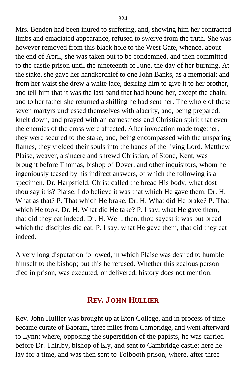Mrs. Benden had been inured to suffering, and, showing him her contracted limbs and emaciated appearance, refused to swerve from the truth. She was however removed from this black hole to the West Gate, whence, about the end of April, she was taken out to be condemned, and then committed to the castle prison until the nineteenth of June, the day of her burning. At the stake, she gave her handkerchief to one John Banks, as a memorial; and from her waist she drew a white lace, desiring him to give it to her brother, and tell him that it was the last band that had bound her, except the chain; and to her father she returned a shilling he had sent her. The whole of these seven martyrs undressed themselves with alacrity, and, being prepared, knelt down, and prayed with an earnestness and Christian spirit that even the enemies of the cross were affected. After invocation made together, they were secured to the stake, and, being encompassed with the unsparing flames, they yielded their souls into the hands of the living Lord. Matthew Plaise, weaver, a sincere and shrewd Christian, of Stone, Kent, was brought before Thomas, bishop of Dover, and other inquisitors, whom he ingeniously teased by his indirect answers, of which the following is a specimen. Dr. Harpsfield. Christ called the bread His body; what dost thou say it is? Plaise. I do believe it was that which He gave them. Dr. H. What as that? P. That which He brake. Dr. H. What did He brake? P. That which He took. Dr. H. What did He take? P. I say, what He gave them, that did they eat indeed. Dr. H. Well, then, thou sayest it was but bread which the disciples did eat. P. I say, what He gave them, that did they eat indeed.

A very long disputation followed, in which Plaise was desired to humble himself to the bishop; but this he refused. Whether this zealous person died in prison, was executed, or delivered, history does not mention.

# **REV. JOHN HULLIER**

Rev. John Hullier was brought up at Eton College, and in process of time became curate of Babram, three miles from Cambridge, and went afterward to Lynn; where, opposing the superstition of the papists, he was carried before Dr. Thirlby, bishop of Ely, and sent to Cambridge castle: here he lay for a time, and was then sent to Tolbooth prison, where, after three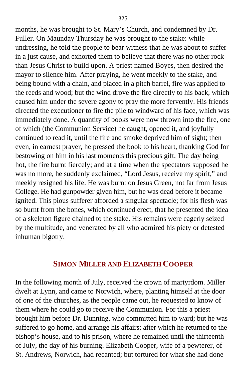months, he was brought to St. Mary's Church, and condemned by Dr. Fuller. On Maunday Thursday he was brought to the stake: while undressing, he told the people to bear witness that he was about to suffer in a just cause, and exhorted them to believe that there was no other rock than Jesus Christ to build upon. A priest named Boyes, then desired the mayor to silence him. After praying, he went meekly to the stake, and being bound with a chain, and placed in a pitch barrel, fire was applied to the reeds and wood; but the wind drove the fire directly to his back, which caused him under the severe agony to pray the more fervently. His friends directed the executioner to fire the pile to windward of his face, which was immediately done. A quantity of books were now thrown into the fire, one of which (the Communion Service) he caught, opened it, and joyfully continued to read it, until the fire and smoke deprived him of sight; then even, in earnest prayer, he pressed the book to his heart, thanking God for bestowing on him in his last moments this precious gift. The day being hot, the fire burnt fiercely; and at a time when the spectators supposed he was no more, he suddenly exclaimed, "Lord Jesus, receive my spirit," and meekly resigned his life. He was burnt on Jesus Green, not far from Jesus College. He had gunpowder given him, but he was dead before it became ignited. This pious sufferer afforded a singular spectacle; for his flesh was so burnt from the bones, which continued erect, that he presented the idea of a skeleton figure chained to the stake. His remains were eagerly seized by the multitude, and venerated by all who admired his piety or detested inhuman bigotry.

## **SIMON MILLER AND ELIZABETH COOPER**

In the following month of July, received the crown of martyrdom. Miller dwelt at Lynn, and came to Norwich, where, planting himself at the door of one of the churches, as the people came out, he requested to know of them where he could go to receive the Communion. For this a priest brought him before Dr. Dunning, who committed him to ward; but he was suffered to go home, and arrange his affairs; after which he returned to the bishop's house, and to his prison, where he remained until the thirteenth of July, the day of his burning. Elizabeth Cooper, wife of a pewterer, of St. Andrews, Norwich, had recanted; but tortured for what she had done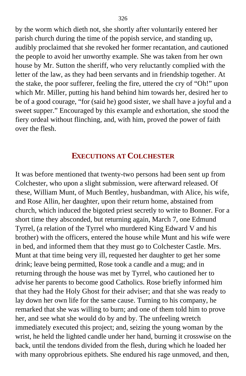by the worm which dieth not, she shortly after voluntarily entered her parish church during the time of the popish service, and standing up, audibly proclaimed that she revoked her former recantation, and cautioned the people to avoid her unworthy example. She was taken from her own house by Mr. Sutton the sheriff, who very reluctantly complied with the letter of the law, as they had been servants and in friendship together. At the stake, the poor sufferer, feeling the fire, uttered the cry of "Oh!" upon which Mr. Miller, putting his hand behind him towards her, desired her to be of a good courage, "for (said he) good sister, we shall have a joyful and a sweet supper." Encouraged by this example and exhortation, she stood the fiery ordeal without flinching, and, with him, proved the power of faith over the flesh.

#### **EXECUTIONS AT COLCHESTER**

It was before mentioned that twenty-two persons had been sent up from Colchester, who upon a slight submission, were afterward released. Of these, William Munt, of Much Bentley, husbandman, with Alice, his wife, and Rose Allin, her daughter, upon their return home, abstained from church, which induced the bigoted priest secretly to write to Bonner. For a short time they absconded, but returning again, March 7, one Edmund Tyrrel, (a relation of the Tyrrel who murdered King Edward V and his brother) with the officers, entered the house while Munt and his wife were in bed, and informed them that they must go to Colchester Castle. Mrs. Munt at that time being very ill, requested her daughter to get her some drink; leave being permitted, Rose took a candle and a mug; and in returning through the house was met by Tyrrel, who cautioned her to advise her parents to become good Catholics. Rose briefly informed him that they had the Holy Ghost for their adviser; and that she was ready to lay down her own life for the same cause. Turning to his company, he remarked that she was willing to burn; and one of them told him to prove her, and see what she would do by and by. The unfeeling wretch immediately executed this project; and, seizing the young woman by the wrist, he held the lighted candle under her hand, burning it crosswise on the back, until the tendons divided from the flesh, during which he loaded her with many opprobrious epithets. She endured his rage unmoved, and then,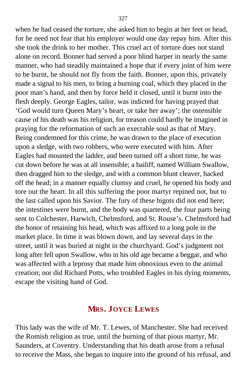when he had ceased the torture, she asked him to begin at her feet or head, for he need not fear that his employer would one day repay him. After this she took the drink to her mother. This cruel act of torture does not stand alone on record. Bonner had served a poor blind harper in nearly the same manner, who had steadily maintained a hope that if every joint of him were to be burnt, he should not fly from the faith. Bonner, upon this, privately made a signal to his men, to bring a burning coal, which they placed in the poor man's hand, and then by force held it closed, until it burnt into the flesh deeply. George Eagles, tailor, was indicted for having prayed that 'God would turn Queen Mary's heart, or take her away'; the ostensible cause of his death was his religion, for treason could hardly be imagined in praying for the reformation of such an execrable soul as that of Mary. Being condemned for this crime, he was drawn to the place of execution upon a sledge, with two robbers, who were executed with him. After Eagles had mounted the ladder, and been turned off a short time, he was cut down before he was at all insensible; a bailiff, named William Swallow, then dragged him to the sledge, and with a common blunt cleaver, hacked off the head; in a manner equally clumsy and cruel, he opened his body and tore out the heart. In all this suffering the poor martyr repined not, but to the last called upon his Savior. The fury of these bigots did not end here; the intestines were burnt, and the body was quartered, the four parts being sent to Colchester, Harwich, Chelmsford, and St. Rouse's. Chelmsford had the honor of retaining his head, which was affixed to a long pole in the market place. In time it was blown down, and lay several days in the street, until it was buried at night in the churchyard. God's judgment not long after fell upon Swallow, who in his old age became a beggar, and who was affected with a leprosy that made him obnoxious even to the animal creation; nor did Richard Potts, who troubled Eagles in his dying moments, escape the visiting hand of God.

## **MRS. JOYCE LEWES**

This lady was the wife of Mr. T. Lewes, of Manchester. She had received the Romish religion as true, until the burning of that pious martyr, Mr. Saunders, at Coventry. Understanding that his death arose from a refusal to receive the Mass, she began to inquire into the ground of his refusal, and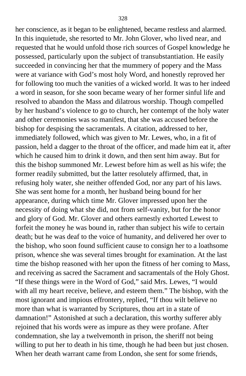her conscience, as it began to be enlightened, became restless and alarmed. In this inquietude, she resorted to Mr. John Glover, who lived near, and requested that he would unfold those rich sources of Gospel knowledge he possessed, particularly upon the subject of transubstantiation. He easily succeeded in convincing her that the mummery of popery and the Mass were at variance with God's most holy Word, and honestly reproved her for following too much the vanities of a wicked world. It was to her indeed a word in season, for she soon became weary of her former sinful life and resolved to abandon the Mass and dilatrous worship. Though compelled by her husband's violence to go to church, her contempt of the holy water and other ceremonies was so manifest, that she was accused before the bishop for despising the sacramentals. A citation, addressed to her, immediately followed, which was given to Mr. Lewes, who, in a fit of passion, held a dagger to the throat of the officer, and made him eat it, after which he caused him to drink it down, and then sent him away. But for this the bishop summoned Mr. Lewest before him as well as his wife; the former readily submitted, but the latter resolutely affirmed, that, in refusing holy water, she neither offended God, nor any part of his laws. She was sent home for a month, her husband being bound for her appearance, during which time Mr. Glover impressed upon her the necessity of doing what she did, not from self-vanity, but for the honor and glory of God. Mr. Glover and others earnestly exhorted Lewest to forfeit the money he was bound in, rather than subject his wife to certain death; but he was deaf to the voice of humanity, and delivered her over to the bishop, who soon found sufficient cause to consign her to a loathsome prison, whence she was several times brought for examination. At the last time the bishop reasoned with her upon the fitness of her coming to Mass, and receiving as sacred the Sacrament and sacramentals of the Holy Ghost. "If these things were in the Word of God," said Mrs. Lewes, "I would with all my heart receive, believe, and esteem them." The bishop, with the most ignorant and impious effrontery, replied, "If thou wilt believe no more than what is warranted by Scriptures, thou art in a state of damnation!" Astonished at such a declaration, this worthy sufferer ably rejoined that his words were as impure as they were profane. After condemnation, she lay a twelvemonth in prison, the sheriff not being willing to put her to death in his time, though he had been but just chosen. When her death warrant came from London, she sent for some friends,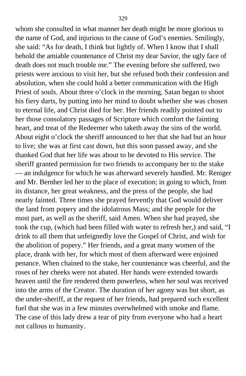whom she consulted in what manner her death might be more glorious to the name of God, and injurious to the cause of God's enemies. Smilingly, she said: "As for death, I think but lightly of. When I know that I shall behold the amiable countenance of Christ my dear Savior, the ugly face of death does not much trouble me." The evening before she suffered, two priests were anxious to visit her, but she refused both their confession and absolution, when she could hold a better communication with the High Priest of souls. About three o'clock in the morning, Satan began to shoot his fiery darts, by putting into her mind to doubt whether she was chosen to eternal life, and Christ died for her. Her friends readily pointed out to her those consolatory passages of Scripture which comfort the fainting heart, and treat of the Redeemer who taketh away the sins of the world. About eight o'clock the sheriff announced to her that she had but an hour to live; she was at first cast down, but this soon passed away, and she thanked God that her life was about to be devoted to His service. The sheriff granted permission for two friends to accompany her to the stake — an indulgence for which he was afterward severely handled. Mr. Reniger and Mr. Bernher led her to the place of execution; in going to which, from its distance, her great weakness, and the press of the people, she had nearly fainted. Three times she prayed fervently that God would deliver the land from popery and the idolatrous Mass; and the people for the most part, as well as the sheriff, said Amen. When she had prayed, she took the cup, (which had been filled with water to refresh her,) and said, "I drink to all them that unfeignedly love the Gospel of Christ, and wish for the abolition of popery." Her friends, and a great many women of the place, drank with her, for which most of them afterward were enjoined penance. When chained to the stake, her countenance was cheerful, and the roses of her cheeks were not abated. Her hands were extended towards heaven until the fire rendered them powerless, when her soul was received into the arms of the Creator. The duration of her agony was but short, as the under-sheriff, at the request of her friends, had prepared such excellent fuel that she was in a few minutes overwhelmed with smoke and flame. The case of this lady drew a tear of pity from everyone who had a heart not callous to humanity.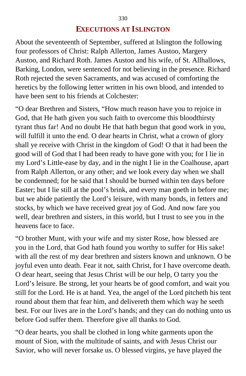## **EXECUTIONS AT ISLINGTON**

About the seventeenth of September, suffered at Islington the following four professors of Christ: Ralph Allerton, James Austoo, Margery Austoo, and Richard Roth. James Austoo and his wife, of St. Allhallows, Barking, London, were sentenced for not believing in the presence. Richard Roth rejected the seven Sacraments, and was accused of comforting the heretics by the following letter written in his own blood, and intended to have been sent to his friends at Colchester:

"O dear Brethren and Sisters, "How much reason have you to rejoice in God, that He hath given you such faith to overcome this bloodthirsty tyrant thus far! And no doubt He that hath begun that good work in you, will fulfill it unto the end. O dear hearts in Christ, what a crown of glory shall ye receive with Christ in the kingdom of God! O that it had been the good will of God that I had been ready to have gone with you; for I lie in my Lord's Little-ease by day, and in the night I lie in the Coalhouse, apart from Ralph Allerton, or any other; and we look every day when we shall be condemned; for he said that I should be burned within ten days before Easter; but I lie still at the pool's brink, and every man goeth in before me; but we abide patiently the Lord's leisure, with many bonds, in fetters and stocks, by which we have received great joy of God. And now fare you well, dear brethren and sisters, in this world, but I trust to see you in the heavens face to face.

"O brother Munt, with your wife and my sister Rose, how blessed are you in the Lord, that God hath found you worthy to suffer for His sake! with all the rest of my dear brethren and sisters known and unknown. O be joyful even unto death. Fear it not, saith Christ, for I have overcome death. O dear heart, seeing that Jesus Christ will be our help, O tarry you the Lord's leisure. Be strong, let your hearts be of good comfort, and wait you still for the Lord. He is at hand. Yea, the angel of the Lord pitcheth his tent round about them that fear him, and delivereth them which way he seeth best. For our lives are in the Lord's hands; and they can do nothing unto us before God suffer them. Therefore give all thanks to God.

"O dear hearts, you shall be clothed in long white garments upon the mount of Sion, with the multitude of saints, and with Jesus Christ our Savior, who will never forsake us. O blessed virgins, ye have played the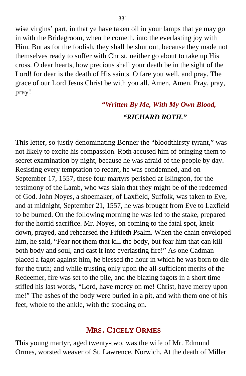wise virgins' part, in that ye have taken oil in your lamps that ye may go in with the Bridegroom, when he cometh, into the everlasting joy with Him. But as for the foolish, they shall be shut out, because they made not themselves ready to suffer with Christ, neither go about to take up His cross. O dear hearts, how precious shall your death be in the sight of the Lord! for dear is the death of His saints. O fare you well, and pray. The grace of our Lord Jesus Christ be with you all. Amen, Amen. Pray, pray, pray!

# *"Written By Me, With My Own Blood, "RICHARD ROTH."*

This letter, so justly denominating Bonner the "bloodthirsty tyrant," was not likely to excite his compassion. Roth accused him of bringing them to secret examination by night, because he was afraid of the people by day. Resisting every temptation to recant, he was condemned, and on September 17, 1557, these four martyrs perished at Islington, for the testimony of the Lamb, who was slain that they might be of the redeemed of God. John Noyes, a shoemaker, of Laxfield, Suffolk, was taken to Eye, and at midnight, September 21, 1557, he was brought from Eye to Laxfield to be burned. On the following morning he was led to the stake, prepared for the horrid sacrifice. Mr. Noyes, on coming to the fatal spot, knelt down, prayed, and rehearsed the Fiftieth Psalm. When the chain enveloped him, he said, "Fear not them that kill the body, but fear him that can kill both body and soul, and cast it into everlasting fire!" As one Cadman placed a fagot against him, he blessed the hour in which he was born to die for the truth; and while trusting only upon the all-sufficient merits of the Redeemer, fire was set to the pile, and the blazing fagots in a short time stifled his last words, "Lord, have mercy on me! Christ, have mercy upon me!" The ashes of the body were buried in a pit, and with them one of his feet, whole to the ankle, with the stocking on.

### **MRS. CICELY ORMES**

This young martyr, aged twenty-two, was the wife of Mr. Edmund Ormes, worsted weaver of St. Lawrence, Norwich. At the death of Miller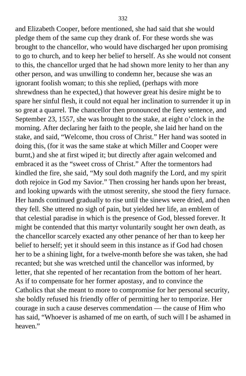and Elizabeth Cooper, before mentioned, she had said that she would pledge them of the same cup they drank of. For these words she was brought to the chancellor, who would have discharged her upon promising to go to church, and to keep her belief to herself. As she would not consent to this, the chancellor urged that he had shown more lenity to her than any other person, and was unwilling to condemn her, because she was an ignorant foolish woman; to this she replied, (perhaps with more shrewdness than he expected,) that however great his desire might be to spare her sinful flesh, it could not equal her inclination to surrender it up in so great a quarrel. The chancellor then pronounced the fiery sentence, and September 23, 1557, she was brought to the stake, at eight o'clock in the morning. After declaring her faith to the people, she laid her hand on the stake, and said, "Welcome, thou cross of Christ." Her hand was sooted in doing this, (for it was the same stake at which Miller and Cooper were burnt,) and she at first wiped it; but directly after again welcomed and embraced it as the "sweet cross of Christ." After the tormentors had kindled the fire, she said, "My soul doth magnify the Lord, and my spirit doth rejoice in God my Savior." Then crossing her hands upon her breast, and looking upwards with the utmost serenity, she stood the fiery furnace. Her hands continued gradually to rise until the sinews were dried, and then they fell. She uttered no sigh of pain, but yielded her life, an emblem of that celestial paradise in which is the presence of God, blessed forever. It might be contended that this martyr voluntarily sought her own death, as the chancellor scarcely exacted any other penance of her than to keep her belief to herself; yet it should seem in this instance as if God had chosen her to be a shining light, for a twelve-month before she was taken, she had recanted; but she was wretched until the chancellor was informed, by letter, that she repented of her recantation from the bottom of her heart. As if to compensate for her former apostasy, and to convince the Catholics that she meant to more to compromise for her personal security, she boldly refused his friendly offer of permitting her to temporize. Her courage in such a cause deserves commendation — the cause of Him who has said, "Whoever is ashamed of me on earth, of such will I be ashamed in heaven."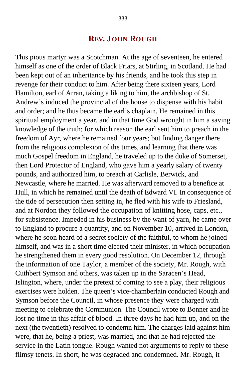## **REV. JOHN ROUGH**

This pious martyr was a Scotchman. At the age of seventeen, he entered himself as one of the order of Black Friars, at Stirling, in Scotland. He had been kept out of an inheritance by his friends, and he took this step in revenge for their conduct to him. After being there sixteen years, Lord Hamilton, earl of Arran, taking a liking to him, the archbishop of St. Andrew's induced the provincial of the house to dispense with his habit and order; and he thus became the earl's chaplain. He remained in this spiritual employment a year, and in that time God wrought in him a saving knowledge of the truth; for which reason the earl sent him to preach in the freedom of Ayr, where he remained four years; but finding danger there from the religious complexion of the times, and learning that there was much Gospel freedom in England, he traveled up to the duke of Somerset, then Lord Protector of England, who gave him a yearly salary of twenty pounds, and authorized him, to preach at Carlisle, Berwick, and Newcastle, where he married. He was afterward removed to a benefice at Hull, in which he remained until the death of Edward VI. In consequence of the tide of persecution then setting in, he fled with his wife to Friesland, and at Nordon they followed the occupation of knitting hose, caps, etc., for subsistence. Impeded in his business by the want of yarn, he came over to England to procure a quantity, and on November 10, arrived in London, where he soon heard of a secret society of the faithful, to whom he joined himself, and was in a short time elected their minister, in which occupation he strengthened them in every good resolution. On December 12, through the information of one Taylor, a member of the society, Mr. Rough, with Cuthbert Symson and others, was taken up in the Saracen's Head, Islington, where, under the pretext of coming to see a play, their religious exercises were holden. The queen's vice-chamberlain conducted Rough and Symson before the Council, in whose presence they were charged with meeting to celebrate the Communion. The Council wrote to Bonner and he lost no time in this affair of blood. In three days he had him up, and on the next (the twentieth) resolved to condemn him. The charges laid against him were, that he, being a priest, was married, and that he had rejected the service in the Latin tongue. Rough wanted not arguments to reply to these flimsy tenets. In short, he was degraded and condemned. Mr. Rough, it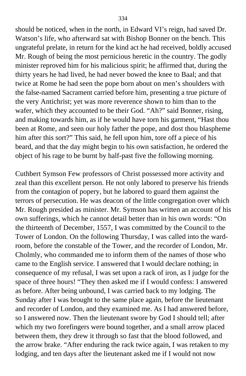should be noticed, when in the north, in Edward VI's reign, had saved Dr. Watson's life, who afterward sat with Bishop Bonner on the bench. This ungrateful prelate, in return for the kind act he had received, boldly accused Mr. Rough of being the most pernicious heretic in the country. The godly minister reproved him for his malicious spirit; he affirmed that, during the thirty years he had lived, he had never bowed the knee to Baal; and that twice at Rome he had seen the pope born about on men's shoulders with the false-named Sacrament carried before him, presenting a true picture of the very Antichrist; yet was more reverence shown to him than to the wafer, which they accounted to be their God. "Ah?" said Bonner, rising, and making towards him, as if he would have torn his garment, "Hast thou been at Rome, and seen our holy father the pope, and dost thou blaspheme him after this sort?" This said, he fell upon him, tore off a piece of his beard, and that the day might begin to his own satisfaction, he ordered the object of his rage to be burnt by half-past five the following morning.

Cuthbert Symson Few professors of Christ possessed more activity and zeal than this excellent person. He not only labored to preserve his friends from the contagion of popery, but he labored to guard them against the terrors of persecution. He was deacon of the little congregation over which Mr. Rough presided as minister. Mr. Symson has written an account of his own sufferings, which he cannot detail better than in his own words: "On the thirteenth of December, 1557, I was committed by the Council to the Tower of London. On the following Thursday, I was called into the wardroom, before the constable of the Tower, and the recorder of London, Mr. Cholmly, who commanded me to inform them of the names of those who came to the English service. I answered that I would declare nothing; in consequence of my refusal, I was set upon a rack of iron, as I judge for the space of three hours! "They then asked me if I would confess: I answered as before. After being unbound, I was carried back to my lodging. The Sunday after I was brought to the same place again, before the lieutenant and recorder of London, and they examined me. As I had answered before, so I answered now. Then the lieutenant swore by God I should tell; after which my two forefingers were bound together, and a small arrow placed between them, they drew it through so fast that the blood followed, and the arrow brake. "After enduring the rack twice again, I was retaken to my lodging, and ten days after the lieutenant asked me if I would not now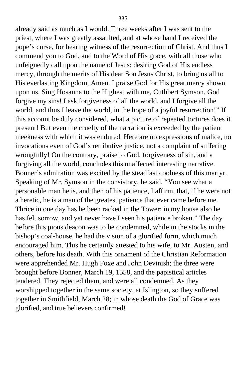already said as much as I would. Three weeks after I was sent to the priest, where I was greatly assaulted, and at whose hand I received the pope's curse, for bearing witness of the resurrection of Christ. And thus I commend you to God, and to the Word of His grace, with all those who unfeignedly call upon the name of Jesus; desiring God of His endless mercy, through the merits of His dear Son Jesus Christ, to bring us all to His everlasting Kingdom, Amen. I praise God for His great mercy shown upon us. Sing Hosanna to the Highest with me, Cuthbert Symson. God forgive my sins! I ask forgiveness of all the world, and I forgive all the world, and thus I leave the world, in the hope of a joyful resurrection!" If this account be duly considered, what a picture of repeated tortures does it present! But even the cruelty of the narration is exceeded by the patient meekness with which it was endured. Here are no expressions of malice, no invocations even of God's retributive justice, not a complaint of suffering wrongfully! On the contrary, praise to God, forgiveness of sin, and a forgiving all the world, concludes this unaffected interesting narrative. Bonner's admiration was excited by the steadfast coolness of this martyr. Speaking of Mr. Symson in the consistory, he said, "You see what a personable man he is, and then of his patience, I affirm, that, if he were not a heretic, he is a man of the greatest patience that ever came before me. Thrice in one day has he been racked in the Tower; in my house also he has felt sorrow, and yet never have I seen his patience broken." The day before this pious deacon was to be condemned, while in the stocks in the bishop's coal-house, he had the vision of a glorified form, which much encouraged him. This he certainly attested to his wife, to Mr. Austen, and others, before his death. With this ornament of the Christian Reformation were apprehended Mr. Hugh Foxe and John Devinish; the three were brought before Bonner, March 19, 1558, and the papistical articles tendered. They rejected them, and were all condemned. As they worshipped together in the same society, at Islington, so they suffered together in Smithfield, March 28; in whose death the God of Grace was glorified, and true believers confirmed!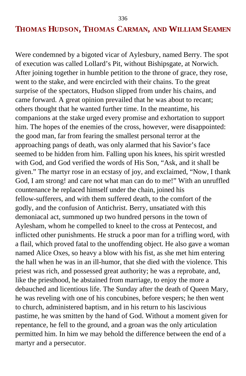## **THOMAS HUDSON, THOMAS CARMAN, AND WILLIAM SEAMEN**

Were condemned by a bigoted vicar of Aylesbury, named Berry. The spot of execution was called Lollard's Pit, without Bishipsgate, at Norwich. After joining together in humble petition to the throne of grace, they rose, went to the stake, and were encircled with their chains. To the great surprise of the spectators, Hudson slipped from under his chains, and came forward. A great opinion prevailed that he was about to recant; others thought that he wanted further time. In the meantime, his companions at the stake urged every promise and exhortation to support him. The hopes of the enemies of the cross, however, were disappointed: the good man, far from fearing the smallest personal terror at the approaching pangs of death, was only alarmed that his Savior's face seemed to be hidden from him. Falling upon his knees, his spirit wrestled with God, and God verified the words of His Son, "Ask, and it shall be given." The martyr rose in an ecstasy of joy, and exclaimed, "Now, I thank God, I am strong! and care not what man can do to me!" With an unruffled countenance he replaced himself under the chain, joined his fellow-sufferers, and with them suffered death, to the comfort of the godly, and the confusion of Antichrist. Berry, unsatiated with this demoniacal act, summoned up two hundred persons in the town of Aylesham, whom he compelled to kneel to the cross at Pentecost, and inflicted other punishments. He struck a poor man for a trifling word, with a flail, which proved fatal to the unoffending object. He also gave a woman named Alice Oxes, so heavy a blow with his fist, as she met him entering the hall when he was in an ill-humor, that she died with the violence. This priest was rich, and possessed great authority; he was a reprobate, and, like the priesthood, he abstained from marriage, to enjoy the more a debauched and licentious life. The Sunday after the death of Queen Mary, he was reveling with one of his concubines, before vespers; he then went to church, administered baptism, and in his return to his lascivious pastime, he was smitten by the hand of God. Without a moment given for repentance, he fell to the ground, and a groan was the only articulation permitted him. In him we may behold the difference between the end of a martyr and a persecutor.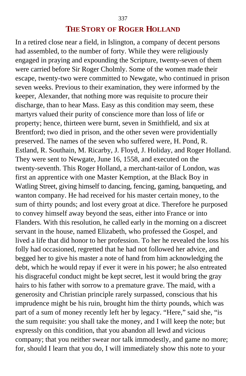### **THE STORY OF ROGER HOLLAND**

In a retired close near a field, in Islington, a company of decent persons had assembled, to the number of forty. While they were religiously engaged in praying and expounding the Scripture, twenty-seven of them were carried before Sir Roger Cholmly. Some of the women made their escape, twenty-two were committed to Newgate, who continued in prison seven weeks. Previous to their examination, they were informed by the keeper, Alexander, that nothing more was requisite to procure their discharge, than to hear Mass. Easy as this condition may seem, these martyrs valued their purity of conscience more than loss of life or property; hence, thirteen were burnt, seven in Smithfield, and six at Brentford; two died in prison, and the other seven were providentially preserved. The names of the seven who suffered were, H. Pond, R. Estland, R. Southain, M. Ricarby, J. Floyd, J. Holiday, and Roger Holland. They were sent to Newgate, June 16, 1558, and executed on the twenty-seventh. This Roger Holland, a merchant-tailor of London, was first an apprentice with one Master Kemption, at the Black Boy in Watling Street, giving himself to dancing, fencing, gaming, banqueting, and wanton company. He had received for his master certain money, to the sum of thirty pounds; and lost every groat at dice. Therefore he purposed to convey himself away beyond the seas, either into France or into Flanders. With this resolution, he called early in the morning on a discreet servant in the house, named Elizabeth, who professed the Gospel, and lived a life that did honor to her profession. To her he revealed the loss his folly had occasioned, regretted that he had not followed her advice, and begged her to give his master a note of hand from him acknowledging the debt, which he would repay if ever it were in his power; he also entreated his disgraceful conduct might be kept secret, lest it would bring the gray hairs to his father with sorrow to a premature grave. The maid, with a generosity and Christian principle rarely surpassed, conscious that his imprudence might be his ruin, brought him the thirty pounds, which was part of a sum of money recently left her by legacy. "Here," said she, "is the sum requisite: you shall take the money, and I will keep the note; but expressly on this condition, that you abandon all lewd and vicious company; that you neither swear nor talk immodestly, and game no more; for, should I learn that you do, I will immediately show this note to your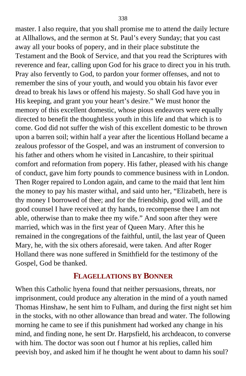master. I also require, that you shall promise me to attend the daily lecture at Allhallows, and the sermon at St. Paul's every Sunday; that you cast away all your books of popery, and in their place substitute the Testament and the Book of Service, and that you read the Scriptures with reverence and fear, calling upon God for his grace to direct you in his truth. Pray also fervently to God, to pardon your former offenses, and not to remember the sins of your youth, and would you obtain his favor ever dread to break his laws or offend his majesty. So shall God have you in His keeping, and grant you your heart's desire." We must honor the memory of this excellent domestic, whose pious endeavors were equally directed to benefit the thoughtless youth in this life and that which is to come. God did not suffer the wish of this excellent domestic to be thrown upon a barren soil; within half a year after the licentious Holland became a zealous professor of the Gospel, and was an instrument of conversion to his father and others whom he visited in Lancashire, to their spiritual comfort and reformation from popery. His father, pleased with his change of conduct, gave him forty pounds to commence business with in London. Then Roger repaired to London again, and came to the maid that lent him the money to pay his master withal, and said unto her, "Elizabeth, here is thy money I borrowed of thee; and for the friendship, good will, and the good counsel I have received at thy hands, to recompense thee I am not able, otherwise than to make thee my wife." And soon after they were married, which was in the first year of Queen Mary. After this he remained in the congregations of the faithful, until, the last year of Queen Mary, he, with the six others aforesaid, were taken. And after Roger Holland there was none suffered in Smithfield for the testimony of the Gospel, God be thanked.

#### **FLAGELLATIONS BY BONNER**

When this Catholic hyena found that neither persuasions, threats, nor imprisonment, could produce any alteration in the mind of a youth named Thomas Hinshaw, he sent him to Fulham, and during the first night set him in the stocks, with no other allowance than bread and water. The following morning he came to see if this punishment had worked any change in his mind, and finding none, he sent Dr. Harpsfield, his archdeacon, to converse with him. The doctor was soon out f humor at his replies, called him peevish boy, and asked him if he thought he went about to damn his soul?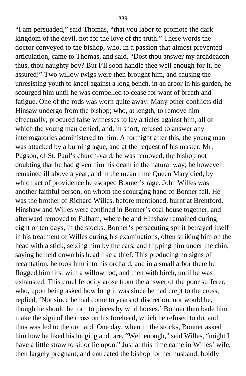"I am persuaded," said Thomas, "that you labor to promote the dark kingdom of the devil, not for the love of the truth." These words the doctor conveyed to the bishop, who, in a passion that almost prevented articulation, came to Thomas, and said, "Dost thou answer my archdeacon thus, thou naughty boy? But I'll soon handle thee well enough for it, be assured!" Two willow twigs were then brought him, and causing the unresisting youth to kneel against a long bench, in an arbor in his garden, he scourged him until he was compelled to cease for want of breath and fatigue. One of the rods was worn quite away. Many other conflicts did Hinsaw undergo from the bishop; who, at length, to remove him effectually, procured false witnesses to lay articles against him, all of which the young man denied, and, in short, refused to answer any interrogatories administered to him. A fortnight after this, the young man was attacked by a burning ague, and at the request of his master. Mr. Pugson, of St. Paul's church-yard, he was removed, the bishop not doubting that he had given him his death in the natural way; he however remained ill above a year, and in the mean time Queen Mary died, by which act of providence he escaped Bonner's rage. John Willes was another faithful person, on whom the scourging hand of Bonner fell. He was the brother of Richard Willes, before mentioned, burnt at Brentford. Hinshaw and Willes were confined in Bonner's coal house together, and afterward removed to Fulham, where he and Hinshaw remained during eight or ten days, in the stocks. Bonner's persecuting spirit betrayed itself in his treatment of Willes during his examinations, often striking him on the head with a stick, seizing him by the ears, and flipping him under the chin, saying he held down his head like a thief. This producing no signs of recantation, he took him into his orchard, and in a small arbor there he flogged him first with a willow rod, and then with birch, until he was exhausted. This cruel ferocity arose from the answer of the poor sufferer, who, upon being asked how long it was since he had crept to the cross, replied, 'Not since he had come to years of discretion, nor would he, though he should be torn to pieces by wild horses.' Bonner then bade him make the sign of the cross on his forehead, which he refused to do, and thus was led to the orchard. One day, when in the stocks, Bonner asked him how he liked his lodging and fare. "Well enough," said Willes, "might I have a little straw to sit or lie upon." Just at this time came in Willes' wife, then largely pregnant, and entreated the bishop for her husband, boldly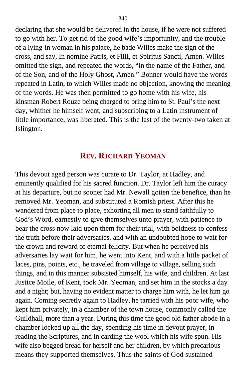declaring that she would be delivered in the house, if he were not suffered to go with her. To get rid of the good wife's importunity, and the trouble of a lying-in woman in his palace, he bade Willes make the sign of the cross, and say, In nomine Patris, et Filii, et Spiritus Sancti, Amen. Willes omitted the sign, and repeated the words, "in the name of the Father, and of the Son, and of the Holy Ghost, Amen." Bonner would have the words repeated in Latin, to which Willes made no objection, knowing the meaning of the words. He was then permitted to go home with his wife, his kinsman Robert Rouze being charged to bring him to St. Paul's the next day, whither he himself went, and subscribing to a Latin instrument of little importance, was liberated. This is the last of the twenty-two taken at Islington.

### **REV. RICHARD YEOMAN**

This devout aged person was curate to Dr. Taylor, at Hadley, and eminently qualified for his sacred function. Dr. Taylor left him the curacy at his departure, but no sooner had Mr. Newall gotten the benefice, than he removed Mr. Yeoman, and substituted a Romish priest. After this he wandered from place to place, exhorting all men to stand faithfully to God's Word, earnestly to give themselves unto prayer, with patience to bear the cross now laid upon them for their trial, with boldness to confess the truth before their adversaries, and with an undoubted hope to wait for the crown and reward of eternal felicity. But when he perceived his adversaries lay wait for him, he went into Kent, and with a little packet of laces, pins, points, etc., he traveled from village to village, selling such things, and in this manner subsisted himself, his wife, and children. At last Justice Moile, of Kent, took Mr. Yeoman, and set him in the stocks a day and a night; but, having no evident matter to charge him with, he let him go again. Coming secretly again to Hadley, he tarried with his poor wife, who kept him privately, in a chamber of the town house, commonly called the Guildhall, more than a year. During this time the good old father abode in a chamber locked up all the day, spending his time in devout prayer, in reading the Scriptures, and in carding the wool which his wife spun. His wife also begged bread for herself and her children, by which precarious means they supported themselves. Thus the saints of God sustained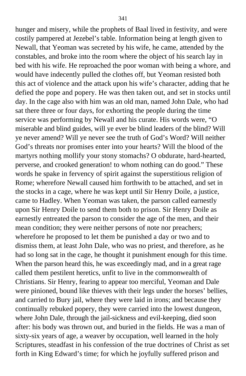hunger and misery, while the prophets of Baal lived in festivity, and were costily pampered at Jezebel's table. Information being at length given to Newall, that Yeoman was secreted by his wife, he came, attended by the constables, and broke into the room where the object of his search lay in bed with his wife. He reproached the poor woman with being a whore, and would have indecently pulled the clothes off, but Yeoman resisted both this act of violence and the attack upon his wife's character, adding that he defied the pope and popery. He was then taken out, and set in stocks until day. In the cage also with him was an old man, named John Dale, who had sat there three or four days, for exhorting the people during the time service was performing by Newall and his curate. His words were, "O miserable and blind guides, will ye ever be blind leaders of the blind? Will ye never amend? Will ye never see the truth of God's Word? Will neither God's threats nor promises enter into your hearts? Will the blood of the martyrs nothing mollify your stony stomachs? O obdurate, hard-hearted, perverse, and crooked generation! to whom nothing can do good." These words he spake in fervency of spirit against the superstitious religion of Rome; wherefore Newall caused him forthwith to be attached, and set in the stocks in a cage, where he was kept until Sir Henry Doile, a justice, came to Hadley. When Yeoman was taken, the parson called earnestly upon Sir Henry Doile to send them both to prison. Sir Henry Doile as earnestly entreated the parson to consider the age of the men, and their mean condition; they were neither persons of note nor preachers; wherefore he proposed to let them be punished a day or two and to dismiss them, at least John Dale, who was no priest, and therefore, as he had so long sat in the cage, he thought it punishment enough for this time. When the parson heard this, he was exceedingly mad, and in a great rage called them pestilent heretics, unfit to live in the commonwealth of Christians. Sir Henry, fearing to appear too merciful, Yeoman and Dale were pinioned, bound like thieves with their legs under the horses' bellies, and carried to Bury jail, where they were laid in irons; and because they continually rebuked popery, they were carried into the lowest dungeon, where John Dale, through the jail-sickness and evil-keeping, died soon after: his body was thrown out, and buried in the fields. He was a man of sixty-six years of age, a weaver by occupation, well learned in the holy Scriptures, steadfast in his confession of the true doctrines of Christ as set forth in King Edward's time; for which he joyfully suffered prison and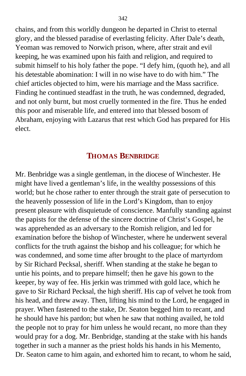chains, and from this worldly dungeon he departed in Christ to eternal glory, and the blessed paradise of everlasting felicity. After Dale's death, Yeoman was removed to Norwich prison, where, after strait and evil keeping, he was examined upon his faith and religion, and required to submit himself to his holy father the pope. "I defy him, (quoth he), and all his detestable abomination: I will in no wise have to do with him." The chief articles objected to him, were his marriage and the Mass sacrifice. Finding he continued steadfast in the truth, he was condemned, degraded, and not only burnt, but most cruelly tormented in the fire. Thus he ended this poor and miserable life, and entered into that blessed bosom of Abraham, enjoying with Lazarus that rest which God has prepared for His elect.

### **THOMAS BENBRIDGE**

Mr. Benbridge was a single gentleman, in the diocese of Winchester. He might have lived a gentleman's life, in the wealthy possessions of this world; but he chose rather to enter through the strait gate of persecution to the heavenly possession of life in the Lord's Kingdom, than to enjoy present pleasure with disquietude of conscience. Manfully standing against the papists for the defense of the sincere doctrine of Christ's Gospel, he was apprehended as an adversary to the Romish religion, and led for examination before the bishop of Winchester, where he underwent several conflicts for the truth against the bishop and his colleague; for which he was condemned, and some time after brought to the place of martyrdom by Sir Richard Pecksal, sheriff. When standing at the stake he began to untie his points, and to prepare himself; then he gave his gown to the keeper, by way of fee. His jerkin was trimmed with gold lace, which he gave to Sir Richard Pecksal, the high sheriff. His cap of velvet he took from his head, and threw away. Then, lifting his mind to the Lord, he engaged in prayer. When fastened to the stake, Dr. Seaton begged him to recant, and he should have his pardon; but when he saw that nothing availed, he told the people not to pray for him unless he would recant, no more than they would pray for a dog. Mr. Benbridge, standing at the stake with his hands together in such a manner as the priest holds his hands in his Memento, Dr. Seaton came to him again, and exhorted him to recant, to whom he said,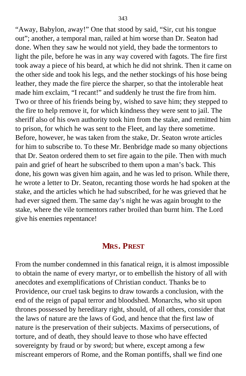"Away, Babylon, away!" One that stood by said, "Sir, cut his tongue out"; another, a temporal man, railed at him worse than Dr. Seaton had done. When they saw he would not yield, they bade the tormentors to light the pile, before he was in any way covered with fagots. The fire first took away a piece of his beard, at which he did not shrink. Then it came on the other side and took his legs, and the nether stockings of his hose being leather, they made the fire pierce the sharper, so that the intolerable heat made him exclaim, "I recant!" and suddenly he trust the fire from him. Two or three of his friends being by, wished to save him; they stepped to the fire to help remove it, for which kindness they were sent to jail. The sheriff also of his own authority took him from the stake, and remitted him to prison, for which he was sent to the Fleet, and lay there sometime. Before, however, he was taken from the stake, Dr. Seaton wrote articles for him to subscribe to. To these Mr. Benbridge made so many objections that Dr. Seaton ordered them to set fire again to the pile. Then with much pain and grief of heart he subscribed to them upon a man's back. This done, his gown was given him again, and he was led to prison. While there, he wrote a letter to Dr. Seaton, recanting those words he had spoken at the stake, and the articles which he had subscribed, for he was grieved that he had ever signed them. The same day's night he was again brought to the stake, where the vile tormentors rather broiled than burnt him. The Lord give his enemies repentance!

#### **MRS. PREST**

From the number condemned in this fanatical reign, it is almost impossible to obtain the name of every martyr, or to embellish the history of all with anecdotes and exemplifications of Christian conduct. Thanks be to Providence, our cruel task begins to draw towards a conclusion, with the end of the reign of papal terror and bloodshed. Monarchs, who sit upon thrones possessed by hereditary right, should, of all others, consider that the laws of nature are the laws of God, and hence that the first law of nature is the preservation of their subjects. Maxims of persecutions, of torture, and of death, they should leave to those who have effected sovereignty by fraud or by sword; but where, except among a few miscreant emperors of Rome, and the Roman pontiffs, shall we find one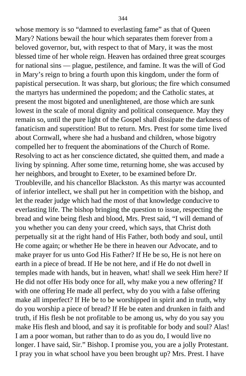whose memory is so "damned to everlasting fame" as that of Queen Mary? Nations bewail the hour which separates them forever from a beloved governor, but, with respect to that of Mary, it was the most blessed time of her whole reign. Heaven has ordained three great scourges for national sins — plague, pestilence, and famine. It was the will of God in Mary's reign to bring a fourth upon this kingdom, under the form of papistical persecution. It was sharp, but glorious; the fire which consumed the martyrs has undermined the popedom; and the Catholic states, at present the most bigoted and unenlightened, are those which are sunk lowest in the scale of moral dignity and political consequence. May they remain so, until the pure light of the Gospel shall dissipate the darkness of fanaticism and superstition! But to return. Mrs. Prest for some time lived about Cornwall, where she had a husband and children, whose bigotry compelled her to frequent the abominations of the Church of Rome. Resolving to act as her conscience dictated, she quitted them, and made a living by spinning. After some time, returning home, she was accused by her neighbors, and brought to Exeter, to be examined before Dr. Troubleville, and his chancellor Blackston. As this martyr was accounted of inferior intellect, we shall put her in competition with the bishop, and let the reader judge which had the most of that knowledge conducive to everlasting life. The bishop bringing the question to issue, respecting the bread and wine being flesh and blood, Mrs. Prest said, "I will demand of you whether you can deny your creed, which says, that Christ doth perpetually sit at the right hand of His Father, both body and soul, until He come again; or whether He be there in heaven our Advocate, and to make prayer for us unto God His Father? If He be so, He is not here on earth in a piece of bread. If He be not here, and if He do not dwell in temples made with hands, but in heaven, what! shall we seek Him here? If He did not offer His body once for all, why make you a new offering? If with one offering He made all perfect, why do you with a false offering make all imperfect? If He be to be worshipped in spirit and in truth, why do you worship a piece of bread? If He be eaten and drunken in faith and truth, if His flesh be not profitable to be among us, why do you say you make His flesh and blood, and say it is profitable for body and soul? Alas! I am a poor woman, but rather than to do as you do, I would live no longer. I have said, Sir." Bishop. I promise you, you are a jolly Protestant. I pray you in what school have you been brought up? Mrs. Prest. I have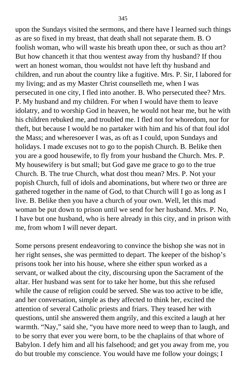upon the Sundays visited the sermons, and there have I learned such things as are so fixed in my breast, that death shall not separate them. B. O foolish woman, who will waste his breath upon thee, or such as thou art? But how chanceth it that thou wentest away from thy husband? If thou wert an honest woman, thou wouldst not have left thy husband and children, and run about the country like a fugitive. Mrs. P. Sir, I labored for my living; and as my Master Christ counselleth me, when I was persecuted in one city, I fled into another. B. Who persecuted thee? Mrs. P. My husband and my children. For when I would have them to leave idolatry, and to worship God in heaven, he would not hear me, but he with his children rebuked me, and troubled me. I fled not for whoredom, nor for theft, but because I would be no partaker with him and his of that foul idol the Mass; and wheresoever I was, as oft as I could, upon Sundays and holidays. I made excuses not to go to the popish Church. B. Belike then you are a good housewife, to fly from your husband the Church. Mrs. P. My housewifery is but small; but God gave me grace to go to the true Church. B. The true Church, what dost thou mean? Mrs. P. Not your popish Church, full of idols and abominations, but where two or three are gathered together in the name of God, to that Church will I go as long as I live. B. Belike then you have a church of your own. Well, let this mad woman be put down to prison until we send for her husband. Mrs. P. No, I have but one husband, who is here already in this city, and in prison with me, from whom I will never depart.

Some persons present endeavoring to convince the bishop she was not in her right senses, she was permitted to depart. The keeper of the bishop's prisons took her into his house, where she either spun worked as a servant, or walked about the city, discoursing upon the Sacrament of the altar. Her husband was sent for to take her home, but this she refused while the cause of religion could be served. She was too active to be idle, and her conversation, simple as they affected to think her, excited the attention of several Catholic priests and friars. They teased her with questions, until she answered them angrily, and this excited a laugh at her warmth. "Nay," said she, "you have more need to weep than to laugh, and to be sorry that ever you were born, to be the chaplains of that whore of Babylon. I defy him and all his falsehood; and get you away from me, you do but trouble my conscience. You would have me follow your doings; I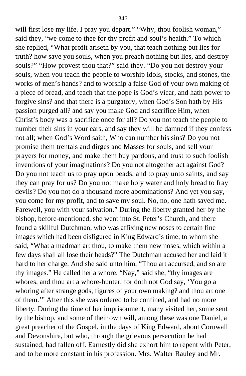will first lose my life. I pray you depart." "Why, thou foolish woman," said they, "we come to thee for thy profit and soul's health." To which she replied, "What profit ariseth by you, that teach nothing but lies for truth? how save you souls, when you preach nothing but lies, and destroy souls?" "How provest thou that?" said they. "Do you not destroy your souls, when you teach the people to worship idols, stocks, and stones, the works of men's hands? and to worship a false God of your own making of a piece of bread, and teach that the pope is God's vicar, and hath power to forgive sins? and that there is a purgatory, when God's Son hath by His passion purged all? and say you make God and sacrifice Him, when Christ's body was a sacrifice once for all? Do you not teach the people to number their sins in your ears, and say they will be damned if they confess not all; when God's Word saith, Who can number his sins? Do you not promise them trentals and dirges and Masses for souls, and sell your prayers for money, and make them buy pardons, and trust to such foolish inventions of your imaginations? Do you not altogether act against God? Do you not teach us to pray upon beads, and to pray unto saints, and say they can pray for us? Do you not make holy water and holy bread to fray devils? Do you not do a thousand more abominations? And yet you say, you come for my profit, and to save my soul. No, no, one hath saved me. Farewell, you with your salvation." During the liberty granted her by the bishop, before-mentioned, she went into St. Peter's Church, and there found a skillful Dutchman, who was affixing new noses to certain fine images which had been disfigured in King Edward's time; to whom she said, "What a madman art thou, to make them new noses, which within a few days shall all lose their heads?" The Dutchman accused her and laid it hard to her charge. And she said unto him, "Thou art accursed, and so are thy images." He called her a whore. "Nay," said she, "thy images are whores, and thou art a whore-hunter; for doth not God say, 'You go a whoring after strange gods, figures of your own making? and thou art one of them.'" After this she was ordered to be confined, and had no more liberty. During the time of her imprisonment, many visited her, some sent by the bishop, and some of their own will, among these was one Daniel, a great preacher of the Gospel, in the days of King Edward, about Cornwall and Devonshire, but who, through the grievous persecution he had sustained, had fallen off. Earnestly did she exhort him to repent with Peter, and to be more constant in his profession. Mrs. Walter Rauley and Mr.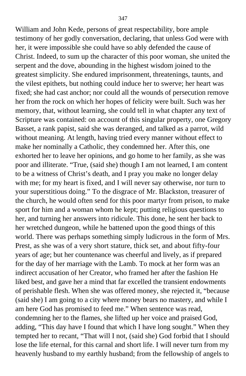William and John Kede, persons of great respectability, bore ample testimony of her godly conversation, declaring, that unless God were with her, it were impossible she could have so ably defended the cause of Christ. Indeed, to sum up the character of this poor woman, she united the serpent and the dove, abounding in the highest wisdom joined to the greatest simplicity. She endured imprisonment, threatenings, taunts, and the vilest epithets, but nothing could induce her to swerve; her heart was fixed; she had cast anchor; nor could all the wounds of persecution remove her from the rock on which her hopes of felicity were built. Such was her memory, that, without learning, she could tell in what chapter any text of Scripture was contained: on account of this singular property, one Gregory Basset, a rank papist, said she was deranged, and talked as a parrot, wild without meaning. At length, having tried every manner without effect to make her nominally a Catholic, they condemned her. After this, one exhorted her to leave her opinions, and go home to her family, as she was poor and illiterate. "True, (said she) though I am not learned, I am content to be a witness of Christ's death, and I pray you make no longer delay with me; for my heart is fixed, and I will never say otherwise, nor turn to your superstitious doing." To the disgrace of Mr. Blackston, treasurer of the church, he would often send for this poor martyr from prison, to make sport for him and a woman whom he kept; putting religious questions to her, and turning her answers into ridicule. This done, he sent her back to her wretched dungeon, while he battened upon the good things of this world. There was perhaps something simply ludicrous in the form of Mrs. Prest, as she was of a very short stature, thick set, and about fifty-four years of age; but her countenance was cheerful and lively, as if prepared for the day of her marriage with the Lamb. To mock at her form was an indirect accusation of her Creator, who framed her after the fashion He liked best, and gave her a mind that far excelled the transient endowments of perishable flesh. When she was offered money, she rejected it, "because (said she) I am going to a city where money bears no mastery, and while I am here God has promised to feed me." When sentence was read, condemning her to the flames, she lifted up her voice and praised God, adding, "This day have I found that which I have long sought." When they tempted her to recant, "That will I not, (said she) God forbid that I should lose the life eternal, for this carnal and short life. I will never turn from my heavenly husband to my earthly husband; from the fellowship of angels to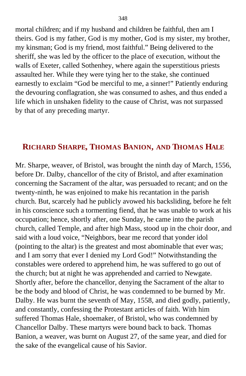mortal children; and if my husband and children be faithful, then am I theirs. God is my father, God is my mother, God is my sister, my brother, my kinsman; God is my friend, most faithful." Being delivered to the sheriff, she was led by the officer to the place of execution, without the walls of Exeter, called Sothenhey, where again the superstitious priests assaulted her. While they were tying her to the stake, she continued earnestly to exclaim "God be merciful to me, a sinner!" Patiently enduring the devouring conflagration, she was consumed to ashes, and thus ended a life which in unshaken fidelity to the cause of Christ, was not surpassed by that of any preceding martyr.

### **RICHARD SHARPE, THOMAS BANION, AND THOMAS HALE**

Mr. Sharpe, weaver, of Bristol, was brought the ninth day of March, 1556, before Dr. Dalby, chancellor of the city of Bristol, and after examination concerning the Sacrament of the altar, was persuaded to recant; and on the twenty-ninth, he was enjoined to make his recantation in the parish church. But, scarcely had he publicly avowed his backsliding, before he felt in his conscience such a tormenting fiend, that he was unable to work at his occupation; hence, shortly after, one Sunday, he came into the parish church, called Temple, and after high Mass, stood up in the choir door, and said with a loud voice, "Neighbors, bear me record that yonder idol (pointing to the altar) is the greatest and most abominable that ever was; and I am sorry that ever I denied my Lord God!" Notwithstanding the constables were ordered to apprehend him, he was suffered to go out of the church; but at night he was apprehended and carried to Newgate. Shortly after, before the chancellor, denying the Sacrament of the altar to be the body and blood of Christ, he was condemned to be burned by Mr. Dalby. He was burnt the seventh of May, 1558, and died godly, patiently, and constantly, confessing the Protestant articles of faith. With him suffered Thomas Hale, shoemaker, of Bristol, who was condemned by Chancellor Dalby. These martyrs were bound back to back. Thomas Banion, a weaver, was burnt on August 27, of the same year, and died for the sake of the evangelical cause of his Savior.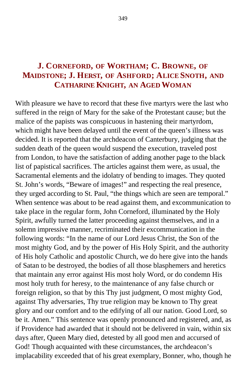# **J. CORNEFORD, OF WORTHAM; C. BROWNE, OF MAIDSTONE; J. HERST, OF ASHFORD; ALICE SNOTH, AND CATHARINE KNIGHT, AN AGED WOMAN**

With pleasure we have to record that these five martyrs were the last who suffered in the reign of Mary for the sake of the Protestant cause; but the malice of the papists was conspicuous in hastening their martyrdom, which might have been delayed until the event of the queen's illness was decided. It is reported that the archdeacon of Canterbury, judging that the sudden death of the queen would suspend the execution, traveled post from London, to have the satisfaction of adding another page to the black list of papistical sacrifices. The articles against them were, as usual, the Sacramental elements and the idolatry of bending to images. They quoted St. John's words, "Beware of images!" and respecting the real presence, they urged according to St. Paul, "the things which are seen are temporal." When sentence was about to be read against them, and excommunication to take place in the regular form, John Corneford, illuminated by the Holy Spirit, awfully turned the latter proceeding against themselves, and in a solemn impressive manner, recriminated their excommunication in the following words: "In the name of our Lord Jesus Christ, the Son of the most mighty God, and by the power of His Holy Spirit, and the authority of His holy Catholic and apostolic Church, we do here give into the hands of Satan to be destroyed, the bodies of all those blasphemers and heretics that maintain any error against His most holy Word, or do condemn His most holy truth for heresy, to the maintenance of any false church or foreign religion, so that by this Thy just judgment, O most mighty God, against Thy adversaries, Thy true religion may be known to Thy great glory and our comfort and to the edifying of all our nation. Good Lord, so be it. Amen." This sentence was openly pronounced and registered, and, as if Providence had awarded that it should not be delivered in vain, within six days after, Queen Mary died, detested by all good men and accursed of God! Though acquainted with these circumstances, the archdeacon's implacability exceeded that of his great exemplary, Bonner, who, though he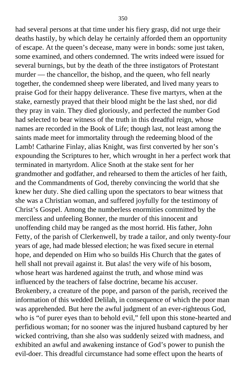had several persons at that time under his fiery grasp, did not urge their deaths hastily, by which delay he certainly afforded them an opportunity of escape. At the queen's decease, many were in bonds: some just taken, some examined, and others condemned. The writs indeed were issued for several burnings, but by the death of the three instigators of Protestant murder — the chancellor, the bishop, and the queen, who fell nearly together, the condemned sheep were liberated, and lived many years to praise God for their happy deliverance. These five martyrs, when at the stake, earnestly prayed that their blood might be the last shed, nor did they pray in vain. They died gloriously, and perfected the number God had selected to bear witness of the truth in this dreadful reign, whose names are recorded in the Book of Life; though last, not least among the saints made meet for immortality through the redeeming blood of the Lamb! Catharine Finlay, alias Knight, was first converted by her son's expounding the Scriptures to her, which wrought in her a perfect work that terminated in martyrdom. Alice Snoth at the stake sent for her grandmother and godfather, and rehearsed to them the articles of her faith, and the Commandments of God, thereby convincing the world that she knew her duty. She died calling upon the spectators to bear witness that she was a Christian woman, and suffered joyfully for the testimony of Christ's Gospel. Among the numberless enormities committed by the merciless and unfeeling Bonner, the murder of this innocent and unoffending child may be ranged as the most horrid. His father, John Fetty, of the parish of Clerkenwell, by trade a tailor, and only twenty-four years of age, had made blessed election; he was fixed secure in eternal hope, and depended on Him who so builds His Church that the gates of hell shall not prevail against it. But alas! the very wife of his bosom, whose heart was hardened against the truth, and whose mind was influenced by the teachers of false doctrine, became his accuser. Brokenbery, a creature of the pope, and parson of the parish, received the information of this wedded Delilah, in consequence of which the poor man was apprehended. But here the awful judgment of an ever-righteous God, who is "of purer eyes than to behold evil," fell upon this stone-hearted and perfidious woman; for no sooner was the injured husband captured by her wicked contriving, than she also was suddenly seized with madness, and exhibited an awful and awakening instance of God's power to punish the evil-doer. This dreadful circumstance had some effect upon the hearts of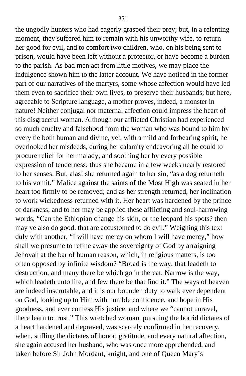the ungodly hunters who had eagerly grasped their prey; but, in a relenting moment, they suffered him to remain with his unworthy wife, to return her good for evil, and to comfort two children, who, on his being sent to prison, would have been left without a protector, or have become a burden to the parish. As bad men act from little motives, we may place the indulgence shown him to the latter account. We have noticed in the former part of our narratives of the martyrs, some whose affection would have led them even to sacrifice their own lives, to preserve their husbands; but here, agreeable to Scripture language, a mother proves, indeed, a monster in nature! Neither conjugal nor maternal affection could impress the heart of this disgraceful woman. Although our afflicted Christian had experienced so much cruelty and falsehood from the woman who was bound to him by every tie both human and divine, yet, with a mild and forbearing spirit, he overlooked her misdeeds, during her calamity endeavoring all he could to procure relief for her malady, and soothing her by every possible expression of tenderness: thus she became in a few weeks nearly restored to her senses. But, alas! she returned again to her sin, "as a dog returneth to his vomit." Malice against the saints of the Most High was seated in her heart too firmly to be removed; and as her strength returned, her inclination to work wickedness returned with it. Her heart was hardened by the prince of darkness; and to her may be applied these afflicting and soul-harrowing words, "Can the Ethiopian change his skin, or the leopard his spots? then may ye also do good, that are accustomed to do evil." Weighing this text duly with another, "I will have mercy on whom I will have mercy," how shall we presume to refine away the sovereignty of God by arraigning Jehovah at the bar of human reason, which, in religious matters, is too often opposed by infinite wisdom? "Broad is the way, that leadeth to destruction, and many there be which go in thereat. Narrow is the way, which leadeth unto life, and few there be that find it." The ways of heaven are indeed inscrutable, and it is our bounden duty to walk ever dependent on God, looking up to Him with humble confidence, and hope in His goodness, and ever confess His justice; and where we "cannot unravel, there learn to trust." This wretched woman, pursuing the horrid dictates of a heart hardened and depraved, was scarcely confirmed in her recovery, when, stifling the dictates of honor, gratitude, and every natural affection, she again accused her husband, who was once more apprehended, and taken before Sir John Mordant, knight, and one of Queen Mary's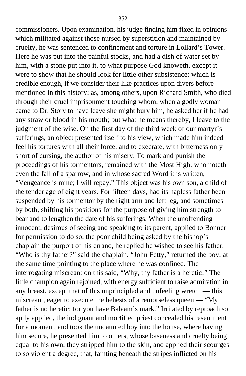commissioners. Upon examination, his judge finding him fixed in opinions which militated against those nursed by superstition and maintained by cruelty, he was sentenced to confinement and torture in Lollard's Tower. Here he was put into the painful stocks, and had a dish of water set by him, with a stone put into it, to what purpose God knoweth, except it were to show that he should look for little other subsistence: which is credible enough, if we consider their like practices upon divers before mentioned in this history; as, among others, upon Richard Smith, who died through their cruel imprisonment touching whom, when a godly woman came to Dr. Story to have leave she might bury him, he asked her if he had any straw or blood in his mouth; but what he means thereby, I leave to the judgment of the wise. On the first day of the third week of our martyr's sufferings, an object presented itself to his view, which made him indeed feel his tortures with all their force, and to execrate, with bitterness only short of cursing, the author of his misery. To mark and punish the proceedings of his tormentors, remained with the Most High, who noteth even the fall of a sparrow, and in whose sacred Word it is written, "Vengeance is mine; I will repay." This object was his own son, a child of the tender age of eight years. For fifteen days, had its hapless father been suspended by his tormentor by the right arm and left leg, and sometimes by both, shifting his positions for the purpose of giving him strength to bear and to lengthen the date of his sufferings. When the unoffending innocent, desirous of seeing and speaking to its parent, applied to Bonner for permission to do so, the poor child being asked by the bishop's chaplain the purport of his errand, he replied he wished to see his father. "Who is thy father?" said the chaplain. "John Fetty," returned the boy, at the same time pointing to the place where he was confined. The interrogating miscreant on this said, "Why, thy father is a heretic!" The little champion again rejoined, with energy sufficient to raise admiration in any breast, except that of this unprincipled and unfeeling wretch — this miscreant, eager to execute the behests of a remorseless queen — "My father is no heretic: for you have Balaam's mark." Irritated by reproach so aptly applied, the indignant and mortified priest concealed his resentment for a moment, and took the undaunted boy into the house, where having him secure, he presented him to others, whose baseness and cruelty being equal to his own, they stripped him to the skin, and applied their scourges to so violent a degree, that, fainting beneath the stripes inflicted on his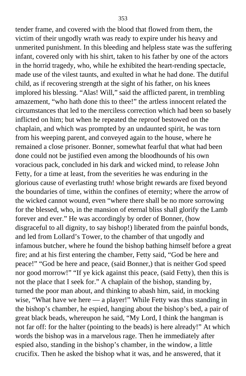tender frame, and covered with the blood that flowed from them, the victim of their ungodly wrath was ready to expire under his heavy and unmerited punishment. In this bleeding and helpless state was the suffering infant, covered only with his shirt, taken to his father by one of the actors in the horrid tragedy, who, while he exhibited the heart-rending spectacle, made use of the vilest taunts, and exulted in what he had done. The dutiful child, as if recovering strength at the sight of his father, on his knees implored his blessing. "Alas! Will," said the afflicted parent, in trembling amazement, "who hath done this to thee!" the artless innocent related the circumstances that led to the merciless correction which had been so basely inflicted on him; but when he repeated the reproof bestowed on the chaplain, and which was prompted by an undaunted spirit, he was torn from his weeping parent, and conveyed again to the house, where he remained a close prisoner. Bonner, somewhat fearful that what had been done could not be justified even among the bloodhounds of his own voracious pack, concluded in his dark and wicked mind, to release John Fetty, for a time at least, from the severities he was enduring in the glorious cause of everlasting truth! whose bright rewards are fixed beyond the boundaries of time, within the confines of eternity; where the arrow of the wicked cannot wound, even "where there shall be no more sorrowing for the blessed, who, in the mansion of eternal bliss shall glorify the Lamb forever and ever." He was accordingly by order of Bonner, (how disgraceful to all dignity, to say bishop!) liberated from the painful bonds, and led from Lollard's Tower, to the chamber of that ungodly and infamous butcher, where he found the bishop bathing himself before a great fire; and at his first entering the chamber, Fetty said, "God be here and peace!" "God be here and peace, (said Bonner,) that is neither God speed nor good morrow!" "If ye kick against this peace, (said Fetty), then this is not the place that I seek for." A chaplain of the bishop, standing by, turned the poor man about, and thinking to abash him, said, in mocking wise, "What have we here — a player!" While Fetty was thus standing in the bishop's chamber, he espied, hanging about the bishop's bed, a pair of great black beads, whereupon he said, "My Lord, I think the hangman is not far off: for the halter (pointing to the beads) is here already!" At which words the bishop was in a marvelous rage. Then he immediately after espied also, standing in the bishop's chamber, in the window, a little crucifix. Then he asked the bishop what it was, and he answered, that it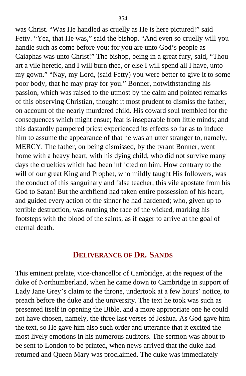was Christ. "Was He handled as cruelly as He is here pictured!" said Fetty. "Yea, that He was," said the bishop. "And even so cruelly will you handle such as come before you; for you are unto God's people as Caiaphas was unto Christ!" The bishop, being in a great fury, said, "Thou art a vile heretic, and I will burn thee, or else I will spend all I have, unto my gown." "Nay, my Lord, (said Fetty) you were better to give it to some poor body, that he may pray for you." Bonner, notwithstanding his passion, which was raised to the utmost by the calm and pointed remarks of this observing Christian, thought it most prudent to dismiss the father, on account of the nearly murdered child. His coward soul trembled for the consequences which might ensue; fear is inseparable from little minds; and this dastardly pampered priest experienced its effects so far as to induce him to assume the appearance of that he was an utter stranger to, namely, MERCY. The father, on being dismissed, by the tyrant Bonner, went home with a heavy heart, with his dying child, who did not survive many days the cruelties which had been inflicted on him. How contrary to the will of our great King and Prophet, who mildly taught His followers, was the conduct of this sanguinary and false teacher, this vile apostate from his God to Satan! But the archfiend had taken entire possession of his heart, and guided every action of the sinner he had hardened; who, given up to terrible destruction, was running the race of the wicked, marking his footsteps with the blood of the saints, as if eager to arrive at the goal of eternal death.

#### **DELIVERANCE OF DR. SANDS**

This eminent prelate, vice-chancellor of Cambridge, at the request of the duke of Northumberland, when he came down to Cambridge in support of Lady Jane Grey's claim to the throne, undertook at a few hours' notice, to preach before the duke and the university. The text he took was such as presented itself in opening the Bible, and a more appropriate one he could not have chosen, namely, the three last verses of Joshua. As God gave him the text, so He gave him also such order and utterance that it excited the most lively emotions in his numerous auditors. The sermon was about to be sent to London to be printed, when news arrived that the duke had returned and Queen Mary was proclaimed. The duke was immediately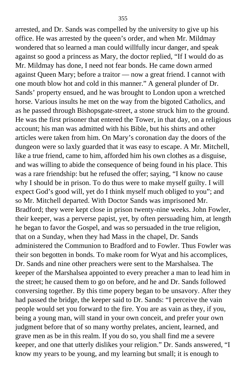arrested, and Dr. Sands was compelled by the university to give up his office. He was arrested by the queen's order, and when Mr. Mildmay wondered that so learned a man could willfully incur danger, and speak against so good a princess as Mary, the doctor replied, "If I would do as Mr. Mildmay has done, I need not fear bonds. He came down armed against Queen Mary; before a traitor — now a great friend. I cannot with one mouth blow hot and cold in this manner." A general plunder of Dr. Sands' property ensued, and he was brought to London upon a wretched horse. Various insults he met on the way from the bigoted Catholics, and as he passed through Bishopsgate-street, a stone struck him to the ground. He was the first prisoner that entered the Tower, in that day, on a religious account; his man was admitted with his Bible, but his shirts and other articles were taken from him. On Mary's coronation day the doors of the dungeon were so laxly guarded that it was easy to escape. A Mr. Mitchell, like a true friend, came to him, afforded him his own clothes as a disguise, and was willing to abide the consequence of being found in his place. This was a rare friendship: but he refused the offer; saying, "I know no cause why I should be in prison. To do thus were to make myself guilty. I will expect God's good will, yet do I think myself much obliged to you"; and so Mr. Mitchell departed. With Doctor Sands was imprisoned Mr. Bradford; they were kept close in prison twenty-nine weeks. John Fowler, their keeper, was a perverse papist, yet, by often persuading him, at length he began to favor the Gospel, and was so persuaded in the true religion, that on a Sunday, when they had Mass in the chapel, Dr. Sands administered the Communion to Bradford and to Fowler. Thus Fowler was their son begotten in bonds. To make room for Wyat and his accomplices, Dr. Sands and nine other preachers were sent to the Marshalsea. The keeper of the Marshalsea appointed to every preacher a man to lead him in the street; he caused them to go on before, and he and Dr. Sands followed conversing together. By this time popery began to be unsavory. After they had passed the bridge, the keeper said to Dr. Sands: "I perceive the vain people would set you forward to the fire. You are as vain as they, if you, being a young man, will stand in your own conceit, and prefer your own judgment before that of so many worthy prelates, ancient, learned, and grave men as be in this realm. If you do so, you shall find me a severe keeper, and one that utterly dislikes your religion." Dr. Sands answered, "I know my years to be young, and my learning but small; it is enough to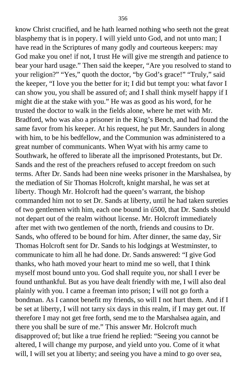know Christ crucified, and he hath learned nothing who seeth not the great blasphemy that is in popery. I will yield unto God, and not unto man; I have read in the Scriptures of many godly and courteous keepers: may God make you one! if not, I trust He will give me strength and patience to bear your hard usage." Then said the keeper, "Are you resolved to stand to your religion?" "Yes," quoth the doctor, "by God's grace!" "Truly," said the keeper, "I love you the better for it; I did but tempt you: what favor I can show you, you shall be assured of; and I shall think myself happy if I might die at the stake with you." He was as good as his word, for he trusted the doctor to walk in the fields alone, where he met with Mr. Bradford, who was also a prisoner in the King's Bench, and had found the same favor from his keeper. At his request, he put Mr. Saunders in along with him, to be his bedfellow, and the Communion was administered to a great number of communicants. When Wyat with his army came to Southwark, he offered to liberate all the imprisoned Protestants, but Dr. Sands and the rest of the preachers refused to accept freedom on such terms. After Dr. Sands had been nine weeks prisoner in the Marshalsea, by the mediation of Sir Thomas Holcroft, knight marshal, he was set at liberty. Though Mr. Holcroft had the queen's warrant, the bishop commanded him not to set Dr. Sands at liberty, until he had taken sureties of two gentlemen with him, each one bound in ú500, that Dr. Sands should not depart out of the realm without license. Mr. Holcroft immediately after met with two gentlemen of the north, friends and cousins to Dr. Sands, who offered to be bound for him. After dinner, the same day, Sir Thomas Holcroft sent for Dr. Sands to his lodgings at Westminster, to communicate to him all he had done. Dr. Sands answered: "I give God thanks, who hath moved your heart to mind me so well, that I think myself most bound unto you. God shall requite you, nor shall I ever be found unthankful. But as you have dealt friendly with me, I will also deal plainly with you. I came a freeman into prison; I will not go forth a bondman. As I cannot benefit my friends, so will I not hurt them. And if I be set at liberty, I will not tarry six days in this realm, if I may get out. If therefore I may not get free forth, send me to the Marshalsea again, and there you shall be sure of me." This answer Mr. Holcroft much disapproved of; but like a true friend he replied: "Seeing you cannot be altered, I will change my purpose, and yield unto you. Come of it what will, I will set you at liberty; and seeing you have a mind to go over sea,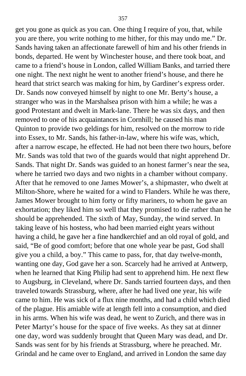get you gone as quick as you can. One thing I require of you, that, while you are there, you write nothing to me hither, for this may undo me." Dr. Sands having taken an affectionate farewell of him and his other friends in bonds, departed. He went by Winchester house, and there took boat, and came to a friend's house in London, called William Banks, and tarried there one night. The next night he went to another friend's house, and there he heard that strict search was making for him, by Gardiner's express order. Dr. Sands now conveyed himself by night to one Mr. Berty's house, a stranger who was in the Marshalsea prison with him a while; he was a good Protestant and dwelt in Mark-lane. There he was six days, and then removed to one of his acquaintances in Cornhill; he caused his man Quinton to provide two geldings for him, resolved on the morrow to ride into Essex, to Mr. Sands, his father-in-law, where his wife was, which, after a narrow escape, he effected. He had not been there two hours, before Mr. Sands was told that two of the guards would that night apprehend Dr. Sands. That night Dr. Sands was guided to an honest farmer's near the sea, where he tarried two days and two nights in a chamber without company. After that he removed to one James Mower's, a shipmaster, who dwelt at Milton-Shore, where he waited for a wind to Flanders. While he was there, James Mower brought to him forty or fifty mariners, to whom he gave an exhortation; they liked him so well that they promised to die rather than he should be apprehended. The sixth of May, Sunday, the wind served. In taking leave of his hostess, who had been married eight years without having a child, he gave her a fine handkerchief and an old royal of gold, and said, "Be of good comfort; before that one whole year be past, God shall give you a child, a boy." This came to pass, for, that day twelve-month, wanting one day, God gave her a son. Scarcely had he arrived at Antwerp, when he learned that King Philip had sent to apprehend him. He next flew to Augsburg, in Cleveland, where Dr. Sands tarried fourteen days, and then traveled towards Strassburg, where, after he had lived one year, his wife came to him. He was sick of a flux nine months, and had a child which died of the plague. His amiable wife at length fell into a consumption, and died in his arms. When his wife was dead, he went to Zurich, and there was in Peter Martyr's house for the space of five weeks. As they sat at dinner one day, word was suddenly brought that Queen Mary was dead, and Dr. Sands was sent for by his friends at Strassburg, where he preached. Mr. Grindal and he came over to England, and arrived in London the same day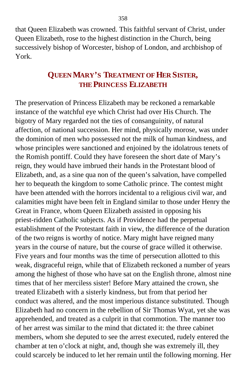that Queen Elizabeth was crowned. This faithful servant of Christ, under Queen Elizabeth, rose to the highest distinction in the Church, being successively bishop of Worcester, bishop of London, and archbishop of York.

## **QUEEN MARY'S TREATMENT OF HER SISTER, THE PRINCESS ELIZABETH**

The preservation of Princess Elizabeth may be reckoned a remarkable instance of the watchful eye which Christ had over His Church. The bigotry of Mary regarded not the ties of consanguinity, of natural affection, of national succession. Her mind, physically morose, was under the dominion of men who possessed not the milk of human kindness, and whose principles were sanctioned and enjoined by the idolatrous tenets of the Romish pontiff. Could they have foreseen the short date of Mary's reign, they would have imbrued their hands in the Protestant blood of Elizabeth, and, as a sine qua non of the queen's salvation, have compelled her to bequeath the kingdom to some Catholic prince. The contest might have been attended with the horrors incidental to a religious civil war, and calamities might have been felt in England similar to those under Henry the Great in France, whom Queen Elizabeth assisted in opposing his priest-ridden Catholic subjects. As if Providence had the perpetual establishment of the Protestant faith in view, the difference of the duration of the two reigns is worthy of notice. Mary might have reigned many years in the course of nature, but the course of grace willed it otherwise. Five years and four months was the time of persecution allotted to this weak, disgraceful reign, while that of Elizabeth reckoned a number of years among the highest of those who have sat on the English throne, almost nine times that of her merciless sister! Before Mary attained the crown, she treated Elizabeth with a sisterly kindness, but from that period her conduct was altered, and the most imperious distance substituted. Though Elizabeth had no concern in the rebellion of Sir Thomas Wyat, yet she was apprehended, and treated as a culprit in that commotion. The manner too of her arrest was similar to the mind that dictated it: the three cabinet members, whom she deputed to see the arrest executed, rudely entered the chamber at ten o'clock at night, and, though she was extremely ill, they could scarcely be induced to let her remain until the following morning. Her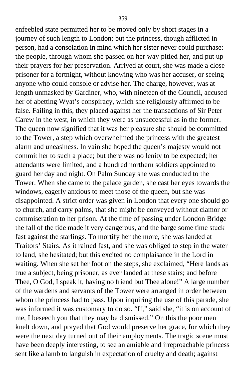enfeebled state permitted her to be moved only by short stages in a journey of such length to London; but the princess, though afflicted in person, had a consolation in mind which her sister never could purchase: the people, through whom she passed on her way pitied her, and put up their prayers for her preservation. Arrived at court, she was made a close prisoner for a fortnight, without knowing who was her accuser, or seeing anyone who could console or advise her. The charge, however, was at length unmasked by Gardiner, who, with nineteen of the Council, accused her of abetting Wyat's conspiracy, which she religiously affirmed to be false. Failing in this, they placed against her the transactions of Sir Peter Carew in the west, in which they were as unsuccessful as in the former. The queen now signified that it was her pleasure she should be committed to the Tower, a step which overwhelmed the princess with the greatest alarm and uneasiness. In vain she hoped the queen's majesty would not commit her to such a place; but there was no lenity to be expected; her attendants were limited, and a hundred northern soldiers appointed to guard her day and night. On Palm Sunday she was conducted to the Tower. When she came to the palace garden, she cast her eyes towards the windows, eagerly anxious to meet those of the queen, but she was disappointed. A strict order was given in London that every one should go to church, and carry palms, that she might be conveyed without clamor or commiseration to her prison. At the time of passing under London Bridge the fall of the tide made it very dangerous, and the barge some time stuck fast against the starlings. To mortify her the more, she was landed at Traitors' Stairs. As it rained fast, and she was obliged to step in the water to land, she hesitated; but this excited no complaisance in the Lord in waiting. When she set her foot on the steps, she exclaimed, "Here lands as true a subject, being prisoner, as ever landed at these stairs; and before Thee, O God, I speak it, having no friend but Thee alone!" A large number of the wardens and servants of the Tower were arranged in order between whom the princess had to pass. Upon inquiring the use of this parade, she was informed it was customary to do so. "If," said she, "it is on account of me, I beseech you that they may be dismissed." On this the poor men knelt down, and prayed that God would preserve her grace, for which they were the next day turned out of their employments. The tragic scene must have been deeply interesting, to see an amiable and irreproachable princess sent like a lamb to languish in expectation of cruelty and death; against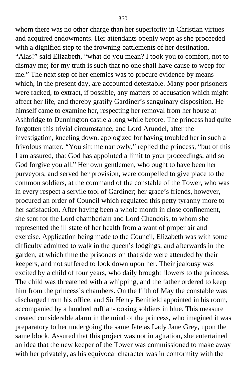whom there was no other charge than her superiority in Christian virtues and acquired endowments. Her attendants openly wept as she proceeded with a dignified step to the frowning battlements of her destination. "Alas!" said Elizabeth, "what do you mean? I took you to comfort, not to dismay me; for my truth is such that no one shall have cause to weep for me." The next step of her enemies was to procure evidence by means which, in the present day, are accounted detestable. Many poor prisoners were racked, to extract, if possible, any matters of accusation which might affect her life, and thereby gratify Gardiner's sanguinary disposition. He himself came to examine her, respecting her removal from her house at Ashbridge to Dunnington castle a long while before. The princess had quite forgotten this trivial circumstance, and Lord Arundel, after the investigation, kneeling down, apologized for having troubled her in such a frivolous matter. "You sift me narrowly," replied the princess, "but of this I am assured, that God has appointed a limit to your proceedings; and so God forgive you all." Her own gentlemen, who ought to have been her purveyors, and served her provision, were compelled to give place to the common soldiers, at the command of the constable of the Tower, who was in every respect a servile tool of Gardiner; her grace's friends, however, procured an order of Council which regulated this petty tyranny more to her satisfaction. After having been a whole month in close confinement, she sent for the Lord chamberlain and Lord Chandois, to whom she represented the ill state of her health from a want of proper air and exercise. Application being made to the Council, Elizabeth was with some difficulty admitted to walk in the queen's lodgings, and afterwards in the garden, at which time the prisoners on that side were attended by their keepers, and not suffered to look down upon her. Their jealousy was excited by a child of four years, who daily brought flowers to the princess. The child was threatened with a whipping, and the father ordered to keep him from the princess's chambers. On the fifth of May the constable was discharged from his office, and Sir Henry Benifield appointed in his room, accompanied by a hundred ruffian-looking soldiers in blue. This measure created considerable alarm in the mind of the princess, who imagined it was preparatory to her undergoing the same fate as Lady Jane Grey, upon the same block. Assured that this project was not in agitation, she entertained an idea that the new keeper of the Tower was commissioned to make away with her privately, as his equivocal character was in conformity with the

360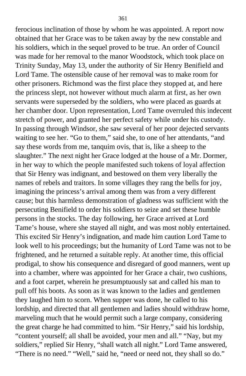ferocious inclination of those by whom he was appointed. A report now obtained that her Grace was to be taken away by the new constable and his soldiers, which in the sequel proved to be true. An order of Council was made for her removal to the manor Woodstock, which took place on Trinity Sunday, May 13, under the authority of Sir Henry Benifield and Lord Tame. The ostensible cause of her removal was to make room for other prisoners. Richmond was the first place they stopped at, and here the princess slept, not however without much alarm at first, as her own servants were superseded by the soldiers, who were placed as guards at her chamber door. Upon representation, Lord Tame overruled this indecent stretch of power, and granted her perfect safety while under his custody. In passing through Windsor, she saw several of her poor dejected servants waiting to see her. "Go to them," said she, to one of her attendants, "and say these words from me, tanquim ovis, that is, like a sheep to the slaughter." The next night her Grace lodged at the house of a Mr. Dormer, in her way to which the people manifested such tokens of loyal affection that Sir Henry was indignant, and bestowed on them very liberally the names of rebels and traitors. In some villages they rang the bells for joy, imagining the princess's arrival among them was from a very different cause; but this harmless demonstration of gladness was sufficient with the persecuting Benifield to order his soldiers to seize and set these humble persons in the stocks. The day following, her Grace arrived at Lord Tame's house, where she stayed all night, and was most nobly entertained. This excited Sir Henry's indignation, and made him caution Lord Tame to look well to his proceedings; but the humanity of Lord Tame was not to be frightened, and he returned a suitable reply. At another time, this official prodigal, to show his consequence and disregard of good manners, went up into a chamber, where was appointed for her Grace a chair, two cushions, and a foot carpet, wherein he presumptuously sat and called his man to pull off his boots. As soon as it was known to the ladies and gentlemen they laughed him to scorn. When supper was done, he called to his lordship, and directed that all gentlemen and ladies should withdraw home, marveling much that he would permit such a large company, considering the great charge he had committed to him. "Sir Henry," said his lordship, "content yourself; all shall be avoided, your men and all." "Nay, but my soldiers," replied Sir Henry, "shall watch all night." Lord Tame answered, "There is no need." "Well," said he, "need or need not, they shall so do."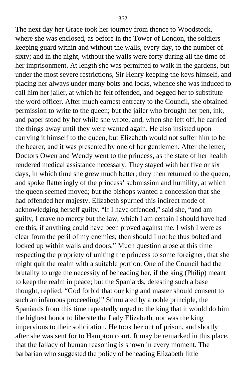The next day her Grace took her journey from thence to Woodstock, where she was enclosed, as before in the Tower of London, the soldiers keeping guard within and without the walls, every day, to the number of sixty; and in the night, without the walls were forty during all the time of her imprisonment. At length she was permitted to walk in the gardens, but under the most severe restrictions, Sir Henry keeping the keys himself, and placing her always under many bolts and locks, whence she was induced to call him her jailer, at which he felt offended, and begged her to substitute the word officer. After much earnest entreaty to the Council, she obtained permission to write to the queen; but the jailer who brought her pen, ink, and paper stood by her while she wrote, and, when she left off, he carried the things away until they were wanted again. He also insisted upon carrying it himself to the queen, but Elizabeth would not suffer him to be the bearer, and it was presented by one of her gentlemen. After the letter, Doctors Owen and Wendy went to the princess, as the state of her health rendered medical assistance necessary. They stayed with her five or six days, in which time she grew much better; they then returned to the queen, and spoke flatteringly of the princess' submission and humility, at which the queen seemed moved; but the bishops wanted a concession that she had offended her majesty. Elizabeth spurned this indirect mode of acknowledging herself guilty. "If I have offended," said she, "and am guilty, I crave no mercy but the law, which I am certain I should have had ere this, if anything could have been proved against me. I wish I were as clear from the peril of my enemies; then should I not be thus bolted and locked up within walls and doors." Much question arose at this time respecting the propriety of uniting the princess to some foreigner, that she might quit the realm with a suitable portion. One of the Council had the brutality to urge the necessity of beheading her, if the king (Philip) meant to keep the realm in peace; but the Spaniards, detesting such a base thought, replied, "God forbid that our king and master should consent to such an infamous proceeding!" Stimulated by a noble principle, the Spaniards from this time repeatedly urged to the king that it would do him the highest honor to liberate the Lady Elizabeth, nor was the king impervious to their solicitation. He took her out of prison, and shortly after she was sent for to Hampton court. It may be remarked in this place, that the fallacy of human reasoning is shown in every moment. The barbarian who suggested the policy of beheading Elizabeth little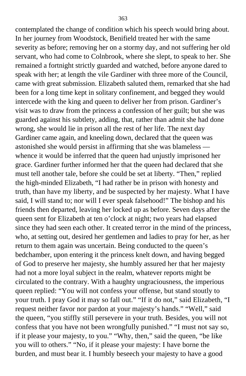contemplated the change of condition which his speech would bring about. In her journey from Woodstock, Benifield treated her with the same severity as before; removing her on a stormy day, and not suffering her old servant, who had come to Colnbrook, where she slept, to speak to her. She remained a fortnight strictly guarded and watched, before anyone dared to speak with her; at length the vile Gardiner with three more of the Council, came with great submission. Elizabeth saluted them, remarked that she had been for a long time kept in solitary confinement, and begged they would intercede with the king and queen to deliver her from prison. Gardiner's visit was to draw from the princess a confession of her guilt; but she was guarded against his subtlety, adding, that, rather than admit she had done wrong, she would lie in prison all the rest of her life. The next day Gardiner came again, and kneeling down, declared that the queen was astonished she would persist in affirming that she was blameless whence it would be inferred that the queen had unjustly imprisoned her grace. Gardiner further informed her that the queen had declared that she must tell another tale, before she could be set at liberty. "Then," replied the high-minded Elizabeth, "I had rather be in prison with honesty and truth, than have my liberty, and be suspected by her majesty. What I have said, I will stand to; nor will I ever speak falsehood!" The bishop and his friends then departed, leaving her locked up as before. Seven days after the queen sent for Elizabeth at ten o'clock at night; two years had elapsed since they had seen each other. It created terror in the mind of the princess, who, at setting out, desired her gentlemen and ladies to pray for her, as her return to them again was uncertain. Being conducted to the queen's bedchamber, upon entering it the princess knelt down, and having begged of God to preserve her majesty, she humbly assured her that her majesty had not a more loyal subject in the realm, whatever reports might be circulated to the contrary. With a haughty ungraciousness, the imperious queen replied: "You will not confess your offense, but stand stoutly to your truth. I pray God it may so fall out." "If it do not," said Elizabeth, "I request neither favor nor pardon at your majesty's hands." "Well," said the queen, "you stiffly still persevere in your truth. Besides, you will not confess that you have not been wrongfully punished." "I must not say so, if it please your majesty, to you." "Why, then," said the queen, "be like you will to others." "No, if it please your majesty: I have borne the burden, and must bear it. I humbly beseech your majesty to have a good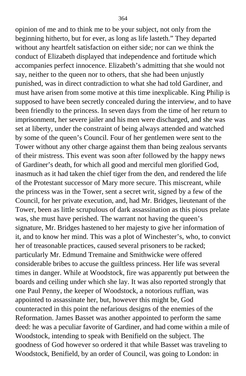opinion of me and to think me to be your subject, not only from the beginning hitherto, but for ever, as long as life lasteth." They departed without any heartfelt satisfaction on either side; nor can we think the conduct of Elizabeth displayed that independence and fortitude which accompanies perfect innocence. Elizabeth's admitting that she would not say, neither to the queen nor to others, that she had been unjustly punished, was in direct contradiction to what she had told Gardiner, and must have arisen from some motive at this time inexplicable. King Philip is supposed to have been secretly concealed during the interview, and to have been friendly to the princess. In seven days from the time of her return to imprisonment, her severe jailer and his men were discharged, and she was set at liberty, under the constraint of being always attended and watched by some of the queen's Council. Four of her gentlemen were sent to the Tower without any other charge against them than being zealous servants of their mistress. This event was soon after followed by the happy news of Gardiner's death, for which all good and merciful men glorified God, inasmuch as it had taken the chief tiger from the den, and rendered the life of the Protestant successor of Mary more secure. This miscreant, while the princess was in the Tower, sent a secret writ, signed by a few of the Council, for her private execution, and, had Mr. Bridges, lieutenant of the Tower, been as little scrupulous of dark assassination as this pious prelate was, she must have perished. The warrant not having the queen's signature, Mr. Bridges hastened to her majesty to give her information of it, and to know her mind. This was a plot of Winchester's, who, to convict her of treasonable practices, caused several prisoners to be racked; particularly Mr. Edmund Tremaine and Smithwicke were offered considerable bribes to accuse the guiltless princess. Her life was several times in danger. While at Woodstock, fire was apparently put between the boards and ceiling under which she lay. It was also reported strongly that one Paul Penny, the keeper of Woodstock, a notorious ruffian, was appointed to assassinate her, but, however this might be, God counteracted in this point the nefarious designs of the enemies of the Reformation. James Basset was another appointed to perform the same deed: he was a peculiar favorite of Gardiner, and had come within a mile of Woodstock, intending to speak with Benifield on the subject. The goodness of God however so ordered it that while Basset was traveling to Woodstock, Benifield, by an order of Council, was going to London: in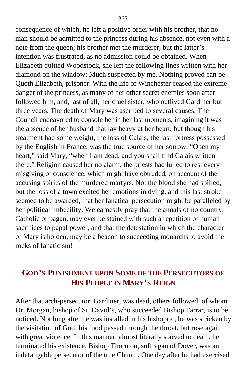consequence of which, he left a positive order with his brother, that no man should be admitted to the princess during his absence, not even with a note from the queen; his brother met the murderer, but the latter's intention was frustrated, as no admission could be obtained. When Elizabeth quitted Woodstock, she left the following lines written with her diamond on the window: Much suspected by me, Nothing proved can be. Quoth Elizabeth, prisoner. With the life of Winchester ceased the extreme danger of the princess, as many of her other secret enemies soon after followed him, and, last of all, her cruel sister, who outlived Gardiner but three years. The death of Mary was ascribed to several causes. The Council endeavored to console her in her last moments, imagining it was the absence of her husband that lay heavy at her heart, but though his treatment had some weight, the loss of Calais, the last fortress possessed by the English in France, was the true source of her sorrow. "Open my heart," said Mary, "when I am dead, and you shall find Calais written there." Religion caused her no alarm; the priests had lulled to rest every misgiving of conscience, which might have obtruded, on account of the accusing spirits of the murdered martyrs. Not the blood she had spilled, but the loss of a town excited her emotions in dying, and this last stroke seemed to be awarded, that her fanatical persecution might be paralleled by her political imbecility. We earnestly pray that the annals of no country, Catholic or pagan, may ever be stained with such a repetition of human sacrifices to papal power, and that the detestation in which the character of Mary is holden, may be a beacon to succeeding monarchs to avoid the rocks of fanaticism!

### **GOD'S PUNISHMENT UPON SOME OF THE PERSECUTORS OF HIS PEOPLE IN MARY'S REIGN**

After that arch-persecutor, Gardiner, was dead, others followed, of whom Dr. Morgan, bishop of St. David's, who succeeded Bishop Farrar, is to be noticed. Not long after he was installed in his bishopric, he was stricken by the visitation of God; his food passed through the throat, but rose again with great violence. In this manner, almost literally starved to death, he terminated his existence. Bishop Thornton, suffragan of Dover, was an indefatigable persecutor of the true Church. One day after he had exercised

365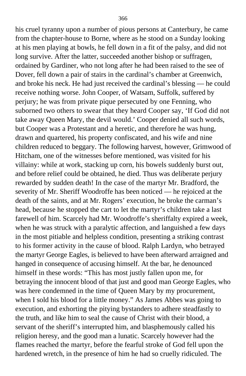his cruel tyranny upon a number of pious persons at Canterbury, he came from the chapter-house to Borne, where as he stood on a Sunday looking at his men playing at bowls, he fell down in a fit of the palsy, and did not long survive. After the latter, succeeded another bishop or suffragen, ordained by Gardiner, who not long after he had been raised to the see of Dover, fell down a pair of stairs in the cardinal's chamber at Greenwich, and broke his neck. He had just received the cardinal's blessing — he could receive nothing worse. John Cooper, of Watsam, Suffolk, suffered by perjury; he was from private pique persecuted by one Fenning, who suborned two others to swear that they heard Cooper say, 'If God did not take away Queen Mary, the devil would.' Cooper denied all such words, but Cooper was a Protestant and a heretic, and therefore he was hung, drawn and quartered, his property confiscated, and his wife and nine children reduced to beggary. The following harvest, however, Grimwood of Hitcham, one of the witnesses before mentioned, was visited for his villainy: while at work, stacking up corn, his bowels suddenly burst out, and before relief could be obtained, he died. Thus was deliberate perjury rewarded by sudden death! In the case of the martyr Mr. Bradford, the severity of Mr. Sheriff Woodroffe has been noticed — he rejoiced at the death of the saints, and at Mr. Rogers' execution, he broke the carman's head, because he stopped the cart to let the martyr's children take a last farewell of him. Scarcely had Mr. Woodroffe's sheriffalty expired a week, when he was struck with a paralytic affection, and languished a few days in the most pitiable and helpless condition, presenting a striking contrast to his former activity in the cause of blood. Ralph Lardyn, who betrayed the martyr George Eagles, is believed to have been afterward arraigned and hanged in consequence of accusing himself. At the bar, he denounced himself in these words: "This has most justly fallen upon me, for betraying the innocent blood of that just and good man George Eagles, who was here condemned in the time of Queen Mary by my procurement, when I sold his blood for a little money." As James Abbes was going to execution, and exhorting the pitying bystanders to adhere steadfastly to the truth, and like him to seal the cause of Christ with their blood, a servant of the sheriff's interrupted him, and blasphemously called his religion heresy, and the good man a lunatic. Scarcely however had the flames reached the martyr, before the fearful stroke of God fell upon the hardened wretch, in the presence of him he had so cruelly ridiculed. The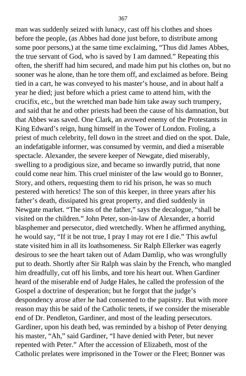man was suddenly seized with lunacy, cast off his clothes and shoes before the people, (as Abbes had done just before, to distribute among some poor persons,) at the same time exclaiming, "Thus did James Abbes, the true servant of God, who is saved by I am damned." Repeating this often, the sheriff had him secured, and made him put his clothes on, but no sooner was he alone, than he tore them off, and exclaimed as before. Being tied in a cart, he was conveyed to his master's house, and in about half a year he died; just before which a priest came to attend him, with the crucifix, etc., but the wretched man bade him take away such trumpery, and said that he and other priests had been the cause of his damnation, but that Abbes was saved. One Clark, an avowed enemy of the Protestants in King Edward's reign, hung himself in the Tower of London. Froling, a priest of much celebrity, fell down in the street and died on the spot. Dale, an indefatigable informer, was consumed by vermin, and died a miserable spectacle. Alexander, the severe keeper of Newgate, died miserably, swelling to a prodigious size, and became so inwardly putrid, that none could come near him. This cruel minister of the law would go to Bonner, Story, and others, requesting them to rid his prison, he was so much pestered with heretics! The son of this keeper, in three years after his father's death, dissipated his great property, and died suddenly in Newgate market. "The sins of the father," says the decalogue, "shall be visited on the children." John Peter, son-in-law of Alexander, a horrid blasphemer and persecutor, died wretchedly. When he affirmed anything, he would say, "If it be not true, I pray I may rot ere I die." This awful state visited him in all its loathsomeness. Sir Ralph Ellerker was eagerly desirous to see the heart taken out of Adam Damlip, who was wrongfully put to death. Shortly after Sir Ralph was slain by the French, who mangled him dreadfully, cut off his limbs, and tore his heart out. When Gardiner heard of the miserable end of Judge Hales, he called the profession of the Gospel a doctrine of desperation; but he forgot that the judge's despondency arose after he had consented to the papistry. But with more reason may this be said of the Catholic tenets, if we consider the miserable end of Dr. Pendleton, Gardiner, and most of the leading persecutors. Gardiner, upon his death bed, was reminded by a bishop of Peter denying his master, "Ah," said Gardiner, "I have denied with Peter, but never repented with Peter." After the accession of Elizabeth, most of the Catholic prelates were imprisoned in the Tower or the Fleet; Bonner was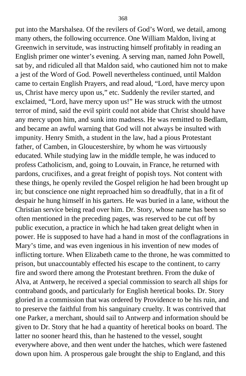put into the Marshalsea. Of the revilers of God's Word, we detail, among many others, the following occurrence. One William Maldon, living at Greenwich in servitude, was instructing himself profitably in reading an English primer one winter's evening. A serving man, named John Powell, sat by, and ridiculed all that Maldon said, who cautioned him not to make a jest of the Word of God. Powell nevertheless continued, until Maldon came to certain English Prayers, and read aloud, "Lord, have mercy upon us, Christ have mercy upon us," etc. Suddenly the reviler started, and exclaimed, "Lord, have mercy upon us!" He was struck with the utmost terror of mind, said the evil spirit could not abide that Christ should have any mercy upon him, and sunk into madness. He was remitted to Bedlam, and became an awful warning that God will not always be insulted with impunity. Henry Smith, a student in the law, had a pious Protestant father, of Camben, in Gloucestershire, by whom he was virtuously educated. While studying law in the middle temple, he was induced to profess Catholicism, and, going to Louvain, in France, he returned with pardons, crucifixes, and a great freight of popish toys. Not content with these things, he openly reviled the Gospel religion he had been brought up in; but conscience one night reproached him so dreadfully, that in a fit of despair he hung himself in his garters. He was buried in a lane, without the Christian service being read over him. Dr. Story, whose name has been so often mentioned in the preceding pages, was reserved to be cut off by public execution, a practice in which he had taken great delight when in power. He is supposed to have had a hand in most of the conflagrations in Mary's time, and was even ingenious in his invention of new modes of inflicting torture. When Elizabeth came to the throne, he was committed to prison, but unaccountably effected his escape to the continent, to carry fire and sword there among the Protestant brethren. From the duke of Alva, at Antwerp, he received a special commission to search all ships for contraband goods, and particularly for English heretical books. Dr. Story gloried in a commission that was ordered by Providence to be his ruin, and to preserve the faithful from his sanguinary cruelty. It was contrived that

one Parker, a merchant, should sail to Antwerp and information should be given to Dr. Story that he had a quantity of heretical books on board. The latter no sooner heard this, than he hastened to the vessel, sought everywhere above, and then went under the hatches, which were fastened down upon him. A prosperous gale brought the ship to England, and this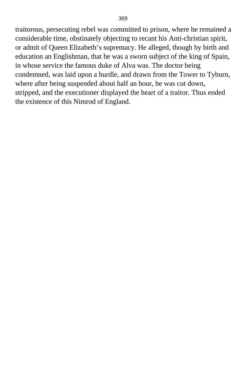traitorous, persecuting rebel was committed to prison, where he remained a considerable time, obstinately objecting to recant his Anti-christian spirit, or admit of Queen Elizabeth's supremacy. He alleged, though by birth and education an Englishman, that he was a sworn subject of the king of Spain, in whose service the famous duke of Alva was. The doctor being condemned, was laid upon a hurdle, and drawn from the Tower to Tyburn, where after being suspended about half an hour, he was cut down, stripped, and the executioner displayed the heart of a traitor. Thus ended

the existence of this Nimrod of England.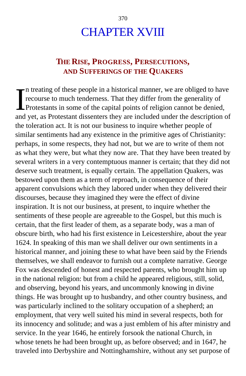# CHAPTER XVIII

370

## **THE RISE, PROGRESS, PERSECUTIONS, AND SUFFERINGS OF THE QUAKERS**

 $\tau$ n treating of these people in a historical manner, we are obliged to have recourse to much tenderness. That they differ from the generality of In treating of these people in a historical manner, we are obliged to have recourse to much tenderness. That they differ from the generality of Protestants in some of the capital points of religion cannot be denied, and yet, as Protestant dissenters they are included under the description of the toleration act. It is not our business to inquire whether people of similar sentiments had any existence in the primitive ages of Christianity: perhaps, in some respects, they had not, but we are to write of them not as what they were, but what they now are. That they have been treated by several writers in a very contemptuous manner is certain; that they did not deserve such treatment, is equally certain. The appellation Quakers, was bestowed upon them as a term of reproach, in consequence of their apparent convulsions which they labored under when they delivered their discourses, because they imagined they were the effect of divine inspiration. It is not our business, at present, to inquire whether the sentiments of these people are agreeable to the Gospel, but this much is certain, that the first leader of them, as a separate body, was a man of obscure birth, who had his first existence in Leicestershire, about the year 1624. In speaking of this man we shall deliver our own sentiments in a historical manner, and joining these to what have been said by the Friends themselves, we shall endeavor to furnish out a complete narrative. George Fox was descended of honest and respected parents, who brought him up in the national religion: but from a child he appeared religious, still, solid, and observing, beyond his years, and uncommonly knowing in divine things. He was brought up to husbandry, and other country business, and was particularly inclined to the solitary occupation of a shepherd; an employment, that very well suited his mind in several respects, both for its innocency and solitude; and was a just emblem of his after ministry and service. In the year 1646, he entirely forsook the national Church, in whose tenets he had been brought up, as before observed; and in 1647, he traveled into Derbyshire and Nottinghamshire, without any set purpose of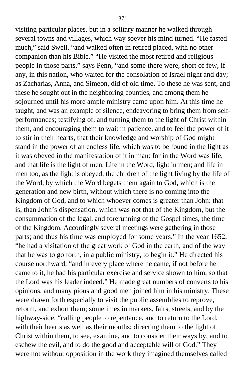visiting particular places, but in a solitary manner he walked through several towns and villages, which way soever his mind turned. "He fasted much," said Swell, "and walked often in retired placed, with no other companion than his Bible." "He visited the most retired and religious people in those parts," says Penn, "and some there were, short of few, if any, in this nation, who waited for the consolation of Israel night and day; as Zacharias, Anna, and Simeon, did of old time. To these he was sent, and these he sought out in the neighboring counties, and among them he sojourned until his more ample ministry came upon him. At this time he taught, and was an example of silence, endeavoring to bring them from selfperformances; testifying of, and turning them to the light of Christ within them, and encouraging them to wait in patience, and to feel the power of it to stir in their hearts, that their knowledge and worship of God might stand in the power of an endless life, which was to be found in the light as it was obeyed in the manifestation of it in man: for in the Word was life, and that life is the light of men. Life in the Word, light in men; and life in men too, as the light is obeyed; the children of the light living by the life of the Word, by which the Word begets them again to God, which is the generation and new birth, without which there is no coming into the Kingdom of God, and to which whoever comes is greater than John: that is, than John's dispensation, which was not that of the Kingdom, but the consummation of the legal, and forerunning of the Gospel times, the time of the Kingdom. Accordingly several meetings were gathering in those parts; and thus his time was employed for some years." In the year 1652, "he had a visitation of the great work of God in the earth, and of the way that he was to go forth, in a public ministry, to begin it." He directed his course northward, "and in every place where he came, if not before he came to it, he had his particular exercise and service shown to him, so that the Lord was his leader indeed." He made great numbers of converts to his opinions, and many pious and good men joined him in his ministry. These were drawn forth especially to visit the public assemblies to reprove, reform, and exhort them; sometimes in markets, fairs, streets, and by the highway-side, "calling people to repentance, and to return to the Lord, with their hearts as well as their mouths; directing them to the light of Christ within them, to see, examine, and to consider their ways by, and to eschew the evil, and to do the good and acceptable will of God." They were not without opposition in the work they imagined themselves called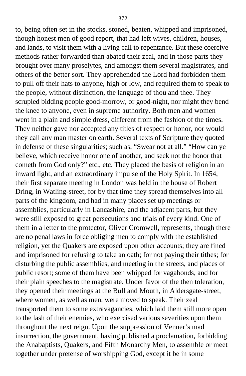to, being often set in the stocks, stoned, beaten, whipped and imprisoned, though honest men of good report, that had left wives, children, houses, and lands, to visit them with a living call to repentance. But these coercive methods rather forwarded than abated their zeal, and in those parts they brought over many proselytes, and amongst them several magistrates, and others of the better sort. They apprehended the Lord had forbidden them to pull off their hats to anyone, high or low, and required them to speak to the people, without distinction, the language of thou and thee. They scrupled bidding people good-morrow, or good-night, nor might they bend the knee to anyone, even in supreme authority. Both men and women went in a plain and simple dress, different from the fashion of the times. They neither gave nor accepted any titles of respect or honor, nor would they call any man master on earth. Several texts of Scripture they quoted in defense of these singularities; such as, "Swear not at all." "How can ye believe, which receive honor one of another, and seek not the honor that cometh from God only?" etc., etc. They placed the basis of religion in an inward light, and an extraordinary impulse of the Holy Spirit. In 1654, their first separate meeting in London was held in the house of Robert Dring, in Watling-street, for by that time they spread themselves into all parts of the kingdom, and had in many places set up meetings or assemblies, particularly in Lancashire, and the adjacent parts, but they were still exposed to great persecutions and trials of every kind. One of them in a letter to the protector, Oliver Cromwell, represents, though there are no penal laws in force obliging men to comply with the established religion, yet the Quakers are exposed upon other accounts; they are fined and imprisoned for refusing to take an oath; for not paying their tithes; for disturbing the public assemblies, and meeting in the streets, and places of public resort; some of them have been whipped for vagabonds, and for their plain speeches to the magistrate. Under favor of the then toleration, they opened their meetings at the Bull and Mouth, in Aldersgate-street, where women, as well as men, were moved to speak. Their zeal transported them to some extravagancies, which laid them still more open to the lash of their enemies, who exercised various severities upon them throughout the next reign. Upon the suppression of Venner's mad insurrection, the government, having published a proclamation, forbidding the Anabaptists, Quakers, and Fifth Monarchy Men, to assemble or meet together under pretense of worshipping God, except it be in some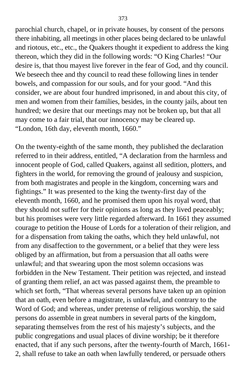parochial church, chapel, or in private houses, by consent of the persons there inhabiting, all meetings in other places being declared to be unlawful and riotous, etc., etc., the Quakers thought it expedient to address the king thereon, which they did in the following words: "O King Charles! "Our desire is, that thou mayest live forever in the fear of God, and thy council. We beseech thee and thy council to read these following lines in tender bowels, and compassion for our souls, and for your good. "And this consider, we are about four hundred imprisoned, in and about this city, of men and women from their families, besides, in the county jails, about ten hundred; we desire that our meetings may not be broken up, but that all may come to a fair trial, that our innocency may be cleared up. "London, 16th day, eleventh month, 1660."

On the twenty-eighth of the same month, they published the declaration referred to in their address, entitled, "A declaration from the harmless and innocent people of God, called Quakers, against all sedition, plotters, and fighters in the world, for removing the ground of jealousy and suspicion, from both magistrates and people in the kingdom, concerning wars and fightings." It was presented to the king the twenty-first day of the eleventh month, 1660, and he promised them upon his royal word, that they should not suffer for their opinions as long as they lived peaceably; but his promises were very little regarded afterward. In 1661 they assumed courage to petition the House of Lords for a toleration of their religion, and for a dispensation from taking the oaths, which they held unlawful, not from any disaffection to the government, or a belief that they were less obliged by an affirmation, but from a persuasion that all oaths were unlawful; and that swearing upon the most solemn occasions was forbidden in the New Testament. Their petition was rejected, and instead of granting them relief, an act was passed against them, the preamble to which set forth, "That whereas several persons have taken up an opinion that an oath, even before a magistrate, is unlawful, and contrary to the Word of God; and whereas, under pretense of religious worship, the said persons do assemble in great numbers in several parts of the kingdom, separating themselves from the rest of his majesty's subjects, and the public congregations and usual places of divine worship; be it therefore enacted, that if any such persons, after the twenty-fourth of March, 1661- 2, shall refuse to take an oath when lawfully tendered, or persuade others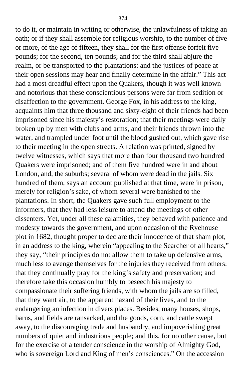to do it, or maintain in writing or otherwise, the unlawfulness of taking an oath; or if they shall assemble for religious worship, to the number of five or more, of the age of fifteen, they shall for the first offense forfeit five pounds; for the second, ten pounds; and for the third shall abjure the realm, or be transported to the plantations: and the justices of peace at their open sessions may hear and finally determine in the affair." This act had a most dreadful effect upon the Quakers, though it was well known and notorious that these conscientious persons were far from sedition or disaffection to the government. George Fox, in his address to the king, acquaints him that three thousand and sixty-eight of their friends had been imprisoned since his majesty's restoration; that their meetings were daily broken up by men with clubs and arms, and their friends thrown into the water, and trampled under foot until the blood gushed out, which gave rise to their meeting in the open streets. A relation was printed, signed by twelve witnesses, which says that more than four thousand two hundred Quakers were imprisoned; and of them five hundred were in and about London, and, the suburbs; several of whom were dead in the jails. Six hundred of them, says an account published at that time, were in prison, merely for religion's sake, of whom several were banished to the plantations. In short, the Quakers gave such full employment to the informers, that they had less leisure to attend the meetings of other dissenters. Yet, under all these calamities, they behaved with patience and modesty towards the government, and upon occasion of the Ryehouse plot in 1682, thought proper to declare their innocence of that sham plot, in an address to the king, wherein "appealing to the Searcher of all hearts," they say, "their principles do not allow them to take up defensive arms, much less to avenge themselves for the injuries they received from others: that they continually pray for the king's safety and preservation; and therefore take this occasion humbly to beseech his majesty to compassionate their suffering friends, with whom the jails are so filled, that they want air, to the apparent hazard of their lives, and to the endangering an infection in divers places. Besides, many houses, shops, barns, and fields are ransacked, and the goods, corn, and cattle swept away, to the discouraging trade and husbandry, and impoverishing great numbers of quiet and industrious people; and this, for no other cause, but for the exercise of a tender conscience in the worship of Almighty God, who is sovereign Lord and King of men's consciences." On the accession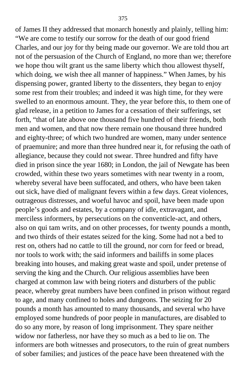of James II they addressed that monarch honestly and plainly, telling him: "We are come to testify our sorrow for the death of our good friend Charles, and our joy for thy being made our governor. We are told thou art not of the persuasion of the Church of England, no more than we; therefore we hope thou wilt grant us the same liberty which thou allowest thyself, which doing, we wish thee all manner of happiness." When James, by his dispensing power, granted liberty to the dissenters, they began to enjoy some rest from their troubles; and indeed it was high time, for they were swelled to an enormous amount. They, the year before this, to them one of glad release, in a petition to James for a cessation of their sufferings, set forth, "that of late above one thousand five hundred of their friends, both men and women, and that now there remain one thousand three hundred and eighty-three; of which two hundred are women, many under sentence of praemunire; and more than three hundred near it, for refusing the oath of allegiance, because they could not swear. Three hundred and fifty have died in prison since the year 1680; in London, the jail of Newgate has been crowded, within these two years sometimes with near twenty in a room, whereby several have been suffocated, and others, who have been taken out sick, have died of malignant fevers within a few days. Great violences, outrageous distresses, and woeful havoc and spoil, have been made upon people's goods and estates, by a company of idle, extravagant, and merciless informers, by persecutions on the conventicle-act, and others, also on qui tam writs, and on other processes, for twenty pounds a month, and two thirds of their estates seized for the king. Some had not a bed to rest on, others had no cattle to till the ground, nor corn for feed or bread, nor tools to work with; the said informers and bailiffs in some places breaking into houses, and making great waste and spoil, under pretense of serving the king and the Church. Our religious assemblies have been charged at common law with being rioters and disturbers of the public peace, whereby great numbers have been confined in prison without regard to age, and many confined to holes and dungeons. The seizing for 20 pounds a month has amounted to many thousands, and several who have employed some hundreds of poor people in manufactures, are disabled to do so any more, by reason of long imprisonment. They spare neither widow nor fatherless, nor have they so much as a bed to lie on. The informers are both witnesses and prosecutors, to the ruin of great numbers of sober families; and justices of the peace have been threatened with the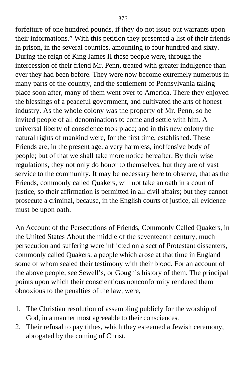forfeiture of one hundred pounds, if they do not issue out warrants upon their informations." With this petition they presented a list of their friends in prison, in the several counties, amounting to four hundred and sixty. During the reign of King James II these people were, through the intercession of their friend Mr. Penn, treated with greater indulgence than ever they had been before. They were now become extremely numerous in many parts of the country, and the settlement of Pennsylvania taking place soon after, many of them went over to America. There they enjoyed the blessings of a peaceful government, and cultivated the arts of honest industry. As the whole colony was the property of Mr. Penn, so he invited people of all denominations to come and settle with him. A universal liberty of conscience took place; and in this new colony the natural rights of mankind were, for the first time, established. These Friends are, in the present age, a very harmless, inoffensive body of people; but of that we shall take more notice hereafter. By their wise regulations, they not only do honor to themselves, but they are of vast service to the community. It may be necessary here to observe, that as the Friends, commonly called Quakers, will not take an oath in a court of justice, so their affirmation is permitted in all civil affairs; but they cannot prosecute a criminal, because, in the English courts of justice, all evidence must be upon oath.

An Account of the Persecutions of Friends, Commonly Called Quakers, in the United States About the middle of the seventeenth century, much persecution and suffering were inflicted on a sect of Protestant dissenters, commonly called Quakers: a people which arose at that time in England some of whom sealed their testimony with their blood. For an account of the above people, see Sewell's, or Gough's history of them. The principal points upon which their conscientious nonconformity rendered them obnoxious to the penalties of the law, were,

- 1. The Christian resolution of assembling publicly for the worship of God, in a manner most agreeable to their consciences.
- 2. Their refusal to pay tithes, which they esteemed a Jewish ceremony, abrogated by the coming of Christ.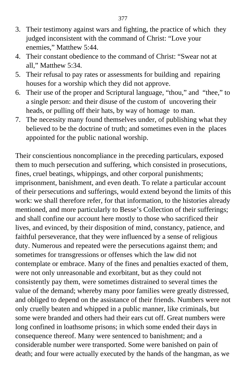- 3. Their testimony against wars and fighting, the practice of which they judged inconsistent with the command of Christ: "Love your enemies," Matthew 5:44.
- 4. Their constant obedience to the command of Christ: "Swear not at all," Matthew 5:34.
- 5. Their refusal to pay rates or assessments for building and repairing houses for a worship which they did not approve.
- 6. Their use of the proper and Scriptural language, "thou," and "thee," to a single person: and their disuse of the custom of uncovering their heads, or pulling off their hats, by way of homage to man.
- 7. The necessity many found themselves under, of publishing what they believed to be the doctrine of truth; and sometimes even in the places appointed for the public national worship.

Their conscientious noncompliance in the preceding particulars, exposed them to much persecution and suffering, which consisted in prosecutions, fines, cruel beatings, whippings, and other corporal punishments; imprisonment, banishment, and even death. To relate a particular account of their persecutions and sufferings, would extend beyond the limits of this work: we shall therefore refer, for that information, to the histories already mentioned, and more particularly to Besse's Collection of their sufferings; and shall confine our account here mostly to those who sacrificed their lives, and evinced, by their disposition of mind, constancy, patience, and faithful perseverance, that they were influenced by a sense of religious duty. Numerous and repeated were the persecutions against them; and sometimes for transgressions or offenses which the law did not contemplate or embrace. Many of the fines and penalties exacted of them, were not only unreasonable and exorbitant, but as they could not consistently pay them, were sometimes distrained to several times the value of the demand; whereby many poor families were greatly distressed, and obliged to depend on the assistance of their friends. Numbers were not only cruelly beaten and whipped in a public manner, like criminals, but some were branded and others had their ears cut off. Great numbers were long confined in loathsome prisons; in which some ended their days in consequence thereof. Many were sentenced to banishment; and a considerable number were transported. Some were banished on pain of death; and four were actually executed by the hands of the hangman, as we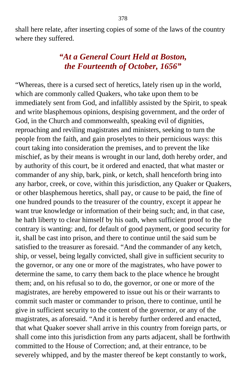shall here relate, after inserting copies of some of the laws of the country where they suffered.

## *"At a General Court Held at Boston, the Fourteenth of October, 1656"*

"Whereas, there is a cursed sect of heretics, lately risen up in the world, which are commonly called Quakers, who take upon them to be immediately sent from God, and infallibly assisted by the Spirit, to speak and write blasphemous opinions, despising government, and the order of God, in the Church and commonwealth, speaking evil of dignities, reproaching and reviling magistrates and ministers, seeking to turn the people from the faith, and gain proselytes to their pernicious ways: this court taking into consideration the premises, and to prevent the like mischief, as by their means is wrought in our land, doth hereby order, and by authority of this court, be it ordered and enacted, that what master or commander of any ship, bark, pink, or ketch, shall henceforth bring into any harbor, creek, or cove, within this jurisdiction, any Quaker or Quakers, or other blasphemous heretics, shall pay, or cause to be paid, the fine of one hundred pounds to the treasurer of the country, except it appear he want true knowledge or information of their being such; and, in that case, he hath liberty to clear himself by his oath, when sufficient proof to the contrary is wanting: and, for default of good payment, or good security for it, shall be cast into prison, and there to continue until the said sum be satisfied to the treasurer as foresaid. "And the commander of any ketch, ship, or vessel, being legally convicted, shall give in sufficient security to the governor, or any one or more of the magistrates, who have power to determine the same, to carry them back to the place whence he brought them; and, on his refusal so to do, the governor, or one or more of the magistrates, are hereby empowered to issue out his or their warrants to commit such master or commander to prison, there to continue, until he give in sufficient security to the content of the governor, or any of the magistrates, as aforesaid. "And it is hereby further ordered and enacted, that what Quaker soever shall arrive in this country from foreign parts, or shall come into this jurisdiction from any parts adjacent, shall be forthwith committed to the House of Correction; and, at their entrance, to be severely whipped, and by the master thereof be kept constantly to work,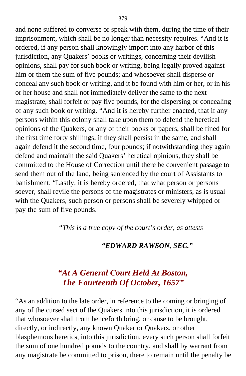and none suffered to converse or speak with them, during the time of their imprisonment, which shall be no longer than necessity requires. "And it is ordered, if any person shall knowingly import into any harbor of this jurisdiction, any Quakers' books or writings, concerning their devilish opinions, shall pay for such book or writing, being legally proved against him or them the sum of five pounds; and whosoever shall disperse or conceal any such book or writing, and it be found with him or her, or in his or her house and shall not immediately deliver the same to the next magistrate, shall forfeit or pay five pounds, for the dispersing or concealing of any such book or writing. "And it is hereby further enacted, that if any persons within this colony shall take upon them to defend the heretical opinions of the Quakers, or any of their books or papers, shall be fined for the first time forty shillings; if they shall persist in the same, and shall again defend it the second time, four pounds; if notwithstanding they again defend and maintain the said Quakers' heretical opinions, they shall be committed to the House of Correction until there be convenient passage to send them out of the land, being sentenced by the court of Assistants to banishment. "Lastly, it is hereby ordered, that what person or persons soever, shall revile the persons of the magistrates or ministers, as is usual with the Quakers, such person or persons shall be severely whipped or pay the sum of five pounds.

*"This is a true copy of the court's order, as attests*

### *"EDWARD RAWSON, SEC."*

## *"At A General Court Held At Boston, The Fourteenth Of October, 1657"*

"As an addition to the late order, in reference to the coming or bringing of any of the cursed sect of the Quakers into this jurisdiction, it is ordered that whosoever shall from henceforth bring, or cause to be brought, directly, or indirectly, any known Quaker or Quakers, or other blasphemous heretics, into this jurisdiction, every such person shall forfeit the sum of one hundred pounds to the country, and shall by warrant from any magistrate be committed to prison, there to remain until the penalty be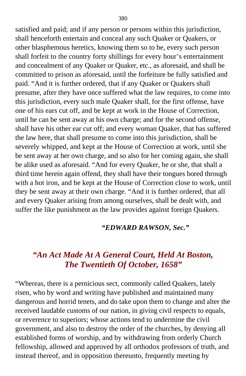satisfied and paid; and if any person or persons within this jurisdiction, shall henceforth entertain and conceal any such Quaker or Quakers, or other blasphemous heretics, knowing them so to be, every such person shall forfeit to the country forty shillings for every hour's entertainment and concealment of any Quaker or Quaker, etc., as aforesaid, and shall be committed to prison as aforesaid, until the forfeiture be fully satisfied and paid. "And it is further ordered, that if any Quaker or Quakers shall presume, after they have once suffered what the law requires, to come into this jurisdiction, every such male Quaker shall, for the first offense, have one of his ears cut off, and be kept at work in the House of Correction, until he can be sent away at his own charge; and for the second offense, shall have his other ear cut off; and every woman Quaker, that has suffered the law here, that shall presume to come into this jurisdiction, shall be severely whipped, and kept at the House of Correction at work, until she be sent away at her own charge, and so also for her coming again, she shall be alike used as aforesaid. "And for every Quaker, he or she, that shall a third time herein again offend, they shall have their tongues bored through with a hot iron, and be kept at the House of Correction close to work, until they be sent away at their own charge. "And it is further ordered, that all and every Quaker arising from among ourselves, shall be dealt with, and suffer the like punishment as the law provides against foreign Quakers.

### *"EDWARD RAWSON, Sec."*

## *"An Act Made At A General Court, Held At Boston, The Twentieth Of October, 1658"*

"Whereas, there is a pernicious sect, commonly called Quakers, lately risen, who by word and writing have published and maintained many dangerous and horrid tenets, and do take upon them to change and alter the received laudable customs of our nation, in giving civil respects to equals, or reverence to superiors; whose actions tend to undermine the civil government, and also to destroy the order of the churches, by denying all established forms of worship, and by withdrawing from orderly Church fellowship, allowed and approved by all orthodox professors of truth, and instead thereof, and in opposition thereunto, frequently meeting by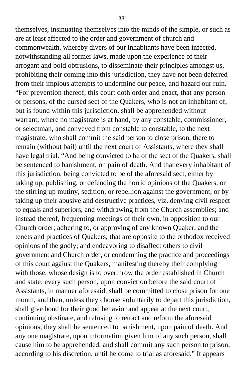themselves, insinuating themselves into the minds of the simple, or such as are at least affected to the order and government of church and commonwealth, whereby divers of our inhabitants have been infected, notwithstanding all former laws, made upon the experience of their arrogant and bold obtrusions, to disseminate their principles amongst us, prohibiting their coming into this jurisdiction, they have not been deferred from their impious attempts to undermine our peace, and hazard our ruin. "For prevention thereof, this court doth order and enact, that any person or persons, of the cursed sect of the Quakers, who is not an inhabitant of, but is found within this jurisdiction, shall be apprehended without warrant, where no magistrate is at hand, by any constable, commissioner, or selectman, and conveyed from constable to constable, to the next magistrate, who shall commit the said person to close prison, there to remain (without bail) until the next court of Assistants, where they shall have legal trial. "And being convicted to be of the sect of the Quakers, shall be sentenced to banishment, on pain of death. And that every inhabitant of this jurisdiction, being convicted to be of the aforesaid sect, either by taking up, publishing, or defending the horrid opinions of the Quakers, or the stirring up mutiny, sedition, or rebellion against the government, or by taking up their abusive and destructive practices, viz. denying civil respect to equals and superiors, and withdrawing from the Church assemblies; and instead thereof, frequenting meetings of their own, in opposition to our Church order; adhering to, or approving of any known Quaker, and the tenets and practices of Quakers, that are opposite to the orthodox received opinions of the godly; and endeavoring to disaffect others to civil government and Church order, or condemning the practice and proceedings of this court against the Quakers, manifesting thereby their complying with those, whose design is to overthrow the order established in Church and state: every such person, upon conviction before the said court of Assistants, in manner aforesaid, shall be committed to close prison for one month, and then, unless they choose voluntarily to depart this jurisdiction, shall give bond for their good behavior and appear at the next court, continuing obstinate, and refusing to retract and reform the aforesaid opinions, they shall be sentenced to banishment, upon pain of death. And any one magistrate, upon information given him of any such person, shall cause him to be apprehended, and shall commit any such person to prison, according to his discretion, until he come to trial as aforesaid." It appears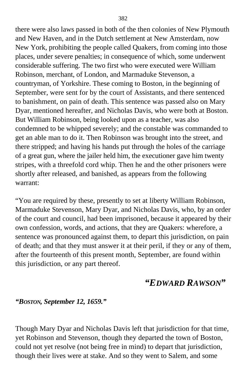there were also laws passed in both of the then colonies of New Plymouth and New Haven, and in the Dutch settlement at New Amsterdam, now New York, prohibiting the people called Quakers, from coming into those places, under severe penalties; in consequence of which, some underwent considerable suffering. The two first who were executed were William Robinson, merchant, of London, and Marmaduke Stevenson, a countryman, of Yorkshire. These coming to Boston, in the beginning of September, were sent for by the court of Assistants, and there sentenced to banishment, on pain of death. This sentence was passed also on Mary Dyar, mentioned hereafter, and Nicholas Davis, who were both at Boston. But William Robinson, being looked upon as a teacher, was also condemned to be whipped severely; and the constable was commanded to get an able man to do it. Then Robinson was brought into the street, and there stripped; and having his hands put through the holes of the carriage of a great gun, where the jailer held him, the executioner gave him twenty stripes, with a threefold cord whip. Then he and the other prisoners were shortly after released, and banished, as appears from the following warrant:

"You are required by these, presently to set at liberty William Robinson, Marmaduke Stevenson, Mary Dyar, and Nicholas Davis, who, by an order of the court and council, had been imprisoned, because it appeared by their own confession, words, and actions, that they are Quakers: wherefore, a sentence was pronounced against them, to depart this jurisdiction, on pain of death; and that they must answer it at their peril, if they or any of them, after the fourteenth of this present month, September, are found within this jurisdiction, or any part thereof.

### *"EDWARD RAWSON"*

#### *"BOSTON, September 12, 1659."*

Though Mary Dyar and Nicholas Davis left that jurisdiction for that time, yet Robinson and Stevenson, though they departed the town of Boston, could not yet resolve (not being free in mind) to depart that jurisdiction, though their lives were at stake. And so they went to Salem, and some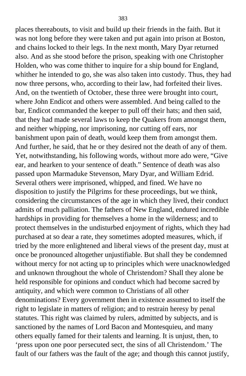places thereabouts, to visit and build up their friends in the faith. But it was not long before they were taken and put again into prison at Boston, and chains locked to their legs. In the next month, Mary Dyar returned also. And as she stood before the prison, speaking with one Christopher Holden, who was come thither to inquire for a ship bound for England, whither he intended to go, she was also taken into custody. Thus, they had now three persons, who, according to their law, had forfeited their lives. And, on the twentieth of October, these three were brought into court, where John Endicot and others were assembled. And being called to the bar, Endicot commanded the keeper to pull off their hats; and then said, that they had made several laws to keep the Quakers from amongst them, and neither whipping, nor imprisoning, nor cutting off ears, nor banishment upon pain of death, would keep them from amongst them. And further, he said, that he or they desired not the death of any of them. Yet, notwithstanding, his following words, without more ado were, "Give ear, and hearken to your sentence of death." Sentence of death was also passed upon Marmaduke Stevenson, Mary Dyar, and William Edrid. Several others were imprisoned, whipped, and fined. We have no disposition to justify the Pilgrims for these proceedings, but we think, considering the circumstances of the age in which they lived, their conduct admits of much palliation. The fathers of New England, endured incredible hardships in providing for themselves a home in the wilderness; and to protect themselves in the undisturbed enjoyment of rights, which they had purchased at so dear a rate, they sometimes adopted measures, which, if tried by the more enlightened and liberal views of the present day, must at once be pronounced altogether unjustifiable. But shall they be condemned without mercy for not acting up to principles which were unacknowledged and unknown throughout the whole of Christendom? Shall they alone be held responsible for opinions and conduct which had become sacred by antiquity, and which were common to Christians of all other denominations? Every government then in existence assumed to itself the right to legislate in matters of religion; and to restrain heresy by penal statutes. This right was claimed by rulers, admitted by subjects, and is sanctioned by the names of Lord Bacon and Montesquieu, and many others equally famed for their talents and learning. It is unjust, then, to 'press upon one poor persecuted sect, the sins of all Christendom.' The fault of our fathers was the fault of the age; and though this cannot justify,

383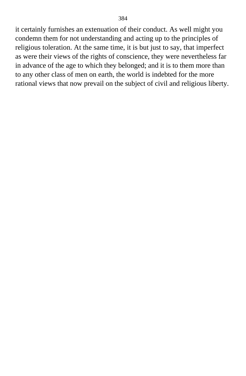it certainly furnishes an extenuation of their conduct. As well might you condemn them for not understanding and acting up to the principles of religious toleration. At the same time, it is but just to say, that imperfect as were their views of the rights of conscience, they were nevertheless far in advance of the age to which they belonged; and it is to them more than to any other class of men on earth, the world is indebted for the more rational views that now prevail on the subject of civil and religious liberty.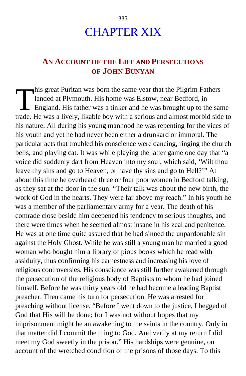## CHAPTER XIX

385

## **AN ACCOUNT OF THE LIFE AND PERSECUTIONS OF JOHN BUNYAN**

his great Puritan was born the same year that the Pilgrim Fathers landed at Plymouth. His home was Elstow, near Bedford, in  $\mathsf{\mathsf{L}}$  England. His father was a tinker and he was brought up to the same his great Puritan was born the same year that the Pilgrim Fathers<br>landed at Plymouth. His home was Elstow, near Bedford, in<br>England. His father was a tinker and he was brought up to the same<br>trade. He was a lively, likable his nature. All during his young manhood he was repenting for the vices of his youth and yet he had never been either a drunkard or immoral. The particular acts that troubled his conscience were dancing, ringing the church bells, and playing cat. It was while playing the latter game one day that "a voice did suddenly dart from Heaven into my soul, which said, 'Wilt thou leave thy sins and go to Heaven, or have thy sins and go to Hell?'" At about this time he overheard three or four poor women in Bedford talking, as they sat at the door in the sun. "Their talk was about the new birth, the work of God in the hearts. They were far above my reach." In his youth he was a member of the parliamentary army for a year. The death of his comrade close beside him deepened his tendency to serious thoughts, and there were times when he seemed almost insane in his zeal and penitence. He was at one time quite assured that he had sinned the unpardonable sin against the Holy Ghost. While he was still a young man he married a good woman who bought him a library of pious books which he read with assiduity, thus confirming his earnestness and increasing his love of religious controversies. His conscience was still further awakened through the persecution of the religious body of Baptists to whom he had joined himself. Before he was thirty years old he had become a leading Baptist preacher. Then came his turn for persecution. He was arrested for preaching without license. "Before I went down to the justice, I begged of God that His will be done; for I was not without hopes that my imprisonment might be an awakening to the saints in the country. Only in that matter did I commit the thing to God. And verily at my return I did meet my God sweetly in the prison." His hardships were genuine, on account of the wretched condition of the prisons of those days. To this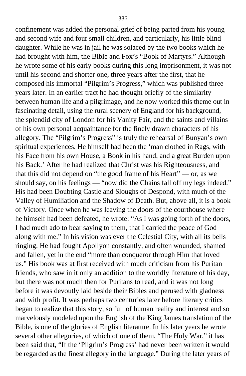confinement was added the personal grief of being parted from his young and second wife and four small children, and particularly, his little blind daughter. While he was in jail he was solaced by the two books which he had brought with him, the Bible and Fox's "Book of Martyrs." Although he wrote some of his early books during this long imprisonment, it was not until his second and shorter one, three years after the first, that he composed his immortal "Pilgrim's Progress," which was published three years later. In an earlier tract he had thought briefly of the similarity between human life and a pilgrimage, and he now worked this theme out in fascinating detail, using the rural scenery of England for his background, the splendid city of London for his Vanity Fair, and the saints and villains of his own personal acquaintance for the finely drawn characters of his allegory. The "Pilgrim's Progress" is truly the rehearsal of Bunyan's own spiritual experiences. He himself had been the 'man clothed in Rags, with his Face from his own House, a Book in his hand, and a great Burden upon his Back.' After he had realized that Christ was his Righteousness, and that this did not depend on "the good frame of his Heart" — or, as we should say, on his feelings — "now did the Chains fall off my legs indeed." His had been Doubting Castle and Sloughs of Despond, with much of the Valley of Humiliation and the Shadow of Death. But, above all, it is a book of Victory. Once when he was leaving the doors of the courthouse where he himself had been defeated, he wrote: "As I was going forth of the doors, I had much ado to bear saying to them, that I carried the peace of God along with me." In his vision was ever the Celestial City, with all its bells ringing. He had fought Apollyon constantly, and often wounded, shamed and fallen, yet in the end "more than conqueror through Him that loved us." His book was at first received with much criticism from his Puritan friends, who saw in it only an addition to the worldly literature of his day, but there was not much then for Puritans to read, and it was not long before it was devoutly laid beside their Bibles and perused with gladness and with profit. It was perhaps two centuries later before literary critics began to realize that this story, so full of human reality and interest and so marvelously modeled upon the English of the King James translation of the Bible, is one of the glories of English literature. In his later years he wrote several other allegories, of which of one of them, "The Holy War," it has been said that, "If the 'Pilgrim's Progress' had never been written it would be regarded as the finest allegory in the language." During the later years of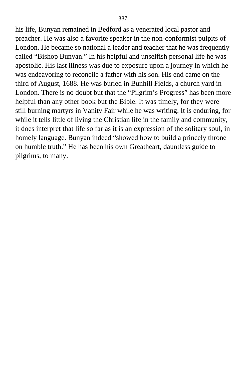387

preacher. He was also a favorite speaker in the non-conformist pulpits of London. He became so national a leader and teacher that he was frequently called "Bishop Bunyan." In his helpful and unselfish personal life he was apostolic. His last illness was due to exposure upon a journey in which he was endeavoring to reconcile a father with his son. His end came on the third of August, 1688. He was buried in Bunhill Fields, a church yard in London. There is no doubt but that the "Pilgrim's Progress" has been more helpful than any other book but the Bible. It was timely, for they were still burning martyrs in Vanity Fair while he was writing. It is enduring, for while it tells little of living the Christian life in the family and community, it does interpret that life so far as it is an expression of the solitary soul, in homely language. Bunyan indeed "showed how to build a princely throne on humble truth." He has been his own Greatheart, dauntless guide to pilgrims, to many.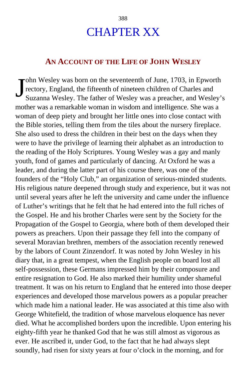# CHAPTER XX

388

## **AN ACCOUNT OF THE LIFE OF JOHN WESLEY**

ohn Wesley was born on the seventeenth of June, 1703, in Epworth rectory, England, the fifteenth of nineteen children of Charles and Suzanna Wesley. The father of Wesley was a preacher, and Wesley's mother was a remarkable woman in wisdom and intelligence. She was a woman of deep piety and brought her little ones into close contact with the Bible stories, telling them from the tiles about the nursery fireplace. She also used to dress the children in their best on the days when they were to have the privilege of learning their alphabet as an introduction to the reading of the Holy Scriptures. Young Wesley was a gay and manly youth, fond of games and particularly of dancing. At Oxford he was a leader, and during the latter part of his course there, was one of the founders of the "Holy Club," an organization of serious-minded students. His religious nature deepened through study and experience, but it was not until several years after he left the university and came under the influence of Luther's writings that he felt that he had entered into the full riches of the Gospel. He and his brother Charles were sent by the Society for the Propagation of the Gospel to Georgia, where both of them developed their powers as preachers. Upon their passage they fell into the company of several Moravian brethren, members of the association recently renewed by the labors of Count Zinzendorf. It was noted by John Wesley in his diary that, in a great tempest, when the English people on board lost all self-possession, these Germans impressed him by their composure and entire resignation to God. He also marked their humility under shameful treatment. It was on his return to England that he entered into those deeper experiences and developed those marvelous powers as a popular preacher which made him a national leader. He was associated at this time also with George Whitefield, the tradition of whose marvelous eloquence has never died. What he accomplished borders upon the incredible. Upon entering his eighty-fifth year he thanked God that he was still almost as vigorous as ever. He ascribed it, under God, to the fact that he had always slept soundly, had risen for sixty years at four o'clock in the morning, and for J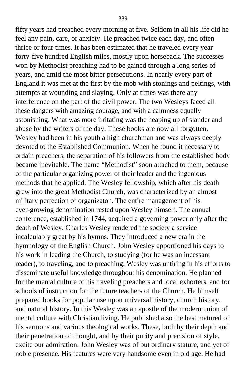fifty years had preached every morning at five. Seldom in all his life did he feel any pain, care, or anxiety. He preached twice each day, and often thrice or four times. It has been estimated that he traveled every year forty-five hundred English miles, mostly upon horseback. The successes won by Methodist preaching had to be gained through a long series of years, and amid the most bitter persecutions. In nearly every part of England it was met at the first by the mob with stonings and peltings, with attempts at wounding and slaying. Only at times was there any interference on the part of the civil power. The two Wesleys faced all these dangers with amazing courage, and with a calmness equally astonishing. What was more irritating was the heaping up of slander and abuse by the writers of the day. These books are now all forgotten. Wesley had been in his youth a high churchman and was always deeply devoted to the Established Communion. When he found it necessary to ordain preachers, the separation of his followers from the established body became inevitable. The name "Methodist" soon attached to them, because of the particular organizing power of their leader and the ingenious methods that he applied. The Wesley fellowship, which after his death grew into the great Methodist Church, was characterized by an almost military perfection of organizaton. The entire management of his ever-growing denomination rested upon Wesley himself. The annual conference, established in 1744, acquired a governing power only after the death of Wesley. Charles Wesley rendered the society a service incalculably great by his hymns. They introduced a new era in the hymnology of the English Church. John Wesley apportioned his days to his work in leading the Church, to studying (for he was an incessant reader), to traveling, and to preaching. Wesley was untiring in his efforts to disseminate useful knowledge throughout his denomination. He planned for the mental culture of his traveling preachers and local exhorters, and for schools of instruction for the future teachers of the Church. He himself prepared books for popular use upon universal history, church history, and natural history. In this Wesley was an apostle of the modern union of mental culture with Christian living. He published also the best matured of his sermons and various theological works. These, both by their depth and their penetration of thought, and by their purity and precision of style, excite our admiration. John Wesley was of but ordinary stature, and yet of noble presence. His features were very handsome even in old age. He had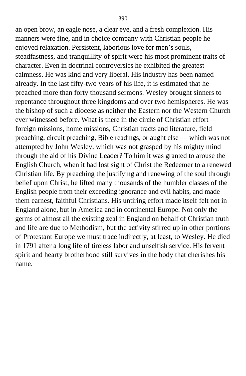an open brow, an eagle nose, a clear eye, and a fresh complexion. His manners were fine, and in choice company with Christian people he enjoyed relaxation. Persistent, laborious love for men's souls, steadfastness, and tranquillity of spirit were his most prominent traits of character. Even in doctrinal controversies he exhibited the greatest calmness. He was kind and very liberal. His industry has been named already. In the last fifty-two years of his life, it is estimated that he preached more than forty thousand sermons. Wesley brought sinners to repentance throughout three kingdoms and over two hemispheres. He was the bishop of such a diocese as neither the Eastern nor the Western Church ever witnessed before. What is there in the circle of Christian effort foreign missions, home missions, Christian tracts and literature, field preaching, circuit preaching, Bible readings, or aught else — which was not attempted by John Wesley, which was not grasped by his mighty mind through the aid of his Divine Leader? To him it was granted to arouse the English Church, when it had lost sight of Christ the Redeemer to a renewed Christian life. By preaching the justifying and renewing of the soul through belief upon Christ, he lifted many thousands of the humbler classes of the English people from their exceeding ignorance and evil habits, and made them earnest, faithful Christians. His untiring effort made itself felt not in England alone, but in America and in continental Europe. Not only the germs of almost all the existing zeal in England on behalf of Christian truth and life are due to Methodism, but the activity stirred up in other portions of Protestant Europe we must trace indirectly, at least, to Wesley. He died in 1791 after a long life of tireless labor and unselfish service. His fervent spirit and hearty brotherhood still survives in the body that cherishes his name.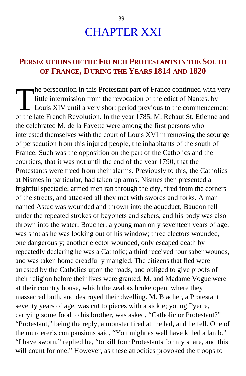# CHAPTER XXI

391

## **PERSECUTIONS OF THE FRENCH PROTESTANTS IN THE SOUTH OF FRANCE, DURING THE YEARS 1814 AND 1820**

he persecution in this Protestant part of France continued with very little intermission from the revocation of the edict of Nantes, by Louis XIV until a very short period previous to the commencement of the late French Revolution. In the year 1785, M. Rebaut St. Etienne and the celebrated M. de la Fayette were among the first persons who interested themselves with the court of Louis XVI in removing the scourge of persecution from this injured people, the inhabitants of the south of France. Such was the opposition on the part of the Catholics and the courtiers, that it was not until the end of the year 1790, that the Protestants were freed from their alarms. Previously to this, the Catholics at Nismes in particular, had taken up arms; Nismes then presented a frightful spectacle; armed men ran through the city, fired from the corners of the streets, and attacked all they met with swords and forks. A man named Astuc was wounded and thrown into the aqueduct; Baudon fell under the repeated strokes of bayonets and sabers, and his body was also thrown into the water; Boucher, a young man only seventeen years of age, was shot as he was looking out of his window; three electors wounded, one dangerously; another elector wounded, only escaped death by repeatedly declaring he was a Catholic; a third received four saber wounds, and was taken home dreadfully mangled. The citizens that fled were arrested by the Catholics upon the roads, and obliged to give proofs of their religion before their lives were granted. M. and Madame Vogue were at their country house, which the zealots broke open, where they massacred both, and destroyed their dwelling. M. Blacher, a Protestant seventy years of age, was cut to pieces with a sickle; young Pyerre, carrying some food to his brother, was asked, "Catholic or Protestant?" "Protestant," being the reply, a monster fired at the lad, and he fell. One of the murderer's compansions said, "You might as well have killed a lamb." "I have sworn," replied he, "to kill four Protestants for my share, and this will count for one." However, as these atrocities provoked the troops to T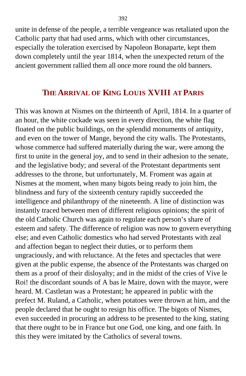unite in defense of the people, a terrible vengeance was retaliated upon the Catholic party that had used arms, which with other circumstances, especially the toleration exercised by Napoleon Bonaparte, kept them down completely until the year 1814, when the unexpected return of the ancient government rallied them all once more round the old banners.

### **THE ARRIVAL OF KING LOUIS XVIII AT PARIS**

This was known at Nismes on the thirteenth of April, 1814. In a quarter of an hour, the white cockade was seen in every direction, the white flag floated on the public buildings, on the splendid monuments of antiquity, and even on the tower of Mange, beyond the city walls. The Protestants, whose commerce had suffered materially during the war, were among the first to unite in the general joy, and to send in their adhesion to the senate, and the legislative body; and several of the Protestant departments sent addresses to the throne, but unfortunately, M. Froment was again at Nismes at the moment, when many bigots being ready to join him, the blindness and fury of the sixteenth century rapidly succeeded the intelligence and philanthropy of the nineteenth. A line of distinction was instantly traced between men of different religious opinions; the spirit of the old Catholic Church was again to regulate each person's share of esteem and safety. The difference of religion was now to govern everything else; and even Catholic domestics who had served Protestants with zeal and affection began to neglect their duties, or to perform them ungraciously, and with reluctance. At the fetes and spectacles that were given at the public expense, the absence of the Protestants was charged on them as a proof of their disloyalty; and in the midst of the cries of Vive le Roi! the discordant sounds of A bas le Maire, down with the mayor, were heard. M. Castletan was a Protestant; he appeared in public with the prefect M. Ruland, a Catholic, when potatoes were thrown at him, and the people declared that he ought to resign his office. The bigots of Nismes, even succeeded in procuring an address to be presented to the king, stating that there ought to be in France but one God, one king, and one faith. In this they were imitated by the Catholics of several towns.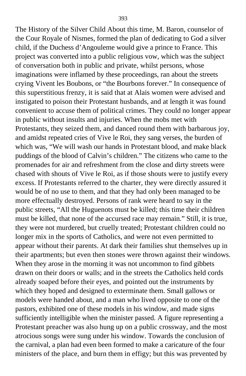The History of the Silver Child About this time, M. Baron, counselor of the Cour Royale of Nismes, formed the plan of dedicating to God a silver child, if the Duchess d'Angouleme would give a prince to France. This project was converted into a public religious vow, which was the subject of conversation both in public and private, whilst persons, whose imaginations were inflamed by these proceedings, ran about the streets crying Vivent les Boubons, or "the Bourbons forever." In consequence of this superstitious frenzy, it is said that at Alais women were advised and instigated to poison their Protestant husbands, and at length it was found convenient to accuse them of political crimes. They could no longer appear in public without insults and injuries. When the mobs met with Protestants, they seized them, and danced round them with barbarous joy, and amidst repeated cries of Vive le Roi, they sang verses, the burden of which was, "We will wash our hands in Protestant blood, and make black puddings of the blood of Calvin's children." The citizens who came to the promenades for air and refreshment from the close and dirty streets were chased with shouts of Vive le Roi, as if those shouts were to justify every excess. If Protestants referred to the charter, they were directly assured it would be of no use to them, and that they had only been managed to be more effectually destroyed. Persons of rank were heard to say in the public streets, "All the Huguenots must be killed; this time their children must be killed, that none of the accursed race may remain." Still, it is true, they were not murdered, but cruelly treated; Protestant children could no longer mix in the sports of Catholics, and were not even permitted to appear without their parents. At dark their families shut themselves up in their apartments; but even then stones were thrown against their windows. When they arose in the morning it was not uncommon to find gibbets drawn on their doors or walls; and in the streets the Catholics held cords already soaped before their eyes, and pointed out the instruments by which they hoped and designed to exterminate them. Small gallows or models were handed about, and a man who lived opposite to one of the pastors, exhibited one of these models in his window, and made signs sufficiently intelligible when the minister passed. A figure representing a Protestant preacher was also hung up on a public crossway, and the most atrocious songs were sung under his window. Towards the conclusion of the carnival, a plan had even been formed to make a caricature of the four ministers of the place, and burn them in effigy; but this was prevented by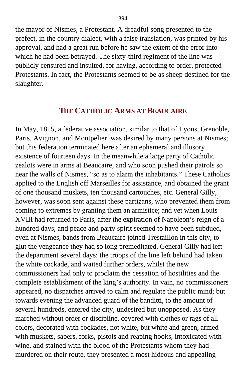the mayor of Nismes, a Protestant. A dreadful song presented to the prefect, in the country dialect, with a false translation, was printed by his approval, and had a great run before he saw the extent of the error into which he had been betrayed. The sixty-third regiment of the line was publicly censured and insulted, for having, according to order, protected Protestants. In fact, the Protestants seemed to be as sheep destined for the slaughter.

### **THE CATHOLIC ARMS AT BEAUCAIRE**

In May, 1815, a federative association, similar to that of Lyons, Grenoble, Paris, Avignon, and Montpelier, was desired by many persons at Nismes; but this federation terminated here after an ephemeral and illusory existence of fourteen days. In the meanwhile a large party of Catholic zealots were in arms at Beaucaire, and who soon pushed their patrols so near the walls of Nismes, "so as to alarm the inhabitants." These Catholics applied to the English off Marseilles for assistance, and obtained the grant of one thousand muskets, ten thousand cartouches, etc. General Gilly, however, was soon sent against these partizans, who prevented them from coming to extremes by granting them an armistice; and yet when Louis XVIII had returned to Paris, after the expiration of Napoleon's reign of a hundred days, and peace and party spirit seemed to have been subdued, even at Nismes, bands from Beaucaire joined Trestaillon in this city, to glut the vengeance they had so long premeditated. General Gilly had left the department several days: the troops of the line left behind had taken the white cockade, and waited further orders, whilst the new commissioners had only to proclaim the cessation of hostilities and the complete establishment of the king's authority. In vain, no commissioners appeared, no dispatches arrived to calm and regulate the public mind; but towards evening the advanced guard of the banditti, to the amount of several hundreds, entered the city, undesired but unopposed. As they marched without order or discipline, covered with clothes or rags of all colors, decorated with cockades, not white, but white and green, armed with muskets, sabers, forks, pistols and reaping hooks, intoxicated with wine, and stained with the blood of the Protestants whom they had murdered on their route, they presented a most hideous and appealing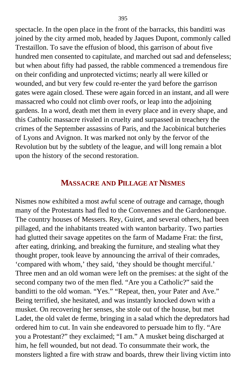spectacle. In the open place in the front of the barracks, this banditti was joined by the city armed mob, headed by Jaques Dupont, commonly called Trestaillon. To save the effusion of blood, this garrison of about five hundred men consented to capitulate, and marched out sad and defenseless; but when about fifty had passed, the rabble commenced a tremendous fire on their confiding and unprotected victims; nearly all were killed or wounded, and but very few could re-enter the yard before the garrison gates were again closed. These were again forced in an instant, and all were massacred who could not climb over roofs, or leap into the adjoining gardens. In a word, death met them in every place and in every shape, and this Catholic massacre rivaled in cruelty and surpassed in treachery the crimes of the September assassins of Paris, and the Jacobinical butcheries of Lyons and Avignon. It was marked not only by the fervor of the Revolution but by the subtlety of the league, and will long remain a blot upon the history of the second restoration.

### **MASSACRE AND PILLAGE AT NISMES**

Nismes now exhibited a most awful scene of outrage and carnage, though many of the Protestants had fled to the Convennes and the Gardonenque. The country houses of Messers. Rey, Guiret, and several others, had been pillaged, and the inhabitants treated with wanton barbarity. Two parties had glutted their savage appetites on the farm of Madame Frat: the first, after eating, drinking, and breaking the furniture, and stealing what they thought proper, took leave by announcing the arrival of their comrades, 'compared with whom,' they said, 'they should be thought merciful.' Three men and an old woman were left on the premises: at the sight of the second company two of the men fled. "Are you a Catholic?" said the banditti to the old woman. "Yes." "Repeat, then, your Pater and Ave." Being terrified, she hesitated, and was instantly knocked down with a musket. On recovering her senses, she stole out of the house, but met Ladet, the old valet de ferme, bringing in a salad which the depredators had ordered him to cut. In vain she endeavored to persuade him to fly. "Are you a Protestant?" they exclaimed; "I am." A musket being discharged at him, he fell wounded, but not dead. To consummate their work, the monsters lighted a fire with straw and boards, threw their living victim into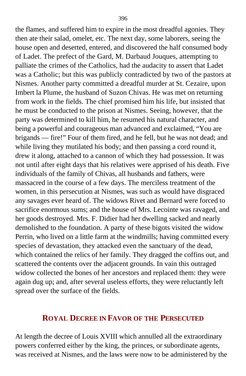the flames, and suffered him to expire in the most dreadful agonies. They then ate their salad, omelet, etc. The next day, some laborers, seeing the house open and deserted, entered, and discovered the half consumed body of Ladet. The prefect of the Gard, M. Darbaud Jouques, attempting to palliate the crimes of the Catholics, had the audacity to assert that Ladet was a Catholic; but this was publicly contradicted by two of the pastors at Nismes. Another party committed a dreadful murder at St. Cezaire, upon Imbert la Plume, the husband of Suzon Chivas. He was met on returning from work in the fields. The chief promised him his life, but insisted that he must be conducted to the prison at Nismes. Seeing, however, that the party was determined to kill him, he resumed his natural character, and being a powerful and courageous man advanced and exclaimed, "You are brigands — fire!" Four of them fired, and he fell, but he was not dead; and while living they mutilated his body; and then passing a cord round it, drew it along, attached to a cannon of which they had possession. It was not until after eight days that his relatives were apprised of his death. Five individuals of the family of Chivas, all husbands and fathers, were massacred in the course of a few days. The merciless treatment of the women, in this persecution at Nismes, was such as would have disgraced any savages ever heard of. The widows Rivet and Bernard were forced to sacrifice enormous sums; and the house of Mrs. Lecointe was ravaged, and her goods destroyed. Mrs. F. Didier had her dwelling sacked and nearly demolished to the foundation. A party of these bigots visited the widow Perrin, who lived on a little farm at the windmills; having committed every species of devastation, they attacked even the sanctuary of the dead, which contained the relics of her family. They dragged the coffins out, and scattered the contents over the adjacent grounds. In vain this outraged widow collected the bones of her ancestors and replaced them: they were again dug up; and, after several useless efforts, they were reluctantly left spread over the surface of the fields.

### **ROYAL DECREE IN FAVOR OF THE PERSECUTED**

At length the decree of Louis XVIII which annulled all the extraordinary powers conferred either by the king, the princes, or subordinate agents, was received at Nismes, and the laws were now to be administered by the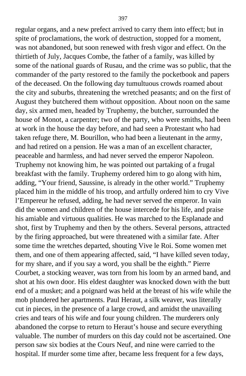regular organs, and a new prefect arrived to carry them into effect; but in spite of proclamations, the work of destruction, stopped for a moment, was not abandoned, but soon renewed with fresh vigor and effect. On the thirtieth of July, Jacques Combe, the father of a family, was killed by some of the national guards of Rusau, and the crime was so public, that the commander of the party restored to the family the pocketbook and papers of the deceased. On the following day tumultuous crowds roamed about the city and suburbs, threatening the wretched peasants; and on the first of August they butchered them without opposition. About noon on the same day, six armed men, headed by Truphemy, the butcher, surrounded the house of Monot, a carpenter; two of the party, who were smiths, had been at work in the house the day before, and had seen a Protestant who had taken refuge there, M. Bourillon, who had been a lieutenant in the army, and had retired on a pension. He was a man of an excellent character, peaceable and harmless, and had never served the emperor Napoleon. Truphemy not knowing him, he was pointed out partaking of a frugal breakfast with the family. Truphemy ordered him to go along with him, adding, "Your friend, Saussine, is already in the other world." Truphemy placed him in the middle of his troop, and artfully ordered him to cry Vive l'Empereur he refused, adding, he had never served the emperor. In vain did the women and children of the house intercede for his life, and praise his amiable and virtuous qualities. He was marched to the Esplanade and shot, first by Truphemy and then by the others. Several persons, attracted by the firing approached, but were threatened with a similar fate. After some time the wretches departed, shouting Vive le Roi. Some women met them, and one of them appearing affected, said, "I have killed seven today, for my share, and if you say a word, you shall be the eighth." Pierre Courbet, a stocking weaver, was torn from his loom by an armed band, and shot at his own door. His eldest daughter was knocked down with the butt end of a musket; and a poignard was held at the breast of his wife while the mob plundered her apartments. Paul Heraut, a silk weaver, was literally cut in pieces, in the presence of a large crowd, and amidst the unavailing cries and tears of his wife and four young children. The murderers only abandoned the corpse to return to Heraut's house and secure everything valuable. The number of murders on this day could not be ascertained. One person saw six bodies at the Cours Neuf, and nine were carried to the hospital. If murder some time after, became less frequent for a few days,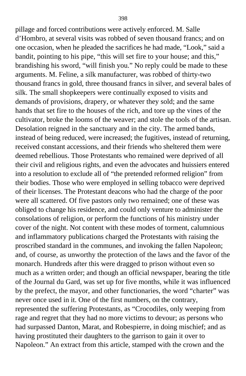pillage and forced contributions were actively enforced. M. Salle d'Hombro, at several visits was robbed of seven thousand francs; and on one occasion, when he pleaded the sacrifices he had made, "Look," said a bandit, pointing to his pipe, "this will set fire to your house; and this," brandishing his sword, "will finish you." No reply could be made to these arguments. M. Feline, a silk manufacturer, was robbed of thirty-two thousand francs in gold, three thousand francs in silver, and several bales of silk. The small shopkeepers were continually exposed to visits and demands of provisions, drapery, or whatever they sold; and the same hands that set fire to the houses of the rich, and tore up the vines of the cultivator, broke the looms of the weaver; and stole the tools of the artisan. Desolation reigned in the sanctuary and in the city. The armed bands, instead of being reduced, were increased; the fugitives, instead of returning, received constant accessions, and their friends who sheltered them were deemed rebellious. Those Protestants who remained were deprived of all their civil and religious rights, and even the advocates and huissiers entered into a resolution to exclude all of "the pretended reformed religion" from their bodies. Those who were employed in selling tobacco were deprived of their licenses. The Protestant deacons who had the charge of the poor were all scattered. Of five pastors only two remained; one of these was obliged to change his residence, and could only venture to administer the consolations of religion, or perform the functions of his ministry under cover of the night. Not content with these modes of torment, calumnious and inflammatory publications charged the Protestants with raising the proscribed standard in the communes, and invoking the fallen Napoleon; and, of course, as unworthy the protection of the laws and the favor of the monarch. Hundreds after this were dragged to prison without even so much as a written order; and though an official newspaper, bearing the title of the Journal du Gard, was set up for five months, while it was influenced by the prefect, the mayor, and other functionaries, the word "charter" was never once used in it. One of the first numbers, on the contrary, represented the suffering Protestants, as "Crocodiles, only weeping from rage and regret that they had no more victims to devour; as persons who had surpassed Danton, Marat, and Robespierre, in doing mischief; and as having prostituted their daughters to the garrison to gain it over to Napoleon." An extract from this article, stamped with the crown and the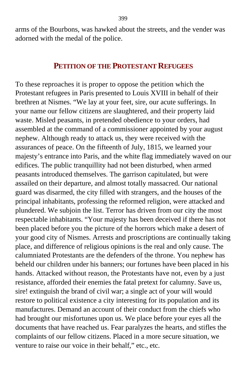arms of the Bourbons, was hawked about the streets, and the vender was adorned with the medal of the police.

#### **PETITION OF THE PROTESTANT REFUGEES**

To these reproaches it is proper to oppose the petition which the Protestant refugees in Paris presented to Louis XVIII in behalf of their brethren at Nismes. "We lay at your feet, sire, our acute sufferings. In your name our fellow citizens are slaughtered, and their property laid waste. Misled peasants, in pretended obedience to your orders, had assembled at the command of a commissioner appointed by your august nephew. Although ready to attack us, they were received with the assurances of peace. On the fifteenth of July, 1815, we learned your majesty's entrance into Paris, and the white flag immediately waved on our edifices. The public tranquillity had not been disturbed, when armed peasants introduced themselves. The garrison capitulated, but were assailed on their departure, and almost totally massacred. Our national guard was disarmed, the city filled with strangers, and the houses of the principal inhabitants, professing the reformed religion, were attacked and plundered. We subjoin the list. Terror has driven from our city the most respectable inhabitants. "Your majesty has been deceived if there has not been placed before you the picture of the horrors which make a desert of your good city of Nismes. Arrests and proscriptions are continually taking place, and difference of religious opinions is the real and only cause. The calumniated Protestants are the defenders of the throne. You nephew has beheld our children under his banners; our fortunes have been placed in his hands. Attacked without reason, the Protestants have not, even by a just resistance, afforded their enemies the fatal pretext for calumny. Save us, sire! extinguish the brand of civil war; a single act of your will would restore to political existence a city interesting for its population and its manufactures. Demand an account of their conduct from the chiefs who had brought our misfortunes upon us. We place before your eyes all the documents that have reached us. Fear paralyzes the hearts, and stifles the complaints of our fellow citizens. Placed in a more secure situation, we venture to raise our voice in their behalf," etc., etc.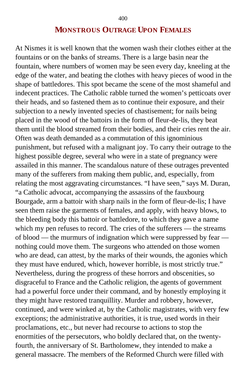## **MONSTROUS OUTRAGE UPON FEMALES**

At Nismes it is well known that the women wash their clothes either at the fountains or on the banks of streams. There is a large basin near the fountain, where numbers of women may be seen every day, kneeling at the edge of the water, and beating the clothes with heavy pieces of wood in the shape of battledores. This spot became the scene of the most shameful and indecent practices. The Catholic rabble turned the women's petticoats over their heads, and so fastened them as to continue their exposure, and their subjection to a newly invented species of chastisement; for nails being placed in the wood of the battoirs in the form of fleur-de-lis, they beat them until the blood streamed from their bodies, and their cries rent the air. Often was death demanded as a commutation of this ignominious punishment, but refused with a malignant joy. To carry their outrage to the highest possible degree, several who were in a state of pregnancy were assailed in this manner. The scandalous nature of these outrages prevented many of the sufferers from making them public, and, especially, from relating the most aggravating circumstances. "I have seen," says M. Duran, "a Catholic advocat, accompanying the assassins of the fauxbourg Bourgade, arm a battoir with sharp nails in the form of fleur-de-lis; I have seen them raise the garments of females, and apply, with heavy blows, to the bleeding body this battoir or battledore, to which they gave a name which my pen refuses to record. The cries of the sufferers — the streams of blood — the murmurs of indignation which were suppressed by fear nothing could move them. The surgeons who attended on those women who are dead, can attest, by the marks of their wounds, the agonies which they must have endured, which, however horrible, is most strictly true." Nevertheless, during the progress of these horrors and obscenities, so disgraceful to France and the Catholic religion, the agents of government had a powerful force under their command, and by honestly employing it they might have restored tranquillity. Murder and robbery, however, continued, and were winked at, by the Catholic magistrates, with very few exceptions; the administrative authorities, it is true, used words in their proclamations, etc., but never had recourse to actions to stop the enormities of the persecutors, who boldly declared that, on the twentyfourth, the anniversary of St. Bartholomew, they intended to make a general massacre. The members of the Reformed Church were filled with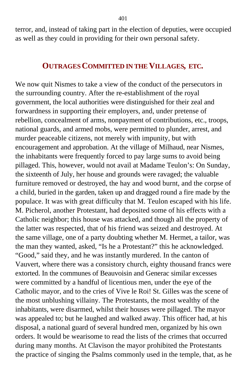terror, and, instead of taking part in the election of deputies, were occupied as well as they could in providing for their own personal safety.

## **OUTRAGES COMMITTED IN THE VILLAGES, ETC.**

We now quit Nismes to take a view of the conduct of the persecutors in the surrounding country. After the re-establishment of the royal government, the local authorities were distinguished for their zeal and forwardness in supporting their employers, and, under pretense of rebellion, concealment of arms, nonpayment of contributions, etc., troops, national guards, and armed mobs, were permitted to plunder, arrest, and murder peaceable citizens, not merely with impunity, but with encouragement and approbation. At the village of Milhaud, near Nismes, the inhabitants were frequently forced to pay large sums to avoid being pillaged. This, however, would not avail at Madame Teulon's: On Sunday, the sixteenth of July, her house and grounds were ravaged; the valuable furniture removed or destroyed, the hay and wood burnt, and the corpse of a child, buried in the garden, taken up and dragged round a fire made by the populace. It was with great difficulty that M. Teulon escaped with his life. M. Picherol, another Protestant, had deposited some of his effects with a Catholic neighbor; this house was attacked, and though all the property of the latter was respected, that of his friend was seized and destroyed. At the same village, one of a party doubting whether M. Hermet, a tailor, was the man they wanted, asked, "Is he a Protestant?" this he acknowledged. "Good," said they, and he was instantly murdered. In the canton of Vauvert, where there was a consistory church, eighty thousand francs were extorted. In the communes of Beauvoisin and Generac similar excesses were committed by a handful of licentious men, under the eye of the Catholic mayor, and to the cries of Vive le Roi! St. Gilles was the scene of the most unblushing villainy. The Protestants, the most wealthy of the inhabitants, were disarmed, whilst their houses were pillaged. The mayor was appealed to; but he laughed and walked away. This officer had, at his disposal, a national guard of several hundred men, organized by his own orders. It would be wearisome to read the lists of the crimes that occurred during many months. At Clavison the mayor prohibited the Protestants the practice of singing the Psalms commonly used in the temple, that, as he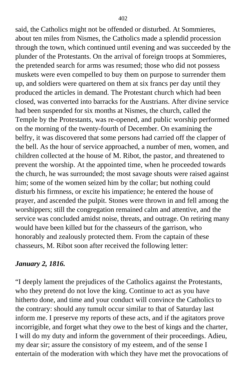said, the Catholics might not be offended or disturbed. At Sommieres, about ten miles from Nismes, the Catholics made a splendid procession through the town, which continued until evening and was succeeded by the plunder of the Protestants. On the arrival of foreign troops at Sommieres, the pretended search for arms was resumed; those who did not possess muskets were even compelled to buy them on purpose to surrender them up, and soldiers were quartered on them at six francs per day until they produced the articles in demand. The Protestant church which had been closed, was converted into barracks for the Austrians. After divine service had been suspended for six months at Nismes, the church, called the Temple by the Protestants, was re-opened, and public worship performed on the morning of the twenty-fourth of December. On examining the belfry, it was discovered that some persons had carried off the clapper of the bell. As the hour of service approached, a number of men, women, and children collected at the house of M. Ribot, the pastor, and threatened to prevent the worship. At the appointed time, when he proceeded towards the church, he was surrounded; the most savage shouts were raised against him; some of the women seized him by the collar; but nothing could disturb his firmness, or excite his impatience; he entered the house of prayer, and ascended the pulpit. Stones were thrown in and fell among the worshippers; still the congregation remained calm and attentive, and the service was concluded amidst noise, threats, and outrage. On retiring many would have been killed but for the chasseurs of the garrison, who honorably and zealously protected them. From the captain of these chasseurs, M. Ribot soon after received the following letter:

#### *January 2, 1816.*

"I deeply lament the prejudices of the Catholics against the Protestants, who they pretend do not love the king. Continue to act as you have hitherto done, and time and your conduct will convince the Catholics to the contrary: should any tumult occur similar to that of Saturday last inform me. I preserve my reports of these acts, and if the agitators prove incorrigible, and forget what they owe to the best of kings and the charter, I will do my duty and inform the government of their proceedings. Adieu, my dear sir; assure the consistory of my esteem, and of the sense I entertain of the moderation with which they have met the provocations of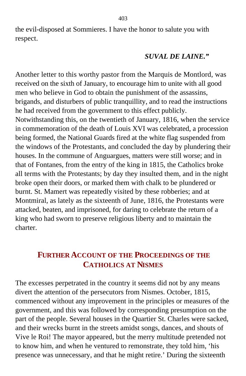the evil-disposed at Sommieres. I have the honor to salute you with respect.

#### *SUVAL DE LAINE."*

Another letter to this worthy pastor from the Marquis de Montlord, was received on the sixth of January, to encourage him to unite with all good men who believe in God to obtain the punishment of the assassins, brigands, and disturbers of public tranquillity, and to read the instructions he had received from the government to this effect publicly. Notwithstanding this, on the twentieth of January, 1816, when the service in commemoration of the death of Louis XVI was celebrated, a procession being formed, the National Guards fired at the white flag suspended from the windows of the Protestants, and concluded the day by plundering their houses. In the commune of Anguargues, matters were still worse; and in that of Fontanes, from the entry of the king in 1815, the Catholics broke all terms with the Protestants; by day they insulted them, and in the night broke open their doors, or marked them with chalk to be plundered or burnt. St. Mamert was repeatedly visited by these robberies; and at Montmiral, as lately as the sixteenth of June, 1816, the Protestants were attacked, beaten, and imprisoned, for daring to celebrate the return of a king who had sworn to preserve religious liberty and to maintain the charter.

## **FURTHER ACCOUNT OF THE PROCEEDINGS OF THE CATHOLICS AT NISMES**

The excesses perpetrated in the country it seems did not by any means divert the attention of the persecutors from Nismes. October, 1815, commenced without any improvement in the principles or measures of the government, and this was followed by corresponding presumption on the part of the people. Several houses in the Quartier St. Charles were sacked, and their wrecks burnt in the streets amidst songs, dances, and shouts of Vive le Roi! The mayor appeared, but the merry multitude pretended not to know him, and when he ventured to remonstrate, they told him, 'his presence was unnecessary, and that he might retire.' During the sixteenth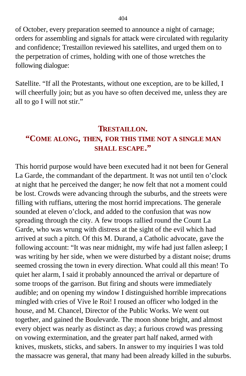of October, every preparation seemed to announce a night of carnage; orders for assembling and signals for attack were circulated with regularity and confidence; Trestaillon reviewed his satellites, and urged them on to the perpetration of crimes, holding with one of those wretches the following dialogue:

Satellite. "If all the Protestants, without one exception, are to be killed, I will cheerfully join; but as you have so often deceived me, unless they are all to go I will not stir."

## **TRESTAILLON. "COME ALONG, THEN, FOR THIS TIME NOT A SINGLE MAN SHALL ESCAPE."**

This horrid purpose would have been executed had it not been for General La Garde, the commandant of the department. It was not until ten o'clock at night that he perceived the danger; he now felt that not a moment could be lost. Crowds were advancing through the suburbs, and the streets were filling with ruffians, uttering the most horrid imprecations. The generale sounded at eleven o'clock, and added to the confusion that was now spreading through the city. A few troops rallied round the Count La Garde, who was wrung with distress at the sight of the evil which had arrived at such a pitch. Of this M. Durand, a Catholic advocate, gave the following account: "It was near midnight, my wife had just fallen asleep; I was writing by her side, when we were disturbed by a distant noise; drums seemed crossing the town in every direction. What could all this mean! To quiet her alarm, I said it probably announced the arrival or departure of some troops of the garrison. But firing and shouts were immediately audible; and on opening my window I distinguished horrible imprecations mingled with cries of Vive le Roi! I roused an officer who lodged in the house, and M. Chancel, Director of the Public Works. We went out together, and gained the Boulevarde. The moon shone bright, and almost every object was nearly as distinct as day; a furious crowd was pressing on vowing extermination, and the greater part half naked, armed with knives, muskets, sticks, and sabers. In answer to my inquiries I was told the massacre was general, that many had been already killed in the suburbs.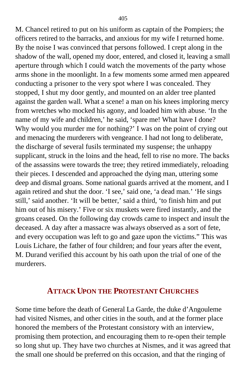M. Chancel retired to put on his uniform as captain of the Pompiers; the officers retired to the barracks, and anxious for my wife I returned home. By the noise I was convinced that persons followed. I crept along in the shadow of the wall, opened my door, entered, and closed it, leaving a small aperture through which I could watch the movements of the party whose arms shone in the moonlight. In a few moments some armed men appeared conducting a prisoner to the very spot where I was concealed. They stopped, I shut my door gently, and mounted on an alder tree planted against the garden wall. What a scene! a man on his knees imploring mercy from wretches who mocked his agony, and loaded him with abuse. 'In the name of my wife and children,' he said, 'spare me! What have I done? Why would you murder me for nothing?' I was on the point of crying out and menacing the murderers with vengeance. I had not long to deliberate, the discharge of several fusils terminated my suspense; the unhappy supplicant, struck in the loins and the head, fell to rise no more. The backs of the assassins were towards the tree; they retired immediately, reloading their pieces. I descended and approached the dying man, uttering some deep and dismal groans. Some national guards arrived at the moment, and I again retired and shut the door. 'I see,' said one, 'a dead man.' 'He sings still,' said another. 'It will be better,' said a third, 'to finish him and put him out of his misery.' Five or six muskets were fired instantly, and the groans ceased. On the following day crowds came to inspect and insult the deceased. A day after a massacre was always observed as a sort of fete, and every occupation was left to go and gaze upon the victims." This was Louis Lichare, the father of four children; and four years after the event, M. Durand verified this account by his oath upon the trial of one of the murderers.

#### **ATTACK UPON THE PROTESTANT CHURCHES**

Some time before the death of General La Garde, the duke d'Angouleme had visited Nismes, and other cities in the south, and at the former place honored the members of the Protestant consistory with an interview, promising them protection, and encouraging them to re-open their temple so long shut up. They have two churches at Nismes, and it was agreed that the small one should be preferred on this occasion, and that the ringing of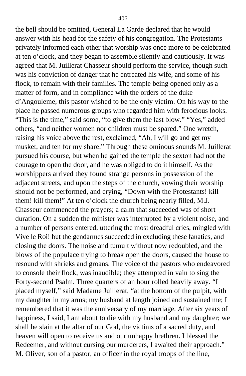the bell should be omitted, General La Garde declared that he would answer with his head for the safety of his congregation. The Protestants privately informed each other that worship was once more to be celebrated at ten o'clock, and they began to assemble silently and cautiously. It was agreed that M. Juillerat Chasseur should perform the service, though such was his conviction of danger that he entreated his wife, and some of his flock, to remain with their families. The temple being opened only as a matter of form, and in compliance with the orders of the duke d'Angouleme, this pastor wished to be the only victim. On his way to the place he passed numerous groups who regarded him with ferocious looks. "This is the time," said some, "to give them the last blow." "Yes," added others, "and neither women nor children must be spared." One wretch, raising his voice above the rest, exclaimed, "Ah, I will go and get my musket, and ten for my share." Through these ominous sounds M. Juillerat pursued his course, but when he gained the temple the sexton had not the courage to open the door, and he was obliged to do it himself. As the worshippers arrived they found strange persons in possession of the adjacent streets, and upon the steps of the church, vowing their worship should not be performed, and crying, "Down with the Protestants! kill them! kill them!" At ten o'clock the church being nearly filled, M.J. Chasseur commenced the prayers; a calm that succeeded was of short duration. On a sudden the minister was interrupted by a violent noise, and a number of persons entered, uttering the most dreadful cries, mingled with Vive le Roi! but the gendarmes succeeded in excluding these fanatics, and closing the doors. The noise and tumult without now redoubled, and the blows of the populace trying to break open the doors, caused the house to resound with shrieks and groans. The voice of the pastors who endeavored to console their flock, was inaudible; they attempted in vain to sing the Forty-second Psalm. Three quarters of an hour rolled heavily away. "I placed myself," said Madame Juillerat, "at the bottom of the pulpit, with my daughter in my arms; my husband at length joined and sustained me; I remembered that it was the anniversary of my marriage. After six years of happiness, I said, I am about to die with my husband and my daughter; we shall be slain at the altar of our God, the victims of a sacred duty, and heaven will open to receive us and our unhappy brethren. I blessed the Redeemer, and without cursing our murderers, I awaited their approach." M. Oliver, son of a pastor, an officer in the royal troops of the line,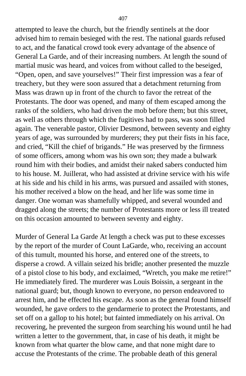attempted to leave the church, but the friendly sentinels at the door advised him to remain besieged with the rest. The national guards refused to act, and the fanatical crowd took every advantage of the absence of General La Garde, and of their increasing numbers. At length the sound of martial music was heard, and voices from without called to the beseiged, "Open, open, and save yourselves!" Their first impression was a fear of treachery, but they were soon assured that a detachment returning from Mass was drawn up in front of the church to favor the retreat of the Protestants. The door was opened, and many of them escaped among the ranks of the soldiers, who had driven the mob before them; but this street, as well as others through which the fugitives had to pass, was soon filled again. The venerable pastor, Olivier Desmond, between seventy and eighty years of age, was surrounded by murderers; they put their fists in his face, and cried, "Kill the chief of brigands." He was preserved by the firmness of some officers, among whom was his own son; they made a bulwark round him with their bodies, and amidst their naked sabers conducted him to his house. M. Juillerat, who had assisted at drivine service with his wife at his side and his child in his arms, was pursued and assailed with stones, his mother received a blow on the head, and her life was some time in danger. One woman was shamefully whipped, and several wounded and dragged along the streets; the number of Protestants more or less ill treated on this occasion amounted to between seventy and eighty.

Murder of General La Garde At length a check was put to these excesses by the report of the murder of Count LaGarde, who, receiving an account of this tumult, mounted his horse, and entered one of the streets, to disperse a crowd. A villain seized his bridle; another presented the muzzle of a pistol close to his body, and exclaimed, "Wretch, you make me retire!" He immediately fired. The murderer was Louis Boissin, a sergeant in the national guard; but, though known to everyone, no person endeavored to arrest him, and he effected his escape. As soon as the general found himself wounded, he gave orders to the gendarmerie to protect the Protestants, and set off on a gallop to his hotel; but fainted immediately on his arrival. On recovering, he prevented the surgeon from searching his wound until he had written a letter to the government, that, in case of his death, it might be known from what quarter the blow came, and that none might dare to accuse the Protestants of the crime. The probable death of this general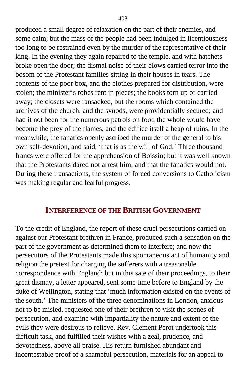produced a small degree of relaxation on the part of their enemies, and some calm; but the mass of the people had been indulged in licentiousness too long to be restrained even by the murder of the representative of their king. In the evening they again repaired to the temple, and with hatchets broke open the door; the dismal noise of their blows carried terror into the bosom of the Protestant families sitting in their houses in tears. The contents of the poor box, and the clothes prepared for distribution, were stolen; the minister's robes rent in pieces; the books torn up or carried away; the closets were ransacked, but the rooms which contained the archives of the church, and the synods, were providentially secured; and had it not been for the numerous patrols on foot, the whole would have become the prey of the flames, and the edifice itself a heap of ruins. In the meanwhile, the fanatics openly ascribed the murder of the general to his own self-devotion, and said, 'that is as the will of God.' Three thousand francs were offered for the apprehension of Boissin; but it was well known that the Protestants dared not arrest him, and that the fanatics would not. During these transactions, the system of forced conversions to Catholicism was making regular and fearful progress.

#### **INTERFERENCE OF THE BRITISH GOVERNMENT**

To the credit of England, the report of these cruel persecutions carried on against our Protestant brethren in France, produced such a sensation on the part of the government as determined them to interfere; and now the persecutors of the Protestants made this spontaneous act of humanity and religion the pretext for charging the sufferers with a treasonable correspondence with England; but in this sate of their proceedings, to their great dismay, a letter appeared, sent some time before to England by the duke of Wellington, stating that 'much information existed on the events of the south.' The ministers of the three denominations in London, anxious not to be misled, requested one of their brethren to visit the scenes of persecution, and examine with impartiality the nature and extent of the evils they were desirous to relieve. Rev. Clement Perot undertook this difficult task, and fulfilled their wishes with a zeal, prudence, and devotedness, above all praise. His return furnished abundant and incontestable proof of a shameful persecution, materials for an appeal to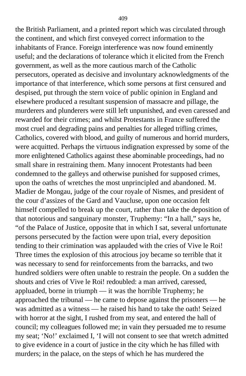the British Parliament, and a printed report which was circulated through the continent, and which first conveyed correct information to the inhabitants of France. Foreign interference was now found eminently useful; and the declarations of tolerance which it elicited from the French government, as well as the more cautious march of the Catholic persecutors, operated as decisive and involuntary acknowledgments of the importance of that interference, which some persons at first censured and despised, put through the stern voice of public opinion in England and elsewhere produced a resultant suspension of massacre and pillage, the murderers and plunderers were still left unpunished, and even caressed and rewarded for their crimes; and whilst Protestants in France suffered the most cruel and degrading pains and penalties for alleged trifling crimes, Catholics, covered with blood, and guilty of numerous and horrid murders, were acquitted. Perhaps the virtuous indignation expressed by some of the more enlightened Catholics against these abominable proceedings, had no small share in restraining them. Many innocent Protestants had been condemned to the galleys and otherwise punished for supposed crimes, upon the oaths of wretches the most unprincipled and abandoned. M. Madier de Mongau, judge of the cour royale of Nismes, and president of the cour d'assizes of the Gard and Vaucluse, upon one occasion felt himself compelled to break up the court, rather than take the deposition of that notorious and sanguinary monster, Truphemy: "In a hall," says he, "of the Palace of Justice, opposite that in which I sat, several unfortunate persons persecuted by the faction were upon trial, every deposition tending to their crimination was applauded with the cries of Vive le Roi! Three times the explosion of this atrocious joy became so terrible that it was necessary to send for reinforcements from the barracks, and two hundred soldiers were often unable to restrain the people. On a sudden the shouts and cries of Vive le Roi! redoubled: a man arrived, caressed, appluaded, borne in triumph — it was the horrible Truphemy; he approached the tribunal — he came to depose against the prisoners — he was admitted as a witness — he raised his hand to take the oath! Seized with horror at the sight, I rushed from my seat, and entered the hall of council; my colleagues followed me; in vain they persuaded me to resume my seat; 'No!' exclaimed I, 'I will not consent to see that wretch admitted to give evidence in a court of justice in the city which he has filled with murders; in the palace, on the steps of which he has murdered the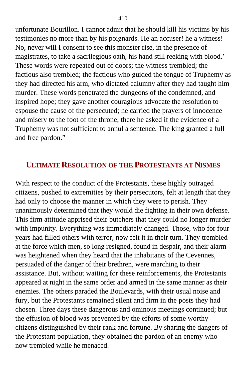unfortunate Bourillon. I cannot admit that he should kill his victims by his testimonies no more than by his poignards. He an accuser! he a witness! No, never will I consent to see this monster rise, in the presence of magistrates, to take a sacrilegious oath, his hand still reeking with blood.' These words were repeated out of doors; the witness trembled; the factious also trembled; the factious who guided the tongue of Truphemy as they had directed his arm, who dictated calumny after they had taught him murder. These words penetrated the dungeons of the condemned, and inspired hope; they gave another couragious advocate the resolution to espouse the cause of the persecuted; he carried the prayers of innocence and misery to the foot of the throne; there he asked if the evidence of a Truphemy was not sufficient to annul a sentence. The king granted a full and free pardon."

#### **ULTIMATE RESOLUTION OF THE PROTESTANTS AT NISMES**

With respect to the conduct of the Protestants, these highly outraged citizens, pushed to extremities by their persecutors, felt at length that they had only to choose the manner in which they were to perish. They unanimously determined that they would die fighting in their own defense. This firm attitude apprised their butchers that they could no longer murder with impunity. Everything was immediately changed. Those, who for four years had filled others with terror, now felt it in their turn. They trembled at the force which men, so long resigned, found in despair, and their alarm was heightened when they heard that the inhabitants of the Cevennes, persuaded of the danger of their brethren, were marching to their assistance. But, without waiting for these reinforcements, the Protestants appeared at night in the same order and armed in the same manner as their enemies. The others paraded the Boulevards, with their usual noise and fury, but the Protestants remained silent and firm in the posts they had chosen. Three days these dangerous and ominous meetings continued; but the effusion of blood was prevented by the efforts of some worthy citizens distinguished by their rank and fortune. By sharing the dangers of the Protestant population, they obtained the pardon of an enemy who now trembled while he menaced.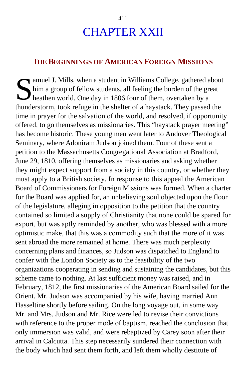# CHAPTER XXII

411

#### **THE BEGINNINGS OF AMERICAN FOREIGN MISSIONS**

amuel J. Mills, when a student in Williams College, gathered about him a group of fellow students, all feeling the burden of the great Samuel J. Mills, when a student in Williams College, gathered a him a group of fellow students, all feeling the burden of the gradient by a heathen world. One day in 1806 four of them, overtaken by a thunderstorm, took refuge in the shelter of a haystack. They passed the time in prayer for the salvation of the world, and resolved, if opportunity offered, to go themselves as missionaries. This "haystack prayer meeting" has become historic. These young men went later to Andover Theological Seminary, where Adoniram Judson joined them. Four of these sent a petition to the Massachusetts Congregational Association at Bradford, June 29, 1810, offering themselves as missionaries and asking whether they might expect support from a society in this country, or whether they must apply to a British society. In response to this appeal the American Board of Commissioners for Foreign Missions was formed. When a charter for the Board was applied for, an unbelieving soul objected upon the floor of the legislature, alleging in opposition to the petition that the country contained so limited a supply of Christianity that none could be spared for export, but was aptly reminded by another, who was blessed with a more optimistic make, that this was a commodity such that the more of it was sent abroad the more remained at home. There was much perplexity concerning plans and finances, so Judson was dispatched to England to confer with the London Society as to the feasibility of the two organizations cooperating in sending and sustaining the candidates, but this scheme came to nothing. At last sufficient money was raised, and in February, 1812, the first missionaries of the American Board sailed for the Orient. Mr. Judson was accompanied by his wife, having married Ann Hasseltine shortly before sailing. On the long voyage out, in some way Mr. and Mrs. Judson and Mr. Rice were led to revise their convictions with reference to the proper mode of baptism, reached the conclusion that only immersion was valid, and were rebaptized by Carey soon after their arrival in Calcutta. This step necessarily sundered their connection with the body which had sent them forth, and left them wholly destitute of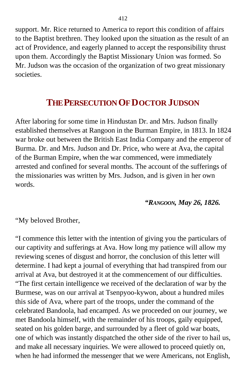support. Mr. Rice returned to America to report this condition of affairs to the Baptist brethren. They looked upon the situation as the result of an act of Providence, and eagerly planned to accept the responsibility thrust upon them. Accordingly the Baptist Missionary Union was formed. So Mr. Judson was the occasion of the organization of two great missionary societies.

## **THE PERSECUTION OF DOCTOR JUDSON**

After laboring for some time in Hindustan Dr. and Mrs. Judson finally established themselves at Rangoon in the Burman Empire, in 1813. In 1824 war broke out between the British East India Company and the emperor of Burma. Dr. and Mrs. Judson and Dr. Price, who were at Ava, the capital of the Burman Empire, when the war commenced, were immediately arrested and confined for several months. The account of the sufferings of the missionaries was written by Mrs. Judson, and is given in her own words.

#### *"RANGOON, May 26, 1826.*

"My beloved Brother,

"I commence this letter with the intention of giving you the particulars of our captivity and sufferings at Ava. How long my patience will allow my reviewing scenes of disgust and horror, the conclusion of this letter will determine. I had kept a journal of everything that had transpired from our arrival at Ava, but destroyed it at the commencement of our difficulties. "The first certain intelligence we received of the declaration of war by the Burmese, was on our arrival at Tsenpyoo-kywon, about a hundred miles this side of Ava, where part of the troops, under the command of the celebrated Bandoola, had encamped. As we proceeded on our journey, we met Bandoola himself, with the remainder of his troops, gaily equipped, seated on his golden barge, and surrounded by a fleet of gold war boats, one of which was instantly dispatched the other side of the river to hail us, and make all necessary inquiries. We were allowed to proceed quietly on, when he had informed the messenger that we were Americans, not English,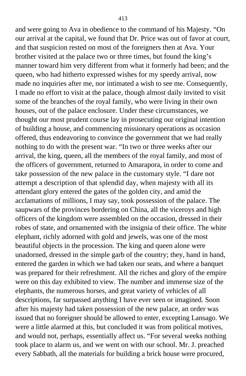and were going to Ava in obedience to the command of his Majesty. "On our arrival at the capital, we found that Dr. Price was out of favor at court, and that suspicion rested on most of the foreigners then at Ava. Your brother visited at the palace two or three times, but found the king's manner toward him very different from what it formerly had been; and the queen, who had hitherto expressed wishes for my speedy arrival, now made no inquiries after me, nor intimated a wish to see me. Consequently, I made no effort to visit at the palace, though almost daily invited to visit some of the branches of the royal family, who were living in their own houses, out of the palace enclosure. Under these circumstances, we thought our most prudent course lay in prosecuting our original intention of building a house, and commencing missionary operations as occasion offered, thus endeavoring to convince the government that we had really nothing to do with the present war. "In two or three weeks after our arrival, the king, queen, all the members of the royal family, and most of the officers of government, returned to Amarapora, in order to come and take possession of the new palace in the customary style. "I dare not attempt a description of that splendid day, when majesty with all its attendant glory entered the gates of the golden city, and amid the acclamations of millions, I may say, took possession of the palace. The saupwars of the provinces bordering on China, all the viceroys and high officers of the kingdom were assembled on the occasion, dressed in their robes of state, and ornamented with the insignia of their office. The white elephant, richly adorned with gold and jewels, was one of the most beautiful objects in the procession. The king and queen alone were unadorned, dressed in the simple garb of the country; they, hand in hand, entered the garden in which we had taken our seats, and where a banquet was prepared for their refreshment. All the riches and glory of the empire were on this day exhibited to view. The number and immense size of the elephants, the numerous horses, and great variety of vehicles of all descriptions, far surpassed anything I have ever seen or imagined. Soon after his majesty had taken possession of the new palace, an order was issued that no foreigner should be allowed to enter, excepting Lansago. We were a little alarmed at this, but concluded it was from political motives, and would not, perhaps, essentially affect us. "For several weeks nothing took place to alarm us, and we went on with our school. Mr. J. preached every Sabbath, all the materials for building a brick house were procured,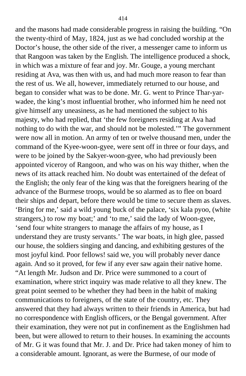and the masons had made considerable progress in raising the building. "On the twenty-third of May, 1824, just as we had concluded worship at the Doctor's house, the other side of the river, a messenger came to inform us that Rangoon was taken by the English. The intelligence produced a shock, in which was a mixture of fear and joy. Mr. Gouge, a young merchant residing at Ava, was then with us, and had much more reason to fear than the rest of us. We all, however, immediately returned to our house, and began to consider what was to be done. Mr. G. went to Prince Thar-yarwadee, the king's most influential brother, who informed him he need not give himself any uneasiness, as he had mentioned the subject to his majesty, who had replied, that 'the few foreigners residing at Ava had nothing to do with the war, and should not be molested.'" The government were now all in motion. An army of ten or twelve thousand men, under the command of the Kyee-woon-gyee, were sent off in three or four days, and were to be joined by the Sakyer-woon-gyee, who had previously been appointed viceroy of Rangoon, and who was on his way thither, when the news of its attack reached him. No doubt was entertained of the defeat of the English; the only fear of the king was that the foreigners hearing of the advance of the Burmese troops, would be so alarmed as to flee on board their ships and depart, before there would be time to secure them as slaves. 'Bring for me,' said a wild young buck of the palace, 'six kala pyoo, (white strangers,) to row my boat;' and 'to me,' said the lady of Woon-gyee, 'send four white strangers to manage the affairs of my house, as I understand they are trusty servants.' The war boats, in high glee, passed our house, the soldiers singing and dancing, and exhibiting gestures of the most joyful kind. Poor fellows! said we, you will probably never dance again. And so it proved, for few if any ever saw again their native home. "At length Mr. Judson and Dr. Price were summoned to a court of examination, where strict inquiry was made relative to all they knew. The great point seemed to be whether they had been in the habit of making communications to foreigners, of the state of the country, etc. They answered that they had always written to their friends in America, but had no correspondence with English officers, or the Bengal government. After their examination, they were not put in confinement as the Englishmen had been, but were allowed to return to their houses. In examining the accounts of Mr. G it was found that Mr. J. and Dr. Price had taken money of him to a considerable amount. Ignorant, as were the Burmese, of our mode of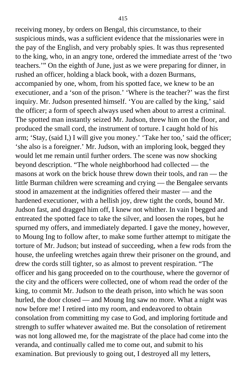receiving money, by orders on Bengal, this circumstance, to their suspicious minds, was a sufficient evidence that the missionaries were in the pay of the English, and very probably spies. It was thus represented to the king, who, in an angry tone, ordered the immediate arrest of the 'two teachers.'" On the eighth of June, just as we were preparing for dinner, in rushed an officer, holding a black book, with a dozen Burmans, accompanied by one, whom, from his spotted face, we knew to be an executioner, and a 'son of the prison.' 'Where is the teacher?' was the first inquiry. Mr. Judson presented himself. 'You are called by the king,' said the officer; a form of speech always used when about to arrest a criminal. The spotted man instantly seized Mr. Judson, threw him on the floor, and produced the small cord, the instrument of torture. I caught hold of his arm; 'Stay, (said I,) I will give you money.' 'Take her too,' said the officer; 'she also is a foreigner.' Mr. Judson, with an imploring look, begged they would let me remain until further orders. The scene was now shocking beyond description. "The whole neighborhood had collected — the masons at work on the brick house threw down their tools, and ran — the little Burman children were screaming and crying — the Bengalee servants stood in amazement at the indignities offered their master — and the hardened executioner, with a hellish joy, drew tight the cords, bound Mr. Judson fast, and dragged him off, I knew not whither. In vain I begged and entreated the spotted face to take the silver, and loosen the ropes, but he spurned my offers, and immediately departed. I gave the money, however, to Moung Ing to follow after, to make some further attempt to mitigate the torture of Mr. Judson; but instead of succeeding, when a few rods from the house, the unfeeling wretches again threw their prisoner on the ground, and drew the cords still tighter, so as almost to prevent respiration. "The officer and his gang proceeded on to the courthouse, where the governor of the city and the officers were collected, one of whom read the order of the king, to commit Mr. Judson to the death prison, into which he was soon hurled, the door closed — and Moung Ing saw no more. What a night was now before me! I retired into my room, and endeavored to obtain consolation from committing my case to God, and imploring fortitude and strength to suffer whatever awaited me. But the consolation of retirement was not long allowed me, for the magistrate of the place had come into the veranda, and continually called me to come out, and submit to his examination. But previously to going out, I destroyed all my letters,

415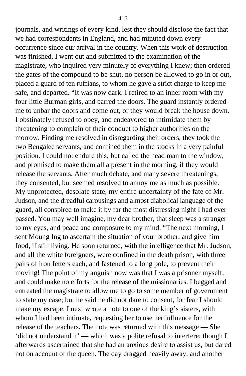journals, and writings of every kind, lest they should disclose the fact that we had correspondents in England, and had minuted down every occurrence since our arrival in the country. When this work of destruction was finished, I went out and submitted to the examination of the magistrate, who inquired very minutely of everything I knew; then ordered the gates of the compound to be shut, no person be allowed to go in or out, placed a guard of ten ruffians, to whom he gave a strict charge to keep me safe, and departed. "It was now dark. I retired to an inner room with my four little Burman girls, and barred the doors. The guard instantly ordered me to unbar the doors and come out, or they would break the house down. I obstinately refused to obey, and endeavored to intimidate them by threatening to complain of their conduct to higher authorities on the morrow. Finding me resolved in disregarding their orders, they took the two Bengalee servants, and confined them in the stocks in a very painful position. I could not endure this; but called the head man to the window, and promised to make them all a present in the morning, if they would release the servants. After much debate, and many severe threatenings, they consented, but seemed resolved to annoy me as much as possible. My unprotected, desolate state, my entire uncertainty of the fate of Mr. Judson, and the dreadful carousings and almost diabolical language of the guard, all conspired to make it by far the most distressing night I had ever passed. You may well imagine, my dear brother, that sleep was a stranger to my eyes, and peace and composure to my mind. "The next morning, I sent Moung Ing to ascertain the situation of your brother, and give him food, if still living. He soon returned, with the intelligence that Mr. Judson, and all the white foreigners, were confined in the death prison, with three pairs of iron fetters each, and fastened to a long pole, to prevent their moving! The point of my anguish now was that I was a prisoner myself, and could make no efforts for the release of the missionaries. I begged and entreated the magistrate to allow me to go to some member of government to state my case; but he said he did not dare to consent, for fear I should make my escape. I next wrote a note to one of the king's sisters, with whom I had been intimate, requesting her to use her influence for the release of the teachers. The note was returned with this message — She 'did not understand it' — which was a polite refusal to interfere; though I afterwards ascertained that she had an anxious desire to assist us, but dared not on account of the queen. The day dragged heavily away, and another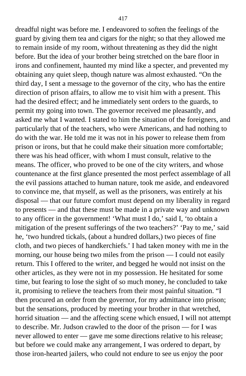dreadful night was before me. I endeavored to soften the feelings of the guard by giving them tea and cigars for the night; so that they allowed me to remain inside of my room, without threatening as they did the night before. But the idea of your brother being stretched on the bare floor in irons and confinement, haunted my mind like a specter, and prevented my obtaining any quiet sleep, though nature was almost exhausted. "On the third day, I sent a message to the governor of the city, who has the entire direction of prison affairs, to allow me to visit him with a present. This had the desired effect; and he immediately sent orders to the guards, to permit my going into town. The governor received me pleasantly, and asked me what I wanted. I stated to him the situation of the foreigners, and particularly that of the teachers, who were Americans, and had nothing to do with the war. He told me it was not in his power to release them from prison or irons, but that he could make their situation more comfortable; there was his head officer, with whom I must consult, relative to the means. The officer, who proved to be one of the city writers, and whose countenance at the first glance presented the most perfect assemblage of all the evil passions attached to human nature, took me aside, and endeavored to convince me, that myself, as well as the prisoners, was entirely at his disposal — that our future comfort must depend on my liberality in regard to presents — and that these must be made in a private way and unknown to any officer in the government! 'What must I do,' said I, 'to obtain a mitigation of the present sufferings of the two teachers?' 'Pay to me,' said he, 'two hundred tickals, (about a hundred dollars,) two pieces of fine cloth, and two pieces of handkerchiefs.' I had taken money with me in the morning, our house being two miles from the prison — I could not easily return. This I offered to the writer, and begged he would not insist on the other articles, as they were not in my possession. He hesitated for some time, but fearing to lose the sight of so much money, he concluded to take it, promising to relieve the teachers from their most painful situation. "I then procured an order from the governor, for my admittance into prison; but the sensations, produced by meeting your brother in that wretched, horrid situation — and the affecting scene which ensued, I will not attempt to describe. Mr. Judson crawled to the door of the prison — for I was never allowed to enter — gave me some directions relative to his release; but before we could make any arrangement, I was ordered to depart, by those iron-hearted jailers, who could not endure to see us enjoy the poor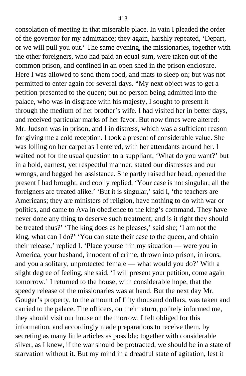consolation of meeting in that miserable place. In vain I pleaded the order of the governor for my admittance; they again, harshly repeated, 'Depart, or we will pull you out.' The same evening, the missionaries, together with the other foreigners, who had paid an equal sum, were taken out of the common prison, and confined in an open shed in the prison enclosure. Here I was allowed to send them food, and mats to sleep on; but was not permitted to enter again for several days. "My next object was to get a petition presented to the queen; but no person being admitted into the palace, who was in disgrace with his majesty, I sought to present it through the medium of her brother's wife. I had visited her in better days, and received particular marks of her favor. But now times were altered: Mr. Judson was in prison, and I in distress, which was a sufficient reason for giving me a cold reception. I took a present of considerable value. She was lolling on her carpet as I entered, with her attendants around her. I waited not for the usual question to a suppliant, 'What do you want?' but in a bold, earnest, yet respectful manner, stated our distresses and our wrongs, and begged her assistance. She partly raised her head, opened the present I had brought, and coolly replied, 'Your case is not singular; all the foreigners are treated alike.' 'But it is singular,' said I, 'the teachers are Americans; they are ministers of religion, have nothing to do with war or politics, and came to Ava in obedience to the king's command. They have never done any thing to deserve such treatment; and is it right they should be treated thus?' 'The king does as he pleases,' said she; 'I am not the king, what can I do?' 'You can state their case to the queen, and obtain their release,' replied I. 'Place yourself in my situation — were you in America, your husband, innocent of crime, thrown into prison, in irons, and you a solitary, unprotected female — what would you do?' With a slight degree of feeling, she said, 'I will present your petition, come again tomorrow.' I returned to the house, with considerable hope, that the speedy release of the missionaries was at hand. But the next day Mr. Gouger's property, to the amount of fifty thousand dollars, was taken and carried to the palace. The officers, on their return, politely informed me, they should visit our house on the morrow. I felt obliged for this information, and accordingly made preparations to receive them, by secreting as many little articles as possible; together with considerable silver, as I knew, if the war should be protracted, we should be in a state of starvation without it. But my mind in a dreadful state of agitation, lest it

418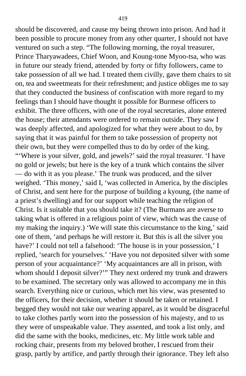should be discovered, and cause my being thrown into prison. And had it been possible to procure money from any other quarter, I should not have ventured on such a step. "The following morning, the royal treasurer, Prince Tharyawadees, Chief Woon, and Koung-tone Myoo-tsa, who was in future our steady friend, attended by forty or fifty followers, came to take possession of all we had. I treated them civilly, gave them chairs to sit on, tea and sweetmeats for their refreshment; and justice obliges me to say that they conducted the business of confiscation with more regard to my feelings than I should have thought it possible for Burmese officers to exhibit. The three officers, with one of the royal secretaries, alone entered the house; their attendants were ordered to remain outside. They saw I was deeply affected, and apologized for what they were about to do, by saying that it was painful for them to take possession of property not their own, but they were compelled thus to do by order of the king. "'Where is your silver, gold, and jewels?' said the royal treasurer. 'I have no gold or jewels; but here is the key of a trunk which contains the silver — do with it as you please.' The trunk was produced, and the silver weighed. 'This money,' said I, 'was collected in America, by the disciples of Christ, and sent here for the purpose of building a kyoung, (the name of a priest's dwelling) and for our support while teaching the religion of Christ. Is it suitable that you should take it? (The Burmans are averse to taking what is offered in a religious point of view, which was the cause of my making the inquiry.) 'We will state this circumstance to the king,' said one of them, 'and perhaps he will restore it. But this is all the silver you have?' I could not tell a falsehood: 'The house is in your possession,' I replied, 'search for yourselves.' 'Have you not deposited silver with some person of your acquaintance?' 'My acquaintances are all in prison, with whom should I deposit silver?"" They next ordered my trunk and drawers to be examined. The secretary only was allowed to accompany me in this search. Everything nice or curious, which met his view, was presented to the officers, for their decision, whether it should be taken or retained. I begged they would not take our wearing apparel, as it would be disgraceful to take clothes partly worn into the possession of his majesty, and to us they were of unspeakable value. They assented, and took a list only, and did the same with the books, medicines, etc. My little work table and rocking chair, presents from my beloved brother, I rescued from their grasp, partly by artifice, and partly through their ignorance. They left also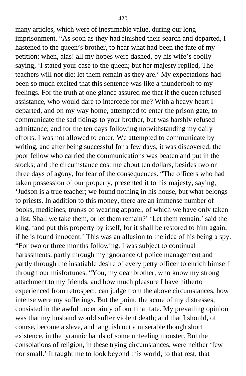many articles, which were of inestimable value, during our long imprisonment. "As soon as they had finished their search and departed, I hastened to the queen's brother, to hear what had been the fate of my petition; when, alas! all my hopes were dashed, by his wife's coolly saying, 'I stated your case to the queen; but her majesty replied, The teachers will not die: let them remain as they are.' My expectations had been so much excited that this sentence was like a thunderbolt to my feelings. For the truth at one glance assured me that if the queen refused assistance, who would dare to intercede for me? With a heavy heart I departed, and on my way home, attempted to enter the prison gate, to communicate the sad tidings to your brother, but was harshly refused admittance; and for the ten days following notwithstanding my daily efforts, I was not allowed to enter. We attempted to communicate by writing, and after being successful for a few days, it was discovered; the poor fellow who carried the communications was beaten and put in the stocks; and the circumstance cost me about ten dollars, besides two or three days of agony, for fear of the consequences. "The officers who had taken possession of our property, presented it to his majesty, saying, 'Judson is a true teacher; we found nothing in his house, but what belongs to priests. In addition to this money, there are an immense number of books, medicines, trunks of wearing apparel, of which we have only taken a list. Shall we take them, or let them remain?' 'Let them remain,' said the king, 'and put this property by itself, for it shall be restored to him again, if he is found innocent.' This was an allusion to the idea of his being a spy. "For two or three months following, I was subject to continual harassments, partly through my ignorance of police management and partly through the insatiable desire of every petty officer to enrich himself through our misfortunes. "You, my dear brother, who know my strong attachment to my friends, and how much pleasure I have hitherto experienced from retrospect, can judge from the above circumstances, how intense were my sufferings. But the point, the acme of my distresses, consisted in the awful uncertainty of our final fate. My prevailing opinion was that my husband would suffer violent death; and that I should, of course, become a slave, and languish out a miserable though short existence, in the tyrannic hands of some unfeeling monster. But the consolations of religion, in these trying circumstances, were neither 'few nor small.' It taught me to look beyond this world, to that rest, that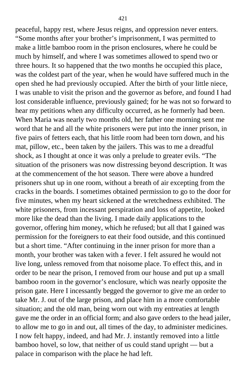peaceful, happy rest, where Jesus reigns, and oppression never enters. "Some months after your brother's imprisonment, I was permitted to make a little bamboo room in the prison enclosures, where he could be much by himself, and where I was sometimes allowed to spend two or three hours. It so happened that the two months he occupied this place, was the coldest part of the year, when he would have suffered much in the open shed he had previously occupied. After the birth of your little niece, I was unable to visit the prison and the governor as before, and found I had lost considerable influence, previously gained; for he was not so forward to hear my petitions when any difficulty occurred, as he formerly had been. When Maria was nearly two months old, her father one morning sent me word that he and all the white prisoners were put into the inner prison, in five pairs of fetters each, that his little room had been torn down, and his mat, pillow, etc., been taken by the jailers. This was to me a dreadful shock, as I thought at once it was only a prelude to greater evils. "The situation of the prisoners was now distressing beyond description. It was at the commencement of the hot season. There were above a hundred prisoners shut up in one room, without a breath of air excepting from the cracks in the boards. I sometimes obtained permission to go to the door for five minutes, when my heart sickened at the wretchedness exhibited. The white prisoners, from incessant perspiration and loss of appetite, looked more like the dead than the living. I made daily applications to the governor, offering him money, which he refused; but all that I gained was permission for the foreigners to eat their food outside, and this continued but a short time. "After continuing in the inner prison for more than a month, your brother was taken with a fever. I felt assured he would not live long, unless removed from that noisome place. To effect this, and in order to be near the prison, I removed from our house and put up a small bamboo room in the governor's enclosure, which was nearly opposite the prison gate. Here I incessantly begged the governor to give me an order to take Mr. J. out of the large prison, and place him in a more comfortable situation; and the old man, being worn out with my entreaties at length gave me the order in an official form; and also gave orders to the head jailer, to allow me to go in and out, all times of the day, to administer medicines. I now felt happy, indeed, and had Mr. J. instantly removed into a little bamboo hovel, so low, that neither of us could stand upright — but a palace in comparison with the place he had left.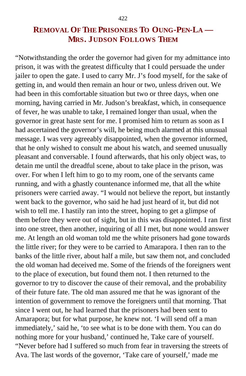## **REMOVAL OF THE PRISONERS TO OUNG-PEN-LA — MRS. JUDSON FOLLOWS THEM**

"Notwithstanding the order the governor had given for my admittance into prison, it was with the greatest difficulty that I could persuade the under jailer to open the gate. I used to carry Mr. J's food myself, for the sake of getting in, and would then remain an hour or two, unless driven out. We had been in this comfortable situation but two or three days, when one morning, having carried in Mr. Judson's breakfast, which, in consequence of fever, he was unable to take, I remained longer than usual, when the governor in great haste sent for me. I promised him to return as soon as I had ascertained the governor's will, he being much alarmed at this unusual message. I was very agreeably disappointed, when the governor informed, that he only wished to consult me about his watch, and seemed unusually pleasant and conversable. I found afterwards, that his only object was, to detain me until the dreadful scene, about to take place in the prison, was over. For when I left him to go to my room, one of the servants came running, and with a ghastly countenance informed me, that all the white prisoners were carried away. "I would not believe the report, but instantly went back to the governor, who said he had just heard of it, but did not wish to tell me. I hastily ran into the street, hoping to get a glimpse of them before they were out of sight, but in this was disappointed. I ran first into one street, then another, inquiring of all I met, but none would answer me. At length an old woman told me the white prisoners had gone towards the little river; for they were to be carried to Amarapora. I then ran to the banks of the little river, about half a mile, but saw them not, and concluded the old woman had deceived me. Some of the friends of the foreigners went to the place of execution, but found them not. I then returned to the governor to try to discover the cause of their removal, and the probability of their future fate. The old man assured me that he was ignorant of the intention of government to remove the foreigners until that morning. That since I went out, he had learned that the prisoners had been sent to Amarapora; but for what purpose, he knew not. 'I will send off a man immediately,' said he, 'to see what is to be done with them. You can do nothing more for your husband,' continued he, Take care of yourself. "Never before had I suffered so much from fear in traversing the streets of Ava. The last words of the governor, 'Take care of yourself,' made me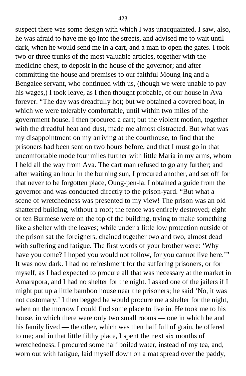suspect there was some design with which I was unacquainted. I saw, also, he was afraid to have me go into the streets, and advised me to wait until dark, when he would send me in a cart, and a man to open the gates. I took two or three trunks of the most valuable articles, together with the medicine chest, to deposit in the house of the governor; and after committing the house and premises to our faithful Moung Ing and a Bengalee servant, who continued with us, (though we were unable to pay his wages,) I took leave, as I then thought probable, of our house in Ava forever. "The day was dreadfully hot; but we obtained a covered boat, in which we were tolerably comfortable, until within two miles of the government house. I then procured a cart; but the violent motion, together with the dreadful heat and dust, made me almost distracted. But what was my disappointment on my arriving at the courthouse, to find that the prisoners had been sent on two hours before, and that I must go in that uncomfortable mode four miles further with little Maria in my arms, whom I held all the way from Ava. The cart man refused to go any further; and after waiting an hour in the burning sun, I procured another, and set off for that never to be forgotten place, Oung-pen-la. I obtained a guide from the governor and was conducted directly to the prison-yard. "But what a scene of wretchedness was presented to my view! The prison was an old shattered building, without a roof; the fence was entirely destroyed; eight or ten Burmese were on the top of the building, trying to make something like a shelter with the leaves; while under a little low protection outside of the prison sat the foreigners, chained together two and two, almost dead with suffering and fatigue. The first words of your brother were: 'Why have you come? I hoped you would not follow, for you cannot live here."" It was now dark. I had no refreshment for the suffering prisoners, or for myself, as I had expected to procure all that was necessary at the market in Amarapora, and I had no shelter for the night. I asked one of the jailers if I might put up a little bamboo house near the prisoners; he said 'No, it was not customary.' I then begged he would procure me a shelter for the night, when on the morrow I could find some place to live in. He took me to his house, in which there were only two small rooms — one in which he and his family lived — the other, which was then half full of grain, he offered to me; and in that little filthy place, I spent the next six months of wretchedness. I procured some half boiled water, instead of my tea, and, worn out with fatigue, laid myself down on a mat spread over the paddy,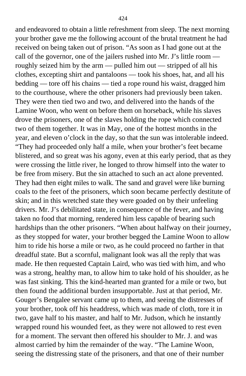and endeavored to obtain a little refreshment from sleep. The next morning your brother gave me the following account of the brutal treatment he had received on being taken out of prison. "As soon as I had gone out at the call of the governor, one of the jailers rushed into Mr. J's little room roughly seized him by the arm — pulled him out — stripped of all his clothes, excepting shirt and pantaloons — took his shoes, hat, and all his bedding — tore off his chains — tied a rope round his waist, dragged him to the courthouse, where the other prisoners had previously been taken. They were then tied two and two, and delivered into the hands of the Lamine Woon, who went on before them on horseback, while his slaves drove the prisoners, one of the slaves holding the rope which connected two of them together. It was in May, one of the hottest months in the year, and eleven o'clock in the day, so that the sun was intolerable indeed. "They had proceeded only half a mile, when your brother's feet became blistered, and so great was his agony, even at this early period, that as they were crossing the little river, he longed to throw himself into the water to be free from misery. But the sin attached to such an act alone prevented. They had then eight miles to walk. The sand and gravel were like burning coals to the feet of the prisoners, which soon became perfectly destitute of skin; and in this wretched state they were goaded on by their unfeeling drivers. Mr. J's debilitated state, in consequence of the fever, and having taken no food that morning, rendered him less capable of bearing such hardships than the other prisoners. "When about halfway on their journey, as they stopped for water, your brother begged the Lamine Woon to allow him to ride his horse a mile or two, as he could proceed no farther in that dreadful state. But a scornful, malignant look was all the reply that was made. He then requested Captain Laird, who was tied with him, and who was a strong, healthy man, to allow him to take hold of his shoulder, as he was fast sinking. This the kind-hearted man granted for a mile or two, but then found the additional burden insupportable. Just at that period, Mr. Gouger's Bengalee servant came up to them, and seeing the distresses of your brother, took off his headdress, which was made of cloth, tore it in two, gave half to his master, and half to Mr. Judson, which he instantly wrapped round his wounded feet, as they were not allowed to rest even for a moment. The servant then offered his shoulder to Mr. J. and was almost carried by him the remainder of the way. "The Lamine Woon, seeing the distressing state of the prisoners, and that one of their number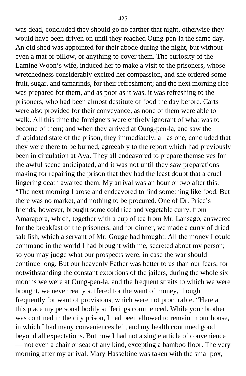was dead, concluded they should go no farther that night, otherwise they would have been driven on until they reached Oung-pen-la the same day. An old shed was appointed for their abode during the night, but without even a mat or pillow, or anything to cover them. The curiosity of the Lamine Woon's wife, induced her to make a visit to the prisoners, whose wretchedness considerably excited her compassion, and she ordered some fruit, sugar, and tamarinds, for their refreshment; and the next morning rice was prepared for them, and as poor as it was, it was refreshing to the prisoners, who had been almost destitute of food the day before. Carts were also provided for their conveyance, as none of them were able to walk. All this time the foreigners were entirely ignorant of what was to become of them; and when they arrived at Oung-pen-la, and saw the dilapidated state of the prison, they immediately, all as one, concluded that they were there to be burned, agreeably to the report which had previously been in circulation at Ava. They all endeavored to prepare themselves for the awful scene anticipated, and it was not until they saw preparations making for repairing the prison that they had the least doubt that a cruel lingering death awaited them. My arrival was an hour or two after this. "The next morning I arose and endeavored to find something like food. But there was no market, and nothing to be procured. One of Dr. Price's friends, however, brought some cold rice and vegetable curry, from Amarapora, which, together with a cup of tea from Mr. Lansago, answered for the breakfast of the prisoners; and for dinner, we made a curry of dried salt fish, which a servant of Mr. Gouge had brought. All the money I could command in the world I had brought with me, secreted about my person; so you may judge what our prospects were, in case the war should continue long. But our heavenly Father was better to us than our fears; for notwithstanding the constant extortions of the jailers, during the whole six months we were at Oung-pen-la, and the frequent straits to which we were brought, we never really suffered for the want of money, though frequently for want of provisions, which were not procurable. "Here at this place my personal bodily sufferings commenced. While your brother was confined in the city prison, I had been allowed to remain in our house, in which I had many conveniences left, and my health continued good beyond all expectations. But now I had not a single article of convenience — not even a chair or seat of any kind, excepting a bamboo floor. The very morning after my arrival, Mary Hasseltine was taken with the smallpox,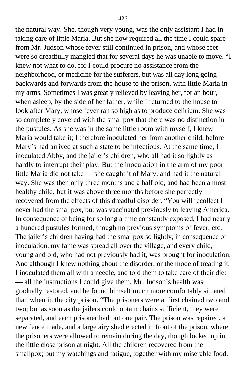the natural way. She, though very young, was the only assistant I had in taking care of little Maria. But she now required all the time I could spare from Mr. Judson whose fever still continued in prison, and whose feet were so dreadfully mangled that for several days he was unable to move. "I knew not what to do, for I could procure no assistance from the neighborhood, or medicine for the sufferers, but was all day long going backwards and forwards from the house to the prison, with little Maria in my arms. Sometimes I was greatly relieved by leaving her, for an hour, when asleep, by the side of her father, while I returned to the house to look after Mary, whose fever ran so high as to produce delirium. She was so completely covered with the smallpox that there was no distinction in the pustules. As she was in the same little room with myself, I knew Maria would take it; I therefore inoculated her from another child, before Mary's had arrived at such a state to be infectious. At the same time, I inoculated Abby, and the jailer's children, who all had it so lightly as hardly to interrupt their play. But the inoculation in the arm of my poor little Maria did not take — she caught it of Mary, and had it the natural way. She was then only three months and a half old, and had been a most healthy child; but it was above three months before she perfectly recovered from the effects of this dreadful disorder. "You will recollect I never had the smallpox, but was vaccinated previously to leaving America. In consequence of being for so long a time constantly exposed, I had nearly a hundred pustules formed, though no previous symptoms of fever, etc. The jailer's children having had the smallpox so lightly, in consequence of inoculation, my fame was spread all over the village, and every child, young and old, who had not previously had it, was brought for inoculation. And although I knew nothing about the disorder, or the mode of treating it, I inoculated them all with a needle, and told them to take care of their diet — all the instructions I could give them. Mr. Judson's health was gradually restored, and he found himself much more comfortably situated than when in the city prison. "The prisoners were at first chained two and two; but as soon as the jailers could obtain chains sufficient, they were separated, and each prisoner had but one pair. The prison was repaired, a new fence made, and a large airy shed erected in front of the prison, where the prisoners were allowed to remain during the day, though locked up in the little close prison at night. All the children recovered from the smallpox; but my watchings and fatigue, together with my miserable food,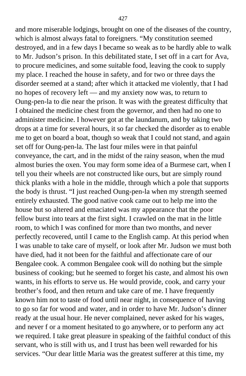and more miserable lodgings, brought on one of the diseases of the country, which is almost always fatal to foreigners. "My constitution seemed destroyed, and in a few days I became so weak as to be hardly able to walk to Mr. Judson's prison. In this debilitated state, I set off in a cart for Ava, to procure medicines, and some suitable food, leaving the cook to supply my place. I reached the house in safety, and for two or three days the disorder seemed at a stand; after which it attacked me violently, that I had no hopes of recovery left — and my anxiety now was, to return to Oung-pen-la to die near the prison. It was with the greatest difficulty that I obtained the medicine chest from the governor, and then had no one to administer medicine. I however got at the laundanum, and by taking two drops at a time for several hours, it so far checked the disorder as to enable me to get on board a boat, though so weak that I could not stand, and again set off for Oung-pen-la. The last four miles were in that painful conveyance, the cart, and in the midst of the rainy season, when the mud almost buries the oxen. You may form some idea of a Burmese cart, when I tell you their wheels are not constructed like ours, but are simply round thick planks with a hole in the middle, through which a pole that supports the body is thrust. "I just reached Oung-pen-la when my strength seemed entirely exhausted. The good native cook came out to help me into the house but so altered and emaciated was my appearance that the poor fellow burst into tears at the first sight. I crawled on the mat in the little room, to which I was confined for more than two months, and never perfectly recovered, until I came to the English camp. At this period when I was unable to take care of myself, or look after Mr. Judson we must both have died, had it not been for the faithful and affectionate care of our Bengalee cook. A common Bengalee cook will do nothing but the simple business of cooking; but he seemed to forget his caste, and almost his own wants, in his efforts to serve us. He would provide, cook, and carry your brother's food, and then return and take care of me. I have frequently known him not to taste of food until near night, in consequence of having to go so far for wood and water, and in order to have Mr. Judson's dinner ready at the usual hour. He never complained, never asked for his wages, and never f or a moment hesitated to go anywhere, or to perform any act we required. I take great pleasure in speaking of the faithful conduct of this servant, who is still with us, and I trust has been well rewarded for his services. "Our dear little Maria was the greatest sufferer at this time, my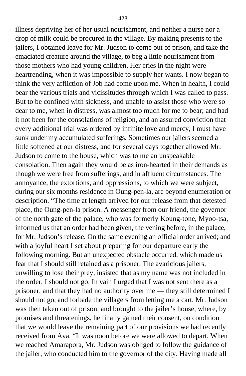illness depriving her of her usual nourishment, and neither a nurse nor a drop of milk could be procured in the village. By making presents to the jailers, I obtained leave for Mr. Judson to come out of prison, and take the emaciated creature around the village, to beg a little nourishment from those mothers who had young children. Her cries in the night were heartrending, when it was impossible to supply her wants. I now began to think the very affliction of Job had come upon me. When in health, I could bear the various trials and vicissitudes through which I was called to pass. But to be confined with sickness, and unable to assist those who were so dear to me, when in distress, was almost too much for me to bear; and had it not been for the consolations of religion, and an assured conviction that every additional trial was ordered by infinite love and mercy, I must have sunk under my accumulated sufferings. Sometimes our jailers seemed a little softened at our distress, and for several days together allowed Mr. Judson to come to the house, which was to me an unspeakable consolation. Then again they would be as iron-hearted in their demands as though we were free from sufferings, and in affluent circumstances. The annoyance, the extortions, and oppressions, to which we were subject, during our six months residence in Oung-pen-la, are beyond enumeration or description. "The time at length arrived for our release from that detested place, the Oung-pen-la prison. A messenger from our friend, the governor of the north gate of the palace, who was formerly Koung-tone, Myoo-tsa, informed us that an order had been given, the vening before, in the palace, for Mr. Judson's release. On the same evening an official order arrived; and with a joyful heart I set about preparing for our departure early the following morning. But an unexpected obstacle occurred, which made us fear that I should still retained as a prisoner. The avaricious jailers, unwilling to lose their prey, insisted that as my name was not included in the order, I should not go. In vain I urged that I was not sent there as a prisoner, and that they had no authority over me — they still determined I should not go, and forbade the villagers from letting me a cart. Mr. Judson was then taken out of prison, and brought to the jailer's house, where, by promises and threatenings, he finally gained their consent, on condition that we would leave the remaining part of our provisions we had recently received from Ava. "It was noon before we were allowed to depart. When we reached Amarapora, Mr. Judson was obliged to follow the guidance of the jailer, who conducted him to the governor of the city. Having made all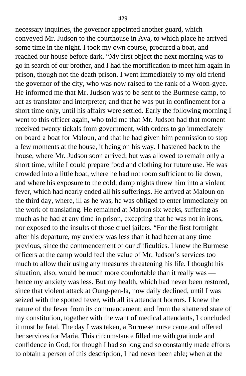necessary inquiries, the governor appointed another guard, which conveyed Mr. Judson to the courthouse in Ava, to which place he arrived some time in the night. I took my own course, procured a boat, and reached our house before dark. "My first object the next morning was to go in search of our brother, and I had the mortification to meet him again in prison, though not the death prison. I went immediately to my old friend the governor of the city, who was now raised to the rank of a Woon-gyee. He informed me that Mr. Judson was to be sent to the Burmese camp, to act as translator and interpreter; and that he was put in confinement for a short time only, until his affairs were settled. Early the following morning I went to this officer again, who told me that Mr. Judson had that moment received twenty tickals from government, with orders to go immediately on board a boat for Maloun, and that he had given him permission to stop a few moments at the house, it being on his way. I hastened back to the house, where Mr. Judson soon arrived; but was allowed to remain only a short time, while I could prepare food and clothing for future use. He was crowded into a little boat, where he had not room sufficient to lie down, and where his exposure to the cold, damp nights threw him into a violent fever, which had nearly ended all his sufferings. He arrived at Maloun on the third day, where, ill as he was, he was obliged to enter immediately on the work of translating. He remained at Maloun six weeks, suffering as much as he had at any time in prison, excepting that he was not in irons, nor exposed to the insults of those cruel jailers. "For the first fortnight after his departure, my anxiety was less than it had been at any time previous, since the commencement of our difficulties. I knew the Burmese officers at the camp would feel the value of Mr. Judson's services too much to allow their using any measures threatening his life. I thought his situation, also, would be much more comfortable than it really was hence my anxiety was less. But my health, which had never been restored, since that violent attack at Oung-pen-la, now daily declined, until I was seized with the spotted fever, with all its attendant horrors. I knew the nature of the fever from its commencement; and from the shattered state of my constitution, together with the want of medical attendants, I concluded it must be fatal. The day I was taken, a Burmese nurse came and offered her services for Maria. This circumstance filled me with gratitude and confidence in God; for though I had so long and so constantly made efforts to obtain a person of this description, I had never been able; when at the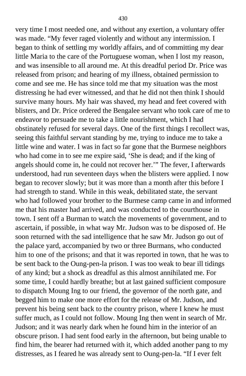very time I most needed one, and without any exertion, a voluntary offer was made. "My fever raged violently and without any intermission. I began to think of settling my worldly affairs, and of committing my dear little Maria to the care of the Portuguese woman, when I lost my reason, and was insensible to all around me. At this dreadful period Dr. Price was released from prison; and hearing of my illness, obtained permission to come and see me. He has since told me that my situation was the most distressing he had ever witnessed, and that he did not then think I should survive many hours. My hair was shaved, my head and feet covered with blisters, and Dr. Price ordered the Bengalee servant who took care of me to endeavor to persuade me to take a little nourishment, which I had obstinately refused for several days. One of the first things I recollect was, seeing this faithful servant standing by me, trying to induce me to take a little wine and water. I was in fact so far gone that the Burmese neighbors who had come in to see me expire said, 'She is dead; and if the king of angels should come in, he could not recover her.'" The fever, I afterwards understood, had run seventeen days when the blisters were applied. I now began to recover slowly; but it was more than a month after this before I had strength to stand. While in this weak, debilitated state, the servant who had followed your brother to the Burmese camp came in and informed me that his master had arrived, and was conducted to the courthouse in town. I sent off a Burman to watch the movements of government, and to ascertain, if possible, in what way Mr. Judson was to be disposed of. He soon returned with the sad intelligence that he saw Mr. Judson go out of the palace yard, accompanied by two or three Burmans, who conducted him to one of the prisons; and that it was reported in town, that he was to be sent back to the Oung-pen-la prison. I was too weak to bear ill tidings of any kind; but a shock as dreadful as this almost annihilated me. For some time, I could hardly breathe; but at last gained sufficient composure to dispatch Moung Ing to our friend, the governor of the north gate, and begged him to make one more effort for the release of Mr. Judson, and prevent his being sent back to the country prison, where I knew he must suffer much, as I could not follow. Moung Ing then went in search of Mr. Judson; and it was nearly dark when he found him in the interior of an obscure prison. I had sent food early in the afternoon, but being unable to find him, the bearer had returned with it, which added another pang to my distresses, as I feared he was already sent to Oung-pen-la. "If I ever felt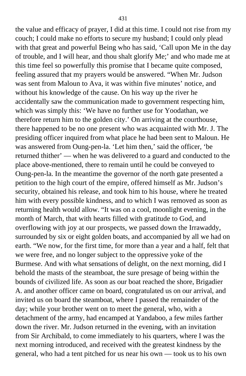the value and efficacy of prayer, I did at this time. I could not rise from my couch; I could make no efforts to secure my husband; I could only plead with that great and powerful Being who has said, 'Call upon Me in the day of trouble, and I will hear, and thou shalt glorify Me;' and who made me at this time feel so powerfully this promise that I became quite composed, feeling assured that my prayers would be answered. "When Mr. Judson was sent from Maloun to Ava, it was within five minutes' notice, and without his knowledge of the cause. On his way up the river he accidentally saw the communication made to government respecting him, which was simply this: 'We have no further use for Yoodathan, we therefore return him to the golden city.' On arriving at the courthouse, there happened to be no one present who was acquainted with Mr. J. The presiding officer inquired from what place he had been sent to Maloun. He was answered from Oung-pen-la. 'Let him then,' said the officer, 'be returned thither' — when he was delivered to a guard and conducted to the place above-mentioned, there to remain until he could be conveyed to Oung-pen-la. In the meantime the governor of the north gate presented a petition to the high court of the empire, offered himself as Mr. Judson's security, obtained his release, and took him to his house, where he treated him with every possible kindness, and to which I was removed as soon as returning health would allow. "It was on a cool, moonlight evening, in the month of March, that with hearts filled with gratitude to God, and overflowing with joy at our prospects, we passed down the Irrawaddy, surrounded by six or eight golden boats, and accompanied by all we had on earth. "We now, for the first time, for more than a year and a half, felt that we were free, and no longer subject to the oppressive yoke of the Burmese. And with what sensations of delight, on the next morning, did I behold the masts of the steamboat, the sure presage of being within the bounds of civilized life. As soon as our boat reached the shore, Brigadier A. and another officer came on board, congratulated us on our arrival, and invited us on board the steamboat, where I passed the remainder of the day; while your brother went on to meet the general, who, with a detachment of the army, had encamped at Yandaboo, a few miles farther down the river. Mr. Judson returned in the evening, with an invitation from Sir Archibald, to come immediately to his quarters, where I was the next morning introduced, and received with the greatest kindness by the general, who had a tent pitched for us near his own — took us to his own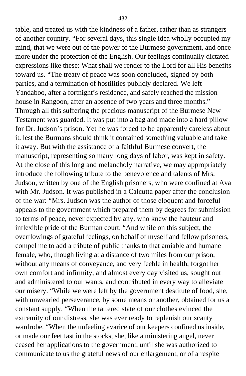table, and treated us with the kindness of a father, rather than as strangers of another country. "For several days, this single idea wholly occupied my mind, that we were out of the power of the Burmese government, and once more under the protection of the English. Our feelings continually dictated expressions like these: What shall we render to the Lord for all His benefits toward us. "The treaty of peace was soon concluded, signed by both parties, and a termination of hostilities publicly declared. We left Yandaboo, after a fortnight's residence, and safely reached the mission house in Rangoon, after an absence of two years and three months." Through all this suffering the precious manuscript of the Burmese New Testament was guarded. It was put into a bag and made into a hard pillow for Dr. Judson's prison. Yet he was forced to be apparently careless about it, lest the Burmans should think it contained something valuable and take it away. But with the assistance of a faithful Burmese convert, the manuscript, representing so many long days of labor, was kept in safety. At the close of this long and melancholy narrative, we may appropriately introduce the following tribute to the benevolence and talents of Mrs. Judson, written by one of the English prisoners, who were confined at Ava with Mr. Judson. It was published in a Calcutta paper after the conclusion of the war: "Mrs. Judson was the author of those eloquent and forceful appeals to the government which prepared them by degrees for submission to terms of peace, never expected by any, who knew the hauteur and inflexible pride of the Burman court. "And while on this subject, the overflowings of grateful feelings, on behalf of myself and fellow prisoners, compel me to add a tribute of public thanks to that amiable and humane female, who, though living at a distance of two miles from our prison, without any means of conveyance, and very feeble in health, forgot her own comfort and infirmity, and almost every day visited us, sought out and administered to our wants, and contributed in every way to alleviate our misery. "While we were left by the government destitute of food, she, with unwearied perseverance, by some means or another, obtained for us a constant supply. "When the tattered state of our clothes evinced the extremity of our distress, she was ever ready to replenish our scanty wardrobe. "When the unfeeling avarice of our keepers confined us inside, or made our feet fast in the stocks, she, like a ministering angel, never ceased her applications to the government, until she was authorized to communicate to us the grateful news of our enlargement, or of a respite

432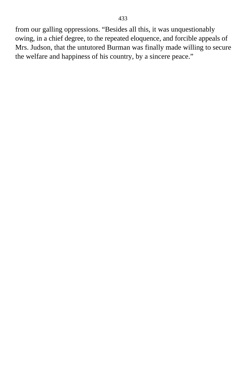from our galling oppressions. "Besides all this, it was unquestionably owing, in a chief degree, to the repeated eloquence, and forcible appeals of Mrs. Judson, that the untutored Burman was finally made willing to secure the welfare and happiness of his country, by a sincere peace."